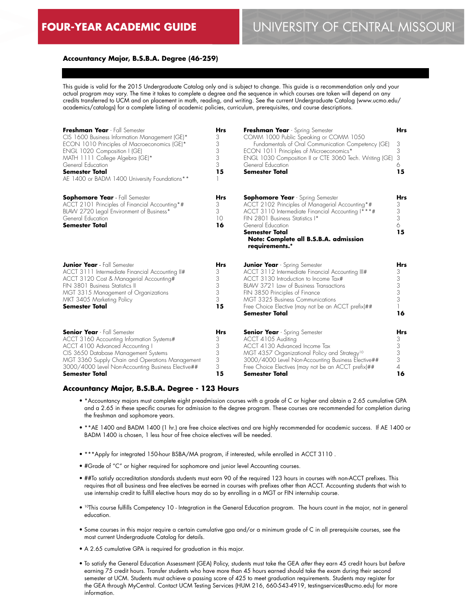## **Accountancy Major, B.S.B.A. Degree (46-259)**

This guide is valid for the 2015 Undergraduate Catalog only and is subject to change. This guide is a recommendation only and your actual program may vary. The time it takes to complete a degree and the sequence in which courses are taken will depend on any credits transferred to UCM and on placement in math, reading, and writing. See the current Undergraduate Catalog (www.ucmo.edu/ academics/catalogs) for a complete listing of academic policies, curriculum, prerequisites, and course descriptions.

| Freshman Year - Fall Semester<br>CIS 1600 Business Information Management (GE)*<br>ECON 1010 Principles of Macroeconomics (GE)*<br>ENGL 1020 Composition I (GE)<br>MATH 1111 College Algebra (GE)*<br>General Education<br><b>Semester Total</b><br>AE 1400 or BADM 1400 University Foundations** | <b>Hrs</b><br>3<br>3<br>3<br>3<br>3<br>15 | Freshman Year - Spring Semester<br>COMM 1000 Public Speaking or COMM 1050<br>Fundamentals of Oral Communication Competency (GE)<br>ECON 1011 Principles of Microeconomics*<br>ENGL 1030 Composition II or CTE 3060 Tech. Writing (GE)<br>General Education<br><b>Semester Total</b>                                              | <b>Hrs</b><br>3<br>3<br>3<br>6<br>15            |
|---------------------------------------------------------------------------------------------------------------------------------------------------------------------------------------------------------------------------------------------------------------------------------------------------|-------------------------------------------|----------------------------------------------------------------------------------------------------------------------------------------------------------------------------------------------------------------------------------------------------------------------------------------------------------------------------------|-------------------------------------------------|
| <b>Sophomore Year</b> - Fall Semester<br>ACCT 2101 Principles of Financial Accounting*#<br>BLAW 2720 Legal Environment of Business*<br>General Education<br><b>Semester Total</b>                                                                                                                 | Hrs<br>3<br>3<br>10<br>16                 | <b>Sophomore Year</b> - Spring Semester<br>ACCT 2102 Principles of Managerial Accounting*#<br>ACCT 3110 Intermediate Financial Accounting I***#<br>FIN 2801 Business Statistics I*<br>General Education<br><b>Semester Total</b><br>Note: Complete all B.S.B.A. admission<br>requirements.*                                      | Hrs<br>3<br>3<br>3<br>6<br>15                   |
| <b>Junior Year</b> - Fall Semester<br>ACCT 3111 Intermediate Financial Accounting II#<br>ACCT 3120 Cost & Managerial Accounting#<br>FIN 3801 Business Statistics II<br>MGT 3315 Management of Organizations<br>MKT 3405 Marketing Policy<br><b>Semester Total</b>                                 | <b>Hrs</b><br>3<br>3<br>3<br>3<br>3<br>15 | <b>Junior Year</b> - Spring Semester<br>ACCT 3112 Intermediate Financial Accounting III#<br>ACCT 3130 Introduction to Income Tax#<br>BLAW 3721 Law of Business Transactions<br>FIN 3850 Principles of Finance<br>MGT 3325 Business Communications<br>Free Choice Elective (may not be an ACCT prefix)##<br><b>Semester Total</b> | <b>Hrs</b><br>3<br>3<br>3<br>3<br>3<br>16       |
| <b>Senior Year</b> - Fall Semester<br>ACCT 3160 Accounting Information Systems#<br>ACCT 4100 Advanced Accounting I<br>CIS 3650 Database Management Systems<br>MGT 3360 Supply Chain and Operations Management<br>3000/4000 Level Non-Accounting Business Elective##<br><b>Semester Total</b>      | Hrs<br>3<br>3<br>3<br>3<br>3<br>15        | <b>Senior Year</b> - Spring Semester<br>ACCT 4105 Auditing<br>ACCT 4130 Advanced Income Tax<br>MGT 4357 Organizational Policy and Strategy <sup>10</sup><br>3000/4000 Level Non-Accounting Business Elective##<br>Free Choice Electives (may not be an ACCT prefix)##<br><b>Semester Total</b>                                   | Hrs<br>3<br>3<br>3<br>3<br>$\overline{4}$<br>16 |

#### **Accountancy Major, B.S.B.A. Degree - 123 Hours**

- \*Accountancy majors must complete eight preadmission courses with a grade of C or higher and obtain a 2.65 cumulative GPA and a 2.65 in these specific courses for admission to the degree program. These courses are recommended for completion during the freshman and sophomore years.
- \*\*AE 1400 and BADM 1400 (1 hr.) are free choice electives and are highly recommended for academic success. If AE 1400 or BADM 1400 is chosen, 1 less hour of free choice electives will be needed.
- \*\*\*Apply for integrated 150-hour BSBA/MA program, if interested, while enrolled in ACCT 3110 .
- #Grade of "C" or higher required for sophomore and junior level Accounting courses.
- ##To satisfy accreditation standards students must earn 90 of the required 123 hours in courses with non-ACCT prefixes. This requires that all business and free electives be earned in courses with prefixes other than ACCT. Accounting students that wish to use internship credit to fulfill elective hours may do so by enrolling in a MGT or FIN internship course.
- 10This course fulfills Competency 10 Integration in the General Education program. The hours count in the major, not in general education.
- Some courses in this major require a certain cumulative gpa and/or a minimum grade of C in all prerequisite courses, see the most current Undergraduate Catalog for details.
- A 2.65 cumulative GPA is required for graduation in this major.
- To satisfy the General Education Assessment (GEA) Policy, students must take the GEA *after* they earn 45 credit hours but *before* earning 75 credit hours. Transfer students who have more than 45 hours earned should take the exam during their second semester at UCM. Students must achieve a passing score of 425 to meet graduation requirements. Students may register for the GEA through MyCentral. Contact UCM Testing Services (HUM 216, 660-543-4919, testingservices@ucmo.edu) for more information.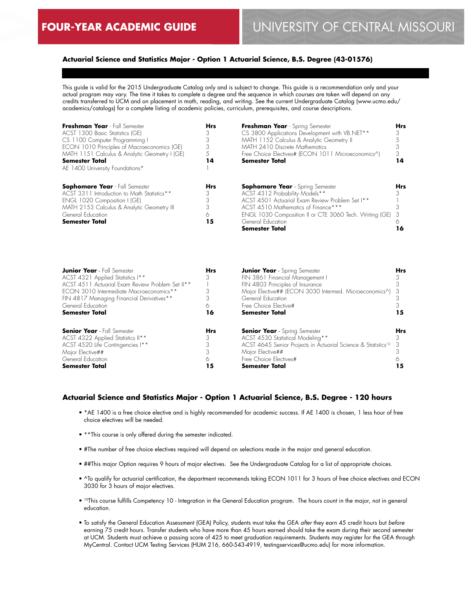## **Actuarial Science and Statistics Major - Option 1 Actuarial Science, B.S. Degree (43-01576)**

This guide is valid for the 2015 Undergraduate Catalog only and is subject to change. This guide is a recommendation only and your actual program may vary. The time it takes to complete a degree and the sequence in which courses are taken will depend on any credits transferred to UCM and on placement in math, reading, and writing. See the current Undergraduate Catalog (www.ucmo.edu/ academics/catalogs) for a complete listing of academic policies, curriculum, prerequisites, and course descriptions.

| CS 3800 Applications Development with VB.NET**<br>MATH 1152 Calculus & Analytic Geometry II<br>MATH 2410 Discrete Mathematics<br>Free Choice Electives# (ECON 1011 Microeconomics^)<br><b>Semester Total</b> | 14                                                                                                                                                                                                                                  |
|--------------------------------------------------------------------------------------------------------------------------------------------------------------------------------------------------------------|-------------------------------------------------------------------------------------------------------------------------------------------------------------------------------------------------------------------------------------|
| <b>Sophomore Year</b> - Spring Semester                                                                                                                                                                      | <b>Hrs</b><br>ıб                                                                                                                                                                                                                    |
|                                                                                                                                                                                                              | ACST 4312 Probability Models**<br>ACST 4501 Actuarial Exam Review Problem Set I**<br>ACST 4510 Mathematics of Finance***<br>ENGL 1030 Composition II or CTE 3060 Tech. Writing (GE) 3<br>General Education<br><b>Semester Total</b> |

| <b>Junior Year</b> - Fall Semester               | <b>Hrs</b> | <b>Junior Year</b> - Spring Semester                                      | <b>Hrs</b> |
|--------------------------------------------------|------------|---------------------------------------------------------------------------|------------|
| ACST 4321 Applied Statistics I**                 |            | FIN 3861 Financial Management I                                           |            |
| ACST 4511 Actuarial Exam Review Problem Set II** |            | FIN 4803 Principles of Insurance                                          |            |
| ECON 3010 Intermediate Macroeconomics**          |            | Major Elective## (ECON 3030 Intermed. Microeconomics^) 3                  |            |
| FIN 4817 Managing Financial Derivatives**        |            | General Education                                                         |            |
| General Education                                |            | Free Choice Elective#                                                     |            |
| <b>Semester Total</b>                            | 16         | <b>Semester Total</b>                                                     | 15         |
| <b>Senior Year</b> - Fall Semester               | <b>Hrs</b> | <b>Senior Year</b> - Spring Semester                                      | <b>Hrs</b> |
| ACST 4322 Applied Statistics II**                | 3          | ACST 4530 Statistical Modeling**                                          |            |
| ACST 4520 Life Contingencies I**                 |            | ACST 4645 Senior Projects in Actuarial Science & Statistics <sup>10</sup> |            |
| Major Elective##                                 |            | Major Elective##                                                          |            |
| General Education                                |            | Free Choice Electives#                                                    |            |
| <b>Semester Total</b>                            | 15         | <b>Semester Total</b>                                                     | 15         |

#### **Actuarial Science and Statistics Major - Option 1 Actuarial Science, B.S. Degree - 120 hours**

- \*AE 1400 is a free choice elective and is highly recommended for academic success. If AE 1400 is chosen, 1 less hour of free choice electives will be needed.
- \*\*This course is only offered during the semester indicated.
- #The number of free choice electives required will depend on selections made in the major and general education.
- ##This major Option requires 9 hours of major electives. See the Undergraduate Catalog for a list of appropriate choices.
- ^To qualify for actuarial certification, the department recommends taking ECON 1011 for 3 hours of free choice electives and ECON 3030 for 3 hours of major electives.
- 10This course fulfills Competency 10 Integration in the General Education program. The hours count in the major, not in general education.
- To satisfy the General Education Assessment (GEA) Policy, students must take the GEA *after* they earn 45 credit hours but *before* earning 75 credit hours. Transfer students who have more than 45 hours earned should take the exam during their second semester at UCM. Students must achieve a passing score of 425 to meet graduation requirements. Students may register for the GEA through MyCentral. Contact UCM Testing Services (HUM 216, 660-543-4919, testingservices@ucmo.edu) for more information.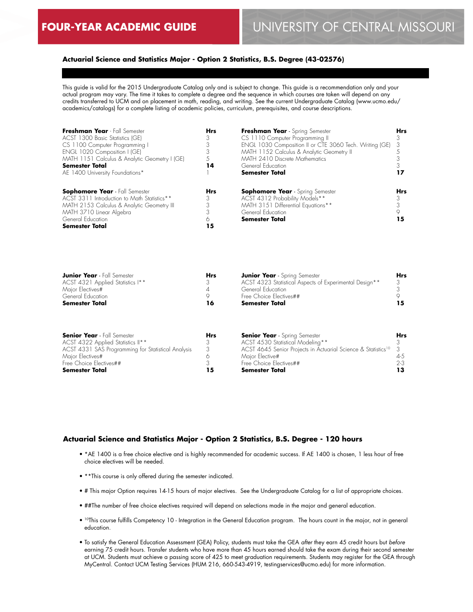## **Actuarial Science and Statistics Major - Option 2 Statistics, B.S. Degree (43-02576)**

This guide is valid for the 2015 Undergraduate Catalog only and is subject to change. This guide is a recommendation only and your actual program may vary. The time it takes to complete a degree and the sequence in which courses are taken will depend on any credits transferred to UCM and on placement in math, reading, and writing. See the current Undergraduate Catalog (www.ucmo.edu/ academics/catalogs) for a complete listing of academic policies, curriculum, prerequisites, and course descriptions.

| Freshman Year Fall Semester<br>ACST 1300 Basic Statistics (GE)<br>CS 1100 Computer Programming I<br>ENGL 1020 Composition I (GE)<br>MATH 1151 Calculus & Analytic Geometry I (GE)<br><b>Semester Total</b> | <b>Hrs</b><br>14 | Freshman Year - Spring Semester<br>CS 1110 Computer Programming II<br>ENGL 1030 Composition II or CTE 3060 Tech. Writing (GE)<br>MATH 1152 Calculus & Analytic Geometry II<br>MATH 2410 Discrete Mathematics<br>General Education | <b>Hrs</b><br>- 3 |
|------------------------------------------------------------------------------------------------------------------------------------------------------------------------------------------------------------|------------------|-----------------------------------------------------------------------------------------------------------------------------------------------------------------------------------------------------------------------------------|-------------------|
| AE 1400 University Foundations*                                                                                                                                                                            |                  | <b>Semester Total</b>                                                                                                                                                                                                             |                   |
| <b>Sophomore Year</b> - Fall Semester<br>ACST 3311 Introduction to Math Statistics**                                                                                                                       | <b>Hrs</b><br>3  | <b>Sophomore Year</b> - Spring Semester                                                                                                                                                                                           | <b>Hrs</b>        |
| MATH 2153 Calculus & Analytic Geometry III<br>MATH 3710 Linear Algebra                                                                                                                                     |                  | ACST 4312 Probability Models**<br>MATH 3151 Differential Equations**<br>General Education                                                                                                                                         |                   |
| General Education<br><b>Semester Total</b>                                                                                                                                                                 | ۱5               | <b>Semester Total</b>                                                                                                                                                                                                             |                   |

|    | <b>Junior Year</b> - Spring Semester<br>ACST 4323 Statistical Aspects of Experimental Design**<br>General Education<br>Free Choice Electives## | <b>Hrs</b> |
|----|------------------------------------------------------------------------------------------------------------------------------------------------|------------|
| 16 | Semester Total                                                                                                                                 |            |
|    | <b>Hrs</b>                                                                                                                                     |            |

| <b>Senior Year</b> - Fall Semester                 | Hrs | <b>Senior Year</b> - Spring Semester                                        | <b>Hrs</b> |
|----------------------------------------------------|-----|-----------------------------------------------------------------------------|------------|
| ACST 4322 Applied Statistics II**                  |     | ACST 4530 Statistical Modeling**                                            |            |
| ACST 4331 SAS Programming for Statistical Analysis |     | ACST 4645 Senior Projects in Actuarial Science & Statistics <sup>10</sup> 3 |            |
| Maior Electives#                                   |     | Maior Elective#                                                             | 4-5        |
| Free Choice Electives##                            |     | Free Choice Electives##                                                     | $2-3$      |
| <b>Semester Total</b>                              | 15  | <b>Semester Total</b>                                                       |            |

## **Actuarial Science and Statistics Major - Option 2 Statistics, B.S. Degree - 120 hours**

- \*AE 1400 is a free choice elective and is highly recommended for academic success. If AE 1400 is chosen, 1 less hour of free choice electives will be needed.
- \*\*This course is only offered during the semester indicated.
- # This major Option requires 14-15 hours of major electives. See the Undergraduate Catalog for a list of appropriate choices.
- ##The number of free choice electives required will depend on selections made in the major and general education.
- 10This course fulfills Competency 10 Integration in the General Education program. The hours count in the major, not in general education.
- To satisfy the General Education Assessment (GEA) Policy, students must take the GEA *after* they earn 45 credit hours but *before* earning 75 credit hours. Transfer students who have more than 45 hours earned should take the exam during their second semester at UCM. Students must achieve a passing score of 425 to meet graduation requirements. Students may register for the GEA through MyCentral. Contact UCM Testing Services (HUM 216, 660-543-4919, testingservices@ucmo.edu) for more information.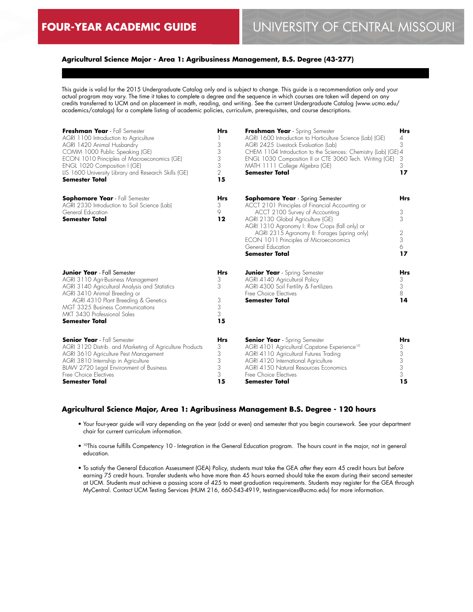## **Agricultural Science Major - Area 1: Agribusiness Management, B.S. Degree (43-277)**

This guide is valid for the 2015 Undergraduate Catalog only and is subject to change. This guide is a recommendation only and your actual program may vary. The time it takes to complete a degree and the sequence in which courses are taken will depend on any credits transferred to UCM and on placement in math, reading, and writing. See the current Undergraduate Catalog (www.ucmo.edu/ academics/catalogs) for a complete listing of academic policies, curriculum, prerequisites, and course descriptions.

| Freshman Year - Fall Semester<br>AGRI 1100 Introduction to Agriculture<br>AGRI 1420 Animal Husbandry<br>COMM 1000 Public Speaking (GE)<br>ECON 1010 Principles of Macroeconomics (GE)<br>ENGL 1020 Composition I (GE)<br>LIS 1600 University Library and Research Skills (GE)<br><b>Semester Total</b> | <b>Hrs</b><br>3<br>3<br>3<br>3<br>$\overline{2}$<br>15 | Freshman Year - Spring Semester<br>AGRI 1600 Introduction to Horticulture Science (Lab) (GE)<br>AGRI 2425 Livestock Evaluation (Lab)<br>CHEM 1104 Introduction to the Sciences: Chemistry (Lab) (GE) 4<br>ENGL 1030 Composition II or CTE 3060 Tech. Writing (GE)<br>MATH 1111 College Algebra (GE)<br><b>Semester Total</b>                                | Hrs<br>4<br>3<br>3<br>3<br>17             |
|--------------------------------------------------------------------------------------------------------------------------------------------------------------------------------------------------------------------------------------------------------------------------------------------------------|--------------------------------------------------------|-------------------------------------------------------------------------------------------------------------------------------------------------------------------------------------------------------------------------------------------------------------------------------------------------------------------------------------------------------------|-------------------------------------------|
| <b>Sophomore Year</b> - Fall Semester<br>AGRI 2330 Introduction to Soil Science (Lab)<br>General Education<br><b>Semester Total</b>                                                                                                                                                                    | <b>Hrs</b><br>3<br>9<br>12                             | <b>Sophomore Year</b> - Spring Semester<br>ACCT 2101 Principles of Financial Accounting or<br>ACCT 2100 Survey of Accounting<br>AGRI 2130 Global Agriculture (GE)<br>AGRI 1310 Agronomy I: Row Crops (fall only) or<br>AGRI 2315 Agronomy II: Forages (spring only)<br>ECON 1011 Principles of Microeconomics<br>General Education<br><b>Semester Total</b> | <b>Hrs</b><br>3<br>3<br>2<br>3<br>6<br>17 |
| <b>Junior Year</b> - Fall Semester<br>AGRI 3110 Agri-Business Management<br>AGRI 3140 Agricultural Analysis and Statistics<br>AGRI 3410 Animal Breeding or<br>AGRI 4310 Plant Breeding & Genetics<br><b>MGT 3325 Business Communications</b><br>MKT 3430 Professional Sales<br><b>Semester Total</b>   | <b>Hrs</b><br>3<br>3<br>3<br>3<br>3<br>15              | <b>Junior Year</b> - Spring Semester<br>AGRI 4140 Agricultural Policy<br>AGRI 4300 Soil Fertility & Fertilizers<br>Free Choice Electives<br><b>Semester Total</b>                                                                                                                                                                                           | <b>Hrs</b><br>3<br>3<br>8<br>14           |
| <b>Senior Year</b> - Fall Semester<br>AGRI 3120 Distrib. and Marketing of Agriculture Products<br>AGRI 3610 Agriculture Pest Management<br>AGRI 3810 Internship in Agriculture<br>BLAW 2720 Legal Environment of Business<br>Free Choice Electives<br><b>Semester Total</b>                            | <b>Hrs</b><br>3<br>3<br>3<br>3<br>3<br>15              | <b>Senior Year</b> - Spring Semester<br>AGRI 4101 Agricultural Capstone Experience <sup>10</sup><br>AGRI 4110 Agricultural Futures Trading<br>AGRI 4120 International Agriculture<br>AGRI 4150 Natural Resources Economics<br>Free Choice Electives<br>Semester Total                                                                                       | <b>Hrs</b><br>3<br>3<br>3<br>3<br>3<br>15 |

## **Agricultural Science Major, Area 1: Agribusiness Management B.S. Degree - 120 hours**

- Your four-year guide will vary depending on the year (odd or even) and semester that you begin coursework. See your department chair for current curriculum information.
- 10This course fulfills Competency 10 Integration in the General Education program. The hours count in the major, not in general education.
- To satisfy the General Education Assessment (GEA) Policy, students must take the GEA *after* they earn 45 credit hours but *before* earning 75 credit hours. Transfer students who have more than 45 hours earned should take the exam during their second semester at UCM. Students must achieve a passing score of 425 to meet graduation requirements. Students may register for the GEA through MyCentral. Contact UCM Testing Services (HUM 216, 660-543-4919, testingservices@ucmo.edu) for more information.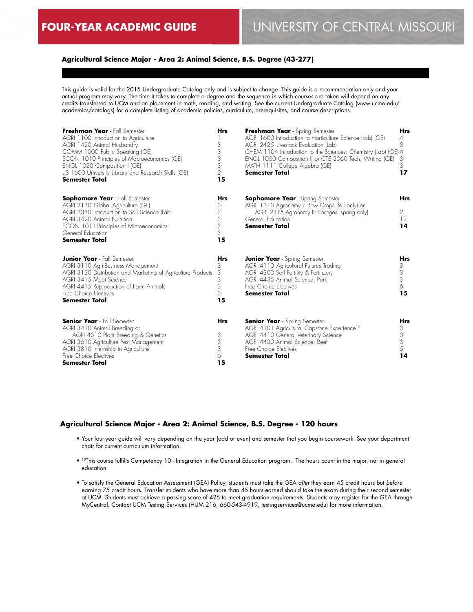## **Agricultural Science Major - Area 2: Animal Science, B.S. Degree (43-277)**

This guide is valid for the 2015 Undergraduate Catalog only and is subject to change. This guide is a recommendation only and your actual program may vary. The time it takes to complete a degree and the sequence in which courses are taken will depend on any credits transferred to UCM and on placement in math, reading, and writing. See the current Undergraduate Catalog (www.ucmo.edu/ academics/catalogs) for a complete listing of academic policies, curriculum, prerequisites, and course descriptions.

| Freshman Year - Fall Semester<br>AGRI 1100 Introduction to Agriculture<br>AGRI 1420 Animal Husbandry<br>COMM 1000 Public Speaking (GE)<br>ECON 1010 Principles of Macroeconomics (GE)<br>ENGL 1020 Composition I (GE)<br>LIS 1600 University Library and Research Skills (GE)<br><b>Semester Total</b> | <b>Hrs</b><br>3<br>3<br>3<br>3<br>$\overline{2}$<br>15 | Freshman Year - Spring Semester<br>AGRI 1600 Introduction to Horticulture Science (Lab) (GE)<br>AGRI 2425 Livestock Evaluation (Lab)<br>CHEM 1104 Introduction to the Sciences: Chemistry (Lab) (GE) 4<br>ENGL 1030 Composition II or CTE 3060 Tech. Writing (GE)<br>MATH 1111 College Algebra (GE)<br>Semester Total | <b>Hrs</b><br>$\overline{4}$<br>3<br>3<br>3<br>17 |
|--------------------------------------------------------------------------------------------------------------------------------------------------------------------------------------------------------------------------------------------------------------------------------------------------------|--------------------------------------------------------|-----------------------------------------------------------------------------------------------------------------------------------------------------------------------------------------------------------------------------------------------------------------------------------------------------------------------|---------------------------------------------------|
| <b>Sophomore Year</b> - Fall Semester<br>AGRI 2130 Global Agriculture (GE)<br>AGRI 2330 Introduction to Soil Science (Lab)<br><b>AGRI 3420 Animal Nutrition</b><br>ECON 1011 Principles of Microeconomics<br>General Education<br><b>Semester Total</b>                                                | <b>Hrs</b><br>3<br>3<br>3<br>3<br>3<br>15              | <b>Sophomore Year</b> - Spring Semester<br>AGRI 1310 Agronomy I: Row Crops (fall only) or<br>AGRI 2315 Agronomy II: Forages (spring only)<br>General Education<br><b>Semester Total</b>                                                                                                                               | <b>Hrs</b><br>2<br>12<br>14                       |
| <b>Junior Year</b> - Fall Semester<br>AGRI 3110 Agri-Business Management<br>AGRI 3120 Distribution and Marketing of Agriculture Products<br>AGRI 3415 Meat Science<br>AGRI 4415 Reproduction of Farm Animals<br>Free Choice Electives<br><b>Semester Total</b>                                         | <b>Hrs</b><br>3<br>3<br>3<br>3<br>3<br>15              | <b>Junior Year</b> - Spring Semester<br>AGRI 4110 Agricultural Futures Trading<br>AGRI 4300 Soil Fertility & Fertilizers<br>AGRI 4435 Animal Science: Pork<br>Free Choice Electives<br><b>Semester Total</b>                                                                                                          | <b>Hrs</b><br>3<br>3<br>3<br>6<br>15              |
| <b>Senior Year</b> - Fall Semester<br>AGRI 3410 Animal Breeding or<br>AGRI 4310 Plant Breeding & Genetics<br>AGRI 3610 Agriculture Pest Management<br>AGRI 3810 Internship in Agriculture<br>Free Choice Electives<br><b>Semester Total</b>                                                            | <b>Hrs</b><br>3<br>3<br>3<br>6<br>15                   | <b>Senior Year</b> - Spring Semester<br>AGRI 4101 Agricultural Capstone Experience <sup>10</sup><br>AGRI 4410 General Veterinary Science<br>AGRI 4430 Animal Science: Beef<br>Free Choice Electives<br><b>Semester Total</b>                                                                                          | Hrs<br>3<br>$\mathfrak{Z}$<br>3<br>5<br>14        |

#### **Agricultural Science Major - Area 2: Animal Science, B.S. Degree - 120 hours**

- Your four-year guide will vary depending on the year (odd or even) and semester that you begin coursework. See your department chair for current curriculum information.
- <sup>10</sup>This course fulfills Competency 10 Integration in the General Education program. The hours count in the major, not in general education.
- To satisfy the General Education Assessment (GEA) Policy, students must take the GEA *after* they earn 45 credit hours but *before* earning 75 credit hours. Transfer students who have more than 45 hours earned should take the exam during their second semester at UCM. Students must achieve a passing score of 425 to meet graduation requirements. Students may register for the GEA through MyCentral. Contact UCM Testing Services (HUM 216, 660-543-4919, testingservices@ucmo.edu) for more information.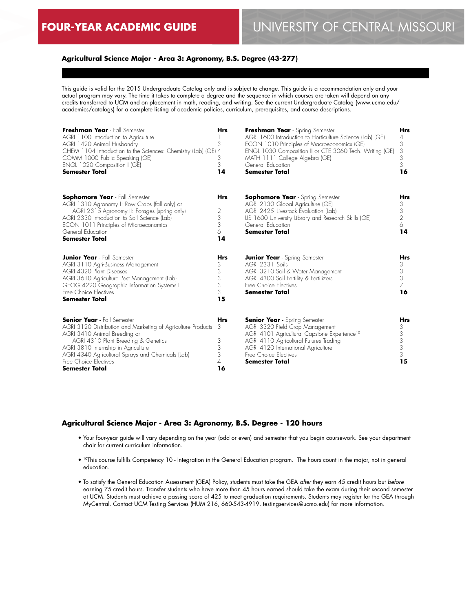## **Agricultural Science Major - Area 3: Agronomy, B.S. Degree (43-277)**

This guide is valid for the 2015 Undergraduate Catalog only and is subject to change. This guide is a recommendation only and your actual program may vary. The time it takes to complete a degree and the sequence in which courses are taken will depend on any credits transferred to UCM and on placement in math, reading, and writing. See the current Undergraduate Catalog (www.ucmo.edu/ academics/catalogs) for a complete listing of academic policies, curriculum, prerequisites, and course descriptions.

| Freshman Year - Fall Semester<br>AGRI 1100 Introduction to Agriculture<br>AGRI 1420 Animal Husbandry<br>CHEM 1104 Introduction to the Sciences: Chemistry (Lab) (GE) 4<br>COMM 1000 Public Speaking (GE)<br>ENGL 1020 Composition I (GE)<br><b>Semester Total</b>                                                       | <b>Hrs</b><br>3<br>3<br>3<br>14                   | Freshman Year - Spring Semester<br>AGRI 1600 Introduction to Horticulture Science (Lab) (GE)<br>ECON 1010 Principles of Macroeconomics (GE)<br>ENGL 1030 Composition II or CTE 3060 Tech. Writing (GE)<br>MATH 1111 College Algebra (GE)<br>General Education<br><b>Semester Total</b> | <b>Hrs</b><br>4<br>3<br>3<br>3<br>3<br>16  |
|-------------------------------------------------------------------------------------------------------------------------------------------------------------------------------------------------------------------------------------------------------------------------------------------------------------------------|---------------------------------------------------|----------------------------------------------------------------------------------------------------------------------------------------------------------------------------------------------------------------------------------------------------------------------------------------|--------------------------------------------|
| <b>Sophomore Year</b> - Fall Semester<br>AGRI 1310 Agronomy I: Row Crops (fall only) or<br>AGRI 2315 Agronomy II: Forages (spring only)<br>AGRI 2330 Introduction to Soil Science (Lab)<br>ECON 1011 Principles of Microeconomics<br>General Education<br><b>Semester Total</b>                                         | <b>Hrs</b><br>$\overline{2}$<br>3<br>3<br>6<br>14 | <b>Sophomore Year</b> - Spring Semester<br>AGRI 2130 Global Agriculture (GE)<br>AGRI 2425 Livestock Evaluation (Lab)<br>LIS 1600 University Library and Research Skills (GE)<br>General Education<br><b>Semester Total</b>                                                             | Hrs<br>3<br>3<br>$\overline{2}$<br>6<br>14 |
| <b>Junior Year</b> - Fall Semester<br>AGRI 3110 Agri-Business Management<br>AGRI 4320 Plant Diseases<br>AGRI 3610 Agriculture Pest Management (Lab)<br>GEOG 4220 Geographic Information Systems I<br>Free Choice Electives<br><b>Semester Total</b>                                                                     | <b>Hrs</b><br>3<br>3<br>3<br>3<br>3<br>15         | <b>Junior Year</b> - Spring Semester<br>AGRI 2331 Soils<br>AGRI 3210 Soil & Water Management<br>AGRI 4300 Soil Fertility & Fertilizers<br>Free Choice Electives<br><b>Semester Total</b>                                                                                               | Hrs<br>3<br>3<br>3<br>7<br>16              |
| <b>Senior Year</b> - Fall Semester<br>AGRI 3120 Distribution and Marketing of Agriculture Products<br>AGRI 3410 Animal Breeding or<br>AGRI 4310 Plant Breeding & Genetics<br>AGRI 3810 Internship in Agriculture<br>AGRI 4340 Agricultural Sprays and Chemicals (Lab)<br>Free Choice Electives<br><b>Semester Total</b> | <b>Hrs</b><br>3<br>3<br>3<br>3<br>4<br>16         | <b>Senior Year</b> - Spring Semester<br>AGRI 3320 Field Crop Management<br>AGRI 4101 Agricultural Capstone Experience <sup>10</sup><br>AGRI 4110 Agricultural Futures Trading<br>AGRI 4120 International Agriculture<br>Free Choice Electives<br><b>Semester Total</b>                 | Hrs<br>3<br>3<br>3<br>3<br>3<br>15         |

## **Agricultural Science Major - Area 3: Agronomy, B.S. Degree - 120 hours**

- Your four-year guide will vary depending on the year (odd or even) and semester that you begin coursework. See your department chair for current curriculum information.
- 10This course fulfills Competency 10 Integration in the General Education program. The hours count in the major, not in general education.
- To satisfy the General Education Assessment (GEA) Policy, students must take the GEA *after* they earn 45 credit hours but *before* earning 75 credit hours. Transfer students who have more than 45 hours earned should take the exam during their second semester at UCM. Students must achieve a passing score of 425 to meet graduation requirements. Students may register for the GEA through MyCentral. Contact UCM Testing Services (HUM 216, 660-543-4919, testingservices@ucmo.edu) for more information.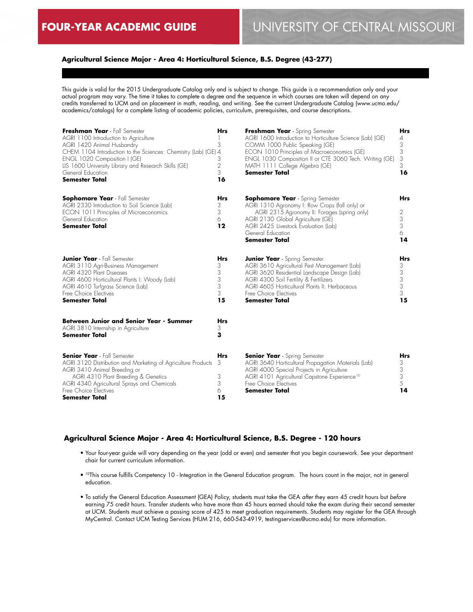## **Agricultural Science Major - Area 4: Horticultural Science, B.S. Degree (43-277)**

This guide is valid for the 2015 Undergraduate Catalog only and is subject to change. This guide is a recommendation only and your actual program may vary. The time it takes to complete a degree and the sequence in which courses are taken will depend on any credits transferred to UCM and on placement in math, reading, and writing. See the current Undergraduate Catalog (www.ucmo.edu/ academics/catalogs) for a complete listing of academic policies, curriculum, prerequisites, and course descriptions.

| Freshman Year - Fall Semester<br>AGRI 1100 Introduction to Agriculture<br>AGRI 1420 Animal Husbandry<br>CHEM 1104 Introduction to the Sciences: Chemistry (Lab) (GE) 4<br>ENGL 1020 Composition I (GE)<br>LIS 1600 University Library and Research Skills (GE)<br>General Education<br><b>Semester Total</b> | <b>Hrs</b><br>3<br>3<br>$\overline{2}$<br>3<br>16                         | Freshman Year - Spring Semester<br>AGRI 1600 Introduction to Horticulture Science (Lab) (GE)<br>COMM 1000 Public Speaking (GE)<br>ECON 1010 Principles of Macroeconomics (GE)<br>ENGL 1030 Composition II or CTE 3060 Tech. Writing (GE)<br>MATH 1111 College Algebra (GE)<br><b>Semester Total</b> | <b>Hrs</b><br>4<br>3<br>3<br>3<br>3<br>16                                  |
|--------------------------------------------------------------------------------------------------------------------------------------------------------------------------------------------------------------------------------------------------------------------------------------------------------------|---------------------------------------------------------------------------|-----------------------------------------------------------------------------------------------------------------------------------------------------------------------------------------------------------------------------------------------------------------------------------------------------|----------------------------------------------------------------------------|
| <b>Sophomore Year</b> - Fall Semester<br>AGRI 2330 Introduction to Soil Science (Lab)<br>ECON 1011 Principles of Microeconomics<br>General Education<br><b>Semester Total</b>                                                                                                                                | <b>Hrs</b><br>3<br>3<br>6<br>12                                           | <b>Sophomore Year</b> - Spring Semester<br>AGRI 1310 Agronomy I: Row Crops (fall only) or<br>AGRI 2315 Agronomy II: Forages (spring only)<br>AGRI 2130 Global Agriculture (GE)<br>AGRI 2425 Livestock Evaluation (Lab)<br>General Education<br><b>Semester Total</b>                                | <b>Hrs</b><br>2<br>3<br>$\ensuremath{\mathsf{3}}$<br>6<br>14               |
| <b>Junior Year</b> - Fall Semester<br>AGRI 3110 Agri-Business Management<br>AGRI 4320 Plant Diseases<br>AGRI 4600 Horticultural Plants I: Woody (Lab)<br>AGRI 4610 Turfgrass Science (Lab)<br>Free Choice Electives<br><b>Semester Total</b>                                                                 | <b>Hrs</b><br>3<br>$\,$ $\,$<br>$\ensuremath{\mathsf{3}}$<br>3<br>3<br>15 | <b>Junior Year</b> - Spring Semester<br>AGRI 3610 Agricultural Pest Management (Lab)<br>AGRI 3620 Residential Landscape Design (Lab)<br>AGRI 4300 Soil Fertility & Fertilizers<br>AGRI 4605 Horticultural Plants II: Herbaceous<br>Free Choice Electives<br><b>Semester Total</b>                   | <b>Hrs</b><br>3<br>$\sqrt{3}$<br>$\ensuremath{\mathsf{3}}$<br>3<br>3<br>15 |
| <b>Between Junior and Senior Year - Summer</b><br>AGRI 3810 Internship in Agriculture<br><b>Semester Total</b>                                                                                                                                                                                               | <b>Hrs</b><br>3<br>3                                                      |                                                                                                                                                                                                                                                                                                     |                                                                            |
| <b>Senior Year</b> - Fall Semester<br>AGRI 3120 Distribution and Marketing of Agriculture Products<br>AGRI 3410 Animal Breeding or<br>AGRI 4310 Plant Breeding & Genetics<br>AGRI 4340 Agricultural Sprays and Chemicals<br>Free Choice Electives<br><b>Semester Total</b>                                   | <b>Hrs</b><br>3<br>3<br>3<br>6<br>15                                      | <b>Senior Year</b> - Spring Semester<br>AGRI 3640 Horticultural Propagation Materials (Lab)<br>AGRI 4000 Special Projects in Agriculture<br>AGRI 4101 Agricultural Capstone Experience <sup>10</sup><br>Free Choice Electives<br><b>Semester Total</b>                                              | <b>Hrs</b><br>3<br>$\ensuremath{\mathsf{3}}$<br>3<br>5<br>14               |

## **Agricultural Science Major - Area 4: Horticultural Science, B.S. Degree - 120 hours**

- Your four-year guide will vary depending on the year (odd or even) and semester that you begin coursework. See your department chair for current curriculum information.
- <sup>10</sup>This course fulfills Competency 10 Integration in the General Education program. The hours count in the major, not in general education.
- To satisfy the General Education Assessment (GEA) Policy, students must take the GEA *after* they earn 45 credit hours but *before* earning 75 credit hours. Transfer students who have more than 45 hours earned should take the exam during their second semester at UCM. Students must achieve a passing score of 425 to meet graduation requirements. Students may register for the GEA through MyCentral. Contact UCM Testing Services (HUM 216, 660-543-4919, testingservices@ucmo.edu) for more information.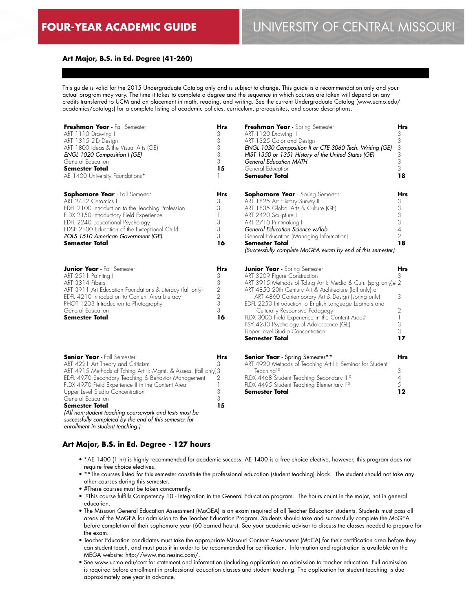## **Art Major, B.S. in Ed. Degree (41-260)**

This guide is valid for the 2015 Undergraduate Catalog only and is subject to change. This guide is a recommendation only and your actual program may vary. The time it takes to complete a degree and the sequence in which courses are taken will depend on any credits transferred to UCM and on placement in math, reading, and writing. See the current Undergraduate Catalog (www.ucmo.edu/ academics/catalogs) for a complete listing of academic policies, curriculum, prerequisites, and course descriptions.

| Freshman Year - Fall Semester<br>ART 1110 Drawing I<br>ART 1315 2-D Design<br>ART 1800 Ideas & the Visual Arts (GE)<br>ENGL 1020 Composition I (GE)<br>General Education<br><b>Semester Total</b><br>AE 1400 University Foundations*                                                                                                                                                              | Hrs<br>3<br>3<br>3<br>3<br>3<br>15                            | Freshman Year - Spring Semester<br>ART 1120 Drawing II<br>ART 1325 Color and Design<br>ENGL 1030 Composition II or CTE 3060 Tech. Writing (GE)<br>HIST 1350 or 1351 History of the United States (GE)<br><b>General Education MATH</b><br>General Education<br><b>Semester Total</b>                                                                                                                                                                                                                         | Hrs<br>3<br>3<br>3<br>3<br>3<br>3<br>18                                     |
|---------------------------------------------------------------------------------------------------------------------------------------------------------------------------------------------------------------------------------------------------------------------------------------------------------------------------------------------------------------------------------------------------|---------------------------------------------------------------|--------------------------------------------------------------------------------------------------------------------------------------------------------------------------------------------------------------------------------------------------------------------------------------------------------------------------------------------------------------------------------------------------------------------------------------------------------------------------------------------------------------|-----------------------------------------------------------------------------|
| <b>Sophomore Year</b> - Fall Semester<br>ART 2412 Ceramics<br>EDFL 2100 Introduction to the Teaching Profession<br>FLDX 2150 Introductory Field Experience<br>EDFL 2240 Educational Psychology<br>EDSP 2100 Education of the Exceptional Child<br>POLS 1510 American Government (GE)<br><b>Semester Total</b>                                                                                     | Hrs<br>3<br>3<br>1<br>3<br>3<br>3<br>16                       | <b>Sophomore Year</b> - Spring Semester<br>ART 1825 Art History Survey II<br>ART 1835 Global Arts & Culture (GE)<br>ART 2420 Sculpture I<br>ART 2710 Printmaking I<br>General Education Science w/lab<br>General Education (Managing Information)<br><b>Semester Total</b><br>(Successfully complete MoGEA exam by end of this semester)                                                                                                                                                                     | Hrs<br>3<br>$\frac{3}{3}$<br>3<br>4<br>$\overline{2}$<br>18                 |
| <b>Junior Year</b> - Fall Semester<br>ART 2511 Painting I<br>ART 3314 Fibers<br>ART 3911 Art Education Foundations & Literacy (fall only)<br>EDFL 4210 Introduction to Content Area Literacy<br>PHOT 1203 Introduction to Photography<br>General Education<br><b>Semester Total</b>                                                                                                               | Hrs<br>3<br>3<br>$\sqrt{2}$<br>$\overline{c}$<br>3<br>3<br>16 | <b>Junior Year</b> - Spring Semester<br>ART 3209 Figure Construction<br>ART 3915 Methods of Tchng Art I: Media & Curr. (sprg only)# 2<br>ART 4850 20th Century Art & Architecture (fall only) or<br>ART 4860 Contemporary Art & Design (spring only)<br>EDFL 2250 Introduction to English Language Learners and<br>Culturally Responsive Pedagogy<br>FLDX 3000 Field Experience in the Content Area#<br>PSY 4230 Psychology of Adolescence (GE)<br>Upper Level Studio Concentration<br><b>Semester Total</b> | Hrs<br>3<br>3<br>2<br>$\begin{array}{c} \hline \end{array}$<br>3<br>3<br>17 |
| <b>Senior Year</b> - Fall Semester<br>ART 4221 Art Theory and Criticism<br>ART 4915 Methods of Tching Art II: Mgmt. & Assess. (fall only)3<br>EDFL 4970 Secondary Teaching & Behavior Management<br>FLDX 4970 Field Experience II in the Content Area<br>Upper Level Studio Concentration<br>General Education<br><b>Semester Total</b><br>(All non-student teaching coursework and tests must be | Hrs<br>3<br>2<br>1<br>3<br>3<br>15                            | <b>Senior Year</b> - Spring Semester**<br>ART 4920 Methods of Teaching Art III: Seminar for Student<br>Teaching <sup>10</sup><br>FLDX 4468 Student Teaching Secondary II <sup>10</sup><br>FLDX 4495 Student Teaching Elementary I <sup>10</sup><br><b>Semester Total</b>                                                                                                                                                                                                                                     | <b>Hrs</b><br>3<br>$\overline{4}$<br>5<br>12                                |

*successfully completed by the end of this semester for enrollment in student teaching.)*

## **Art Major, B.S. in Ed. Degree - 127 hours**

- \*AE 1400 (1 hr) is highly recommended for academic success. AE 1400 is a free choice elective, however, this program does not require free choice electives.
- \*\*The courses listed for this semester constitute the professional education (student teaching) block. The student should not take any other courses during this semester.
- #These courses must be taken concurrently.
- 10This course fulfills Competency 10 Integration in the General Education program. The hours count in the major, not in general education.
- The Missouri General Education Assessment (MoGEA) is an exam required of all Teacher Education students. Students must pass all areas of the MoGEA for admission to the Teacher Education Program. Students should take and successfully complete the MoGEA before completion of their sophomore year (60 earned hours). See your academic advisor to discuss the classes needed to prepare for the exam.
- Teacher Education candidates must take the appropriate Missouri Content Assessment (MoCA) for their certification area before they can student teach, and must pass it in order to be recommended for certification. Information and registration is available on the MEGA website: http://www.mo.nesinc.com/.
- See www.ucmo.edu/cert for statement and information (including application) on admission to teacher education. Full admission is required before enrollment in professional education classes and student teaching. The application for student teaching is due approximately one year in advance.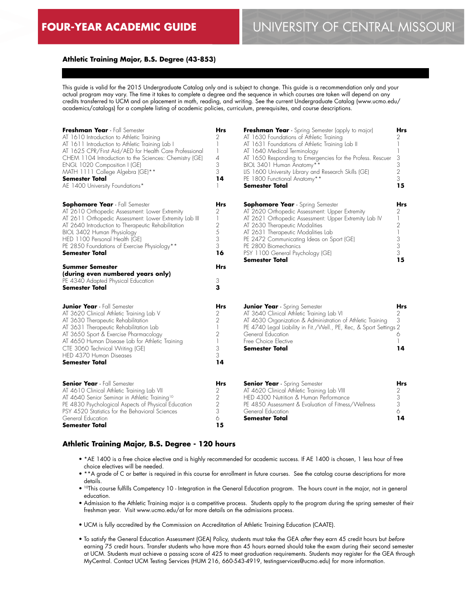## **Athletic Training Major, B.S. Degree (43-853)**

This guide is valid for the 2015 Undergraduate Catalog only and is subject to change. This guide is a recommendation only and your actual program may vary. The time it takes to complete a degree and the sequence in which courses are taken will depend on any credits transferred to UCM and on placement in math, reading, and writing. See the current Undergraduate Catalog (www.ucmo.edu/ academics/catalogs) for a complete listing of academic policies, curriculum, prerequisites, and course descriptions.

| Freshman Year - Fall Semester<br>AT 1610 Introduction to Athletic Training<br>AT 1611 Introduction to Athletic Training Lab I<br>AT 1625 CPR/First Aid/AED for Health Care Professional<br>CHEM 1104 Introduction to the Sciences: Chemistry (GE)<br>ENGL 1020 Composition I (GE)<br>MATH 1111 College Algebra (GE)**<br><b>Semester Total</b><br>AE 1400 University Foundations*                                                                                             | <b>Hrs</b><br>2<br>1<br>$\mathbf{I}$<br>4<br>3<br>3<br>14                                    | <b>Freshman Year</b> - Spring Semester (apply to major)<br>AT 1630 Foundations of Athletic Training<br>AT 1631 Foundations of Athletic Training Lab II<br>AT 1640 Medical Terminology<br>AT 1650 Responding to Emergencies for the Profess. Rescuer<br>BIOL 3401 Human Anatomy**<br>LIS 1600 University Library and Research Skills (GE)<br>PE 1800 Functional Anatomy**<br><b>Semester Total</b> | Hrs<br>2<br>1<br>3<br>3<br>2<br>3<br>15      |
|-------------------------------------------------------------------------------------------------------------------------------------------------------------------------------------------------------------------------------------------------------------------------------------------------------------------------------------------------------------------------------------------------------------------------------------------------------------------------------|----------------------------------------------------------------------------------------------|---------------------------------------------------------------------------------------------------------------------------------------------------------------------------------------------------------------------------------------------------------------------------------------------------------------------------------------------------------------------------------------------------|----------------------------------------------|
| <b>Sophomore Year</b> - Fall Semester<br>AT 2610 Orthopedic Assessment: Lower Extremity<br>AT 2611 Orthopedic Assessment: Lower Extremity Lab III<br>AT 2640 Introduction to Therapeutic Rehabilitation<br>BIOL 3402 Human Physiology<br>HED 1100 Personal Health (GE)<br>PE 2850 Foundations of Exercise Physiology**<br><b>Semester Total</b><br><b>Summer Semester</b><br>(during even numbered years only)<br>PE 4340 Adapted Physical Education<br><b>Semester Total</b> | Hrs<br>2<br>1<br>$\mathbf{2}$<br>5<br>3<br>3<br>16<br>Hrs<br>3<br>з                          | <b>Sophomore Year</b> - Spring Semester<br>AT 2620 Orthopedic Assessment: Upper Extremity<br>AT 2621 Orthopedic Assessment: Upper Extremity Lab IV<br>AT 2630 Therapeutic Modalities<br>AT 2631 Therapeutic Modalities Lab<br>PE 2472 Communicating Ideas on Sport (GE)<br>PE 2800 Biomechanics<br>PSY 1100 General Psychology (GE)<br><b>Semester Total</b>                                      | Hrs<br>2<br>1<br>2<br>1<br>3<br>3<br>3<br>15 |
| <b>Junior Year</b> - Fall Semester<br>AT 3620 Clinical Athletic Training Lab V<br>AT 3630 Therapeutic Rehabilitation<br>AT 3631 Therapeutic Rehabilitation Lab<br>AT 3650 Sport & Exercise Pharmacology<br>AT 4650 Human Disease Lab for Athletic Training<br>CTE 3060 Technical Writing (GE)<br>HED 4370 Human Diseases<br><b>Semester Total</b>                                                                                                                             | Hrs<br>2<br>$\overline{2}$<br>$\mathbf{1}$<br>$\overline{2}$<br>$\mathbf{1}$<br>3<br>3<br>14 | <b>Junior Year</b> - Spring Semester<br>AT 3640 Clinical Athletic Training Lab VI<br>AT 4630 Organization & Administration of Athletic Training<br>PE 4740 Legal Liability in Fit./Well., PE, Rec, & Sport Settings 2<br>General Education<br>Free Choice Elective<br>Semester Total                                                                                                              | Hrs<br>2<br>3<br>6<br>14                     |
| <b>Senior Year</b> - Fall Semester<br>AT 4610 Clinical Athletic Training Lab VII<br>AT 4640 Senior Seminar in Athletic Training <sup>10</sup><br>PE 4830 Psychological Aspects of Physical Education<br>PSY 4520 Statistics for the Behavioral Sciences<br>General Education<br>Semester Total                                                                                                                                                                                | Hrs<br>2<br>2<br>$\sqrt{2}$<br>3<br>6<br>15                                                  | <b>Senior Year</b> - Spring Semester<br>AT 4620 Clinical Athletic Training Lab VIII<br>HED 4300 Nutrition & Human Performance<br>PE 4850 Assessment & Evaluation of Fitness/Wellness<br>General Education<br>Semester Total                                                                                                                                                                       | Hrs<br>2<br>3<br>3<br>6<br>14                |

## **Athletic Training Major, B.S. Degree - 120 hours**

- \*AE 1400 is a free choice elective and is highly recommended for academic success. If AE 1400 is chosen, 1 less hour of free choice electives will be needed.
- \*\*A grade of C or better is required in this course for enrollment in future courses. See the catalog course descriptions for more details.
- 10This course fulfills Competency 10 Integration in the General Education program. The hours count in the major, not in general education.
- Admission to the Athletic Training major is a competitive process. Students apply to the program during the spring semester of their freshman year. Visit www.ucmo.edu/at for more details on the admissions process.
- UCM is fully accredited by the Commission on Accreditation of Athletic Training Education (CAATE).
- To satisfy the General Education Assessment (GEA) Policy, students must take the GEA *after* they earn 45 credit hours but *before* earning 75 credit hours. Transfer students who have more than 45 hours earned should take the exam during their second semester at UCM. Students must achieve a passing score of 425 to meet graduation requirements. Students may register for the GEA through MyCentral. Contact UCM Testing Services (HUM 216, 660-543-4919, testingservices@ucmo.edu) for more information.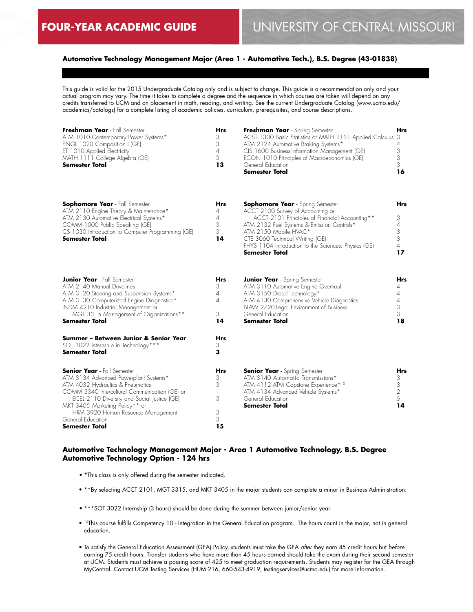**Sophomore Year** - Fall Semester

**Hrs**

## **Automotive Technology Management Major (Area 1 - Automotive Tech.), B.S. Degree (43-01838)**

This guide is valid for the 2015 Undergraduate Catalog only and is subject to change. This guide is a recommendation only and your actual program may vary. The time it takes to complete a degree and the sequence in which courses are taken will depend on any credits transferred to UCM and on placement in math, reading, and writing. See the current Undergraduate Catalog (www.ucmo.edu/ academics/catalogs) for a complete listing of academic policies, curriculum, prerequisites, and course descriptions.

| Freshman Year - Fall Semester        | <b>Hrs</b> | Freshman Year - Spring Semester                            | <b>Hrs</b> |
|--------------------------------------|------------|------------------------------------------------------------|------------|
| ATM 1010 Contemporary Power Systems* | 3          | ACST 1300 Basic Statistics or MATH 1131 Applied Calculus 3 |            |
| ENGL 1020 Composition I (GE)         |            | ATM 2124 Automotive Braking Systems*                       |            |
| ET 1010 Applied Electricity          | 4          | CIS 1600 Business Information Management (GE)              |            |
| MATH 1111 College Algebra (GE)       | 3          | ECON 1010 Principles of Macroeconomics (GE)                |            |
| <b>Semester Total</b>                | 13         | General Education                                          |            |
|                                      |            | <b>Semester Total</b>                                      | 16         |
|                                      |            |                                                            |            |
|                                      |            |                                                            |            |
|                                      |            |                                                            |            |

**Sophomore Year** - Spring Semester

**Hrs**

| <b>Sophomore lear</b> - <b>Fail Semester</b>      | пгэ | <b>Sophomore lear</b> - Spring Semester              | пгэ |
|---------------------------------------------------|-----|------------------------------------------------------|-----|
| ATM 2110 Engine Theory & Maintenance*             |     | ACCT 2100 Survey of Accounting or                    |     |
| ATM 2130 Automotive Electrical Systems*           |     | ACCT 2101 Principles of Financial Accounting**       |     |
| COMM 1000 Public Speaking (GE)                    |     | ATM 2132 Fuel Systems & Emission Controls*           |     |
| CS 1030 Introduction to Computer Programming (GE) |     | ATM 2150 Mobile HVAC*                                |     |
| <b>Semester Total</b>                             | 14  | CTE 3060 Technical Writing (GE)                      |     |
|                                                   |     | PHYS 1104 Introduction to the Sciences: Physics (GE) |     |
|                                                   |     | <b>Semester Total</b>                                | 17  |
| <b>Junior Year</b> - Fall Semester                | Hrs | <b>Junior Year</b> - Spring Semester                 | Hrs |
| ATM 2140 Manual Drivelines                        | 3   | ATM 3110 Automotive Engine Overhaul                  |     |
| ATM 3120 Steering and Suspension Systems*         | 4   | ATM 3150 Diesel Technology*                          |     |
| ATM 3130 Computerized Engine Diagnostics*         | 4   | ATM 4130 Comprehensive Vehicle Diagnostics           |     |
| INDM 4210 Industrial Management or                |     | BLAW 2720 Legal Environment of Business              |     |

| MGT 3315 Management of Organizations**<br><b>Semester Total</b>                                        | З<br>14         | General Education<br><b>Semester Total</b> | 18         |
|--------------------------------------------------------------------------------------------------------|-----------------|--------------------------------------------|------------|
| Summer - Between Junior & Senior Year<br>SOT 3022 Internship in Technology***<br><b>Semester Total</b> | <b>Hrs</b><br>з |                                            |            |
| <b>Senior Year</b> - Fall Semester                                                                     | <b>Hrs</b>      | <b>Senior Year</b> - Spring Semester       | <b>Hrs</b> |
| ATM 3134 Advanced Powerplant Systems*                                                                  | 3               | ATM 3140 Automatic Transmissions*          |            |
| ATM 4032 Hydraulics & Pneumatics                                                                       | 3               | ATM 4112 ATM Capstone Experience*10        |            |
| COMM 3340 Intercultural Communication (GE) or                                                          |                 | ATM 4134 Advanced Vehicle Systems*         |            |
| ECEL 2110 Diversity and Social Justice (GE)                                                            | 3               | General Education                          |            |
| MKT 3405 Marketing Policy** or                                                                         |                 | <b>Semester Total</b>                      | 14         |
| HRM 3920 Human Resource Management                                                                     | 3               |                                            |            |
| General Education                                                                                      | 3               |                                            |            |
| <b>Semester Total</b>                                                                                  | 15              |                                            |            |
|                                                                                                        |                 |                                            |            |

## **Automotive Technology Management Major - Area 1 Automotive Technology, B.S. Degree Automotive Technology Option - 124 hrs**

- \*This class is only offered during the semester indicated.
- \*\*By selecting ACCT 2101, MGT 3315, and MKT 3405 in the major students can complete a minor in Business Administration.
- \*\*\*SOT 3022 Internship (3 hours) should be done during the summer between junior/senior year.
- 10This course fulfills Competency 10 Integration in the General Education program. The hours count in the major, not in general education.
- To satisfy the General Education Assessment (GEA) Policy, students must take the GEA *after* they earn 45 credit hours but *before* earning 75 credit hours. Transfer students who have more than 45 hours earned should take the exam during their second semester at UCM. Students must achieve a passing score of 425 to meet graduation requirements. Students may register for the GEA through MyCentral. Contact UCM Testing Services (HUM 216, 660-543-4919, testingservices@ucmo.edu) for more information.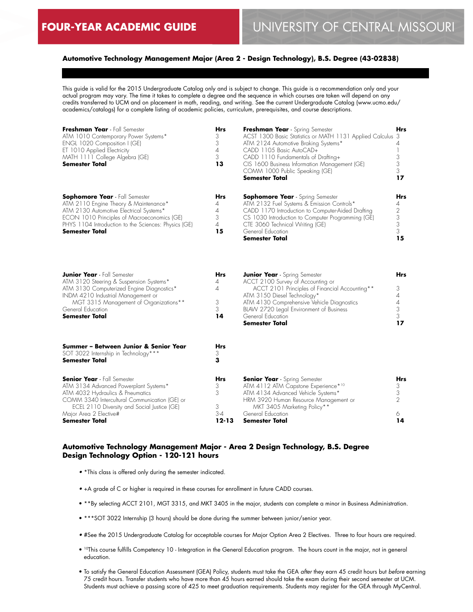## **Automotive Technology Management Major (Area 2 - Design Technology), B.S. Degree (43-02838)**

This guide is valid for the 2015 Undergraduate Catalog only and is subject to change. This guide is a recommendation only and your actual program may vary. The time it takes to complete a degree and the sequence in which courses are taken will depend on any credits transferred to UCM and on placement in math, reading, and writing. See the current Undergraduate Catalog (www.ucmo.edu/ academics/catalogs) for a complete listing of academic policies, curriculum, prerequisites, and course descriptions.

| Freshman Year - Fall Semester<br>ATM 1010 Contemporary Power Systems*<br>ENGL 1020 Composition I (GE)<br>ET 1010 Applied Electricity<br>MATH 1111 College Algebra (GE)<br>Semester Total                                                                    | <b>Hrs</b><br>3<br>3<br>4<br>3<br>13       | Freshman Year - Spring Semester<br>ACST 1300 Basic Statistics or MATH 1131 Applied Calculus 3<br>ATM 2124 Automotive Braking Systems*<br>CADD 1105 Basic AutoCAD+<br>CADD 1110 Fundamentals of Drafting+<br>CIS 1600 Business Information Management (GE)<br>COMM 1000 Public Speaking (GE)<br><b>Semester Total</b> | <b>Hrs</b><br>4<br>3<br>3<br>3<br>17 |
|-------------------------------------------------------------------------------------------------------------------------------------------------------------------------------------------------------------------------------------------------------------|--------------------------------------------|----------------------------------------------------------------------------------------------------------------------------------------------------------------------------------------------------------------------------------------------------------------------------------------------------------------------|--------------------------------------|
| <b>Sophomore Year</b> - Fall Semester<br>ATM 2110 Engine Theory & Maintenance*<br>ATM 2130 Automotive Electrical Systems*<br>ECON 1010 Principles of Macroeconomics (GE)<br>PHYS 1104 Introduction to the Sciences: Physics (GE)<br><b>Semester Total</b>   | Hrs<br>4<br>4<br>3<br>$\overline{4}$<br>15 | <b>Sophomore Year</b> - Spring Semester<br>ATM 2132 Fuel Systems & Emission Controls*<br>CADD 1170 Introduction to Computer-Aided Drafting<br>CS 1030 Introduction to Computer Programming (GE)<br>CTE 3060 Technical Writing (GE)<br>General Education<br>Semester Total                                            | Hrs<br>4<br>2<br>3<br>3<br>3<br>15   |
| <b>Junior Year</b> - Fall Semester<br>ATM 3120 Steering & Suspension Systems*<br>ATM 3130 Computerized Engine Diagnostics*<br>INDM 4210 Industrial Management or<br>MGT 3315 Management of Organizations**<br>General Education<br><b>Semester Total</b>    | <b>Hrs</b><br>4<br>4<br>3<br>3<br>14       | <b>Junior Year</b> - Spring Semester<br>ACCT 2100 Survey of Accounting or<br>ACCT 2101 Principles of Financial Accounting**<br>ATM 3150 Diesel Technology*<br>ATM 4130 Comprehensive Vehicle Diagnostics<br>BLAW 2720 Legal Environment of Business<br>General Education<br>Semester Total                           | Hrs<br>3<br>4<br>4<br>3<br>3<br>17   |
| Summer – Between Junior & Senior Year<br>SOT 3022 Internship in Technology***<br><b>Semester Total</b>                                                                                                                                                      | Hrs<br>3<br>з                              |                                                                                                                                                                                                                                                                                                                      |                                      |
| <b>Senior Year</b> - Fall Semester<br>ATM 3134 Advanced Powerplant Systems*<br>ATM 4032 Hydraulics & Pneumatics<br>COMM 3340 Intercultural Communication (GE) or<br>ECEL 2110 Diversity and Social Justice (GE)<br>Major Area 2 Elective#<br>Semester Total | Hrs<br>3<br>3<br>3<br>$3 - 4$<br>$12 - 13$ | <b>Senior Year</b> - Spring Semester<br>ATM 4112 ATM Capstone Experience*10<br>ATM 4134 Advanced Vehicle Systems*<br>HRM 3920 Human Resource Management or<br>MKT 3405 Marketing Policy**<br>General Education<br>Semester Total                                                                                     | Hrs<br>3<br>3<br>2<br>6.<br>14       |

## **Automotive Technology Management Major - Area 2 Design Technology, B.S. Degree Design Technology Option - 120-121 hours**

- \*This class is offered only during the semester indicated.
- +A grade of C or higher is required in these courses for enrollment in future CADD courses.
- \*\*By selecting ACCT 2101, MGT 3315, and MKT 3405 in the major, students can complete a minor in Business Administration.
- \*\*\*SOT 3022 Internship (3 hours) should be done during the summer between junior/senior year.
- #See the 2015 Undergraduate Catalog for acceptable courses for Major Option Area 2 Electives. Three to four hours are required.
- <sup>10</sup>This course fulfills Competency 10 Integration in the General Education program. The hours count in the major, not in general education.
- To satisfy the General Education Assessment (GEA) Policy, students must take the GEA *after* they earn 45 credit hours but *before* earning 75 credit hours. Transfer students who have more than 45 hours earned should take the exam during their second semester at UCM. Students must achieve a passing score of 425 to meet graduation requirements. Students may register for the GEA through MyCentral.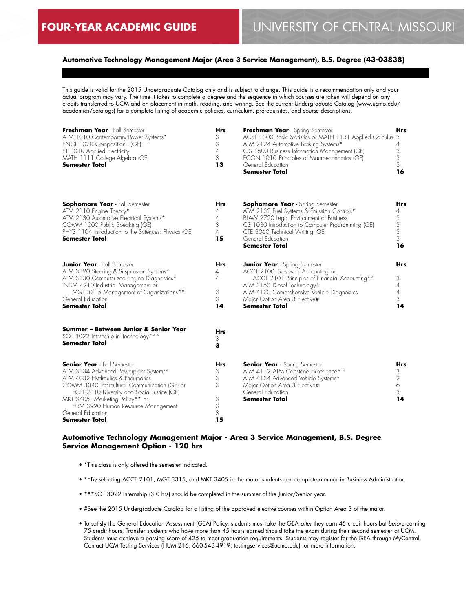## **Automotive Technology Management Major (Area 3 Service Management), B.S. Degree (43-03838)**

This guide is valid for the 2015 Undergraduate Catalog only and is subject to change. This guide is a recommendation only and your actual program may vary. The time it takes to complete a degree and the sequence in which courses are taken will depend on any credits transferred to UCM and on placement in math, reading, and writing. See the current Undergraduate Catalog (www.ucmo.edu/ academics/catalogs) for a complete listing of academic policies, curriculum, prerequisites, and course descriptions.

| Freshman Year - Fall Semester        | Hrs | Freshman Year - Spring Semester                            | Hrs |
|--------------------------------------|-----|------------------------------------------------------------|-----|
| ATM 1010 Contemporary Power Systems* | 3   | ACST 1300 Basic Statistics or MATH 1131 Applied Calculus 3 |     |
| ENGL 1020 Composition I (GE)         |     | ATM 2124 Automotive Braking Systems*                       |     |
| ET 1010 Applied Electricity          | 4   | CIS 1600 Business Information Management (GE)              |     |
| MATH 1111 College Algebra (GE)       |     | ECON 1010 Principles of Macroeconomics (GE)                |     |
| <b>Semester Total</b>                | 13  | General Education                                          |     |
|                                      |     | Semester Total                                             | 16  |

| <b>Sophomore Year</b> - Fall Semester<br>ATM 2110 Engine Theory*<br>ATM 2130 Automotive Electrical Systems*<br>COMM 1000 Public Speaking (GE)<br>PHYS 1104 Introduction to the Sciences: Physics (GE)<br><b>Semester Total</b>                                                                               | <b>Hrs</b><br>4<br>4<br>3<br>$\overline{4}$<br>15 | <b>Sophomore Year</b> - Spring Semester<br>ATM 2132 Fuel Systems & Emission Controls*<br>BLAW 2720 Legal Environment of Business<br>CS 1030 Introduction to Computer Programming (GE)<br>CTE 3060 Technical Writing (GE)<br>General Education<br><b>Semester Total</b> | <b>Hrs</b><br>4<br>3<br>3<br>3<br>3<br>16  |
|--------------------------------------------------------------------------------------------------------------------------------------------------------------------------------------------------------------------------------------------------------------------------------------------------------------|---------------------------------------------------|------------------------------------------------------------------------------------------------------------------------------------------------------------------------------------------------------------------------------------------------------------------------|--------------------------------------------|
| <b>Junior Year</b> - Fall Semester<br>ATM 3120 Steering & Suspension Systems*<br>ATM 3130 Computerized Engine Diagnostics*<br>INDM 4210 Industrial Management or<br>MGT 3315 Management of Organizations**<br>General Education<br><b>Semester Total</b>                                                     | <b>Hrs</b><br>4<br>4<br>3<br>3<br>14              | <b>Junior Year</b> - Spring Semester<br>ACCT 2100 Survey of Accounting or<br>ACCT 2101 Principles of Financial Accounting**<br>ATM 3150 Diesel Technology*<br>ATM 4130 Comprehensive Vehicle Diagnostics<br>Major Option Area 3 Elective#<br><b>Semester Total</b>     | Hrs<br>3<br>4<br>4<br>3<br>14              |
| Summer - Between Junior & Senior Year<br>SOT 3022 Internship in Technology***<br><b>Semester Total</b>                                                                                                                                                                                                       | <b>Hrs</b><br>3<br>3                              |                                                                                                                                                                                                                                                                        |                                            |
| <b>Senior Year</b> - Fall Semester<br>ATM 3134 Advanced Powerplant Systems*<br>ATM 4032 Hydraulics & Pneumatics<br>COMM 3340 Intercultural Communication (GE) or<br>ECEL 2110 Diversity and Social Justice (GE)<br>MKT 3405 Marketing Policy** or<br>HRM 3920 Human Resource Management<br>General Education | <b>Hrs</b><br>3<br>3<br>3<br>3<br>3<br>3          | <b>Senior Year</b> - Spring Semester<br>ATM 4112 ATM Capstone Experience* <sup>10</sup><br>ATM 4134 Advanced Vehicle Systems*<br>Major Option Area 3 Elective#<br>General Education<br>Semester Total                                                                  | Hrs<br>3<br>$\overline{2}$<br>6<br>3<br>14 |

### **Automotive Technology Management Major - Area 3 Service Management, B.S. Degree Service Management Option - 120 hrs**

**15**

• \*This class is only offered the semester indicated.

**Semester Total**

- \*\*By selecting ACCT 2101, MGT 3315, and MKT 3405 in the major students can complete a minor in Business Administration.
- \*\*\*SOT 3022 Internship (3.0 hrs) should be completed in the summer of the Junior/Senior year.
- #See the 2015 Undergraduate Catalog for a listing of the approved elective courses within Option Area 3 of the major.
- To satisfy the General Education Assessment (GEA) Policy, students must take the GEA *after* they earn 45 credit hours but *before* earning 75 credit hours. Transfer students who have more than 45 hours earned should take the exam during their second semester at UCM. Students must achieve a passing score of 425 to meet graduation requirements. Students may register for the GEA through MyCentral. Contact UCM Testing Services (HUM 216, 660-543-4919, testingservices@ucmo.edu) for more information.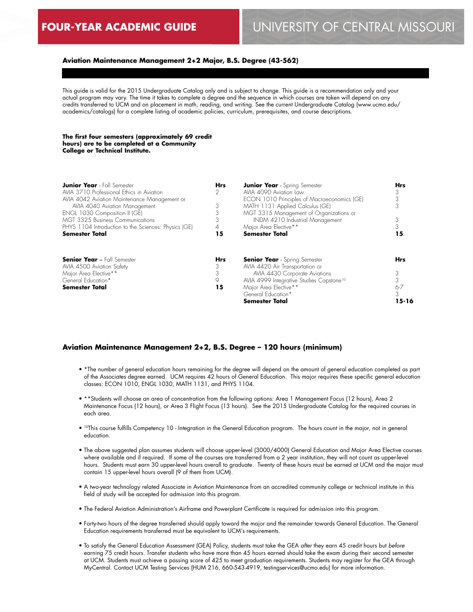#### **Aviation Maintenance Management 2+2 Major, B.S. Degree (43-562)**

This guide is valid for the 2015 Undergraduate Catalog only and is subject to change. This guide is a recommendation only and your actual program may vary. The time it takes to complete a degree and the sequence in which courses are taken will depend on any credits transferred to UCM and on placement in math, reading, and writing. See the current Undergraduate Catalog (www.ucmo.edu/ academics/catalogs) for a complete listing of academic policies, curriculum, prerequisites, and course descriptions.

#### **The first four semesters (approximately 69 credit hours) are to be completed at a Community College or Technical Institute.**

| <b>Junior Year</b> - Fall Semester                   | <b>Hrs</b> | <b>Junior Year</b> - Spring Semester                 | <b>Hrs</b> |
|------------------------------------------------------|------------|------------------------------------------------------|------------|
| AVIA 3710 Professional Ethics in Aviation            |            | AVIA 4090 Aviation Law                               |            |
| AVIA 4042 Aviation Maintenance Management or         |            | ECON 1010 Principles of Macroeconomics (GE)          |            |
| AVIA 4040 Aviation Management                        | 3          | MATH 1131 Applied Calculus (GE)                      |            |
| ENGL 1030 Composition II (GE)                        |            | MGT 3315 Management of Organizations or              |            |
| <b>MGT 3325 Business Communications</b>              |            | INDM 4210 Industrial Management                      |            |
| PHYS 1104 Introduction to the Sciences: Physics (GE) | 4          | Major Area Elective**                                |            |
| <b>Semester Total</b>                                | 15         | <b>Semester Total</b>                                | 15         |
| <b>Senior Year - Fall Semester</b>                   | <b>Hrs</b> | <b>Senior Year</b> - Spring Semester                 | <b>Hrs</b> |
| AVIA 4500 Aviation Safety                            |            | AVIA 4420 Air Transportation or                      |            |
| Major Area Elective**                                |            | AVIA 4430 Corporate Aviations                        |            |
| General Education*                                   | 9          | AVIA 4999 Integrative Studies Capstone <sup>10</sup> |            |
| <b>Semester Total</b>                                | 15         | Major Area Elective**                                | 6-7        |
|                                                      |            | General Education*                                   | 3          |
|                                                      |            | Semester Total                                       | 15-16      |

#### **Aviation Maintenance Management 2+2, B.S. Degree – 120 hours (minimum)**

- \*The number of general education hours remaining for the degree will depend on the amount of general education completed as part of the Associates degree earned. UCM requires 42 hours of General Education. This major requires these specific general education classes: ECON 1010, ENGL 1030, MATH 1131, and PHYS 1104.
- \*\*Students will choose an area of concentration from the following options: Area 1 Management Focus (12 hours), Area 2 Maintenance Focus (12 hours), or Area 3 Flight Focus (13 hours). See the 2015 Undergraduate Catalog for the required courses in each area.
- 10This course fulfills Competency 10 Integration in the General Education program. The hours count in the major, not in general education.
- The above suggested plan assumes students will choose upper-level (3000/4000) General Education and Major Area Elective courses where available and if required. If some of the courses are transferred from a 2 year institution, they will not count as upper-level hours. Students must earn 30 upper-level hours overall to graduate. Twenty of these hours must be earned at UCM and the major must contain 15 upper-level hours overall (9 of them from UCM).
- A two-year technology related Associate in Aviation Maintenance from an accredited community college or technical institute in this field of study will be accepted for admission into this program.
- The Federal Aviation Administration's Airframe and Powerplant Certificate is required for admission into this program.
- Forty-two hours of the degree transferred should apply toward the major and the remainder towards General Education. The General Education requirements transferred must be equivalent to UCM's requirements.
- To satisfy the General Education Assessment (GEA) Policy, students must take the GEA *after* they earn 45 credit hours but *before* earning 75 credit hours. Transfer students who have more than 45 hours earned should take the exam during their second semester at UCM. Students must achieve a passing score of 425 to meet graduation requirements. Students may register for the GEA through MyCentral. Contact UCM Testing Services (HUM 216, 660-543-4919, testingservices@ucmo.edu) for more information.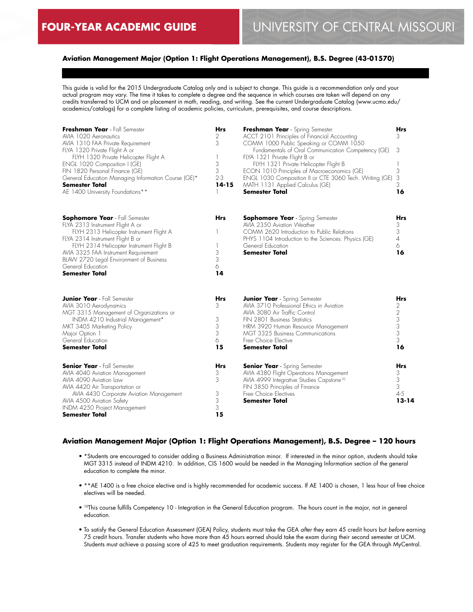## **Aviation Management Major (Option 1: Flight Operations Management), B.S. Degree (43-01570)**

This guide is valid for the 2015 Undergraduate Catalog only and is subject to change. This guide is a recommendation only and your actual program may vary. The time it takes to complete a degree and the sequence in which courses are taken will depend on any credits transferred to UCM and on placement in math, reading, and writing. See the current Undergraduate Catalog (www.ucmo.edu/ academics/catalogs) for a complete listing of academic policies, curriculum, prerequisites, and course descriptions.

| Freshman Year - Fall Semester<br>AVIA 1020 Aeronautics<br>AVIA 1310 FAA Private Requirement<br>FLYA 1320 Private Flight A or<br>FLYH 1320 Private Helicopter Flight A<br>ENGL 1020 Composition I (GE)<br>FIN 1820 Personal Finance (GE)<br>General Education Managing Information Course (GE)*<br>Semester Total<br>AE 1400 University Foundations** | <b>Hrs</b><br>2<br>3<br>1<br>3<br>3<br>$2 - 3$<br>$14 - 15$ | Freshman Year - Spring Semester<br>ACCT 2101 Principles of Financial Accounting<br>COMM 1000 Public Speaking or COMM 1050<br>Fundamentals of Oral Communication Competency (GE)<br>FLYA 1321 Private Flight B or<br>FLYH 1321 Private Helicopter Flight B<br>ECON 1010 Principles of Macroeconomics (GE)<br>ENGL 1030 Composition II or CTE 3060 Tech. Writing (GE)<br>MATH 1131 Applied Calculus (GE)<br><b>Semester Total</b> | <b>Hrs</b><br>3<br>3<br>3<br>3<br>3<br>16            |
|------------------------------------------------------------------------------------------------------------------------------------------------------------------------------------------------------------------------------------------------------------------------------------------------------------------------------------------------------|-------------------------------------------------------------|---------------------------------------------------------------------------------------------------------------------------------------------------------------------------------------------------------------------------------------------------------------------------------------------------------------------------------------------------------------------------------------------------------------------------------|------------------------------------------------------|
| <b>Sophomore Year</b> - Fall Semester<br>FLYA 2313 Instrument Flight A or<br>FLYH 2313 Helicopter Instrument Flight A<br>FLYA 2314 Instrument Flight B or<br>FLYH 2314 Helicopter Instrument Flight B<br>AVIA 3325 FAA Instrument Requirement<br>BLAW 2720 Legal Environment of Business<br>General Education<br>Semester Total                      | <b>Hrs</b><br>3<br>3<br>6<br>14                             | <b>Sophomore Year</b> - Spring Semester<br>AVIA 2350 Aviation Weather<br>COMM 2620 Introduction to Public Relations<br>PHYS 1104 Introduction to the Sciences: Physics (GE)<br>General Education<br><b>Semester Total</b>                                                                                                                                                                                                       | <b>Hrs</b><br>3<br>3<br>$\overline{4}$<br>6<br>16    |
| <b>Junior Year</b> - Fall Semester<br>AVIA 3010 Aerodynamics<br>MGT 3315 Management of Organizations or<br>INDM 4210 Industrial Management*<br>MKT 3405 Marketing Policy<br>Major Option 1<br>General Education<br><b>Semester Total</b>                                                                                                             | Hrs<br>3<br>3<br>3<br>3<br>6<br>15                          | <b>Junior Year</b> - Spring Semester<br>AVIA 3710 Professional Ethics in Aviation<br>AVIA 3080 Air Traffic Control<br>FIN 2801 Business Statistics<br>HRM 3920 Human Resource Management<br><b>MGT 3325 Business Communications</b><br>Free Choice Elective<br>Semester Total                                                                                                                                                   | Hrs<br>2<br>$\overline{2}$<br>3<br>3<br>3<br>3<br>16 |
| <b>Senior Year</b> - Fall Semester<br>AVIA 4040 Aviation Management<br>AVIA 4090 Aviation Law<br>AVIA 4420 Air Transportation or<br>AVIA 4430 Corporate Aviation Management<br>AVIA 4500 Aviation Safety<br>INDM 4250 Project Management<br>Semester Total                                                                                           | Hrs<br>3<br>3<br>3<br>3<br>3<br>15                          | <b>Senior Year</b> - Spring Semester<br>AVIA 4380 Flight Operations Management<br>AVIA 4999 Integrative Studies Capstone <sup>10</sup><br>FIN 3850 Principles of Finance<br>Free Choice Electives<br>Semester Total                                                                                                                                                                                                             | Hrs<br>3<br>3<br>3<br>$4 - 5$<br>$13 - 14$           |

## **Aviation Management Major (Option 1: Flight Operations Management), B.S. Degree – 120 hours**

- \*Students are encouraged to consider adding a Business Administration minor. If interested in the minor option, students should take MGT 3315 instead of INDM 4210. In addition, CIS 1600 would be needed in the Managing Information section of the general education to complete the minor.
- \*\*AE 1400 is a free choice elective and is highly recommended for academic success. If AE 1400 is chosen, 1 less hour of free choice electives will be needed.
- <sup>10</sup>This course fulfills Competency 10 Integration in the General Education program. The hours count in the major, not in general education.
- To satisfy the General Education Assessment (GEA) Policy, students must take the GEA *after* they earn 45 credit hours but *before* earning 75 credit hours. Transfer students who have more than 45 hours earned should take the exam during their second semester at UCM. Students must achieve a passing score of 425 to meet graduation requirements. Students may register for the GEA through MyCentral.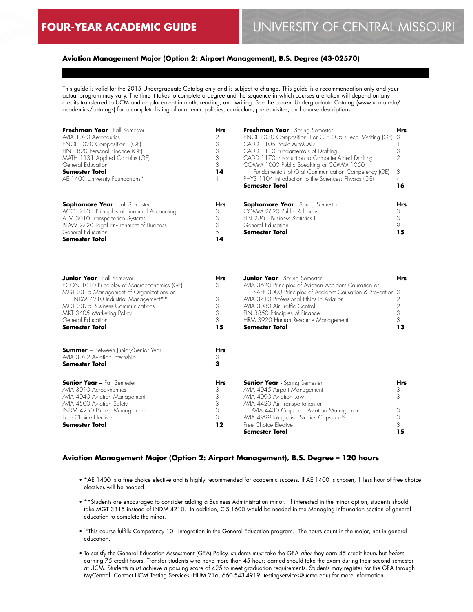## **Aviation Management Major (Option 2: Airport Management), B.S. Degree (43-02570)**

This guide is valid for the 2015 Undergraduate Catalog only and is subject to change. This guide is a recommendation only and your actual program may vary. The time it takes to complete a degree and the sequence in which courses are taken will depend on any credits transferred to UCM and on placement in math, reading, and writing. See the current Undergraduate Catalog (www.ucmo.edu/ academics/catalogs) for a complete listing of academic policies, curriculum, prerequisites, and course descriptions.

| Freshman Year - Fall Semester<br>AVIA 1020 Aeronautics<br>ENGL 1020 Composition I (GE)<br>FIN 1820 Personal Finance (GE)<br>MATH 1131 Applied Calculus (GE)<br>General Education<br><b>Semester Total</b><br>AE 1400 University Foundations*                                     | <b>Hrs</b><br>2<br>3<br>3<br>3<br>3<br>14 | Freshman Year - Spring Semester<br>ENGL 1030 Composition II or CTE 3060 Tech. Writing (GE)<br>CADD 1105 Basic AutoCAD<br>CADD 1110 Fundamentals of Drafting<br>CADD 1170 Introduction to Computer-Aided Drafting<br>COMM 1000 Public Speaking or COMM 1050<br>Fundamentals of Oral Communication Competency (GE)<br>PHYS 1104 Introduction to the Sciences: Physics (GE)<br>Semester Total | <b>Hrs</b><br>3<br>3<br>2<br>3<br>$\overline{4}$<br>16 |
|----------------------------------------------------------------------------------------------------------------------------------------------------------------------------------------------------------------------------------------------------------------------------------|-------------------------------------------|--------------------------------------------------------------------------------------------------------------------------------------------------------------------------------------------------------------------------------------------------------------------------------------------------------------------------------------------------------------------------------------------|--------------------------------------------------------|
| <b>Sophomore Year</b> - Fall Semester<br>ACCT 2101 Principles of Financial Accounting<br>ATM 3010 Transportation Systems<br>BLAW 2720 Legal Environment of Business<br>General Education<br><b>Semester Total</b>                                                                | Hrs<br>3<br>3<br>3<br>5<br>14             | <b>Sophomore Year</b> - Spring Semester<br>COMM 2620 Public Relations<br>FIN 2801 Business Statistics I<br>General Education<br>Semester Total                                                                                                                                                                                                                                             | Hrs<br>3<br>3<br>$\circ$<br>15                         |
| <b>Junior Year</b> - Fall Semester<br>ECON 1010 Principles of Macroeconomics (GE)<br>MGT 3315 Management of Organizations or<br>INDM 4210 Industrial Management**<br><b>MGT 3325 Business Communications</b><br>MKT 3405 Marketing Policy<br>General Education<br>Semester Total | <b>Hrs</b><br>3<br>3<br>3<br>3<br>3<br>15 | <b>Junior Year</b> - Spring Semester<br>AVIA 3620 Principles of Aviation Accident Causation or<br>SAFE 3000 Principles of Accident Causation & Prevention 3<br>AVIA 3710 Professional Ethics in Aviation<br>AVIA 3080 Air Traffic Control<br>FIN 3850 Principles of Finance<br>HRM 3920 Human Resource Management<br><b>Semester Total</b>                                                 | Hrs<br>2<br>$\overline{2}$<br>3<br>3<br>13             |
| <b>Summer -</b> Between Junior/Senior Year<br>AVIA 3022 Aviation Internship<br><b>Semester Total</b>                                                                                                                                                                             | <b>Hrs</b><br>3<br>3                      |                                                                                                                                                                                                                                                                                                                                                                                            |                                                        |
| <b>Senior Year - Fall Semester</b><br>AVIA 3010 Aerodynamics<br>AVIA 4040 Aviation Management<br>AVIA 4500 Aviation Safety<br>INDM 4250 Project Management<br>Free Choice Elective<br>Semester Total                                                                             | <b>Hrs</b><br>3<br>3<br>3<br>3<br>3<br>12 | <b>Senior Year</b> - Spring Semester<br>AVIA 4045 Airport Management<br>AVIA 4090 Aviation Law<br>AVIA 4420 Air Transportation or<br>AVIA 4430 Corporate Aviation Management<br>AVIA 4999 Integrative Studies Capstone <sup>10</sup><br>Free Choice Elective<br><b>Semester Total</b>                                                                                                      | Hrs<br>3<br>3<br>3<br>3<br>3<br>15                     |

## **Aviation Management Major (Option 2: Airport Management), B.S. Degree – 120 hours**

- \*AE 1400 is a free choice elective and is highly recommended for academic success. If AE 1400 is chosen, 1 less hour of free choice electives will be needed.
- \*\*Students are encouraged to consider adding a Business Administration minor. If interested in the minor option, students should take MGT 3315 instead of INDM 4210. In addition, CIS 1600 would be needed in the Managing Information section of general education to complete the minor.
- 10This course fulfills Competency 10 Integration in the General Education program. The hours count in the major, not in general education.
- To satisfy the General Education Assessment (GEA) Policy, students must take the GEA *after* they earn 45 credit hours but *before* earning 75 credit hours. Transfer students who have more than 45 hours earned should take the exam during their second semester at UCM. Students must achieve a passing score of 425 to meet graduation requirements. Students may register for the GEA through MyCentral. Contact UCM Testing Services (HUM 216, 660-543-4919, testingservices@ucmo.edu) for more information.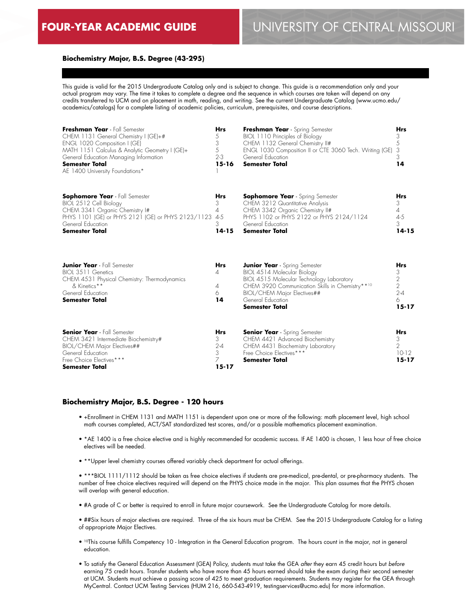# **FOUR-YEAR ACADEMIC GUIDE** UNIVERSITY OF CENTRAL MISSOURI

#### **Biochemistry Major, B.S. Degree (43-295)**

This guide is valid for the 2015 Undergraduate Catalog only and is subject to change. This guide is a recommendation only and your actual program may vary. The time it takes to complete a degree and the sequence in which courses are taken will depend on any credits transferred to UCM and on placement in math, reading, and writing. See the current Undergraduate Catalog (www.ucmo.edu/ academics/catalogs) for a complete listing of academic policies, curriculum, prerequisites, and course descriptions.

| Freshman Year - Fall Semester<br>CHEM 1131 General Chemistry I (GE)+#<br>ENGL 1020 Composition I (GE)<br>MATH 1151 Calculus & Analytic Geometry I (GE)+<br>General Education Managing Information<br><b>Semester Total</b><br>AE 1400 University Foundations* | <b>Hrs</b><br>5<br>3<br>5<br>$2 - 3$<br>$15 - 16$             | Freshman Year - Spring Semester<br>BIOL 1110 Principles of Biology<br>CHEM 1132 General Chemistry II#<br>ENGL 1030 Composition II or CTE 3060 Tech. Writing (GE)<br>General Education<br><b>Semester Total</b>                                   | <b>Hrs</b><br>3<br>5<br>3<br>3<br>14                                             |
|---------------------------------------------------------------------------------------------------------------------------------------------------------------------------------------------------------------------------------------------------------------|---------------------------------------------------------------|--------------------------------------------------------------------------------------------------------------------------------------------------------------------------------------------------------------------------------------------------|----------------------------------------------------------------------------------|
| <b>Sophomore Year</b> - Fall Semester<br>BIOL 2512 Cell Biology<br>CHEM 3341 Organic Chemistry I#<br>PHYS 1101 (GE) or PHYS 2121 (GE) or PHYS 2123/1123<br>General Education<br><b>Semester Total</b>                                                         | Hrs<br>3<br>$\overline{\mathcal{A}}$<br>4-5<br>3<br>$14 - 15$ | <b>Sophomore Year</b> - Spring Semester<br>CHEM 3212 Quantitative Analysis<br>CHEM 3342 Organic Chemistry II#<br>PHYS 1102 or PHYS 2122 or PHYS 2124/1124<br>General Education<br><b>Semester Total</b>                                          | Hrs<br>3<br>4<br>$4-5$<br>3<br>$14 - 15$                                         |
| <b>Junior Year</b> - Fall Semester<br>BIOL 3511 Genetics<br>CHEM 4531 Physical Chemistry: Thermodynamics<br>& Kinetics**<br>General Education<br>Semester Total                                                                                               | <b>Hrs</b><br>4<br>4<br>6<br>14                               | <b>Junior Year</b> - Spring Semester<br>BIOL 4514 Molecular Biology<br>BIOL 4515 Molecular Technology Laboratory<br>CHEM 3920 Communication Skills in Chemistry**10<br>BIOL/CHEM Major Electives##<br>General Education<br><b>Semester Total</b> | <b>Hrs</b><br>3<br>$\overline{2}$<br>$\overline{2}$<br>$2 - 4$<br>6<br>$15 - 17$ |
| <b>Senior Year</b> - Fall Semester<br>CHEM 3421 Intermediate Biochemistry#<br>BIOL/CHEM Major Electives##<br>General Education<br>Free Choice Electives***<br>Semester Total                                                                                  | <b>Hrs</b><br>3<br>$2 - 4$<br>3<br>7<br>15-17                 | <b>Senior Year</b> - Spring Semester<br>CHEM 4421 Advanced Biochemistry<br>CHEM 4431 Biochemistry Laboratory<br>Free Choice Electives***<br><b>Semester Total</b>                                                                                | <b>Hrs</b><br>3<br>2<br>$10-12$<br>15-17                                         |

#### **Biochemistry Major, B.S. Degree - 120 hours**

- +Enrollment in CHEM 1131 and MATH 1151 is dependent upon one or more of the following: math placement level, high school math courses completed, ACT/SAT standardized test scores, and/or a possible mathematics placement examination.
- \*AE 1400 is a free choice elective and is highly recommended for academic success. If AE 1400 is chosen, 1 less hour of free choice electives will be needed.
- \*\*Upper level chemistry courses offered variably check department for actual offerings.

• \*\*\*BIOL 1111/1112 should be taken as free choice electives if students are pre-medical, pre-dental, or pre-pharmacy students. The number of free choice electives required will depend on the PHYS choice made in the major. This plan assumes that the PHYS chosen will overlap with general education.

• #A grade of C or better is required to enroll in future major coursework. See the Undergraduate Catalog for more details.

• ##Six hours of major electives are required. Three of the six hours must be CHEM. See the 2015 Undergraduate Catalog for a listing of appropriate Major Electives.

- 10This course fulfills Competency 10 Integration in the General Education program. The hours count in the major, not in general education.
- To satisfy the General Education Assessment (GEA) Policy, students must take the GEA *after* they earn 45 credit hours but *before* earning 75 credit hours. Transfer students who have more than 45 hours earned should take the exam during their second semester at UCM. Students must achieve a passing score of 425 to meet graduation requirements. Students may register for the GEA through MyCentral. Contact UCM Testing Services (HUM 216, 660-543-4919, testingservices@ucmo.edu) for more information.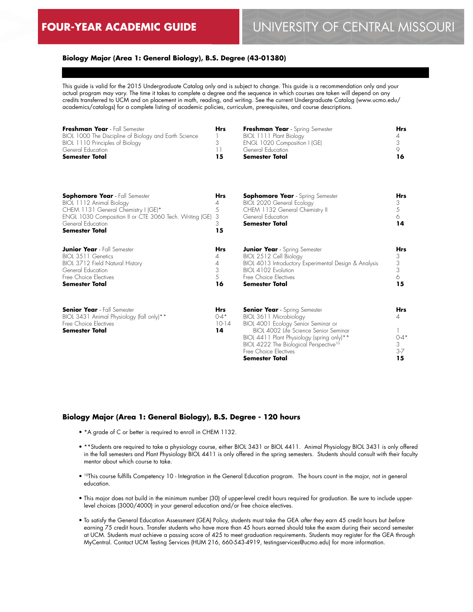## **Biology Major (Area 1: General Biology), B.S. Degree (43-01380)**

This guide is valid for the 2015 Undergraduate Catalog only and is subject to change. This guide is a recommendation only and your actual program may vary. The time it takes to complete a degree and the sequence in which courses are taken will depend on any credits transferred to UCM and on placement in math, reading, and writing. See the current Undergraduate Catalog (www.ucmo.edu/ academics/catalogs) for a complete listing of academic policies, curriculum, prerequisites, and course descriptions.

| Freshman Year - Fall Semester                         | Hrs | Freshman Year - Spring Semester | Hrs |
|-------------------------------------------------------|-----|---------------------------------|-----|
| BIOL 1000 The Discipline of Biology and Earth Science |     | BIOL 1111 Plant Biology         |     |
| BIOL 1110 Principles of Biology                       |     | ENGL 1020 Composition I (GE)    |     |
| General Education                                     |     | General Education               |     |
| Semester Total                                        | 15  | <b>Semester Total</b>           | 16. |
|                                                       |     |                                 |     |

| <b>Sophomore Year</b> - Fall Semester<br>BIOL 1112 Animal Biology<br>CHEM 1131 General Chemistry I (GE)*<br>ENGL 1030 Composition II or CTE 3060 Tech. Writing (GE)<br>General Education<br><b>Semester Total</b> | Hrs<br>4<br>5<br>3<br>3<br>15            | <b>Sophomore Year</b> - Spring Semester<br>BIOL 2020 General Ecology<br>CHEM 1132 General Chemistry II<br>General Education<br>Semester Total                                                                                                                                                             | Hrs<br>3<br>5<br>6<br>14                   |
|-------------------------------------------------------------------------------------------------------------------------------------------------------------------------------------------------------------------|------------------------------------------|-----------------------------------------------------------------------------------------------------------------------------------------------------------------------------------------------------------------------------------------------------------------------------------------------------------|--------------------------------------------|
| <b>Junior Year</b> - Fall Semester<br>BIOL 3511 Genetics<br>BIOL 3712 Field Natural History<br>General Education<br>Free Choice Electives<br><b>Semester Total</b>                                                | Hrs<br>4<br>3<br>5.<br>16                | <b>Junior Year</b> - Spring Semester<br>BIOL 2512 Cell Biology<br>BIOL 4013 Introductory Experimental Design & Analysis<br>BIOL 4102 Evolution<br>Free Choice Electives<br><b>Semester Total</b>                                                                                                          | <b>Hrs</b><br>3<br>3<br>3<br>6<br>15       |
| <b>Senior Year</b> - Fall Semester<br>BIOL 3431 Animal Physiology (fall only) <sup>**</sup><br>Free Choice Electives<br><b>Semester Total</b>                                                                     | <b>Hrs</b><br>$0 - 4^*$<br>$10-14$<br>14 | <b>Senior Year</b> - Spring Semester<br>BIOL 3611 Microbiology<br>BIOL 4001 Ecology Senior Seminar or<br>BIOL 4002 Life Science Senior Seminar<br>BIOL 4411 Plant Physiology (spring only) <sup>**</sup><br>BIOL 4222 The Biological Perspective <sup>10</sup><br>Free Choice Electives<br>Semester Total | Hrs<br>4<br>$0 - 4*$<br>3<br>$3 - 7$<br>15 |

#### **Biology Major (Area 1: General Biology), B.S. Degree - 120 hours**

- \*A grade of C or better is required to enroll in CHEM 1132.
- \*\*Students are required to take a physiology course, either BIOL 3431 or BIOL 4411. Animal Physiology BIOL 3431 is only offered in the fall semesters and Plant Physiology BIOL 4411 is only offered in the spring semesters. Students should consult with their faculty mentor about which course to take.
- 10This course fulfills Competency 10 Integration in the General Education program. The hours count in the major, not in general education.
- This major does not build in the minimum number (30) of upper-level credit hours required for graduation. Be sure to include upperlevel choices (3000/4000) in your general education and/or free choice electives.
- To satisfy the General Education Assessment (GEA) Policy, students must take the GEA *after* they earn 45 credit hours but *before* earning 75 credit hours. Transfer students who have more than 45 hours earned should take the exam during their second semester at UCM. Students must achieve a passing score of 425 to meet graduation requirements. Students may register for the GEA through MyCentral. Contact UCM Testing Services (HUM 216, 660-543-4919, testingservices@ucmo.edu) for more information.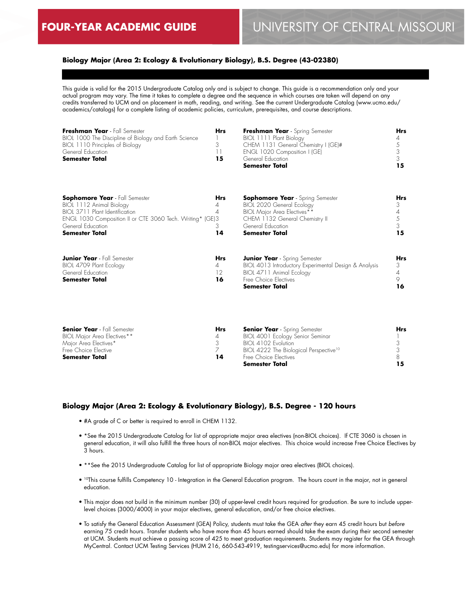## **Biology Major (Area 2: Ecology & Evolutionary Biology), B.S. Degree (43-02380)**

This guide is valid for the 2015 Undergraduate Catalog only and is subject to change. This guide is a recommendation only and your actual program may vary. The time it takes to complete a degree and the sequence in which courses are taken will depend on any credits transferred to UCM and on placement in math, reading, and writing. See the current Undergraduate Catalog (www.ucmo.edu/ academics/catalogs) for a complete listing of academic policies, curriculum, prerequisites, and course descriptions.

| Freshman Year - Fall Semester<br>BIOL 1000 The Discipline of Biology and Earth Science<br>BIOL 1110 Principles of Biology<br>General Education<br><b>Semester Total</b>                                        | <b>Hrs</b><br>3<br>11<br>15                | Freshman Year - Spring Semester<br>BIOL 1111 Plant Biology<br>CHEM 1131 General Chemistry I (GE)#<br>ENGL 1020 Composition I (GE)<br>General Education<br><b>Semester Total</b>     | <b>Hrs</b><br>4<br>5<br>3<br>3<br>15         |
|----------------------------------------------------------------------------------------------------------------------------------------------------------------------------------------------------------------|--------------------------------------------|-------------------------------------------------------------------------------------------------------------------------------------------------------------------------------------|----------------------------------------------|
| <b>Sophomore Year</b> - Fall Semester<br>BIOL 1112 Animal Biology<br>BIOL 3711 Plant Identification<br>ENGL 1030 Composition II or CTE 3060 Tech. Writing* (GE)3<br>General Education<br><b>Semester Total</b> | <b>Hrs</b><br>4<br>4<br>3<br>14            | <b>Sophomore Year</b> - Spring Semester<br>BIOL 2020 General Ecology<br>BIOL Major Area Electives**<br>CHEM 1132 General Chemistry II<br>General Education<br><b>Semester Total</b> | <b>Hrs</b><br>3<br>4<br>5<br>3<br>15         |
| <b>Junior Year</b> - Fall Semester<br>BIOL 4709 Plant Ecology<br>General Education<br><b>Semester Total</b>                                                                                                    | <b>Hrs</b><br>4<br>$12 \ \mathrm{ }$<br>16 | <b>Junior Year</b> - Spring Semester<br>BIOL 4013 Introductory Experimental Design & Analysis<br>BIOL 4711 Animal Ecology<br>Free Choice Electives<br>Semester Total                | <b>Hrs</b><br>3<br>$\overline{4}$<br>9<br>16 |

| <b>Senior Year</b> - Fall Semester | Hrs | <b>Senior Year</b> - Spring Semester               | Hrs |
|------------------------------------|-----|----------------------------------------------------|-----|
| BIOL Major Area Electives**        |     | BIOL 4001 Ecology Senior Seminar                   |     |
| Major Area Electives*              |     | BIOI 4102 Evolution                                |     |
| Free Choice Elective               |     | BIOL 4222 The Biological Perspective <sup>10</sup> |     |
| <b>Semester Total</b>              | 14  | Free Choice Flectives                              |     |
|                                    |     | Semester Total                                     | 15. |

### **Biology Major (Area 2: Ecology & Evolutionary Biology), B.S. Degree - 120 hours**

- #A grade of C or better is required to enroll in CHEM 1132.
- \*See the 2015 Undergraduate Catalog for list of appropriate major area electives (non-BIOL choices). If CTE 3060 is chosen in general education, it will also fulfill the three hours of non-BIOL major electives. This choice would increase Free Choice Electives by 3 hours.
- \*\*See the 2015 Undergraduate Catalog for list of appropriate Biology major area electives (BIOL choices).
- 10This course fulfills Competency 10 Integration in the General Education program. The hours count in the major, not in general education.
- This major does not build in the minimum number (30) of upper-level credit hours required for graduation. Be sure to include upperlevel choices (3000/4000) in your major electives, general education, and/or free choice electives.
- To satisfy the General Education Assessment (GEA) Policy, students must take the GEA *after* they earn 45 credit hours but *before* earning 75 credit hours. Transfer students who have more than 45 hours earned should take the exam during their second semester at UCM. Students must achieve a passing score of 425 to meet graduation requirements. Students may register for the GEA through MyCentral. Contact UCM Testing Services (HUM 216, 660-543-4919, testingservices@ucmo.edu) for more information.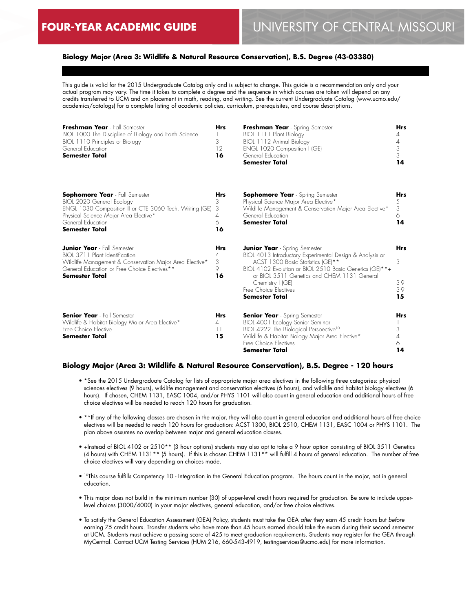## **Biology Major (Area 3: Wildlife & Natural Resource Conservation), B.S. Degree (43-03380)**

This guide is valid for the 2015 Undergraduate Catalog only and is subject to change. This guide is a recommendation only and your actual program may vary. The time it takes to complete a degree and the sequence in which courses are taken will depend on any credits transferred to UCM and on placement in math, reading, and writing. See the current Undergraduate Catalog (www.ucmo.edu/ academics/catalogs) for a complete listing of academic policies, curriculum, prerequisites, and course descriptions.

| Freshman Year - Fall Semester<br>BIOL 1000 The Discipline of Biology and Earth Science<br>BIOL 1110 Principles of Biology<br>General Education<br><b>Semester Total</b>                                              | <b>Hrs</b><br>3<br>12<br>16              | Freshman Year - Spring Semester<br>BIOL 1111 Plant Biology<br>BIOL 1112 Animal Biology<br>ENGL 1020 Composition I (GE)<br>General Education<br>Semester Total                                                                                                                                                         | <b>Hrs</b><br>4<br>4<br>3<br>3<br>14  |
|----------------------------------------------------------------------------------------------------------------------------------------------------------------------------------------------------------------------|------------------------------------------|-----------------------------------------------------------------------------------------------------------------------------------------------------------------------------------------------------------------------------------------------------------------------------------------------------------------------|---------------------------------------|
| <b>Sophomore Year</b> - Fall Semester<br>BIOL 2020 General Ecology<br>ENGL 1030 Composition II or CTE 3060 Tech. Writing (GE)<br>Physical Science Major Area Elective*<br>General Education<br><b>Semester Total</b> | <b>Hrs</b><br>3<br>3<br>4<br>6<br>16     | <b>Sophomore Year</b> - Spring Semester<br>Physical Science Major Area Elective*<br>Wildlife Management & Conservation Major Area Elective*<br>General Education<br><b>Semester Total</b>                                                                                                                             | <b>Hrs</b><br>5<br>3<br>6<br>14       |
| <b>Junior Year</b> - Fall Semester<br>BIOL 3711 Plant Identification<br>Wildlife Management & Conservation Major Area Elective*<br>General Education or Free Choice Electives**<br><b>Semester Total</b>             | <b>Hrs</b><br>4<br>3<br>9<br>16          | <b>Junior Year</b> - Spring Semester<br>BIOL 4013 Introductory Experimental Design & Analysis or<br>ACST 1300 Basic Statistics (GE)**<br>BIOL 4102 Evolution or BIOL 2510 Basic Genetics (GE)**+<br>or BIOL 3511 Genetics and CHEM 1131 General<br>Chemistry I (GE)<br>Free Choice Electives<br><b>Semester Total</b> | <b>Hrs</b><br>3<br>3-9<br>$3-9$<br>15 |
| <b>Senior Year</b> - Fall Semester<br>Wildlife & Habitat Biology Major Area Elective*<br>Free Choice Elective<br><b>Semester Total</b>                                                                               | <b>Hrs</b><br>4<br>$\overline{11}$<br>15 | <b>Senior Year</b> - Spring Semester<br>BIOL 4001 Ecology Senior Seminar<br>BIOL 4222 The Biological Perspective <sup>10</sup><br>Wildlife & Habitat Biology Major Area Elective*<br>Free Choice Electives<br>Semester Total                                                                                          | <b>Hrs</b><br>3<br>4<br>6<br>14       |

#### **Biology Major (Area 3: Wildlife & Natural Resource Conservation), B.S. Degree - 120 hours**

- \*See the 2015 Undergraduate Catalog for lists of appropriate major area electives in the following three categories: physical sciences electives (9 hours), wildlife management and conservation electives (6 hours), and wildlife and habitat biology electives (6 hours). If chosen, CHEM 1131, EASC 1004, and/or PHYS 1101 will also count in general education and additional hours of free choice electives will be needed to reach 120 hours for graduation.
- \*\*If any of the following classes are chosen in the major, they will also count in general education and additional hours of free choice electives will be needed to reach 120 hours for graduation: ACST 1300, BIOL 2510, CHEM 1131, EASC 1004 or PHYS 1101. The plan above assumes no overlap between major and general education classes.
- +Instead of BIOL 4102 or 2510\*\* (3 hour options) students may also opt to take a 9 hour option consisting of BIOL 3511 Genetics (4 hours) with CHEM 1131\*\* (5 hours). If this is chosen CHEM 1131\*\* will fulfill 4 hours of general education. The number of free choice electives will vary depending on choices made.
- 10This course fulfills Competency 10 Integration in the General Education program. The hours count in the major, not in general education.
- This major does not build in the minimum number (30) of upper-level credit hours required for graduation. Be sure to include upperlevel choices (3000/4000) in your major electives, general education, and/or free choice electives.
- To satisfy the General Education Assessment (GEA) Policy, students must take the GEA *after* they earn 45 credit hours but *before* earning 75 credit hours. Transfer students who have more than 45 hours earned should take the exam during their second semester at UCM. Students must achieve a passing score of 425 to meet graduation requirements. Students may register for the GEA through MyCentral. Contact UCM Testing Services (HUM 216, 660-543-4919, testingservices@ucmo.edu) for more information.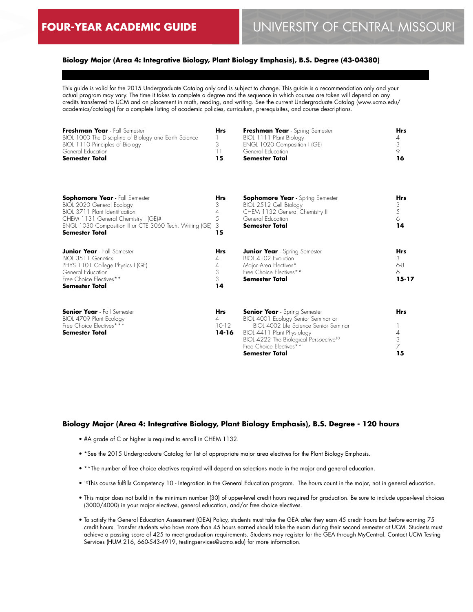## **Biology Major (Area 4: Integrative Biology, Plant Biology Emphasis), B.S. Degree (43-04380)**

This guide is valid for the 2015 Undergraduate Catalog only and is subject to change. This guide is a recommendation only and your actual program may vary. The time it takes to complete a degree and the sequence in which courses are taken will depend on any credits transferred to UCM and on placement in math, reading, and writing. See the current Undergraduate Catalog (www.ucmo.edu/ academics/catalogs) for a complete listing of academic policies, curriculum, prerequisites, and course descriptions.

| Freshman Year - Fall Semester<br>BIOL 1000 The Discipline of Biology and Earth Science<br>BIOL 1110 Principles of Biology<br>General Education<br><b>Semester Total</b>                                                         | <b>Hrs</b><br>3<br>11<br>15             | Freshman Year - Spring Semester<br>BIOL 1111 Plant Biology<br>ENGL 1020 Composition I (GE)<br>General Education<br><b>Semester Total</b>                                                                                                              | <b>Hrs</b><br>4<br>3<br>$\circ$<br>16        |
|---------------------------------------------------------------------------------------------------------------------------------------------------------------------------------------------------------------------------------|-----------------------------------------|-------------------------------------------------------------------------------------------------------------------------------------------------------------------------------------------------------------------------------------------------------|----------------------------------------------|
| <b>Sophomore Year</b> - Fall Semester<br>BIOL 2020 General Ecology<br>BIOL 3711 Plant Identification<br>CHEM 1131 General Chemistry I (GE)#<br>ENGL 1030 Composition II or CTE 3060 Tech. Writing (GE)<br><b>Semester Total</b> | <b>Hrs</b><br>3<br>4<br>5<br>3<br>15    | <b>Sophomore Year</b> - Spring Semester<br>BIOL 2512 Cell Biology<br>CHEM 1132 General Chemistry II<br>General Education<br><b>Semester Total</b>                                                                                                     | <b>Hrs</b><br>3<br>5<br>6<br>14              |
| <b>Junior Year</b> - Fall Semester<br>BIOL 3511 Genetics<br>PHYS 1101 College Physics I (GE)<br>General Education<br>Free Choice Flectives**<br><b>Semester Total</b>                                                           | <b>Hrs</b><br>4<br>4<br>3<br>3<br>14    | <b>Junior Year</b> - Spring Semester<br>BIOL 4102 Evolution<br>Major Area Electives*<br>Free Choice Electives**<br><b>Semester Total</b>                                                                                                              | <b>Hrs</b><br>3<br>$6 - 8$<br>6<br>$15 - 17$ |
| <b>Senior Year</b> - Fall Semester<br>BIOL 4709 Plant Ecology<br>Free Choice Electives***<br><b>Semester Total</b>                                                                                                              | <b>Hrs</b><br>4<br>$10-12$<br>$14 - 16$ | <b>Senior Year</b> - Spring Semester<br>BIOL 4001 Ecology Senior Seminar or<br>BIOL 4002 Life Science Senior Seminar<br>BIOL 4411 Plant Physiology<br>BIOL 4222 The Biological Perspective <sup>10</sup><br>Free Choice Electives**<br>Semester Total | <b>Hrs</b><br>4<br>3<br>$\overline{7}$<br>15 |

#### **Biology Major (Area 4: Integrative Biology, Plant Biology Emphasis), B.S. Degree - 120 hours**

- #A grade of C or higher is required to enroll in CHEM 1132.
- \*See the 2015 Undergraduate Catalog for list of appropriate major area electives for the Plant Biology Emphasis.
- \*\*The number of free choice electives required will depend on selections made in the major and general education.
- <sup>10</sup>This course fulfills Competency 10 Integration in the General Education program. The hours count in the major, not in general education.
- This major does not build in the minimum number (30) of upper-level credit hours required for graduation. Be sure to include upper-level choices (3000/4000) in your major electives, general education, and/or free choice electives.
- To satisfy the General Education Assessment (GEA) Policy, students must take the GEA *after* they earn 45 credit hours but *before* earning 75 credit hours. Transfer students who have more than 45 hours earned should take the exam during their second semester at UCM. Students must achieve a passing score of 425 to meet graduation requirements. Students may register for the GEA through MyCentral. Contact UCM Testing Services (HUM 216, 660-543-4919, testingservices@ucmo.edu) for more information.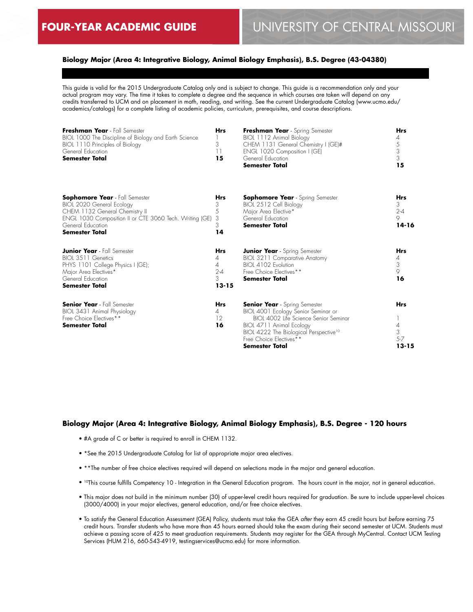## **Biology Major (Area 4: Integrative Biology, Animal Biology Emphasis), B.S. Degree (43-04380)**

This guide is valid for the 2015 Undergraduate Catalog only and is subject to change. This guide is a recommendation only and your actual program may vary. The time it takes to complete a degree and the sequence in which courses are taken will depend on any credits transferred to UCM and on placement in math, reading, and writing. See the current Undergraduate Catalog (www.ucmo.edu/ academics/catalogs) for a complete listing of academic policies, curriculum, prerequisites, and course descriptions.

| Freshman Year - Fall Semester<br>BIOL 1000 The Discipline of Biology and Earth Science<br>BIOL 1110 Principles of Biology<br>General Education<br><b>Semester Total</b>                                              | <b>Hrs</b><br>3<br>11<br>15                              | Freshman Year - Spring Semester<br>BIOL 1112 Animal Biology<br>CHEM 1131 General Chemistry I (GE)#<br>ENGL 1020 Composition I (GE)<br>General Education<br><b>Semester Total</b>                                                                           | <b>Hrs</b><br>4<br>$\frac{5}{3}$<br>3<br>15  |
|----------------------------------------------------------------------------------------------------------------------------------------------------------------------------------------------------------------------|----------------------------------------------------------|------------------------------------------------------------------------------------------------------------------------------------------------------------------------------------------------------------------------------------------------------------|----------------------------------------------|
| <b>Sophomore Year</b> - Fall Semester<br><b>BIOL 2020 General Ecology</b><br>CHEM 1132 General Chemistry II<br>ENGL 1030 Composition II or CTE 3060 Tech. Writing (GE)<br>General Education<br><b>Semester Total</b> | <b>Hrs</b><br>3<br>5<br>3<br>3<br>14                     | <b>Sophomore Year</b> - Spring Semester<br>BIOL 2512 Cell Biology<br>Major Area Elective*<br>General Education<br><b>Semester Total</b>                                                                                                                    | <b>Hrs</b><br>3<br>$2 - 4$<br>9<br>14-16     |
| <b>Junior Year</b> - Fall Semester<br>BIOL 3511 Genetics<br>PHYS 1101 College Physics I (GE);<br>Major Area Electives*<br>General Education<br><b>Semester Total</b>                                                 | <b>Hrs</b><br>4<br>$\Delta$<br>$2 - 4$<br>3<br>$13 - 15$ | <b>Junior Year</b> - Spring Semester<br>BIOL 3211 Comparative Anatomy<br>BIOL 4102 Evolution<br>Free Choice Electives**<br><b>Semester Total</b>                                                                                                           | <b>Hrs</b><br>4<br>3<br>$\circ$<br>16        |
| <b>Senior Year</b> - Fall Semester<br>BIOL 3431 Animal Physiology<br>Free Choice Electives**<br><b>Semester Total</b>                                                                                                | <b>Hrs</b><br>4<br>12<br>16                              | <b>Senior Year</b> - Spring Semester<br>BIOL 4001 Ecology Senior Seminar or<br>BIOI 4002 Life Science Senior Seminar<br>BIOL 4711 Animal Ecology<br>BIOL 4222 The Biological Perspective <sup>10</sup><br>Free Choice Electives**<br><b>Semester Total</b> | <b>Hrs</b><br>4<br>3<br>$5 - 7$<br>$13 - 15$ |

#### **Biology Major (Area 4: Integrative Biology, Animal Biology Emphasis), B.S. Degree - 120 hours**

- #A grade of C or better is required to enroll in CHEM 1132.
- \*See the 2015 Undergraduate Catalog for list of appropriate major area electives.
- \*\*The number of free choice electives required will depend on selections made in the major and general education.
- <sup>10</sup>This course fulfills Competency 10 Integration in the General Education program. The hours count in the major, not in general education.
- This major does not build in the minimum number (30) of upper-level credit hours required for graduation. Be sure to include upper-level choices (3000/4000) in your major electives, general education, and/or free choice electives.
- To satisfy the General Education Assessment (GEA) Policy, students must take the GEA *after* they earn 45 credit hours but *before* earning 75 credit hours. Transfer students who have more than 45 hours earned should take the exam during their second semester at UCM. Students must achieve a passing score of 425 to meet graduation requirements. Students may register for the GEA through MyCentral. Contact UCM Testing Services (HUM 216, 660-543-4919, testingservices@ucmo.edu) for more information.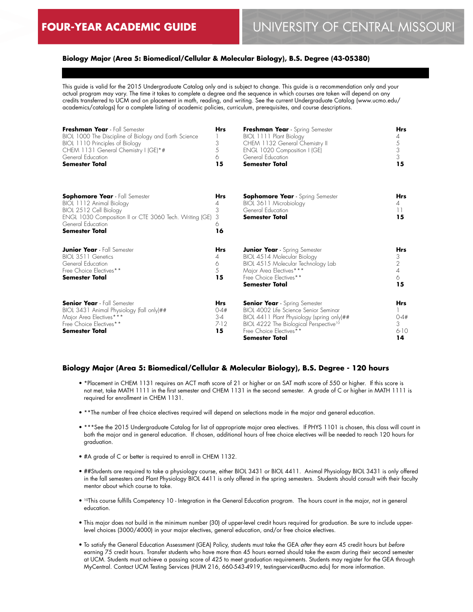## **Biology Major (Area 5: Biomedical/Cellular & Molecular Biology), B.S. Degree (43-05380)**

This guide is valid for the 2015 Undergraduate Catalog only and is subject to change. This guide is a recommendation only and your actual program may vary. The time it takes to complete a degree and the sequence in which courses are taken will depend on any credits transferred to UCM and on placement in math, reading, and writing. See the current Undergraduate Catalog (www.ucmo.edu/ academics/catalogs) for a complete listing of academic policies, curriculum, prerequisites, and course descriptions.

| Freshman Year - Fall Semester<br>BIOL 1000 The Discipline of Biology and Earth Science<br>BIOL 1110 Principles of Biology<br>CHEM 1131 General Chemistry I (GE)*#<br>General Education<br><b>Semester Total</b> | <b>Hrs</b><br>3<br>5<br>6<br>15                     | Freshman Year - Spring Semester<br>BIOL 1111 Plant Biology<br>CHEM 1132 General Chemistry II<br>ENGL 1020 Composition I (GE)<br>General Education<br><b>Semester Total</b>                                                     | <b>Hrs</b><br>4<br>5<br>3<br>3<br>15              |
|-----------------------------------------------------------------------------------------------------------------------------------------------------------------------------------------------------------------|-----------------------------------------------------|--------------------------------------------------------------------------------------------------------------------------------------------------------------------------------------------------------------------------------|---------------------------------------------------|
| <b>Sophomore Year</b> - Fall Semester<br>BIOL 1112 Animal Biology<br>BIOL 2512 Cell Biology<br>ENGL 1030 Composition II or CTE 3060 Tech. Writing (GE)<br>General Education<br><b>Semester Total</b>            | <b>Hrs</b><br>4<br>3<br>3<br>6<br>16                | <b>Sophomore Year</b> - Spring Semester<br>BIOL 3611 Microbiology<br>General Education<br>Semester Total                                                                                                                       | <b>Hrs</b><br>4<br>$\overline{11}$<br>15          |
| <b>Junior Year</b> - Fall Semester<br>BIOL 3511 Genetics<br>General Education<br>Free Choice Electives**<br><b>Semester Total</b>                                                                               | <b>Hrs</b><br>4<br>6<br>5<br>15                     | <b>Junior Year</b> - Spring Semester<br>BIOL 4514 Molecular Biology<br>BIOL 4515 Molecular Technology Lab<br>Major Area Electives***<br>Free Choice Electives**<br>Semester Total                                              | <b>Hrs</b><br>3<br>$\overline{2}$<br>4<br>6<br>15 |
| <b>Senior Year</b> - Fall Semester<br>BIOL 3431 Animal Physiology (fall only)##<br>Major Area Electives***<br>Free Choice Electives**<br><b>Semester Total</b>                                                  | <b>Hrs</b><br>$0 - 4#$<br>$3 - 4$<br>$7 - 12$<br>15 | <b>Senior Year</b> - Spring Semester<br>BIOL 4002 Life Science Senior Seminar<br>BIOL 4411 Plant Physiology (spring only)##<br>BIOL 4222 The Biological Perspective <sup>10</sup><br>Free Choice Flectives**<br>Semester Total | <b>Hrs</b><br>$0 - 4#$<br>3<br>$6-10$<br>14       |

### **Biology Major (Area 5: Biomedical/Cellular & Molecular Biology), B.S. Degree - 120 hours**

- \*Placement in CHEM 1131 requires an ACT math score of 21 or higher or an SAT math score of 550 or higher. If this score is not met, take MATH 1111 in the first semester and CHEM 1131 in the second semester. A grade of C or higher in MATH 1111 is required for enrollment in CHEM 1131.
- \*\*The number of free choice electives required will depend on selections made in the major and general education.
- \*\*\*See the 2015 Undergraduate Catalog for list of appropriate major area electives. If PHYS 1101 is chosen, this class will count in both the major and in general education. If chosen, additional hours of free choice electives will be needed to reach 120 hours for graduation.
- #A grade of C or better is required to enroll in CHEM 1132.
- ##Students are required to take a physiology course, either BIOL 3431 or BIOL 4411. Animal Physiology BIOL 3431 is only offered in the fall semesters and Plant Physiology BIOL 4411 is only offered in the spring semesters. Students should consult with their faculty mentor about which course to take.
- <sup>10</sup>This course fulfills Competency 10 Integration in the General Education program. The hours count in the major, not in general education.
- This major does not build in the minimum number (30) of upper-level credit hours required for graduation. Be sure to include upperlevel choices (3000/4000) in your major electives, general education, and/or free choice electives.
- To satisfy the General Education Assessment (GEA) Policy, students must take the GEA *after* they earn 45 credit hours but *before* earning 75 credit hours. Transfer students who have more than 45 hours earned should take the exam during their second semester at UCM. Students must achieve a passing score of 425 to meet graduation requirements. Students may register for the GEA through MyCentral. Contact UCM Testing Services (HUM 216, 660-543-4919, testingservices@ucmo.edu) for more information.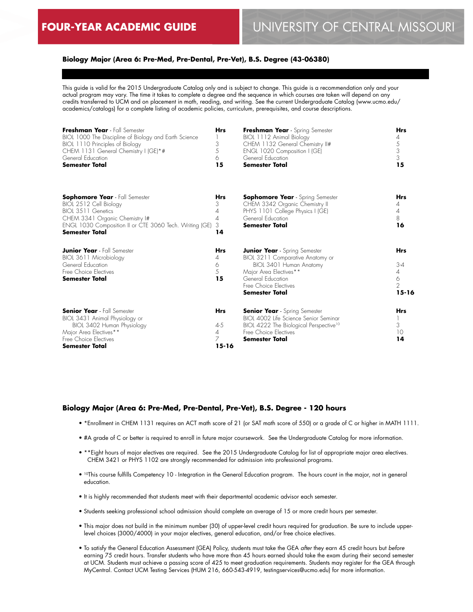## **Biology Major (Area 6: Pre-Med, Pre-Dental, Pre-Vet), B.S. Degree (43-06380)**

This guide is valid for the 2015 Undergraduate Catalog only and is subject to change. This guide is a recommendation only and your actual program may vary. The time it takes to complete a degree and the sequence in which courses are taken will depend on any credits transferred to UCM and on placement in math, reading, and writing. See the current Undergraduate Catalog (www.ucmo.edu/ academics/catalogs) for a complete listing of academic policies, curriculum, prerequisites, and course descriptions.

| Freshman Year - Fall Semester<br>BIOL 1000 The Discipline of Biology and Earth Science<br>BIOL 1110 Principles of Biology<br>CHEM 1131 General Chemistry I (GE)*#<br>General Education<br><b>Semester Total</b> | <b>Hrs</b><br>3<br>5<br>6<br>15                           | Freshman Year - Spring Semester<br>BIOL 1112 Animal Biology<br>CHEM 1132 General Chemistry II#<br>ENGL 1020 Composition I (GE)<br>General Education<br><b>Semester Total</b>                         | <b>Hrs</b><br>4<br>$\frac{5}{3}$<br>3<br>15                  |
|-----------------------------------------------------------------------------------------------------------------------------------------------------------------------------------------------------------------|-----------------------------------------------------------|------------------------------------------------------------------------------------------------------------------------------------------------------------------------------------------------------|--------------------------------------------------------------|
| <b>Sophomore Year</b> - Fall Semester<br>BIOL 2512 Cell Biology<br>BIOL 3511 Genetics<br>CHEM 3341 Organic Chemistry I#<br>ENGL 1030 Composition II or CTE 3060 Tech. Writing (GE)<br><b>Semester Total</b>     | <b>Hrs</b><br>3<br>4<br>4<br>3<br>14                      | <b>Sophomore Year</b> - Spring Semester<br>CHEM 3342 Organic Chemistry II<br>PHYS 1101 College Physics I (GE)<br>General Education<br><b>Semester Total</b>                                          | <b>Hrs</b><br>4<br>4<br>8<br>16                              |
| <b>Junior Year</b> - Fall Semester<br>BIOL 3611 Microbiology<br>General Education<br>Free Choice Flectives<br><b>Semester Total</b>                                                                             | <b>Hrs</b><br>4<br>6<br>5<br>15                           | <b>Junior Year</b> - Spring Semester<br>BIOL 3211 Comparative Anatomy or<br>BIOL 3401 Human Anatomy<br>Major Area Electives**<br>General Education<br>Free Choice Electives<br><b>Semester Total</b> | <b>Hrs</b><br>$3-4$<br>4<br>6<br>$\mathfrak{D}$<br>$15 - 16$ |
| <b>Senior Year</b> - Fall Semester<br>BIOL 3431 Animal Physiology or<br>BIOL 3402 Human Physiology<br>Major Area Electives**<br>Free Choice Electives<br>Semester Total                                         | <b>Hrs</b><br>$4 - 5$<br>$\overline{4}$<br>7<br>$15 - 16$ | <b>Senior Year</b> - Spring Semester<br>BIOL 4002 Life Science Senior Seminar<br>BIOL 4222 The Biological Perspective <sup>10</sup><br>Free Choice Electives<br>Semester Total                       | <b>Hrs</b><br>3<br>10<br>14                                  |

#### **Biology Major (Area 6: Pre-Med, Pre-Dental, Pre-Vet), B.S. Degree - 120 hours**

- \*Enrollment in CHEM 1131 requires an ACT math score of 21 (or SAT math score of 550) or a grade of C or higher in MATH 1111.
- #A grade of C or better is required to enroll in future major coursework. See the Undergraduate Catalog for more information.
- \*\*Eight hours of major electives are required. See the 2015 Undergraduate Catalog for list of appropriate major area electives. CHEM 3421 or PHYS 1102 are strongly recommended for admission into professional programs.
- 10This course fulfills Competency 10 Integration in the General Education program. The hours count in the major, not in general education.
- It is highly recommended that students meet with their departmental academic advisor each semester.
- Students seeking professional school admission should complete an average of 15 or more credit hours per semester.
- This major does not build in the minimum number (30) of upper-level credit hours required for graduation. Be sure to include upperlevel choices (3000/4000) in your major electives, general education, and/or free choice electives.
- To satisfy the General Education Assessment (GEA) Policy, students must take the GEA *after* they earn 45 credit hours but *before* earning 75 credit hours. Transfer students who have more than 45 hours earned should take the exam during their second semester at UCM. Students must achieve a passing score of 425 to meet graduation requirements. Students may register for the GEA through MyCentral. Contact UCM Testing Services (HUM 216, 660-543-4919, testingservices@ucmo.edu) for more information.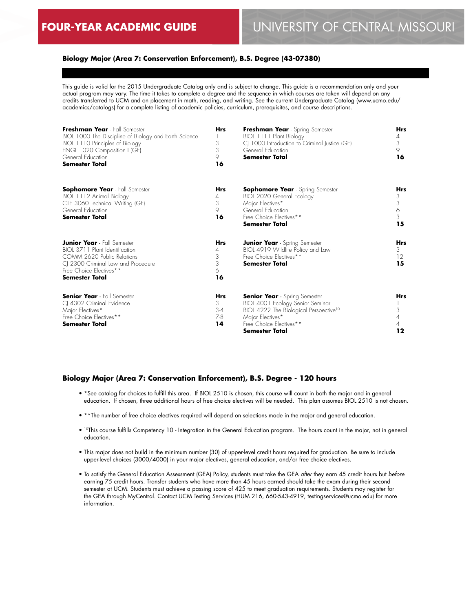## **Biology Major (Area 7: Conservation Enforcement), B.S. Degree (43-07380)**

This guide is valid for the 2015 Undergraduate Catalog only and is subject to change. This guide is a recommendation only and your actual program may vary. The time it takes to complete a degree and the sequence in which courses are taken will depend on any credits transferred to UCM and on placement in math, reading, and writing. See the current Undergraduate Catalog (www.ucmo.edu/ academics/catalogs) for a complete listing of academic policies, curriculum, prerequisites, and course descriptions.

| Freshman Year - Fall Semester<br>BIOL 1000 The Discipline of Biology and Earth Science<br>BIOL 1110 Principles of Biology<br>ENGL 1020 Composition I (GE)<br>General Education<br><b>Semester Total</b> | <b>Hrs</b><br>3<br>3<br>9<br>16        | Freshman Year - Spring Semester<br>BIOL 1111 Plant Biology<br>CJ 1000 Introduction to Criminal Justice (GE)<br>General Education<br><b>Semester Total</b>                                       | <b>Hrs</b><br>4<br>3<br>9<br>16 |
|---------------------------------------------------------------------------------------------------------------------------------------------------------------------------------------------------------|----------------------------------------|-------------------------------------------------------------------------------------------------------------------------------------------------------------------------------------------------|---------------------------------|
| Sophomore Year - Fall Semester<br>BIOL 1112 Animal Biology<br>CTE 3060 Technical Writing (GE)<br>General Education<br><b>Semester Total</b>                                                             | <b>Hrs</b><br>4<br>3<br>9<br>16        | <b>Sophomore Year</b> - Spring Semester<br>BIOL 2020 General Ecology<br>Major Electives*<br>General Education<br>Free Choice Electives**<br><b>Semester Total</b>                               | Hrs<br>3<br>3<br>6<br>3<br>15   |
| <b>Junior Year</b> - Fall Semester<br>BIOI 3711 Plant Identification<br>COMM 2620 Public Relations<br>CJ 2300 Criminal Law and Procedure<br>Free Choice Electives**<br><b>Semester Total</b>            | <b>Hrs</b><br>4<br>3<br>3<br>6<br>16   | <b>Junior Year</b> - Spring Semester<br>BIOL 4919 Wildlife Policy and Law<br>Free Choice Electives**<br><b>Semester Total</b>                                                                   | <b>Hrs</b><br>3<br>12<br>15     |
| <b>Senior Year</b> - Fall Semester<br>CJ 4302 Criminal Evidence<br>Major Electives*<br>Free Choice Electives**<br>Semester Total                                                                        | <b>Hrs</b><br>3.<br>$3-4$<br>7-8<br>14 | <b>Senior Year</b> - Spring Semester<br>BIOL 4001 Ecology Senior Seminar<br>BIOL 4222 The Biological Perspective <sup>10</sup><br>Major Electives*<br>Free Choice Electives**<br>Semester Total | <b>Hrs</b><br>3<br>4<br>4<br>12 |

## **Biology Major (Area 7: Conservation Enforcement), B.S. Degree - 120 hours**

- \*See catalog for choices to fulfill this area. If BIOL 2510 is chosen, this course will count in both the major and in general education. If chosen, three additional hours of free choice electives will be needed. This plan assumes BIOL 2510 is not chosen.
- \*\*The number of free choice electives required will depend on selections made in the major and general education.
- <sup>10</sup>This course fulfills Competency 10 Integration in the General Education program. The hours count in the major, not in general education.
- This major does not build in the minimum number (30) of upper-level credit hours required for graduation. Be sure to include upper-level choices (3000/4000) in your major electives, general education, and/or free choice electives.
- To satisfy the General Education Assessment (GEA) Policy, students must take the GEA *after* they earn 45 credit hours but *before* earning 75 credit hours. Transfer students who have more than 45 hours earned should take the exam during their second semester at UCM. Students must achieve a passing score of 425 to meet graduation requirements. Students may register for the GEA through MyCentral. Contact UCM Testing Services (HUM 216, 660-543-4919, testingservices@ucmo.edu) for more information.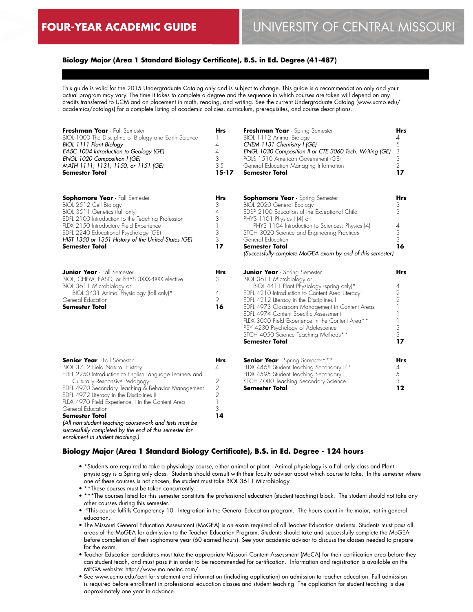## **Biology Major (Area 1 Standard Biology Certificate), B.S. in Ed. Degree (41-487)**

This guide is valid for the 2015 Undergraduate Catalog only and is subject to change. This guide is a recommendation only and your actual program may vary. The time it takes to complete a degree and the sequence in which courses are taken will depend on any credits transferred to UCM and on placement in math, reading, and writing. See the current Undergraduate Catalog (www.ucmo.edu/ academics/catalogs) for a complete listing of academic policies, curriculum, prerequisites, and course descriptions.

| Freshman Year - Fall Semester<br>BIOL 1000 The Discipline of Biology and Earth Science<br>BIOL 1111 Plant Biology<br>EASC 1004 Introduction to Geology (GE)<br>ENGL 1020 Composition I (GE)<br>MATH 1111, 1131, 1150, or 1151 (GE)<br>Semester Total                                                                                                                                                                              | <b>Hrs</b><br>4<br>4<br>3<br>$3 - 5$<br>$15 - 17$                                        | Freshman Year - Spring Semester<br>BIOL 1112 Animal Biology<br>CHEM 1131 Chemistry I (GE)<br>ENGL 1030 Composition II or CTE 3060 Tech. Writing (GE)<br>POLS 1510 American Government (GE)<br>General Education Managing Information<br><b>Semester Total</b>                                                                                                                                                                                                       | <b>Hrs</b><br>4<br>5<br>3<br>3<br>$\overline{2}$<br>17         |
|-----------------------------------------------------------------------------------------------------------------------------------------------------------------------------------------------------------------------------------------------------------------------------------------------------------------------------------------------------------------------------------------------------------------------------------|------------------------------------------------------------------------------------------|---------------------------------------------------------------------------------------------------------------------------------------------------------------------------------------------------------------------------------------------------------------------------------------------------------------------------------------------------------------------------------------------------------------------------------------------------------------------|----------------------------------------------------------------|
| <b>Sophomore Year</b> - Fall Semester<br>BIOL 2512 Cell Biology<br>BIOL 3511 Genetics (fall only)<br>EDFL 2100 Introduction to the Teaching Profession<br>FLDX 2150 Introductory Field Experience<br>EDFL 2240 Educational Psychology (GE)<br>HIST 1350 or 1351 History of the United States (GE)<br><b>Semester Total</b>                                                                                                        | <b>Hrs</b><br>3<br>4<br>3<br>3<br>3<br>17                                                | <b>Sophomore Year</b> - Spring Semester<br>BIOL 2020 General Ecology<br>EDSP 2100 Education of the Exceptional Child<br>PHYS 1101 Physics I (4) or<br>PHYS 1104 Introduction to Sciences: Physics (4)<br>STCH 3020 Science and Engineering Practices<br>General Education<br><b>Semester Total</b><br>(Successfully complete MoGEA exam by end of this semester)                                                                                                    | Hrs<br>3<br>3<br>4<br>3<br>3<br>16                             |
| <b>Junior Year</b> - Fall Semester<br>BIOL, CHEM, EASC, or PHYS 3XXX-4XXX elective<br>BIOL 3611 Microbiology or<br>BIOL 3431 Animal Physiology (fall only)*<br>General Education<br><b>Semester Total</b>                                                                                                                                                                                                                         | <b>Hrs</b><br>3<br>4<br>9<br>16                                                          | <b>Junior Year</b> - Spring Semester<br>BIOL 3611 Microbiology or<br>BIOL 4411 Plant Physiology (spring only)*<br>EDFL 4210 Introduction to Content Area Literacy<br>EDFL 4212 Literacy in the Disciplines I<br>EDFL 4973 Classroom Management in Content Areas<br>EDFL 4974 Content Specific Assessment<br>FLDX 3000 Field Experience in the Content Area**<br>PSY 4230 Psychology of Adolescence<br>STCH 4050 Science Teaching Methods**<br><b>Semester Total</b> | Hrs<br>4<br>2<br>$\overline{2}$<br>1<br>1<br>1<br>3<br>3<br>17 |
| <b>Senior Year</b> - Fall Semester<br>BIOL 3712 Field Natural History<br>EDFL 2250 Introduction to English Language Learners and<br>Culturally Responsive Pedagogy<br>EDFL 4970 Secondary Teaching & Behavior Management<br>EDFL 4972 Literacy in the Disciplines II<br>FLDX 4970 Field Experience II in the Content Area<br>General Education<br><b>Semester Total</b><br>(All non-student teaching coursework and tests must be | Hrs<br>4<br>2<br>$\overline{2}$<br>$\overline{2}$<br>$\overline{\phantom{a}}$<br>3<br>14 | <b>Senior Year</b> - Spring Semester***<br>FLDX 4468 Student Teaching Secondary II <sup>10</sup><br>FLDX 4595 Student Teaching Secondary I<br>STCH 4080 Teaching Secondary Science<br><b>Semester Total</b>                                                                                                                                                                                                                                                         | Hrs<br>4<br>5<br>3<br>12                                       |

## **Biology Major (Area 1 Standard Biology Certificate), B.S. in Ed. Degree - 124 hours**

- \*Students are required to take a physiology course, either animal or plant. Animal physiology is a Fall only class and Plant physiology is a Spring only class. Students should consult with their faculty advisor about which course to take. In the semester where one of these courses is not chosen, the student must take BIOL 3611 Microbiology.
- \*\*These courses must be taken concurrently.

*successfully completed by the end of this semester for* 

*enrollment in student teaching.)*

- \*\*\*The courses listed for this semester constitute the professional education (student teaching) block. The student should not take any other courses during this semester.
- <sup>10</sup>This course fulfills Competency 10 Integration in the General Education program. The hours count in the major, not in general education.
- The Missouri General Education Assessment (MoGEA) is an exam required of all Teacher Education students. Students must pass all areas of the MoGEA for admission to the Teacher Education Program. Students should take and successfully complete the MoGEA before completion of their sophomore year (60 earned hours). See your academic advisor to discuss the classes needed to prepare for the exam.
- Teacher Education candidates must take the appropriate Missouri Content Assessment (MoCA) for their certification area before they can student teach, and must pass it in order to be recommended for certification. Information and registration is available on the MEGA website: http://www.mo.nesinc.com/.
- See www.ucmo.edu/cert for statement and information (including application) on admission to teacher education. Full admission is required before enrollment in professional education classes and student teaching. The application for student teaching is due approximately one year in advance.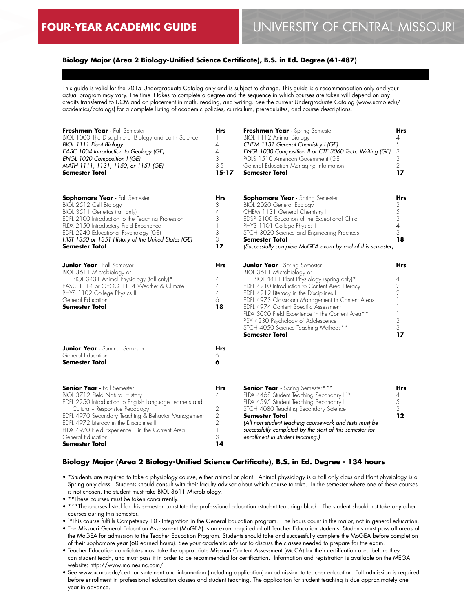## **Biology Major (Area 2 Biology-Unified Science Certificate), B.S. in Ed. Degree (41-487)**

This guide is valid for the 2015 Undergraduate Catalog only and is subject to change. This guide is a recommendation only and your actual program may vary. The time it takes to complete a degree and the sequence in which courses are taken will depend on any credits transferred to UCM and on placement in math, reading, and writing. See the current Undergraduate Catalog (www.ucmo.edu/ academics/catalogs) for a complete listing of academic policies, curriculum, prerequisites, and course descriptions.

| Freshman Year - Fall Semester<br>BIOL 1000 The Discipline of Biology and Earth Science<br><b>BIOL 1111 Plant Biology</b><br>EASC 1004 Introduction to Geology (GE)<br>ENGL 1020 Composition I (GE)<br>MATH 1111, 1131, 1150, or 1151 (GE)<br><b>Semester Total</b>                                                                                               | <b>Hrs</b><br>1<br>4<br>$\overline{4}$<br>3<br>$3-5$<br>$15 - 17$                 | Freshman Year - Spring Semester<br>BIOL 1112 Animal Biology<br>CHEM 1131 General Chemistry I (GE)<br>ENGL 1030 Composition II or CTE 3060 Tech. Writing (GE)<br>POLS 1510 American Government (GE)<br>General Education Managing Information<br><b>Semester Total</b>                                                                                                                                                                                               | Hrs<br>4<br>5<br>3<br>3<br>$\overline{2}$<br>17              |
|------------------------------------------------------------------------------------------------------------------------------------------------------------------------------------------------------------------------------------------------------------------------------------------------------------------------------------------------------------------|-----------------------------------------------------------------------------------|---------------------------------------------------------------------------------------------------------------------------------------------------------------------------------------------------------------------------------------------------------------------------------------------------------------------------------------------------------------------------------------------------------------------------------------------------------------------|--------------------------------------------------------------|
| <b>Sophomore Year</b> - Fall Semester<br>BIOL 2512 Cell Biology<br>BIOL 3511 Genetics (fall only)<br>EDFL 2100 Introduction to the Teaching Profession<br>FLDX 2150 Introductory Field Experience<br>EDFL 2240 Educational Psychology (GE)<br>HIST 1350 or 1351 History of the United States (GE)<br>Semester Total                                              | Hrs<br>3<br>$\overline{4}$<br>3<br>$\mathbb{I}$<br>3<br>3<br>17                   | <b>Sophomore Year</b> - Spring Semester<br><b>BIOL 2020 General Ecology</b><br>CHEM 1131 General Chemistry II<br>EDSP 2100 Education of the Exceptional Child<br>PHYS 1101 College Physics I<br>STCH 3020 Science and Engineering Practices<br>Semester Total<br>(Successfully complete MoGEA exam by end of this semester)                                                                                                                                         | Hrs<br>3<br>5<br>3<br>$\sqrt{4}$<br>3<br>18                  |
| <b>Junior Year</b> - Fall Semester<br>BIOL 3611 Microbiology or<br>BIOL 3431 Animal Physiology (fall only)*<br>EASC 1114 or GEOG 1114 Weather & Climate<br>PHYS 1102 College Physics II<br>General Education<br><b>Semester Total</b>                                                                                                                            | Hrs<br>4<br>$\overline{\mathcal{A}}$<br>$\overline{A}$<br>6<br>18                 | <b>Junior Year</b> - Spring Semester<br>BIOL 3611 Microbiology or<br>BIOL 4411 Plant Physiology (spring only)*<br>EDFL 4210 Introduction to Content Area Literacy<br>EDFL 4212 Literacy in the Disciplines I<br>EDFL 4973 Classroom Management in Content Areas<br>EDFL 4974 Content Specific Assessment<br>FLDX 3000 Field Experience in the Content Area**<br>PSY 4230 Psychology of Adolescence<br>STCH 4050 Science Teaching Methods**<br><b>Semester Total</b> | Hrs<br>4<br>$\overline{2}$<br>$\overline{2}$<br>3<br>3<br>17 |
| <b>Junior Year</b> - Summer Semester<br>General Education<br><b>Semester Total</b>                                                                                                                                                                                                                                                                               | <b>Hrs</b><br>6<br>6                                                              |                                                                                                                                                                                                                                                                                                                                                                                                                                                                     |                                                              |
| <b>Senior Year</b> - Fall Semester<br>BIOL 3712 Field Natural History<br>EDFL 2250 Introduction to English Language Learners and<br>Culturally Responsive Pedagogy<br>EDFL 4970 Secondary Teaching & Behavior Management<br>EDFL 4972 Literacy in the Disciplines II<br>FLDX 4970 Field Experience II in the Content Area<br>General Education<br>Semester Total | Hrs<br>4<br>$\sqrt{2}$<br>$\sqrt{2}$<br>$\overline{2}$<br>$\mathbb{I}$<br>3<br>14 | <b>Senior Year</b> - Spring Semester***<br>FLDX 4468 Student Teaching Secondary II <sup>10</sup><br>FLDX 4595 Student Teaching Secondary I<br>STCH 4080 Teaching Secondary Science<br><b>Semester Total</b><br>(All non-student teaching coursework and tests must be<br>successfully completed by the start of this semester for<br>enrollment in student teaching.)                                                                                               | Hrs<br>4<br>5<br>3<br>12                                     |

## **Biology Major (Area 2 Biology-Unified Science Certificate), B.S. in Ed. Degree - 134 hours**

• \*Students are required to take a physiology course, either animal or plant. Animal physiology is a Fall only class and Plant physiology is a Spring only class. Students should consult with their faculty advisor about which course to take. In the semester where one of these courses is not chosen, the student must take BIOL 3611 Microbiology.

• \*\*These courses must be taken concurrently.

- \*\*\*The courses listed for this semester constitute the professional education (student teaching) block. The student should not take any other courses during this semester.
- 10This course fulfills Competency 10 Integration in the General Education program. The hours count in the major, not in general education.
- The Missouri General Education Assessment (MoGEA) is an exam required of all Teacher Education students. Students must pass all areas of the MoGEA for admission to the Teacher Education Program. Students should take and successfully complete the MoGEA before completion of their sophomore year (60 earned hours). See your academic advisor to discuss the classes needed to prepare for the exam.
- Teacher Education candidates must take the appropriate Missouri Content Assessment (MoCA) for their certification area before they can student teach, and must pass it in order to be recommended for certification. Information and registration is available on the MEGA website: http://www.mo.nesinc.com/.
- See www.ucmo.edu/cert for statement and information (including application) on admission to teacher education. Full admission is required before enrollment in professional education classes and student teaching. The application for student teaching is due approximately one year in advance.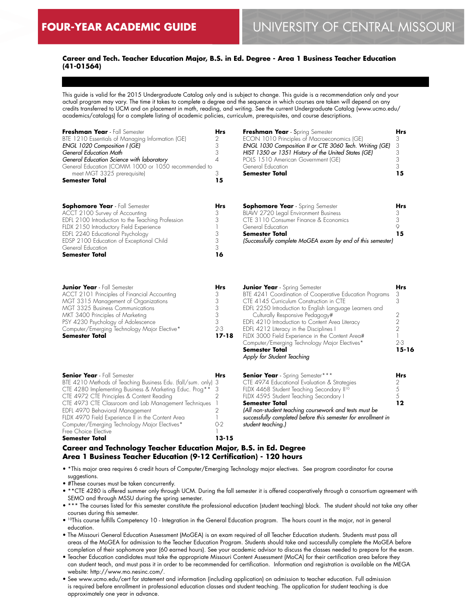$\overline{a}$ 

## **Career and Tech. Teacher Education Major, B.S. in Ed. Degree - Area 1 Business Teacher Education (41-01564)**

This guide is valid for the 2015 Undergraduate Catalog only and is subject to change. This guide is a recommendation only and your actual program may vary. The time it takes to complete a degree and the sequence in which courses are taken will depend on any credits transferred to UCM and on placement in math, reading, and writing. See the current Undergraduate Catalog (www.ucmo.edu/ academics/catalogs) for a complete listing of academic policies, curriculum, prerequisites, and course descriptions.

| Freshman Year - Fall Semester<br>BTE 1210 Essentials of Managing Information (GE)<br>ENGL 1020 Composition I (GE)<br>General Education Math<br>General Education Science with laboratory<br>General Education (COMM 1000 or 1050 recommended to<br>meet MGT 3325 prerequisite)<br>Semester Total                                                                                                                                                     | Hrs<br>2<br>3<br>3<br>$\overline{A}$<br>3<br>15                                                           | Freshman Year - Spring Semester<br>ECON 1010 Principles of Macroeconomics (GE)<br>ENGL 1030 Composition II or CTE 3060 Tech. Writing (GE)<br>HIST 1350 or 1351 History of the United States (GE)<br>POLS 1510 American Government (GE)<br>General Education<br><b>Semester Total</b>                                                                                                                                                                                                       | Hrs<br>3<br>3<br>3<br>3<br>3<br>15                                             |
|------------------------------------------------------------------------------------------------------------------------------------------------------------------------------------------------------------------------------------------------------------------------------------------------------------------------------------------------------------------------------------------------------------------------------------------------------|-----------------------------------------------------------------------------------------------------------|--------------------------------------------------------------------------------------------------------------------------------------------------------------------------------------------------------------------------------------------------------------------------------------------------------------------------------------------------------------------------------------------------------------------------------------------------------------------------------------------|--------------------------------------------------------------------------------|
| <b>Sophomore Year</b> - Fall Semester<br>ACCT 2100 Survey of Accounting<br>EDFL 2100 Introduction to the Teaching Profession<br>FLDX 2150 Introductory Field Experience<br>EDFL 2240 Educational Psychology<br>EDSP 2100 Education of Exceptional Child<br>General Education<br>Semester Total                                                                                                                                                       | Hrs<br>3<br>3<br>3<br>3<br>3<br>16                                                                        | <b>Sophomore Year</b> - Spring Semester<br>BLAW 2720 Legal Environment Business<br>CTE 3110 Consumer Finance & Economics<br>General Education<br><b>Semester Total</b><br>(Successfully complete MoGEA exam by end of this semester)                                                                                                                                                                                                                                                       | Hrs<br>3<br>3<br>9<br>15                                                       |
| <b>Junior Year</b> - Fall Semester<br>ACCT 2101 Principles of Financial Accounting<br>MGT 3315 Management of Organizations<br>MGT 3325 Business Communications<br>MKT 3400 Principles of Marketing<br>PSY 4230 Psychology of Adolescence<br>Computer/Emerging Technology Major Elective*<br>Semester Total                                                                                                                                           | Hrs<br>3<br>3<br>3<br>3<br>3<br>$2 - 3$<br>17-18                                                          | <b>Junior Year</b> - Spring Semester<br>BTE 4241 Coordination of Cooperative Education Programs<br>CTE 4145 Curriculum Construction in CTE<br>EDFL 2250 Introduction to English Language Learners and<br>Culturally Responsive Pedagogy#<br>EDFL 4210 Introduction to Content Area Literacy<br>EDFL 4212 Literacy in the Disciplines I<br>FLDX 3000 Field Experience in the Content Area#<br>Computer/Emerging Technology Major Electives*<br>Semester Total<br>Apply for Student Teaching | Hrs<br>3<br>3<br>2<br>$\overline{2}$<br>$\overline{2}$<br>$2 - 3$<br>$15 - 16$ |
| <b>Senior Year</b> - Fall Semester<br>BTE 4210 Methods of Teaching Business Edu. (fall/sum. only)<br>CTE 4280 Implementing Business & Marketing Educ. Prog**<br>CTE 4972 CTE Principles & Content Reading<br>CTE 4973 CTE Classroom and Lab Management Techniques<br>EDFL 4970 Behavioral Management<br>FLDX 4970 Field Experience II in the Content Area<br>Computer/Emerging Technology Major Electives*<br>Free Choice Elective<br>Semester Total | Hrs<br>3<br>3<br>$\overline{2}$<br>$\overline{1}$<br>$\overline{2}$<br>$\mathbb{I}$<br>$O-2$<br>$13 - 15$ | Senior Year - Spring Semester***<br>CTE 4974 Educational Evaluation & Strategies<br>FLDX 4468 Student Teaching Secondary II <sup>10</sup><br>FLDX 4595 Student Teaching Secondary I<br><b>Semester Total</b><br>(All non-student teaching coursework and tests must be<br>successfully completed before this semester for enrollment in<br>student teaching.)                                                                                                                              | Hrs<br>2<br>5<br>5<br>12                                                       |

## **Career and Technology Teacher Education Major, B.S. in Ed. Degree Area 1 Business Teacher Education (9-12 Certification) - 120 hours**

- \*This major area requires 6 credit hours of Computer/Emerging Technology major electives. See program coordinator for course suggestions.
- #These courses must be taken concurrently.
- \*\*CTE 4280 is offered summer only through UCM. During the fall semester it is offered cooperatively through a consortium agreement with SEMO and through MSSU during the spring semester.
- \*\*\* The courses listed for this semester constitute the professional education (student teaching) block. The student should not take any other courses during this semester.
- 10This course fulfills Competency 10 Integration in the General Education program. The hours count in the major, not in general education.
- The Missouri General Education Assessment (MoGEA) is an exam required of all Teacher Education students. Students must pass all areas of the MoGEA for admission to the Teacher Education Program. Students should take and successfully complete the MoGEA before completion of their sophomore year (60 earned hours). See your academic advisor to discuss the classes needed to prepare for the exam.
- Teacher Education candidates must take the appropriate Missouri Content Assessment (MoCA) for their certification area before they can student teach, and must pass it in order to be recommended for certification. Information and registration is available on the MEGA website: http://www.mo.nesinc.com/.
- See www.ucmo.edu/cert for statement and information (including application) on admission to teacher education. Full admission is required before enrollment in professional education classes and student teaching. The application for student teaching is due approximately one year in advance.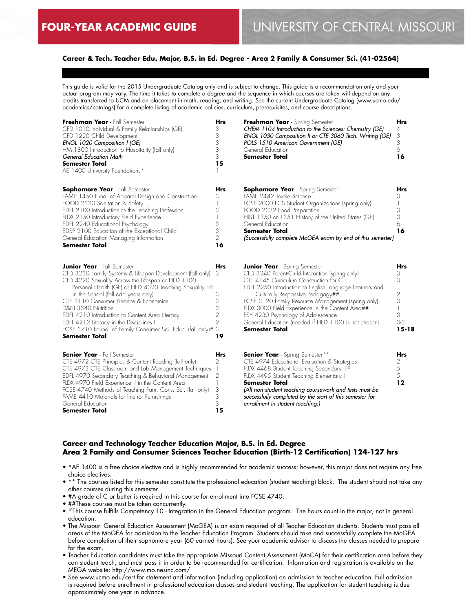## **Career & Tech. Teacher Edu. Major, B.S. in Ed. Degree - Area 2 Family & Consumer Sci. (41-02564)**

This guide is valid for the 2015 Undergraduate Catalog only and is subject to change. This guide is a recommendation only and your actual program may vary. The time it takes to complete a degree and the sequence in which courses are taken will depend on any credits transferred to UCM and on placement in math, reading, and writing. See the current Undergraduate Catalog (www.ucmo.edu/ academics/catalogs) for a complete listing of academic policies, curriculum, prerequisites, and course descriptions.

| Freshman Year - Fall Semester<br>CFD 1010 Individual & Family Relationships (GE)<br>CFD 1220 Child Development<br>ENGL 1020 Composition I (GE)<br>HM 1800 Introduction to Hospitality (fall only)<br>General Education Math<br><b>Semester Total</b><br>AE 1400 University Foundations*                                                                                                                                                                                                                         | <b>Hrs</b><br>3<br>3<br>3<br>3<br>3<br>15              | Freshman Year - Spring Semester<br>CHEM 1104 Introduction to the Sciences: Chemistry (GE)<br>ENGL 1030 Composition II or CTE 3060 Tech. Writing (GE)<br>POLS 1510 American Government (GE)<br>General Education<br><b>Semester Total</b>                                                                                                                                                                                                                     | <b>Hrs</b><br>4<br>3<br>3<br>6<br>16                            |
|-----------------------------------------------------------------------------------------------------------------------------------------------------------------------------------------------------------------------------------------------------------------------------------------------------------------------------------------------------------------------------------------------------------------------------------------------------------------------------------------------------------------|--------------------------------------------------------|--------------------------------------------------------------------------------------------------------------------------------------------------------------------------------------------------------------------------------------------------------------------------------------------------------------------------------------------------------------------------------------------------------------------------------------------------------------|-----------------------------------------------------------------|
| <b>Sophomore Year</b> - Fall Semester<br>FAME 1450 Fund. of Apparel Design and Construction<br>FOOD 2320 Sanitation & Safety<br>EDFL 2100 Introduction to the Teaching Profession<br>FLDX 2150 Introductory Field Experience<br>EDFL 2240 Educational Psychology<br>EDSP 2100 Education of the Exceptional Child<br>General Education Managing Information<br>Semester Total                                                                                                                                    | <b>Hrs</b><br>3<br>3<br>3<br>3<br>$\overline{2}$<br>16 | <b>Sophomore Year</b> - Spring Semester<br>FAME 2442 Textile Science<br>FCSE 2000 FCS Student Organizations (spring only)<br>FOOD 2322 Food Preparation<br>HIST 1350 or 1351 History of the United States (GE)<br>General Education<br><b>Semester Total</b><br>(Successfully complete MoGEA exam by end of this semester)                                                                                                                                   | <b>Hrs</b><br>3<br>3<br>3<br>6<br>16                            |
| <b>Junior Year</b> - Fall Semester<br>CFD 3230 Family Systems & Lifespan Development (fall only)<br>CFD 4220 Sexuality Across the Lifespan or HED 1100<br>Personal Health (GE) or HED 4320 Teaching Sexuality Ed.<br>in the School (fall odd years only)<br>CTE 3110 Consumer Finance & Economics<br>D&N 3340 Nutrition<br>EDFL 4210 Introduction to Content Area Literacy<br>EDFL 4212 Literacy in the Disciplines I<br>FCSE 3710 Found. of Family Consumer Sci. Educ. (fall only)# 3<br><b>Semester Total</b> | Hrs<br>3<br>3<br>3<br>3<br>2<br>$\overline{2}$<br>19   | <b>Junior Year</b> - Spring Semester<br>CFD 3240 Parent-Child Interaction (spring only)<br>CTE 4145 Curriculum Construction for CTE<br>EDFL 2250 Introduction to English Language Learners and<br>Culturally Responsive Pedagogy##<br>FCSE 3120 Family Resource Management (spring only)<br>FLDX 3000 Field Experience in the Content Area##<br>PSY 4230 Psychology of Adolescence<br>General Education (needed if HED 1100 is not chosen)<br>Semester Total | Hrs<br>3<br>3<br>$\overline{2}$<br>3<br>3<br>$O-3$<br>$15 - 18$ |
| <b>Senior Year</b> - Fall Semester<br>CTE 4972 CTE Principles & Content Reading (fall only)<br>CTE 4973 CTE Classroom and Lab Management Techniques<br>EDFL 4970 Secondary Teaching & Behavioral Management<br>FLDX 4970 Field Experience II in the Content Area<br>FCSE 4740 Methods of Teaching Fam. Cons. Sci. (fall only)<br>FAME 4410 Materials for Interior Furnishings<br>General Education<br><b>Semester Total</b>                                                                                     | <b>Hrs</b><br>2<br>2<br>3<br>3<br>3<br>15              | <b>Senior Year</b> - Spring Semester**<br>CTE 4974 Educational Evaluation & Strategies<br>FLDX 4468 Student Teaching Secondary II <sup>10</sup><br>FLDX 4495 Student Teaching Elementary I<br><b>Semester Total</b><br>(All non-student teaching coursework and tests must be<br>successfully completed by the start of this semester for<br>enrollment in student teaching.)                                                                                | <b>Hrs</b><br>2<br>5<br>5<br>12                                 |

## **Career and Technology Teacher Education Major, B.S. in Ed. Degree Area 2 Family and Consumer Sciences Teacher Education (Birth-12 Certification) 124-127 hrs**

- \*AE 1400 is a free choice elective and is highly recommended for academic success; however, this major does not require any free choice electives.
- \*\* The courses listed for this semester constitute the professional education (student teaching) block. The student should not take any other courses during this semester.
- #A grade of C or better is required in this course for enrollment into FCSE 4740.
- ##These courses must be taken concurrently.
- 10This course fulfills Competency 10 Integration in the General Education program. The hours count in the major, not in general education.
- The Missouri General Education Assessment (MoGEA) is an exam required of all Teacher Education students. Students must pass all areas of the MoGEA for admission to the Teacher Education Program. Students should take and successfully complete the MoGEA before completion of their sophomore year (60 earned hours). See your academic advisor to discuss the classes needed to prepare for the exam.
- Teacher Education candidates must take the appropriate Missouri Content Assessment (MoCA) for their certification area before they can student teach, and must pass it in order to be recommended for certification. Information and registration is available on the MEGA website: http://www.mo.nesinc.com/.
- See www.ucmo.edu/cert for statement and information (including application) on admission to teacher education. Full admission is required before enrollment in professional education classes and student teaching. The application for student teaching is due approximately one year in advance.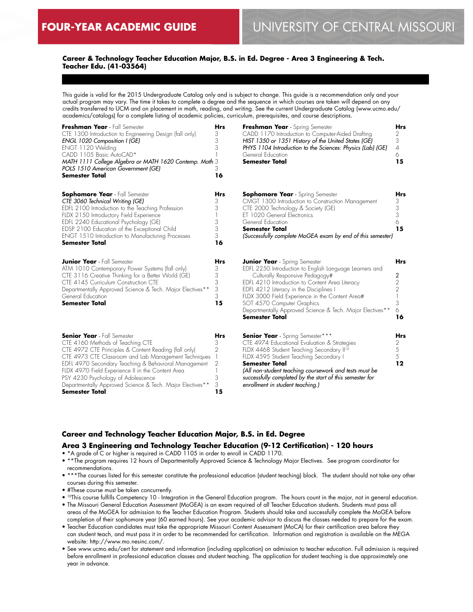## **Career & Technology Teacher Education Major, B.S. in Ed. Degree - Area 3 Engineering & Tech. Teacher Edu. (41-03564)**

This guide is valid for the 2015 Undergraduate Catalog only and is subject to change. This guide is a recommendation only and your actual program may vary. The time it takes to complete a degree and the sequence in which courses are taken will depend on any credits transferred to UCM and on placement in math, reading, and writing. See the current Undergraduate Catalog (www.ucmo.edu/ academics/catalogs) for a complete listing of academic policies, curriculum, prerequisites, and course descriptions.

| Freshman Year - Fall Semester<br>CTE 1300 Introduction to Engineering Design (fall only)<br>ENGL 1020 Composition I (GE)<br>ENGT 1120 Welding<br>CADD 1105 Basic AutoCAD*<br>MATH 1111 College Algebra or MATH 1620 Contemp. Math 3<br>POLS 1510 American Government (GE)<br><b>Semester Total</b>                                                                                                      | <b>Hrs</b><br>3<br>3<br>3<br>16           | Freshman Year - Spring Semester<br>CADD 1170 Introduction to Computer-Aided Drafting<br>HIST 1350 or 1351 History of the United States (GE)<br>PHYS 1104 Introduction to the Sciences: Physics (Lab) (GE)<br>General Education<br><b>Semester Total</b>                                                                                                                                                 | <b>Hrs</b><br>2.<br>3<br>$\overline{4}$<br>6<br>15     |
|---------------------------------------------------------------------------------------------------------------------------------------------------------------------------------------------------------------------------------------------------------------------------------------------------------------------------------------------------------------------------------------------------------|-------------------------------------------|---------------------------------------------------------------------------------------------------------------------------------------------------------------------------------------------------------------------------------------------------------------------------------------------------------------------------------------------------------------------------------------------------------|--------------------------------------------------------|
| <b>Sophomore Year</b> - Fall Semester<br>CTE 3060 Technical Writing (GE)<br>EDFL 2100 Introduction to the Teaching Profession<br>FLDX 2150 Introductory Field Experience<br>EDFL 2240 Educational Psychology (GE)<br>EDSP 2100 Education of the Exceptional Child<br><b>ENGT 1510 Introduction to Manufacturing Processes</b><br><b>Semester Total</b>                                                  | Hrs<br>3<br>3<br>3<br>3<br>3<br>16        | <b>Sophomore Year</b> - Spring Semester<br>CMGT 1300 Introduction to Construction Management<br>CTE 2000 Technology & Society (GE)<br>ET 1020 General Electronics<br>General Education<br><b>Semester Total</b><br>(Successfully complete MoGEA exam by end of this semester)                                                                                                                           | Hrs<br>3<br>3<br>3<br>6<br>15                          |
| <b>Junior Year</b> - Fall Semester<br>ATM 1010 Contemporary Power Systems (fall only)<br>CTE 3116 Creative Thinking for a Better World (GE)<br>CTE 4145 Curriculum Construction CTE<br>Departmentally Approved Science & Tech. Major Electives**<br>General Education<br><b>Semester Total</b>                                                                                                          | <b>Hrs</b><br>3<br>3<br>3<br>3<br>3<br>15 | <b>Junior Year</b> - Spring Semester<br>EDFL 2250 Introduction to English Language Learners and<br>Culturally Responsive Pedagogy#<br>EDFL 4210 Introduction to Content Area Literacy<br>EDFL 4212 Literacy in the Disciplines I<br>FLDX 3000 Field Experience in the Content Area#<br>SOT 4570 Computer Graphics<br>Departmentally Approved Science & Tech. Major Electives**<br><b>Semester Total</b> | <b>Hrs</b><br>2<br>2<br>$\overline{2}$<br>3<br>6<br>16 |
| <b>Senior Year</b> - Fall Semester<br>CTE 4160 Methods of Teaching CTE<br>CTE 4972 CTE Principles & Content Reading (fall only)<br>CTE 4973 CTE Classroom and Lab Management Techniques<br>EDFL 4970 Secondary Teaching & Behavioral Management<br>FLDX 4970 Field Experience II in the Content Area<br>PSY 4230 Psychology of Adolescence<br>Departmentally Approved Science & Tech. Major Electives** | Hrs<br>3<br>$\overline{2}$<br>2<br>3<br>3 | <b>Senior Year</b> - Spring Semester***<br>CTE 4974 Educational Evaluation & Strategies<br>FLDX 4468 Student Teaching Secondary II <sup>10</sup><br>FLDX 4595 Student Teaching Secondary I<br><b>Semester Total</b><br>(All non-student teaching coursework and tests must be<br>successfully completed by the start of this semester for<br>enrollment in student teaching.)                           | Hrs<br>2<br>5<br>5<br>12                               |

## **Career and Technology Teacher Education Major, B.S. in Ed. Degree**

### **Area 3 Engineering and Technology Teacher Education (9-12 Certification) - 120 hours**

**15**

## • \*A grade of C or higher is required in CADD 1105 in order to enroll in CADD 1170.

- \*\*The program requires 12 hours of Departmentally Approved Science & Technology Major Electives. See program coordinator for recommendations.
- \*\*\*The courses listed for this semester constitute the professional education (student teaching) block. The student should not take any other courses during this semester.
- #These course must be taken concurrently.

**Semester Total**

- <sup>10</sup>This course fulfills Competency 10 Integration in the General Education program. The hours count in the major, not in general education.
- The Missouri General Education Assessment (MoGEA) is an exam required of all Teacher Education students. Students must pass all areas of the MoGEA for admission to the Teacher Education Program. Students should take and successfully complete the MoGEA before completion of their sophomore year (60 earned hours). See your academic advisor to discuss the classes needed to prepare for the exam.
- Teacher Education candidates must take the appropriate Missouri Content Assessment (MoCA) for their certification area before they can student teach, and must pass it in order to be recommended for certification. Information and registration is available on the MEGA website: http://www.mo.nesinc.com/.
- See www.ucmo.edu/cert for statement and information (including application) on admission to teacher education. Full admission is required before enrollment in professional education classes and student teaching. The application for student teaching is due approximately one year in advance.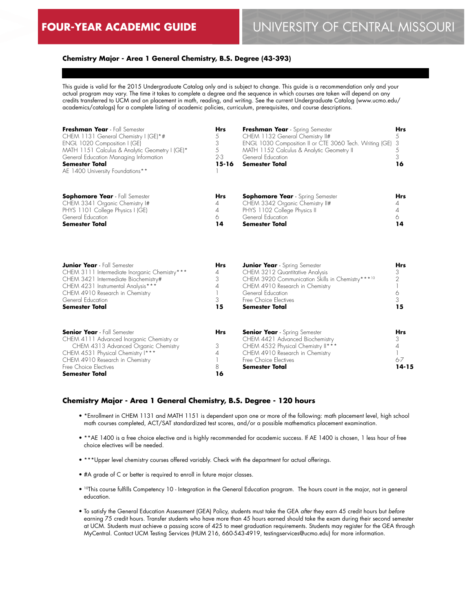## **Chemistry Major - Area 1 General Chemistry, B.S. Degree (43-393)**

This guide is valid for the 2015 Undergraduate Catalog only and is subject to change. This guide is a recommendation only and your actual program may vary. The time it takes to complete a degree and the sequence in which courses are taken will depend on any credits transferred to UCM and on placement in math, reading, and writing. See the current Undergraduate Catalog (www.ucmo.edu/ academics/catalogs) for a complete listing of academic policies, curriculum, prerequisites, and course descriptions.

| Freshman Year - Fall Semester<br>CHEM 1131 General Chemistry I (GE)*#<br>ENGL 1020 Composition I (GE)<br>MATH 1151 Calculus & Analytic Geometry I (GE)*<br>General Education Managing Information<br><b>Semester Total</b><br>AE 1400 University Foundations** | <b>Hrs</b><br>5<br>3<br>5<br>$2 - 3$<br>$15 - 16$ | Freshman Year - Spring Semester<br>CHEM 1132 General Chemistry II#<br>ENGL 1030 Composition II or CTE 3060 Tech. Writing (GE)<br>MATH 1152 Calculus & Analytic Geometry II<br>General Education<br><b>Semester Total</b>       | <b>Hrs</b><br>5<br>3<br>5<br>3<br>16         |
|----------------------------------------------------------------------------------------------------------------------------------------------------------------------------------------------------------------------------------------------------------------|---------------------------------------------------|--------------------------------------------------------------------------------------------------------------------------------------------------------------------------------------------------------------------------------|----------------------------------------------|
| <b>Sophomore Year</b> - Fall Semester<br>CHEM 3341 Organic Chemistry I#<br>PHYS 1101 College Physics I (GE)<br>General Education<br><b>Semester Total</b>                                                                                                      | <b>Hrs</b><br>4<br>4<br>6<br>14                   | <b>Sophomore Year</b> - Spring Semester<br>CHEM 3342 Organic Chemistry II#<br>PHYS 1102 College Physics II<br>General Education<br><b>Semester Total</b>                                                                       | <b>Hrs</b><br>4<br>4<br>6<br>14              |
| <b>Junior Year</b> - Fall Semester<br>CHEM 3111 Intermediate Inorganic Chemistry***<br>CHEM 3421 Intermediate Biochemistry#<br>CHEM 4231 Instrumental Analysis***<br>CHEM 4910 Research in Chemistry<br>General Education<br><b>Semester Total</b>             | <b>Hrs</b><br>4<br>3<br>4<br>3<br>15              | <b>Junior Year</b> - Spring Semester<br>CHEM 3212 Quantitative Analysis<br>CHEM 3920 Communication Skills in Chemistry***10<br>CHEM 4910 Research in Chemistry<br>General Education<br>Free Choice Electives<br>Semester Total | <b>Hrs</b><br>3<br>2<br>6<br>3<br>15         |
| <b>Senior Year</b> - Fall Semester<br>CHEM 4111 Advanced Inorganic Chemistry or<br>CHEM 4313 Advanced Organic Chemistry<br>CHEM 4531 Physical Chemistry I***<br>CHEM 4910 Research in Chemistry<br>Free Choice Electives<br><b>Semester Total</b>              | <b>Hrs</b><br>3<br>4<br>8<br>16                   | <b>Senior Year</b> - Spring Semester<br>CHEM 4421 Advanced Biochemistry<br>CHEM 4532 Physical Chemistry II***<br>CHEM 4910 Research in Chemistry<br>Free Choice Electives<br><b>Semester Total</b>                             | <b>Hrs</b><br>3<br>4<br>$6 - 7$<br>$14 - 15$ |

## **Chemistry Major - Area 1 General Chemistry, B.S. Degree - 120 hours**

- \*Enrollment in CHEM 1131 and MATH 1151 is dependent upon one or more of the following: math placement level, high school math courses completed, ACT/SAT standardized test scores, and/or a possible mathematics placement examination.
- \*\*AE 1400 is a free choice elective and is highly recommended for academic success. If AE 1400 is chosen, 1 less hour of free choice electives will be needed.
- \*\*\*Upper level chemistry courses offered variably. Check with the department for actual offerings.
- #A grade of C or better is required to enroll in future major classes.
- 10This course fulfills Competency 10 Integration in the General Education program. The hours count in the major, not in general education.
- To satisfy the General Education Assessment (GEA) Policy, students must take the GEA *after* they earn 45 credit hours but *before* earning 75 credit hours. Transfer students who have more than 45 hours earned should take the exam during their second semester at UCM. Students must achieve a passing score of 425 to meet graduation requirements. Students may register for the GEA through MyCentral. Contact UCM Testing Services (HUM 216, 660-543-4919, testingservices@ucmo.edu) for more information.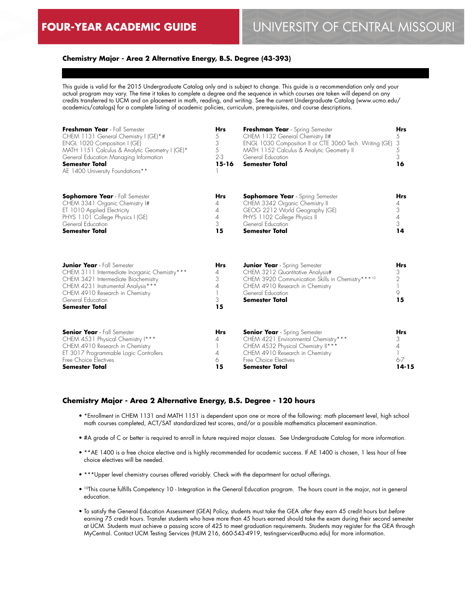## **Chemistry Major - Area 2 Alternative Energy, B.S. Degree (43-393)**

This guide is valid for the 2015 Undergraduate Catalog only and is subject to change. This guide is a recommendation only and your actual program may vary. The time it takes to complete a degree and the sequence in which courses are taken will depend on any credits transferred to UCM and on placement in math, reading, and writing. See the current Undergraduate Catalog (www.ucmo.edu/ academics/catalogs) for a complete listing of academic policies, curriculum, prerequisites, and course descriptions.

| Freshman Year - Fall Semester<br>CHEM 1131 General Chemistry I (GE)*#<br>ENGL 1020 Composition I (GE)<br>MATH 1151 Calculus & Analytic Geometry I (GE)*<br>General Education Managing Information<br><b>Semester Total</b><br>AE 1400 University Foundations** | Hrs<br>5<br>3<br>5<br>$2-3$<br>$15 - 16$ | Freshman Year - Spring Semester<br>CHEM 1132 General Chemistry II#<br>ENGL 1030 Composition II or CTE 3060 Tech. Writing (GE)<br>MATH 1152 Calculus & Analytic Geometry II<br>General Education<br><b>Semester Total</b> | <b>Hrs</b><br>5<br>3<br>5<br>3<br>16          |
|----------------------------------------------------------------------------------------------------------------------------------------------------------------------------------------------------------------------------------------------------------------|------------------------------------------|--------------------------------------------------------------------------------------------------------------------------------------------------------------------------------------------------------------------------|-----------------------------------------------|
| <b>Sophomore Year</b> - Fall Semester<br>CHEM 3341 Organic Chemistry I#<br>ET 1010 Applied Electricity<br>PHYS 1101 College Physics I (GE)<br>General Education<br><b>Semester Total</b>                                                                       | <b>Hrs</b><br>4<br>4<br>4<br>3<br>15     | <b>Sophomore Year</b> - Spring Semester<br>CHEM 3342 Organic Chemistry II<br>GEOG 2212 World Geography (GE)<br>PHYS 1102 College Physics II<br>General Education<br><b>Semester Total</b>                                | <b>Hrs</b><br>4<br>3<br>$\sqrt{4}$<br>3<br>14 |
| <b>Junior Year</b> - Fall Semester<br>CHEM 3111 Intermediate Inorganic Chemistry***<br>CHEM 3421 Intermediate Biochemistry<br>CHEM 4231 Instrumental Analysis***<br>CHEM 4910 Research in Chemistry<br>General Education<br><b>Semester Total</b>              | <b>Hrs</b><br>4<br>3<br>4<br>3<br>15     | <b>Junior Year</b> - Spring Semester<br>CHEM 3212 Quantitative Analysis#<br>CHEM 3920 Communication Skills in Chemistry***10<br>CHEM 4910 Research in Chemistry<br>General Education<br><b>Semester Total</b>            | <b>Hrs</b><br>3<br>2<br>9<br>15               |
| <b>Senior Year</b> - Fall Semester<br>CHEM 4531 Physical Chemistry I***<br>CHEM 4910 Research in Chemistry<br>ET 3017 Programmable Logic Controllers<br>Free Choice Electives<br><b>Semester Total</b>                                                         | <b>Hrs</b><br>4<br>4<br>6<br>15          | <b>Senior Year</b> - Spring Semester<br>CHEM 4221 Environmental Chemistry***<br>CHEM 4532 Physical Chemistry II***<br>CHEM 4910 Research in Chemistry<br>Free Choice Electives<br><b>Semester Total</b>                  | Hrs<br>3<br>4<br>$6 - 7$<br>14-15             |

#### **Chemistry Major - Area 2 Alternative Energy, B.S. Degree - 120 hours**

- \*Enrollment in CHEM 1131 and MATH 1151 is dependent upon one or more of the following: math placement level, high school math courses completed, ACT/SAT standardized test scores, and/or a possible mathematics placement examination.
- #A grade of C or better is required to enroll in future required major classes. See Undergraduate Catalog for more information.
- \*\*AE 1400 is a free choice elective and is highly recommended for academic success. If AE 1400 is chosen, 1 less hour of free choice electives will be needed.
- \*\*\*Upper level chemistry courses offered variably. Check with the department for actual offerings.
- 10This course fulfills Competency 10 Integration in the General Education program. The hours count in the major, not in general education.
- To satisfy the General Education Assessment (GEA) Policy, students must take the GEA *after* they earn 45 credit hours but *before* earning 75 credit hours. Transfer students who have more than 45 hours earned should take the exam during their second semester at UCM. Students must achieve a passing score of 425 to meet graduation requirements. Students may register for the GEA through MyCentral. Contact UCM Testing Services (HUM 216, 660-543-4919, testingservices@ucmo.edu) for more information.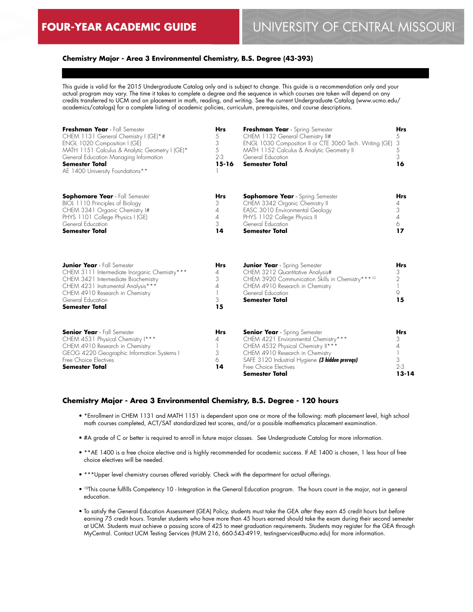## **Chemistry Major - Area 3 Environmental Chemistry, B.S. Degree (43-393)**

This guide is valid for the 2015 Undergraduate Catalog only and is subject to change. This guide is a recommendation only and your actual program may vary. The time it takes to complete a degree and the sequence in which courses are taken will depend on any credits transferred to UCM and on placement in math, reading, and writing. See the current Undergraduate Catalog (www.ucmo.edu/ academics/catalogs) for a complete listing of academic policies, curriculum, prerequisites, and course descriptions.

| Freshman Year - Fall Semester<br>CHEM 1131 General Chemistry I (GE)*#<br>ENGL 1020 Composition I (GE)<br>MATH 1151 Calculus & Analytic Geometry I (GE)*<br>General Education Managing Information<br><b>Semester Total</b><br>AE 1400 University Foundations** | Hrs<br>5<br>3<br>5<br>$2 - 3$<br>$15 - 16$ | Freshman Year - Spring Semester<br>CHEM 1132 General Chemistry II#<br>ENGL 1030 Composition II or CTE 3060 Tech. Writing (GE)<br>MATH 1152 Calculus & Analytic Geometry II<br>General Education<br><b>Semester Total</b>                                   | <b>Hrs</b><br>5<br>3<br>5<br>3<br>16       |
|----------------------------------------------------------------------------------------------------------------------------------------------------------------------------------------------------------------------------------------------------------------|--------------------------------------------|------------------------------------------------------------------------------------------------------------------------------------------------------------------------------------------------------------------------------------------------------------|--------------------------------------------|
| <b>Sophomore Year</b> - Fall Semester<br>BIOL 1110 Principles of Biology<br>CHEM 3341 Organic Chemistry I#<br>PHYS 1101 College Physics I (GE)<br>General Education<br><b>Semester Total</b>                                                                   | Hrs<br>3<br>4<br>4<br>3<br>14              | <b>Sophomore Year</b> - Spring Semester<br>CHEM 3342 Organic Chemistry II<br>EASC 3010 Environmental Geology<br>PHYS 1102 College Physics II<br>General Education<br><b>Semester Total</b>                                                                 | Hrs<br>4<br>3<br>$\overline{A}$<br>6<br>17 |
| <b>Junior Year</b> - Fall Semester<br>CHEM 3111 Intermediate Inorganic Chemistry***<br>CHEM 3421 Intermediate Biochemistry<br>CHEM 4231 Instrumental Analysis***<br>CHEM 4910 Research in Chemistry<br>General Education<br><b>Semester Total</b>              | <b>Hrs</b><br>4<br>3<br>4<br>3<br>15       | <b>Junior Year</b> - Spring Semester<br>CHEM 3212 Quantitative Analysis#<br>CHEM 3920 Communication Skills in Chemistry***10<br>CHEM 4910 Research in Chemistry<br>General Education<br><b>Semester Total</b>                                              | <b>Hrs</b><br>3<br>2<br>9<br>15            |
| <b>Senior Year</b> - Fall Semester<br>CHEM 4531 Physical Chemistry I***<br>CHEM 4910 Research in Chemistry<br>GEOG 4220 Geographic Information Systems I<br>Free Choice Electives<br>Semester Total                                                            | <b>Hrs</b><br>4<br>3<br>6<br>14            | <b>Senior Year</b> - Spring Semester<br>CHEM 4221 Environmental Chemistry***<br>CHEM 4532 Physical Chemistry II***<br>CHEM 4910 Research in Chemistry<br>SAFE 3120 Industrial Hygiene (3 hidden prereqs)<br>Free Choice Flectives<br><b>Semester Total</b> | Hrs<br>3<br>4<br>3<br>$2 - 3$<br>$13 - 14$ |

#### **Chemistry Major - Area 3 Environmental Chemistry, B.S. Degree - 120 hours**

- \*Enrollment in CHEM 1131 and MATH 1151 is dependent upon one or more of the following: math placement level, high school math courses completed, ACT/SAT standardized test scores, and/or a possible mathematics placement examination.
- #A grade of C or better is required to enroll in future major classes. See Undergraduate Catalog for more information.
- \*\*AE 1400 is a free choice elective and is highly recommended for academic success. If AE 1400 is chosen, 1 less hour of free choice electives will be needed.
- \*\*\*Upper level chemistry courses offered variably. Check with the department for actual offerings.
- 10This course fulfills Competency 10 Integration in the General Education program. The hours count in the major, not in general education.
- To satisfy the General Education Assessment (GEA) Policy, students must take the GEA *after* they earn 45 credit hours but *before* earning 75 credit hours. Transfer students who have more than 45 hours earned should take the exam during their second semester at UCM. Students must achieve a passing score of 425 to meet graduation requirements. Students may register for the GEA through MyCentral. Contact UCM Testing Services (HUM 216, 660-543-4919, testingservices@ucmo.edu) for more information.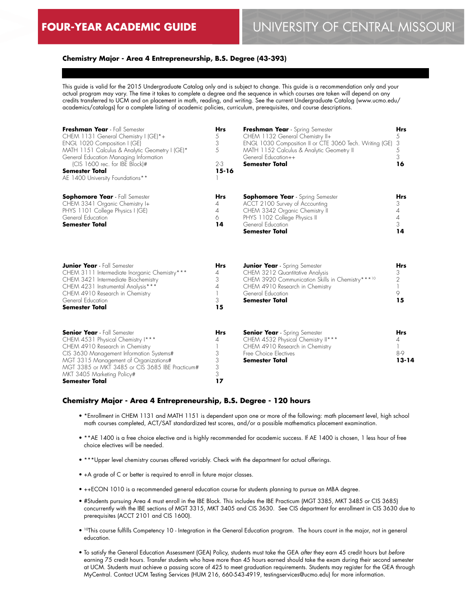## **Chemistry Major - Area 4 Entrepreneurship, B.S. Degree (43-393)**

This guide is valid for the 2015 Undergraduate Catalog only and is subject to change. This guide is a recommendation only and your actual program may vary. The time it takes to complete a degree and the sequence in which courses are taken will depend on any credits transferred to UCM and on placement in math, reading, and writing. See the current Undergraduate Catalog (www.ucmo.edu/ academics/catalogs) for a complete listing of academic policies, curriculum, prerequisites, and course descriptions.

| Freshman Year - Fall Semester<br>CHEM 1131 General Chemistry I (GE)*+<br>ENGL 1020 Composition I (GE)<br>MATH 1151 Calculus & Analytic Geometry I (GE)*<br>General Education Managing Information<br>(CIS 1600 rec. for IBE Block)#<br><b>Semester Total</b><br>AE 1400 University Foundations**   | Hrs<br>5<br>3<br>5<br>$2 - 3$<br>$15 - 16$ | Freshman Year - Spring Semester<br>CHEM 1132 General Chemistry II+<br>ENGL 1030 Composition II or CTE 3060 Tech. Writing (GE)<br>MATH 1152 Calculus & Analytic Geometry II<br>General Education++<br><b>Semester Total</b> | <b>Hrs</b><br>5<br>3<br>5<br>3<br>16                           |
|----------------------------------------------------------------------------------------------------------------------------------------------------------------------------------------------------------------------------------------------------------------------------------------------------|--------------------------------------------|----------------------------------------------------------------------------------------------------------------------------------------------------------------------------------------------------------------------------|----------------------------------------------------------------|
| <b>Sophomore Year</b> - Fall Semester<br>CHEM 3341 Organic Chemistry I+<br>PHYS 1101 College Physics I (GE)<br>General Education<br><b>Semester Total</b>                                                                                                                                          | <b>Hrs</b><br>4<br>4<br>6<br>14            | <b>Sophomore Year</b> - Spring Semester<br>ACCT 2100 Survey of Accounting<br>CHEM 3342 Organic Chemistry II<br>PHYS 1102 College Physics II<br>General Education<br><b>Semester Total</b>                                  | <b>Hrs</b><br>3<br>$\overline{4}$<br>$\overline{4}$<br>3<br>14 |
| <b>Junior Year</b> - Fall Semester<br>CHEM 3111 Intermediate Inorganic Chemistry***<br>CHEM 3421 Intermediate Biochemistry<br>CHEM 4231 Instrumental Analysis***<br>CHEM 4910 Research in Chemistry<br>General Education<br><b>Semester Total</b>                                                  | <b>Hrs</b><br>4<br>3<br>4<br>3<br>15       | <b>Junior Year</b> - Spring Semester<br>CHEM 3212 Quantitative Analysis<br>CHEM 3920 Communication Skills in Chemistry***10<br>CHEM 4910 Research in Chemistry<br>General Education<br><b>Semester Total</b>               | <b>Hrs</b><br>3<br>2<br>9<br>15                                |
| <b>Senior Year</b> - Fall Semester<br>CHEM 4531 Physical Chemistry I***<br>CHEM 4910 Research in Chemistry<br>CIS 3630 Management Information Systems#<br>MGT 3315 Management of Organizations#<br>MGT 3385 or MKT 3485 or CIS 3685 IBE Practicum#<br>MKT 3405 Marketing Policy#<br>Semester Total | <b>Hrs</b><br>4<br>3<br>3<br>3<br>3<br>17  | <b>Senior Year</b> - Spring Semester<br>CHEM 4532 Physical Chemistry II***<br>CHEM 4910 Research in Chemistry<br>Free Choice Electives<br><b>Semester Total</b>                                                            | <b>Hrs</b><br>4<br>8-9<br>$13 - 14$                            |

#### **Chemistry Major - Area 4 Entrepreneurship, B.S. Degree - 120 hours**

- \*Enrollment in CHEM 1131 and MATH 1151 is dependent upon one or more of the following: math placement level, high school math courses completed, ACT/SAT standardized test scores, and/or a possible mathematics placement examination.
- \*\*AE 1400 is a free choice elective and is highly recommended for academic success. If AE 1400 is chosen, 1 less hour of free choice electives will be needed.
- \*\*\*Upper level chemistry courses offered variably. Check with the department for actual offerings.
- +A grade of C or better is required to enroll in future major classes.
- ++ECON 1010 is a recommended general education course for students planning to pursue an MBA degree.
- #Students pursuing Area 4 must enroll in the IBE Block. This includes the IBE Practicum (MGT 3385, MKT 3485 or CIS 3685) concurrently with the IBE sections of MGT 3315, MKT 3405 and CIS 3630. See CIS department for enrollment in CIS 3630 due to prerequisites (ACCT 2101 and CIS 1600).
- <sup>10</sup>This course fulfills Competency 10 Integration in the General Education program. The hours count in the major, not in general education.
- To satisfy the General Education Assessment (GEA) Policy, students must take the GEA *after* they earn 45 credit hours but *before* earning 75 credit hours. Transfer students who have more than 45 hours earned should take the exam during their second semester at UCM. Students must achieve a passing score of 425 to meet graduation requirements. Students may register for the GEA through MyCentral. Contact UCM Testing Services (HUM 216, 660-543-4919, testingservices@ucmo.edu) for more information.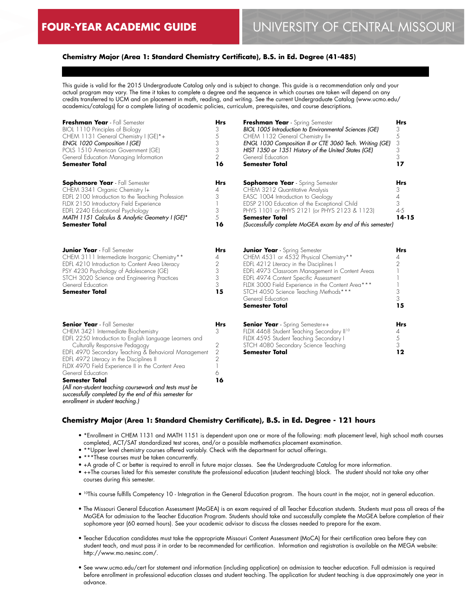## **Chemistry Major (Area 1: Standard Chemistry Certificate), B.S. in Ed. Degree (41-485)**

This guide is valid for the 2015 Undergraduate Catalog only and is subject to change. This guide is a recommendation only and your actual program may vary. The time it takes to complete a degree and the sequence in which courses are taken will depend on any credits transferred to UCM and on placement in math, reading, and writing. See the current Undergraduate Catalog (www.ucmo.edu/ academics/catalogs) for a complete listing of academic policies, curriculum, prerequisites, and course descriptions.

| Freshman Year - Fall Semester<br>BIOL 1110 Principles of Biology<br>CHEM 1131 General Chemistry I (GE)*+<br>ENGL 1020 Composition I (GE)<br>POLS 1510 American Government (GE)<br>General Education Managing Information<br><b>Semester Total</b>                                                                                                                                                                                                                                                                                     | <b>Hrs</b><br>3<br>5<br>3<br>3<br>2<br>16              | Freshman Year - Spring Semester<br>BIOL 1005 Introduction to Environmental Sciences (GE)<br>CHEM 1132 General Chemistry II+<br>ENGL 1030 Composition II or CTE 3060 Tech. Writing (GE)<br>HIST 1350 or 1351 History of the United States (GE)<br>General Education<br><b>Semester Total</b>                                                                       | <b>Hrs</b><br>3<br>5<br>3<br>3<br>3<br>17              |
|---------------------------------------------------------------------------------------------------------------------------------------------------------------------------------------------------------------------------------------------------------------------------------------------------------------------------------------------------------------------------------------------------------------------------------------------------------------------------------------------------------------------------------------|--------------------------------------------------------|-------------------------------------------------------------------------------------------------------------------------------------------------------------------------------------------------------------------------------------------------------------------------------------------------------------------------------------------------------------------|--------------------------------------------------------|
| <b>Sophomore Year</b> - Fall Semester<br>CHEM 3341 Organic Chemistry I+<br>EDFL 2100 Introduction to the Teaching Profession<br>FLDX 2150 Introductory Field Experience<br>EDFL 2240 Educational Psychology<br>MATH 1151 Calculus & Analytic Geometry I (GE)*<br><b>Semester Total</b>                                                                                                                                                                                                                                                | <b>Hrs</b><br>4<br>3<br>3<br>5<br>16                   | <b>Sophomore Year</b> - Spring Semester<br>CHEM 3212 Quantitative Analysis<br>EASC 1004 Introduction to Geology<br>EDSP 2100 Education of the Exceptional Child<br>PHYS 1101 or PHYS 2121 (or PHYS 2123 & 1123)<br><b>Semester Total</b><br>(Successfully complete MoGEA exam by end of this semester)                                                            | Hrs<br>3<br>4<br>3<br>$4 - 5$<br>$14 - 15$             |
| <b>Junior Year</b> - Fall Semester<br>CHEM 3111 Intermediate Inorganic Chemistry**<br>EDFL 4210 Introduction to Content Area Literacy<br>PSY 4230 Psychology of Adolescence (GE)<br>STCH 3020 Science and Engineering Practices<br>General Education<br><b>Semester Total</b>                                                                                                                                                                                                                                                         | <b>Hrs</b><br>4<br>2<br>3<br>3<br>3<br>15              | <b>Junior Year</b> - Spring Semester<br>CHEM 4531 or 4532 Physical Chemistry**<br>EDFL 4212 Literacy in the Disciplines I<br>EDFL 4973 Classroom Management in Content Areas<br>EDFL 4974 Content Specific Assessment<br>FLDX 3000 Field Experience in the Content Area***<br>STCH 4050 Science Teaching Methods***<br>General Education<br><b>Semester Total</b> | <b>Hrs</b><br>4<br>$\overline{2}$<br>1<br>3<br>3<br>15 |
| <b>Senior Year</b> - Fall Semester<br>CHEM 3421 Intermediate Biochemistry<br>EDFL 2250 Introduction to English Language Learners and<br>Culturally Responsive Pedagogy<br>EDFL 4970 Secondary Teaching & Behavioral Management<br>EDFL 4972 Literacy in the Disciplines II<br>FLDX 4970 Field Experience II in the Content Area<br>General Education<br><b>Semester Total</b><br>(All non-student teaching coursework and tests must be<br>successfully completed by the end of this semester for<br>enrollment in student teaching.) | <b>Hrs</b><br>3<br>2<br>2<br>$\overline{2}$<br>6<br>16 | <b>Senior Year</b> - Spring Semester++<br>FLDX 4468 Student Teaching Secondary II <sup>10</sup><br>FLDX 4595 Student Teaching Secondary I<br>STCH 4080 Secondary Science Teaching<br><b>Semester Total</b>                                                                                                                                                        | <b>Hrs</b><br>4<br>$\sqrt{5}$<br>3<br>12               |

## **Chemistry Major (Area 1: Standard Chemistry Certificate), B.S. in Ed. Degree - 121 hours**

- \*Enrollment in CHEM 1131 and MATH 1151 is dependent upon one or more of the following: math placement level, high school math courses completed, ACT/SAT standardized test scores, and/or a possible mathematics placement examination.
- \*\*Upper level chemistry courses offered variably. Check with the department for actual offerings.
- \*\*\*These courses must be taken concurrently.
- +A grade of C or better is required to enroll in future major classes. See the Undergraduate Catalog for more information.
- ++The courses listed for this semester constitute the professional education (student teaching) block. The student should not take any other courses during this semester.

• 10This course fulfills Competency 10 - Integration in the General Education program. The hours count in the major, not in general education.

- The Missouri General Education Assessment (MoGEA) is an exam required of all Teacher Education students. Students must pass all areas of the MoGEA for admission to the Teacher Education Program. Students should take and successfully complete the MoGEA before completion of their sophomore year (60 earned hours). See your academic advisor to discuss the classes needed to prepare for the exam.
- Teacher Education candidates must take the appropriate Missouri Content Assessment (MoCA) for their certification area before they can student teach, and must pass it in order to be recommended for certification. Information and registration is available on the MEGA website: http://www.mo.nesinc.com/.
- See www.ucmo.edu/cert for statement and information (including application) on admission to teacher education. Full admission is required before enrollment in professional education classes and student teaching. The application for student teaching is due approximately one year in advance.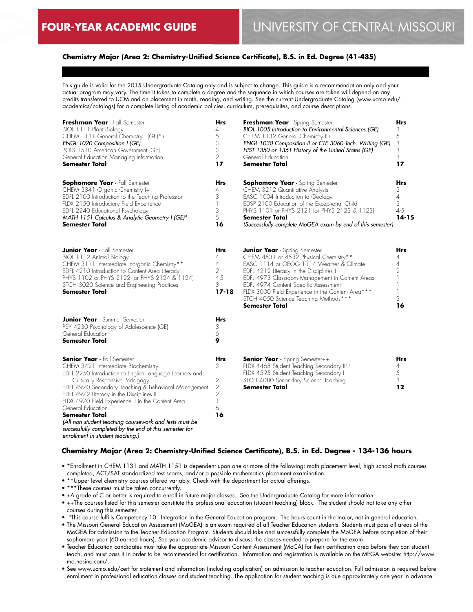## **Chemistry Major (Area 2: Chemistry-Unified Science Certificate), B.S. in Ed. Degree (41-485)**

This guide is valid for the 2015 Undergraduate Catalog only and is subject to change. This guide is a recommendation only and your actual program may vary. The time it takes to complete a degree and the sequence in which courses are taken will depend on any credits transferred to UCM and on placement in math, reading, and writing. See the current Undergraduate Catalog (www.ucmo.edu/ academics/catalogs) for a complete listing of academic policies, curriculum, prerequisites, and course descriptions.

| Freshman Year - Fall Semester<br>BIOL 1111 Plant Biology<br>CHEM 1131 General Chemistry I (GE)*+<br>ENGL 1020 Composition I (GE)<br>POLS 1510 American Government (GE)<br>General Education Managing Information<br>Semester Total                                                                                                                                                                                                                                                                                             | Hrs<br>4<br>5<br>3<br>3<br>$\overline{2}$<br>17               | Freshman Year - Spring Semester<br>BIOL 1005 Introduction to Environmental Sciences (GE)<br>CHEM 1132 General Chemistry II+<br>ENGL 1030 Composition II or CTE 3060 Tech. Writing (GE)<br>HIST 1350 or 1351 History of the United States (GE)<br>General Education<br><b>Semester Total</b>                                                                                              | <b>Hrs</b><br>3<br>5<br>3<br>3<br>3<br>17  |
|--------------------------------------------------------------------------------------------------------------------------------------------------------------------------------------------------------------------------------------------------------------------------------------------------------------------------------------------------------------------------------------------------------------------------------------------------------------------------------------------------------------------------------|---------------------------------------------------------------|------------------------------------------------------------------------------------------------------------------------------------------------------------------------------------------------------------------------------------------------------------------------------------------------------------------------------------------------------------------------------------------|--------------------------------------------|
| <b>Sophomore Year</b> - Fall Semester<br>CHEM 3341 Organic Chemistry I+<br>EDFL 2100 Introduction to the Teaching Profession<br>FLDX 2150 Introductory Field Experience<br>EDFL 2240 Educational Psychology<br>MATH 1151 Calculus & Analytic Geometry I (GE)*<br>Semester Total                                                                                                                                                                                                                                                | Hrs<br>4<br>3<br>1<br>3<br>5<br>16                            | <b>Sophomore Year</b> - Spring Semester<br>CHEM 3212 Quantitative Analysis<br>EASC 1004 Introduction to Geology<br>EDSP 2100 Education of the Exceptional Child<br>PHYS 1101 or PHYS 2121 (or PHYS 2123 & 1123)<br><b>Semester Total</b><br>(Successfully complete MoGEA exam by end of this semester)                                                                                   | Hrs<br>3<br>4<br>3<br>$4 - 5$<br>$14 - 15$ |
| <b>Junior Year</b> - Fall Semester<br>BIOL 1112 Animal Biology<br>CHEM 3111 Intermediate Inorganic Chemistry**<br>EDFL 4210 Introduction to Content Area Literacy<br>PHYS 1102 or PHYS 2122 (or PHYS 2124 & 1124)<br>STCH 3020 Science and Engineering Practices<br><b>Semester Total</b>                                                                                                                                                                                                                                      | Hrs<br>4<br>4<br>$\overline{2}$<br>$4 - 5$<br>3<br>$17 - 18$  | <b>Junior Year</b> - Spring Semester<br>CHEM 4531 or 4532 Physical Chemistry**<br>EASC 1114 or GEOG 1114 Weather & Climate<br>EDFL 4212 Literacy in the Disciplines I<br>EDFL 4973 Classroom Management in Content Areas<br>EDFL 4974 Content Specific Assessment<br>FLDX 3000 Field Experience in the Content Area***<br>STCH 4050 Science Teaching Methods***<br><b>Semester Total</b> | Hrs<br>4<br>$\overline{4}$<br>2<br>3<br>16 |
| <b>Junior Year</b> - Summer Semester<br>PSY 4230 Psychology of Adolescence (GE)<br>General Education<br>Semester Total                                                                                                                                                                                                                                                                                                                                                                                                         | Hrs<br>3<br>6<br>9                                            |                                                                                                                                                                                                                                                                                                                                                                                          |                                            |
| <b>Senior Year</b> - Fall Semester<br>CHEM 3421 Intermediate Biochemistry<br>EDFL 2250 Introduction to English Language Learners and<br>Culturally Responsive Pedagogy<br>EDFL 4970 Secondary Teaching & Behavioral Management<br>EDFL 4972 Literacy in the Disciplines II<br>FLDX 4970 Field Experience II in the Content Area<br>General Education<br>Semester Total<br>(All non-student teaching coursework and tests must be<br>successfully completed by the end of this semester for<br>enrollment in student teaching.) | Hrs<br>3<br>2<br>$\sqrt{2}$<br>$\overline{2}$<br>1<br>6<br>16 | <b>Senior Year</b> - Spring Semester++<br>FLDX 4468 Student Teaching Secondary II <sup>10</sup><br>FLDX 4595 Student Teaching Secondary I<br>STCH 4080 Secondary Science Teaching<br>Semester Total                                                                                                                                                                                      | Hrs<br>4<br>5<br>3<br>12                   |

## **Chemistry Major (Area 2: Chemistry-Unified Science Certificate), B.S. in Ed. Degree - 134-136 hours**

- \*Enrollment in CHEM 1131 and MATH 1151 is dependent upon one or more of the following: math placement level, high school math courses completed, ACT/SAT standardized test scores, and/or a possible mathematics placement examination.
- \*\*Upper level chemistry courses offered variably. Check with the department for actual offerings.
- \*\*\*These courses must be taken concurrently.
- +A grade of C or better is required to enroll in future major classes. See the Undergraduate Catalog for more information.
- ++The courses listed for this semester constitute the professional education (student teaching) block. The student should not take any other courses during this semester.
- 10This course fulfills Competency 10 Integration in the General Education program. The hours count in the major, not in general education.
- The Missouri General Education Assessment (MoGEA) is an exam required of all Teacher Education students. Students must pass all areas of the MoGEA for admission to the Teacher Education Program. Students should take and successfully complete the MoGEA before completion of their sophomore year (60 earned hours). See your academic advisor to discuss the classes needed to prepare for the exam.
- Teacher Education candidates must take the appropriate Missouri Content Assessment (MoCA) for their certification area before they can student teach, and must pass it in order to be recommended for certification. Information and registration is available on the MEGA website: http://www. mo.nesinc.com/.
- See www.ucmo.edu/cert for statement and information (including application) on admission to teacher education. Full admission is required before enrollment in professional education classes and student teaching. The application for student teaching is due approximately one year in advance.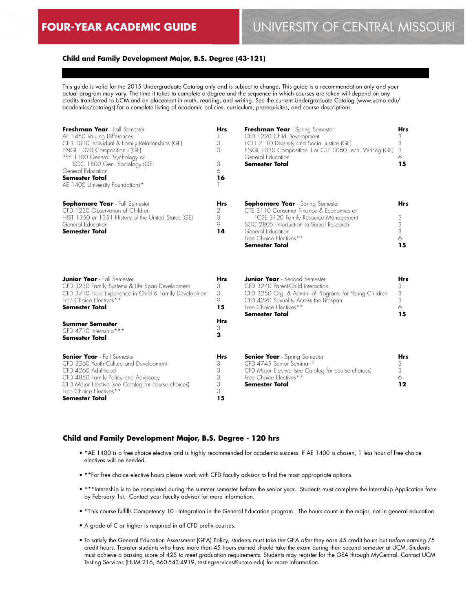# **FOUR-YEAR ACADEMIC GUIDE** UNIVERSITY OF CENTRAL MISSOURI

### **Child and Family Development Major, B.S. Degree (43-121)**

This guide is valid for the 2015 Undergraduate Catalog only and is subject to change. This guide is a recommendation only and your actual program may vary. The time it takes to complete a degree and the sequence in which courses are taken will depend on any credits transferred to UCM and on placement in math, reading, and writing. See the current Undergraduate Catalog (www.ucmo.edu/ academics/catalogs) for a complete listing of academic policies, curriculum, prerequisites, and course descriptions.

| Freshman Year - Fall Semester<br>AE 1450 Valuing Differences<br>CFD 1010 Individual & Family Relationships (GE)<br>ENGL 1020 Composition I (GE)<br>PSY 1100 General Psychology or<br>SOC 1800 Gen. Sociology (GE)<br>General Education<br><b>Semester Total</b><br>AE 1400 University Foundations* | <b>Hrs</b><br>3<br>3<br>3<br>6<br>16      | Freshman Year - Spring Semester<br>CFD 1220 Child Development<br>ECEL 2110 Diversity and Social Justice (GE)<br>ENGL 1030 Composition II or CTE 3060 Tech. Writing (GE)<br>General Education<br><b>Semester Total</b>                            | <b>Hrs</b><br>3<br>3<br>3<br>6<br>15 |
|----------------------------------------------------------------------------------------------------------------------------------------------------------------------------------------------------------------------------------------------------------------------------------------------------|-------------------------------------------|--------------------------------------------------------------------------------------------------------------------------------------------------------------------------------------------------------------------------------------------------|--------------------------------------|
| <b>Sophomore Year</b> - Fall Semester<br>CFD 1230 Observation of Children<br>HIST 1350 or 1351 History of the United States (GE)<br>General Education<br><b>Semester Total</b>                                                                                                                     | <b>Hrs</b><br>2<br>3<br>9<br>14           | <b>Sophomore Year</b> - Spring Semester<br>CTE 3110 Consumer Finance & Economics or<br>FCSE 3120 Family Resource Management<br>SOC 2805 Introduction to Social Research<br>General Education<br>Free Choice Electives**<br><b>Semester Total</b> | <b>Hrs</b><br>3<br>3<br>3<br>6<br>15 |
| <b>Junior Year</b> - Fall Semester<br>CFD 3230 Family Systems & Life Span Development<br>CFD 3710 Field Experience in Child & Family Development<br>Free Choice Electives**<br><b>Semester Total</b>                                                                                               | <b>Hrs</b><br>3<br>3<br>9<br>15           | <b>Junior Year</b> - Second Semester<br>CFD 3240 Parent-Child Interaction<br>CFD 3250 Org. & Admin. of Programs for Young Children<br>CFD 4220 Sexuality Across the Lifespan<br>Free Choice Electives**<br><b>Semester Total</b>                 | Hrs<br>3<br>3<br>3<br>6<br>15        |
| <b>Summer Semester</b><br>CFD 4710 Internship***<br><b>Semester Total</b>                                                                                                                                                                                                                          | <b>Hrs</b><br>3<br>3                      |                                                                                                                                                                                                                                                  |                                      |
| <b>Senior Year</b> - Fall Semester<br>CFD 3260 Youth Culture and Development<br>CFD 4260 Adulthood<br>CFD 4850 Family Policy and Advocacy<br>CFD Major Elective (see Catalog for course choices)<br>Free Choice Electives**<br><b>Semester Total</b>                                               | <b>Hrs</b><br>3<br>3<br>3<br>3<br>3<br>15 | <b>Senior Year</b> - Spring Semester<br>CFD 4745 Senior Seminar <sup>10</sup><br>CFD Major Elective (see Catalog for course choices)<br>Free Choice Electives**<br><b>Semester Total</b>                                                         | <b>Hrs</b><br>3<br>3<br>6<br>12      |

#### **Child and Family Development Major, B.S. Degree - 120 hrs**

- \*AE 1400 is a free choice elective and is highly recommended for academic success. If AE 1400 is chosen, 1 less hour of free choice electives will be needed.
- \*\*For free choice elective hours please work with CFD faculty advisor to find the most appropriate options.
- \*\*\*Internship is to be completed during the summer semester before the senior year. Students must complete the Internship Application form by February 1st. Contact your faculty advisor for more information.
- 10This course fulfills Competency 10 Integration in the General Education program. The hours count in the major, not in general education.
- A grade of C or higher is required in all CFD prefix courses.
- To satisfy the General Education Assessment (GEA) Policy, students must take the GEA *after* they earn 45 credit hours but *before* earning 75 credit hours. Transfer students who have more than 45 hours earned should take the exam during their second semester at UCM. Students must achieve a passing score of 425 to meet graduation requirements. Students may register for the GEA through MyCentral. Contact UCM Testing Services (HUM 216, 660-543-4919, testingservices@ucmo.edu) for more information.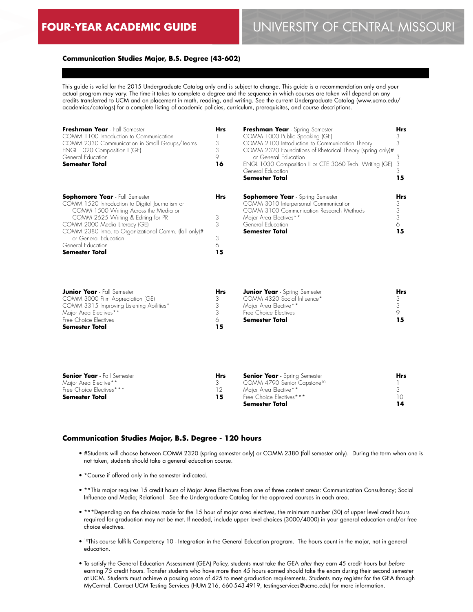# **FOUR-YEAR ACADEMIC GUIDE** UNIVERSITY OF CENTRAL MISSOURI

## **Communication Studies Major, B.S. Degree (43-602)**

This guide is valid for the 2015 Undergraduate Catalog only and is subject to change. This guide is a recommendation only and your actual program may vary. The time it takes to complete a degree and the sequence in which courses are taken will depend on any credits transferred to UCM and on placement in math, reading, and writing. See the current Undergraduate Catalog (www.ucmo.edu/ academics/catalogs) for a complete listing of academic policies, curriculum, prerequisites, and course descriptions.

| Freshman Year - Fall Semester<br>COMM 1100 Introduction to Communication<br>COMM 2330 Communication in Small Groups/Teams<br>ENGL 1020 Composition I (GE)<br>General Education<br><b>Semester Total</b>                                                                                                                                 | <b>Hrs</b><br>3<br>3<br>9<br>16 | Freshman Year - Spring Semester<br>COMM 1000 Public Speaking (GE)<br>COMM 2100 Introduction to Communication Theory<br>COMM 2320 Foundations of Rhetorical Theory (spring only)#<br>or General Education<br>ENGL 1030 Composition II or CTE 3060 Tech. Writing (GE)<br>General Education<br><b>Semester Total</b> | <b>Hrs</b><br>3<br>15 |
|-----------------------------------------------------------------------------------------------------------------------------------------------------------------------------------------------------------------------------------------------------------------------------------------------------------------------------------------|---------------------------------|-------------------------------------------------------------------------------------------------------------------------------------------------------------------------------------------------------------------------------------------------------------------------------------------------------------------|-----------------------|
| <b>Sophomore Year</b> - Fall Semester<br>COMM 1520 Introduction to Digital Journalism or<br>COMM 1500 Writing Across the Media or<br>COMM 2625 Writing & Editing for PR<br>COMM 2000 Media Literacy (GE)<br>COMM 2380 Intro. to Organizational Comm. (fall only)#<br>or General Education<br>General Education<br><b>Semester Total</b> | <b>Hrs</b><br>3<br>3<br>15      | <b>Sophomore Year</b> - Spring Semester<br>COMM 3010 Interpersonal Communication<br>COMM 3100 Communication Research Methods<br>Major Area Electives**<br>General Education<br><b>Semester Total</b>                                                                                                              | Hrs<br>3<br>15        |

| <b>Junior Year</b> - Fall Semester       | Hrs | <b>Junior Year</b> - Spring Semester | <b>Hrs</b> |
|------------------------------------------|-----|--------------------------------------|------------|
| COMM 3000 Film Appreciation (GE)         |     | COMM 4320 Social Influence*          |            |
| COMM 3315 Improving Listening Abilities* |     | Major Area Elective**                |            |
| Major Area Electives**                   |     | Free Choice Electives                |            |
| Free Choice Electives                    |     | Semester Total                       |            |
| <b>Semester Total</b>                    |     |                                      |            |

| <b>Senior Year</b> - Fall Semester | <b>Hrs</b> | <b>Senior Year</b> - Spring Semester    | Hrs. |
|------------------------------------|------------|-----------------------------------------|------|
| Major Area Elective**              |            | COMM 4790 Senior Capstone <sup>10</sup> |      |
| Free Choice Electives***           |            | Maior Area Elective**                   |      |
| Semester Total                     | 15         | Free Choice Flectives***                |      |
|                                    |            | Semester Total                          |      |

## **Communication Studies Major, B.S. Degree - 120 hours**

- #Students will choose between COMM 2320 (spring semester only) or COMM 2380 (fall semester only). During the term when one is not taken, students should take a general education course.
- \*Course if offered only in the semester indicated.
- \*\*This major requires 15 credit hours of Major Area Electives from one of three content areas: Communication Consultancy; Social Influence and Media; Relational. See the Undergraduate Catalog for the approved courses in each area.
- \*\*\*Depending on the choices made for the 15 hour of major area electives, the minimum number (30) of upper level credit hours required for graduation may not be met. If needed, include upper level choices (3000/4000) in your general education and/or free choice electives.
- 10This course fulfills Competency 10 Integration in the General Education program. The hours count in the major, not in general education.
- To satisfy the General Education Assessment (GEA) Policy, students must take the GEA *after* they earn 45 credit hours but *before* earning 75 credit hours. Transfer students who have more than 45 hours earned should take the exam during their second semester at UCM. Students must achieve a passing score of 425 to meet graduation requirements. Students may register for the GEA through MyCentral. Contact UCM Testing Services (HUM 216, 660-543-4919, testingservices@ucmo.edu) for more information.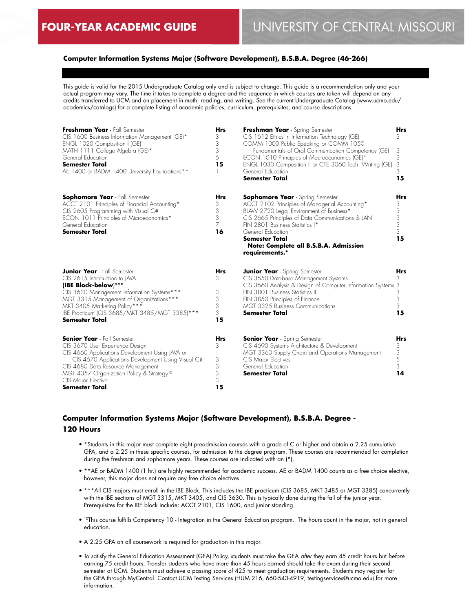## **Computer Information Systems Major (Software Development), B.S.B.A. Degree (46-266)**

This guide is valid for the 2015 Undergraduate Catalog only and is subject to change. This guide is a recommendation only and your actual program may vary. The time it takes to complete a degree and the sequence in which courses are taken will depend on any credits transferred to UCM and on placement in math, reading, and writing. See the current Undergraduate Catalog (www.ucmo.edu/ academics/catalogs) for a complete listing of academic policies, curriculum, prerequisites, and course descriptions.

| Freshman Year - Fall Semester<br>CIS 1600 Business Information Management (GE)*<br>ENGL 1020 Composition I (GE) | <b>Hrs</b><br>3<br>3 | Freshman Year - Spring Semester<br>CIS 1612 Ethics in Information Technology (GE)<br>COMM 1000 Public Speaking or COMM 1050 | <b>Hrs</b><br>3. |
|-----------------------------------------------------------------------------------------------------------------|----------------------|-----------------------------------------------------------------------------------------------------------------------------|------------------|
| MATH 1111 College Algebra (GE)*                                                                                 | 3                    | Fundamentals of Oral Communication Competency (GE)                                                                          | 3                |
| General Education<br><b>Semester Total</b>                                                                      | 6<br>15              | ECON 1010 Principles of Macroeconomics (GE)*<br>ENGL 1030 Composition II or CTE 3060 Tech. Writing (GE)                     | 3<br>3           |
| AE 1400 or BADM 1400 University Foundations**                                                                   |                      | General Education<br><b>Semester Total</b>                                                                                  | 3<br>15          |
| <b>Sophomore Year</b> - Fall Semester                                                                           | Hrs                  | <b>Sophomore Year</b> - Spring Semester                                                                                     | Hrs              |
| ACCT 2101 Principles of Financial Accounting*<br>CIS 2605 Programming with Visual C#                            | 3<br>3               | ACCT 2102 Principles of Managerial Accounting*<br>BLAW 2720 Legal Environment of Business*                                  | 3<br>3           |
| ECON 1011 Principles of Microeconomics*                                                                         | 3                    | CIS 2665 Principles of Data Communications & LAN                                                                            | 3                |
| General Education                                                                                               | 7                    | FIN 2801 Business Statistics I*                                                                                             | 3                |
| <b>Semester Total</b>                                                                                           | 16                   | General Education<br><b>Semester Total</b>                                                                                  | 3<br>15          |
|                                                                                                                 |                      | Note: Complete all B.S.B.A. Admission<br>requirements.*                                                                     |                  |
| <b>Junior Year</b> - Fall Semester                                                                              | Hrs                  | <b>Junior Year</b> - Spring Semester                                                                                        | Hrs              |
| CIS 2615 Introduction to JAVA                                                                                   | 3                    | CIS 3650 Database Management Systems                                                                                        | 3                |
| (IBE Block-below)***                                                                                            |                      | CIS 3660 Analysis & Design of Computer Information Systems 3<br>FIN 3801 Business Statistics II                             | 3                |
| CIS 3630 Management Information Systems***<br>MGT 3315 Management of Organizations***                           | 3<br>3               | FIN 3850 Principles of Finance                                                                                              | 3                |
| MKT 3405 Marketing Policy***                                                                                    | 3                    | MGT 3325 Business Communications                                                                                            | 3                |
| IBE Practicum (CIS 3685/MKT 3485/MGT 3385)***                                                                   | 3                    | <b>Semester Total</b>                                                                                                       | 15               |
| <b>Semester Total</b>                                                                                           | 15                   |                                                                                                                             |                  |
| <b>Senior Year</b> - Fall Semester                                                                              | <b>Hrs</b>           | <b>Senior Year</b> - Spring Semester                                                                                        | Hrs              |
| CIS 3670 User Experience Design                                                                                 | 3                    | CIS 4690 Systems Architecture & Development                                                                                 | 3                |
| CIS 4660 Applications Development Using JAVA or<br>CIS 4670 Applications Development Using Visual C#            | 3                    | MGT 3360 Supply Chain and Operations Management<br>CIS Major Electives                                                      | 3<br>5           |
| CIS 4680 Data Resource Management                                                                               | 3                    | General Education                                                                                                           | 3                |
| MGT 4357 Organization Policy & Strategy <sup>10</sup>                                                           | 3                    | Semester Total                                                                                                              | 14               |
| CIS Major Elective                                                                                              | 3                    |                                                                                                                             |                  |
| <b>Semester Total</b>                                                                                           | 15                   |                                                                                                                             |                  |

## **Computer Information Systems Major (Software Development), B.S.B.A. Degree - 120 Hours**

- \*Students in this major must complete eight preadmission courses with a grade of C or higher and obtain a 2.25 cumulative GPA, and a 2.25 in these specific courses, for admission to the degree program. These courses are recommended for completion during the freshman and sophomore years. These courses are indicated with an (\*).
- \*\*AE or BADM 1400 (1 hr.) are highly recommended for academic success. AE or BADM 1400 counts as a free choice elective, however, this major does not require any free choice electives.
- \*\*\*All CIS majors must enroll in the IBE Block. This includes the IBE practicum (CIS 3685, MKT 3485 or MGT 3385) concurrently with the IBE sections of MGT 3315, MKT 3405, and CIS 3630. This is typically done during the fall of the junior year. Prerequisites for the IBE block include: ACCT 2101, CIS 1600, and junior standing.
- 10This course fulfills Competency 10 Integration in the General Education program. The hours count in the major, not in general education.
- A 2.25 GPA on all coursework is required for graduation in this major.
- To satisfy the General Education Assessment (GEA) Policy, students must take the GEA *after* they earn 45 credit hours but *before* earning 75 credit hours. Transfer students who have more than 45 hours earned should take the exam during their second semester at UCM. Students must achieve a passing score of 425 to meet graduation requirements. Students may register for the GEA through MyCentral. Contact UCM Testing Services (HUM 216, 660-543-4919, testingservices@ucmo.edu) for more information.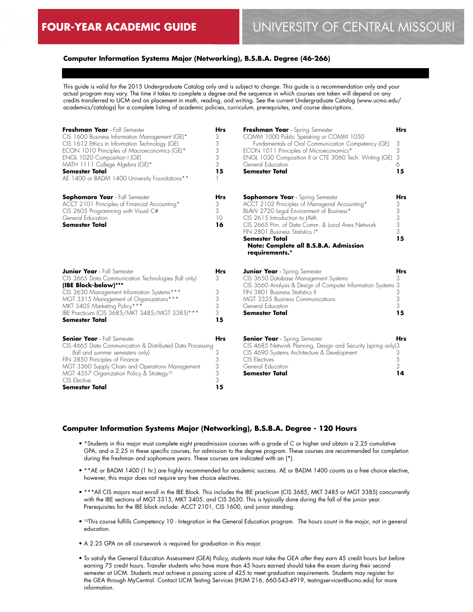## **Computer Information Systems Major (Networking), B.S.B.A. Degree (46-266)**

This guide is valid for the 2015 Undergraduate Catalog only and is subject to change. This guide is a recommendation only and your actual program may vary. The time it takes to complete a degree and the sequence in which courses are taken will depend on any credits transferred to UCM and on placement in math, reading, and writing. See the current Undergraduate Catalog (www.ucmo.edu/ academics/catalogs) for a complete listing of academic policies, curriculum, prerequisites, and course descriptions.

| Freshman Year - Fall Semester<br>CIS 1600 Business Information Management (GE)*<br>CIS 1612 Ethics in Information Technology (GE)<br>ECON 1010 Principles of Macroeconomics (GE)*<br>ENGL 1020 Composition I (GE)<br>MATH 1111 College Algebra (GE)*<br>Semester Total<br>AE 1400 or BADM 1400 University Foundations** | <b>Hrs</b><br>3<br>3<br>3<br>3<br>3<br>15 | Freshman Year - Spring Semester<br>COMM 1000 Public Speaking or COMM 1050<br>Fundamentals of Oral Communication Competency (GE)<br>ECON 1011 Principles of Microeconomics*<br>ENGL 1030 Composition II or CTE 3060 Tech. Writing (GE)<br>General Education<br><b>Semester Total</b>                                                                | <b>Hrs</b><br>3<br>3<br>3<br>6<br>15      |
|-------------------------------------------------------------------------------------------------------------------------------------------------------------------------------------------------------------------------------------------------------------------------------------------------------------------------|-------------------------------------------|----------------------------------------------------------------------------------------------------------------------------------------------------------------------------------------------------------------------------------------------------------------------------------------------------------------------------------------------------|-------------------------------------------|
| <b>Sophomore Year</b> - Fall Semester<br>ACCT 2101 Principles of Financial Accounting*<br>CIS 2605 Programming with Visual C#<br>General Education<br><b>Semester Total</b>                                                                                                                                             | <b>Hrs</b><br>3<br>3<br>10<br>16          | <b>Sophomore Year</b> - Spring Semester<br>ACCT 2102 Principles of Managerial Accounting*<br>BLAW 2720 Legal Environment of Business*<br>CIS 2615 Introduction to JAVA<br>CIS 2665 Prin. of Data Comm. & Local Area Network<br>FIN 2801 Business Statistics I*<br><b>Semester Total</b><br>Note: Complete all B.S.B.A. Admission<br>requirements.* | <b>Hrs</b><br>3<br>3<br>3<br>3<br>3<br>15 |
| <b>Junior Year</b> - Fall Semester<br>CIS 3665 Data Communication Technologies (fall only)<br>(IBE Block-below)***<br>CIS 3630 Management Information Systems***<br>MGT 3315 Management of Organizations***<br>MKT 3405 Marketing Policy***<br>IBE Practicum (CIS 3685/MKT 3485/MGT 3385)***<br><b>Semester Total</b>   | <b>Hrs</b><br>3<br>3<br>3<br>3<br>3<br>15 | <b>Junior Year</b> - Spring Semester<br>CIS 3650 Database Management Systems<br>CIS 3660 Analysis & Design of Computer Information Systems 3<br>FIN 3801 Business Statistics II<br><b>MGT 3325 Business Communications</b><br>General Education<br><b>Semester Total</b>                                                                           | Hrs<br>3<br>3<br>3<br>3<br>15             |
| <b>Senior Year</b> - Fall Semester<br>CIS 4665 Data Communication & Distributed Data Processing<br>(fall and summer semesters only)<br>FIN 3850 Principles of Finance<br>MGT 3360 Supply Chain and Operations Management<br>MGT 4357 Organization Policy & Strategy <sup>10</sup><br>CIS Elective<br>Semester Total     | <b>Hrs</b><br>3<br>3<br>3<br>3<br>3<br>15 | <b>Senior Year</b> - Spring Semester<br>CIS 4685 Network Planning, Design and Security (spring only)3<br>CIS 4690 Systems Architecture & Development<br>CIS Electives<br>General Education<br><b>Semester Total</b>                                                                                                                                | <b>Hrs</b><br>3<br>5<br>3<br>14           |

## **Computer Information Systems Major (Networking), B.S.B.A. Degree - 120 Hours**

- \*Students in this major must complete eight preadmission courses with a grade of C or higher and obtain a 2.25 cumulative GPA, and a 2.25 in these specific courses, for admission to the degree program. These courses are recommended for completion during the freshman and sophomore years. These courses are indicated with an (\*).
- \*\*AE or BADM 1400 (1 hr.) are highly recommended for academic success. AE or BADM 1400 counts as a free choice elective, however, this major does not require any free choice electives.
- \*\*\*All CIS majors must enroll in the IBE Block. This includes the IBE practicum (CIS 3685, MKT 3485 or MGT 3385) concurrently with the IBE sections of MGT 3315, MKT 3405, and CIS 3630. This is typically done during the fall of the junior year. Prerequisites for the IBE block include: ACCT 2101, CIS 1600, and junior standing.
- 10This course fulfills Competency 10 Integration in the General Education program. The hours count in the major, not in general education.
- A 2.25 GPA on all coursework is required for graduation in this major.
- To satisfy the General Education Assessment (GEA) Policy, students must take the GEA *after* they earn 45 credit hours but *before* earning 75 credit hours. Transfer students who have more than 45 hours earned should take the exam during their second semester at UCM. Students must achieve a passing score of 425 to meet graduation requirements. Students may register for the GEA through MyCentral. Contact UCM Testing Services (HUM 216, 660-543-4919, testingservices@ucmo.edu) for more information.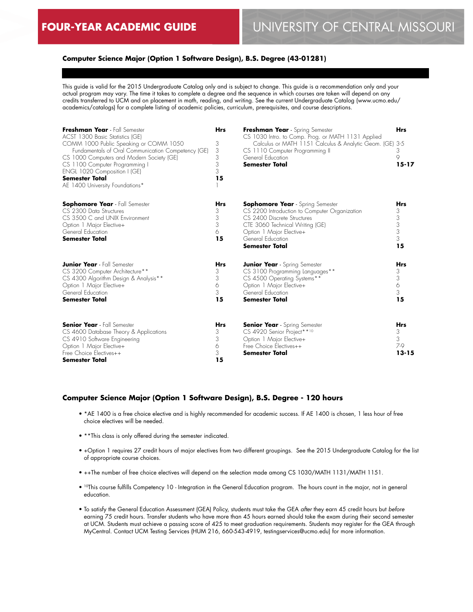## **Computer Science Major (Option 1 Software Design), B.S. Degree (43-01281)**

This guide is valid for the 2015 Undergraduate Catalog only and is subject to change. This guide is a recommendation only and your actual program may vary. The time it takes to complete a degree and the sequence in which courses are taken will depend on any credits transferred to UCM and on placement in math, reading, and writing. See the current Undergraduate Catalog (www.ucmo.edu/ academics/catalogs) for a complete listing of academic policies, curriculum, prerequisites, and course descriptions.

| Freshman Year - Fall Semester<br>ACST 1300 Basic Statistics (GE)<br>COMM 1000 Public Speaking or COMM 1050<br>Fundamentals of Oral Communication Competency (GE)<br>CS 1000 Computers and Modern Society (GE)<br>CS 1100 Computer Programming I<br>ENGL 1020 Composition I (GE)<br><b>Semester Total</b><br>AE 1400 University Foundations* | <b>Hrs</b><br>3<br>3<br>3<br>3<br>3<br>15 | Freshman Year - Spring Semester<br>CS 1030 Intro. to Comp. Prog. or MATH 1131 Applied<br>Calculus or MATH 1151 Calculus & Analytic Geom. (GE)<br>CS 1110 Computer Programming II<br>General Education<br><b>Semester Total</b>       | <b>Hrs</b><br>3-5<br>3<br>9<br>$15 - 17$  |
|---------------------------------------------------------------------------------------------------------------------------------------------------------------------------------------------------------------------------------------------------------------------------------------------------------------------------------------------|-------------------------------------------|--------------------------------------------------------------------------------------------------------------------------------------------------------------------------------------------------------------------------------------|-------------------------------------------|
| <b>Sophomore Year</b> - Fall Semester<br>CS 2300 Data Structures<br>CS 3500 C and UNIX Environment<br>Option 1 Major Elective+<br>General Education<br><b>Semester Total</b>                                                                                                                                                                | <b>Hrs</b><br>3<br>3<br>3<br>6<br>15      | <b>Sophomore Year</b> - Spring Semester<br>CS 2200 Introduction to Computer Organization<br>CS 2400 Discrete Structures<br>CTE 3060 Technical Writing (GE)<br>Option 1 Major Elective+<br>General Education<br><b>Semester Total</b> | <b>Hrs</b><br>3<br>3<br>3<br>3<br>3<br>15 |
| <b>Junior Year</b> - Fall Semester<br>CS 3200 Computer Architecture**<br>CS 4300 Algorithm Design & Analysis**<br>Option 1 Major Elective+<br>General Education<br><b>Semester Total</b>                                                                                                                                                    | <b>Hrs</b><br>3<br>3<br>6<br>3<br>15      | <b>Junior Year</b> - Spring Semester<br>CS 3100 Programming Languages**<br>CS 4500 Operating Systems**<br>Option 1 Major Elective+<br>General Education<br><b>Semester Total</b>                                                     | <b>Hrs</b><br>3<br>3<br>6<br>3<br>15      |
| <b>Senior Year</b> - Fall Semester<br>CS 4600 Database Theory & Applications<br>CS 4910 Software Engineering<br>Option 1 Major Elective+<br>Free Choice Electives++<br><b>Semester Total</b>                                                                                                                                                | <b>Hrs</b><br>3<br>3<br>6<br>3<br>15      | <b>Senior Year</b> - Spring Semester<br>CS 4920 Senior Project** <sup>10</sup><br>Option 1 Major Elective+<br>Free Choice Electives++<br><b>Semester Total</b>                                                                       | <b>Hrs</b><br>3<br>3<br>7-9<br>$13 - 15$  |

#### **Computer Science Major (Option 1 Software Design), B.S. Degree - 120 hours**

- \*AE 1400 is a free choice elective and is highly recommended for academic success. If AE 1400 is chosen, 1 less hour of free choice electives will be needed.
- \*\*This class is only offered during the semester indicated.
- +Option 1 requires 27 credit hours of major electives from two different groupings. See the 2015 Undergraduate Catalog for the list of appropriate course choices.
- ++The number of free choice electives will depend on the selection made among CS 1030/MATH 1131/MATH 1151.
- <sup>10</sup>This course fulfills Competency 10 Integration in the General Education program. The hours count in the major, not in general education.
- To satisfy the General Education Assessment (GEA) Policy, students must take the GEA *after* they earn 45 credit hours but *before* earning 75 credit hours. Transfer students who have more than 45 hours earned should take the exam during their second semester at UCM. Students must achieve a passing score of 425 to meet graduation requirements. Students may register for the GEA through MyCentral. Contact UCM Testing Services (HUM 216, 660-543-4919, testingservices@ucmo.edu) for more information.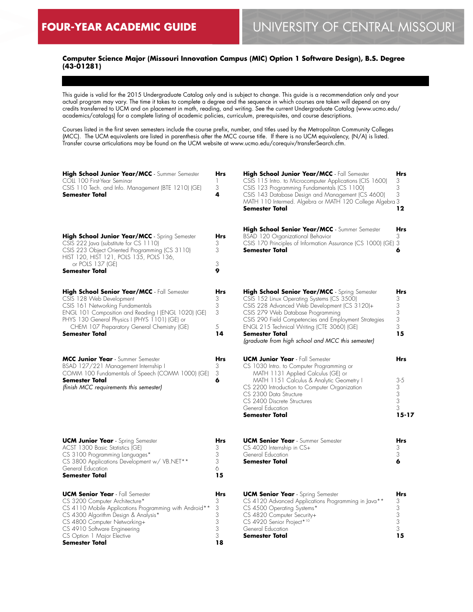## **Computer Science Major (Missouri Innovation Campus (MIC) Option 1 Software Design), B.S. Degree (43-01281)**

This guide is valid for the 2015 Undergraduate Catalog only and is subject to change. This guide is a recommendation only and your actual program may vary. The time it takes to complete a degree and the sequence in which courses are taken will depend on any credits transferred to UCM and on placement in math, reading, and writing. See the current Undergraduate Catalog (www.ucmo.edu/ academics/catalogs) for a complete listing of academic policies, curriculum, prerequisites, and course descriptions.

Courses listed in the first seven semesters include the course prefix, number, and titles used by the Metropolitan Community Colleges (MCC). The UCM equivalents are listed in parenthesis after the MCC course title. If there is no UCM equivalency, (N/A) is listed. Transfer course articulations may be found on the UCM website at www.ucmo.edu/corequiv/transferSearch.cfm.

| High School Junior Year/MCC - Summer Semester<br>COLL 100 First-Year Seminar<br>CSIS 110 Tech. and Info. Management (BTE 1210) (GE)<br>Semester Total                                                                                                                                        | Hrs<br>$\mathbb{I}$<br>3<br>4           | High School Junior Year/MCC - Fall Semester<br>CSIS 115 Intro. to Microcomputer Applications (CIS 1600)<br>CSIS 123 Programming Fundamentals (CS 1100)<br>CSIS 143 Database Design and Management (CS 4600)<br>MATH 110 Intermed. Algebra or MATH 120 College Algebra 3<br>Semester Total                                                                             | Hrs<br>3<br>3<br>3<br>12                        |
|----------------------------------------------------------------------------------------------------------------------------------------------------------------------------------------------------------------------------------------------------------------------------------------------|-----------------------------------------|-----------------------------------------------------------------------------------------------------------------------------------------------------------------------------------------------------------------------------------------------------------------------------------------------------------------------------------------------------------------------|-------------------------------------------------|
| <b>High School Junior Year/MCC</b> - Spring Semester<br>CSIS 222 Java (substitute for CS 1110)<br>CSIS 223 Object Oriented Programming (CS 3110)<br>HIST 120, HIST 121, POLS 135, POLS 136,<br>or POLS 137 (GE)<br><b>Semester Total</b>                                                     | <b>Hrs</b><br>3<br>3<br>3<br>9          | High School Senior Year/MCC - Summer Semester<br>BSAD 120 Organizational Behavior<br>CSIS 170 Principles of Information Assurance (CS 1000) (GE) 3<br>Semester Total                                                                                                                                                                                                  | Hrs<br>3<br>6                                   |
| High School Senior Year/MCC - Fall Semester<br>CSIS 128 Web Development<br>CSIS 161 Networking Fundamentals<br>ENGL 101 Composition and Reading I (ENGL 1020) (GE)<br>PHYS 130 General Physics I (PHYS 1101) (GE) or<br>CHEM 107 Preparatory General Chemistry (GE)<br><b>Semester Total</b> | Hrs<br>3<br>3<br>3<br>5<br>14           | High School Senior Year/MCC - Spring Semester<br>CSIS 152 Linux Operating Systems (CS 3500)<br>CSIS 228 Advanced Web Development (CS 3120)+<br>CSIS 279 Web Database Programming<br>CSIS 290 Field Competencies and Employment Strategies<br>ENGL 215 Technical Writing (CTE 3060) (GE)<br><b>Semester Total</b><br>(graduate from high school and MCC this semester) | Hrs<br>3<br>3<br>3<br>3<br>3<br>15              |
| MCC Junior Year - Summer Semester<br>BSAD 127/221 Management Internship I<br>COMM 100 Fundamentals of Speech (COMM 1000) (GE)<br><b>Semester Total</b><br>(finish MCC requirements this semester)                                                                                            | <b>Hrs</b><br>3<br>3<br>6               | <b>UCM Junior Year</b> - Fall Semester<br>CS 1030 Intro. to Computer Programming or<br>MATH 1131 Applied Calculus (GE) or<br>MATH 1151 Calculus & Analytic Geometry I<br>CS 2200 Introduction to Computer Organization<br>CS 2300 Data Structure<br>CS 2400 Discrete Structures<br>General Education<br><b>Semester Total</b>                                         | Hrs<br>$3 - 5$<br>3<br>3<br>3<br>3<br>$15 - 17$ |
| <b>UCM Junior Year</b> - Spring Semester<br>ACST 1300 Basic Statistics (GE)<br>CS 3100 Programming Languages*<br>CS 3800 Applications Development w/ VB.NET**<br>General Education<br><b>Semester Total</b>                                                                                  | <b>Hrs</b><br>3<br>3<br>3<br>6<br>15    | <b>UCM Senior Year</b> - Summer Semester<br>CS 4020 Internship in CS+<br>General Education<br><b>Semester Total</b>                                                                                                                                                                                                                                                   | <b>Hrs</b><br>3<br>3<br>6                       |
| <b>UCM Senior Year</b> - Fall Semester<br>CS 3200 Computer Architecture*<br>CS 4110 Mobile Applications Programming with Android**<br>CS 4300 Algorithm Design & Analysis*<br>CS 4800 Computer Networking+<br>CS 4910 Software Engineering<br>CS Option 1 Major Elective<br>Semester Total   | Hrs<br>3<br>3<br>3<br>3<br>3<br>3<br>18 | <b>UCM Senior Year</b> - Spring Semester<br>CS 4120 Advanced Applications Programming in Java**<br>CS 4500 Operating Systems*<br>CS 4820 Computer Security+<br>CS 4920 Senior Project*10<br>General Education<br><b>Semester Total</b>                                                                                                                                | Hrs<br>3<br>3<br>3<br>3<br>3<br>15              |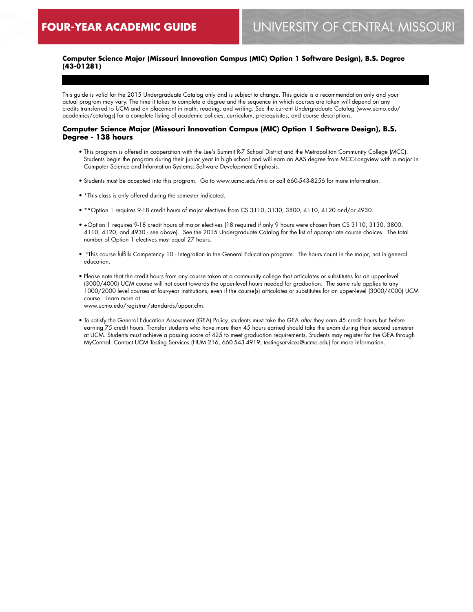## **Computer Science Major (Missouri Innovation Campus (MIC) Option 1 Software Design), B.S. Degree (43-01281)**

This guide is valid for the 2015 Undergraduate Catalog only and is subject to change. This guide is a recommendation only and your actual program may vary. The time it takes to complete a degree and the sequence in which courses are taken will depend on any credits transferred to UCM and on placement in math, reading, and writing. See the current Undergraduate Catalog (www.ucmo.edu/ academics/catalogs) for a complete listing of academic policies, curriculum, prerequisites, and course descriptions.

#### **Computer Science Major (Missouri Innovation Campus (MIC) Option 1 Software Design), B.S. Degree - 138 hours**

- This program is offered in cooperation with the Lee's Summit R-7 School District and the Metropolitan Community College (MCC). Students begin the program during their junior year in high school and will earn an AAS degree from MCC-Longview with a major in Computer Science and Information Systems: Software Development Emphasis.
- Students must be accepted into this program. Go to www.ucmo.edu/mic or call 660-543-8256 for more information.
- \*This class is only offered during the semester indicated.
- \*\*Option 1 requires 9-18 credit hours of major electives from CS 3110, 3130, 3800, 4110, 4120 and/or 4930.
- +Option 1 requires 9-18 credit hours of major electives (18 required if only 9 hours were chosen from CS 3110, 3130, 3800, 4110, 4120, and 4930 - see above). See the 2015 Undergraduate Catalog for the list of appropriate course choices. The total number of Option 1 electives must equal 27 hours.
- <sup>10</sup>This course fulfills Competency 10 Integration in the General Education program. The hours count in the major, not in general education.
- Please note that the credit hours from any course taken at a community college that articulates or substitutes for an upper-level (3000/4000) UCM course will not count towards the upper-level hours needed for graduation. The same rule applies to any 1000/2000 level courses at four-year institutions, even if the course(s) articulates or substitutes for an upper-level (3000/4000) UCM course. Learn more at

www.ucmo.edu/registrar/standards/upper.cfm.

• To satisfy the General Education Assessment (GEA) Policy, students must take the GEA *after* they earn 45 credit hours but *before* earning 75 credit hours. Transfer students who have more than 45 hours earned should take the exam during their second semester at UCM. Students must achieve a passing score of 425 to meet graduation requirements. Students may register for the GEA through MyCentral. Contact UCM Testing Services (HUM 216, 660-543-4919, testingservices@ucmo.edu) for more information.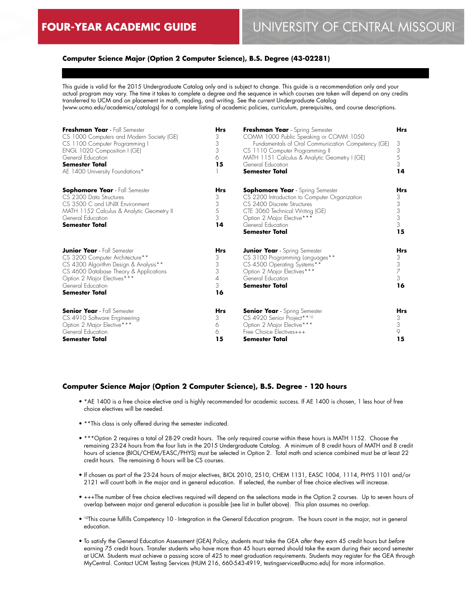## **Computer Science Major (Option 2 Computer Science), B.S. Degree (43-02281)**

This guide is valid for the 2015 Undergraduate Catalog only and is subject to change. This guide is a recommendation only and your actual program may vary. The time it takes to complete a degree and the sequence in which courses are taken will depend on any credits transferred to UCM and on placement in math, reading, and writing. See the current Undergraduate Catalog (www.ucmo.edu/academics/catalogs) for a complete listing of academic policies, curriculum, prerequisites, and course descriptions.

| Freshman Year - Fall Semester<br>CS 1000 Computers and Modern Society (GE)<br>CS 1100 Computer Programming I<br>ENGL 1020 Composition I (GE)<br>General Education<br><b>Semester Total</b><br>AE 1400 University Foundations*   | <b>Hrs</b><br>3<br>3<br>3<br>6<br>15 | Freshman Year - Spring Semester<br>COMM 1000 Public Speaking or COMM 1050<br>Fundamentals of Oral Communication Competency (GE)<br>CS 1110 Computer Programming II<br>MATH 1151 Calculus & Analytic Geometry I (GE)<br>General Education<br><b>Semester Total</b> | <b>Hrs</b><br>3<br>3<br>5<br>3<br>14 |
|---------------------------------------------------------------------------------------------------------------------------------------------------------------------------------------------------------------------------------|--------------------------------------|-------------------------------------------------------------------------------------------------------------------------------------------------------------------------------------------------------------------------------------------------------------------|--------------------------------------|
| <b>Sophomore Year</b> - Fall Semester<br>CS 2300 Data Structures<br>CS 3500 C and UNIX Environment<br>MATH 1152 Calculus & Analytic Geometry II<br>General Education<br><b>Semester Total</b>                                   | Hrs<br>3<br>3<br>5<br>3<br>14        | <b>Sophomore Year</b> - Spring Semester<br>CS 2200 Introduction to Computer Organization<br>CS 2400 Discrete Structures<br>CTE 3060 Technical Writing (GE)<br>Option 2 Major Elective***<br>General Education<br><b>Semester Total</b>                            | Hrs<br>3<br>3<br>3<br>3<br>3<br>15   |
| <b>Junior Year</b> - Fall Semester<br>CS 3200 Computer Architecture**<br>CS 4300 Algorithm Design & Analysis**<br>CS 4600 Database Theory & Applications<br>Option 2 Major Electives ***<br>General Education<br>Semester Total | Hrs<br>3<br>3<br>3<br>4<br>3<br>16   | <b>Junior Year</b> - Spring Semester<br>CS 3100 Programming Languages**<br>CS 4500 Operating Systems**<br>Option 2 Major Electives***<br>General Education<br><b>Semester Total</b>                                                                               | Hrs<br>3<br>3<br>7<br>3<br>16        |
| <b>Senior Year</b> - Fall Semester<br>CS 4910 Software Engineering<br>Option 2 Major Elective***<br>General Education<br>Semester Total                                                                                         | Hrs<br>3<br>6<br>6<br>15             | <b>Senior Year</b> - Spring Semester<br>CS 4920 Senior Project**10<br>Option 2 Major Elective***<br>Free Choice Electives+++<br>Semester Total                                                                                                                    | <b>Hrs</b><br>3<br>3<br>9<br>15      |

#### **Computer Science Major (Option 2 Computer Science), B.S. Degree - 120 hours**

- \*AE 1400 is a free choice elective and is highly recommended for academic success. If AE 1400 is chosen, 1 less hour of free choice electives will be needed.
- \*\*This class is only offered during the semester indicated.
- \*\*\*Option 2 requires a total of 28-29 credit hours. The only required course within these hours is MATH 1152. Choose the remaining 23-24 hours from the four lists in the 2015 Undergraduate Catalog. A minimum of 8 credit hours of MATH and 8 credit hours of science (BIOL/CHEM/EASC/PHYS) must be selected in Option 2. Total math and science combined must be at least 22 credit hours. The remaining 6 hours will be CS courses.
- If chosen as part of the 23-24 hours of major electives, BIOL 2010, 2510, CHEM 1131, EASC 1004, 1114, PHYS 1101 and/or 2121 will count both in the major and in general education. If selected, the number of free choice electives will increase.
- +++The number of free choice electives required will depend on the selections made in the Option 2 courses. Up to seven hours of overlap between major and general education is possible (see list in bullet above). This plan assumes no overlap.
- 10This course fulfills Competency 10 Integration in the General Education program. The hours count in the major, not in general education.
- To satisfy the General Education Assessment (GEA) Policy, students must take the GEA *after* they earn 45 credit hours but *before* earning 75 credit hours. Transfer students who have more than 45 hours earned should take the exam during their second semester at UCM. Students must achieve a passing score of 425 to meet graduation requirements. Students may register for the GEA through MyCentral. Contact UCM Testing Services (HUM 216, 660-543-4919, testingservices@ucmo.edu) for more information.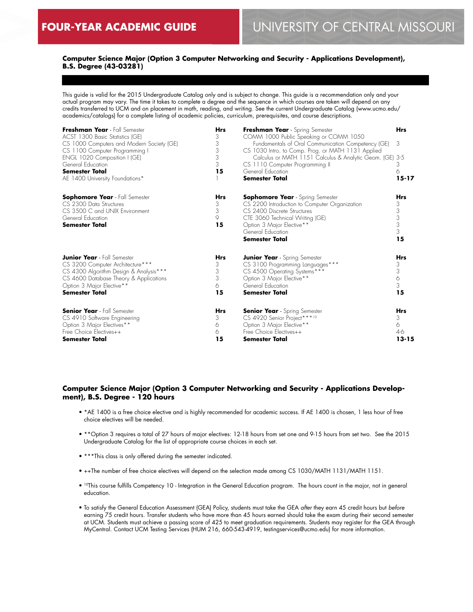## **Computer Science Major (Option 3 Computer Networking and Security - Applications Development), B.S. Degree (43-03281)**

This guide is valid for the 2015 Undergraduate Catalog only and is subject to change. This guide is a recommendation only and your actual program may vary. The time it takes to complete a degree and the sequence in which courses are taken will depend on any credits transferred to UCM and on placement in math, reading, and writing. See the current Undergraduate Catalog (www.ucmo.edu/ academics/catalogs) for a complete listing of academic policies, curriculum, prerequisites, and course descriptions.

| Freshman Year - Fall Semester<br>ACST 1300 Basic Statistics (GE)<br>CS 1000 Computers and Modern Society (GE)<br>CS 1100 Computer Programming I<br>ENGL 1020 Composition I (GE)<br>General Education<br><b>Semester Total</b><br>AE 1400 University Foundations* | <b>Hrs</b><br>3<br>3<br>3<br>3<br>3<br>15 | Freshman Year - Spring Semester<br>COMM 1000 Public Speaking or COMM 1050<br>Fundamentals of Oral Communication Competency (GE)<br>CS 1030 Intro. to Comp. Prog. or MATH 1131 Applied<br>Calculus or MATH 1151 Calculus & Analytic Geom. (GE) 3-5<br>CS 1110 Computer Programming II<br>General Education<br><b>Semester Total</b> | <b>Hrs</b><br>3<br>3<br>6<br>$15 - 17$ |
|------------------------------------------------------------------------------------------------------------------------------------------------------------------------------------------------------------------------------------------------------------------|-------------------------------------------|------------------------------------------------------------------------------------------------------------------------------------------------------------------------------------------------------------------------------------------------------------------------------------------------------------------------------------|----------------------------------------|
| <b>Sophomore Year</b> - Fall Semester<br>CS 2300 Data Structures<br>CS 3500 C and UNIX Environment<br>General Education<br>Semester Total                                                                                                                        | <b>Hrs</b><br>3<br>3<br>9<br>15           | <b>Sophomore Year</b> - Spring Semester<br>CS 2200 Introduction to Computer Organization<br>CS 2400 Discrete Structures<br>CTE 3060 Technical Writing (GE)<br>Option 3 Major Elective**<br>General Education<br><b>Semester Total</b>                                                                                              | Hrs<br>3<br>3<br>3<br>3<br>3<br>15     |
| <b>Junior Year</b> - Fall Semester                                                                                                                                                                                                                               | <b>Hrs</b>                                | <b>Junior Year</b> - Spring Semester                                                                                                                                                                                                                                                                                               | <b>Hrs</b>                             |
| CS 3200 Computer Architecture***                                                                                                                                                                                                                                 | 3                                         | CS 3100 Programming Languages***                                                                                                                                                                                                                                                                                                   | 3                                      |
| CS 4300 Algorithm Design & Analysis***                                                                                                                                                                                                                           | 3                                         | CS 4500 Operating Systems***                                                                                                                                                                                                                                                                                                       | 3                                      |
| CS 4600 Database Theory & Applications                                                                                                                                                                                                                           | 3                                         | Option 3 Major Elective**                                                                                                                                                                                                                                                                                                          | 6                                      |
| Option 3 Major Elective**                                                                                                                                                                                                                                        | 6                                         | General Education                                                                                                                                                                                                                                                                                                                  | 3                                      |
| <b>Semester Total</b>                                                                                                                                                                                                                                            | 15                                        | <b>Semester Total</b>                                                                                                                                                                                                                                                                                                              | 15                                     |
| <b>Senior Year</b> - Fall Semester                                                                                                                                                                                                                               | <b>Hrs</b>                                | <b>Senior Year</b> - Spring Semester                                                                                                                                                                                                                                                                                               | <b>Hrs</b>                             |
| CS 4910 Software Engineering                                                                                                                                                                                                                                     | 3                                         | CS 4920 Senior Project***10                                                                                                                                                                                                                                                                                                        | 3                                      |
| Option 3 Major Electives**                                                                                                                                                                                                                                       | 6                                         | Option 3 Major Elective**                                                                                                                                                                                                                                                                                                          | 6                                      |
| Free Choice Electives++                                                                                                                                                                                                                                          | 6                                         | Free Choice Electives++                                                                                                                                                                                                                                                                                                            | 4-6                                    |
| <b>Semester Total</b>                                                                                                                                                                                                                                            | 15                                        | <b>Semester Total</b>                                                                                                                                                                                                                                                                                                              | $13 - 15$                              |

## **Computer Science Major (Option 3 Computer Networking and Security - Applications Development), B.S. Degree - 120 hours**

- \*AE 1400 is a free choice elective and is highly recommended for academic success. If AE 1400 is chosen, 1 less hour of free choice electives will be needed.
- \*\*Option 3 requires a total of 27 hours of major electives: 12-18 hours from set one and 9-15 hours from set two. See the 2015 Undergraduate Catalog for the list of appropriate course choices in each set.
- \*\*\*This class is only offered during the semester indicated.
- ++The number of free choice electives will depend on the selection made among CS 1030/MATH 1131/MATH 1151.
- <sup>10</sup>This course fulfills Competency 10 Integration in the General Education program. The hours count in the major, not in general education.
- To satisfy the General Education Assessment (GEA) Policy, students must take the GEA *after* they earn 45 credit hours but *before* earning 75 credit hours. Transfer students who have more than 45 hours earned should take the exam during their second semester at UCM. Students must achieve a passing score of 425 to meet graduation requirements. Students may register for the GEA through MyCentral. Contact UCM Testing Services (HUM 216, 660-543-4919, testingservices@ucmo.edu) for more information.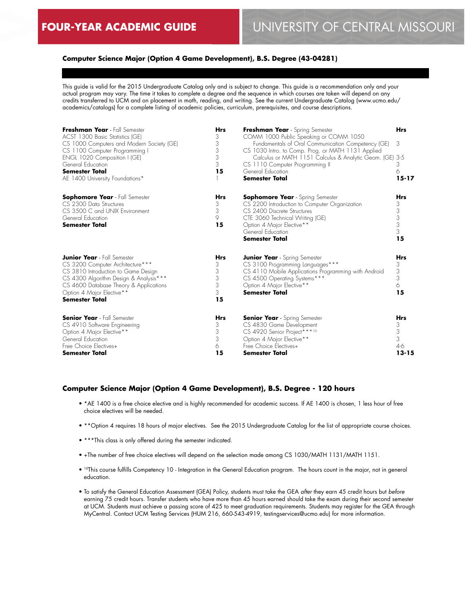## **Computer Science Major (Option 4 Game Development), B.S. Degree (43-04281)**

This guide is valid for the 2015 Undergraduate Catalog only and is subject to change. This guide is a recommendation only and your actual program may vary. The time it takes to complete a degree and the sequence in which courses are taken will depend on any credits transferred to UCM and on placement in math, reading, and writing. See the current Undergraduate Catalog (www.ucmo.edu/ academics/catalogs) for a complete listing of academic policies, curriculum, prerequisites, and course descriptions.

| Freshman Year - Fall Semester<br>ACST 1300 Basic Statistics (GE)<br>CS 1000 Computers and Modern Society (GE)<br>CS 1100 Computer Programming I<br>ENGL 1020 Composition I (GE)<br>General Education<br><b>Semester Total</b><br>AE 1400 University Foundations* | <b>Hrs</b><br>3<br>3<br>3<br>3<br>3<br>15 | Freshman Year - Spring Semester<br>COMM 1000 Public Speaking or COMM 1050<br>Fundamentals of Oral Communication Competency (GE)<br>CS 1030 Intro. to Comp. Prog. or MATH 1131 Applied<br>Calculus or MATH 1151 Calculus & Analytic Geom. (GE)<br>CS 1110 Computer Programming II<br>General Education<br><b>Semester Total</b> | <b>Hrs</b><br>3<br>-3-5<br>3<br>6<br>$15 - 17$  |
|------------------------------------------------------------------------------------------------------------------------------------------------------------------------------------------------------------------------------------------------------------------|-------------------------------------------|--------------------------------------------------------------------------------------------------------------------------------------------------------------------------------------------------------------------------------------------------------------------------------------------------------------------------------|-------------------------------------------------|
| <b>Sophomore Year</b> - Fall Semester<br>CS 2300 Data Structures<br>CS 3500 C and UNIX Environment<br>General Education<br><b>Semester Total</b>                                                                                                                 | Hrs<br>3<br>3<br>9<br>15                  | <b>Sophomore Year</b> - Spring Semester<br>CS 2200 Introduction to Computer Organization<br>CS 2400 Discrete Structures<br>CTE 3060 Technical Writing (GE)<br>Option 4 Major Elective**<br>General Education<br><b>Semester Total</b>                                                                                          | <b>Hrs</b><br>3<br>3<br>3<br>3<br>3<br>15       |
| <b>Junior Year</b> - Fall Semester<br>CS 3200 Computer Architecture***<br>CS 3810 Introduction to Game Design<br>CS 4300 Algorithm Design & Analysis***<br>CS 4600 Database Theory & Applications<br>Option 4 Major Elective**<br>Semester Total                 | <b>Hrs</b><br>3<br>3<br>3<br>3<br>3<br>15 | <b>Junior Year</b> - Spring Semester<br>CS 3100 Programming Languages***<br>CS 4110 Mobile Applications Programming with Android<br>CS 4500 Operating Systems***<br>Option 4 Major Elective**<br><b>Semester Total</b>                                                                                                         | <b>Hrs</b><br>3<br>3<br>3<br>6<br>15            |
| <b>Senior Year</b> - Fall Semester<br>CS 4910 Software Engineering<br>Option 4 Major Elective**<br>General Education<br>Free Choice Electives+<br><b>Semester Total</b>                                                                                          | <b>Hrs</b><br>3<br>3<br>3<br>6<br>15      | <b>Senior Year</b> - Spring Semester<br>CS 4830 Game Development<br>CS 4920 Senior Project***10<br>Option 4 Major Elective**<br>Free Choice Electives+<br><b>Semester Total</b>                                                                                                                                                | <b>Hrs</b><br>3<br>3<br>3<br>$4-6$<br>$13 - 15$ |

#### **Computer Science Major (Option 4 Game Development), B.S. Degree - 120 hours**

- \*AE 1400 is a free choice elective and is highly recommended for academic success. If AE 1400 is chosen, 1 less hour of free choice electives will be needed.
- \*\*Option 4 requires 18 hours of major electives. See the 2015 Undergraduate Catalog for the list of appropriate course choices.
- \*\*\*This class is only offered during the semester indicated.
- +The number of free choice electives will depend on the selection made among CS 1030/MATH 1131/MATH 1151.
- 10This course fulfills Competency 10 Integration in the General Education program. The hours count in the major, not in general education.
- To satisfy the General Education Assessment (GEA) Policy, students must take the GEA *after* they earn 45 credit hours but *before* earning 75 credit hours. Transfer students who have more than 45 hours earned should take the exam during their second semester at UCM. Students must achieve a passing score of 425 to meet graduation requirements. Students may register for the GEA through MyCentral. Contact UCM Testing Services (HUM 216, 660-543-4919, testingservices@ucmo.edu) for more information.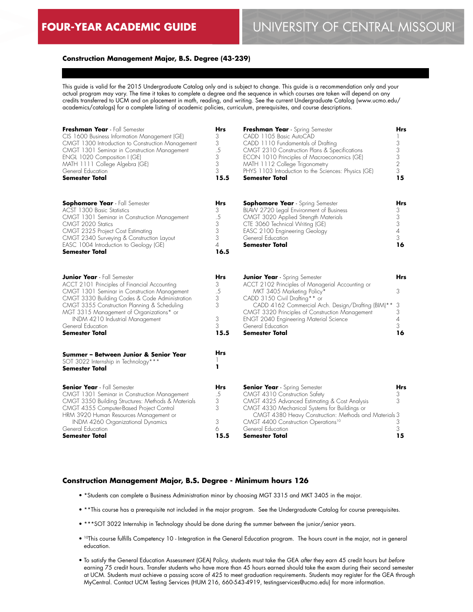#### **Construction Management Major, B.S. Degree (43-239)**

This guide is valid for the 2015 Undergraduate Catalog only and is subject to change. This guide is a recommendation only and your actual program may vary. The time it takes to complete a degree and the sequence in which courses are taken will depend on any credits transferred to UCM and on placement in math, reading, and writing. See the current Undergraduate Catalog (www.ucmo.edu/ academics/catalogs) for a complete listing of academic policies, curriculum, prerequisites, and course descriptions.

| Freshman Year - Fall Semester<br>CIS 1600 Business Information Management (GE)<br>CMGT 1300 Introduction to Construction Management<br>CMGT 1301 Seminar in Construction Management<br>ENGL 1020 Composition I (GE)<br>MATH 1111 College Algebra (GE)<br>General Education<br><b>Semester Total</b>                                                        | Hrs<br>3<br>3<br>.5<br>3<br>3<br>3<br>15.5        | Freshman Year - Spring Semester<br>CADD 1105 Basic AutoCAD<br>CADD 1110 Fundamentals of Drafting<br>CMGT 2310 Construction Plans & Specifications<br>ECON 1010 Principles of Macroeconomics (GE)<br>MATH 1112 College Trigonometry<br>PHYS 1103 Introduction to the Sciences: Physics (GE)<br><b>Semester Total</b>                                      | Hrs<br>3<br>3<br>3<br>$\overline{2}$<br>3<br>15 |
|------------------------------------------------------------------------------------------------------------------------------------------------------------------------------------------------------------------------------------------------------------------------------------------------------------------------------------------------------------|---------------------------------------------------|----------------------------------------------------------------------------------------------------------------------------------------------------------------------------------------------------------------------------------------------------------------------------------------------------------------------------------------------------------|-------------------------------------------------|
| <b>Sophomore Year</b> - Fall Semester<br>ACST 1300 Basic Statistics<br>CMGT 1301 Seminar in Construction Management<br>CMGT 2020 Statics<br>CMGT 2325 Project Cost Estimating<br>CMGT 2340 Surveying & Construction Layout<br>EASC 1004 Introduction to Geology (GE)<br>Semester Total                                                                     | <b>Hrs</b><br>3<br>.5<br>3<br>3<br>3<br>4<br>16.5 | <b>Sophomore Year</b> - Spring Semester<br>BLAW 2720 Legal Environment of Business<br>CMGT 3020 Applied Strength Materials<br>CTE 3060 Technical Writing (GE)<br>EASC 2100 Engineering Geology<br>General Education<br><b>Semester Total</b>                                                                                                             | Hrs<br>3<br>3<br>3<br>$\overline{4}$<br>3<br>16 |
| <b>Junior Year</b> - Fall Semester<br>ACCT 2101 Principles of Financial Accounting<br>CMGT 1301 Seminar in Construction Management<br>CMGT 3330 Building Codes & Code Administration<br>CMGT 3355 Construction Planning & Scheduling<br>MGT 3315 Management of Organizations* or<br>INDM 4210 Industrial Management<br>General Education<br>Semester Total | <b>Hrs</b><br>3<br>.5<br>3<br>3<br>3<br>3<br>15.5 | <b>Junior Year</b> - Spring Semester<br>ACCT 2102 Principles of Managerial Accounting or<br>MKT 3405 Marketing Policy*<br>CADD 3150 Civil Drafting** or<br>CADD 4162 Commercial Arch. Design/Drafting (BIM)**<br>CMGT 3320 Principles of Construction Management<br><b>ENGT 2040 Engineering Material Science</b><br>General Education<br>Semester Total | Hrs<br>3<br>3<br>3<br>$\overline{4}$<br>3<br>16 |
| Summer - Between Junior & Senior Year<br>SOT 3022 Internship in Technology***<br><b>Semester Total</b>                                                                                                                                                                                                                                                     | Hrs<br>ı                                          |                                                                                                                                                                                                                                                                                                                                                          |                                                 |
| <b>Senior Year</b> - Fall Semester<br>CMGT 1301 Seminar in Construction Management<br>CMGT 3350 Building Structures: Methods & Materials<br>CMGT 4355 Computer-Based Project Control<br>HRM 3920 Human Resources Management or<br>INDM 4260 Organizational Dynamics<br>General Education<br>Semester Total                                                 | Hrs<br>.5<br>3<br>3<br>3<br>6<br>15.5             | <b>Senior Year</b> - Spring Semester<br>CMGT 4310 Construction Safety<br>CMGT 4325 Advanced Estimating & Cost Analysis<br>CMGT 4330 Mechanical Systems for Buildings or<br>CMGT 4380 Heavy Construction: Methods and Materials 3<br>CMGT 4400 Construction Operations <sup>10</sup><br>General Education<br><b>Semester Total</b>                        | Hrs<br>3<br>3<br>3<br>3<br>15                   |

#### **Construction Management Major, B.S. Degree - Minimum hours 126**

- \*Students can complete a Business Administration minor by choosing MGT 3315 and MKT 3405 in the major.
- \*\*This course has a prerequisite not included in the major program. See the Undergraduate Catalog for course prerequisites.
- \*\*\*SOT 3022 Internship in Technology should be done during the summer between the junior/senior years.
- 10This course fulfills Competency 10 Integration in the General Education program. The hours count in the major, not in general education.
- To satisfy the General Education Assessment (GEA) Policy, students must take the GEA *after* they earn 45 credit hours but *before* earning 75 credit hours. Transfer students who have more than 45 hours earned should take the exam during their second semester at UCM. Students must achieve a passing score of 425 to meet graduation requirements. Students may register for the GEA through MyCentral. Contact UCM Testing Services (HUM 216, 660-543-4919, testingservices@ucmo.edu) for more information.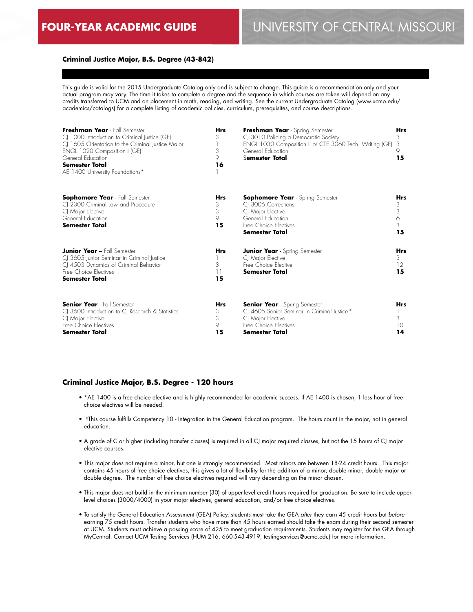## **Criminal Justice Major, B.S. Degree (43-842)**

This guide is valid for the 2015 Undergraduate Catalog only and is subject to change. This guide is a recommendation only and your actual program may vary. The time it takes to complete a degree and the sequence in which courses are taken will depend on any credits transferred to UCM and on placement in math, reading, and writing. See the current Undergraduate Catalog (www.ucmo.edu/ academics/catalogs) for a complete listing of academic policies, curriculum, prerequisites, and course descriptions.

| Freshman Year - Fall Semester<br>CJ 1000 Introduction to Criminal Justice (GE)<br>CJ 1605 Orientation to the Criminal Justice Major<br>ENGL 1020 Composition I (GE)<br>General Education<br><b>Semester Total</b><br>AE 1400 University Foundations* | <b>Hrs</b><br>3<br>3<br>9<br>16 | Freshman Year - Spring Semester<br>CJ 3010 Policing a Democratic Society<br>ENGL 1030 Composition II or CTE 3060 Tech. Writing (GE)<br>General Education<br>Semester Total | <b>Hrs</b><br>3<br>3<br>15    |
|------------------------------------------------------------------------------------------------------------------------------------------------------------------------------------------------------------------------------------------------------|---------------------------------|----------------------------------------------------------------------------------------------------------------------------------------------------------------------------|-------------------------------|
| <b>Sophomore Year</b> - Fall Semester<br>CJ 2300 Criminal Law and Procedure<br>CJ Major Elective<br>General Education<br><b>Semester Total</b>                                                                                                       | Hrs<br>3<br>3<br>9<br>15        | <b>Sophomore Year</b> - Spring Semester<br>CI 3006 Corrections<br>CI Major Elective<br>General Education<br>Free Choice Electives<br>Semester Total                        | Hrs<br>3<br>3<br>6<br>3<br>15 |
| <b>Junior Year - Fall Semester</b><br>CJ 3605 Junior Seminar in Criminal Justice<br>CJ 4503 Dynamics of Criminal Behavior<br>Free Choice Flectives<br><b>Semester Total</b>                                                                          | <b>Hrs</b><br>3<br>11<br>15     | <b>Junior Year</b> - Spring Semester<br>CJ Major Elective<br>Free Choice Elective<br>Semester Total                                                                        | <b>Hrs</b><br>3<br>12<br>15   |
| <b>Senior Year</b> - Fall Semester<br>CJ 3600 Introduction to CJ Research & Statistics<br>CJ Major Elective<br>Free Choice Electives<br>Semester Total                                                                                               | <b>Hrs</b><br>3<br>3<br>9<br>15 | <b>Senior Year</b> - Spring Semester<br>CJ 4605 Senior Seminar in Criminal Justice <sup>10</sup><br>CI Major Elective<br>Free Choice Electives<br>Semester Total           | <b>Hrs</b><br>3<br>10<br>14   |

#### **Criminal Justice Major, B.S. Degree - 120 hours**

- \*AE 1400 is a free choice elective and is highly recommended for academic success. If AE 1400 is chosen, 1 less hour of free choice electives will be needed.
- 10This course fulfills Competency 10 Integration in the General Education program. The hours count in the major, not in general education.
- A grade of C or higher (including transfer classes) is required in all CJ major required classes, but not the 15 hours of CJ major elective courses.
- This major does not require a minor, but one is strongly recommended. Most minors are between 18-24 credit hours. This major contains 45 hours of free choice electives, this gives a lot of flexibility for the addition of a minor, double minor, double major or double degree. The number of free choice electives required will vary depending on the minor chosen.
- This major does not build in the minimum number (30) of upper-level credit hours required for graduation. Be sure to include upperlevel choices (3000/4000) in your major electives, general education, and/or free choice electives.
- To satisfy the General Education Assessment (GEA) Policy, students must take the GEA *after* they earn 45 credit hours but *before* earning 75 credit hours. Transfer students who have more than 45 hours earned should take the exam during their second semester at UCM. Students must achieve a passing score of 425 to meet graduation requirements. Students may register for the GEA through MyCentral. Contact UCM Testing Services (HUM 216, 660-543-4919, testingservices@ucmo.edu) for more information.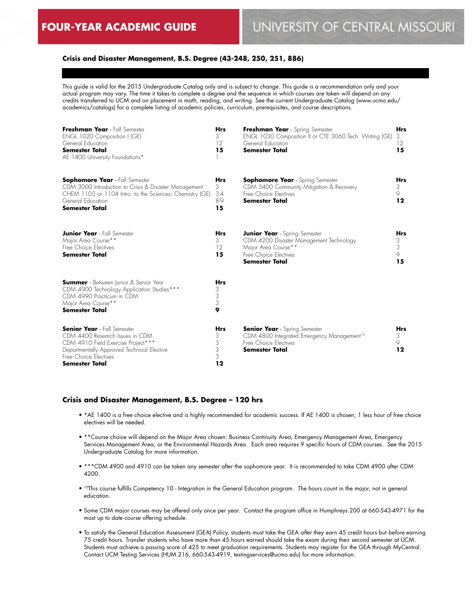## **Crisis and Disaster Management, B.S. Degree (43-248, 250, 251, 886)**

This guide is valid for the 2015 Undergraduate Catalog only and is subject to change. This guide is a recommendation only and your actual program may vary. The time it takes to complete a degree and the sequence in which courses are taken will depend on any credits transferred to UCM and on placement in math, reading, and writing. See the current Undergraduate Catalog (www.ucmo.edu/ academics/catalogs) for a complete listing of academic policies, curriculum, prerequisites, and course descriptions.

| Freshman Year - Fall Semester<br>ENGL 1020 Composition I (GE)<br>General Education<br><b>Semester Total</b><br>AE 1400 University Foundations*                                                           | <b>Hrs</b><br>3<br>12<br>15           | Freshman Year - Spring Semester<br>ENGL 1030 Composition II or CTE 3060 Tech. Writing (GE)<br>General Education<br><b>Semester Total</b>                 | <b>Hrs</b><br>3<br>12<br>15     |
|----------------------------------------------------------------------------------------------------------------------------------------------------------------------------------------------------------|---------------------------------------|----------------------------------------------------------------------------------------------------------------------------------------------------------|---------------------------------|
| <b>Sophomore Year</b> - Fall Semester<br>CDM 3000 Introduction to Crisis & Disaster Management<br>CHEM 1103 or 1104 Intro. to the Sciences: Chemistry (GE)<br>General Education<br><b>Semester Total</b> | <b>Hrs</b><br>3<br>$3-4$<br>8-9<br>15 | <b>Sophomore Year</b> - Spring Semester<br>CDM 3400 Community Mitigation & Recovery<br>Free Choice Flectives<br><b>Semester Total</b>                    | <b>Hrs</b><br>3<br>9<br>12      |
| <b>Junior Year</b> - Fall Semester<br>Major Area Course**<br>Free Choice Electives<br><b>Semester Total</b>                                                                                              | <b>Hrs</b><br>3<br>12<br>15           | <b>Junior Year</b> - Spring Semester<br>CDM 4200 Disaster Management Technology<br>Major Area Course**<br>Free Choice Electives<br><b>Semester Total</b> | <b>Hrs</b><br>3<br>3<br>9<br>15 |
| <b>Summer</b> - Between Junior & Senior Year<br>CDM 4900 Technology Application Studies***<br>CDM 4990 Practicum in CDM<br>Major Area Course**<br><b>Semester Total</b>                                  | <b>Hrs</b><br>3<br>3<br>3<br>9        |                                                                                                                                                          |                                 |
| <b>Senior Year</b> - Fall Semester<br>CDM 4400 Research Issues in CDM<br>CDM 4910 Field Exercise Project***<br>Departmentally Approved Technical Elective<br>Free Choice Electives<br>Semester Total     | <b>Hrs</b><br>3<br>3<br>3<br>3<br>12  | <b>Senior Year</b> - Spring Semester<br>CDM 4800 Integrated Emergency Management <sup>10</sup><br>Free Choice Electives<br><b>Semester Total</b>         | <b>Hrs</b><br>3<br>9<br>12      |

#### **Crisis and Disaster Management, B.S. Degree – 120 hrs**

- \*AE 1400 is a free choice elective and is highly recommended for academic success. If AE 1400 is chosen, 1 less hour of free choice electives will be needed.
- \*\*Course choice will depend on the Major Area chosen: Business Continuity Area, Emergency Management Area, Emergency Services Management Area, or the Environmental Hazards Area. Each area requires 9 specific hours of CDM courses. See the 2015 Undergraduate Catalog for more information.
- \*\*\*CDM 4900 and 4910 can be taken any semester after the sophomore year. It is recommended to take CDM 4900 after CDM 4200.
- 10This course fulfills Competency 10 Integration in the General Education program. The hours count in the major, not in general education.
- Some CDM major courses may be offered only once per year. Contact the program office in Humphreys 200 at 660-543-4971 for the most up to date course offering schedule.
- To satisfy the General Education Assessment (GEA) Policy, students must take the GEA *after* they earn 45 credit hours but *before* earning 75 credit hours. Transfer students who have more than 45 hours earned should take the exam during their second semester at UCM. Students must achieve a passing score of 425 to meet graduation requirements. Students may register for the GEA through MyCentral. Contact UCM Testing Services (HUM 216, 660-543-4919, testingservices@ucmo.edu) for more information.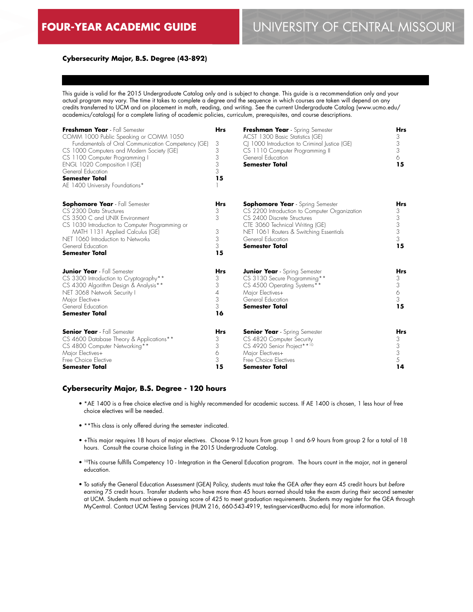## **Cybersecurity Major, B.S. Degree (43-892)**

This guide is valid for the 2015 Undergraduate Catalog only and is subject to change. This guide is a recommendation only and your actual program may vary. The time it takes to complete a degree and the sequence in which courses are taken will depend on any credits transferred to UCM and on placement in math, reading, and writing. See the current Undergraduate Catalog (www.ucmo.edu/ academics/catalogs) for a complete listing of academic policies, curriculum, prerequisites, and course descriptions.

| Freshman Year - Fall Semester<br>COMM 1000 Public Speaking or COMM 1050<br>Fundamentals of Oral Communication Competency (GE)<br>CS 1000 Computers and Modern Society (GE)<br>CS 1100 Computer Programming I<br>ENGL 1020 Composition I (GE)<br>General Education<br><b>Semester Total</b><br>AE 1400 University Foundations* | <b>Hrs</b><br>3<br>3<br>3<br>3<br>3<br>15 | Freshman Year - Spring Semester<br>ACST 1300 Basic Statistics (GE)<br>C 1000 Introduction to Criminal Justice (GE)<br>CS 1110 Computer Programming II<br>General Education<br><b>Semester Total</b>                                          | <b>Hrs</b><br>3<br>3<br>3<br>6<br>15      |
|-------------------------------------------------------------------------------------------------------------------------------------------------------------------------------------------------------------------------------------------------------------------------------------------------------------------------------|-------------------------------------------|----------------------------------------------------------------------------------------------------------------------------------------------------------------------------------------------------------------------------------------------|-------------------------------------------|
| <b>Sophomore Year</b> - Fall Semester<br>CS 2300 Data Structures<br>CS 3500 C and UNIX Environment<br>CS 1030 Introduction to Computer Programming or<br>MATH 1131 Applied Calculus (GE)<br>NET 1060 Introduction to Networks<br>General Education<br><b>Semester Total</b>                                                   | <b>Hrs</b><br>3<br>3<br>3<br>3<br>3<br>15 | <b>Sophomore Year</b> - Spring Semester<br>CS 2200 Introduction to Computer Organization<br>CS 2400 Discrete Structures<br>CTE 3060 Technical Writing (GE)<br>NET 1061 Routers & Switching Essentials<br>General Education<br>Semester Total | <b>Hrs</b><br>3<br>3<br>3<br>3<br>3<br>15 |
| <b>Junior Year</b> - Fall Semester<br>CS 3300 Introduction to Cryptography**<br>CS 4300 Algorithm Design & Analysis**<br>NET 3068 Network Security I<br>Major Elective+<br>General Education<br><b>Semester Total</b>                                                                                                         | <b>Hrs</b><br>3<br>3<br>4<br>3<br>3<br>16 | <b>Junior Year</b> - Spring Semester<br>CS 3130 Secure Programming**<br>CS 4500 Operating Systems**<br>Major Electives+<br>General Education<br><b>Semester Total</b>                                                                        | <b>Hrs</b><br>3<br>3<br>6<br>3<br>15      |
| <b>Senior Year</b> - Fall Semester<br>CS 4600 Database Theory & Applications**<br>CS 4800 Computer Networking**<br>Major Electives+<br>Free Choice Elective<br><b>Semester Total</b>                                                                                                                                          | <b>Hrs</b><br>3<br>3<br>6<br>3<br>15      | <b>Senior Year</b> - Spring Semester<br>CS 4820 Computer Security<br>CS 4920 Senior Project**10<br>Major Electives+<br>Free Choice Electives<br>Semester Total                                                                               | <b>Hrs</b><br>3<br>3<br>3<br>5<br>14      |

#### **Cybersecurity Major, B.S. Degree - 120 hours**

- \*AE 1400 is a free choice elective and is highly recommended for academic success. If AE 1400 is chosen, 1 less hour of free choice electives will be needed.
- \*\*This class is only offered during the semester indicated.
- +This major requires 18 hours of major electives. Choose 9-12 hours from group 1 and 6-9 hours from group 2 for a total of 18 hours. Consult the course choice listing in the 2015 Undergraduate Catalog.
- 10This course fulfills Competency 10 Integration in the General Education program. The hours count in the major, not in general education.
- To satisfy the General Education Assessment (GEA) Policy, students must take the GEA *after* they earn 45 credit hours but *before* earning 75 credit hours. Transfer students who have more than 45 hours earned should take the exam during their second semester at UCM. Students must achieve a passing score of 425 to meet graduation requirements. Students may register for the GEA through MyCentral. Contact UCM Testing Services (HUM 216, 660-543-4919, testingservices@ucmo.edu) for more information.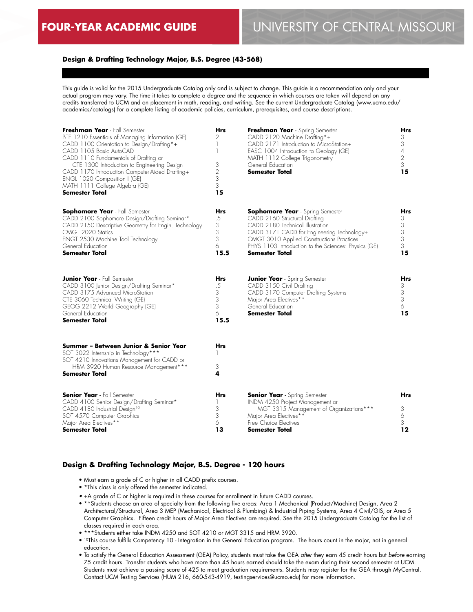## **Design & Drafting Technology Major, B.S. Degree (43-568)**

This guide is valid for the 2015 Undergraduate Catalog only and is subject to change. This guide is a recommendation only and your actual program may vary. The time it takes to complete a degree and the sequence in which courses are taken will depend on any credits transferred to UCM and on placement in math, reading, and writing. See the current Undergraduate Catalog (www.ucmo.edu/ academics/catalogs) for a complete listing of academic policies, curriculum, prerequisites, and course descriptions.

| Freshman Year - Fall Semester<br>BTE 1210 Essentials of Managing Information (GE)<br>CADD 1100 Orientation to Design/Drafting*+<br>CADD 1105 Basic AutoCAD<br>CADD 1110 Fundamentals of Drafting or<br>CTE 1300 Introduction to Engineering Design<br>CADD 1170 Introduction Computer-Aided Drafting+<br>ENGL 1020 Composition I (GE)<br>MATH 1111 College Algebra (GE)<br>Semester Total | <b>Hrs</b><br>2<br>1<br>1<br>3<br>$\sqrt{2}$<br>3<br>3<br>15 | Freshman Year - Spring Semester<br>CADD 2120 Machine Drafting*+<br>CADD 2171 Introduction to MicroStation+<br>EASC 1004 Introduction to Geology (GE)<br>MATH 1112 College Trigonometry<br>General Education<br><b>Semester Total</b>                                                     | Hrs<br>3<br>3<br>$\overline{4}$<br>$\overline{2}$<br>3<br>15 |
|-------------------------------------------------------------------------------------------------------------------------------------------------------------------------------------------------------------------------------------------------------------------------------------------------------------------------------------------------------------------------------------------|--------------------------------------------------------------|------------------------------------------------------------------------------------------------------------------------------------------------------------------------------------------------------------------------------------------------------------------------------------------|--------------------------------------------------------------|
| <b>Sophomore Year</b> - Fall Semester<br>CADD 2100 Sophomore Design/Drafting Seminar*<br>CADD 2150 Descriptive Geometry for Engin. Technology<br>CMGT 2020 Statics<br>ENGT 2530 Machine Tool Technology<br>General Education<br><b>Semester Total</b>                                                                                                                                     | Hrs<br>.5<br>3<br>3<br>3<br>6<br>15.5                        | <b>Sophomore Year</b> - Spring Semester<br>CADD 2160 Structural Drafting<br>CADD 2180 Technical Illustration<br>CADD 3171 CADD for Engineering Technology+<br>CMGT 3010 Applied Constructions Practices<br>PHYS 1103 Introduction to the Sciences: Physics (GE)<br><b>Semester Total</b> | Hrs<br>3<br>3<br>3<br>3<br>3<br>15                           |
| <b>Junior Year</b> - Fall Semester<br>CADD 3100 Junior Design/Drafting Seminar*<br>CADD 3175 Advanced MicroStation<br>CTE 3060 Technical Writing (GE)<br>GEOG 2212 World Geography (GE)<br>General Education<br><b>Semester Total</b>                                                                                                                                                     | <b>Hrs</b><br>.5<br>3<br>3<br>3<br>6<br>15.5                 | <b>Junior Year</b> - Spring Semester<br>CADD 3150 Civil Drafting<br>CADD 3170 Computer Drafting Systems<br>Major Area Electives**<br>General Education<br><b>Semester Total</b>                                                                                                          | Hrs<br>3<br>3<br>3<br>6<br>15                                |
| Summer - Between Junior & Senior Year<br>SOT 3022 Internship in Technology***<br>SOT 4210 Innovations Management for CADD or<br>HRM 3920 Human Resource Management***<br>Semester Total                                                                                                                                                                                                   | Hrs<br>3<br>4                                                |                                                                                                                                                                                                                                                                                          |                                                              |
| <b>Senior Year</b> - Fall Semester<br>CADD 4100 Senior Design/Drafting Seminar*<br>CADD 4180 Industrial Design <sup>10</sup><br>SOT 4570 Computer Graphics<br>Major Area Electives**<br>Semester Total                                                                                                                                                                                    | Hrs<br>1<br>3<br>3<br>6<br>13                                | <b>Senior Year</b> - Spring Semester<br>INDM 4250 Project Management or<br>MGT 3315 Management of Organizations***<br>Major Area Electives**<br>Free Choice Electives<br>Semester Total                                                                                                  | Hrs<br>3<br>6<br>3<br>12                                     |

#### **Design & Drafting Technology Major, B.S. Degree - 120 hours**

- Must earn a grade of C or higher in all CADD prefix courses.
- \*This class is only offered the semester indicated.
- +A grade of C or higher is required in these courses for enrollment in future CADD courses.
- \*\*Students choose an area of specialty from the following five areas: Area 1 Mechanical (Product/Machine) Design, Area 2 Architectural/Structural, Area 3 MEP (Mechanical, Electrical & Plumbing) & Industrial Piping Systems, Area 4 Civil/GIS, or Area 5 Computer Graphics. Fifteen credit hours of Major Area Electives are required. See the 2015 Undergraduate Catalog for the list of classes required in each area.
- \*\*\*Students either take INDM 4250 and SOT 4210 or MGT 3315 and HRM 3920.
- 10This course fulfills Competency 10 Integration in the General Education program. The hours count in the major, not in general education.
- To satisfy the General Education Assessment (GEA) Policy, students must take the GEA *after* they earn 45 credit hours but *before* earning 75 credit hours. Transfer students who have more than 45 hours earned should take the exam during their second semester at UCM. Students must achieve a passing score of 425 to meet graduation requirements. Students may register for the GEA through MyCentral. Contact UCM Testing Services (HUM 216, 660-543-4919, testingservices@ucmo.edu) for more information.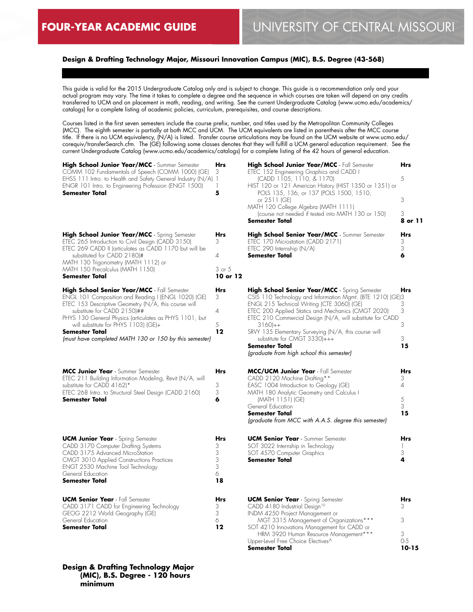## **Design & Drafting Technology Major, Missouri Innovation Campus (MIC), B.S. Degree (43-568)**

This guide is valid for the 2015 Undergraduate Catalog only and is subject to change. This guide is a recommendation only and your actual program may vary. The time it takes to complete a degree and the sequence in which courses are taken will depend on any credits transferred to UCM and on placement in math, reading, and writing. See the current Undergraduate Catalog (www.ucmo.edu/academics/ catalogs) for a complete listing of academic policies, curriculum, prerequisites, and course descriptions.

Courses listed in the first seven semesters include the course prefix, number, and titles used by the Metropolitan Community Colleges (MCC). The eighth semester is partially at both MCC and UCM. The UCM equivalents are listed in parenthesis after the MCC course title. If there is no UCM equivalency, (N/A) is listed. Transfer course articulations may be found on the UCM website at www.ucmo.edu/ corequiv/transferSearch.cfm. The (GE) following some classes denotes that they will fulfill a UCM general education requirement. See the current Undergraduate Catalog (www.ucmo.edu/academics/catalogs) for a complete listing of the 42 hours of general education.

| High School Junior Year/MCC - Summer Semester                                                                                                                                                                                                                                                                                                                                                                                                                                                                                                                                                                                                                         | Hrs                                                             |
|-----------------------------------------------------------------------------------------------------------------------------------------------------------------------------------------------------------------------------------------------------------------------------------------------------------------------------------------------------------------------------------------------------------------------------------------------------------------------------------------------------------------------------------------------------------------------------------------------------------------------------------------------------------------------|-----------------------------------------------------------------|
| COMM 102 Fundamentals of Speech (COMM 1000) (GE)                                                                                                                                                                                                                                                                                                                                                                                                                                                                                                                                                                                                                      | 3                                                               |
| EHSS 111 Intro. to Health and Safety General Industry (N/A)                                                                                                                                                                                                                                                                                                                                                                                                                                                                                                                                                                                                           | 1                                                               |
| ENGR 101 Intro. to Engineering Profession (ENGT 1500)                                                                                                                                                                                                                                                                                                                                                                                                                                                                                                                                                                                                                 | 1                                                               |
| Semester Total                                                                                                                                                                                                                                                                                                                                                                                                                                                                                                                                                                                                                                                        | 5                                                               |
| High School Junior Year/MCC - Spring Semester<br>ETEC 265 Introduction to Civil Design (CADD 3150)<br>ETEC 269 CADD II (articulates as CADD 1170 but will be<br>substituted for CADD 2180)#<br>MATH 130 Trigonometry (MATH 1112) or<br>MATH 150 Precalculus (MATH 1150)<br>Semester Total<br>High School Senior Year/MCC - Fall Semester<br>ENGL 101 Composition and Reading I (ENGL 1020) (GE)<br>ETEC 153 Descriptive Geometry (N/A, this course will<br>substitute for CADD 2150)##<br>PHYS 130 General Physics (articulates as PHYS 1101, but<br>will substitute for PHYS 1103) (GE)+<br>Semester Total<br>(must have completed MATH 130 or 150 by this semester) | Hrs<br>3<br>4<br>3 or 5<br>10 or 12<br>Hrs<br>3<br>4<br>5<br>12 |
| MCC Junior Year - Summer Semester<br>ETEC 211 Building Information Modeling, Revit (N/A, will<br>substitute for CADD 4162)*<br>ETEC 268 Intro. to Structural Steel Design (CADD 2160)<br>Semester Total                                                                                                                                                                                                                                                                                                                                                                                                                                                               | Hrs<br>3<br>3<br>6                                              |
| <b>UCM Junior Year</b> - Spring Semester                                                                                                                                                                                                                                                                                                                                                                                                                                                                                                                                                                                                                              | Hrs                                                             |
| CADD 3170 Computer Drafting Systems                                                                                                                                                                                                                                                                                                                                                                                                                                                                                                                                                                                                                                   | 3                                                               |
| CADD 3175 Advanced MicroStation                                                                                                                                                                                                                                                                                                                                                                                                                                                                                                                                                                                                                                       | 3                                                               |
| CMGT 3010 Applied Constructions Practices                                                                                                                                                                                                                                                                                                                                                                                                                                                                                                                                                                                                                             | 3                                                               |
| ENGT 2530 Machine Tool Technology                                                                                                                                                                                                                                                                                                                                                                                                                                                                                                                                                                                                                                     | 3                                                               |
| General Education                                                                                                                                                                                                                                                                                                                                                                                                                                                                                                                                                                                                                                                     | 6                                                               |
| Semester Total                                                                                                                                                                                                                                                                                                                                                                                                                                                                                                                                                                                                                                                        | 18                                                              |
| <b>UCM Senior Year</b> - Fall Semester                                                                                                                                                                                                                                                                                                                                                                                                                                                                                                                                                                                                                                | Hrs                                                             |
| CADD 3171 CADD for Engineering Technology                                                                                                                                                                                                                                                                                                                                                                                                                                                                                                                                                                                                                             | 3                                                               |
| GEOG 2212 World Geography (GE)                                                                                                                                                                                                                                                                                                                                                                                                                                                                                                                                                                                                                                        | 3                                                               |
| General Education                                                                                                                                                                                                                                                                                                                                                                                                                                                                                                                                                                                                                                                     | 6                                                               |
| Semester Total                                                                                                                                                                                                                                                                                                                                                                                                                                                                                                                                                                                                                                                        | 12                                                              |

#### **Design & Drafting Technology Major (MIC), B.S. Degree - 120 hours minimum**

| High School Junior Year/MCC - Fall Semester             | Hrs     |
|---------------------------------------------------------|---------|
| ETEC 152 Engineering Graphics and CADD I                |         |
| (CADD 1105, 1110, & 1170)                               | 5       |
| HIST 120 or 121 American History (HIST 1350 or 1351) or |         |
| POLS 135, 136, or 137 (POLS 1500, 1510,                 |         |
| or 2511 (GE)                                            | 3       |
| MATH 120 College Algebra (MATH 1111)                    |         |
| (course not needed if tested into MATH 130 or 150)      | 3       |
| <b>Semester Total</b>                                   | 8 or 11 |
| High School Senior Year/MCC - Summer Semester           | Hrs     |
| ETEC 170 Microstation (CADD 2171)                       | 3       |
| ETEC 290 Internship (N/A)                               | २       |
| <b>Semester Total</b>                                   |         |

| High School Senior Year/MCC - Spring Semester<br>CSIS 110 Technology and Information Mgmt. (BTE 1210) (GE)3<br>ENGL 215 Technical Writing (CTE 3060) (GE)<br>ETEC 200 Applied Statics and Mechanics (CMGT 2020)<br>ETEC 210 Commercial Design (N/A, will substitute for CADD                                               | <b>Hrs</b><br>3<br>3                        |
|----------------------------------------------------------------------------------------------------------------------------------------------------------------------------------------------------------------------------------------------------------------------------------------------------------------------------|---------------------------------------------|
| $3160++$<br>SRVY 135 Elementary Surveying (N/A, this course will<br>substitute for CMGT 3330)+++                                                                                                                                                                                                                           | 3<br>3                                      |
| <b>Semester Total</b><br>(graduate from high school this semester)                                                                                                                                                                                                                                                         | 15                                          |
| MCC/UCM Junior Year - Fall Semester<br>CADD 2120 Machine Drafting **<br>EASC 1004 Introduction to Geology (GE)<br>MATH 180 Analytic Geometry and Calculus I<br>(MATH 1151) (GE)<br>General Education<br>Semester Total<br>(graduate from MCC with A.A.S. degree this semester)                                             | <b>Hrs</b><br>3<br>4<br>5<br>3<br>15        |
| <b>UCM Senior Year</b> - Summer Semester<br>SOT 3022 Internship in Technology<br>SOT 4570 Computer Graphics<br><b>Semester Total</b>                                                                                                                                                                                       | <b>Hrs</b><br>1<br>3<br>4                   |
| <b>UCM Senior Year</b> - Spring Semester<br>CADD 4180 Industrial Design <sup>10</sup><br>INDM 4250 Project Management or<br>MGT 3315 Management of Organizations***<br>SOT 4210 Innovations Management for CADD or<br>HRM 3920 Human Resource Management***<br>Upper-level Free Choice Electives^<br><b>Semester Total</b> | <b>Hrs</b><br>3<br>3<br>3<br>$O-5$<br>10-15 |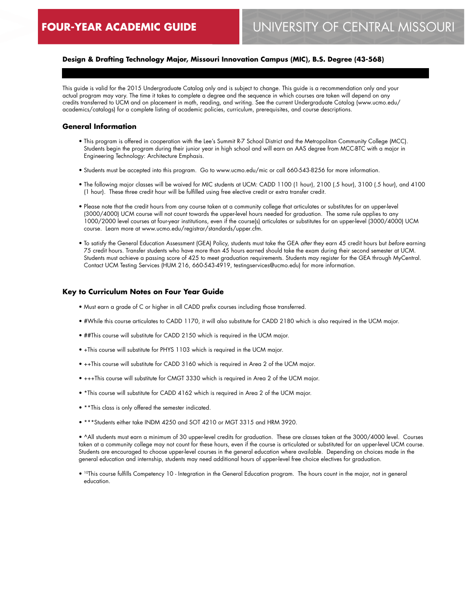## **Design & Drafting Technology Major, Missouri Innovation Campus (MIC), B.S. Degree (43-568)**

This guide is valid for the 2015 Undergraduate Catalog only and is subject to change. This guide is a recommendation only and your actual program may vary. The time it takes to complete a degree and the sequence in which courses are taken will depend on any credits transferred to UCM and on placement in math, reading, and writing. See the current Undergraduate Catalog (www.ucmo.edu/ academics/catalogs) for a complete listing of academic policies, curriculum, prerequisites, and course descriptions.

#### **General Information**

- This program is offered in cooperation with the Lee's Summit R-7 School District and the Metropolitan Community College (MCC). Students begin the program during their junior year in high school and will earn an AAS degree from MCC-BTC with a major in Engineering Technology: Architecture Emphasis.
- Students must be accepted into this program. Go to www.ucmo.edu/mic or call 660-543-8256 for more information.
- The following major classes will be waived for MIC students at UCM: CADD 1100 (1 hour), 2100 (.5 hour), 3100 (.5 hour), and 4100 (1 hour). These three credit hour will be fulfilled using free elective credit or extra transfer credit.
- Please note that the credit hours from any course taken at a community college that articulates or substitutes for an upper-level (3000/4000) UCM course will not count towards the upper-level hours needed for graduation. The same rule applies to any 1000/2000 level courses at four-year institutions, even if the course(s) articulates or substitutes for an upper-level (3000/4000) UCM course. Learn more at www.ucmo.edu/registrar/standards/upper.cfm.
- To satisfy the General Education Assessment (GEA) Policy, students must take the GEA *after* they earn 45 credit hours but *before* earning 75 credit hours. Transfer students who have more than 45 hours earned should take the exam during their second semester at UCM. Students must achieve a passing score of 425 to meet graduation requirements. Students may register for the GEA through MyCentral. Contact UCM Testing Services (HUM 216, 660-543-4919, testingservices@ucmo.edu) for more information.

#### **Key to Curriculum Notes on Four Year Guide**

- Must earn a grade of C or higher in all CADD prefix courses including those transferred.
- #While this course articulates to CADD 1170, it will also substitute for CADD 2180 which is also required in the UCM major.
- ##This course will substitute for CADD 2150 which is required in the UCM major.
- +This course will substitute for PHYS 1103 which is required in the UCM major.
- ++This course will substitute for CADD 3160 which is required in Area 2 of the UCM major.
- +++This course will substitute for CMGT 3330 which is required in Area 2 of the UCM major.
- \*This course will substitute for CADD 4162 which is required in Area 2 of the UCM major.
- \*\*This class is only offered the semester indicated.
- \*\*\*Students either take INDM 4250 and SOT 4210 or MGT 3315 and HRM 3920.

• ^All students must earn a minimum of 30 upper-level credits for graduation. These are classes taken at the 3000/4000 level. Courses taken at a community college may not count for these hours, even if the course is articulated or substituted for an upper-level UCM course. Students are encouraged to choose upper-level courses in the general education where available. Depending on choices made in the general education and internship, students may need additional hours of upper-level free choice electives for graduation.

• <sup>10</sup>This course fulfills Competency 10 - Integration in the General Education program. The hours count in the major, not in general education.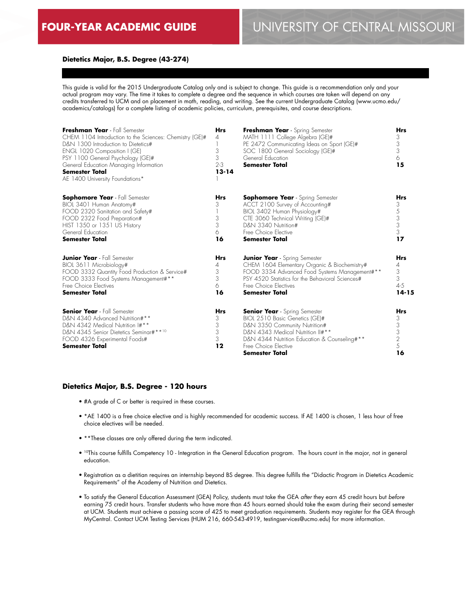## **Dietetics Major, B.S. Degree (43-274)**

This guide is valid for the 2015 Undergraduate Catalog only and is subject to change. This guide is a recommendation only and your actual program may vary. The time it takes to complete a degree and the sequence in which courses are taken will depend on any credits transferred to UCM and on placement in math, reading, and writing. See the current Undergraduate Catalog (www.ucmo.edu/ academics/catalogs) for a complete listing of academic policies, curriculum, prerequisites, and course descriptions.

| Freshman Year - Fall Semester<br>CHEM 1104 Introduction to the Sciences: Chemistry (GE)#<br>D&N 1300 Introduction to Dietetics#<br>ENGL 1020 Composition I (GE)<br>PSY 1100 General Psychology (GE)#<br>General Education Managing Information<br><b>Semester Total</b><br>AE 1400 University Foundations* | <b>Hrs</b><br>4<br>3<br>3<br>$2 - 3$<br>$13 - 14$ | Freshman Year - Spring Semester<br>MATH 1111 College Algebra (GE)#<br>PE 2472 Communicating Ideas on Sport (GE)#<br>SOC 1800 General Sociology (GE)#<br>General Education<br><b>Semester Total</b>                                           | <b>Hrs</b><br>3<br>3<br>3<br>6<br>15              |
|------------------------------------------------------------------------------------------------------------------------------------------------------------------------------------------------------------------------------------------------------------------------------------------------------------|---------------------------------------------------|----------------------------------------------------------------------------------------------------------------------------------------------------------------------------------------------------------------------------------------------|---------------------------------------------------|
| <b>Sophomore Year</b> - Fall Semester<br>BIOL 3401 Human Anatomy#<br>FOOD 2320 Sanitation and Safety#<br>FOOD 2322 Food Preparation#<br>HIST 1350 or 1351 US History<br>General Education<br><b>Semester Total</b>                                                                                         | <b>Hrs</b><br>3<br>3<br>3<br>6<br>16              | <b>Sophomore Year</b> - Spring Semester<br>ACCT 2100 Survey of Accounting#<br>BIOL 3402 Human Physiology#<br>CTE 3060 Technical Writing (GE)#<br>D&N 3340 Nutrition#<br>Free Choice Elective<br><b>Semester Total</b>                        | <b>Hrs</b><br>3<br>5<br>$\frac{3}{3}$<br>3<br>17  |
| <b>Junior Year</b> - Fall Semester<br>BIOL 3611 Microbiology#<br>FOOD 3332 Quantity Food Production & Service#<br>FOOD 3333 Food Systems Management#**<br>Free Choice Flectives<br><b>Semester Total</b>                                                                                                   | <b>Hrs</b><br>4<br>3<br>3<br>6<br>16              | <b>Junior Year</b> - Spring Semester<br>CHEM 1604 Elementary Organic & Biochemistry#<br>FOOD 3334 Advanced Food Systems Management#**<br>PSY 4520 Statistics for the Behavioral Sciences#<br>Free Choice Electives<br>Semester Total         | <b>Hrs</b><br>4<br>3<br>3<br>$4 - 5$<br>$14 - 15$ |
| <b>Senior Year</b> - Fall Semester<br>D&N 4340 Advanced Nutrition#**<br>D&N 4342 Medical Nutrition I#**<br>D&N 4345 Senior Dietetics Seminar#**10<br>FOOD 4326 Experimental Foods#<br><b>Semester Total</b>                                                                                                | <b>Hrs</b><br>3<br>3<br>3<br>3<br>12              | <b>Senior Year</b> - Spring Semester<br>BIOL 2510 Basic Genetics (GE)#<br>D&N 3350 Community Nutrition#<br>D&N 4343 Medical Nutrition II#**<br>D&N 4344 Nutrition Education & Counseling#**<br>Free Choice Flective<br><b>Semester Total</b> | <b>Hrs</b><br>3<br>3<br>$\frac{3}{2}$<br>5<br>16  |

#### **Dietetics Major, B.S. Degree - 120 hours**

- #A grade of C or better is required in these courses.
- \*AE 1400 is a free choice elective and is highly recommended for academic success. If AE 1400 is chosen, 1 less hour of free choice electives will be needed.
- \*\*These classes are only offered during the term indicated.
- 10This course fulfills Competency 10 Integration in the General Education program. The hours count in the major, not in general education.
- Registration as a dietitian requires an internship beyond BS degree. This degree fulfills the "Didactic Program in Dietetics Academic Requirements" of the Academy of Nutrition and Dietetics.
- To satisfy the General Education Assessment (GEA) Policy, students must take the GEA *after* they earn 45 credit hours but *before* earning 75 credit hours. Transfer students who have more than 45 hours earned should take the exam during their second semester at UCM. Students must achieve a passing score of 425 to meet graduation requirements. Students may register for the GEA through MyCentral. Contact UCM Testing Services (HUM 216, 660-543-4919, testingservices@ucmo.edu) for more information.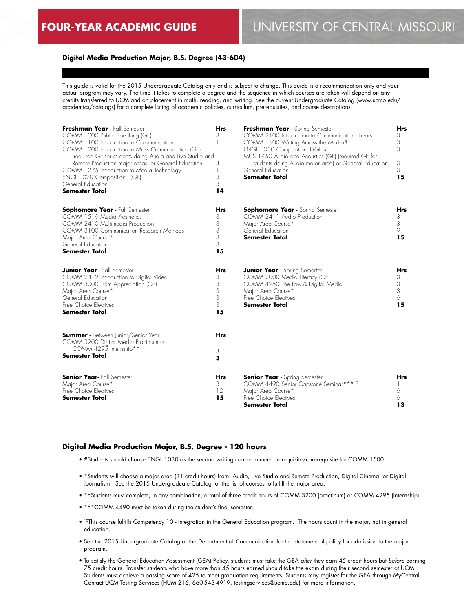# **FOUR-YEAR ACADEMIC GUIDE** UNIVERSITY OF CENTRAL MISSOURI

### **Digital Media Production Major, B.S. Degree (43-604)**

This guide is valid for the 2015 Undergraduate Catalog only and is subject to change. This guide is a recommendation only and your actual program may vary. The time it takes to complete a degree and the sequence in which courses are taken will depend on any credits transferred to UCM and on placement in math, reading, and writing. See the current Undergraduate Catalog (www.ucmo.edu/ academics/catalogs) for a complete listing of academic policies, curriculum, prerequisites, and course descriptions.

| Freshman Year - Fall Semester<br>COMM 1000 Public Speaking (GE)<br>COMM 1100 Introduction to Communication<br>COMM 1200 Introduction to Mass Communication (GE)<br>(required GE for students doing Audio and Live Studio and<br>Remote Production major areas) or General Education<br>COMM 1275 Introduction to Media Technology<br>ENGL 1020 Composition I (GE)<br>General Education<br><b>Semester Total</b> | <b>Hrs</b><br>3<br>3<br>3<br>3<br>14      | Freshman Year - Spring Semester<br>COMM 2100 Introduction to Communication Theory<br>COMM 1500 Writing Across the Media#<br>ENGL 1030 Composition II (GE)#<br>MUS 1450 Audio and Acoustics (GE) (required GE for<br>students doing Audio major area) or General Education<br>General Education<br><b>Semester Total</b> | <b>Hrs</b><br>3<br>3<br>3<br>3<br>3<br>15 |
|-----------------------------------------------------------------------------------------------------------------------------------------------------------------------------------------------------------------------------------------------------------------------------------------------------------------------------------------------------------------------------------------------------------------|-------------------------------------------|-------------------------------------------------------------------------------------------------------------------------------------------------------------------------------------------------------------------------------------------------------------------------------------------------------------------------|-------------------------------------------|
| <b>Sophomore Year</b> - Fall Semester<br>COMM 1519 Media Aesthetics<br>COMM 2410 Multimedia Production<br>COMM 3100 Communication Research Methods<br>Major Area Course*<br>General Education<br><b>Semester Total</b>                                                                                                                                                                                          | <b>Hrs</b><br>3<br>3<br>3<br>3<br>3<br>15 | <b>Sophomore Year</b> - Spring Semester<br>COMM 2411 Audio Production<br>Major Area Course*<br>General Education<br><b>Semester Total</b>                                                                                                                                                                               | <b>Hrs</b><br>3<br>3<br>9<br>15           |
| <b>Junior Year</b> - Fall Semester<br>COMM 2412 Introduction to Digital Video<br>COMM 3000 Film Appreciation (GE)<br>Major Area Course*<br>General Education<br>Free Choice Electives<br><b>Semester Total</b>                                                                                                                                                                                                  | <b>Hrs</b><br>3<br>3<br>3<br>3<br>3<br>15 | <b>Junior Year</b> - Spring Semester<br>COMM 2000 Media Literacy (GE)<br>COMM 4250 The Law & Digital Media<br>Major Area Course*<br>Free Choice Electives<br><b>Semester Total</b>                                                                                                                                      | <b>Hrs</b><br>3<br>3<br>3<br>6<br>15      |
| <b>Summer</b> - Between Junior/Senior Year<br>COMM 3200 Digital Media Practicum or<br>COMM 4295 Internship**<br><b>Semester Total</b>                                                                                                                                                                                                                                                                           | <b>Hrs</b><br>3<br>3                      |                                                                                                                                                                                                                                                                                                                         |                                           |
| <b>Senior Year-</b> Fall Semester<br>Major Area Course*<br>Free Choice Electives<br><b>Semester Total</b>                                                                                                                                                                                                                                                                                                       | <b>Hrs</b><br>3<br>12<br>15               | <b>Senior Year</b> - Spring Semester<br>COMM 4490 Senior Capstone Seminar***10<br>Major Area Course*<br>Free Choice Electives<br>Semester Total                                                                                                                                                                         | <b>Hrs</b><br>6<br>6<br>13                |

#### **Digital Media Production Major, B.S. Degree - 120 hours**

- #Students should choose ENGL 1030 as the second writing course to meet prerequisite/corerequisite for COMM 1500.
- \*Students will choose a major area (21 credit hours) from: Audio, Live Studio and Remote Production, Digital Cinema, or Digital Journalism. See the 2015 Undergraduate Catalog for the list of courses to fulfill the major area.
- \*\*Students must complete, in any combination, a total of three credit hours of COMM 3200 (practicum) or COMM 4295 (internship).
- \*\*\*COMM 4490 must be taken during the student's final semester.
- <sup>10</sup>This course fulfills Competency 10 Integration in the General Education program. The hours count in the major, not in general education.
- See the 2015 Undergraduate Catalog or the Department of Communication for the statement of policy for admission to the major program.
- To satisfy the General Education Assessment (GEA) Policy, students must take the GEA *after* they earn 45 credit hours but *before* earning 75 credit hours. Transfer students who have more than 45 hours earned should take the exam during their second semester at UCM. Students must achieve a passing score of 425 to meet graduation requirements. Students may register for the GEA through MyCentral. Contact UCM Testing Services (HUM 216, 660-543-4919, testingservices@ucmo.edu) for more information.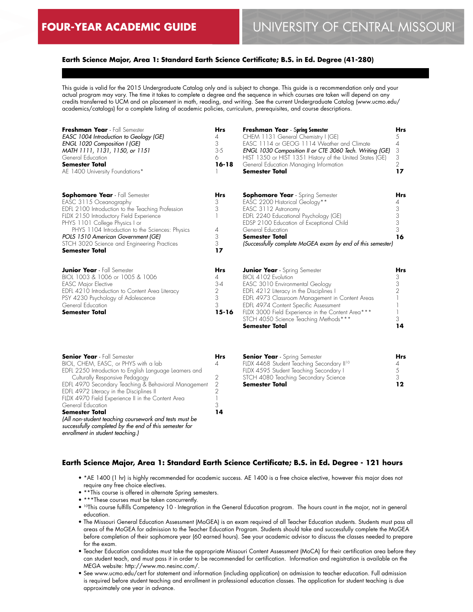## **Earth Science Major, Area 1: Standard Earth Science Certificate; B.S. in Ed. Degree (41-280)**

This guide is valid for the 2015 Undergraduate Catalog only and is subject to change. This guide is a recommendation only and your actual program may vary. The time it takes to complete a degree and the sequence in which courses are taken will depend on any credits transferred to UCM and on placement in math, reading, and writing. See the current Undergraduate Catalog (www.ucmo.edu/ academics/catalogs) for a complete listing of academic policies, curriculum, prerequisites, and course descriptions.

| Freshman Year - Fall Semester<br>EASC 1004 Introduction to Geology (GE)<br>ENGL 1020 Composition I (GE)<br>MATH 1111, 1131, 1150, or 1151<br>General Education<br><b>Semester Total</b><br>AE 1400 University Foundations*                                                                                                                                         | <b>Hrs</b><br>4<br>3<br>$3-5$<br>6<br>$16 - 18$        | <b>Freshman Year - Spring Semester</b><br>CHEM 1131 General Chemistry I (GE)<br>EASC 1114 or GEOG 1114 Weather and Climate<br>ENGL 1030 Composition II or CTE 3060 Tech. Writing (GE)<br>HIST 1350 or HIST 1351 History of the United States (GE)<br>General Education Managing Information<br><b>Semester Total</b>                                  | Hrs<br>5<br>4<br>3<br>3<br>2<br>17 |
|--------------------------------------------------------------------------------------------------------------------------------------------------------------------------------------------------------------------------------------------------------------------------------------------------------------------------------------------------------------------|--------------------------------------------------------|-------------------------------------------------------------------------------------------------------------------------------------------------------------------------------------------------------------------------------------------------------------------------------------------------------------------------------------------------------|------------------------------------|
| <b>Sophomore Year</b> - Fall Semester<br>EASC 3115 Oceanography<br>EDFL 2100 Introduction to the Teaching Profession<br>FLDX 2150 Introductory Field Experience<br>PHYS 1101 College Physics I or<br>PHYS 1104 Introduction to the Sciences: Physics<br>POLS 1510 American Government (GE)<br>STCH 3020 Science and Engineering Practices<br><b>Semester Total</b> | <b>Hrs</b><br>3<br>3<br>4<br>3<br>3<br>17              | <b>Sophomore Year</b> - Spring Semester<br>EASC 2200 Historical Geology**<br>EASC 3112 Astronomy<br>EDFL 2240 Educational Psychology (GE)<br>EDSP 2100 Education of Exceptional Child<br>General Education<br><b>Semester Total</b><br>(Successfully complete MoGEA exam by end of this semester)                                                     | Hrs<br>3<br>3<br>3<br>3<br>16      |
| <b>Junior Year</b> - Fall Semester<br>BIOL 1003 & 1006 or 1005 & 1006<br><b>EASC Major Elective</b><br>EDFL 4210 Introduction to Content Area Literacy<br>PSY 4230 Psychology of Adolescence<br>General Education<br><b>Semester Total</b>                                                                                                                         | <b>Hrs</b><br>4<br>$3 - 4$<br>2<br>3<br>3<br>$15 - 16$ | <b>Junior Year</b> - Spring Semester<br>BIOL 4102 Evolution<br>EASC 3010 Environmental Geology<br>EDFL 4212 Literacy in the Disciplines I<br>EDFL 4973 Classroom Management in Content Areas<br>EDFL 4974 Content Specific Assessment<br>FLDX 3000 Field Experience in the Content Area***<br>STCH 4050 Science Teaching Methods***<br>Semester Total | Hrs<br>3<br>3<br>2<br>3<br>14      |

| <b>Senior Year</b> - Fall Semester                      |                |
|---------------------------------------------------------|----------------|
| BIOL, CHEM, EASC, or PHYS with a lab                    |                |
| EDFL 2250 Introduction to English Language Learners and |                |
| Culturally Responsive Pedagogy                          | 2              |
| EDFL 4970 Secondary Teaching & Behavioral Management    | $\mathfrak{D}$ |
| EDFL 4972 Literacy in the Disciplines II                |                |
| FLDX 4970 Field Experience II in the Content Area       |                |
| General Education                                       |                |
| <b>Semester Total</b>                                   | 14             |
| (All non-student teaching coursework and tests must be  |                |
| successfully completed by the end of this semester for  |                |
| enrollment in student teaching.)                        |                |

| <b>Senior Year</b> - Spring Semester                  | Hrs |
|-------------------------------------------------------|-----|
| FLDX 4468 Student Teaching Secondary II <sup>10</sup> |     |
| FLDX 4595 Student Teaching Secondary I                |     |
| STCH 4080 Teaching Secondary Science                  | -2  |
| <b>Semester Total</b>                                 | 12  |

#### **Earth Science Major, Area 1: Standard Earth Science Certificate; B.S. in Ed. Degree - 121 hours**

- \*AE 1400 (1 hr) is highly recommended for academic success. AE 1400 is a free choice elective, however this major does not require any free choice electives.
- \*\*This course is offered in alternate Spring semesters.
- \*\*\*These courses must be taken concurrently.
- 10This course fulfills Competency 10 Integration in the General Education program. The hours count in the major, not in general education.
- The Missouri General Education Assessment (MoGEA) is an exam required of all Teacher Education students. Students must pass all areas of the MoGEA for admission to the Teacher Education Program. Students should take and successfully complete the MoGEA before completion of their sophomore year (60 earned hours). See your academic advisor to discuss the classes needed to prepare for the exam.
- Teacher Education candidates must take the appropriate Missouri Content Assessment (MoCA) for their certification area before they can student teach, and must pass it in order to be recommended for certification. Information and registration is available on the MEGA website: http://www.mo.nesinc.com/.
- See www.ucmo.edu/cert for statement and information (including application) on admission to teacher education. Full admission is required before student teaching and enrollment in professional education classes. The application for student teaching is due approximately one year in advance.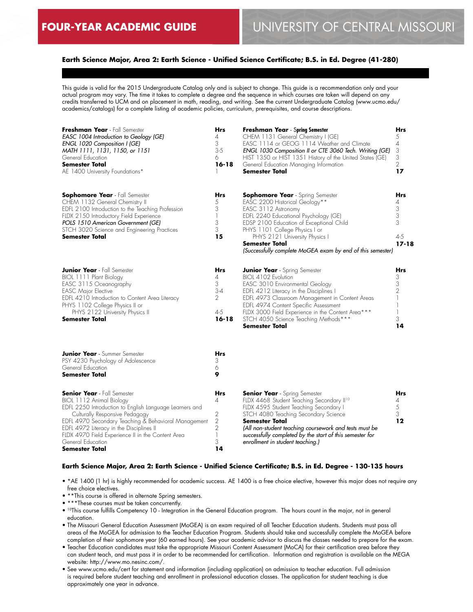## **Earth Science Major, Area 2: Earth Science - Unified Science Certificate; B.S. in Ed. Degree (41-280)**

This guide is valid for the 2015 Undergraduate Catalog only and is subject to change. This guide is a recommendation only and your actual program may vary. The time it takes to complete a degree and the sequence in which courses are taken will depend on any credits transferred to UCM and on placement in math, reading, and writing. See the current Undergraduate Catalog (www.ucmo.edu/ academics/catalogs) for a complete listing of academic policies, curriculum, prerequisites, and course descriptions.

| Freshman Year - Fall Semester<br>EASC 1004 Introduction to Geology (GE)<br>ENGL 1020 Composition I (GE)<br>MATH 1111, 1131, 1150, or 1151<br>General Education<br><b>Semester Total</b><br>AE 1400 University Foundations*                                                                                                                                  | <b>Hrs</b><br>4<br>3<br>$3-5$<br>6<br>$16 - 18$                                     | <b>Freshman Year</b> - Spring Semester<br>CHEM 1131 General Chemistry I (GE)<br>EASC 1114 or GEOG 1114 Weather and Climate<br>ENGL 1030 Composition II or CTE 3060 Tech. Writing (GE)<br>HIST 1350 or HIST 1351 History of the United States (GE)<br>General Education Managing Information<br><b>Semester Total</b>                                         | <b>Hrs</b><br>5<br>4<br>3<br>3<br>$\overline{2}$<br>17 |
|-------------------------------------------------------------------------------------------------------------------------------------------------------------------------------------------------------------------------------------------------------------------------------------------------------------------------------------------------------------|-------------------------------------------------------------------------------------|--------------------------------------------------------------------------------------------------------------------------------------------------------------------------------------------------------------------------------------------------------------------------------------------------------------------------------------------------------------|--------------------------------------------------------|
| <b>Sophomore Year</b> - Fall Semester<br>CHEM 1132 General Chemistry II<br>EDFL 2100 Introduction to the Teaching Profession<br>FLDX 2150 Introductory Field Experience<br>POLS 1510 American Government (GE)<br>STCH 3020 Science and Engineering Practices<br>Semester Total                                                                              | Hrs<br>5<br>3<br>$\mathbf{1}$<br>3<br>3<br>15                                       | <b>Sophomore Year</b> - Spring Semester<br>EASC 2200 Historical Geology**<br>EASC 3112 Astronomy<br>EDFL 2240 Educational Psychology (GE)<br>EDSP 2100 Education of Exceptional Child<br>PHYS 1101 College Physics I or<br>PHYS 2121 University Physics I<br><b>Semester Total</b><br>(Successfully complete MoGEA exam by end of this semester)             | Hrs<br>4<br>3<br>3<br>3<br>$4 - 5$<br>$17 - 18$        |
| <b>Junior Year</b> - Fall Semester<br>BIOL 1111 Plant Biology<br>EASC 3115 Oceanography<br><b>EASC Major Elective</b><br>EDFL 4210 Introduction to Content Area Literacy<br>PHYS 1102 College Physics II or<br>PHYS 2122 University Physics II<br><b>Semester Total</b>                                                                                     | <b>Hrs</b><br>4<br>3<br>$3-4$<br>$\overline{2}$<br>$4 - 5$<br>$16 - 18$             | <b>Junior Year</b> - Spring Semester<br>BIOL 4102 Evolution<br>EASC 3010 Environmental Geology<br>EDFL 4212 Literacy in the Disciplines I<br>EDFL 4973 Classroom Management in Content Areas<br>EDFL 4974 Content Specific Assessment<br>FLDX 3000 Field Experience in the Content Area***<br>STCH 4050 Science Teaching Methods***<br><b>Semester Total</b> | Hrs<br>3<br>3<br>$\overline{2}$<br>3<br>14             |
| <b>Junior Year</b> - Summer Semester<br>PSY 4230 Psychology of Adolescence<br>General Education<br><b>Semester Total</b>                                                                                                                                                                                                                                    | <b>Hrs</b><br>3<br>6<br>9                                                           |                                                                                                                                                                                                                                                                                                                                                              |                                                        |
| <b>Senior Year</b> - Fall Semester<br>BIOL 1112 Animal Biology<br>EDFL 2250 Introduction to English Language Learners and<br>Culturally Responsive Pedagogy<br>EDFL 4970 Secondary Teaching & Behavioral Management<br>EDFL 4972 Literacy in the Disciplines II<br>FLDX 4970 Field Experience II in the Content Area<br>General Education<br>Semester Total | Hrs<br>4<br>$\sqrt{2}$<br>$\mathbf{2}$<br>$\overline{2}$<br>$\mathbb{I}$<br>3<br>14 | <b>Senior Year</b> - Spring Semester<br>FLDX 4468 Student Teaching Secondary II <sup>10</sup><br>FLDX 4595 Student Teaching Secondary I<br>STCH 4080 Teaching Secondary Science<br>Semester Total<br>(All non-student teaching coursework and tests must be<br>successfully completed by the start of this semester for<br>enrollment in student teaching.)  | Hrs<br>4<br>5<br>3<br>12                               |

#### **Earth Science Major, Area 2: Earth Science - Unified Science Certificate; B.S. in Ed. Degree - 130-135 hours**

• \*AE 1400 (1 hr) is highly recommended for academic success. AE 1400 is a free choice elective, however this major does not require any free choice electives.

- \*\*This course is offered in alternate Spring semesters.
- \*\*\*These courses must be taken concurrently.
- 10This course fulfills Competency 10 Integration in the General Education program. The hours count in the major, not in general education.
- The Missouri General Education Assessment (MoGEA) is an exam required of all Teacher Education students. Students must pass all areas of the MoGEA for admission to the Teacher Education Program. Students should take and successfully complete the MoGEA before completion of their sophomore year (60 earned hours). See your academic advisor to discuss the classes needed to prepare for the exam.
- Teacher Education candidates must take the appropriate Missouri Content Assessment (MoCA) for their certification area before they can student teach, and must pass it in order to be recommended for certification. Information and registration is available on the MEGA website: http://www.mo.nesinc.com/.
- See www.ucmo.edu/cert for statement and information (including application) on admission to teacher education. Full admission is required before student teaching and enrollment in professional education classes. The application for student teaching is due approximately one year in advance.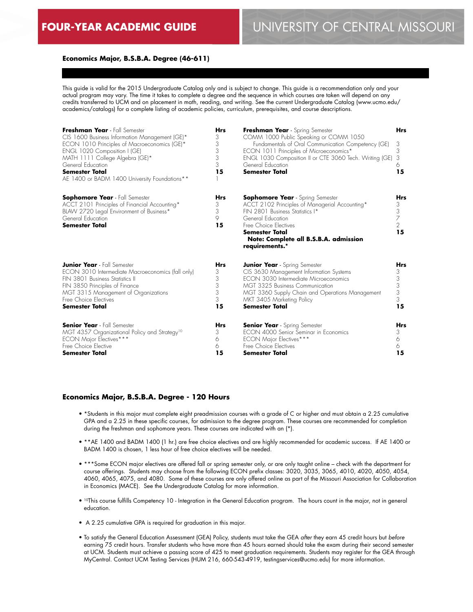## **Economics Major, B.S.B.A. Degree (46-611)**

This guide is valid for the 2015 Undergraduate Catalog only and is subject to change. This guide is a recommendation only and your actual program may vary. The time it takes to complete a degree and the sequence in which courses are taken will depend on any credits transferred to UCM and on placement in math, reading, and writing. See the current Undergraduate Catalog (www.ucmo.edu/ academics/catalogs) for a complete listing of academic policies, curriculum, prerequisites, and course descriptions.

| Freshman Year - Fall Semester<br>CIS 1600 Business Information Management (GE)*<br>ECON 1010 Principles of Macroeconomics (GE)*<br>ENGL 1020 Composition I (GE)<br>MATH 1111 College Algebra (GE)*<br>General Education<br><b>Semester Total</b><br>AE 1400 or BADM 1400 University Foundations** | <b>Hrs</b><br>3<br>3<br>3<br>3<br>3<br>15 | Freshman Year - Spring Semester<br>COMM 1000 Public Speaking or COMM 1050<br>Fundamentals of Oral Communication Competency (GE)<br>ECON 1011 Principles of Microeconomics*<br>ENGL 1030 Composition II or CTE 3060 Tech. Writing (GE)<br>General Education<br><b>Semester Total</b> | <b>Hrs</b><br>3<br>3<br>3<br>6<br>15              |
|---------------------------------------------------------------------------------------------------------------------------------------------------------------------------------------------------------------------------------------------------------------------------------------------------|-------------------------------------------|-------------------------------------------------------------------------------------------------------------------------------------------------------------------------------------------------------------------------------------------------------------------------------------|---------------------------------------------------|
| <b>Sophomore Year</b> - Fall Semester<br>ACCT 2101 Principles of Financial Accounting*<br>BLAW 2720 Legal Environment of Business*<br>General Education<br><b>Semester Total</b>                                                                                                                  | <b>Hrs</b><br>3<br>3<br>9<br>15           | <b>Sophomore Year</b> - Spring Semester<br>ACCT 2102 Principles of Managerial Accounting*<br>FIN 2801 Business Statistics I*<br>General Education<br>Free Choice Electives<br><b>Semester Total</b><br>Note: Complete all B.S.B.A. admission<br>requirements.*                      | <b>Hrs</b><br>3<br>3<br>7<br>$\overline{2}$<br>15 |
| <b>Junior Year</b> - Fall Semester                                                                                                                                                                                                                                                                | <b>Hrs</b>                                | <b>Junior Year</b> - Spring Semester                                                                                                                                                                                                                                                | <b>Hrs</b>                                        |
| ECON 3010 Intermediate Macroeconomics (fall only)                                                                                                                                                                                                                                                 | 3                                         | CIS 3630 Management Information Systems                                                                                                                                                                                                                                             | 3                                                 |
| FIN 3801 Business Statistics II                                                                                                                                                                                                                                                                   | 3                                         | ECON 3030 Intermediate Microeconomics                                                                                                                                                                                                                                               | 3                                                 |
| FIN 3850 Principles of Finance                                                                                                                                                                                                                                                                    | 3                                         | MGT 3325 Business Communication                                                                                                                                                                                                                                                     | 3                                                 |
| MGT 3315 Management of Organizations                                                                                                                                                                                                                                                              | 3                                         | MGT 3360 Supply Chain and Operations Management                                                                                                                                                                                                                                     | 3                                                 |
| Free Choice Electives                                                                                                                                                                                                                                                                             | 3                                         | MKT 3405 Marketing Policy                                                                                                                                                                                                                                                           | 3                                                 |
| <b>Semester Total</b>                                                                                                                                                                                                                                                                             | 15                                        | Semester Total                                                                                                                                                                                                                                                                      | 15                                                |
| <b>Senior Year</b> - Fall Semester                                                                                                                                                                                                                                                                | <b>Hrs</b>                                | <b>Senior Year</b> - Spring Semester                                                                                                                                                                                                                                                | <b>Hrs</b>                                        |
| MGT 4357 Organizational Policy and Strategy <sup>10</sup>                                                                                                                                                                                                                                         | 3                                         | FCON 4000 Senior Seminar in Fconomics                                                                                                                                                                                                                                               | 3                                                 |
| ECON Major Electives***                                                                                                                                                                                                                                                                           | 6                                         | <b>ECON Major Electives***</b>                                                                                                                                                                                                                                                      | 6                                                 |
| Free Choice Elective                                                                                                                                                                                                                                                                              | 6                                         | Free Choice Electives                                                                                                                                                                                                                                                               | 6                                                 |
| <b>Semester Total</b>                                                                                                                                                                                                                                                                             | 15                                        | Semester Total                                                                                                                                                                                                                                                                      | 15                                                |

#### **Economics Major, B.S.B.A. Degree - 120 Hours**

- \*Students in this major must complete eight preadmission courses with a grade of C or higher and must obtain a 2.25 cumulative GPA and a 2.25 in these specific courses, for admission to the degree program. These courses are recommended for completion during the freshman and sophomore years. These courses are indicated with an (\*).
- \*\*AE 1400 and BADM 1400 (1 hr.) are free choice electives and are highly recommended for academic success. If AE 1400 or BADM 1400 is chosen, 1 less hour of free choice electives will be needed.
- \*\*\*Some ECON major electives are offered fall or spring semester only, or are only taught online check with the department for course offerings. Students may choose from the following ECON prefix classes: 3020, 3035, 3065, 4010, 4020, 4050, 4054, 4060, 4065, 4075, and 4080. Some of these courses are only offered online as part of the Missouri Association for Collaboration in Economics (MACE). See the Undergraduate Catalog for more information.
- 10This course fulfills Competency 10 Integration in the General Education program. The hours count in the major, not in general education.
- A 2.25 cumulative GPA is required for graduation in this major.
- To satisfy the General Education Assessment (GEA) Policy, students must take the GEA *after* they earn 45 credit hours but *before* earning 75 credit hours. Transfer students who have more than 45 hours earned should take the exam during their second semester at UCM. Students must achieve a passing score of 425 to meet graduation requirements. Students may register for the GEA through MyCentral. Contact UCM Testing Services (HUM 216, 660-543-4919, testingservices@ucmo.edu) for more information.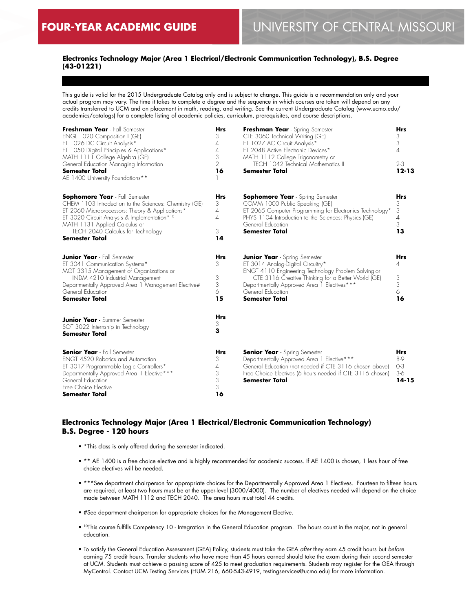## **Electronics Technology Major (Area 1 Electrical/Electronic Communication Technology), B.S. Degree (43-01221)**

This guide is valid for the 2015 Undergraduate Catalog only and is subject to change. This guide is a recommendation only and your actual program may vary. The time it takes to complete a degree and the sequence in which courses are taken will depend on any credits transferred to UCM and on placement in math, reading, and writing. See the current Undergraduate Catalog (www.ucmo.edu/ academics/catalogs) for a complete listing of academic policies, curriculum, prerequisites, and course descriptions.

| Freshman Year - Fall Semester<br>ENGL 1020 Composition I (GE)<br>ET 1026 DC Circuit Analysis*<br>ET 1050 Digital Principles & Applications*<br>MATH 1111 College Algebra (GE)<br>General Education Managing Information<br><b>Semester Total</b><br>AE 1400 University Foundations**              | <b>Hrs</b><br>3<br>4<br>4<br>3<br>$\mathcal{P}$<br>16 | Freshman Year - Spring Semester<br>CTE 3060 Technical Writing (GE)<br>ET 1027 AC Circuit Analysis*<br>ET 2048 Active Electronic Devices*<br>MATH 1112 College Trigonometry or<br><b>TECH 1042 Technical Mathematics II</b><br><b>Semester Total</b>                                 | <b>Hrs</b><br>3<br>3<br>4<br>$2 - 3$<br>$12 - 13$ |
|---------------------------------------------------------------------------------------------------------------------------------------------------------------------------------------------------------------------------------------------------------------------------------------------------|-------------------------------------------------------|-------------------------------------------------------------------------------------------------------------------------------------------------------------------------------------------------------------------------------------------------------------------------------------|---------------------------------------------------|
| <b>Sophomore Year</b> - Fall Semester<br>CHEM 1103 Introduction to the Sciences: Chemistry (GE)<br>ET 2060 Microprocessors: Theory & Applications*<br>ET 3020 Circuit Analysis & Implementation*10<br>MATH 1131 Applied Calculus or<br>TECH 2040 Calculus for Technology<br><b>Semester Total</b> | <b>Hrs</b><br>3<br>4<br>4<br>3<br>14                  | <b>Sophomore Year</b> - Spring Semester<br>COMM 1000 Public Speaking (GE)<br>ET 2065 Computer Programming for Electronics Technology*<br>PHYS 1104 Introduction to the Sciences: Physics (GE)<br>General Education<br><b>Semester Total</b>                                         | <b>Hrs</b><br>3<br>3<br>4<br>3<br>13              |
| <b>Junior Year</b> - Fall Semester<br>ET 3041 Communication Systems*<br>MGT 3315 Management of Organizations or<br>INDM 4210 Industrial Management<br>Departmentally Approved Area 1 Management Elective#<br>General Education<br><b>Semester Total</b>                                           | <b>Hrs</b><br>3<br>3<br>3<br>6<br>15                  | <b>Junior Year</b> - Spring Semester<br>ET 3014 Analog-Digital Circuitry*<br>ENGT 4110 Engineering Technology Problem Solving or<br>CTE 3116 Creative Thinking for a Better World (GE)<br>Departmentally Approved Area 1 Electives***<br>General Education<br><b>Semester Total</b> | <b>Hrs</b><br>4<br>3<br>3<br>6<br>16              |
| <b>Junior Year</b> - Summer Semester<br>SOT 3022 Internship in Technology<br>Semester Total                                                                                                                                                                                                       | <b>Hrs</b><br>3<br>3                                  |                                                                                                                                                                                                                                                                                     |                                                   |
| <b>Senior Year</b> - Fall Semester<br><b>ENGT 4520 Robotics and Automation</b><br>ET 3017 Programmable Logic Controllers*<br>Departmentally Approved Area 1 Elective***<br>General Education<br>Free Choice Elective<br><b>Semester Total</b>                                                     | <b>Hrs</b><br>3<br>4<br>3<br>3<br>3<br>16             | <b>Senior Year</b> - Spring Semester<br>Departmentally Approved Area 1 Elective***<br>General Education (not needed if CTE 3116 chosen above)<br>Free Choice Electives (6 hours needed if CTE 3116 chosen)<br><b>Semester Total</b>                                                 | <b>Hrs</b><br>8-9<br>$O-3$<br>$3-6$<br>$14 - 15$  |

## **Electronics Technology Major (Area 1 Electrical/Electronic Communication Technology) B.S. Degree - 120 hours**

- \*This class is only offered during the semester indicated.
- \*\* AE 1400 is a free choice elective and is highly recommended for academic success. If AE 1400 is chosen, 1 less hour of free choice electives will be needed.
- \*\*\*See department chairperson for appropriate choices for the Departmentally Approved Area 1 Electives. Fourteen to fifteen hours are required, at least two hours must be at the upper-level (3000/4000). The number of electives needed will depend on the choice made between MATH 1112 and TECH 2040. The area hours must total 44 credits.
- #See department chairperson for appropriate choices for the Management Elective.
- 10This course fulfills Competency 10 Integration in the General Education program. The hours count in the major, not in general education.
- To satisfy the General Education Assessment (GEA) Policy, students must take the GEA *after* they earn 45 credit hours but *before* earning 75 credit hours. Transfer students who have more than 45 hours earned should take the exam during their second semester at UCM. Students must achieve a passing score of 425 to meet graduation requirements. Students may register for the GEA through MyCentral. Contact UCM Testing Services (HUM 216, 660-543-4919, testingservices@ucmo.edu) for more information.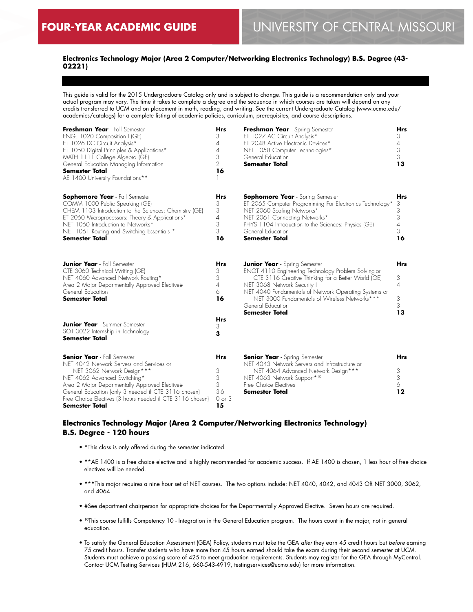## **Electronics Technology Major (Area 2 Computer/Networking Electronics Technology) B.S. Degree (43- 02221)**

This guide is valid for the 2015 Undergraduate Catalog only and is subject to change. This guide is a recommendation only and your actual program may vary. The time it takes to complete a degree and the sequence in which courses are taken will depend on any credits transferred to UCM and on placement in math, reading, and writing. See the current Undergraduate Catalog (www.ucmo.edu/ academics/catalogs) for a complete listing of academic policies, curriculum, prerequisites, and course descriptions.

| Freshman Year - Fall Semester<br>ENGL 1020 Composition I (GE)<br>ET 1026 DC Circuit Analysis*<br>ET 1050 Digital Principles & Applications*<br>MATH 1111 College Algebra (GE)<br>General Education Managing Information<br><b>Semester Total</b><br>AE 1400 University Foundations**                                                  | <b>Hrs</b><br>3<br>4<br>4<br>3<br>$\overline{2}$<br>16 | Freshman Year - Spring Semester<br>ET 1027 AC Circuit Analysis*<br>ET 2048 Active Electronic Devices*<br>NET 1058 Computer Technologies*<br>General Education<br><b>Semester Total</b>                                                                                                                                                   | <b>Hrs</b><br>3<br>$\overline{A}$<br>3<br>3<br>13                |
|---------------------------------------------------------------------------------------------------------------------------------------------------------------------------------------------------------------------------------------------------------------------------------------------------------------------------------------|--------------------------------------------------------|------------------------------------------------------------------------------------------------------------------------------------------------------------------------------------------------------------------------------------------------------------------------------------------------------------------------------------------|------------------------------------------------------------------|
| <b>Sophomore Year</b> - Fall Semester<br>COMM 1000 Public Speaking (GE)<br>CHEM 1103 Introduction to the Sciences: Chemistry (GE)<br>ET 2060 Microprocessors: Theory & Applications*<br>NET 1060 Introduction to Networks*<br>NET 1061 Routing and Switching Essentials *<br>Semester Total                                           | Hrs<br>3<br>3<br>$\overline{A}$<br>3<br>3<br>16        | Sophomore Year - Spring Semester<br>ET 2065 Computer Programming For Electronics Technology*<br>NET 2060 Scaling Networks*<br>NET 2061 Connecting Networks*<br>PHYS 1104 Introduction to the Sciences: Physics (GE)<br>General Education<br><b>Semester Total</b>                                                                        | <b>Hrs</b><br>3<br>3<br>3<br>$\overline{\mathcal{A}}$<br>3<br>16 |
| <b>Junior Year</b> - Fall Semester<br>CTE 3060 Technical Writing (GE)<br>NET 4060 Advanced Network Routing*<br>Area 2 Major Departmentally Approved Elective#<br>General Education<br><b>Semester Total</b>                                                                                                                           | Hrs<br>3<br>3<br>$\overline{\mathcal{A}}$<br>6<br>16   | <b>Junior Year</b> - Spring Semester<br>ENGT 4110 Engineering Technology Problem Solving or<br>CTE 3116 Creative Thinking for a Better World (GE)<br>NET 3068 Network Security I<br>NET 4040 Fundamentals of Network Operating Systems or<br>NET 3000 Fundamentals of Wireless Networks***<br>General Education<br><b>Semester Total</b> | <b>Hrs</b><br>3<br>$\overline{A}$<br>3<br>3<br>13                |
| <b>Junior Year</b> - Summer Semester<br>SOT 3022 Internship in Technology<br><b>Semester Total</b>                                                                                                                                                                                                                                    | Hrs<br>3<br>3                                          |                                                                                                                                                                                                                                                                                                                                          |                                                                  |
| <b>Senior Year</b> - Fall Semester<br>NET 4042 Network Servers and Services or<br>NET 3062 Network Design***<br>NET 4062 Advanced Switching*<br>Area 2 Major Departmentally Approved Elective#<br>General Education (only 3 needed if CTE 3116 chosen)<br>Free Choice Electives (3 hours needed if CTE 3116 chosen)<br>Semester Total | Hrs<br>3<br>3<br>3<br>$3-6$<br>$0$ or $3$<br>15        | <b>Senior Year</b> - Spring Semester<br>NET 4043 Network Servers and Infrastructure or<br>NET 4064 Advanced Network Design***<br>NET 4063 Network Support*10<br>Free Choice Electives<br>Semester Total                                                                                                                                  | Hrs<br>3<br>3<br>6<br>12                                         |

## **Electronics Technology Major (Area 2 Computer/Networking Electronics Technology) B.S. Degree - 120 hours**

- \*This class is only offered during the semester indicated.
- \*\*AE 1400 is a free choice elective and is highly recommended for academic success. If AE 1400 is chosen, 1 less hour of free choice electives will be needed.
- \*\*\*This major requires a nine hour set of NET courses. The two options include: NET 4040, 4042, and 4043 OR NET 3000, 3062, and 4064.
- #See department chairperson for appropriate choices for the Departmentally Approved Elective. Seven hours are required.
- 10This course fulfills Competency 10 Integration in the General Education program. The hours count in the major, not in general education.
- To satisfy the General Education Assessment (GEA) Policy, students must take the GEA *after* they earn 45 credit hours but *before* earning 75 credit hours. Transfer students who have more than 45 hours earned should take the exam during their second semester at UCM. Students must achieve a passing score of 425 to meet graduation requirements. Students may register for the GEA through MyCentral. Contact UCM Testing Services (HUM 216, 660-543-4919, testingservices@ucmo.edu) for more information.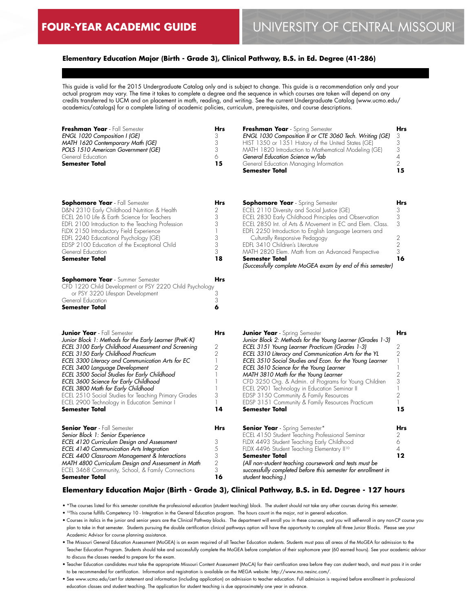## **Elementary Education Major (Birth - Grade 3), Clinical Pathway, B.S. in Ed. Degree (41-286)**

This guide is valid for the 2015 Undergraduate Catalog only and is subject to change. This guide is a recommendation only and your actual program may vary. The time it takes to complete a degree and the sequence in which courses are taken will depend on any credits transferred to UCM and on placement in math, reading, and writing. See the current Undergraduate Catalog (www.ucmo.edu/ academics/catalogs) for a complete listing of academic policies, curriculum, prerequisites, and course descriptions.

| Freshman Year - Fall Semester       | Hrs | Freshman Year - Spring Semester                           | <b>Hrs</b> |
|-------------------------------------|-----|-----------------------------------------------------------|------------|
| <b>ENGL 1020 Composition I (GE)</b> |     | ENGL 1030 Composition II or CTE 3060 Tech. Writing (GE) 3 |            |
| MATH 1620 Contemporary Math (GE)    |     | HIST 1350 or 1351 History of the United States (GE)       |            |
| POLS 1510 American Government (GE)  |     | MATH 1820 Introduction to Mathematical Modeling (GE)      |            |
| General Education                   |     | General Education Science w/lab                           |            |
| <b>Semester Total</b>               | 15  | General Education Managing Information                    |            |
|                                     |     | Semester Total                                            |            |

| <b>Sophomore Year</b> - Fall Semester<br>D&N 2310 Early Childhood Nutrition & Health<br>ECEL 2610 Life & Earth Science for Teachers<br>EDFL 2100 Introduction to the Teaching Profession<br>FLDX 2150 Introductory Field Experience<br>EDFL 2240 Educational Psychology (GE)<br>EDSP 2100 Education of the Exceptional Child<br>General Education | <b>Hrs</b><br>2<br>3<br>3<br>1<br>3<br>3<br>3 | <b>Sophomore Year</b> - Spring Semester<br>ECEL 2110 Diversity and Social Justice (GE)<br>ECEL 2830 Early Childhood Principles and Observation<br>ECEL 2850 Int. of Arts & Movement in EC and Elem. Class.<br>EDFL 2250 Introduction to English Language Learners and<br>Culturally Responsive Pedagogy<br>EDFL 3410 Children's Literature<br>MATH 2820 Elem. Math from an Advanced Perspective | Hrs<br>3<br>3<br>3<br>2<br>$\overline{2}$<br>3 |
|---------------------------------------------------------------------------------------------------------------------------------------------------------------------------------------------------------------------------------------------------------------------------------------------------------------------------------------------------|-----------------------------------------------|-------------------------------------------------------------------------------------------------------------------------------------------------------------------------------------------------------------------------------------------------------------------------------------------------------------------------------------------------------------------------------------------------|------------------------------------------------|
| <b>Semester Total</b>                                                                                                                                                                                                                                                                                                                             | 18                                            | <b>Semester Total</b><br>(Successfully complete MoGEA exam by end of this semester)                                                                                                                                                                                                                                                                                                             | 16                                             |
| <b>Sophomore Year</b> - Summer Semester<br>CFD 1220 Child Development or PSY 2220 Child Psychology<br>or PSY 3220 Lifespan Development<br>General Education<br><b>Semester Total</b>                                                                                                                                                              | <b>Hrs</b><br>3<br>3<br>6                     |                                                                                                                                                                                                                                                                                                                                                                                                 |                                                |
| <b>Junior Year</b> - Fall Semester                                                                                                                                                                                                                                                                                                                | <b>Hrs</b>                                    | <b>Junior Year</b> - Spring Semester                                                                                                                                                                                                                                                                                                                                                            | Hrs                                            |
| Junior Block 1: Methods for the Early Learner (PreK-K)                                                                                                                                                                                                                                                                                            |                                               | Junior Block 2: Methods for the Young Learner (Grades 1-3)                                                                                                                                                                                                                                                                                                                                      | 2                                              |
| ECEL 3100 Early Childhood Assessment and Screening<br>ECEL 3150 Early Childhood Practicum                                                                                                                                                                                                                                                         | 2<br>2                                        | ECEL 3151 Young Learner Practicum (Grades 1-3)<br>ECEL 3310 Literacy and Communication Arts for the YL                                                                                                                                                                                                                                                                                          | 2                                              |
| ECEL 3300 Literacy and Communication Arts for EC                                                                                                                                                                                                                                                                                                  | $\overline{\phantom{a}}$                      | ECEL 3510 Social Studies and Econ. for the Young Learner                                                                                                                                                                                                                                                                                                                                        |                                                |
| ECEL 3400 Language Development                                                                                                                                                                                                                                                                                                                    | 2                                             | ECEL 3610 Science for the Young Learner                                                                                                                                                                                                                                                                                                                                                         |                                                |
| ECEL 3500 Social Studies for Early Childhood                                                                                                                                                                                                                                                                                                      | 1                                             | MATH 3810 Math for the Young Learner                                                                                                                                                                                                                                                                                                                                                            | 2                                              |
| ECEL 3600 Science for Early Childhood                                                                                                                                                                                                                                                                                                             | 1                                             | CFD 3250 Org. & Admin. of Programs for Young Children                                                                                                                                                                                                                                                                                                                                           | 3                                              |
| ECEL 3800 Math for Early Childhood                                                                                                                                                                                                                                                                                                                |                                               | ECEL 2901 Technology in Education Seminar II                                                                                                                                                                                                                                                                                                                                                    |                                                |
| ECEL 2510 Social Studies for Teaching Primary Grades                                                                                                                                                                                                                                                                                              | 3                                             | EDSP 3150 Community & Family Resources                                                                                                                                                                                                                                                                                                                                                          | $\overline{2}$                                 |
| ECEL 2900 Technology in Education Seminar I                                                                                                                                                                                                                                                                                                       | 1                                             | EDSP 3151 Community & Family Resources Practicum                                                                                                                                                                                                                                                                                                                                                |                                                |
| <b>Semester Total</b>                                                                                                                                                                                                                                                                                                                             | 14                                            | <b>Semester Total</b>                                                                                                                                                                                                                                                                                                                                                                           | 15                                             |
| <b>Senior Year</b> - Fall Semester                                                                                                                                                                                                                                                                                                                | <b>Hrs</b>                                    | <b>Senior Year</b> - Spring Semester*                                                                                                                                                                                                                                                                                                                                                           | <b>Hrs</b>                                     |
| Senior Block 1: Senior Experience                                                                                                                                                                                                                                                                                                                 |                                               | ECEL 4150 Student Teaching Professional Seminar                                                                                                                                                                                                                                                                                                                                                 | 2                                              |
| ECEL 4120 Curriculum Design and Assessment                                                                                                                                                                                                                                                                                                        | 3                                             | FLDX 4493 Student Teaching Early Childhood                                                                                                                                                                                                                                                                                                                                                      | 6                                              |
| ECEL 4140 Communication Arts Integration                                                                                                                                                                                                                                                                                                          | 5                                             | FLDX 4496 Student Teaching Elementary II <sup>10</sup>                                                                                                                                                                                                                                                                                                                                          | 4                                              |
| ECEL 4400 Classroom Management & Interactions                                                                                                                                                                                                                                                                                                     | 3                                             | <b>Semester Total</b>                                                                                                                                                                                                                                                                                                                                                                           | 12                                             |
| MATH 4800 Curriculum Design and Assessment in Math                                                                                                                                                                                                                                                                                                | 2                                             | (All non-student teaching coursework and tests must be                                                                                                                                                                                                                                                                                                                                          |                                                |
| ECEL 3468 Community, School, & Family Connections                                                                                                                                                                                                                                                                                                 | 3                                             | successfully completed before this semester for enrollment in                                                                                                                                                                                                                                                                                                                                   |                                                |
| <b>Semester Total</b>                                                                                                                                                                                                                                                                                                                             | 16                                            | student teaching.)                                                                                                                                                                                                                                                                                                                                                                              |                                                |

#### **Elementary Education Major (Birth - Grade 3), Clinical Pathway, B.S. in Ed. Degree - 127 hours**

• \*The courses listed for this semester constitute the professional education (student teaching) block. The student should not take any other courses during this semester.

• 10This course fulfills Competency 10 - Integration in the General Education program. The hours count in the major, not in general education.

- Courses in italics in the junior and senior years are the Clinical Pathway blocks. The department will enroll you in these courses, and you will self-enroll in any non-CP course you plan to take in that semester. Students pursuing the double certification clinical pathways option will have the opportunity to complete all three Junior Blocks. Please see your Academic Advisor for course planning assistance.
- The Missouri General Education Assessment (MoGEA) is an exam required of all Teacher Education students. Students must pass all areas of the MoGEA for admission to the Teacher Education Program. Students should take and successfully complete the MoGEA before completion of their sophomore year (60 earned hours). See your academic advisor to discuss the classes needed to prepare for the exam.
- Teacher Education candidates must take the appropriate Missouri Content Assessment (MoCA) for their certification area before they can student teach, and must pass it in order to be recommended for certification. Information and registration is available on the MEGA website: http://www.mo.nesinc.com/.
- See www.ucmo.edu/cert for statement and information (including application) on admission to teacher education. Full admission is required before enrollment in professional education classes and student teaching. The application for student teaching is due approximately one year in advance.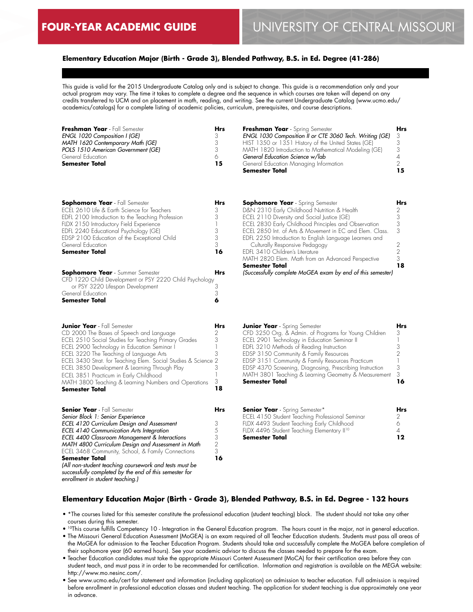## **Elementary Education Major (Birth - Grade 3), Blended Pathway, B.S. in Ed. Degree (41-286)**

This guide is valid for the 2015 Undergraduate Catalog only and is subject to change. This guide is a recommendation only and your actual program may vary. The time it takes to complete a degree and the sequence in which courses are taken will depend on any credits transferred to UCM and on placement in math, reading, and writing. See the current Undergraduate Catalog (www.ucmo.edu/ academics/catalogs) for a complete listing of academic policies, curriculum, prerequisites, and course descriptions.

| Freshman Year - Fall Semester      | Hrs | Freshman Year - Spring Semester                         | Hrs |
|------------------------------------|-----|---------------------------------------------------------|-----|
| ENGL 1020 Composition I (GE)       |     | ENGL 1030 Composition II or CTE 3060 Tech. Writing (GE) |     |
| MATH 1620 Contemporary Math (GE)   |     | HIST 1350 or 1351 History of the United States (GE)     |     |
| POLS 1510 American Government (GE) |     | MATH 1820 Introduction to Mathematical Modeling (GE)    |     |
| General Education                  | ∧   | General Education Science w/lab                         |     |
| Semester Total                     | 15  | General Education Managing Information                  |     |
|                                    |     | <b>Semester Total</b>                                   | 15  |

| <b>Sophomore Year</b> - Fall Semester             |    |
|---------------------------------------------------|----|
| ECEL 2610 Life & Earth Science for Teachers       |    |
| EDFL 2100 Introduction to the Teaching Profession |    |
| FLDX 2150 Introductory Field Experience           |    |
| EDFL 2240 Educational Psychology (GE)             |    |
| EDSP 2100 Education of the Exceptional Child      | 3  |
| General Education                                 | 3  |
| <b>Semester Total</b>                             | 16 |
|                                                   |    |

| <b>Sophomore Year</b> - Summer Semester                 | <b>Hrs</b> |
|---------------------------------------------------------|------------|
| CFD 1220 Child Development or PSY 2220 Child Psychology |            |
| or PSY 3220 Lifespan Development                        |            |
| General Education                                       |            |
| <b>Semester Total</b>                                   |            |

| <b>Junior Year</b> - Fall Semester<br>CD 2000 The Bases of Speech and Language<br>ECEL 2510 Social Studies for Teaching Primary Grades<br>ECEL 2900 Technology in Education Seminar I<br>ECEL 3220 The Teaching of Language Arts<br>ECEL 3430 Strat. for Teaching Elem. Social Studies & Science 2<br>ECEL 3850 Development & Learning Through Play<br>ECEL 3851 Practicum in Early Childhood<br>MATH 3800 Teaching & Learning Numbers and Operations<br><b>Semester Total</b> | Hrs<br>2<br>3<br>3<br>18 |
|--------------------------------------------------------------------------------------------------------------------------------------------------------------------------------------------------------------------------------------------------------------------------------------------------------------------------------------------------------------------------------------------------------------------------------------------------------------------------------|--------------------------|
| <b>Senior Year</b> - Fall Semester                                                                                                                                                                                                                                                                                                                                                                                                                                             | Hrs                      |
| Senior Block 1: Senior Experience<br>ECEL 4120 Curriculum Design and Assessment<br><b>ECEL 4140 Communication Arts Integration</b>                                                                                                                                                                                                                                                                                                                                             |                          |

*ECEL 4400 Classroom Management & Interactions MATH 4800 Curriculum Design and Assessment in Math* ECEL 3468 Community, School, & Family Connections

*(All non-student teaching coursework and tests must be successfully completed by the end of this semester for* 

**Semester Total**

*enrollment in student teaching.)*

| <b>Sophomore Year</b> - Spring Semester                    | Hrs |
|------------------------------------------------------------|-----|
| D&N 2310 Early Childhood Nutrition & Health                |     |
| ECEL 2110 Diversity and Social Justice (GE)                | 3   |
| ECEL 2830 Early Childhood Principles and Observation       | 3   |
| FCFI 2850 Int. of Arts & Movement in FC and Flem. Class.   | 3   |
| EDFL 2250 Introduction to English Language Learners and    |     |
| Culturally Responsive Pedagogy                             |     |
| FDFI 3410 Children's Literature                            | 2   |
| MATH 2820 Elem. Math from an Advanced Perspective          | 3   |
| <b>Semester Total</b>                                      | 18  |
| (Successfully complete MoGEA exam by end of this semester) |     |

| <b>Junior Year</b> - Spring Semester                     |    |
|----------------------------------------------------------|----|
| CFD 3250 Org. & Admin. of Programs for Young Children    | 3  |
| ECEL 2901 Technology in Education Seminar II             |    |
| EDFL 3210 Methods of Reading Instruction                 |    |
| EDSP 3150 Community & Family Resources                   |    |
| EDSP 3151 Community & Family Resources Practicum         |    |
| EDSP 4370 Screening, Diagnosing, Prescribing Instruction | 3  |
| MATH 3801 Teaching & Learning Geometry & Measurement     | 3  |
| <b>Semester Total</b>                                    | 16 |
|                                                          |    |

| <b>Senior Year</b> - Spring Semester*                  | Hrs |
|--------------------------------------------------------|-----|
| ECEL 4150 Student Teaching Professional Seminar        |     |
| FLDX 4493 Student Teaching Early Childhood             | 6   |
| FLDX 4496 Student Teaching Elementary II <sup>10</sup> |     |
| Semester Total                                         | 12  |

#### **Elementary Education Major (Birth - Grade 3), Blended Pathway, B.S. in Ed. Degree - 132 hours**

- \*The courses listed for this semester constitute the professional education (student teaching) block. The student should not take any other courses during this semester.
- 10This course fulfills Competency 10 Integration in the General Education program. The hours count in the major, not in general education.
- The Missouri General Education Assessment (MoGEA) is an exam required of all Teacher Education students. Students must pass all areas of the MoGEA for admission to the Teacher Education Program. Students should take and successfully complete the MoGEA before completion of their sophomore year (60 earned hours). See your academic advisor to discuss the classes needed to prepare for the exam.
- Teacher Education candidates must take the appropriate Missouri Content Assessment (MoCA) for their certification area before they can student teach, and must pass it in order to be recommended for certification. Information and registration is available on the MEGA website: http://www.mo.nesinc.com/.
- See www.ucmo.edu/cert for statement and information (including application) on admission to teacher education. Full admission is required before enrollment in professional education classes and student teaching. The application for student teaching is due approximately one year in advance.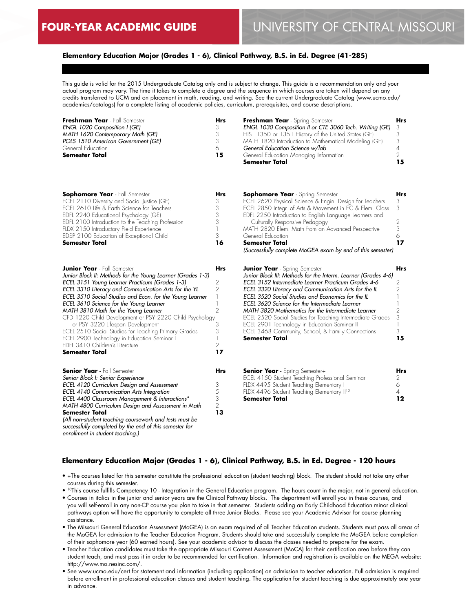*enrollment in student teaching.)*

## **Elementary Education Major (Grades 1 - 6), Clinical Pathway, B.S. in Ed. Degree (41-285)**

This guide is valid for the 2015 Undergraduate Catalog only and is subject to change. This guide is a recommendation only and your actual program may vary. The time it takes to complete a degree and the sequence in which courses are taken will depend on any credits transferred to UCM and on placement in math, reading, and writing. See the current Undergraduate Catalog (www.ucmo.edu/ academics/catalogs) for a complete listing of academic policies, curriculum, prerequisites, and course descriptions.

| Freshman Year - Fall Semester<br>ENGL 1020 Composition I (GE)<br>MATH 1620 Contemporary Math (GE)<br>POLS 1510 American Government (GE)<br>General Education<br><b>Semester Total</b>                                                                                                                                                                                                                                                                                                                                                                                                                                        | <b>Hrs</b><br>3<br>3<br>3<br>6<br>15                                                                          | Freshman Year - Spring Semester<br>ENGL 1030 Composition II or CTE 3060 Tech. Writing (GE)<br>HIST 1350 or 1351 History of the United States (GE)<br>MATH 1820 Introduction to Mathematical Modeling (GE)<br>General Education Science w/lab<br>General Education Managing Information<br><b>Semester Total</b>                                                                                                                                                                                                                                                        | Hrs<br>3<br>3<br>3<br>$\it 4$<br>$\overline{2}$<br>15                                  |
|------------------------------------------------------------------------------------------------------------------------------------------------------------------------------------------------------------------------------------------------------------------------------------------------------------------------------------------------------------------------------------------------------------------------------------------------------------------------------------------------------------------------------------------------------------------------------------------------------------------------------|---------------------------------------------------------------------------------------------------------------|------------------------------------------------------------------------------------------------------------------------------------------------------------------------------------------------------------------------------------------------------------------------------------------------------------------------------------------------------------------------------------------------------------------------------------------------------------------------------------------------------------------------------------------------------------------------|----------------------------------------------------------------------------------------|
| <b>Sophomore Year</b> - Fall Semester<br>ECEL 2110 Diversity and Social Justice (GE)<br>ECEL 2610 Life & Earth Science for Teachers<br>EDFL 2240 Educational Psychology (GE)<br>EDFL 2100 Introduction to the Teaching Profession<br>FLDX 2150 Introductory Field Experience<br>EDSP 2100 Education of Exceptional Child<br><b>Semester Total</b>                                                                                                                                                                                                                                                                            | Hrs<br>3<br>3<br>3<br>3<br>$\overline{\phantom{a}}$<br>3<br>16                                                | <b>Sophomore Year</b> - Spring Semester<br>ECEL 2620 Physical Science & Engin. Design for Teachers<br>ECEL 2850 Integr. of Arts & Movement in EC & Elem. Class.<br>EDFL 2250 Introduction to English Language Learners and<br>Culturally Responsive Pedagogy<br>MATH 2820 Elem. Math from an Advanced Perspective<br>General Education<br><b>Semester Total</b><br>(Successfully complete MoGEA exam by end of this semester)                                                                                                                                          | Hrs<br>3<br>3<br>2<br>3<br>6<br>17                                                     |
| <b>Junior Year</b> - Fall Semester<br>Junior Block II: Methods for the Young Learner (Grades 1-3)<br>ECEL 3151 Young Learner Practicum (Grades 1-3)<br>ECEL 3310 Literacy and Communication Arts for the YL<br>ECEL 3510 Social Studies and Econ. for the Young Learner<br>ECEL 3610 Science for the Young Learner<br>MATH 3810 Math for the Young Learner<br>CFD 1220 Child Development or PSY 2220 Child Psychology<br>or PSY 3220 Lifespan Development<br>ECEL 2510 Social Studies for Teaching Primary Grades<br>ECEL 2900 Technology in Education Seminar I<br>EDFL 3410 Children's Literature<br><b>Semester Total</b> | <b>Hrs</b><br>2<br>$\overline{2}$<br>1<br>1<br>$\overline{2}$<br>3<br>3<br>$\mathbf{1}$<br>$\mathbf{2}$<br>17 | <b>Junior Year</b> - Spring Semester<br>Junior Block III: Methods for the Interm. Learner (Grades 4-6)<br>ECEL 3152 Intermediate Learner Practicum Grades 4-6<br>ECEL 3320 Literacy and Communication Arts for the IL<br>ECEL 3520 Social Studies and Economics for the IL<br>ECEL 3620 Science for the Intermediate Learner<br>MATH 3820 Mathematics for the Intermediate Learner<br>ECEL 2520 Social Studies for Teaching Intermediate Grades<br>ECEL 2901 Technology in Education Seminar II<br>ECEL 3468 Community, School, & Family Connections<br>Semester Total | Hrs<br>2<br>$\overline{2}$<br>$\mathbf{1}$<br>1<br>$\overline{2}$<br>3<br>1<br>3<br>15 |
| <b>Senior Year</b> - Fall Semester<br>Senior Block I: Senior Experience<br>ECEL 4120 Curriculum Design and Assessment<br>ECEL 4140 Communication Arts Integration<br>ECEL 4400 Classroom Management & Interactions*<br>MATH 4800 Curriculum Design and Assessment in Math<br><b>Semester Total</b><br>(All non-student teaching coursework and tests must be<br>successfully completed by the end of this semester for                                                                                                                                                                                                       | Hrs<br>3<br>5<br>3<br>$\overline{2}$<br>13                                                                    | <b>Senior Year</b> - Spring Semester+<br>ECEL 4150 Student Teaching Professional Seminar<br>FLDX 4495 Student Teaching Elementary I<br>FLDX 4496 Student Teaching Elementary II <sup>10</sup><br>Semester Total                                                                                                                                                                                                                                                                                                                                                        | Hrs<br>2<br>6<br>4<br>12                                                               |

#### **Elementary Education Major (Grades 1 - 6), Clinical Pathway, B.S. in Ed. Degree - 120 hours**

- +The courses listed for this semester constitute the professional education (student teaching) block. The student should not take any other courses during this semester.
- 10This course fulfills Competency 10 Integration in the General Education program. The hours count in the major, not in general education. • Courses in italics in the junior and senior years are the Clinical Pathway blocks. The department will enroll you in these courses, and you will self-enroll in any non-CP course you plan to take in that semester. Students adding an Early Childhood Education minor clinical pathways option will have the opportunity to complete all three Junior Blocks. Please see your Academic Advisor for course planning assistance.
- The Missouri General Education Assessment (MoGEA) is an exam required of all Teacher Education students. Students must pass all areas of the MoGEA for admission to the Teacher Education Program. Students should take and successfully complete the MoGEA before completion of their sophomore year (60 earned hours). See your academic advisor to discuss the classes needed to prepare for the exam.
- Teacher Education candidates must take the appropriate Missouri Content Assessment (MoCA) for their certification area before they can student teach, and must pass it in order to be recommended for certification. Information and registration is available on the MEGA website: http://www.mo.nesinc.com/.
- See www.ucmo.edu/cert for statement and information (including application) on admission to teacher education. Full admission is required before enrollment in professional education classes and student teaching. The application for student teaching is due approximately one year in advance.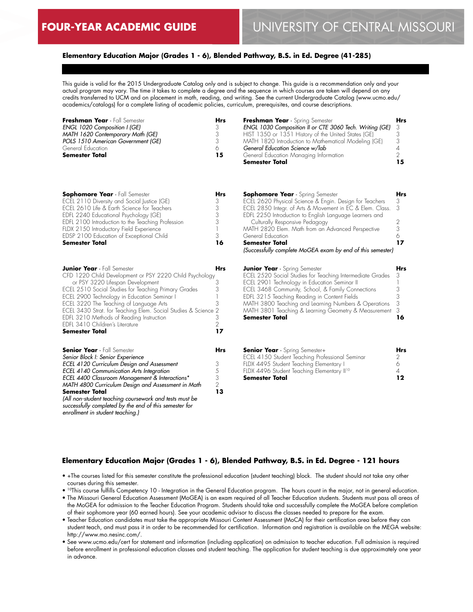## **Elementary Education Major (Grades 1 - 6), Blended Pathway, B.S. in Ed. Degree (41-285)**

This guide is valid for the 2015 Undergraduate Catalog only and is subject to change. This guide is a recommendation only and your actual program may vary. The time it takes to complete a degree and the sequence in which courses are taken will depend on any credits transferred to UCM and on placement in math, reading, and writing. See the current Undergraduate Catalog (www.ucmo.edu/ academics/catalogs) for a complete listing of academic policies, curriculum, prerequisites, and course descriptions.

| Freshman Year - Fall Semester<br>ENGL 1020 Composition I (GE)<br>MATH 1620 Contemporary Math (GE)<br>POLS 1510 American Government (GE)<br>General Education<br><b>Semester Total</b>                                                                                                                                                                                                                                                                         | <b>Hrs</b><br>3<br>3<br>3<br>6<br>15                   | Freshman Year - Spring Semester<br>ENGL 1030 Composition II or CTE 3060 Tech. Writing (GE)<br>HIST 1350 or 1351 History of the United States (GE)<br>MATH 1820 Introduction to Mathematical Modeling (GE)<br>General Education Science w/lab<br>General Education Managing Information<br><b>Semester Total</b>                                                                                                               | <b>Hrs</b><br>3<br>3<br>3<br>$\overline{A}$<br>2<br>15 |
|---------------------------------------------------------------------------------------------------------------------------------------------------------------------------------------------------------------------------------------------------------------------------------------------------------------------------------------------------------------------------------------------------------------------------------------------------------------|--------------------------------------------------------|-------------------------------------------------------------------------------------------------------------------------------------------------------------------------------------------------------------------------------------------------------------------------------------------------------------------------------------------------------------------------------------------------------------------------------|--------------------------------------------------------|
| <b>Sophomore Year</b> - Fall Semester<br>ECEL 2110 Diversity and Social Justice (GE)<br>ECEL 2610 Life & Earth Science for Teachers<br>EDFL 2240 Educational Psychology (GE)<br>EDFL 2100 Introduction to the Teaching Profession<br>FLDX 2150 Introductory Field Experience<br>EDSP 2100 Education of Exceptional Child<br><b>Semester Total</b>                                                                                                             | Hrs<br>3<br>3<br>3<br>3<br>1<br>3<br>16                | <b>Sophomore Year</b> - Spring Semester<br>ECEL 2620 Physical Science & Engin. Design for Teachers<br>ECEL 2850 Integr. of Arts & Movement in EC & Elem. Class.<br>EDFL 2250 Introduction to English Language Learners and<br>Culturally Responsive Pedagogy<br>MATH 2820 Elem. Math from an Advanced Perspective<br>General Education<br><b>Semester Total</b><br>(Successfully complete MoGEA exam by end of this semester) | Hrs<br>3<br>3<br>2<br>3<br>6<br>17                     |
| <b>Junior Year</b> - Fall Semester<br>CFD 1220 Child Development or PSY 2220 Child Psychology<br>or PSY 3220 Lifespan Development<br>ECEL 2510 Social Studies for Teaching Primary Grades<br>ECEL 2900 Technology in Education Seminar I<br>ECEL 3220 The Teaching of Language Arts<br>ECEL 3430 Strat. for Teaching Elem. Social Studies & Science 2<br>EDFL 3210 Methods of Reading Instruction<br>EDFL 3410 Children's Literature<br><b>Semester Total</b> | <b>Hrs</b><br>3<br>3<br>3<br>3<br>$\overline{2}$<br>17 | <b>Junior Year</b> - Spring Semester<br>ECEL 2520 Social Studies for Teaching Intermediate Grades<br>ECEL 2901 Technology in Education Seminar II<br>ECEL 3468 Community, School, & Family Connections<br>EDFL 3215 Teaching Reading in Content Fields<br>MATH 3800 Teaching and Learning Numbers & Operations<br>MATH 3801 Teaching & Learning Geometry & Measurement<br>Semester Total                                      | <b>Hrs</b><br>3<br>3<br>3<br>3<br>3<br>16              |
| <b>Senior Year</b> - Fall Semester<br>Senior Block I: Senior Experience<br>ECEL 4120 Curriculum Design and Assessment<br>ECEL 4140 Communication Arts Integration<br>ECEL 4400 Classroom Management & Interactions*<br>MATH 4800 Curriculum Design and Assessment in Math<br><b>Semester Total</b><br>(All non-student teaching coursework and tests must be<br>successfully completed by the end of this semester for<br>enrollment in student teaching.)    | Hrs<br>3<br>5<br>3<br>$\overline{2}$<br>13             | <b>Senior Year</b> - Spring Semester+<br>ECEL 4150 Student Teaching Professional Seminar<br>FLDX 4495 Student Teaching Elementary I<br>FLDX 4496 Student Teaching Elementary II <sup>10</sup><br><b>Semester Total</b>                                                                                                                                                                                                        | <b>Hrs</b><br>2<br>6<br>$\overline{4}$<br>12           |

#### **Elementary Education Major (Grades 1 - 6), Blended Pathway, B.S. in Ed. Degree - 121 hours**

- +The courses listed for this semester constitute the professional education (student teaching) block. The student should not take any other courses during this semester.
- 10This course fulfills Competency 10 Integration in the General Education program. The hours count in the major, not in general education.
- The Missouri General Education Assessment (MoGEA) is an exam required of all Teacher Education students. Students must pass all areas of the MoGEA for admission to the Teacher Education Program. Students should take and successfully complete the MoGEA before completion of their sophomore year (60 earned hours). See your academic advisor to discuss the classes needed to prepare for the exam.
- Teacher Education candidates must take the appropriate Missouri Content Assessment (MoCA) for their certification area before they can student teach, and must pass it in order to be recommended for certification. Information and registration is available on the MEGA website: http://www.mo.nesinc.com/.
- See www.ucmo.edu/cert for statement and information (including application) on admission to teacher education. Full admission is required before enrollment in professional education classes and student teaching. The application for student teaching is due approximately one year in advance.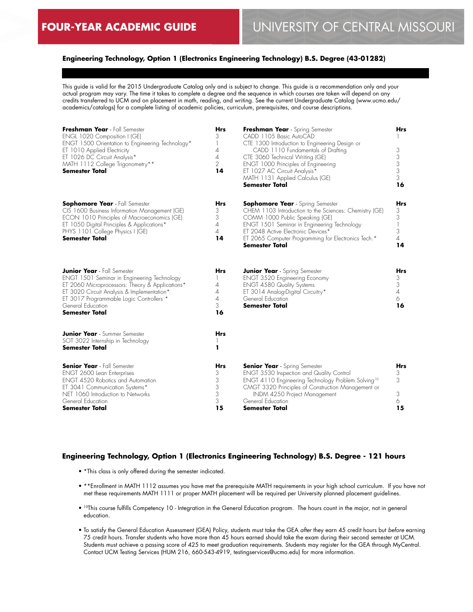## **Engineering Technology, Option 1 (Electronics Engineering Technology) B.S. Degree (43-01282)**

This guide is valid for the 2015 Undergraduate Catalog only and is subject to change. This guide is a recommendation only and your actual program may vary. The time it takes to complete a degree and the sequence in which courses are taken will depend on any credits transferred to UCM and on placement in math, reading, and writing. See the current Undergraduate Catalog (www.ucmo.edu/ academics/catalogs) for a complete listing of academic policies, curriculum, prerequisites, and course descriptions.

| Freshman Year - Fall Semester<br>ENGL 1020 Composition I (GE)<br>ENGT 1500 Orientation to Engineering Technology*<br>ET 1010 Applied Electricity<br>ET 1026 DC Circuit Analysis*<br>MATH 1112 College Trigonometry**<br><b>Semester Total</b>                                | <b>Hrs</b><br>3<br>1<br>4<br>$\overline{4}$<br>$\overline{2}$<br>14 | Freshman Year - Spring Semester<br>CADD 1105 Basic AutoCAD<br>CTE 1300 Introduction to Engineering Design or<br>CADD 1110 Fundamentals of Drafting<br>CTE 3060 Technical Writing (GE)<br>ENGT 1000 Principles of Engineering<br>ET 1027 AC Circuit Analysis*<br>MATH 1131 Applied Calculus (GE)<br>Semester Total | Hrs<br>3<br>3<br>3<br>3<br>3<br>16         |
|------------------------------------------------------------------------------------------------------------------------------------------------------------------------------------------------------------------------------------------------------------------------------|---------------------------------------------------------------------|-------------------------------------------------------------------------------------------------------------------------------------------------------------------------------------------------------------------------------------------------------------------------------------------------------------------|--------------------------------------------|
| <b>Sophomore Year</b> - Fall Semester<br>CIS 1600 Business Information Management (GE)<br>ECON 1010 Principles of Macroeconomics (GE)<br>ET 1050 Digital Principles & Applications*<br>PHYS 1101 College Physics I (GE)<br><b>Semester Total</b>                             | Hrs<br>3<br>3<br>4<br>4<br>14                                       | <b>Sophomore Year</b> - Spring Semester<br>CHEM 1103 Introduction to the Sciences: Chemistry (GE)<br>COMM 1000 Public Speaking (GE)<br>ENGT 1501 Seminar in Engineering Technology<br>ET 2048 Active Electronic Devices*<br>ET 2065 Computer Programming for Electronics Tech.*<br>Semester Total                 | Hrs<br>3<br>3<br>3<br>$\overline{4}$<br>14 |
| <b>Junior Year</b> - Fall Semester<br>ENGT 1501 Seminar in Engineering Technology<br>ET 2060 Microprocessors: Theory & Applications*<br>ET 3020 Circuit Analysis & Implementation*<br>ET 3017 Programmable Logic Controllers *<br>General Education<br><b>Semester Total</b> | <b>Hrs</b><br>$\overline{4}$<br>4<br>$\overline{4}$<br>3<br>16      | <b>Junior Year</b> - Spring Semester<br><b>ENGT 3520 Engineering Economy</b><br><b>ENGT 4580 Quality Systems</b><br>ET 3014 Analog-Digital Circuitry*<br>General Education<br><b>Semester Total</b>                                                                                                               | Hrs<br>3<br>3<br>$\overline{4}$<br>6<br>16 |
| <b>Junior Year</b> - Summer Semester<br>SOT 3022 Internship in Technology<br>Semester Total                                                                                                                                                                                  | Hrs<br>ı                                                            |                                                                                                                                                                                                                                                                                                                   |                                            |
| <b>Senior Year</b> - Fall Semester<br>ENGT 2600 Lean Enterprises<br><b>ENGT 4520 Robotics and Automation</b><br>ET 3041 Communication Systems*<br>NET 1060 Introduction to Networks<br>General Education<br>Semester Total                                                   | Hrs<br>3<br>3<br>3<br>3<br>3<br>15                                  | <b>Senior Year</b> - Spring Semester<br><b>ENGT 3530 Inspection and Quality Control</b><br>ENGT 4110 Engineering Technology Problem Solving <sup>10</sup><br>CMGT 3320 Principles of Construction Management or<br>INDM 4250 Project Management<br>General Education<br>Semester Total                            | Hrs<br>3<br>3<br>3<br>6<br>15              |

#### **Engineering Technology, Option 1 (Electronics Engineering Technology) B.S. Degree - 121 hours**

- \*This class is only offered during the semester indicated.
- \*\*Enrollment in MATH 1112 assumes you have met the prerequisite MATH requirements in your high school curriculum. If you have not met these requirements MATH 1111 or proper MATH placement will be required per University planned placement guidelines.
- 10This course fulfills Competency 10 Integration in the General Education program. The hours count in the major, not in general education.
- To satisfy the General Education Assessment (GEA) Policy, students must take the GEA *after* they earn 45 credit hours but *before* earning 75 credit hours. Transfer students who have more than 45 hours earned should take the exam during their second semester at UCM. Students must achieve a passing score of 425 to meet graduation requirements. Students may register for the GEA through MyCentral. Contact UCM Testing Services (HUM 216, 660-543-4919, testingservices@ucmo.edu) for more information.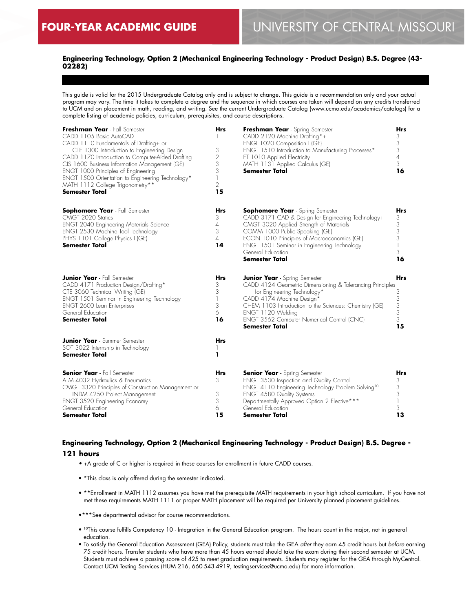## **Engineering Technology, Option 2 (Mechanical Engineering Technology - Product Design) B.S. Degree (43- 02282)**

This guide is valid for the 2015 Undergraduate Catalog only and is subject to change. This guide is a recommendation only and your actual program may vary. The time it takes to complete a degree and the sequence in which courses are taken will depend on any credits transferred to UCM and on placement in math, reading, and writing. See the current Undergraduate Catalog (www.ucmo.edu/academics/catalogs) for a complete listing of academic policies, curriculum, prerequisites, and course descriptions.

| Freshman Year - Fall Semester<br>CADD 1105 Basic AutoCAD<br>CADD 1110 Fundamentals of Drafting+ or<br>CTE 1300 Introduction to Engineering Design<br>CADD 1170 Introduction to Computer-Aided Drafting<br>CIS 1600 Business Information Management (GE)<br>ENGT 1000 Principles of Engineering<br>ENGT 1500 Orientation to Engineering Technology*<br>MATH 1112 College Trigonometry**<br><b>Semester Total</b> | Hrs<br>3<br>$\overline{2}$<br>3<br>3<br>$\overline{\phantom{a}}$<br>$\overline{2}$<br>15 | Freshman Year - Spring Semester<br>CADD 2120 Machine Drafting*+<br>ENGL 1020 Composition I (GE)<br>ENGT 1510 Introduction to Manufacturing Processes*<br>ET 1010 Applied Electricity<br>MATH 1131 Applied Calculus (GE)<br>Semester Total                                                                              | Hrs<br>3<br>3<br>3<br>$\overline{A}$<br>3<br>16              |
|-----------------------------------------------------------------------------------------------------------------------------------------------------------------------------------------------------------------------------------------------------------------------------------------------------------------------------------------------------------------------------------------------------------------|------------------------------------------------------------------------------------------|------------------------------------------------------------------------------------------------------------------------------------------------------------------------------------------------------------------------------------------------------------------------------------------------------------------------|--------------------------------------------------------------|
| <b>Sophomore Year</b> - Fall Semester<br>CMGT 2020 Statics<br><b>ENGT 2040 Engineering Materials Science</b><br>ENGT 2530 Machine Tool Technology<br>PHYS 1101 College Physics I (GE)<br><b>Semester Total</b>                                                                                                                                                                                                  | <b>Hrs</b><br>3<br>$\overline{4}$<br>3<br>$\overline{A}$<br>14                           | <b>Sophomore Year</b> - Spring Semester<br>CADD 3171 CAD & Design for Engineering Technology+<br>CMGT 3020 Applied Strength of Materials<br>COMM 1000 Public Speaking (GE)<br>ECON 1010 Principles of Macroeconomics (GE)<br>ENGT 1501 Seminar in Engineering Technology<br>General Education<br><b>Semester Total</b> | Hrs<br>3<br>$\begin{array}{c} 3 \\ 3 \end{array}$<br>3<br>16 |
| <b>Junior Year</b> - Fall Semester<br>CADD 4171 Production Design/Drafting*<br>CTE 3060 Technical Writing (GE)<br>ENGT 1501 Seminar in Engineering Technology<br>ENGT 2600 Lean Enterprises<br>General Education<br><b>Semester Total</b>                                                                                                                                                                       | Hrs<br>3<br>3<br>$\overline{\phantom{a}}$<br>3<br>6<br>16                                | <b>Junior Year</b> - Spring Semester<br>CADD 4124 Geometric Dimensioning & Tolerancing Principles<br>for Engineering Technology*<br>CADD 4174 Machine Design*<br>CHEM 1103 Introduction to the Sciences: Chemistry (GE)<br>ENGT 1120 Welding<br>ENGT 3562 Computer Numerical Control (CNC)<br>Semester Total           | Hrs<br>3<br>$\begin{array}{c} 3 \\ 3 \end{array}$<br>3<br>15 |
| <b>Junior Year</b> - Summer Semester<br>SOT 3022 Internship in Technology<br><b>Semester Total</b>                                                                                                                                                                                                                                                                                                              | Hrs<br>ı                                                                                 |                                                                                                                                                                                                                                                                                                                        |                                                              |
| <b>Senior Year</b> - Fall Semester<br>ATM 4032 Hydraulics & Pneumatics<br>CMGT 3320 Principles of Construction Management or<br>INDM 4250 Project Management<br><b>ENGT 3520 Engineering Economy</b><br>General Education<br>Semester Total                                                                                                                                                                     | <b>Hrs</b><br>3<br>3<br>3<br>6<br>15                                                     | <b>Senior Year</b> - Spring Semester<br>ENGT 3530 Inspection and Quality Control<br>ENGT 4110 Engineering Technology Problem Solving <sup>10</sup><br><b>ENGT 4580 Quality Systems</b><br>Departmentally Approved Option 2 Elective***<br>General Education<br>Semester Total                                          | Hrs<br>3<br>3<br>3<br>3<br>13                                |

# **Engineering Technology, Option 2 (Mechanical Engineering Technology - Product Design) B.S. Degree -**

## **121 hours**

- +A grade of C or higher is required in these courses for enrollment in future CADD courses.
- \*This class is only offered during the semester indicated.
- \*\*Enrollment in MATH 1112 assumes you have met the prerequisite MATH requirements in your high school curriculum. If you have not met these requirements MATH 1111 or proper MATH placement will be required per University planned placement guidelines.
- •\*\*\*See departmental advisor for course recommendations.
- 10This course fulfills Competency 10 Integration in the General Education program. The hours count in the major, not in general education.
- To satisfy the General Education Assessment (GEA) Policy, students must take the GEA *after* they earn 45 credit hours but *before* earning 75 credit hours. Transfer students who have more than 45 hours earned should take the exam during their second semester at UCM. Students must achieve a passing score of 425 to meet graduation requirements. Students may register for the GEA through MyCentral. Contact UCM Testing Services (HUM 216, 660-543-4919, testingservices@ucmo.edu) for more information.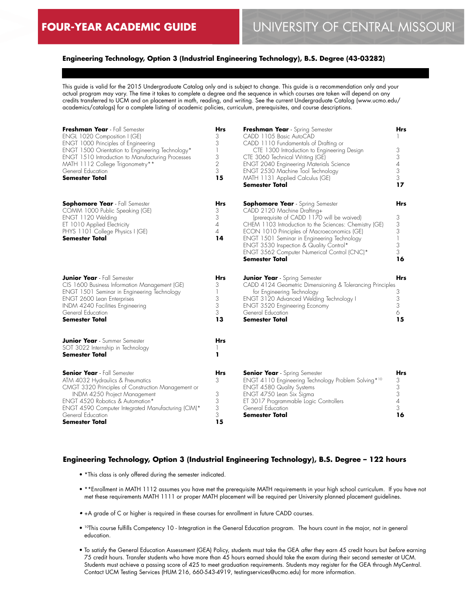## **Engineering Technology, Option 3 (Industrial Engineering Technology), B.S. Degree (43-03282)**

This guide is valid for the 2015 Undergraduate Catalog only and is subject to change. This guide is a recommendation only and your actual program may vary. The time it takes to complete a degree and the sequence in which courses are taken will depend on any credits transferred to UCM and on placement in math, reading, and writing. See the current Undergraduate Catalog (www.ucmo.edu/ academics/catalogs) for a complete listing of academic policies, curriculum, prerequisites, and course descriptions.

| Freshman Year - Fall Semester<br>ENGL 1020 Composition I (GE)<br>ENGT 1000 Principles of Engineering<br>ENGT 1500 Orientation to Engineering Technology*<br><b>ENGT 1510 Introduction to Manufacturing Processes</b><br>MATH 1112 College Trigonometry**<br>General Education<br><b>Semester Total</b> | <b>Hrs</b><br>3<br>3<br>$\mathbb{I}$<br>3<br>$\overline{2}$<br>3<br>15 | Freshman Year - Spring Semester<br>CADD 1105 Basic AutoCAD<br>CADD 1110 Fundamentals of Drafting or<br>CTE 1300 Introduction to Engineering Design<br>CTE 3060 Technical Writing (GE)<br><b>ENGT 2040 Engineering Materials Science</b><br>ENGT 2530 Machine Tool Technology<br>MATH 1131 Applied Calculus (GE)<br>Semester Total                                                               | Hrs<br>3<br>3<br>$\sqrt{4}$<br>3<br>3<br>17                    |
|--------------------------------------------------------------------------------------------------------------------------------------------------------------------------------------------------------------------------------------------------------------------------------------------------------|------------------------------------------------------------------------|-------------------------------------------------------------------------------------------------------------------------------------------------------------------------------------------------------------------------------------------------------------------------------------------------------------------------------------------------------------------------------------------------|----------------------------------------------------------------|
| <b>Sophomore Year</b> - Fall Semester<br>COMM 1000 Public Speaking (GE)<br>ENGT 1120 Welding<br>ET 1010 Applied Electricity<br>PHYS 1101 College Physics I (GE)<br><b>Semester Total</b>                                                                                                               | Hrs<br>3<br>3<br>$\overline{A}$<br>$\overline{4}$<br>14                | <b>Sophomore Year</b> - Spring Semester<br>CADD 2120 Machine Drafting+<br>(prerequisite of CADD 1170 will be waived)<br>CHEM 1103 Introduction to the Sciences: Chemistry (GE)<br>ECON 1010 Principles of Macroeconomics (GE)<br>ENGT 1501 Seminar in Engineering Technology<br>ENGT 3530 Inspection & Quality Control*<br>ENGT 3562 Computer Numerical Control (CNC)*<br><b>Semester Total</b> | Hrs<br>3<br>3<br>3<br>$\overline{\phantom{a}}$<br>3<br>3<br>16 |
| <b>Junior Year</b> - Fall Semester<br>CIS 1600 Business Information Management (GE)<br>ENGT 1501 Seminar in Engineering Technology<br>ENGT 2600 Lean Enterprises<br>INDM 4240 Facilities Engineering<br>General Education<br><b>Semester Total</b>                                                     | <b>Hrs</b><br>3<br>1<br>3<br>3<br>3<br>13                              | <b>Junior Year</b> - Spring Semester<br>CADD 4124 Geometric Dimensioning & Tolerancing Principles<br>for Engineering Technology<br>ENGT 3120 Advanced Welding Technology I<br>ENGT 3520 Engineering Economy<br>General Education<br><b>Semester Total</b>                                                                                                                                       | <b>Hrs</b><br>3<br>$\frac{3}{3}$<br>6<br>15                    |
| <b>Junior Year</b> - Summer Semester<br>SOT 3022 Internship in Technology<br>Semester Total                                                                                                                                                                                                            | Hrs<br>ı                                                               |                                                                                                                                                                                                                                                                                                                                                                                                 |                                                                |
| <b>Senior Year</b> - Fall Semester<br>ATM 4032 Hydraulics & Pneumatics<br>CMGT 3320 Principles of Construction Management or<br>INDM 4250 Project Management<br>ENGT 4520 Robotics & Automation*<br>ENGT 4590 Computer Integrated Manufacturing (CIM)*<br>General Education<br>Semester Total          | Hrs<br>3<br>3<br>3<br>3<br>3<br>15                                     | <b>Senior Year</b> - Spring Semester<br>ENGT 4110 Engineering Technology Problem Solving*10<br><b>ENGT 4580 Quality Systems</b><br>ENGT 4750 Lean Six Sigma<br>ET 3017 Programmable Logic Controllers<br>General Education<br><b>Semester Total</b>                                                                                                                                             | <b>Hrs</b><br>3<br>3<br>3<br>4<br>3<br>16                      |

## **Engineering Technology, Option 3 (Industrial Engineering Technology), B.S. Degree – 122 hours**

- \*This class is only offered during the semester indicated.
- \*\*Enrollment in MATH 1112 assumes you have met the prerequisite MATH requirements in your high school curriculum. If you have not met these requirements MATH 1111 or proper MATH placement will be required per University planned placement guidelines.
- +A grade of C or higher is required in these courses for enrollment in future CADD courses.
- 10This course fulfills Competency 10 Integration in the General Education program. The hours count in the major, not in general education.
- To satisfy the General Education Assessment (GEA) Policy, students must take the GEA *after* they earn 45 credit hours but *before* earning 75 credit hours. Transfer students who have more than 45 hours earned should take the exam during their second semester at UCM. Students must achieve a passing score of 425 to meet graduation requirements. Students may register for the GEA through MyCentral. Contact UCM Testing Services (HUM 216, 660-543-4919, testingservices@ucmo.edu) for more information.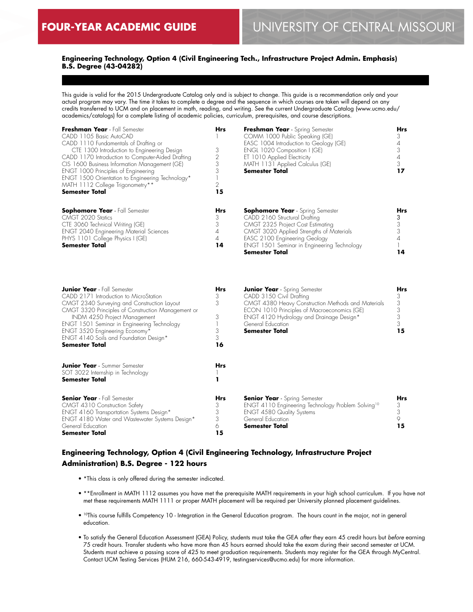## **Engineering Technology, Option 4 (Civil Engineering Tech., Infrastructure Project Admin. Emphasis) B.S. Degree (43-04282)**

This guide is valid for the 2015 Undergraduate Catalog only and is subject to change. This guide is a recommendation only and your actual program may vary. The time it takes to complete a degree and the sequence in which courses are taken will depend on any credits transferred to UCM and on placement in math, reading, and writing. See the current Undergraduate Catalog (www.ucmo.edu/ academics/catalogs) for a complete listing of academic policies, curriculum, prerequisites, and course descriptions.

| Freshman Year - Fall Semester<br>CADD 1105 Basic AutoCAD<br>CADD 1110 Fundamentals of Drafting or<br>CTE 1300 Introduction to Engineering Design<br>CADD 1170 Introduction to Computer-Aided Drafting<br>CIS 1600 Business Information Management (GE)<br>ENGT 1000 Principles of Engineering<br>ENGT 1500 Orientation to Engineering Technology*<br>MATH 1112 College Trigonometry**<br><b>Semester Total</b> | <b>Hrs</b><br>3<br>15                | Freshman Year - Spring Semester<br>COMM 1000 Public Speaking (GE)<br>EASC 1004 Introduction to Geology (GE)<br>ENGL 1020 Composition I (GE)<br>ET 1010 Applied Electricity<br>MATH 1131 Applied Calculus (GE)<br><b>Semester Total</b>                      | Hrs<br>17        |
|----------------------------------------------------------------------------------------------------------------------------------------------------------------------------------------------------------------------------------------------------------------------------------------------------------------------------------------------------------------------------------------------------------------|--------------------------------------|-------------------------------------------------------------------------------------------------------------------------------------------------------------------------------------------------------------------------------------------------------------|------------------|
| <b>Sophomore Year</b> - Fall Semester<br>CMGT 2020 Statics<br>CTE 3060 Technical Writing (GE)<br><b>ENGT 2040 Engineering Material Sciences</b><br>PHYS 1101 College Physics I (GE)<br><b>Semester Total</b>                                                                                                                                                                                                   | <b>Hrs</b><br>3<br>3<br>4<br>4<br>14 | <b>Sophomore Year</b> - Spring Semester<br>CADD 2160 Structural Drafting<br>CMGT 2325 Project Cost Estimating<br>CMGT 3020 Applied Strengths of Materials<br>EASC 2100 Engineering Geology<br>ENGT 1501 Seminar in Engineering Technology<br>Semester Total | <b>Hrs</b><br>14 |

| <b>Junior Year</b> - Fall Semester                 | <b>Hrs</b> | <b>Junior Year</b> - Spring Semester                           | Hrs |
|----------------------------------------------------|------------|----------------------------------------------------------------|-----|
| CADD 2171 Introduction to MicroStation             | 3          | CADD 3150 Civil Drafting                                       |     |
| CMGT 2340 Surveying and Construction Layout        | 3          | CMGT 4380 Heavy Construction Methods and Materials             | 3   |
| CMGT 3320 Principles of Construction Management or |            | ECON 1010 Principles of Macroeconomics (GE)                    |     |
| INDM 4250 Project Management                       | 3          | ENGT 4120 Hydrology and Drainage Design*                       |     |
| ENGT 1501 Seminar in Engineering Technology        |            | General Education                                              |     |
| ENGT 3520 Engineering Economy*                     |            | <b>Semester Total</b>                                          | 15  |
| ENGT 4140 Soils and Foundation Design*             | 3          |                                                                |     |
| <b>Semester Total</b>                              | 16         |                                                                |     |
| <b>Junior Year</b> - Summer Semester               | <b>Hrs</b> |                                                                |     |
| SOT 3022 Internship in Technology                  |            |                                                                |     |
| <b>Semester Total</b>                              |            |                                                                |     |
| <b>Senior Year</b> - Fall Semester                 | <b>Hrs</b> | <b>Senior Year</b> - Spring Semester                           | Hrs |
| CMGT 4310 Construction Safety                      | 3          | ENGT 4110 Engineering Technology Problem Solving <sup>10</sup> | 3   |
| ENGT 4160 Transportation Systems Design*           |            | <b>ENGT 4580 Quality Systems</b>                               |     |
| ENGT 4180 Water and Wastewater Systems Design*     | 3          | General Education                                              |     |
| General Education                                  | 6          | <b>Semester Total</b>                                          | 15  |
| <b>Semester Total</b>                              | 15         |                                                                |     |

## **Engineering Technology, Option 4 (Civil Engineering Technology, Infrastructure Project Administration) B.S. Degree - 122 hours**

- \*This class is only offered during the semester indicated.
- \*\*Enrollment in MATH 1112 assumes you have met the prerequisite MATH requirements in your high school curriculum. If you have not met these requirements MATH 1111 or proper MATH placement will be required per University planned placement guidelines.
- <sup>10</sup>This course fulfills Competency 10 Integration in the General Education program. The hours count in the major, not in general education.
- To satisfy the General Education Assessment (GEA) Policy, students must take the GEA *after* they earn 45 credit hours but *before* earning 75 credit hours. Transfer students who have more than 45 hours earned should take the exam during their second semester at UCM. Students must achieve a passing score of 425 to meet graduation requirements. Students may register for the GEA through MyCentral. Contact UCM Testing Services (HUM 216, 660-543-4919, testingservices@ucmo.edu) for more information.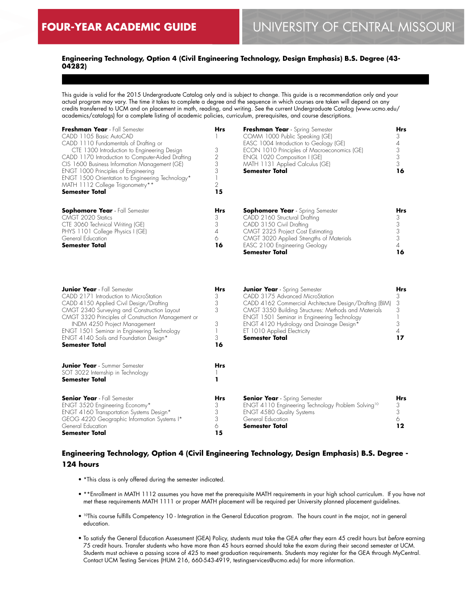## **Engineering Technology, Option 4 (Civil Engineering Technology, Design Emphasis) B.S. Degree (43- 04282)**

This guide is valid for the 2015 Undergraduate Catalog only and is subject to change. This guide is a recommendation only and your actual program may vary. The time it takes to complete a degree and the sequence in which courses are taken will depend on any credits transferred to UCM and on placement in math, reading, and writing. See the current Undergraduate Catalog (www.ucmo.edu/ academics/catalogs) for a complete listing of academic policies, curriculum, prerequisites, and course descriptions.

| Freshman Year - Fall Semester<br>CADD 1105 Basic AutoCAD<br>CADD 1110 Fundamentals of Drafting or<br>CTE 1300 Introduction to Engineering Design<br>CADD 1170 Introduction to Computer-Aided Drafting<br>CIS 1600 Business Information Management (GE)<br>ENGT 1000 Principles of Engineering<br>ENGT 1500 Orientation to Engineering Technology*<br>MATH 1112 College Trigonometry**<br><b>Semester Total</b> | <b>Hrs</b><br>3<br>2<br>3<br>15      | Freshman Year - Spring Semester<br>COMM 1000 Public Speaking (GE)<br>EASC 1004 Introduction to Geology (GE)<br>ECON 1010 Principles of Macroeconomics (GE)<br>ENGL 1020 Composition I (GE)<br>MATH 1131 Applied Calculus (GE)<br><b>Semester Total</b> | Hrs<br>16 |
|----------------------------------------------------------------------------------------------------------------------------------------------------------------------------------------------------------------------------------------------------------------------------------------------------------------------------------------------------------------------------------------------------------------|--------------------------------------|--------------------------------------------------------------------------------------------------------------------------------------------------------------------------------------------------------------------------------------------------------|-----------|
| <b>Sophomore Year</b> - Fall Semester<br>CMGT 2020 Statics<br>CTE 3060 Technical Writing (GE)<br>PHYS 1101 College Physics I (GE)<br>General Education<br><b>Semester Total</b>                                                                                                                                                                                                                                | <b>Hrs</b><br>3<br>3<br>4<br>6<br>16 | <b>Sophomore Year</b> - Spring Semester<br>CADD 2160 Structural Drafting<br>CADD 3150 Civil Drafting<br>CMGT 2325 Project Cost Estimating<br>CMGT 3020 Applied Strengths of Materials<br>EASC 2100 Engineering Geology<br><b>Semester Total</b>        | Hrs<br>16 |

| <b>Junior Year</b> - Fall Semester                 | <b>Hrs</b> | <b>Junior Year</b> - Spring Semester                           | Hrs |
|----------------------------------------------------|------------|----------------------------------------------------------------|-----|
| CADD 2171 Introduction to MicroStation             |            | CADD 3175 Advanced MicroStation                                |     |
| CADD 4150 Applied Civil Design/Drafting            | 3          | CADD 4162 Commercial Architecture Design/Drafting (BIM)        | 3   |
| CMGT 2340 Surveying and Construction Layout        | 3          | CMGT 3350 Building Structures: Methods and Materials           | 3   |
| CMGT 3320 Principles of Construction Management or |            | <b>ENGT 1501 Seminar in Engineering Technology</b>             |     |
| <b>INDM 4250 Project Management</b>                | 3          | ENGT 4120 Hydrology and Drainage Design*                       |     |
| ENGT 1501 Seminar in Engineering Technology        |            | ET 1010 Applied Electricity                                    |     |
| ENGT 4140 Soils and Foundation Design*             | 3          | <b>Semester Total</b>                                          | 17  |
| <b>Semester Total</b>                              | 16         |                                                                |     |
| <b>Junior Year</b> - Summer Semester               | Hrs        |                                                                |     |
| SOT 3022 Internship in Technology                  |            |                                                                |     |
| <b>Semester Total</b>                              |            |                                                                |     |
| <b>Senior Year</b> - Fall Semester                 | Hrs        | <b>Senior Year</b> - Spring Semester                           | Hrs |
| ENGT 3520 Engineering Economy*                     |            | ENGT 4110 Engineering Technology Problem Solving <sup>10</sup> | 3   |
| ENGT 4160 Transportation Systems Design*           |            | <b>ENGT 4580 Quality Systems</b>                               |     |
| GEOG 4220 Geographic Information Systems I*        | 3          | General Education                                              |     |
| General Education                                  | 6          | <b>Semester Total</b>                                          | 12  |
| <b>Semester Total</b>                              | 15         |                                                                |     |

## **Engineering Technology, Option 4 (Civil Engineering Technology, Design Emphasis) B.S. Degree - 124 hours**

- \*This class is only offered during the semester indicated.
- \*\*Enrollment in MATH 1112 assumes you have met the prerequisite MATH requirements in your high school curriculum. If you have not met these requirements MATH 1111 or proper MATH placement will be required per University planned placement guidelines.
- 10This course fulfills Competency 10 Integration in the General Education program. The hours count in the major, not in general education.
- To satisfy the General Education Assessment (GEA) Policy, students must take the GEA *after* they earn 45 credit hours but *before* earning 75 credit hours. Transfer students who have more than 45 hours earned should take the exam during their second semester at UCM. Students must achieve a passing score of 425 to meet graduation requirements. Students may register for the GEA through MyCentral. Contact UCM Testing Services (HUM 216, 660-543-4919, testingservices@ucmo.edu) for more information.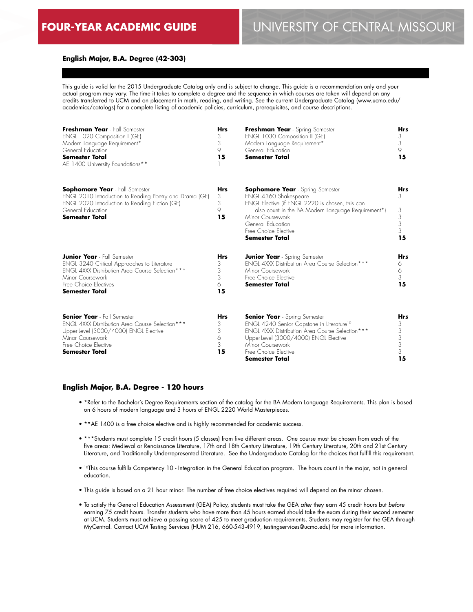#### **English Major, B.A. Degree (42-303)**

This guide is valid for the 2015 Undergraduate Catalog only and is subject to change. This guide is a recommendation only and your actual program may vary. The time it takes to complete a degree and the sequence in which courses are taken will depend on any credits transferred to UCM and on placement in math, reading, and writing. See the current Undergraduate Catalog (www.ucmo.edu/ academics/catalogs) for a complete listing of academic policies, curriculum, prerequisites, and course descriptions.

| Freshman Year - Fall Semester<br>ENGL 1020 Composition I (GE)<br>Modern Language Requirement*<br>General Education<br><b>Semester Total</b><br>AE 1400 University Foundations**                                   | <b>Hrs</b><br>3<br>3<br>9<br>15      | Freshman Year - Spring Semester<br>ENGL 1030 Composition II (GE)<br>Modern Language Requirement*<br>General Education<br><b>Semester Total</b>                                                                                                                      | <b>Hrs</b><br>3<br>3<br>9<br>15           |
|-------------------------------------------------------------------------------------------------------------------------------------------------------------------------------------------------------------------|--------------------------------------|---------------------------------------------------------------------------------------------------------------------------------------------------------------------------------------------------------------------------------------------------------------------|-------------------------------------------|
| <b>Sophomore Year</b> - Fall Semester<br>ENGL 2010 Introduction to Reading Poetry and Drama (GE)<br>ENGL 2020 Introduction to Reading Fiction (GE)<br>General Education<br><b>Semester Total</b>                  | <b>Hrs</b><br>3<br>3<br>9<br>15      | <b>Sophomore Year</b> - Spring Semester<br>ENGL 4360 Shakespeare<br>ENGL Elective (if ENGL 2220 is chosen, this can<br>also count in the BA Modern Language Requirement*)<br>Minor Coursework<br>General Education<br>Free Choice Elective<br><b>Semester Total</b> | <b>Hrs</b><br>3<br>3<br>3<br>3<br>3<br>15 |
| <b>Junior Year</b> - Fall Semester<br><b>ENGL 3240 Critical Approaches to Literature</b><br>ENGL 4XXX Distribution Area Course Selection***<br>Minor Coursework<br>Free Choice Electives<br><b>Semester Total</b> | <b>Hrs</b><br>3<br>3<br>3<br>6<br>15 | <b>Junior Year</b> - Spring Semester<br><b>ENGL 4XXX Distribution Area Course Selection ***</b><br>Minor Coursework<br>Free Choice Elective<br><b>Semester Total</b>                                                                                                | <b>Hrs</b><br>6<br>6<br>3<br>15           |
| <b>Senior Year</b> - Fall Semester<br><b>ENGL 4XXX Distribution Area Course Selection ***</b><br>Upper-level (3000/4000) ENGL Elective<br>Minor Coursework<br>Free Choice Elective<br>Semester Total              | <b>Hrs</b><br>3<br>3<br>6<br>3<br>15 | <b>Senior Year</b> - Spring Semester<br>ENGL 4240 Senior Capstone in Literature <sup>10</sup><br><b>ENGL 4XXX Distribution Area Course Selection ***</b><br>Upper-level (3000/4000) ENGL Elective<br>Minor Coursework<br>Free Choice Elective<br>Semester Total     | Hrs<br>3<br>3<br>3<br>3<br>3<br>15        |

#### **English Major, B.A. Degree - 120 hours**

- \*Refer to the Bachelor's Degree Requirements section of the catalog for the BA Modern Language Requirements. This plan is based on 6 hours of modern language and 3 hours of ENGL 2220 World Masterpieces.
- \*\*AE 1400 is a free choice elective and is highly recommended for academic success.
- \*\*\*Students must complete 15 credit hours (5 classes) from five different areas. One course must be chosen from each of the five areas: Medieval or Renaissance Literature, 17th and 18th Century Literature, 19th Century Literature, 20th and 21st Century Literature, and Traditionally Underrepresented Literature. See the Undergraduate Catalog for the choices that fulfill this requirement.
- 10This course fulfills Competency 10 Integration in the General Education program. The hours count in the major, not in general education.
- This guide is based on a 21 hour minor. The number of free choice electives required will depend on the minor chosen.
- To satisfy the General Education Assessment (GEA) Policy, students must take the GEA *after* they earn 45 credit hours but *before* earning 75 credit hours. Transfer students who have more than 45 hours earned should take the exam during their second semester at UCM. Students must achieve a passing score of 425 to meet graduation requirements. Students may register for the GEA through MyCentral. Contact UCM Testing Services (HUM 216, 660-543-4919, testingservices@ucmo.edu) for more information.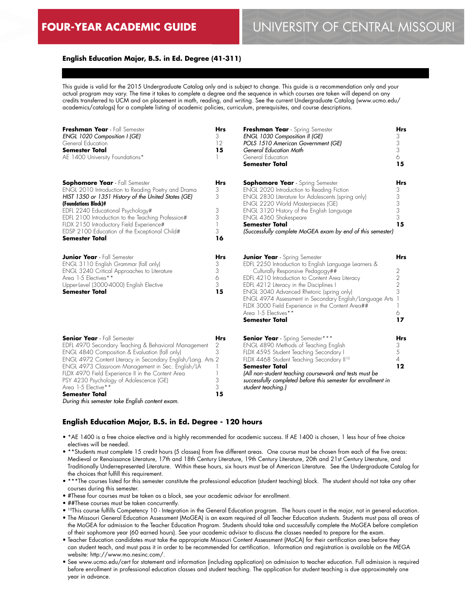# **FOUR-YEAR ACADEMIC GUIDE** UNIVERSITY OF CENTRAL MISSOURI

## **English Education Major, B.S. in Ed. Degree (41-311)**

This guide is valid for the 2015 Undergraduate Catalog only and is subject to change. This guide is a recommendation only and your actual program may vary. The time it takes to complete a degree and the sequence in which courses are taken will depend on any credits transferred to UCM and on placement in math, reading, and writing. See the current Undergraduate Catalog (www.ucmo.edu/ academics/catalogs) for a complete listing of academic policies, curriculum, prerequisites, and course descriptions.

| Freshman Year - Fall Semester<br>ENGL 1020 Composition I (GE)<br>General Education<br><b>Semester Total</b><br>AE 1400 University Foundations*                                                                                                                                                                                                                                                                                                                       | <b>Hrs</b><br>3<br>12<br>15          | Freshman Year - Spring Semester<br>ENGL 1030 Composition II (GE)<br>POLS 1510 American Government (GE)<br>General Education Math<br>General Education<br><b>Semester Total</b>                                                                                                                                                                                                                                                               | Hrs<br>3<br>3<br>3<br>6<br>15             |
|----------------------------------------------------------------------------------------------------------------------------------------------------------------------------------------------------------------------------------------------------------------------------------------------------------------------------------------------------------------------------------------------------------------------------------------------------------------------|--------------------------------------|----------------------------------------------------------------------------------------------------------------------------------------------------------------------------------------------------------------------------------------------------------------------------------------------------------------------------------------------------------------------------------------------------------------------------------------------|-------------------------------------------|
| <b>Sophomore Year</b> - Fall Semester<br>ENGL 2010 Introduction to Reading Poetry and Drama<br>HIST 1350 or 1351 History of the United States (GE)<br>(Foundations Block)#<br>EDFL 2240 Educational Psychology#<br>EDFL 2100 Introduction to the Teaching Profession#<br>FLDX 2150 Introductory Field Experience#<br>EDSP 2100 Education of the Exceptional Child#<br><b>Semester Total</b>                                                                          | Hrs<br>3<br>3<br>3<br>3<br>3<br>16   | <b>Sophomore Year</b> - Spring Semester<br>ENGL 2020 Introduction to Reading Fiction<br>ENGL 2830 Literature for Adolescents (spring only)<br><b>ENGL 2220 World Masterpieces (GE)</b><br>ENGL 3120 History of the English Language<br>ENGL 4360 Shakespeare<br><b>Semester Total</b><br>(Successfully complete MoGEA exam by end of this semester)                                                                                          | Hrs<br>3<br>3<br>3<br>3<br>3<br>15        |
| <b>Junior Year</b> - Fall Semester<br>ENGL 3110 English Grammar (fall only)<br>ENGL 3240 Critical Approaches to Literature<br>Area 1-5 Electives**<br>Upper-Level (3000-4000) English Elective<br><b>Semester Total</b>                                                                                                                                                                                                                                              | Hrs<br>3<br>3<br>6<br>3<br>15        | <b>Junior Year</b> - Spring Semester<br>EDFL 2250 Introduction to English Language Learners &<br>Culturally Responsive Pedagogy##<br>EDFL 4210 Introduction to Content Area Literacy<br>EDFL 4212 Literacy in the Disciplines I<br>ENGL 3040 Advanced Rhetoric (spring only)<br>ENGL 4974 Assessment in Secondary English/Language Arts<br>FLDX 3000 Field Experience in the Content Area##<br>Area 1-5 Electives**<br><b>Semester Total</b> | <b>Hrs</b><br>2<br>2<br>2<br>3<br>6<br>17 |
| <b>Senior Year</b> - Fall Semester<br>EDFL 4970 Secondary Teaching & Behavioral Management<br>ENGL 4840 Composition & Evaluation (fall only)<br>ENGL 4972 Content Literacy in Secondary English/Lang. Arts 2<br>ENGL 4973 Classroom Management in Sec. English/LA<br>FLDX 4970 Field Experience II in the Content Area<br>PSY 4230 Psychology of Adolescence (GE)<br>Area 1-5 Elective**<br><b>Semester Total</b><br>During this semester take English content exam. | <b>Hrs</b><br>2<br>3<br>3<br>3<br>15 | <b>Senior Year</b> - Spring Semester***<br>ENGL 4890 Methods of Teaching English<br>FLDX 4595 Student Teaching Secondary I<br>FLDX 4468 Student Teaching Secondary II <sup>10</sup><br><b>Semester Total</b><br>(All non-student teaching coursework and tests must be<br>successfully completed before this semester for enrollment in<br>student teaching.)                                                                                | Hrs<br>3<br>5<br>$\overline{4}$<br>12     |

#### **English Education Major, B.S. in Ed. Degree - 120 hours**

- \*AE 1400 is a free choice elective and is highly recommended for academic success. If AE 1400 is chosen, 1 less hour of free choice electives will be needed.
- \*\*Students must complete 15 credit hours (5 classes) from five different areas. One course must be chosen from each of the five areas: Medieval or Renaissance Literature, 17th and 18th Century Literature, 19th Century Literature, 20th and 21st Century Literature, and Traditionally Underrepresented Literature. Within these hours, six hours must be of American Literature. See the Undergraduate Catalog for the choices that fulfill this requirement.
- \*\*\*The courses listed for this semester constitute the professional education (student teaching) block. The student should not take any other courses during this semester.
- #These four courses must be taken as a block, see your academic advisor for enrollment.
- ##These courses must be taken concurrently.
- 10This course fulfills Competency 10 Integration in the General Education program. The hours count in the major, not in general education.
- The Missouri General Education Assessment (MoGEA) is an exam required of all Teacher Education students. Students must pass all areas of the MoGEA for admission to the Teacher Education Program. Students should take and successfully complete the MoGEA before completion of their sophomore year (60 earned hours). See your academic advisor to discuss the classes needed to prepare for the exam.
- Teacher Education candidates must take the appropriate Missouri Content Assessment (MoCA) for their certification area before they can student teach, and must pass it in order to be recommended for certification. Information and registration is available on the MEGA website: http://www.mo.nesinc.com/.
- See www.ucmo.edu/cert for statement and information (including application) on admission to teacher education. Full admission is required before enrollment in professional education classes and student teaching. The application for student teaching is due approximately one year in advance.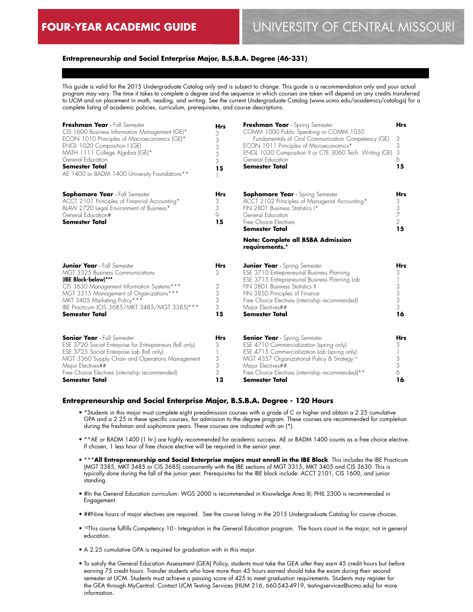## **Entrepreneurship and Social Enterprise Major, B.S.B.A. Degree (46-331)**

This guide is valid for the 2015 Undergraduate Catalog only and is subject to change. This guide is a recommendation only and your actual program may vary. The time it takes to complete a degree and the sequence in which courses are taken will depend on any credits transferred to UCM and on placement in math, reading, and writing. See the current Undergraduate Catalog (www.ucmo.edu/academics/catalogs) for a complete listing of academic policies, curriculum, prerequisites, and course descriptions.

| Freshman Year - Fall Semester<br>CIS 1600 Business Information Management (GE)*<br>ECON 1010 Principles of Macroeconomics (GE)*<br>ENGL 1020 Composition I (GE)<br>MATH 1111 College Algebra (GE)*<br>General Education<br><b>Semester Total</b><br>AE 1400 or BADM 1400 University Foundations** | <b>Hrs</b><br>3<br>3<br>3<br>3<br>3<br>15 | Freshman Year - Spring Semester<br>COMM 1000 Public Speaking or COMM 1050<br>Fundamentals of Oral Communication Competency (GE)<br>ECON 1011 Principles of Microeconomics*<br>ENGL 1030 Composition II or CTE 3060 Tech. Writing (GE)<br>General Education<br><b>Semester Total</b>                       | <b>Hrs</b><br>3<br>3<br>3<br>6<br>15                     |
|---------------------------------------------------------------------------------------------------------------------------------------------------------------------------------------------------------------------------------------------------------------------------------------------------|-------------------------------------------|-----------------------------------------------------------------------------------------------------------------------------------------------------------------------------------------------------------------------------------------------------------------------------------------------------------|----------------------------------------------------------|
| Sophomore Year - Fall Semester<br>ACCT 2101 Principles of Financial Accounting*<br>BLAW 2720 Legal Environment of Business*<br>General Education#<br><b>Semester Total</b>                                                                                                                        | Hrs<br>3<br>3<br>9<br>15                  | <b>Sophomore Year</b> - Spring Semester<br>ACCT 2102 Principles of Managerial Accounting*<br>FIN 2801 Business Statistics I*<br>General Education<br>Free Choice Electives<br><b>Semester Total</b>                                                                                                       | <b>Hrs</b><br>3<br>$\frac{1}{7}$<br>$\overline{2}$<br>15 |
|                                                                                                                                                                                                                                                                                                   |                                           | <b>Note: Complete all BSBA Admission</b><br>requirements.*                                                                                                                                                                                                                                                |                                                          |
| <b>Junior Year</b> - Fall Semester<br>MGT 3325 Business Communications<br>(IBE Block-below)***<br>CIS 3630 Management Information Systems***<br>MGT 3315 Management of Organizations***<br>MKT 3405 Marketing Policy***<br>IBE Practicum (CIS 3685/MKT 3485/MGT 3385)***<br><b>Semester Total</b> | Hrs<br>3<br>3<br>3<br>3<br>3<br>15        | <b>Junior Year</b> - Spring Semester<br>ESE 3710 Entrepreneurial Business Planning<br>ESE 3715 Entrepreneurial Business Planning Lab<br>FIN 3801 Business Statistics II<br>FIN 3850 Principles of Finance<br>Free Choice Electives (internship recommended)<br>Major Electives##<br><b>Semester Total</b> | <b>Hrs</b><br>3<br>$\frac{3}{3}$<br>3<br>16              |
| <b>Senior Year</b> - Fall Semester<br>ESE 3720 Social Enterprise for Entrepreneurs (fall only)<br>ESE 3725 Social Enterprise Lab (fall only)<br>MGT 3360 Supply Chain and Operations Management<br>Major Electives##<br>Free Choice Electives (internship recommended)<br>Semester Total          | <b>Hrs</b><br>3<br>3<br>3<br>3<br>13      | <b>Senior Year</b> - Spring Semester<br>ESE 4710 Commercialization (spring only)<br>ESE 4715 Commercialization Lab (spring only)<br>MGT 4357 Organizational Policy & Strategy <sup>10</sup><br>Major Electives##<br>Free Choice Electives (internship recommended)**<br>Semester Total                    | Hrs<br>3<br>3<br>3<br>6<br>16                            |

## **Entrepreneurship and Social Enterprise Major, B.S.B.A. Degree - 120 Hours**

- \*Students in this major must complete eight preadmission courses with a grade of C or higher and obtain a 2.25 cumulative GPA and a 2.25 in these specific courses, for admission to the degree program. These courses are recommended for completion during the freshman and sophomore years. These courses are indicated with an (\*).
- \*\*AE or BADM 1400 (1 hr.) are highly recommended for academic success. AE or BADM 1400 counts as a free choice elective. If chosen, 1 less hour of free choice elective will be required in the senior year.
- \*\*\***All Entrepreneurship and Social Enterprise majors must enroll in the IBE Block**. This includes the IBE Practicum (MGT 3385, MKT 3485 or CIS 3685) concurrently with the IBE sections of MGT 3315, MKT 3405 and CIS 3630. This is typically done during the fall of the junior year. Prerequisites for the IBE block include: ACCT 2101, CIS 1600, and junior standing.
- #In the General Education curriculum: WGS 2000 is recommended in Knowledge Area III; PHIL 2300 is recommended in Engagement.
- ##Nine hours of major electives are required. See the course listing in the 2015 Undergraduate Catalog for course choices.
- <sup>10</sup>This course fulfills Competency 10 Integration in the General Education program. The hours count in the major, not in general education.
- A 2.25 cumulative GPA is required for graduation with in this major.
- To satisfy the General Education Assessment (GEA) Policy, students must take the GEA *after* they earn 45 credit hours but *before* earning 75 credit hours. Transfer students who have more than 45 hours earned should take the exam during their second semester at UCM. Students must achieve a passing score of 425 to meet graduation requirements. Students may register for the GEA through MyCentral. Contact UCM Testing Services (HUM 216, 660-543-4919, testingservices@ucmo.edu) for more information.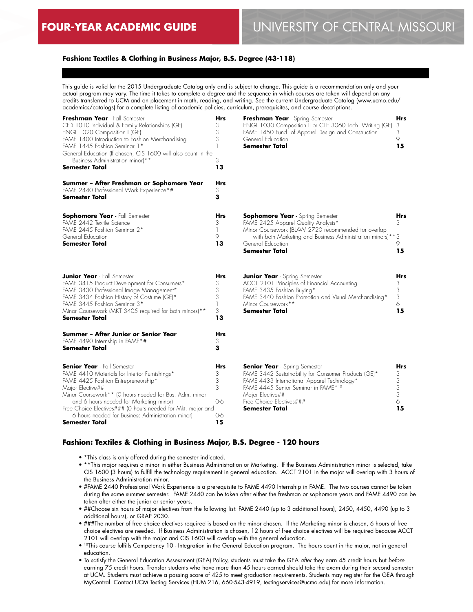## **Fashion: Textiles & Clothing in Business Major, B.S. Degree (43-118)**

This guide is valid for the 2015 Undergraduate Catalog only and is subject to change. This guide is a recommendation only and your actual program may vary. The time it takes to complete a degree and the sequence in which courses are taken will depend on any credits transferred to UCM and on placement in math, reading, and writing. See the current Undergraduate Catalog (www.ucmo.edu/ academics/catalogs) for a complete listing of academic policies, curriculum, prerequisites, and course descriptions.

| Freshman Year - Fall Semester<br>CFD 1010 Individual & Family Relationships (GE)<br>ENGL 1020 Composition I (GE)<br>FAME 1400 Introduction to Fashion Merchandising<br>FAME 1445 Fashion Seminar 1*<br>General Education (If chosen, CIS 1600 will also count in the<br>Business Administration minor)**<br><b>Semester Total</b>                                                         | Hrs<br>3<br>3<br>3<br>3<br>13             | Freshman Year - Spring Semester<br>ENGL 1030 Composition II or CTE 3060 Tech. Writing (GE)<br>FAME 1450 Fund. of Apparel Design and Construction<br>General Education<br>Semester Total                                                              | Hrs<br>3<br>3<br>9<br>15           |
|-------------------------------------------------------------------------------------------------------------------------------------------------------------------------------------------------------------------------------------------------------------------------------------------------------------------------------------------------------------------------------------------|-------------------------------------------|------------------------------------------------------------------------------------------------------------------------------------------------------------------------------------------------------------------------------------------------------|------------------------------------|
| Summer - After Freshman or Sophomore Year<br>FAME 2440 Professional Work Experience*#<br>Semester Total                                                                                                                                                                                                                                                                                   | <b>Hrs</b><br>3<br>3                      |                                                                                                                                                                                                                                                      |                                    |
| <b>Sophomore Year</b> - Fall Semester<br>FAME 2442 Textile Science<br>FAME 2445 Fashion Seminar 2*<br>General Education<br><b>Semester Total</b>                                                                                                                                                                                                                                          | Hrs<br>3<br>1<br>9<br>13                  | <b>Sophomore Year</b> - Spring Semester<br>FAME 2425 Apparel Quality Analysis*<br>Minor Coursework (BLAW 2720 recommended for overlap<br>with both Marketing and Business Administration minors)**3<br>General Education<br><b>Semester Total</b>    | Hrs<br>3<br>9<br>15                |
| <b>Junior Year</b> - Fall Semester<br>FAME 3415 Product Development for Consumers*<br>FAME 3430 Professional Image Management*<br>FAME 3434 Fashion History of Costume (GE)*<br>FAME 3445 Fashion Seminar 3*<br>Minor Coursework (MKT 3405 required for both minors)**<br><b>Semester Total</b>                                                                                           | <b>Hrs</b><br>3<br>3<br>3<br>1<br>3<br>13 | <b>Junior Year</b> - Spring Semester<br>ACCT 2101 Principles of Financial Accounting<br>FAME 3435 Fashion Buying*<br>FAME 3440 Fashion Promotion and Visual Merchandising*<br>Minor Coursework**<br><b>Semester Total</b>                            | Hrs<br>3<br>3<br>3<br>6.<br>15     |
| Summer - After Junior or Senior Year<br>FAME 4490 Internship in FAME*#<br>Semester Total                                                                                                                                                                                                                                                                                                  | Hrs<br>3<br>3                             |                                                                                                                                                                                                                                                      |                                    |
| <b>Senior Year</b> - Fall Semester<br>FAME 4410 Materials for Interior Furnishings*<br>FAME 4425 Fashion Entrepreneurship*<br>Major Elective##<br>Minor Coursework** (O hours needed for Bus. Adm. minor<br>and 6 hours needed for Marketing minor)<br>Free Choice Electives### (0 hours needed for Mkt. major and<br>6 hours needed for Business Administration minor)<br>Semester Total | Hrs<br>3<br>3<br>3<br>0-6<br>0-6<br>15    | <b>Senior Year</b> - Spring Semester<br>FAME 3442 Sustainability for Consumer Products (GE)*<br>FAME 4433 International Apparel Technology*<br>FAME 4445 Senior Seminar in FAME*10<br>Major Elective##<br>Free Choice Electives###<br>Semester Total | Hrs<br>3<br>3<br>3<br>3<br>6<br>15 |

#### **Fashion: Textiles & Clothing in Business Major, B.S. Degree - 120 hours**

- \*This class is only offered during the semester indicated.
- \*\*This major requires a minor in either Business Administration or Marketing. If the Business Administration minor is selected, take CIS 1600 (3 hours) to fulfill the technology requirement in general education. ACCT 2101 in the major will overlap with 3 hours of the Business Administration minor.
- #FAME 2440 Professional Work Experience is a prerequisite to FAME 4490 Internship in FAME. The two courses cannot be taken during the same summer semester. FAME 2440 can be taken after either the freshman or sophomore years and FAME 4490 can be taken after either the junior or senior years.
- ##Choose six hours of major electives from the following list: FAME 2440 (up to 3 additional hours), 2450, 4450, 4490 (up to 3 additional hours), or GRAP 2030.
- ###The number of free choice electives required is based on the minor chosen. If the Marketing minor is chosen, 6 hours of free choice electives are needed. If Business Administration is chosen, 12 hours of free choice electives will be required because ACCT 2101 will overlap with the major and CIS 1600 will overlap with the general education.
- 10This course fulfills Competency 10 Integration in the General Education program. The hours count in the major, not in general education.
- To satisfy the General Education Assessment (GEA) Policy, students must take the GEA *after* they earn 45 credit hours but *before* earning 75 credit hours. Transfer students who have more than 45 hours earned should take the exam during their second semester at UCM. Students must achieve a passing score of 425 to meet graduation requirements. Students may register for the GEA through MyCentral. Contact UCM Testing Services (HUM 216, 660-543-4919, testingservices@ucmo.edu) for more information.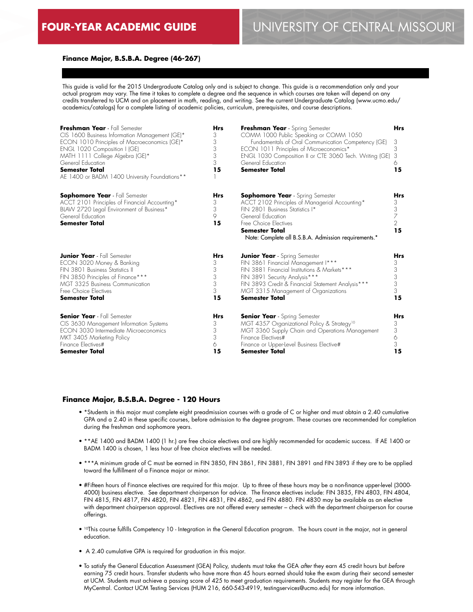### **Finance Major, B.S.B.A. Degree (46-267)**

This guide is valid for the 2015 Undergraduate Catalog only and is subject to change. This guide is a recommendation only and your actual program may vary. The time it takes to complete a degree and the sequence in which courses are taken will depend on any credits transferred to UCM and on placement in math, reading, and writing. See the current Undergraduate Catalog (www.ucmo.edu/ academics/catalogs) for a complete listing of academic policies, curriculum, prerequisites, and course descriptions.

| Freshman Year - Fall Semester<br>CIS 1600 Business Information Management (GE)*<br>ECON 1010 Principles of Macroeconomics (GE)*<br>ENGL 1020 Composition I (GE)<br>MATH 1111 College Algebra (GE)*<br>General Education<br><b>Semester Total</b><br>AE 1400 or BADM 1400 University Foundations** | <b>Hrs</b><br>3<br>3<br>3<br>3<br>3<br>15 | Freshman Year - Spring Semester<br>COMM 1000 Public Speaking or COMM 1050<br>Fundamentals of Oral Communication Competency (GE)<br>ECON 1011 Principles of Microeconomics*<br>ENGL 1030 Composition II or CTE 3060 Tech. Writing (GE)<br>General Education<br><b>Semester Total</b> | <b>Hrs</b><br>3<br>3<br>3<br>6<br>15       |
|---------------------------------------------------------------------------------------------------------------------------------------------------------------------------------------------------------------------------------------------------------------------------------------------------|-------------------------------------------|-------------------------------------------------------------------------------------------------------------------------------------------------------------------------------------------------------------------------------------------------------------------------------------|--------------------------------------------|
| <b>Sophomore Year</b> - Fall Semester<br>ACCT 2101 Principles of Financial Accounting*<br>BLAW 2720 Legal Environment of Business*<br>General Education<br><b>Semester Total</b>                                                                                                                  | <b>Hrs</b><br>3<br>3<br>9<br>15           | <b>Sophomore Year</b> - Spring Semester<br>ACCT 2102 Principles of Managerial Accounting*<br>FIN 2801 Business Statistics I*<br>General Education<br>Free Choice Flectives<br>Semester Total<br>Note: Complete all B.S.B.A. Admission requirements.*                                | Hrs<br>3<br>3<br>7<br>$\overline{2}$<br>15 |
| <b>Junior Year</b> - Fall Semester                                                                                                                                                                                                                                                                | <b>Hrs</b>                                | <b>Junior Year</b> - Spring Semester                                                                                                                                                                                                                                                | Hrs                                        |
| ECON 3020 Money & Banking                                                                                                                                                                                                                                                                         | 3                                         | FIN 3861 Financial Management I***                                                                                                                                                                                                                                                  | 3                                          |
| FIN 3801 Business Statistics II                                                                                                                                                                                                                                                                   | 3                                         | FIN 3881 Financial Institutions & Markets ***                                                                                                                                                                                                                                       | 3                                          |
| FIN 3850 Principles of Finance***                                                                                                                                                                                                                                                                 | 3                                         | FIN 3891 Security Analysis***                                                                                                                                                                                                                                                       | 3                                          |
| MGT 3325 Business Communication                                                                                                                                                                                                                                                                   | 3                                         | FIN 3893 Credit & Financial Statement Analysis***                                                                                                                                                                                                                                   | 3                                          |
| Free Choice Electives                                                                                                                                                                                                                                                                             | 3                                         | MGT 3315 Management of Organizations                                                                                                                                                                                                                                                | 3                                          |
| <b>Semester Total</b>                                                                                                                                                                                                                                                                             | 15                                        | <b>Semester Total</b>                                                                                                                                                                                                                                                               | 15                                         |
| <b>Senior Year</b> - Fall Semester                                                                                                                                                                                                                                                                | <b>Hrs</b>                                | <b>Senior Year</b> - Spring Semester                                                                                                                                                                                                                                                | Hrs                                        |
| CIS 3630 Management Information Systems                                                                                                                                                                                                                                                           | 3                                         | MGT 4357 Organizational Policy & Strategy <sup>10</sup>                                                                                                                                                                                                                             | 3                                          |
| <b>ECON 3030 Intermediate Microeconomics</b>                                                                                                                                                                                                                                                      | 3                                         | MGT 3360 Supply Chain and Operations Management                                                                                                                                                                                                                                     | 3                                          |
| MKT 3405 Marketing Policy                                                                                                                                                                                                                                                                         | 3                                         | Finance Flectives#                                                                                                                                                                                                                                                                  | 6                                          |
| Finance Electives#                                                                                                                                                                                                                                                                                | 6                                         | Finance or Upper-level Business Elective#                                                                                                                                                                                                                                           | 3                                          |
| <b>Semester Total</b>                                                                                                                                                                                                                                                                             | 15                                        | Semester Total                                                                                                                                                                                                                                                                      | 15                                         |

#### **Finance Major, B.S.B.A. Degree - 120 Hours**

- \*Students in this major must complete eight preadmission courses with a grade of C or higher and must obtain a 2.40 cumulative GPA and a 2.40 in these specific courses, before admission to the degree program. These courses are recommended for completion during the freshman and sophomore years.
- \*\*AE 1400 and BADM 1400 (1 hr.) are free choice electives and are highly recommended for academic success. If AE 1400 or BADM 1400 is chosen, 1 less hour of free choice electives will be needed.
- \*\*\*A minimum grade of C must be earned in FIN 3850, FIN 3861, FIN 3881, FIN 3891 and FIN 3893 if they are to be applied toward the fulfillment of a Finance major or minor.
- #Fifteen hours of Finance electives are required for this major. Up to three of these hours may be a non-finance upper-level (3000- 4000) business elective. See department chairperson for advice. The finance electives include: FIN 3835, FIN 4803, FIN 4804, FIN 4815, FIN 4817, FIN 4820, FIN 4821, FIN 4831, FIN 4862, and FIN 4880. FIN 4830 may be available as an elective with department chairperson approval. Electives are not offered every semester – check with the department chairperson for course offerings.
- 10This course fulfills Competency 10 Integration in the General Education program. The hours count in the major, not in general education.
- A 2.40 cumulative GPA is required for graduation in this major.
- To satisfy the General Education Assessment (GEA) Policy, students must take the GEA *after* they earn 45 credit hours but *before* earning 75 credit hours. Transfer students who have more than 45 hours earned should take the exam during their second semester at UCM. Students must achieve a passing score of 425 to meet graduation requirements. Students may register for the GEA through MyCentral. Contact UCM Testing Services (HUM 216, 660-543-4919, testingservices@ucmo.edu) for more information.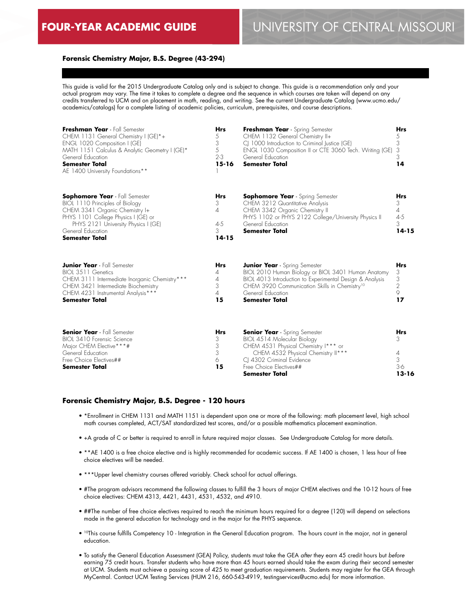### **Forensic Chemistry Major, B.S. Degree (43-294)**

This guide is valid for the 2015 Undergraduate Catalog only and is subject to change. This guide is a recommendation only and your actual program may vary. The time it takes to complete a degree and the sequence in which courses are taken will depend on any credits transferred to UCM and on placement in math, reading, and writing. See the current Undergraduate Catalog (www.ucmo.edu/ academics/catalogs) for a complete listing of academic policies, curriculum, prerequisites, and course descriptions.

| Freshman Year - Fall Semester<br>CHEM 1131 General Chemistry I (GE)*+<br>ENGL 1020 Composition I (GE)<br>MATH 1151 Calculus & Analytic Geometry I (GE)*<br>General Education<br><b>Semester Total</b><br>AE 1400 University Foundations** | <b>Hrs</b><br>5<br>3<br>5<br>$2 - 3$<br>$15 - 16$ | Freshman Year - Spring Semester<br>CHEM 1132 General Chemistry II+<br>CJ 1000 Introduction to Criminal Justice (GE)<br>ENGL 1030 Composition II or CTE 3060 Tech. Writing (GE)<br>General Education<br><b>Semester Total</b>                                      | <b>Hrs</b><br>5<br>3<br>3<br>3<br>14              |
|-------------------------------------------------------------------------------------------------------------------------------------------------------------------------------------------------------------------------------------------|---------------------------------------------------|-------------------------------------------------------------------------------------------------------------------------------------------------------------------------------------------------------------------------------------------------------------------|---------------------------------------------------|
| <b>Sophomore Year</b> - Fall Semester<br>BIOL 1110 Principles of Biology<br>CHEM 3341 Organic Chemistry I+<br>PHYS 1101 College Physics I (GE) or<br>PHYS 2121 University Physics I (GE)<br>General Education<br><b>Semester Total</b>    | Hrs<br>3<br>4<br>$4 - 5$<br>3<br>$14 - 15$        | <b>Sophomore Year</b> - Spring Semester<br>CHEM 3212 Quantitative Analysis<br>CHEM 3342 Organic Chemistry II<br>PHYS 1102 or PHYS 2122 College/University Physics II<br>General Education<br><b>Semester Total</b>                                                | Hrs<br>3<br>4<br>$4 - 5$<br>3<br>$14 - 15$        |
| <b>Junior Year</b> - Fall Semester<br>BIOL 3511 Genetics<br>CHEM 3111 Intermediate Inorganic Chemistry***<br>CHEM 3421 Intermediate Biochemistry<br>CHEM 4231 Instrumental Analysis***<br><b>Semester Total</b>                           | <b>Hrs</b><br>4<br>4<br>3<br>$\Delta$<br>15       | <b>Junior Year</b> - Spring Semester<br>BIOL 2010 Human Biology or BIOL 3401 Human Anatomy<br>BIOL 4013 Introduction to Experimental Design & Analysis<br>CHEM 3920 Communication Skills in Chemistry <sup>10</sup><br>General Education<br><b>Semester Total</b> | <b>Hrs</b><br>3<br>3<br>$\overline{2}$<br>9<br>17 |
| <b>Senior Year</b> - Fall Semester<br>BIOL 3410 Forensic Science<br>Major CHEM Elective***#<br>General Education<br>Free Choice Electives##<br><b>Semester Total</b>                                                                      | <b>Hrs</b><br>3<br>3<br>3<br>6<br>15              | <b>Senior Year</b> - Spring Semester<br>BIOL 4514 Molecular Biology<br>CHEM 4531 Physical Chemistry I*** or<br>CHEM 4532 Physical Chemistry II***<br>CI 4302 Criminal Evidence<br>Free Choice Electives##<br><b>Semester Total</b>                                | Hrs<br>3<br>4<br>3<br>$3-6$<br>$13 - 16$          |

#### **Forensic Chemistry Major, B.S. Degree - 120 hours**

- \*Enrollment in CHEM 1131 and MATH 1151 is dependent upon one or more of the following: math placement level, high school math courses completed, ACT/SAT standardized test scores, and/or a possible mathematics placement examination.
- +A grade of C or better is required to enroll in future required major classes. See Undergraduate Catalog for more details.
- \*\*AE 1400 is a free choice elective and is highly recommended for academic success. If AE 1400 is chosen, 1 less hour of free choice electives will be needed.
- \*\*\*Upper level chemistry courses offered variably. Check school for actual offerings.
- #The program advisors recommend the following classes to fulfill the 3 hours of major CHEM electives and the 10-12 hours of free choice electives: CHEM 4313, 4421, 4431, 4531, 4532, and 4910.
- ##The number of free choice electives required to reach the minimum hours required for a degree (120) will depend on selections made in the general education for technology and in the major for the PHYS sequence.
- 10This course fulfills Competency 10 Integration in the General Education program. The hours count in the major, not in general education.
- To satisfy the General Education Assessment (GEA) Policy, students must take the GEA *after* they earn 45 credit hours but *before* earning 75 credit hours. Transfer students who have more than 45 hours earned should take the exam during their second semester at UCM. Students must achieve a passing score of 425 to meet graduation requirements. Students may register for the GEA through MyCentral. Contact UCM Testing Services (HUM 216, 660-543-4919, testingservices@ucmo.edu) for more information.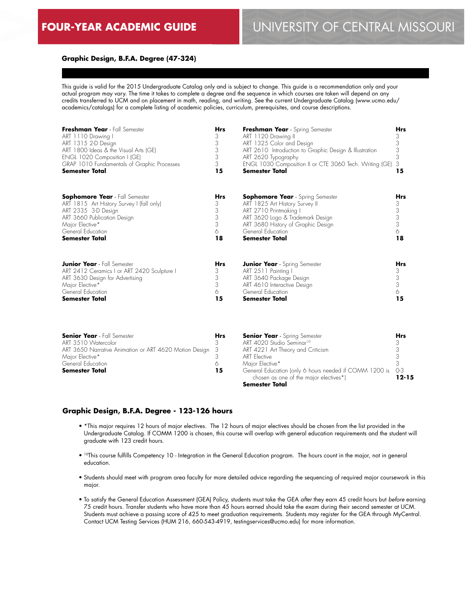#### **Graphic Design, B.F.A. Degree (47-324)**

This guide is valid for the 2015 Undergraduate Catalog only and is subject to change. This guide is a recommendation only and your actual program may vary. The time it takes to complete a degree and the sequence in which courses are taken will depend on any credits transferred to UCM and on placement in math, reading, and writing. See the current Undergraduate Catalog (www.ucmo.edu/ academics/catalogs) for a complete listing of academic policies, curriculum, prerequisites, and course descriptions.

| Freshman Year - Fall Semester<br>ART 1110 Drawing I<br>ART 1315 2-D Design<br>ART 1800 Ideas & the Visual Arts (GE)<br>ENGL 1020 Composition I (GE)<br>GRAP 1010 Fundamentals of Graphic Processes<br><b>Semester Total</b> | <b>Hrs</b><br>3<br>3<br>3<br>3<br>3<br>15 | Freshman Year - Spring Semester<br>ART 1120 Drawing II<br>ART 1325 Color and Design<br>ART 2610 Introduction to Graphic Design & Illustration<br>ART 2620 Typography<br>ENGL 1030 Composition II or CTE 3060 Tech. Writing (GE)<br><b>Semester Total</b> | <b>Hrs</b><br>3<br>3<br>3<br>3<br>3<br>15                           |
|-----------------------------------------------------------------------------------------------------------------------------------------------------------------------------------------------------------------------------|-------------------------------------------|----------------------------------------------------------------------------------------------------------------------------------------------------------------------------------------------------------------------------------------------------------|---------------------------------------------------------------------|
| <b>Sophomore Year</b> - Fall Semester<br>ART 1815 Art History Survey I (fall only)<br>ART 2335 3-D Design<br>ART 3660 Publication Design<br>Major Elective*<br>General Education<br><b>Semester Total</b>                   | <b>Hrs</b><br>3<br>3<br>3<br>3<br>6<br>18 | <b>Sophomore Year</b> - Spring Semester<br>ART 1825 Art History Survey II<br>ART 2710 Printmaking I<br>ART 3620 Logo & Trademark Design<br>ART 3680 History of Graphic Design<br>General Education<br><b>Semester Total</b>                              | <b>Hrs</b><br>3<br>$\begin{array}{c} 3 \\ 3 \end{array}$<br>6<br>18 |
| <b>Junior Year</b> - Fall Semester<br>ART 2412 Ceramics I or ART 2420 Sculpture I<br>ART 3630 Design for Advertising<br>Major Elective*<br>General Education<br><b>Semester Total</b>                                       | <b>Hrs</b><br>3<br>3<br>3<br>6<br>15      | <b>Junior Year</b> - Spring Semester<br>ART 2511 Painting I<br>ART 3640 Package Design<br>ART 4610 Interactive Design<br>General Education<br><b>Semester Total</b>                                                                                      | <b>Hrs</b><br>3<br>$\frac{3}{3}$<br>6<br>15                         |

| <b>Senior Year</b> - Fall Semester                       | <b>Hrs</b> | <b>Senior Year</b> - Spring Semester                                                                 | <b>Hrs</b> |
|----------------------------------------------------------|------------|------------------------------------------------------------------------------------------------------|------------|
| ART 3510 Watercolor                                      |            | ART 4020 Studio Seminar <sup>10</sup>                                                                |            |
| ART 3650 Narrative Animation or ART 4620 Motion Design 3 |            | ART 4221 Art Theory and Criticism                                                                    |            |
| Major Elective*                                          |            | <b>ART</b> Elective                                                                                  |            |
| General Education                                        |            | Maior Elective*                                                                                      |            |
| <b>Semester Total</b>                                    | 15         | General Education (only 6 hours needed if COMM 1200 is 0-3<br>chosen as one of the major electives*) | 12-15      |
|                                                          |            | <b>Semester Total</b>                                                                                |            |

#### **Graphic Design, B.F.A. Degree - 123-126 hours**

- \*This major requires 12 hours of major electives. The 12 hours of major electives should be chosen from the list provided in the Undergraduate Catalog. If COMM 1200 is chosen, this course will overlap with general education requirements and the student will graduate with 123 credit hours.
- 10This course fulfills Competency 10 Integration in the General Education program. The hours count in the major, not in general education.
- Students should meet with program area faculty for more detailed advice regarding the sequencing of required major coursework in this major.
- To satisfy the General Education Assessment (GEA) Policy, students must take the GEA *after* they earn 45 credit hours but *before* earning 75 credit hours. Transfer students who have more than 45 hours earned should take the exam during their second semester at UCM. Students must achieve a passing score of 425 to meet graduation requirements. Students may register for the GEA through MyCentral. Contact UCM Testing Services (HUM 216, 660-543-4919, testingservices@ucmo.edu) for more information.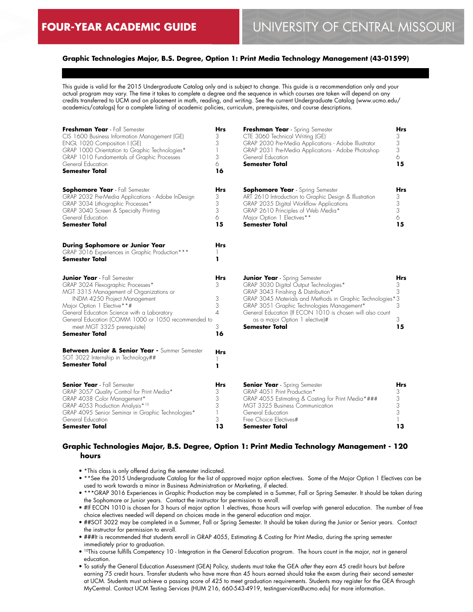## **Graphic Technologies Major, B.S. Degree, Option 1: Print Media Technology Management (43-01599)**

This guide is valid for the 2015 Undergraduate Catalog only and is subject to change. This guide is a recommendation only and your actual program may vary. The time it takes to complete a degree and the sequence in which courses are taken will depend on any credits transferred to UCM and on placement in math, reading, and writing. See the current Undergraduate Catalog (www.ucmo.edu/ academics/catalogs) for a complete listing of academic policies, curriculum, prerequisites, and course descriptions.

| Freshman Year - Fall Semester<br>CIS 1600 Business Information Management (GE)<br>ENGL 1020 Composition I (GE)<br>GRAP 1000 Orientation to Graphic Technologies*<br>GRAP 1010 Fundamentals of Graphic Processes<br>General Education<br><b>Semester Total</b>                                                                           | Hrs<br>3<br>3<br>3<br>6<br>16      | Freshman Year - Spring Semester<br>CTE 3060 Technical Writing (GE)<br>GRAP 2030 Pre-Media Applications - Adobe Illustrator<br>GRAP 2031 Pre-Media Applications - Adobe Photoshop<br>General Education<br><b>Semester Total</b>                                                                                                                    | Hrs<br>3<br>3<br>3<br>6<br>15             |
|-----------------------------------------------------------------------------------------------------------------------------------------------------------------------------------------------------------------------------------------------------------------------------------------------------------------------------------------|------------------------------------|---------------------------------------------------------------------------------------------------------------------------------------------------------------------------------------------------------------------------------------------------------------------------------------------------------------------------------------------------|-------------------------------------------|
| <b>Sophomore Year</b> - Fall Semester<br>GRAP 2032 Pre-Media Applications - Adobe InDesign<br>GRAP 3034 Lithographic Processes*<br>GRAP 3040 Screen & Specialty Printing<br>General Education<br><b>Semester Total</b>                                                                                                                  | Hrs<br>3<br>3<br>3<br>6<br>15      | <b>Sophomore Year</b> - Spring Semester<br>ART 2610 Introduction to Graphic Design & Illustration<br>GRAP 2035 Digital Workflow Applications<br>GRAP 2610 Principles of Web Media*<br>Major Option 1 Electives**<br><b>Semester Total</b>                                                                                                         | Hrs<br>3<br>3<br>3<br>6<br>15             |
| During Sophomore or Junior Year<br>GRAP 3016 Experiences in Graphic Production***<br>Semester Total                                                                                                                                                                                                                                     | Hrs<br>ı                           |                                                                                                                                                                                                                                                                                                                                                   |                                           |
| <b>Junior Year</b> - Fall Semester<br>GRAP 3024 Flexographic Processes*<br>MGT 3315 Management of Organizations or<br>INDM 4250 Project Management<br>Major Option 1 Elective**#<br>General Education Science with a Laboratory<br>General Education (COMM 1000 or 1050 recommended to<br>meet MGT 3325 prerequisite)<br>Semester Total | Hrs<br>3<br>3<br>3<br>4<br>3<br>16 | <b>Junior Year</b> - Spring Semester<br>GRAP 3030 Digital Output Technologies*<br>GRAP 3043 Finishing & Distribution*<br>GRAP 3045 Materials and Methods in Graphic Technologies*3<br>GRAP 3051 Graphic Technologies Management*<br>General Education (If ECON 1010 is chosen will also count<br>as a major Option 1 elective)#<br>Semester Total | Hrs<br>3<br>3<br>3<br>3<br>15             |
| Between Junior & Senior Year - Summer Semester<br>SOT 3022 Internship in Technology##<br>Semester Total                                                                                                                                                                                                                                 | Hrs<br>ı                           |                                                                                                                                                                                                                                                                                                                                                   |                                           |
| <b>Senior Year</b> - Fall Semester<br>GRAP 3057 Quality Control for Print Media*<br>GRAP 4038 Color Management*<br>GRAP 4053 Production Analysis*10<br>GRAP 4095 Senior Seminar in Graphic Technologies*<br>General Education<br>Semester Total                                                                                         | Hrs<br>3<br>3<br>3<br>3<br>13      | <b>Senior Year</b> - Spring Semester<br>GRAP 4051 Print Production*<br>GRAP 4055 Estimating & Costing for Print Media*###<br>MGT 3325 Business Communication<br>General Education<br>Free Choice Electives#<br>Semester Total                                                                                                                     | Hrs<br>3<br>3<br>$\frac{3}{3}$<br>1<br>13 |

## **Graphic Technologies Major, B.S. Degree, Option 1: Print Media Technology Management - 120 hours**

- \*This class is only offered during the semester indicated.
- \*\*See the 2015 Undergraduate Catalog for the list of approved major option electives. Some of the Major Option 1 Electives can be used to work towards a minor in Business Administration or Marketing, if elected.
- \*\*\*GRAP 3016 Experiences in Graphic Production may be completed in a Summer, Fall or Spring Semester. It should be taken during the Sophomore or Junior years. Contact the instructor for permission to enroll.
- #If ECON 1010 is chosen for 3 hours of major option 1 electives, those hours will overlap with general education. The number of free choice electives needed will depend on choices made in the general education and major.
- ##SOT 3022 may be completed in a Summer, Fall or Spring Semester. It should be taken during the Junior or Senior years. Contact the instructor for permission to enroll.
- ###It is recommended that students enroll in GRAP 4055, Estimating & Costing for Print Media, during the spring semester immediately prior to graduation.
- 10This course fulfills Competency 10 Integration in the General Education program. The hours count in the major, not in general education.
- To satisfy the General Education Assessment (GEA) Policy, students must take the GEA *after* they earn 45 credit hours but *before* earning 75 credit hours. Transfer students who have more than 45 hours earned should take the exam during their second semester at UCM. Students must achieve a passing score of 425 to meet graduation requirements. Students may register for the GEA through MyCentral. Contact UCM Testing Services (HUM 216, 660-543-4919, testingservices@ucmo.edu) for more information.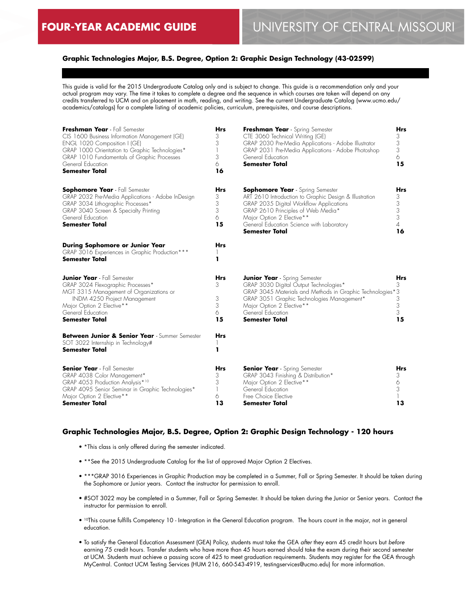## **Graphic Technologies Major, B.S. Degree, Option 2: Graphic Design Technology (43-02599)**

This guide is valid for the 2015 Undergraduate Catalog only and is subject to change. This guide is a recommendation only and your actual program may vary. The time it takes to complete a degree and the sequence in which courses are taken will depend on any credits transferred to UCM and on placement in math, reading, and writing. See the current Undergraduate Catalog (www.ucmo.edu/ academics/catalogs) for a complete listing of academic policies, curriculum, prerequisites, and course descriptions.

| Freshman Year - Fall Semester<br>CIS 1600 Business Information Management (GE)<br>ENGL 1020 Composition I (GE)<br>GRAP 1000 Orientation to Graphic Technologies*<br>GRAP 1010 Fundamentals of Graphic Processes<br>General Education<br><b>Semester Total</b> | <b>Hrs</b><br>3<br>3<br>$\mathbb{I}$<br>3<br>6<br>16 | Freshman Year - Spring Semester<br>CTE 3060 Technical Writing (GE)<br>GRAP 2030 Pre-Media Applications - Adobe Illustrator<br>GRAP 2031 Pre-Media Applications - Adobe Photoshop<br>General Education<br><b>Semester Total</b>                                                 | Hrs<br>3<br>3<br>3<br>6<br>15        |
|---------------------------------------------------------------------------------------------------------------------------------------------------------------------------------------------------------------------------------------------------------------|------------------------------------------------------|--------------------------------------------------------------------------------------------------------------------------------------------------------------------------------------------------------------------------------------------------------------------------------|--------------------------------------|
| <b>Sophomore Year</b> - Fall Semester<br>GRAP 2032 Pre-Media Applications - Adobe InDesign<br>GRAP 3034 Lithographic Processes*<br>GRAP 3040 Screen & Specialty Printing<br>General Education<br><b>Semester Total</b>                                        | Hrs<br>3<br>3<br>3<br>6<br>15                        | <b>Sophomore Year</b> - Spring Semester<br>ART 2610 Introduction to Graphic Design & Illustration<br>GRAP 2035 Digital Workflow Applications<br>GRAP 2610 Principles of Web Media*<br>Major Option 2 Elective**<br>General Education Science with Laboratory<br>Semester Total | Hrs<br>3<br>3<br>3<br>3<br>4<br>16   |
| During Sophomore or Junior Year<br>GRAP 3016 Experiences in Graphic Production***<br><b>Semester Total</b>                                                                                                                                                    | Hrs<br>ı                                             |                                                                                                                                                                                                                                                                                |                                      |
| <b>Junior Year</b> - Fall Semester<br>GRAP 3024 Flexographic Processes*<br>MGT 3315 Management of Organizations or<br>INDM 4250 Project Management<br>Major Option 2 Elective**<br>General Education<br><b>Semester Total</b>                                 | Hrs<br>3<br>3<br>3<br>6<br>15                        | <b>Junior Year</b> - Spring Semester<br>GRAP 3030 Digital Output Technologies*<br>GRAP 3045 Materials and Methods in Graphic Technologies*3<br>GRAP 3051 Graphic Technologies Management*<br>Major Option 2 Elective**<br>General Education<br><b>Semester Total</b>           | <b>Hrs</b><br>3<br>3<br>3<br>3<br>15 |
| Between Junior & Senior Year - Summer Semester<br>SOT 3022 Internship in Technology#<br><b>Semester Total</b>                                                                                                                                                 | <b>Hrs</b><br>ı                                      |                                                                                                                                                                                                                                                                                |                                      |
| <b>Senior Year</b> - Fall Semester<br>GRAP 4038 Color Management*<br>GRAP 4053 Production Analysis*10<br>GRAP 4095 Senior Seminar in Graphic Technologies*<br>Major Option 2 Elective**<br>Semester Total                                                     | <b>Hrs</b><br>3<br>3<br>1<br>6<br>13                 | <b>Senior Year</b> - Spring Semester<br>GRAP 3043 Finishing & Distribution*<br>Major Option 2 Elective**<br>General Education<br>Free Choice Elective<br>Semester Total                                                                                                        | <b>Hrs</b><br>3<br>6<br>3<br>13      |

## **Graphic Technologies Major, B.S. Degree, Option 2: Graphic Design Technology - 120 hours**

- \*This class is only offered during the semester indicated.
- \*\*See the 2015 Undergraduate Catalog for the list of approved Major Option 2 Electives.
- \*\*\*GRAP 3016 Experiences in Graphic Production may be completed in a Summer, Fall or Spring Semester. It should be taken during the Sophomore or Junior years. Contact the instructor for permission to enroll.
- #SOT 3022 may be completed in a Summer, Fall or Spring Semester. It should be taken during the Junior or Senior years. Contact the instructor for permission to enroll.
- 10This course fulfills Competency 10 Integration in the General Education program. The hours count in the major, not in general education.
- To satisfy the General Education Assessment (GEA) Policy, students must take the GEA *after* they earn 45 credit hours but *before* earning 75 credit hours. Transfer students who have more than 45 hours earned should take the exam during their second semester at UCM. Students must achieve a passing score of 425 to meet graduation requirements. Students may register for the GEA through MyCentral. Contact UCM Testing Services (HUM 216, 660-543-4919, testingservices@ucmo.edu) for more information.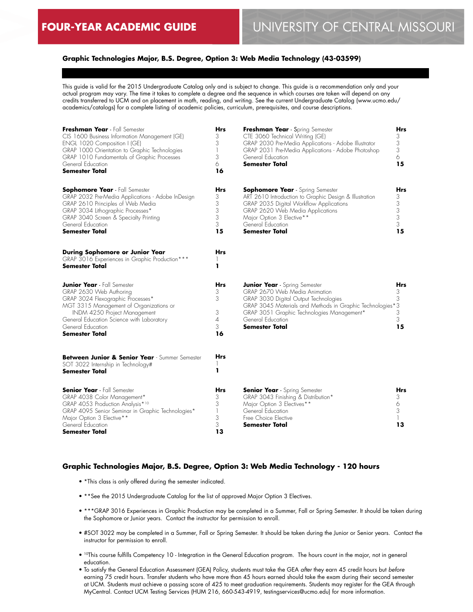## **Graphic Technologies Major, B.S. Degree, Option 3: Web Media Technology (43-03599)**

This guide is valid for the 2015 Undergraduate Catalog only and is subject to change. This guide is a recommendation only and your actual program may vary. The time it takes to complete a degree and the sequence in which courses are taken will depend on any credits transferred to UCM and on placement in math, reading, and writing. See the current Undergraduate Catalog (www.ucmo.edu/ academics/catalogs) for a complete listing of academic policies, curriculum, prerequisites, and course descriptions.

| Freshman Year - Fall Semester<br>CIS 1600 Business Information Management (GE)<br>ENGL 1020 Composition I (GE)<br>GRAP 1000 Orientation to Graphic Technologies<br>GRAP 1010 Fundamentals of Graphic Processes<br>General Education<br><b>Semester Total</b>      | <b>Hrs</b><br>3<br>3<br>1<br>3<br>6<br>16              | Freshman Year - Spring Semester<br>CTE 3060 Technical Writing (GE)<br>GRAP 2030 Pre-Media Applications - Adobe Illustrator<br>GRAP 2031 Pre-Media Applications - Adobe Photoshop<br>General Education<br><b>Semester Total</b>                                          | Hrs<br>3<br>3<br>3<br>6<br>15      |
|-------------------------------------------------------------------------------------------------------------------------------------------------------------------------------------------------------------------------------------------------------------------|--------------------------------------------------------|-------------------------------------------------------------------------------------------------------------------------------------------------------------------------------------------------------------------------------------------------------------------------|------------------------------------|
| <b>Sophomore Year</b> - Fall Semester<br>GRAP 2032 Pre-Media Applications - Adobe InDesign<br>GRAP 2610 Principles of Web Media<br>GRAP 3034 Lithographic Processes*<br>GRAP 3040 Screen & Specialty Printing<br>General Education<br>Semester Total              | Hrs<br>3<br>3<br>3<br>3<br>3<br>15                     | <b>Sophomore Year</b> - Spring Semester<br>ART 2610 Introduction to Graphic Design & Illustration<br>GRAP 2035 Digital Workflow Applications<br>GRAP 2620 Web Media Applications<br>Major Option 3 Elective**<br>General Education<br><b>Semester Total</b>             | Hrs<br>3<br>3<br>3<br>3<br>3<br>15 |
| <b>During Sophomore or Junior Year</b><br>GRAP 3016 Experiences in Graphic Production***<br>Semester Total                                                                                                                                                        | <b>Hrs</b><br>1                                        |                                                                                                                                                                                                                                                                         |                                    |
| <b>Junior Year</b> - Fall Semester<br>GRAP 2630 Web Authoring<br>GRAP 3024 Flexographic Processes*<br>MGT 3315 Management of Organizations or<br>INDM 4250 Project Management<br>General Education Science with Laboratory<br>General Education<br>Semester Total | <b>Hrs</b><br>3<br>3<br>3<br>$\overline{4}$<br>3<br>16 | <b>Junior Year</b> - Spring Semester<br>GRAP 2670 Web Media Animation<br>GRAP 3030 Digital Output Technologies<br>GRAP 3045 Materials and Methods in Graphic Technologies*3<br>GRAP 3051 Graphic Technologies Management*<br>General Education<br><b>Semester Total</b> | Hrs<br>3<br>3<br>3<br>3<br>15      |
| Between Junior & Senior Year - Summer Semester<br>SOT 3022 Internship in Technology#<br>Semester Total                                                                                                                                                            | <b>Hrs</b><br>ı                                        |                                                                                                                                                                                                                                                                         |                                    |
| <b>Senior Year</b> - Fall Semester<br>GRAP 4038 Color Management*<br>GRAP 4053 Production Analysis*10<br>GRAP 4095 Senior Seminar in Graphic Technologies*<br>Major Option 3 Elective**<br>General Education<br>Semester Total                                    | Hrs<br>3<br>3<br>1<br>3<br>3<br>13                     | <b>Senior Year</b> - Spring Semester<br>GRAP 3043 Finishing & Distribution*<br>Major Option 3 Electives**<br>General Education<br>Free Choice Elective<br>Semester Total                                                                                                | Hrs<br>3<br>6<br>3<br>1.<br>13     |

#### **Graphic Technologies Major, B.S. Degree, Option 3: Web Media Technology - 120 hours**

- \*This class is only offered during the semester indicated.
- \*\* See the 2015 Undergraduate Catalog for the list of approved Major Option 3 Electives.
- \*\*\*GRAP 3016 Experiences in Graphic Production may be completed in a Summer, Fall or Spring Semester. It should be taken during the Sophomore or Junior years. Contact the instructor for permission to enroll.
- #SOT 3022 may be completed in a Summer, Fall or Spring Semester. It should be taken during the Junior or Senior years. Contact the instructor for permission to enroll.
- 10This course fulfills Competency 10 Integration in the General Education program. The hours count in the major, not in general education.
- To satisfy the General Education Assessment (GEA) Policy, students must take the GEA *after* they earn 45 credit hours but *before* earning 75 credit hours. Transfer students who have more than 45 hours earned should take the exam during their second semester at UCM. Students must achieve a passing score of 425 to meet graduation requirements. Students may register for the GEA through MyCentral. Contact UCM Testing Services (HUM 216, 660-543-4919, testingservices@ucmo.edu) for more information.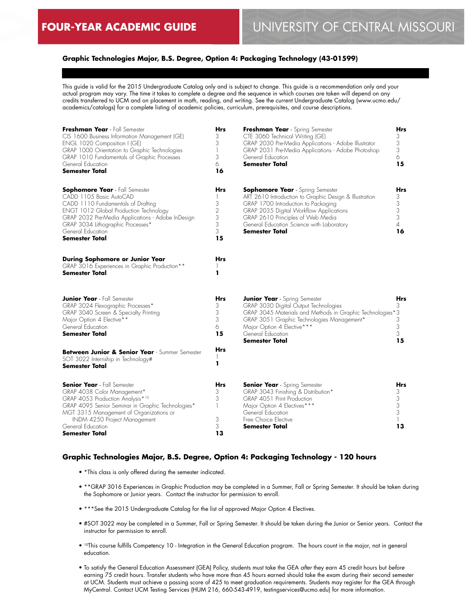## **Graphic Technologies Major, B.S. Degree, Option 4: Packaging Technology (43-01599)**

This guide is valid for the 2015 Undergraduate Catalog only and is subject to change. This guide is a recommendation only and your actual program may vary. The time it takes to complete a degree and the sequence in which courses are taken will depend on any credits transferred to UCM and on placement in math, reading, and writing. See the current Undergraduate Catalog (www.ucmo.edu/ academics/catalogs) for a complete listing of academic policies, curriculum, prerequisites, and course descriptions.

| Freshman Year - Fall Semester<br>CIS 1600 Business Information Management (GE)<br>ENGL 1020 Composition I (GE)<br>GRAP 1000 Orientation to Graphic Technologies<br>GRAP 1010 Fundamentals of Graphic Processes<br>General Education<br><b>Semester Total</b>                                    | <b>Hrs</b><br>3<br>3<br>$\mathbf{1}$<br>3<br>6<br>16 | Freshman Year - Spring Semester<br>CTE 3060 Technical Writing (GE)<br>GRAP 2030 Pre-Media Applications - Adobe Illustrator<br>GRAP 2031 Pre-Media Applications - Adobe Photoshop<br>General Education<br><b>Semester Total</b>                                                          | Hrs<br>3<br>3<br>3<br>6<br>15               |
|-------------------------------------------------------------------------------------------------------------------------------------------------------------------------------------------------------------------------------------------------------------------------------------------------|------------------------------------------------------|-----------------------------------------------------------------------------------------------------------------------------------------------------------------------------------------------------------------------------------------------------------------------------------------|---------------------------------------------|
| <b>Sophomore Year</b> - Fall Semester<br>CADD 1105 Basic AutoCAD<br>CADD 1110 Fundamentals of Drafting<br><b>ENGT 1012 Global Production Technology</b><br>GRAP 2032 Pre-Media Applications - Adobe InDesign<br>GRAP 3034 Lithographic Processes*<br>General Education<br><b>Semester Total</b> | Hrs<br>3<br>$\overline{c}$<br>3<br>3<br>3<br>15      | <b>Sophomore Year</b> - Spring Semester<br>ART 2610 Introduction to Graphic Design & Illustration<br>GRAP 1700 Introduction to Packaging<br>GRAP 2035 Digital Workflow Applications<br>GRAP 2610 Principles of Web Media<br>General Education Science with Laboratory<br>Semester Total | Hrs<br>3<br>3<br>3<br>3<br>$\sqrt{4}$<br>16 |
| During Sophomore or Junior Year<br>GRAP 3016 Experiences in Graphic Production**<br>Semester Total                                                                                                                                                                                              | Hrs<br>1<br>ı                                        |                                                                                                                                                                                                                                                                                         |                                             |
| <b>Junior Year</b> - Fall Semester<br>GRAP 3024 Flexographic Processes*<br>GRAP 3040 Screen & Specialty Printing<br>Major Option 4 Elective**<br>General Education<br>Semester Total                                                                                                            | <b>Hrs</b><br>3<br>3<br>3<br>6<br>15                 | <b>Junior Year</b> - Spring Semester<br>GRAP 3030 Digital Output Technologies<br>GRAP 3045 Materials and Methods in Graphic Technologies*3<br>GRAP 3051 Graphic Technologies Management*<br>Major Option 4 Elective***<br>General Education<br>Semester Total                           | Hrs<br>3<br>3<br>3<br>3<br>15               |
| Between Junior & Senior Year - Summer Semester<br>SOT 3022 Internship in Technology#<br>Semester Total                                                                                                                                                                                          | <b>Hrs</b><br>ı                                      |                                                                                                                                                                                                                                                                                         |                                             |
| <b>Senior Year</b> - Fall Semester<br>GRAP 4038 Color Management*<br>GRAP 4053 Production Analysis*10<br>GRAP 4095 Senior Seminar in Graphic Technologies*<br>MGT 3315 Management of Organizations or<br>INDM 4250 Project Management<br>General Education                                      | Hrs<br>3<br>3<br>1<br>3<br>3                         | <b>Senior Year</b> - Spring Semester<br>GRAP 3043 Finishing & Distribution*<br>GRAP 4051 Print Production<br>Major Option 4 Electives***<br>General Education<br>Free Choice Elective<br>Semester Total                                                                                 | Hrs<br>3<br>3<br>3<br>3<br>13               |
| Semester Total                                                                                                                                                                                                                                                                                  | 13                                                   |                                                                                                                                                                                                                                                                                         |                                             |

#### **Graphic Technologies Major, B.S. Degree, Option 4: Packaging Technology - 120 hours**

- \*This class is only offered during the semester indicated.
- \*\*GRAP 3016 Experiences in Graphic Production may be completed in a Summer, Fall or Spring Semester. It should be taken during the Sophomore or Junior years. Contact the instructor for permission to enroll.
- \*\*\*See the 2015 Undergraduate Catalog for the list of approved Major Option 4 Electives.
- #SOT 3022 may be completed in a Summer, Fall or Spring Semester. It should be taken during the Junior or Senior years. Contact the instructor for permission to enroll.
- <sup>10</sup>This course fulfills Competency 10 Integration in the General Education program. The hours count in the major, not in general education.
- To satisfy the General Education Assessment (GEA) Policy, students must take the GEA *after* they earn 45 credit hours but *before* earning 75 credit hours. Transfer students who have more than 45 hours earned should take the exam during their second semester at UCM. Students must achieve a passing score of 425 to meet graduation requirements. Students may register for the GEA through MyCentral. Contact UCM Testing Services (HUM 216, 660-543-4919, testingservices@ucmo.edu) for more information.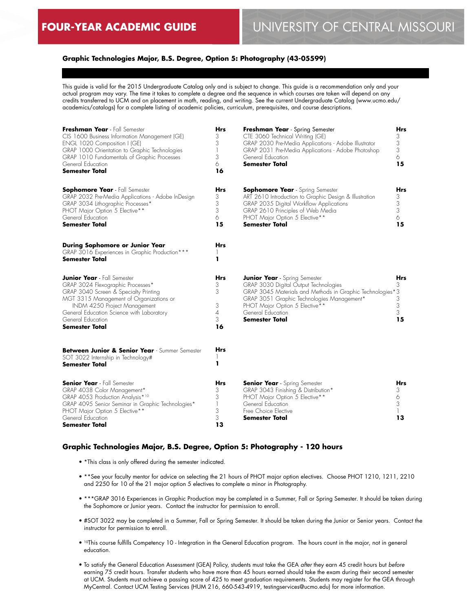## **Graphic Technologies Major, B.S. Degree, Option 5: Photography (43-05599)**

This guide is valid for the 2015 Undergraduate Catalog only and is subject to change. This guide is a recommendation only and your actual program may vary. The time it takes to complete a degree and the sequence in which courses are taken will depend on any credits transferred to UCM and on placement in math, reading, and writing. See the current Undergraduate Catalog (www.ucmo.edu/ academics/catalogs) for a complete listing of academic policies, curriculum, prerequisites, and course descriptions.

| Freshman Year - Fall Semester<br>CIS 1600 Business Information Management (GE)<br>ENGL 1020 Composition I (GE)<br>GRAP 1000 Orientation to Graphic Technologies<br>GRAP 1010 Fundamentals of Graphic Processes<br>General Education<br><b>Semester Total</b>                           | <b>Hrs</b><br>3<br>3<br>1<br>3<br>6<br>16 | <b>Freshman Year</b> - Spring Semester<br>CTE 3060 Technical Writing (GE)<br>GRAP 2030 Pre-Media Applications - Adobe Illustrator<br>GRAP 2031 Pre-Media Applications - Adobe Photoshop<br>General Education<br><b>Semester Total</b>                                    | <b>Hrs</b><br>3<br>3<br>3<br>6<br>15          |
|----------------------------------------------------------------------------------------------------------------------------------------------------------------------------------------------------------------------------------------------------------------------------------------|-------------------------------------------|--------------------------------------------------------------------------------------------------------------------------------------------------------------------------------------------------------------------------------------------------------------------------|-----------------------------------------------|
| <b>Sophomore Year</b> - Fall Semester<br>GRAP 2032 Pre-Media Applications - Adobe InDesign<br>GRAP 3034 Lithographic Processes*<br>PHOT Major Option 5 Elective**<br>General Education<br>Semester Total                                                                               | <b>Hrs</b><br>3<br>3<br>3<br>6<br>15      | <b>Sophomore Year</b> - Spring Semester<br>ART 2610 Introduction to Graphic Design & Illustration<br>GRAP 2035 Digital Workflow Applications<br>GRAP 2610 Principles of Web Media<br>PHOT Major Option 5 Elective**<br><b>Semester Total</b>                             | Hrs<br>3<br>$\frac{3}{3}$<br>$\Diamond$<br>15 |
| During Sophomore or Junior Year<br>GRAP 3016 Experiences in Graphic Production***<br>Semester Total                                                                                                                                                                                    | Hrs<br>ı                                  |                                                                                                                                                                                                                                                                          |                                               |
| <b>Junior Year</b> - Fall Semester<br>GRAP 3024 Flexographic Processes*<br>GRAP 3040 Screen & Specialty Printing<br>MGT 3315 Management of Organizations or<br>INDM 4250 Project Management<br>General Education Science with Laboratory<br>General Education<br><b>Semester Total</b> | Hrs<br>3<br>3<br>3<br>4<br>3<br>16        | <b>Junior Year</b> - Spring Semester<br>GRAP 3030 Digital Output Technologies<br>GRAP 3045 Materials and Methods in Graphic Technologies*3<br>GRAP 3051 Graphic Technologies Management*<br>PHOT Major Option 5 Elective**<br>General Education<br><b>Semester Total</b> | Hrs<br>3<br>3<br>3<br>3<br>15                 |
| Between Junior & Senior Year - Summer Semester<br>SOT 3022 Internship in Technology#<br>Semester Total                                                                                                                                                                                 | Hrs<br>1<br>ı                             |                                                                                                                                                                                                                                                                          |                                               |
| <b>Senior Year</b> - Fall Semester<br>GRAP 4038 Color Management*<br>GRAP 4053 Production Analysis*10<br>GRAP 4095 Senior Seminar in Graphic Technologies*<br>PHOT Major Option 5 Elective**<br>General Education<br>Semester Total                                                    | Hrs<br>3<br>3<br>1<br>3<br>3<br>13        | <b>Senior Year</b> - Spring Semester<br>GRAP 3043 Finishing & Distribution*<br>PHOT Major Option 5 Elective**<br>General Education<br>Free Choice Elective<br>Semester Total                                                                                             | Hrs<br>3<br>6<br>3<br>13                      |

## **Graphic Technologies Major, B.S. Degree, Option 5: Photography - 120 hours**

- \*This class is only offered during the semester indicated.
- \*\*See your faculty mentor for advice on selecting the 21 hours of PHOT major option electives. Choose PHOT 1210, 1211, 2210 and 2250 for 10 of the 21 major option 5 electives to complete a minor in Photography.
- \*\*\*GRAP 3016 Experiences in Graphic Production may be completed in a Summer, Fall or Spring Semester. It should be taken during the Sophomore or Junior years. Contact the instructor for permission to enroll.
- #SOT 3022 may be completed in a Summer, Fall or Spring Semester. It should be taken during the Junior or Senior years. Contact the instructor for permission to enroll.
- 10This course fulfills Competency 10 Integration in the General Education program. The hours count in the major, not in general education.
- To satisfy the General Education Assessment (GEA) Policy, students must take the GEA *after* they earn 45 credit hours but *before* earning 75 credit hours. Transfer students who have more than 45 hours earned should take the exam during their second semester at UCM. Students must achieve a passing score of 425 to meet graduation requirements. Students may register for the GEA through MyCentral. Contact UCM Testing Services (HUM 216, 660-543-4919, testingservices@ucmo.edu) for more information.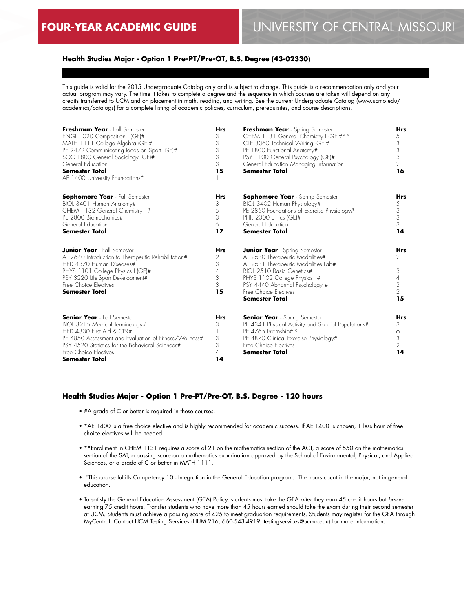## **Health Studies Major - Option 1 Pre-PT/Pre-OT, B.S. Degree (43-02330)**

This guide is valid for the 2015 Undergraduate Catalog only and is subject to change. This guide is a recommendation only and your actual program may vary. The time it takes to complete a degree and the sequence in which courses are taken will depend on any credits transferred to UCM and on placement in math, reading, and writing. See the current Undergraduate Catalog (www.ucmo.edu/ academics/catalogs) for a complete listing of academic policies, curriculum, prerequisites, and course descriptions.

| Freshman Year - Fall Semester<br>ENGL 1020 Composition I (GE)#<br>MATH 1111 College Algebra (GE)#<br>PE 2472 Communicating Ideas on Sport (GE)#<br>SOC 1800 General Sociology (GE)#<br>General Education<br><b>Semester Total</b><br>AE 1400 University Foundations* | <b>Hrs</b><br>3<br>3<br>3<br>3<br>3<br>15 | Freshman Year - Spring Semester<br>CHEM 1131 General Chemistry I (GE)#**<br>CTE 3060 Technical Writing (GE)#<br>PE 1800 Functional Anatomy#<br>PSY 1100 General Psychology (GE)#<br>General Education Managing Information<br><b>Semester Total</b>              | Hrs<br>5<br>3<br>3<br>3<br>$\overline{2}$<br>16           |
|----------------------------------------------------------------------------------------------------------------------------------------------------------------------------------------------------------------------------------------------------------------------|-------------------------------------------|------------------------------------------------------------------------------------------------------------------------------------------------------------------------------------------------------------------------------------------------------------------|-----------------------------------------------------------|
| <b>Sophomore Year</b> - Fall Semester<br>BIOL 3401 Human Anatomy#<br>CHEM 1132 General Chemistry II#<br>PE 2800 Biomechanics#<br>General Education<br><b>Semester Total</b>                                                                                          | <b>Hrs</b><br>3<br>5<br>3<br>6<br>17      | <b>Sophomore Year</b> - Spring Semester<br>BIOL 3402 Human Physiology#<br>PE 2850 Foundations of Exercise Physiology#<br>PHIL 2300 Ethics (GE)#<br>General Education<br><b>Semester Total</b>                                                                    | Hrs<br>5<br>3<br>3<br>3<br>14                             |
| <b>Junior Year</b> - Fall Semester<br>AT 2640 Introduction to Therapeutic Rehabilitation#<br>HED 4370 Human Diseases#<br>PHYS 1101 College Physics I (GE)#<br>PSY 3220 Life-Span Development#<br>Free Choice Flectives<br><b>Semester Total</b>                      | <b>Hrs</b><br>2<br>3<br>4<br>3<br>3<br>15 | <b>Junior Year</b> - Spring Semester<br>AT 2630 Therapeutic Modalities#<br>AT 2631 Therapeutic Modalities Lab#<br>BIOL 2510 Basic Genetics#<br>PHYS 1102 College Physics II#<br>PSY 4440 Abnormal Psychology #<br>Free Choice Electives<br><b>Semester Total</b> | Hrs<br>2<br>3<br>4<br>3<br>$\overline{\phantom{a}}$<br>15 |
| <b>Senior Year</b> - Fall Semester<br>BIOL 3215 Medical Terminology#<br>HED 4330 First Aid & CPR#<br>PE 4850 Assessment and Evaluation of Fitness/Wellness#<br>PSY 4520 Statistics for the Behavioral Sciences#<br>Free Choice Electives<br><b>Semester Total</b>    | <b>Hrs</b><br>3<br>3<br>3<br>4<br>14      | <b>Senior Year</b> - Spring Semester<br>PE 4341 Physical Activity and Special Populations#<br>PE 4765 Internship#10<br>PE 4870 Clinical Exercise Physiology#<br>Free Choice Electives<br><b>Semester Total</b>                                                   | Hrs<br>3<br>6<br>3<br>2<br>14                             |

#### **Health Studies Major - Option 1 Pre-PT/Pre-OT, B.S. Degree - 120 hours**

- #A grade of C or better is required in these courses.
- \*AE 1400 is a free choice elective and is highly recommended for academic success. If AE 1400 is chosen, 1 less hour of free choice electives will be needed.
- \*\*Enrollment in CHEM 1131 requires a score of 21 on the mathematics section of the ACT, a score of 550 on the mathematics section of the SAT, a passing score on a mathematics examination approved by the School of Environmental, Physical, and Applied Sciences, or a grade of C or better in MATH 1111.
- <sup>10</sup>This course fulfills Competency 10 Integration in the General Education program. The hours count in the major, not in general education.
- To satisfy the General Education Assessment (GEA) Policy, students must take the GEA *after* they earn 45 credit hours but *before* earning 75 credit hours. Transfer students who have more than 45 hours earned should take the exam during their second semester at UCM. Students must achieve a passing score of 425 to meet graduation requirements. Students may register for the GEA through MyCentral. Contact UCM Testing Services (HUM 216, 660-543-4919, testingservices@ucmo.edu) for more information.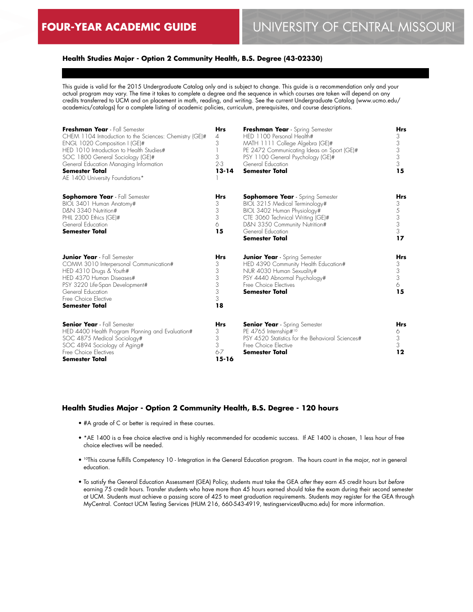## **Health Studies Major - Option 2 Community Health, B.S. Degree (43-02330)**

This guide is valid for the 2015 Undergraduate Catalog only and is subject to change. This guide is a recommendation only and your actual program may vary. The time it takes to complete a degree and the sequence in which courses are taken will depend on any credits transferred to UCM and on placement in math, reading, and writing. See the current Undergraduate Catalog (www.ucmo.edu/ academics/catalogs) for a complete listing of academic policies, curriculum, prerequisites, and course descriptions.

| Freshman Year - Fall Semester<br>CHEM 1104 Introduction to the Sciences: Chemistry (GE)#<br>ENGL 1020 Composition I (GE)#<br>HED 1010 Introduction to Health Studies#<br>SOC 1800 General Sociology (GE)#<br>General Education Managing Information<br><b>Semester Total</b><br>AE 1400 University Foundations* | <b>Hrs</b><br>4<br>3<br>3<br>$2-3$<br>$13 - 14$   | Freshman Year - Spring Semester<br>HED 1100 Personal Health#<br>MATH 1111 College Algebra (GE)#<br>PE 2472 Communicating Ideas on Sport (GE)#<br>PSY 1100 General Psychology (GE)#<br>General Education<br><b>Semester Total</b> | Hrs<br>3<br>3<br>3<br>3<br>3<br>15   |
|-----------------------------------------------------------------------------------------------------------------------------------------------------------------------------------------------------------------------------------------------------------------------------------------------------------------|---------------------------------------------------|----------------------------------------------------------------------------------------------------------------------------------------------------------------------------------------------------------------------------------|--------------------------------------|
| <b>Sophomore Year</b> - Fall Semester<br>BIOL 3401 Human Anatomy#<br>D&N 3340 Nutrition#<br>PHIL 2300 Ethics (GE)#<br>General Education<br><b>Semester Total</b>                                                                                                                                                | <b>Hrs</b><br>3<br>3<br>3<br>6<br>15              | <b>Sophomore Year</b> - Spring Semester<br>BIOL 3215 Medical Terminology#<br>BIOL 3402 Human Physiology#<br>CTE 3060 Technical Writing (GE)#<br>D&N 3350 Community Nutrition#<br>General Education<br><b>Semester Total</b>      | Hrs<br>3<br>5<br>3<br>3<br>3<br>17   |
| <b>Junior Year</b> - Fall Semester<br>COMM 3010 Interpersonal Communication#<br>HED 4310 Drugs & Youth#<br>HED 4370 Human Diseases#<br>PSY 3220 Life-Span Development#<br>General Education<br>Free Choice Flective<br><b>Semester Total</b>                                                                    | <b>Hrs</b><br>3<br>3<br>3<br>3<br>3<br>3<br>18    | <b>Junior Year</b> - Spring Semester<br>HED 4390 Community Health Education#<br>NUR 4030 Human Sexuality#<br>PSY 4440 Abnormal Psychology#<br>Free Choice Flectives<br><b>Semester Total</b>                                     | <b>Hrs</b><br>3<br>3<br>3<br>6<br>15 |
| <b>Senior Year</b> - Fall Semester<br>HED 4400 Health Program Planning and Evaluation#<br>SOC 4875 Medical Sociology#<br>SOC 4894 Sociology of Aging#<br>Free Choice Electives<br><b>Semester Total</b>                                                                                                         | <b>Hrs</b><br>3<br>3<br>3<br>$6 - 7$<br>$15 - 16$ | <b>Senior Year</b> - Spring Semester<br>PE 4765 Internship#10<br>PSY 4520 Statistics for the Behavioral Sciences#<br>Free Choice Flective<br><b>Semester Total</b>                                                               | <b>Hrs</b><br>6<br>3<br>3<br>12      |

#### **Health Studies Major - Option 2 Community Health, B.S. Degree - 120 hours**

- #A grade of C or better is required in these courses.
- \*AE 1400 is a free choice elective and is highly recommended for academic success. If AE 1400 is chosen, 1 less hour of free choice electives will be needed.
- <sup>10</sup>This course fulfills Competency 10 Integration in the General Education program. The hours count in the major, not in general education.
- To satisfy the General Education Assessment (GEA) Policy, students must take the GEA *after* they earn 45 credit hours but *before* earning 75 credit hours. Transfer students who have more than 45 hours earned should take the exam during their second semester at UCM. Students must achieve a passing score of 425 to meet graduation requirements. Students may register for the GEA through MyCentral. Contact UCM Testing Services (HUM 216, 660-543-4919, testingservices@ucmo.edu) for more information.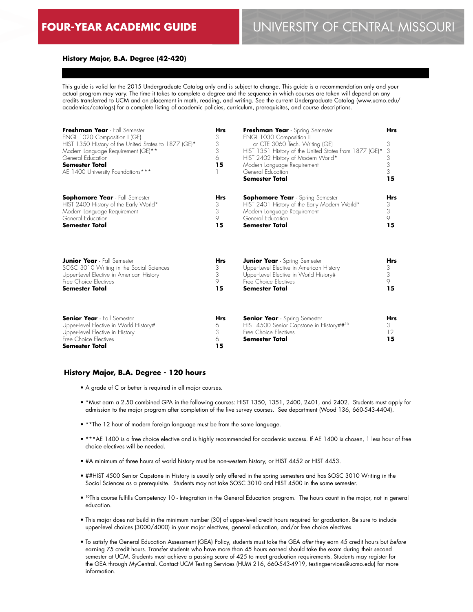#### **History Major, B.A. Degree (42-420)**

This guide is valid for the 2015 Undergraduate Catalog only and is subject to change. This guide is a recommendation only and your actual program may vary. The time it takes to complete a degree and the sequence in which courses are taken will depend on any credits transferred to UCM and on placement in math, reading, and writing. See the current Undergraduate Catalog (www.ucmo.edu/ academics/catalogs) for a complete listing of academic policies, curriculum, prerequisites, and course descriptions.

| Freshman Year - Fall Semester<br>ENGL 1020 Composition I (GE)<br>HIST 1350 History of the United States to 1877 (GE)*<br>Modern Language Requirement (GE)**<br>General Education<br><b>Semester Total</b><br>AE 1400 University Foundations*** | <b>Hrs</b><br>3<br>3<br>3<br>6<br>15 | Freshman Year - Spring Semester<br><b>ENGL 1030 Composition II</b><br>or CTE 3060 Tech. Writing (GE)<br>HIST 1351 History of the United States from 1877 (GE)*<br>HIST 2402 History of Modern World*<br>Modern Language Requirement<br>General Education<br><b>Semester Total</b> | <b>Hrs</b><br>3<br>3<br>3<br>3<br>3<br>15 |
|------------------------------------------------------------------------------------------------------------------------------------------------------------------------------------------------------------------------------------------------|--------------------------------------|-----------------------------------------------------------------------------------------------------------------------------------------------------------------------------------------------------------------------------------------------------------------------------------|-------------------------------------------|
| <b>Sophomore Year</b> - Fall Semester                                                                                                                                                                                                          | <b>Hrs</b>                           | <b>Sophomore Year</b> - Spring Semester                                                                                                                                                                                                                                           | <b>Hrs</b>                                |
| HIST 2400 History of the Early World*                                                                                                                                                                                                          | 3                                    | HIST 2401 History of the Early Modern World*                                                                                                                                                                                                                                      | 3                                         |
| Modern Language Requirement                                                                                                                                                                                                                    | 3                                    | Modern Language Requirement                                                                                                                                                                                                                                                       | 3                                         |
| General Education                                                                                                                                                                                                                              | 9                                    | General Education                                                                                                                                                                                                                                                                 | 9                                         |
| <b>Semester Total</b>                                                                                                                                                                                                                          | 15                                   | <b>Semester Total</b>                                                                                                                                                                                                                                                             | 15                                        |
| <b>Junior Year</b> - Fall Semester                                                                                                                                                                                                             | <b>Hrs</b>                           | <b>Junior Year</b> - Spring Semester                                                                                                                                                                                                                                              | <b>Hrs</b>                                |
| SOSC 3010 Writing in the Social Sciences                                                                                                                                                                                                       | 3                                    | Upper-level Elective in American History                                                                                                                                                                                                                                          | 3                                         |
| Upper-Level Elective in American History                                                                                                                                                                                                       | 3                                    | Upper-level Elective in World History#                                                                                                                                                                                                                                            | 3                                         |
| Free Choice Flectives                                                                                                                                                                                                                          | 9                                    | Free Choice Flectives                                                                                                                                                                                                                                                             | 9                                         |
| <b>Semester Total</b>                                                                                                                                                                                                                          | 15                                   | <b>Semester Total</b>                                                                                                                                                                                                                                                             | 15                                        |
| <b>Senior Year</b> - Fall Semester<br>Upper-Level Elective in World History#<br>Upper-level Elective in History<br>Free Choice Electives<br><b>Semester Total</b>                                                                              | <b>Hrs</b><br>6<br>3<br>6<br>15      | <b>Senior Year</b> - Spring Semester<br>HIST 4500 Senior Capstone in History##10<br>Free Choice Flectives<br>Semester Total                                                                                                                                                       | <b>Hrs</b><br>3<br>12<br>15               |

#### **History Major, B.A. Degree - 120 hours**

- A grade of C or better is required in all major courses.
- \*Must earn a 2.50 combined GPA in the following courses: HIST 1350, 1351, 2400, 2401, and 2402. Students must apply for admission to the major program after completion of the five survey courses. See department (Wood 136, 660-543-4404).
- \*\*The 12 hour of modern foreign language must be from the same language.
- \*\*\*AE 1400 is a free choice elective and is highly recommended for academic success. If AE 1400 is chosen, 1 less hour of free choice electives will be needed.
- #A minimum of three hours of world history must be non-western history, or HIST 4452 or HIST 4453.
- ##HIST 4500 Senior Capstone in History is usually only offered in the spring semesters and has SOSC 3010 Writing in the Social Sciences as a prerequisite. Students may not take SOSC 3010 and HIST 4500 in the same semester.
- 10This course fulfills Competency 10 Integration in the General Education program. The hours count in the major, not in general education.
- This major does not build in the minimum number (30) of upper-level credit hours required for graduation. Be sure to include upper-level choices (3000/4000) in your major electives, general education, and/or free choice electives.
- To satisfy the General Education Assessment (GEA) Policy, students must take the GEA *after* they earn 45 credit hours but *before* earning 75 credit hours. Transfer students who have more than 45 hours earned should take the exam during their second semester at UCM. Students must achieve a passing score of 425 to meet graduation requirements. Students may register for the GEA through MyCentral. Contact UCM Testing Services (HUM 216, 660-543-4919, testingservices@ucmo.edu) for more information.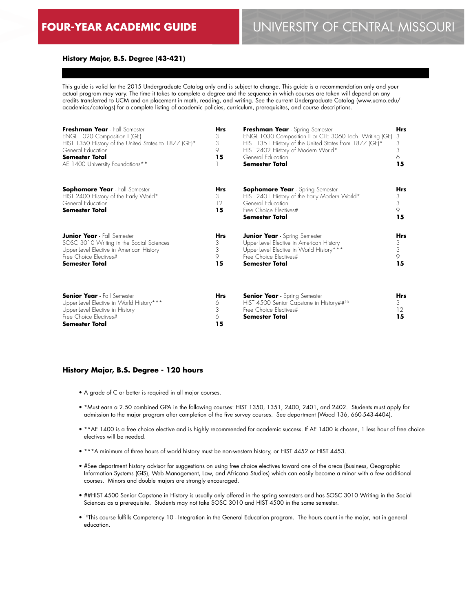### **History Major, B.S. Degree (43-421)**

This guide is valid for the 2015 Undergraduate Catalog only and is subject to change. This guide is a recommendation only and your actual program may vary. The time it takes to complete a degree and the sequence in which courses are taken will depend on any credits transferred to UCM and on placement in math, reading, and writing. See the current Undergraduate Catalog (www.ucmo.edu/ academics/catalogs) for a complete listing of academic policies, curriculum, prerequisites, and course descriptions.

| Freshman Year - Fall Semester<br>ENGL 1020 Composition I (GE)<br>HIST 1350 History of the United States to 1877 (GE)*<br>General Education<br><b>Semester Total</b><br>AE 1400 University Foundations** | Hrs<br>3<br>3<br>9<br>15    | Freshman Year - Spring Semester<br>ENGL 1030 Composition II or CTE 3060 Tech. Writing (GE)<br>HIST 1351 History of the United States from 1877 (GE)*<br>HIST 2402 History of Modern World*<br>General Education<br>Semester Total | <b>Hrs</b><br>3<br>3<br>3<br>6<br>15 |
|---------------------------------------------------------------------------------------------------------------------------------------------------------------------------------------------------------|-----------------------------|-----------------------------------------------------------------------------------------------------------------------------------------------------------------------------------------------------------------------------------|--------------------------------------|
| <b>Sophomore Year</b> - Fall Semester<br>HIST 2400 History of the Early World*<br>General Education<br><b>Semester Total</b>                                                                            | <b>Hrs</b><br>3<br>12<br>15 | <b>Sophomore Year</b> - Spring Semester<br>HIST 2401 History of the Early Modern World*<br>General Education<br>Free Choice Flectives#<br><b>Semester Total</b>                                                                   | <b>Hrs</b><br>3<br>3<br>9<br>15      |
| <b>Junior Year</b> - Fall Semester<br>SOSC 3010 Writing in the Social Sciences<br>Upper-level Elective in American History<br>Free Choice Flectives#<br><b>Semester Total</b>                           | Hrs<br>3<br>3<br>9<br>15    | <b>Junior Year</b> - Spring Semester<br>Upper-level Elective in American History<br>Upper-Level Elective in World History***<br>Free Choice Flectives#<br><b>Semester Total</b>                                                   | <b>Hrs</b><br>3<br>3<br>9<br>15      |
| <b>Senior Year</b> - Fall Semester<br>Upper-level Elective in World History ***<br>Upper-Level Elective in History<br>Free Choice Flectives#<br><b>Semester Total</b>                                   | Hrs<br>6<br>3<br>6<br>15    | <b>Senior Year</b> - Spring Semester<br>HIST 4500 Senior Capstone in History## <sup>10</sup><br>Free Choice Flectives#<br>Semester Total                                                                                          | <b>Hrs</b><br>3<br>12<br>15          |

#### **History Major, B.S. Degree - 120 hours**

- A grade of C or better is required in all major courses.
- \*Must earn a 2.50 combined GPA in the following courses: HIST 1350, 1351, 2400, 2401, and 2402. Students must apply for admission to the major program after completion of the five survey courses. See department (Wood 136, 660-543-4404).
- \*\*AE 1400 is a free choice elective and is highly recommended for academic success. If AE 1400 is chosen, 1 less hour of free choice electives will be needed.
- \*\*\*A minimum of three hours of world history must be non-western history, or HIST 4452 or HIST 4453.
- #See department history advisor for suggestions on using free choice electives toward one of the areas (Business, Geographic Information Systems (GIS), Web Management, Law, and Africana Studies) which can easily become a minor with a few additional courses. Minors and double majors are strongly encouraged.
- ##HIST 4500 Senior Capstone in History is usually only offered in the spring semesters and has SOSC 3010 Writing in the Social Sciences as a prerequisite. Students may not take SOSC 3010 and HIST 4500 in the same semester.
- 10This course fulfills Competency 10 Integration in the General Education program. The hours count in the major, not in general education.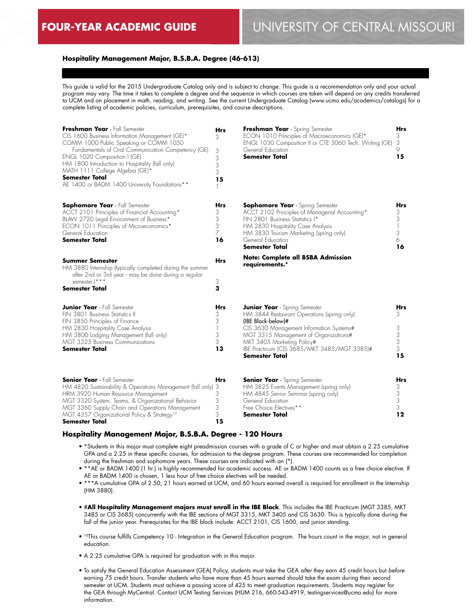# **FOUR-YEAR ACADEMIC GUIDE** UNIVERSITY OF CENTRAL MISSOURI

#### **Hospitality Management Major, B.S.B.A. Degree (46-613)**

This guide is valid for the 2015 Undergraduate Catalog only and is subject to change. This guide is a recommendation only and your actual program may vary. The time it takes to complete a degree and the sequence in which courses are taken will depend on any credits transferred to UCM and on placement in math, reading, and writing. See the current Undergraduate Catalog (www.ucmo.edu/academics/catalogs) for a complete listing of academic policies, curriculum, prerequisites, and course descriptions.

| Freshman Year - Fall Semester<br>CIS 1600 Business Information Management (GE)*<br>COMM 1000 Public Speaking or COMM 1050<br>Fundamentals of Oral Communication Competency (GE)<br>ENGL 1020 Composition I (GE)<br>HM 1800 Introduction to Hospitality (fall only)<br>MATH 1111 College Algebra (GE)*<br><b>Semester Total</b><br>AE 1400 or BADM 1400 University Foundations** | <b>Hrs</b><br>3<br>3<br>3<br>3<br>3<br>15 | Freshman Year - Spring Semester<br>ECON 1010 Principles of Macroeconomics (GE)*<br>ENGL 1030 Composition II or CTE 3060 Tech. Writing (GE)<br>General Education<br><b>Semester Total</b>                                                                                                      | Hrs<br>3<br>3<br>9<br>15           |
|---------------------------------------------------------------------------------------------------------------------------------------------------------------------------------------------------------------------------------------------------------------------------------------------------------------------------------------------------------------------------------|-------------------------------------------|-----------------------------------------------------------------------------------------------------------------------------------------------------------------------------------------------------------------------------------------------------------------------------------------------|------------------------------------|
| <b>Sophomore Year</b> - Fall Semester<br>ACCT 2101 Principles of Financial Accounting*<br>BLAW 2720 Legal Environment of Business*<br>ECON 1011 Principles of Microeconomics*<br>General Education<br><b>Semester Total</b>                                                                                                                                                     | Hrs<br>3<br>3<br>3<br>7<br>16             | <b>Sophomore Year</b> - Spring Semester<br>ACCT 2102 Principles of Managerial Accounting*<br>FIN 2801 Business Statistics I*<br>HM 2830 Hospitality Case Analysis<br>HM 3830 Tourism Marketing (spring only)<br>General Education<br>Semester Total                                           | Hrs<br>3<br>3<br>3<br>6<br>16      |
| <b>Summer Semester</b><br>HM 3880 Internship (typically completed during the summer<br>after 2nd or 3rd year - may be done during a regular<br>semester. <sup>1***</sup><br>Semester Total                                                                                                                                                                                      | <b>Hrs</b><br>3<br>3                      | <b>Note: Complete all BSBA Admission</b><br>requirements.*                                                                                                                                                                                                                                    |                                    |
| <b>Junior Year</b> - Fall Semester<br>FIN 3801 Business Statistics II<br>FIN 3850 Principles of Finance<br>HM 2830 Hospitality Case Analysis<br>HM 3800 Lodging Management (fall only)<br>MGT 3325 Business Communications<br>Semester Total                                                                                                                                    | Hrs<br>3<br>3<br>3<br>3<br>13             | <b>Junior Year</b> - Spring Semester<br>HM 3844 Restaurant Operations (spring only)<br>(IBE Block-below)#<br>CIS 3630 Management Information Systems#<br>MGT 3315 Management of Organizations#<br>MKT 3405 Marketing Policy#<br>IBE Practicum (CIS 3685/MKT 3485/MGT 3385)#<br>Semester Total | Hrs<br>З<br>3<br>3<br>3<br>3<br>15 |
| <b>Senior Year</b> - Fall Semester<br>HM 4820 Sustainability & Operations Management (fall only) 3<br>HRM 3920 Human Resource Management<br>MGT 3320 System, Teams, & Organizational Behavior<br>MGT 3360 Supply Chain and Operations Management<br>MGT 4357 Organizational Policy & Strategy <sup>10</sup><br><b>Semester Total</b>                                            | <b>Hrs</b><br>3<br>3<br>3<br>3<br>15      | <b>Senior Year</b> - Spring Semester<br>HM 3825 Events Management (spring only)<br>HM 4845 Senior Seminar (spring only)<br>General Education<br>Free Choice Electives**<br>Semester Total                                                                                                     | Hrs<br>3<br>3<br>3<br>3<br>12      |

#### **Hospitality Management Major, B.S.B.A. Degree - 120 Hours**

- \*Students in this major must complete eight preadmission courses with a grade of C or higher and must obtain a 2.25 cumulative GPA and a 2.25 in these specific courses, for admission to the degree program. These courses are recommended for completion during the freshman and sophomore years. These courses are indicated with an (\*).
- \*\*AE or BADM 1400 (1 hr.) is highly recommended for academic success. AE or BADM 1400 counts as a free choice elective. If AE or BADM 1400 is chosen, 1 less hour of free choice electives will be needed.
- \*\*\*A cumulative GPA of 2.50, 21 hours earned at UCM, and 60 hours earned overall is required for enrollment in the Internship (HM 3880).
- #**All Hospitality Management majors must enroll in the IBE Block**. This includes the IBE Practicum (MGT 3385, MKT 3485 or CIS 3685) concurrently with the IBE sections of MGT 3315, MKT 3405 and CIS 3630. This is typically done during the fall of the junior year. Prerequisites for the IBE block include: ACCT 2101, CIS 1600, and junior standing.
- <sup>10</sup>This course fulfills Competency 10 Integration in the General Education program. The hours count in the major, not in general education.
- A 2.25 cumulative GPA is required for graduation with in this major.
- To satisfy the General Education Assessment (GEA) Policy, students must take the GEA *after* they earn 45 credit hours but *before* earning 75 credit hours. Transfer students who have more than 45 hours earned should take the exam during their second semester at UCM. Students must achieve a passing score of 425 to meet graduation requirements. Students may register for the GEA through MyCentral. Contact UCM Testing Services (HUM 216, 660-543-4919, testingservices@ucmo.edu) for more information.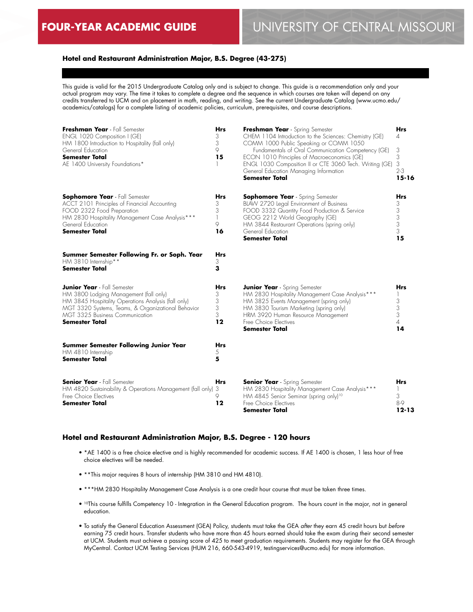## **Hotel and Restaurant Administration Major, B.S. Degree (43-275)**

This guide is valid for the 2015 Undergraduate Catalog only and is subject to change. This guide is a recommendation only and your actual program may vary. The time it takes to complete a degree and the sequence in which courses are taken will depend on any credits transferred to UCM and on placement in math, reading, and writing. See the current Undergraduate Catalog (www.ucmo.edu/ academics/catalogs) for a complete listing of academic policies, curriculum, prerequisites, and course descriptions.

| Freshman Year - Fall Semester<br>ENGL 1020 Composition I (GE)<br>HM 1800 Introduction to Hospitality (fall only)<br>General Education<br><b>Semester Total</b><br>AE 1400 University Foundations*                                                     | <b>Hrs</b><br>3<br>3<br>9<br>15      | Freshman Year - Spring Semester<br>CHEM 1104 Introduction to the Sciences: Chemistry (GE)<br>COMM 1000 Public Speaking or COMM 1050<br>Fundamentals of Oral Communication Competency (GE)<br>ECON 1010 Principles of Macroeconomics (GE)<br>ENGL 1030 Composition II or CTE 3060 Tech. Writing (GE)<br>General Education Managing Information<br><b>Semester Total</b> | <b>Hrs</b><br>4<br>3<br>3<br>3<br>$2 - 3$<br>$15 - 16$ |
|-------------------------------------------------------------------------------------------------------------------------------------------------------------------------------------------------------------------------------------------------------|--------------------------------------|------------------------------------------------------------------------------------------------------------------------------------------------------------------------------------------------------------------------------------------------------------------------------------------------------------------------------------------------------------------------|--------------------------------------------------------|
| Sophomore Year - Fall Semester<br>ACCT 2101 Principles of Financial Accounting<br>FOOD 2322 Food Preparation<br>HM 2830 Hospitality Management Case Analysis***<br>General Education<br><b>Semester Total</b>                                         | Hrs<br>3<br>3<br>1<br>9<br>16        | <b>Sophomore Year</b> - Spring Semester<br>BLAW 2720 legal Environment of Business<br>FOOD 3332 Quantity Food Production & Service<br>GEOG 2212 World Geography (GE)<br>HM 3844 Restaurant Operations (spring only)<br>General Education<br><b>Semester Total</b>                                                                                                      | Hrs<br>3<br>3<br>3<br>3<br>3<br>15                     |
| Summer Semester Following Fr. or Soph. Year<br>HM 3810 Internship**<br><b>Semester Total</b>                                                                                                                                                          | Hrs<br>3<br>3                        |                                                                                                                                                                                                                                                                                                                                                                        |                                                        |
| <b>Junior Year</b> - Fall Semester<br>HM 3800 Lodging Management (fall only)<br>HM 3845 Hospitality Operations Analysis (fall only)<br>MGT 3320 Systems, Teams, & Organizational Behavior<br>MGT 3325 Business Communication<br><b>Semester Total</b> | <b>Hrs</b><br>3<br>3<br>3<br>3<br>12 | <b>Junior Year</b> - Spring Semester<br>HM 2830 Hospitality Management Case Analysis***<br>HM 3825 Events Management (spring only)<br>HM 3830 Tourism Marketing (spring only)<br>HRM 3920 Human Resource Management<br>Free Choice Electives<br>Semester Total                                                                                                         | Hrs<br>3<br>3<br>3<br>4<br>14                          |
| <b>Summer Semester Following Junior Year</b><br>HM 4810 Internship<br><b>Semester Total</b>                                                                                                                                                           | Hrs<br>5<br>5                        |                                                                                                                                                                                                                                                                                                                                                                        |                                                        |
| <b>Senior Year</b> - Fall Semester<br>HM 4820 Sustainability & Operations Management (fall only)<br>Free Choice Electives<br><b>Semester Total</b>                                                                                                    | <b>Hrs</b><br>3<br>9<br>12           | <b>Senior Year</b> - Spring Semester<br>HM 2830 Hospitality Management Case Analysis***<br>HM 4845 Senior Seminar (spring only) <sup>10</sup><br>Free Choice Electives<br><b>Semester Total</b>                                                                                                                                                                        | Hrs<br>3<br>8-9<br>$12 - 13$                           |

#### **Hotel and Restaurant Administration Major, B.S. Degree - 120 hours**

- \*AE 1400 is a free choice elective and is highly recommended for academic success. If AE 1400 is chosen, 1 less hour of free choice electives will be needed.
- \*\*This major requires 8 hours of internship (HM 3810 and HM 4810).
- \*\*\*HM 2830 Hospitality Management Case Analysis is a one credit hour course that must be taken three times.
- 10This course fulfills Competency 10 Integration in the General Education program. The hours count in the major, not in general education.
- To satisfy the General Education Assessment (GEA) Policy, students must take the GEA *after* they earn 45 credit hours but *before* earning 75 credit hours. Transfer students who have more than 45 hours earned should take the exam during their second semester at UCM. Students must achieve a passing score of 425 to meet graduation requirements. Students may register for the GEA through MyCentral. Contact UCM Testing Services (HUM 216, 660-543-4919, testingservices@ucmo.edu) for more information.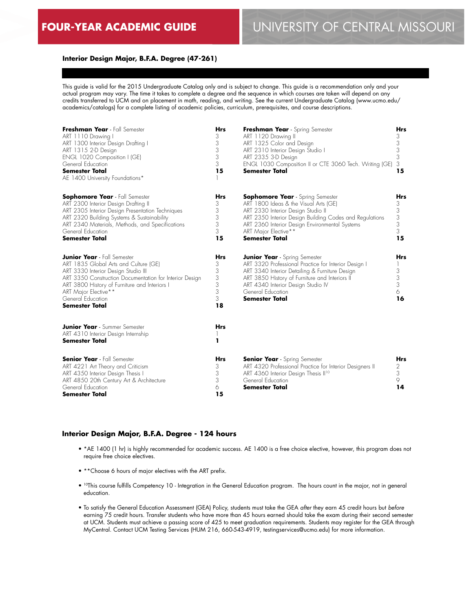### **Interior Design Major, B.F.A. Degree (47-261)**

This guide is valid for the 2015 Undergraduate Catalog only and is subject to change. This guide is a recommendation only and your actual program may vary. The time it takes to complete a degree and the sequence in which courses are taken will depend on any credits transferred to UCM and on placement in math, reading, and writing. See the current Undergraduate Catalog (www.ucmo.edu/ academics/catalogs) for a complete listing of academic policies, curriculum, prerequisites, and course descriptions.

| Freshman Year - Fall Semester<br>ART 1110 Drawing I<br>ART 1300 Interior Design Drafting I<br>ART 1315 2-D Design<br>ENGL 1020 Composition I (GE)<br>General Education<br><b>Semester Total</b><br>AE 1400 University Foundations*                                                                   | <b>Hrs</b><br>3<br>3<br>$\mathfrak{Z}$<br>3<br>3<br>15      | Freshman Year - Spring Semester<br>ART 1120 Drawing II<br>ART 1325 Color and Design<br>ART 2310 Interior Design Studio I<br>ART 2335 3-D Design<br>ENGL 1030 Composition II or CTE 3060 Tech. Writing (GE)<br><b>Semester Total</b>                                                  | <b>Hrs</b><br>3<br>3<br>$\mathfrak{Z}$<br>3<br>3<br>15 |
|------------------------------------------------------------------------------------------------------------------------------------------------------------------------------------------------------------------------------------------------------------------------------------------------------|-------------------------------------------------------------|--------------------------------------------------------------------------------------------------------------------------------------------------------------------------------------------------------------------------------------------------------------------------------------|--------------------------------------------------------|
| <b>Sophomore Year</b> - Fall Semester<br>ART 2300 Interior Design Drafting II<br>ART 2305 Interior Design Presentation Techniques<br>ART 2320 Building Systems & Sustainability<br>ART 2340 Materials, Methods, and Specifications<br>General Education<br><b>Semester Total</b>                     | <b>Hrs</b><br>3<br>3<br>3<br>3<br>3<br>15                   | <b>Sophomore Year</b> - Spring Semester<br>ART 1800 Ideas & the Visual Arts (GE)<br>ART 2330 Interior Design Studio II<br>ART 2350 Interior Design Building Codes and Regulations<br>ART 2360 Interior Design Environmental Systems<br>ART Major Elective**<br><b>Semester Total</b> | Hrs<br>3<br>3<br>3<br>3<br>3<br>15                     |
| <b>Junior Year</b> - Fall Semester<br>ART 1835 Global Arts and Culture (GE)<br>ART 3330 Interior Design Studio III<br>ART 3350 Construction Documentation for Interior Design<br>ART 3800 History of Furniture and Interiors I<br>ART Major Elective**<br>General Education<br><b>Semester Total</b> | <b>Hrs</b><br>3<br>$\mathfrak{Z}$<br>3<br>3<br>3<br>3<br>18 | <b>Junior Year</b> - Spring Semester<br>ART 3320 Professional Practice for Interior Design I<br>ART 3340 Interior Detailing & Furniture Design<br>ART 3850 History of Furniture and Interiors II<br>ART 4340 Interior Design Studio IV<br>General Education<br><b>Semester Total</b> | Hrs<br>3<br>3<br>3<br>6<br>16                          |
| <b>Junior Year</b> - Summer Semester<br>ART 4310 Interior Design Internship<br><b>Semester Total</b>                                                                                                                                                                                                 | <b>Hrs</b><br>ı                                             |                                                                                                                                                                                                                                                                                      |                                                        |
| <b>Senior Year</b> - Fall Semester<br>ART 4221 Art Theory and Criticism<br>ART 4350 Interior Design Thesis I<br>ART 4850 20th Century Art & Architecture<br>General Education<br><b>Semester Total</b>                                                                                               | <b>Hrs</b><br>3<br>3<br>3<br>6<br>15                        | <b>Senior Year</b> - Spring Semester<br>ART 4320 Professional Practice for Interior Designers II<br>ART 4360 Interior Design Thesis II <sup>10</sup><br>General Education<br><b>Semester Total</b>                                                                                   | Hrs<br>2<br>3<br>9<br>14                               |

#### **Interior Design Major, B.F.A. Degree - 124 hours**

- \*AE 1400 (1 hr) is highly recommended for academic success. AE 1400 is a free choice elective, however, this program does not require free choice electives.
- \*\*Choose 6 hours of major electives with the ART prefix.
- <sup>10</sup>This course fulfills Competency 10 Integration in the General Education program. The hours count in the major, not in general education.
- To satisfy the General Education Assessment (GEA) Policy, students must take the GEA *after* they earn 45 credit hours but *before* earning 75 credit hours. Transfer students who have more than 45 hours earned should take the exam during their second semester at UCM. Students must achieve a passing score of 425 to meet graduation requirements. Students may register for the GEA through MyCentral. Contact UCM Testing Services (HUM 216, 660-543-4919, testingservices@ucmo.edu) for more information.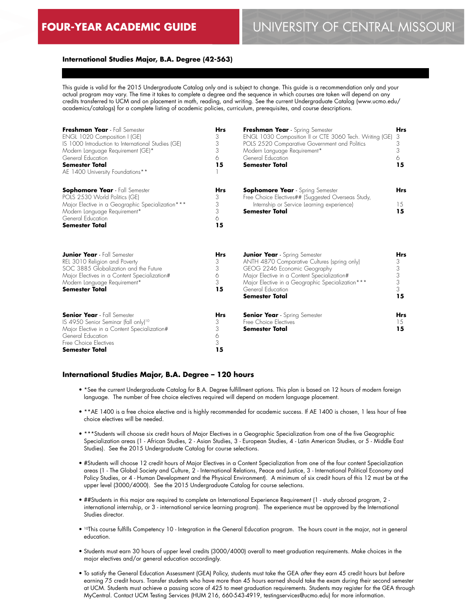### **International Studies Major, B.A. Degree (42-563)**

This guide is valid for the 2015 Undergraduate Catalog only and is subject to change. This guide is a recommendation only and your actual program may vary. The time it takes to complete a degree and the sequence in which courses are taken will depend on any credits transferred to UCM and on placement in math, reading, and writing. See the current Undergraduate Catalog (www.ucmo.edu/ academics/catalogs) for a complete listing of academic policies, curriculum, prerequisites, and course descriptions.

| Freshman Year - Fall Semester<br>ENGL 1020 Composition I (GE)<br>IS 1000 Introduction to International Studies (GE)<br>Modern Language Requirement (GE)*<br>General Education<br><b>Semester Total</b><br>AE 1400 University Foundations** | <b>Hrs</b><br>3<br>3<br>3<br>6<br>15 | Freshman Year - Spring Semester<br>ENGL 1030 Composition II or CTE 3060 Tech. Writing (GE)<br>POLS 2520 Comparative Government and Politics<br>Modern Language Requirement*<br>General Education<br><b>Semester Total</b>                                      | <b>Hrs</b><br>3<br>3<br>3<br>6<br>15                                |
|--------------------------------------------------------------------------------------------------------------------------------------------------------------------------------------------------------------------------------------------|--------------------------------------|----------------------------------------------------------------------------------------------------------------------------------------------------------------------------------------------------------------------------------------------------------------|---------------------------------------------------------------------|
| <b>Sophomore Year</b> - Fall Semester<br>POLS 2530 World Politics (GE)<br>Major Elective in a Geographic Specialization ***<br>Modern Language Requirement*<br>General Education<br><b>Semester Total</b>                                  | Hrs<br>3<br>3<br>3<br>6<br>15        | <b>Sophomore Year</b> - Spring Semester<br>Free Choice Electives## (Suggested Overseas Study,<br>Internship or Service Learning experience)<br><b>Semester Total</b>                                                                                           | <b>Hrs</b><br>15<br>15                                              |
| <b>Junior Year</b> - Fall Semester<br>REL 3010 Religion and Poverty<br>SOC 3885 Globalization and the Future<br>Major Electives in a Content Specialization#<br>Modern Language Requirement*<br><b>Semester Total</b>                      | Hrs<br>3<br>3<br>6<br>3<br>15        | <b>Junior Year</b> - Spring Semester<br>ANTH 4870 Comparative Cultures (spring only)<br>GEOG 2246 Economic Geography<br>Major Elective in a Content Specialization#<br>Major Elective in a Geographic Specialization***<br>General Education<br>Semester Total | <b>Hrs</b><br>3<br>$\begin{array}{c} 3 \\ 3 \end{array}$<br>3<br>15 |
| <b>Senior Year</b> - Fall Semester<br>IS 4950 Senior Seminar (fall only) <sup>10</sup><br>Major Elective in a Content Specialization#<br>General Education<br>Free Choice Electives<br><b>Semester Total</b>                               | <b>Hrs</b><br>3<br>3<br>6<br>3<br>15 | <b>Senior Year</b> - Spring Semester<br>Free Choice Electives<br><b>Semester Total</b>                                                                                                                                                                         | <b>Hrs</b><br>15<br>15                                              |

#### **International Studies Major, B.A. Degree – 120 hours**

- \*See the current Undergraduate Catalog for B.A. Degree fulfillment options. This plan is based on 12 hours of modern foreign language. The number of free choice electives required will depend on modern language placement.
- \*\*AE 1400 is a free choice elective and is highly recommended for academic success. If AE 1400 is chosen, 1 less hour of free choice electives will be needed.
- \*\*\*Students will choose six credit hours of Major Electives in a Geographic Specialization from one of the five Geographic Specialization areas (1 - African Studies, 2 - Asian Studies, 3 - European Studies, 4 - Latin American Studies, or 5 - Middle East Studies). See the 2015 Undergraduate Catalog for course selections.
- #Students will choose 12 credit hours of Major Electives in a Content Specialization from one of the four content Specialization areas (1 - The Global Society and Culture, 2 - International Relations, Peace and Justice, 3 - International Political Economy and Policy Studies, or 4 - Human Development and the Physical Environment). A minimum of six credit hours of this 12 must be at the upper level (3000/4000). See the 2015 Undergraduate Catalog for course selections.
- ##Students in this major are required to complete an International Experience Requirement (1 study abroad program, 2 international internship, or 3 - international service learning program). The experience must be approved by the International Studies director.
- 10This course fulfills Competency 10 Integration in the General Education program. The hours count in the major, not in general education.
- Students must earn 30 hours of upper level credits (3000/4000) overall to meet graduation requirements. Make choices in the major electives and/or general education accordingly.
- To satisfy the General Education Assessment (GEA) Policy, students must take the GEA *after* they earn 45 credit hours but *before* earning 75 credit hours. Transfer students who have more than 45 hours earned should take the exam during their second semester at UCM. Students must achieve a passing score of 425 to meet graduation requirements. Students may register for the GEA through MyCentral. Contact UCM Testing Services (HUM 216, 660-543-4919, testingservices@ucmo.edu) for more information.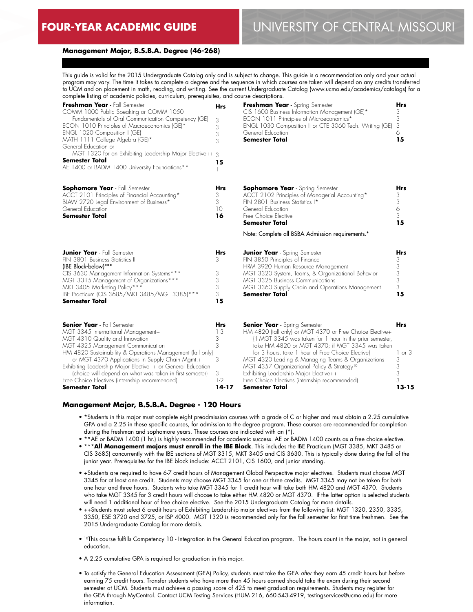# **FOUR-YEAR ACADEMIC GUIDE** UNIVERSITY OF CENTRAL MISSOURI

#### **Management Major, B.S.B.A. Degree (46-268)**

This guide is valid for the 2015 Undergraduate Catalog only and is subject to change. This guide is a recommendation only and your actual program may vary. The time it takes to complete a degree and the sequence in which courses are taken will depend on any credits transferred to UCM and on placement in math, reading, and writing. See the current Undergraduate Catalog (www.ucmo.edu/academics/catalogs) for a complete listing of academic policies, curriculum, prerequisites, and course descriptions.

| Freshman Year - Fall Semester                                                                                  | <b>Hrs</b> | Freshman Year - Spring Semester                                                                              | Hrs             |
|----------------------------------------------------------------------------------------------------------------|------------|--------------------------------------------------------------------------------------------------------------|-----------------|
| COMM 1000 Public Speaking or COMM 1050<br>Fundamentals of Oral Communication Competency (GE)                   | 3          | CIS 1600 Business Information Management (GE)*<br>ECON 1011 Principles of Microeconomics*                    | 3<br>3          |
| ECON 1010 Principles of Macroeconomics (GE)*                                                                   | 3          | ENGL 1030 Composition II or CTE 3060 Tech. Writing (GE)                                                      | 3               |
| ENGL 1020 Composition I (GE)                                                                                   | 3          | General Education                                                                                            | 6               |
| MATH 1111 College Algebra (GE)*                                                                                | 3          | <b>Semester Total</b>                                                                                        | 15              |
| General Education or<br>MGT 1320 for an Exhibiting Leadership Major Elective++ 3                               |            |                                                                                                              |                 |
| Semester Total                                                                                                 |            |                                                                                                              |                 |
| AE 1400 or BADM 1400 University Foundations**                                                                  | 15         |                                                                                                              |                 |
| <b>Sophomore Year</b> - Fall Semester                                                                          | Hrs        | <b>Sophomore Year</b> - Spring Semester                                                                      | Hrs             |
| ACCT 2101 Principles of Financial Accounting*                                                                  | 3          | ACCT 2102 Principles of Managerial Accounting*                                                               | 3               |
| BLAW 2720 Legal Environment of Business*                                                                       | 3          | FIN 2801 Business Statistics I*                                                                              | 3               |
| General Education<br><b>Semester Total</b>                                                                     | 10<br>16   | General Education<br>Free Choice Elective                                                                    | $\Diamond$<br>3 |
|                                                                                                                |            | Semester Total                                                                                               | 15              |
|                                                                                                                |            | Note: Complete all BSBA Admission requirements.*                                                             |                 |
| <b>Junior Year</b> - Fall Semester                                                                             | Hrs        | <b>Junior Year</b> - Spring Semester                                                                         | Hrs             |
| FIN 3801 Business Statistics II                                                                                | 3          | FIN 3850 Principles of Finance                                                                               | 3               |
| (IBE Block-below)***                                                                                           |            | HRM 3920 Human Resource Management                                                                           | 3               |
| CIS 3630 Management Information Systems***                                                                     | 3<br>3     | MGT 3320 System, Teams, & Organizational Behavior                                                            | 3<br>3          |
| MGT 3315 Management of Organizations***<br>MKT 3405 Marketing Policy***                                        | 3          | <b>MGT 3325 Business Communications</b><br>MGT 3360 Supply Chain and Operations Management                   | 3               |
| IBE Practicum (CIS 3685/MKT 3485/MGT 3385)***                                                                  | 3          | <b>Semester Total</b>                                                                                        | 15              |
| <b>Semester Total</b>                                                                                          | 15         |                                                                                                              |                 |
| <b>Senior Year</b> - Fall Semester                                                                             | Hrs        | <b>Senior Year</b> - Spring Semester                                                                         | <b>Hrs</b>      |
| MGT 3345 International Management+                                                                             | $1 - 3$    | HM 4820 (fall only) or MGT 4370 or Free Choice Elective+                                                     |                 |
| MGT 4310 Quality and Innovation                                                                                | 3          | (if MGT 3345 was taken for 1 hour in the prior semester,                                                     |                 |
| MGT 4325 Management Communication                                                                              | 3          | take HM 4820 or MGT 4370; if MGT 3345 was taken                                                              |                 |
| HM 4820 Sustainability & Operations Management (fall only)                                                     |            | for 3 hours, take 1 hour of Free Choice Elective)                                                            | or <sub>3</sub> |
| or MGT 4370 Applications in Supply Chain Mamt.+<br>Exhibiting Leadership Major Elective++ or General Education | 3          | MGT 4320 Leading & Managing Teams & Organizations<br>MGT 4357 Organizational Policy & Strategy <sup>10</sup> | 3<br>3          |
| (choice will depend on what was taken in first semester)                                                       | 3          | Exhibiting Leadership Major Elective++                                                                       | 3               |
| Free Choice Electives (internship recommended)                                                                 | $1-2$      | Free Choice Electives (internship recommended)                                                               | 3               |
| Semester Total                                                                                                 | $14 - 17$  | <b>Semester Total</b>                                                                                        | $13 - 15$       |

#### **Management Major, B.S.B.A. Degree - 120 Hours**

- \*Students in this major must complete eight preadmission courses with a grade of C or higher and must obtain a 2.25 cumulative GPA and a 2.25 in these specific courses, for admission to the degree program. These courses are recommended for completion during the freshman and sophomore years. These courses are indicated with an (\*).
- \*\*AE or BADM 1400 (1 hr.) is highly recommended for academic success. AE or BADM 1400 counts as a free choice elective.
- \*\*\***All Management majors must enroll in the IBE Block**. This includes the IBE Practicum (MGT 3385, MKT 3485 or CIS 3685) concurrently with the IBE sections of MGT 3315, MKT 3405 and CIS 3630. This is typically done during the fall of the junior year. Prerequisites for the IBE block include: ACCT 2101, CIS 1600, and junior standing.
- +Students are required to have 6-7 credit hours of Management Global Perspective major electives. Students must choose MGT 3345 for at least one credit. Students may choose MGT 3345 for one or three credits. MGT 3345 may not be taken for both one hour and three hours. Students who take MGT 3345 for 1 credit hour will take both HM 4820 and MGT 4370. Students who take MGT 3345 for 3 credit hours will choose to take either HM 4820 or MGT 4370. If the latter option is selected students will need 1 additional hour of free choice elective. See the 2015 Undergraduate Catalog for more details.
- ++Students must select 6 credit hours of Exhibiting Leadership major electives from the following list: MGT 1320, 2350, 3335, 3350, ESE 3720 and 3725, or ISP 4000. MGT 1320 is recommended only for the fall semester for first time freshmen. See the 2015 Undergraduate Catalog for more details.
- 10This course fulfills Competency 10 Integration in the General Education program. The hours count in the major, not in general education.
- A 2.25 cumulative GPA is required for graduation in this major.
- To satisfy the General Education Assessment (GEA) Policy, students must take the GEA *after* they earn 45 credit hours but *before* earning 75 credit hours. Transfer students who have more than 45 hours earned should take the exam during their second semester at UCM. Students must achieve a passing score of 425 to meet graduation requirements. Students may register for the GEA through MyCentral. Contact UCM Testing Services (HUM 216, 660-543-4919, testingservices@ucmo.edu) for more information.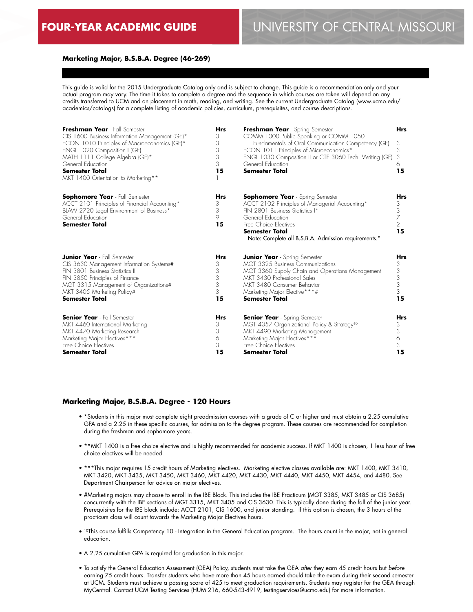### **Marketing Major, B.S.B.A. Degree (46-269)**

This guide is valid for the 2015 Undergraduate Catalog only and is subject to change. This guide is a recommendation only and your actual program may vary. The time it takes to complete a degree and the sequence in which courses are taken will depend on any credits transferred to UCM and on placement in math, reading, and writing. See the current Undergraduate Catalog (www.ucmo.edu/ academics/catalogs) for a complete listing of academic policies, curriculum, prerequisites, and course descriptions.

| Freshman Year - Fall Semester<br>CIS 1600 Business Information Management (GE)*<br>ECON 1010 Principles of Macroeconomics (GE)*<br>ENGL 1020 Composition I (GE)<br>MATH 1111 College Algebra (GE)*<br>General Education<br><b>Semester Total</b><br>MKT 1400 Orientation to Marketing** | <b>Hrs</b><br>3<br>3<br>3<br>3<br>3<br>15 | Freshman Year - Spring Semester<br>COMM 1000 Public Speaking or COMM 1050<br>Fundamentals of Oral Communication Competency (GE)<br>ECON 1011 Principles of Microeconomics*<br>ENGL 1030 Composition II or CTE 3060 Tech. Writing (GE)<br>General Education<br><b>Semester Total</b> | <b>Hrs</b><br>3<br>3<br>3<br>6<br>15              |
|-----------------------------------------------------------------------------------------------------------------------------------------------------------------------------------------------------------------------------------------------------------------------------------------|-------------------------------------------|-------------------------------------------------------------------------------------------------------------------------------------------------------------------------------------------------------------------------------------------------------------------------------------|---------------------------------------------------|
| <b>Sophomore Year</b> - Fall Semester<br>ACCT 2101 Principles of Financial Accounting*<br>BLAW 2720 Legal Environment of Business*<br>General Education<br><b>Semester Total</b>                                                                                                        | <b>Hrs</b><br>3<br>3<br>9<br>15           | <b>Sophomore Year</b> - Spring Semester<br>ACCT 2102 Principles of Managerial Accounting*<br>FIN 2801 Business Statistics I*<br>General Education<br>Free Choice Electives<br><b>Semester Total</b><br>Note: Complete all B.S.B.A. Admission requirements.*                         | <b>Hrs</b><br>3<br>3<br>7<br>$\overline{2}$<br>15 |
| <b>Junior Year</b> - Fall Semester                                                                                                                                                                                                                                                      | <b>Hrs</b>                                | <b>Junior Year</b> - Spring Semester                                                                                                                                                                                                                                                | <b>Hrs</b>                                        |
| CIS 3630 Management Information Systems#                                                                                                                                                                                                                                                | 3                                         | <b>MGT 3325 Business Communications</b>                                                                                                                                                                                                                                             | 3                                                 |
| FIN 3801 Business Statistics II                                                                                                                                                                                                                                                         | 3                                         | MGT 3360 Supply Chain and Operations Management                                                                                                                                                                                                                                     | 3                                                 |
| FIN 3850 Principles of Finance                                                                                                                                                                                                                                                          | 3                                         | MKT 3430 Professional Sales                                                                                                                                                                                                                                                         | 3                                                 |
| MGT 3315 Management of Organizations#                                                                                                                                                                                                                                                   | 3                                         | MKT 3480 Consumer Behavior                                                                                                                                                                                                                                                          | 3                                                 |
| MKT 3405 Marketing Policy#                                                                                                                                                                                                                                                              | 3                                         | Marketing Major Elective***#                                                                                                                                                                                                                                                        | 3                                                 |
| <b>Semester Total</b>                                                                                                                                                                                                                                                                   | 15                                        | Semester Total                                                                                                                                                                                                                                                                      | 15                                                |
| <b>Senior Year</b> - Fall Semester                                                                                                                                                                                                                                                      | <b>Hrs</b>                                | <b>Senior Year</b> - Spring Semester                                                                                                                                                                                                                                                | <b>Hrs</b>                                        |
| MKT 4460 International Marketing                                                                                                                                                                                                                                                        | 3                                         | MGT 4357 Organizational Policy & Strategy <sup>10</sup>                                                                                                                                                                                                                             | 3                                                 |
| MKT 4470 Marketing Research                                                                                                                                                                                                                                                             | 3                                         | MKT 4490 Marketing Management                                                                                                                                                                                                                                                       | 3                                                 |
| Marketing Major Electives***                                                                                                                                                                                                                                                            | 6                                         | Marketing Major Electives***                                                                                                                                                                                                                                                        | 6                                                 |
| Free Choice Electives                                                                                                                                                                                                                                                                   | 3                                         | Free Choice Electives                                                                                                                                                                                                                                                               | 3                                                 |
| <b>Semester Total</b>                                                                                                                                                                                                                                                                   | 15                                        | Semester Total                                                                                                                                                                                                                                                                      | 15                                                |

#### **Marketing Major, B.S.B.A. Degree - 120 Hours**

- \*Students in this major must complete eight preadmission courses with a grade of C or higher and must obtain a 2.25 cumulative GPA and a 2.25 in these specific courses, for admission to the degree program. These courses are recommended for completion during the freshman and sophomore years.
- \*\*MKT 1400 is a free choice elective and is highly recommended for academic success. If MKT 1400 is chosen, 1 less hour of free choice electives will be needed.
- \*\*\*This major requires 15 credit hours of Marketing electives. Marketing elective classes available are: MKT 1400, MKT 3410, MKT 3420, MKT 3435, MKT 3450, MKT 3460, MKT 4420, MKT 4430, MKT 4440, MKT 4450, MKT 4454, and 4480. See Department Chairperson for advice on major electives.
- #Marketing majors may choose to enroll in the IBE Block. This includes the IBE Practicum (MGT 3385, MKT 3485 or CIS 3685) concurrently with the IBE sections of MGT 3315, MKT 3405 and CIS 3630. This is typically done during the fall of the junior year. Prerequisites for the IBE block include: ACCT 2101, CIS 1600, and junior standing. If this option is chosen, the 3 hours of the practicum class will count towards the Marketing Major Electives hours.
- 10This course fulfills Competency 10 Integration in the General Education program. The hours count in the major, not in general education.
- A 2.25 cumulative GPA is required for graduation in this major.
- To satisfy the General Education Assessment (GEA) Policy, students must take the GEA *after* they earn 45 credit hours but *before* earning 75 credit hours. Transfer students who have more than 45 hours earned should take the exam during their second semester at UCM. Students must achieve a passing score of 425 to meet graduation requirements. Students may register for the GEA through MyCentral. Contact UCM Testing Services (HUM 216, 660-543-4919, testingservices@ucmo.edu) for more information.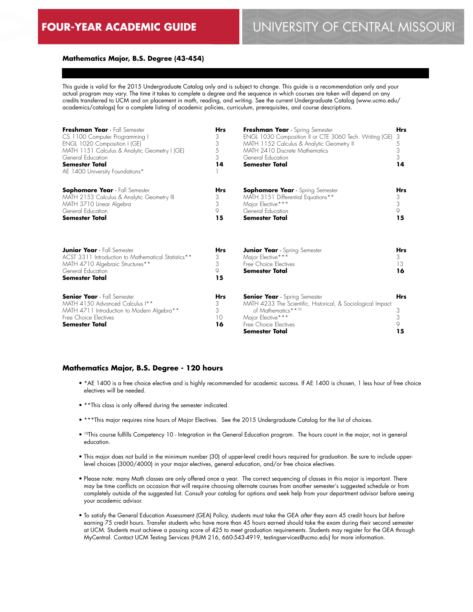#### **Mathematics Major, B.S. Degree (43-454)**

This guide is valid for the 2015 Undergraduate Catalog only and is subject to change. This guide is a recommendation only and your actual program may vary. The time it takes to complete a degree and the sequence in which courses are taken will depend on any credits transferred to UCM and on placement in math, reading, and writing. See the current Undergraduate Catalog (www.ucmo.edu/ academics/catalogs) for a complete listing of academic policies, curriculum, prerequisites, and course descriptions.

| Freshman Year - Fall Semester<br>CS 1100 Computer Programming I<br>ENGL 1020 Composition I (GE)<br>MATH 1151 Calculus & Analytic Geometry I (GE)<br>General Education<br><b>Semester Total</b><br>AE 1400 University Foundations* | <b>Hrs</b><br>3<br>3<br>5<br>3<br>14 | Freshman Year - Spring Semester<br>ENGL 1030 Composition II or CTE 3060 Tech. Writing (GE)<br>MATH 1152 Calculus & Analytic Geometry II<br>MATH 2410 Discrete Mathematics<br>General Education<br><b>Semester Total</b> | <b>Hrs</b><br>3<br>5<br>3<br>3<br>14 |
|-----------------------------------------------------------------------------------------------------------------------------------------------------------------------------------------------------------------------------------|--------------------------------------|-------------------------------------------------------------------------------------------------------------------------------------------------------------------------------------------------------------------------|--------------------------------------|
| <b>Sophomore Year</b> - Fall Semester<br>MATH 2153 Calculus & Analytic Geometry III<br>MATH 3710 Linear Algebra<br>General Education<br><b>Semester Total</b>                                                                     | <b>Hrs</b><br>3<br>3<br>9<br>15      | <b>Sophomore Year</b> - Spring Semester<br>MATH 3151 Differential Equations**<br>Major Elective***<br>General Education<br><b>Semester Total</b>                                                                        | <b>Hrs</b><br>3<br>3<br>9<br>15      |
| <b>Junior Year</b> - Fall Semester<br>ACST 3311 Introduction to Mathematical Statistics**<br>MATH 4710 Algebraic Structures**<br>General Education<br><b>Semester Total</b>                                                       | <b>Hrs</b><br>3<br>3<br>9<br>15      | <b>Junior Year</b> - Spring Semester<br>Major Elective***<br>Free Choice Electives<br><b>Semester Total</b>                                                                                                             | <b>Hrs</b><br>3<br>13<br>16          |
| <b>Senior Year</b> - Fall Semester<br>MATH 4150 Advanced Calculus I**<br>MATH 4711 Introduction to Modern Algebra**<br>Free Choice Flectives<br>Semester Total                                                                    | <b>Hrs</b><br>3<br>3<br>10<br>16     | <b>Senior Year</b> - Spring Semester<br>MATH 4233 The Scientific, Historical, & Sociological Impact<br>of Mathematics**10<br>Major Elective***<br>Free Choice Electives<br><b>Semester Total</b>                        | <b>Hrs</b><br>3<br>3<br>9<br>15      |

#### **Mathematics Major, B.S. Degree - 120 hours**

- \*AE 1400 is a free choice elective and is highly recommended for academic success. If AE 1400 is chosen, 1 less hour of free choice electives will be needed.
- \*\*This class is only offered during the semester indicated.
- \*\*\*This major requires nine hours of Major Electives. See the 2015 Undergraduate Catalog for the list of choices.
- <sup>10</sup>This course fulfills Competency 10 Integration in the General Education program. The hours count in the major, not in general education.
- This major does not build in the minimum number (30) of upper-level credit hours required for graduation. Be sure to include upperlevel choices (3000/4000) in your major electives, general education, and/or free choice electives.
- Please note: many Math classes are only offered once a year. The correct sequencing of classes in this major is important. There may be time conflicts on occasion that will require choosing alternate courses from another semester's suggested schedule or from completely outside of the suggested list. Consult your catalog for options and seek help from your department advisor before seeing your academic advisor.
- To satisfy the General Education Assessment (GEA) Policy, students must take the GEA *after* they earn 45 credit hours but *before* earning 75 credit hours. Transfer students who have more than 45 hours earned should take the exam during their second semester at UCM. Students must achieve a passing score of 425 to meet graduation requirements. Students may register for the GEA through MyCentral. Contact UCM Testing Services (HUM 216, 660-543-4919, testingservices@ucmo.edu) for more information.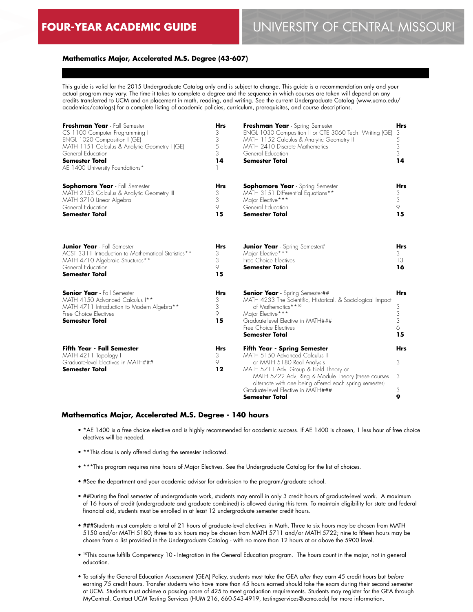# **FOUR-YEAR ACADEMIC GUIDE** UNIVERSITY OF CENTRAL MISSOURI

#### **Mathematics Major, Accelerated M.S. Degree (43-607)**

This guide is valid for the 2015 Undergraduate Catalog only and is subject to change. This guide is a recommendation only and your actual program may vary. The time it takes to complete a degree and the sequence in which courses are taken will depend on any credits transferred to UCM and on placement in math, reading, and writing. See the current Undergraduate Catalog (www.ucmo.edu/ academics/catalogs) for a complete listing of academic policies, curriculum, prerequisites, and course descriptions.

| Freshman Year - Fall Semester<br>CS 1100 Computer Programming I<br>ENGL 1020 Composition I (GE)<br>MATH 1151 Calculus & Analytic Geometry I (GE)<br>General Education<br><b>Semester Total</b><br>AE 1400 University Foundations* | <b>Hrs</b><br>3<br>3<br>5<br>3<br>14 | Freshman Year - Spring Semester<br>ENGL 1030 Composition II or CTE 3060 Tech. Writing (GE)<br>MATH 1152 Calculus & Analytic Geometry II<br>MATH 2410 Discrete Mathematics<br>General Education<br><b>Semester Total</b>                  | <b>Hrs</b><br>3<br>5<br>3<br>3<br>14  |
|-----------------------------------------------------------------------------------------------------------------------------------------------------------------------------------------------------------------------------------|--------------------------------------|------------------------------------------------------------------------------------------------------------------------------------------------------------------------------------------------------------------------------------------|---------------------------------------|
| <b>Sophomore Year</b> - Fall Semester<br>MATH 2153 Calculus & Analytic Geometry III<br>MATH 3710 Linear Algebra<br>General Education<br><b>Semester Total</b>                                                                     | <b>Hrs</b><br>3<br>3<br>9<br>15      | <b>Sophomore Year</b> - Spring Semester<br>MATH 3151 Differential Equations**<br>Major Elective***<br>General Education<br><b>Semester Total</b>                                                                                         | <b>Hrs</b><br>3<br>3<br>9<br>15       |
| <b>Junior Year</b> - Fall Semester<br>ACST 3311 Introduction to Mathematical Statistics**<br>MATH 4710 Algebraic Structures**<br>General Education<br><b>Semester Total</b>                                                       | <b>Hrs</b><br>3<br>3<br>9<br>15      | <b>Junior Year</b> - Spring Semester#<br>Major Elective***<br>Free Choice Electives<br><b>Semester Total</b>                                                                                                                             | <b>Hrs</b><br>3<br>13<br>16           |
| <b>Senior Year</b> - Fall Semester<br>MATH 4150 Advanced Calculus I**<br>MATH 4711 Introduction to Modern Algebra**<br>Free Choice Flectives<br><b>Semester Total</b>                                                             | <b>Hrs</b><br>3<br>3<br>9<br>15      | <b>Senior Year</b> - Spring Semester##<br>MATH 4233 The Scientific, Historical, & Sociological Impact<br>of Mathematics**10<br>Major Elective***<br>Graduate-level Elective in MATH###<br>Free Choice Electives<br><b>Semester Total</b> | <b>Hrs</b><br>3<br>3<br>3<br>6.<br>15 |
| <b>Fifth Year - Fall Semester</b><br>MATH 4211 Topology I                                                                                                                                                                         | <b>Hrs</b><br>3                      | <b>Fifth Year - Spring Semester</b><br>MATH 5150 Advanced Calculus II                                                                                                                                                                    | <b>Hrs</b>                            |
| Graduate-level Electives in MATH###                                                                                                                                                                                               | 9                                    | or MATH 5180 Real Analysis                                                                                                                                                                                                               | 3                                     |
| <b>Semester Total</b>                                                                                                                                                                                                             | 12                                   | MATH 5711 Adv. Group & Field Theory or                                                                                                                                                                                                   |                                       |
|                                                                                                                                                                                                                                   |                                      | MATH 5722 Adv. Ring & Module Theory (these courses<br>alternate with one being offered each spring semester)                                                                                                                             | 3                                     |
|                                                                                                                                                                                                                                   |                                      | Graduate-level Elective in MATH###<br>Semester Total                                                                                                                                                                                     | 3<br>9                                |
|                                                                                                                                                                                                                                   |                                      |                                                                                                                                                                                                                                          |                                       |

#### **Mathematics Major, Accelerated M.S. Degree - 140 hours**

- \*AE 1400 is a free choice elective and is highly recommended for academic success. If AE 1400 is chosen, 1 less hour of free choice electives will be needed.
- \*\*This class is only offered during the semester indicated.
- \*\*\*This program requires nine hours of Major Electives. See the Undergraduate Catalog for the list of choices.
- #See the department and your academic advisor for admission to the program/graduate school.
- ##During the final semester of undergraduate work, students may enroll in only 3 credit hours of graduate-level work. A maximum of 16 hours of credit (undergraduate and graduate combined) is allowed during this term. To maintain eligibility for state and federal financial aid, students must be enrolled in at least 12 undergraduate semester credit hours.
- ###Students must complete a total of 21 hours of graduate-level electives in Math. Three to six hours may be chosen from MATH 5150 and/or MATH 5180; three to six hours may be chosen from MATH 5711 and/or MATH 5722; nine to fifteen hours may be chosen from a list provided in the Undergraduate Catalog - with no more than 12 hours at or above the 5900 level.
- <sup>10</sup>This course fulfills Competency 10 Integration in the General Education program. The hours count in the major, not in general education.
- To satisfy the General Education Assessment (GEA) Policy, students must take the GEA *after* they earn 45 credit hours but *before* earning 75 credit hours. Transfer students who have more than 45 hours earned should take the exam during their second semester at UCM. Students must achieve a passing score of 425 to meet graduation requirements. Students may register for the GEA through MyCentral. Contact UCM Testing Services (HUM 216, 660-543-4919, testingservices@ucmo.edu) for more information.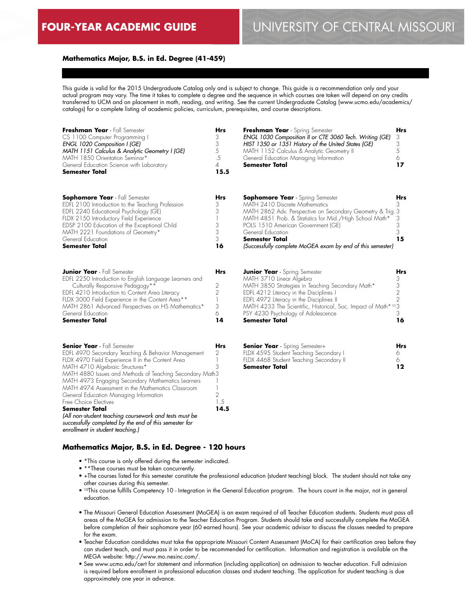## **Mathematics Major, B.S. in Ed. Degree (41-459)**

This guide is valid for the 2015 Undergraduate Catalog only and is subject to change. This guide is a recommendation only and your actual program may vary. The time it takes to complete a degree and the sequence in which courses are taken will depend on any credits transferred to UCM and on placement in math, reading, and writing. See the current Undergraduate Catalog (www.ucmo.edu/academics/ catalogs) for a complete listing of academic policies, curriculum, prerequisites, and course descriptions.

| Freshman Year - Fall Semester<br>CS 1100 Computer Programming I<br><b>ENGL 1020 Composition I (GE)</b><br>MATH 1151 Calculus & Analytic Geometry I (GE)<br>MATH 1850 Orientation Seminar*<br>General Education Science with Laboratory<br>Semester Total                                                                                                                                                                                                                                                                                                                                            | Hrs<br>3<br>$\ensuremath{\mathsf{3}}$<br>5<br>$.5\,$<br>$\overline{4}$<br>15.5 | Freshman Year - Spring Semester<br>ENGL 1030 Composition II or CTE 3060 Tech. Writing (GE)<br>HIST 1350 or 1351 History of the United States (GE)<br>MATH 1152 Calculus & Analytic Geometry II<br>General Education Managing Information<br>Semester Total                                                                                           | Hrs<br>3<br>3<br>5<br>6<br>17                                     |
|-----------------------------------------------------------------------------------------------------------------------------------------------------------------------------------------------------------------------------------------------------------------------------------------------------------------------------------------------------------------------------------------------------------------------------------------------------------------------------------------------------------------------------------------------------------------------------------------------------|--------------------------------------------------------------------------------|------------------------------------------------------------------------------------------------------------------------------------------------------------------------------------------------------------------------------------------------------------------------------------------------------------------------------------------------------|-------------------------------------------------------------------|
| <b>Sophomore Year</b> - Fall Semester<br>EDFL 2100 Introduction to the Teaching Profession<br>EDFL 2240 Educational Psychology (GE)<br>FLDX 2150 Introductory Field Experience<br>EDSP 2100 Education of the Exceptional Child<br>MATH 2221 Foundations of Geometry*<br>General Education<br><b>Semester Total</b>                                                                                                                                                                                                                                                                                  | Hrs<br>3<br>3<br>1<br>$\ensuremath{\mathsf{3}}$<br>3<br>3<br>16                | <b>Sophomore Year</b> - Spring Semester<br>MATH 2410 Discrete Mathematics<br>MATH 2862 Adv. Perspective on Secondary Geometry & Trig. 3<br>MATH 4851 Prob. & Statistics for Mid./High School Math*<br>POLS 1510 American Government (GE)<br>General Education<br><b>Semester Total</b><br>(Successfully complete MoGEA exam by end of this semester) | Hrs<br>3<br>3<br>3<br>3<br>15                                     |
| <b>Junior Year</b> - Fall Semester<br>EDFL 2250 Introduction to English Language Learners and<br>Culturally Responsive Pedagogy**<br>EDFL 4210 Introduction to Content Area Literacy<br>FLDX 3000 Field Experience in the Content Area**<br>MATH 2861 Advanced Perspectives on HS Mathematics*<br>General Education<br><b>Semester Total</b>                                                                                                                                                                                                                                                        | Hrs<br>2<br>$\overline{2}$<br>$\mathbb{I}$<br>3<br>6<br>14                     | <b>Junior Year</b> - Spring Semester<br>MATH 3710 Linear Algebra<br>MATH 3850 Strategies in Teaching Secondary Math*<br>EDFL 4212 Literacy in the Disciplines I<br>EDFL 4972 Literacy in the Disciplines II<br>MATH 4233 The Scientific, Historical, Soc. Impact of Math*103<br>PSY 4230 Psychology of Adolescence<br>Semester Total                 | Hrs<br>3<br>$\begin{array}{c} 3 \\ 2 \\ 2 \end{array}$<br>3<br>16 |
| <b>Senior Year</b> - Fall Semester<br>EDFL 4970 Secondary Teaching & Behavior Management<br>FLDX 4970 Field Experience II in the Content Area<br>MATH 4710 Algebraic Structures*<br>MATH 4880 Issues and Methods of Teaching Secondary Math3<br>MATH 4973 Engaging Secondary Mathematics Learners<br>MATH 4974 Assessment in the Mathematics Classroom<br>General Education Managing Information<br>Free Choice Electives<br>Semester Total<br>(All non-student teaching coursework and tests must be<br>successfully completed by the end of this semester for<br>enrollment in student teaching.) | Hrs<br>2<br>$\mathbf{1}$<br>3<br>$\mathbf{1}$<br>2<br>1.5<br>14.5              | <b>Senior Year</b> - Spring Semester+<br>FLDX 4595 Student Teaching Secondary I<br>FLDX 4468 Student Teaching Secondary II<br>Semester Total                                                                                                                                                                                                         | Hrs<br>6<br>6<br>12                                               |

## **Mathematics Major, B.S. in Ed. Degree - 120 hours**

- \*This course is only offered during the semester indicated.
- \*\*These courses must be taken concurrently.
- +The courses listed for this semester constitute the professional education (student teaching) block. The student should not take any other courses during this semester.
- 10This course fulfills Competency 10 Integration in the General Education program. The hours count in the major, not in general education.
- The Missouri General Education Assessment (MoGEA) is an exam required of all Teacher Education students. Students must pass all areas of the MoGEA for admission to the Teacher Education Program. Students should take and successfully complete the MoGEA before completion of their sophomore year (60 earned hours). See your academic advisor to discuss the classes needed to prepare for the exam.
- Teacher Education candidates must take the appropriate Missouri Content Assessment (MoCA) for their certification area before they can student teach, and must pass it in order to be recommended for certification. Information and registration is available on the MEGA website: http://www.mo.nesinc.com/.
- See www.ucmo.edu/cert for statement and information (including application) on admission to teacher education. Full admission is required before enrollment in professional education classes and student teaching. The application for student teaching is due approximately one year in advance.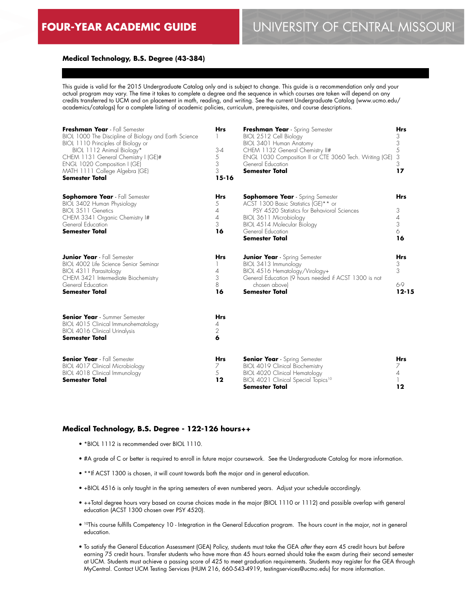#### **Medical Technology, B.S. Degree (43-384)**

This guide is valid for the 2015 Undergraduate Catalog only and is subject to change. This guide is a recommendation only and your actual program may vary. The time it takes to complete a degree and the sequence in which courses are taken will depend on any credits transferred to UCM and on placement in math, reading, and writing. See the current Undergraduate Catalog (www.ucmo.edu/ academics/catalogs) for a complete listing of academic policies, curriculum, prerequisites, and course descriptions.

| Freshman Year - Fall Semester<br>BIOL 1000 The Discipline of Biology and Earth Science<br>BIOL 1110 Principles of Biology or<br>BIOL 1112 Animal Biology*<br>CHEM 1131 General Chemistry I (GE)#<br>ENGL 1020 Composition I (GE)<br>MATH 1111 College Algebra (GE)<br><b>Semester Total</b> | <b>Hrs</b><br>$3 - 4$<br>5<br>3<br>3<br>$15-16$                | Freshman Year - Spring Semester<br>BIOL 2512 Cell Biology<br>BIOL 3401 Human Anatomy<br>CHEM 1132 General Chemistry II#<br>ENGL 1030 Composition II or CTE 3060 Tech. Writing (GE)<br>General Education<br><b>Semester Total</b>      | <b>Hrs</b><br>3<br>3<br>5<br>3<br>3<br>17 |
|---------------------------------------------------------------------------------------------------------------------------------------------------------------------------------------------------------------------------------------------------------------------------------------------|----------------------------------------------------------------|---------------------------------------------------------------------------------------------------------------------------------------------------------------------------------------------------------------------------------------|-------------------------------------------|
| <b>Sophomore Year</b> - Fall Semester<br>BIOL 3402 Human Physiology<br>BIOL 3511 Genetics<br>CHEM 3341 Organic Chemistry I#<br>General Education<br><b>Semester Total</b>                                                                                                                   | <b>Hrs</b><br>5<br>$\overline{A}$<br>$\overline{4}$<br>3<br>16 | <b>Sophomore Year</b> - Spring Semester<br>ACST 1300 Basic Statistics (GE)** or<br>PSY 4520 Statistics for Behavioral Sciences<br>BIOL 3611 Microbiology<br>BIOL 4514 Molecular Biology<br>General Education<br><b>Semester Total</b> | <b>Hrs</b><br>3<br>4<br>3<br>6<br>16      |
| <b>Junior Year</b> - Fall Semester<br>BIOL 4002 Life Science Senior Seminar<br>BIOL 4311 Parasitology<br>CHEM 3421 Intermediate Biochemistry<br>General Education<br><b>Semester Total</b>                                                                                                  | <b>Hrs</b><br>4<br>3<br>8<br>16                                | <b>Junior Year</b> - Spring Semester<br>BIOL 3413 Immunology<br>BIOL 4516 Hematology/Virology+<br>General Education (9 hours needed if ACST 1300 is not<br>chosen abovel<br><b>Semester Total</b>                                     | <b>Hrs</b><br>3<br>3<br>6-9<br>$12 - 15$  |
| <b>Senior Year</b> - Summer Semester<br>BIOL 4015 Clinical Immunohematology<br>BIOL 4016 Clinical Urinalysis<br><b>Semester Total</b>                                                                                                                                                       | <b>Hrs</b><br>4<br>2<br>6                                      |                                                                                                                                                                                                                                       |                                           |
| <b>Senior Year</b> - Fall Semester<br>BIOL 4017 Clinical Microbiology<br>BIOL 4018 Clinical Immunology<br><b>Semester Total</b>                                                                                                                                                             | <b>Hrs</b><br>7<br>5<br>12                                     | <b>Senior Year</b> - Spring Semester<br>BIOL 4019 Clinical Biochemistry<br><b>BIOL 4020 Clinical Hematology</b><br>BIOL 4021 Clinical Special Topics <sup>10</sup><br><b>Semester Total</b>                                           | <b>Hrs</b><br>7<br>$\overline{A}$<br>12   |

### **Medical Technology, B.S. Degree - 122-126 hours++**

- \*BIOL 1112 is recommended over BIOL 1110.
- #A grade of C or better is required to enroll in future major coursework. See the Undergraduate Catalog for more information.
- \*\*If ACST 1300 is chosen, it will count towards both the major and in general education.
- +BIOL 4516 is only taught in the spring semesters of even numbered years. Adjust your schedule accordingly.
- ++Total degree hours vary based on course choices made in the major (BIOL 1110 or 1112) and possible overlap with general education (ACST 1300 chosen over PSY 4520).
- 10This course fulfills Competency 10 Integration in the General Education program. The hours count in the major, not in general education.
- To satisfy the General Education Assessment (GEA) Policy, students must take the GEA *after* they earn 45 credit hours but *before* earning 75 credit hours. Transfer students who have more than 45 hours earned should take the exam during their second semester at UCM. Students must achieve a passing score of 425 to meet graduation requirements. Students may register for the GEA through MyCentral. Contact UCM Testing Services (HUM 216, 660-543-4919, testingservices@ucmo.edu) for more information.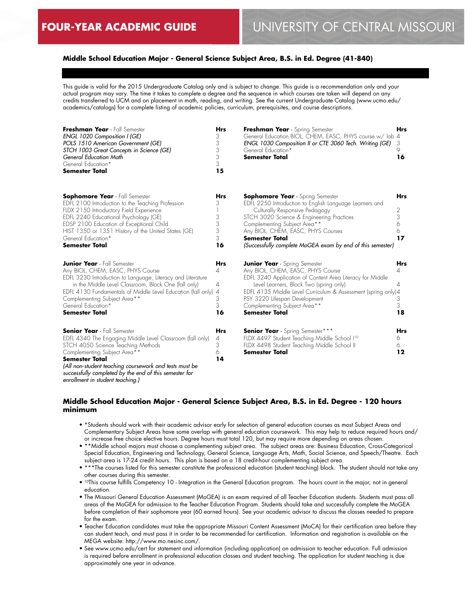## **Middle School Education Major - General Science Subject Area, B.S. in Ed. Degree (41-840)**

This guide is valid for the 2015 Undergraduate Catalog only and is subject to change. This guide is a recommendation only and your actual program may vary. The time it takes to complete a degree and the sequence in which courses are taken will depend on any credits transferred to UCM and on placement in math, reading, and writing. See the current Undergraduate Catalog (www.ucmo.edu/ academics/catalogs) for a complete listing of academic policies, curriculum, prerequisites, and course descriptions.

| Freshman Year - Fall Semester<br>ENGL 1020 Composition I (GE)<br>POLS 1510 American Government (GE)<br>STCH 1003 Great Concepts in Science (GE)<br>General Education Math<br>General Education*<br><b>Semester Total</b>                                                                                                                               | <b>Hrs</b><br>3<br>3<br>3<br>3<br>3<br>15              | Freshman Year - Spring Semester<br>General Education BIOL, CHEM, EASC, PHYS course w/ lab 4<br>ENGL 1030 Composition II or CTE 3060 Tech. Writing (GE)<br>General Education*<br><b>Semester Total</b>                                                                                                                                          | <b>Hrs</b><br>3<br>9<br>16                        |
|--------------------------------------------------------------------------------------------------------------------------------------------------------------------------------------------------------------------------------------------------------------------------------------------------------------------------------------------------------|--------------------------------------------------------|------------------------------------------------------------------------------------------------------------------------------------------------------------------------------------------------------------------------------------------------------------------------------------------------------------------------------------------------|---------------------------------------------------|
| <b>Sophomore Year</b> - Fall Semester<br>EDFL 2100 Introduction to the Teaching Profession<br>FLDX 2150 Introductory Field Experience<br>EDFL 2240 Educational Psychology (GE)<br>EDSP 2100 Education of Exceptional Child<br>HIST 1350 or 1351 History of the United States (GE)<br>General Education*<br><b>Semester Total</b>                       | Hrs<br>3<br>3<br>3<br>3<br>3<br>16                     | <b>Sophomore Year</b> - Spring Semester<br>EDFL 2250 Introduction to English Language Learners and<br>Culturally Responsive Pedagogy<br>STCH 3020 Science & Engineering Practices<br>Complementing Subject Area**<br>Any BIOL, CHEM, EASC, PHYS Courses<br><b>Semester Total</b><br>(Successfully complete MoGEA exam by end of this semester) | <b>Hrs</b><br>2<br>3<br>6<br>6<br>17              |
| <b>Junior Year</b> - Fall Semester<br>Any BIOL, CHEM, EASC, PHYS Course<br>EDFL 3230 Introduction to Language, Literacy and Literature<br>in the Middle Level Classroom, Block One (fall only)<br>EDFL 4130 Fundamentals of Middle Level Education (fall only)<br>Complementing Subject Area**<br>General Education*<br><b>Semester Total</b>          | <b>Hrs</b><br>4<br>4<br>$\overline{A}$<br>3<br>3<br>16 | <b>Junior Year</b> - Spring Semester<br>Any BIOL, CHEM, EASC, PHYS Course<br>EDFL 3240 Application of Content Area Literacy for Middle<br>Level Learners, Block Two (spring only)<br>EDFL 4135 Middle Level Curriculum & Assessment (spring only)4<br>PSY 3220 Lifespan Development<br>Complementing Subject Area**<br><b>Semester Total</b>   | <b>Hrs</b><br>4<br>$\overline{A}$<br>3<br>3<br>18 |
| <b>Senior Year</b> - Fall Semester<br>EDFL 4340 The Engaging Middle Level Classroom (fall only)<br>STCH 4050 Science Teaching Methods<br>Complementing Subject Area**<br><b>Semester Total</b><br>(All non-student teaching coursework and tests must be<br>successfully completed by the end of this semester for<br>enrollment in student teaching.) | <b>Hrs</b><br>4<br>3<br>6<br>14                        | <b>Senior Year</b> - Spring Semester***<br>FLDX 4497 Student Teaching Middle School I <sup>10</sup><br>FLDX 4498 Student Teaching Middle School II<br><b>Semester Total</b>                                                                                                                                                                    | <b>Hrs</b><br>6<br>6<br>12                        |

### **Middle School Education Major - General Science Subject Area, B.S. in Ed. Degree - 120 hours minimum**

- \*Students should work with their academic advisor early for selection of general education courses as most Subject Areas and Complementary Subject Areas have some overlap with general education coursework. This may help to reduce required hours and/ or increase free choice elective hours. Degree hours must total 120, but may require more depending on areas chosen.
- \*\*Middle school majors must choose a complementing subject area. The subject areas are: Business Education, Cross-Categorical Special Education, Engineering and Technology, General Science, Language Arts, Math, Social Science, and Speech/Theatre. Each subject area is 17-24 credit hours. This plan is based on a 18 credit-hour complementing subject area.
- \*\*\*The courses listed for this semester constitute the professional education (student teaching) block. The student should not take any other courses during this semester.
- 10This course fulfills Competency 10 Integration in the General Education program. The hours count in the major, not in general education.
- The Missouri General Education Assessment (MoGEA) is an exam required of all Teacher Education students. Students must pass all areas of the MoGEA for admission to the Teacher Education Program. Students should take and successfully complete the MoGEA before completion of their sophomore year (60 earned hours). See your academic advisor to discuss the classes needed to prepare for the exam.
- Teacher Education candidates must take the appropriate Missouri Content Assessment (MoCA) for their certification area before they can student teach, and must pass it in order to be recommended for certification. Information and registration is available on the MEGA website: http://www.mo.nesinc.com/.
- See www.ucmo.edu/cert for statement and information (including application) on admission to teacher education. Full admission is required before enrollment in professional education classes and student teaching. The application for student teaching is due approximately one year in advance.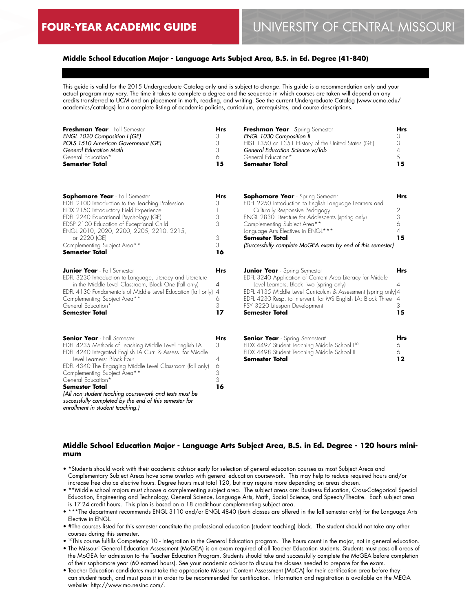## **Middle School Education Major - Language Arts Subject Area, B.S. in Ed. Degree (41-840)**

This guide is valid for the 2015 Undergraduate Catalog only and is subject to change. This guide is a recommendation only and your actual program may vary. The time it takes to complete a degree and the sequence in which courses are taken will depend on any credits transferred to UCM and on placement in math, reading, and writing. See the current Undergraduate Catalog (www.ucmo.edu/ academics/catalogs) for a complete listing of academic policies, curriculum, prerequisites, and course descriptions.

| Freshman Year - Fall Semester<br>ENGL 1020 Composition I (GE)<br>POLS 1510 American Government (GE)<br>General Education Math<br>General Education*<br><b>Semester Total</b>                                                                                                                                                                                                                                                                                                                | <b>Hrs</b><br>3<br>3<br>3<br>6<br>15              | Freshman Year - Spring Semester<br><b>ENGL 1030 Composition II</b><br>HIST 1350 or 1351 History of the United States (GE)<br>General Education Science w/lab<br>General Education*<br>Semester Total                                                                                                                                                    | <b>Hrs</b><br>3<br>$\sqrt{3}$<br>4<br>5<br>15 |
|---------------------------------------------------------------------------------------------------------------------------------------------------------------------------------------------------------------------------------------------------------------------------------------------------------------------------------------------------------------------------------------------------------------------------------------------------------------------------------------------|---------------------------------------------------|---------------------------------------------------------------------------------------------------------------------------------------------------------------------------------------------------------------------------------------------------------------------------------------------------------------------------------------------------------|-----------------------------------------------|
| <b>Sophomore Year</b> - Fall Semester<br>EDFL 2100 Introduction to the Teaching Profession<br>FLDX 2150 Introductory Field Experience<br>EDFL 2240 Educational Psychology (GE)<br>EDSP 2100 Education of Exceptional Child<br>ENGL 2010, 2020, 2200, 2205, 2210, 2215,<br>or 2220 (GE)<br>Complementing Subject Area**<br><b>Semester Total</b>                                                                                                                                             | <b>Hrs</b><br>3<br>-1<br>3<br>3<br>3<br>3<br>16   | <b>Sophomore Year</b> - Spring Semester<br>EDFL 2250 Introduction to English Language Learners and<br>Culturally Responsive Pedagogy<br>ENGL 2830 Literature for Adolescents (spring only)<br>Complementing Subject Area**<br>Language Arts Electives in ENGL***<br><b>Semester Total</b><br>(Successfully complete MoGEA exam by end of this semester) | Hrs<br>2<br>3<br>6<br>4<br>15                 |
| <b>Junior Year</b> - Fall Semester<br>EDFL 3230 Introduction to Language, Literacy and Literature<br>in the Middle Level Classroom, Block One (fall only)<br>EDFL 4130 Fundamentals of Middle Level Education (fall only)<br>Complementing Subject Area**<br>General Education*<br><b>Semester Total</b>                                                                                                                                                                                    | <b>Hrs</b><br>4<br>$\overline{A}$<br>6<br>3<br>17 | <b>Junior Year</b> - Spring Semester<br>EDFL 3240 Application of Content Area Literacy for Middle<br>Level Learners, Block Two (spring only)<br>EDFL 4135 Middle Level Curriculum & Assessment (spring only)4<br>EDFL 4230 Resp. to Intervent. for MS English LA: Block Three<br>PSY 3220 Lifespan Development<br><b>Semester Total</b>                 | Hrs<br>4<br>$\overline{4}$<br>3<br>15         |
| <b>Senior Year</b> - Fall Semester<br>EDFL 4235 Methods of Teaching Middle Level English LA<br>EDFL 4240 Integrated English LA Curr. & Assess. for Middle<br>Level Learners: Block Four<br>EDFL 4340 The Engaging Middle Level Classroom (fall only)<br>Complementing Subject Area**<br>General Education*<br><b>Semester Total</b><br>(All non-student teaching coursework and tests must be<br>successfully completed by the end of this semester for<br>enrollment in student teaching.) | Hrs<br>3<br>4<br>6<br>3<br>3<br>16                | <b>Senior Year</b> - Spring Semester#<br>FLDX 4497 Student Teaching Middle School I <sup>10</sup><br>FLDX 4498 Student Teaching Middle School II<br><b>Semester Total</b>                                                                                                                                                                               | Hrs<br>6<br>6.<br>$12 \,$                     |

### **Middle School Education Major - Language Arts Subject Area, B.S. in Ed. Degree - 120 hours minimum**

- \*Students should work with their academic advisor early for selection of general education courses as most Subject Areas and Complementary Subject Areas have some overlap with general education coursework. This may help to reduce required hours and/or increase free choice elective hours. Degree hours must total 120, but may require more depending on areas chosen.
- \*\*Middle school majors must choose a complementing subject area. The subject areas are: Business Education, Cross-Categorical Special Education, Engineering and Technology, General Science, Language Arts, Math, Social Science, and Speech/Theatre. Each subject area is 17-24 credit hours. This plan is based on a 18 credit-hour complementing subject area.
- \*\*\*The department recommends ENGL 3110 and/or ENGL 4840 (both classes are offered in the fall semester only) for the Language Arts Elective in ENGL.
- #The courses listed for this semester constitute the professional education (student teaching) block. The student should not take any other courses during this semester.
- 10This course fulfills Competency 10 Integration in the General Education program. The hours count in the major, not in general education.
- The Missouri General Education Assessment (MoGEA) is an exam required of all Teacher Education students. Students must pass all areas of the MoGEA for admission to the Teacher Education Program. Students should take and successfully complete the MoGEA before completion of their sophomore year (60 earned hours). See your academic advisor to discuss the classes needed to prepare for the exam.
- Teacher Education candidates must take the appropriate Missouri Content Assessment (MoCA) for their certification area before they can student teach, and must pass it in order to be recommended for certification. Information and registration is available on the MEGA website: http://www.mo.nesinc.com/.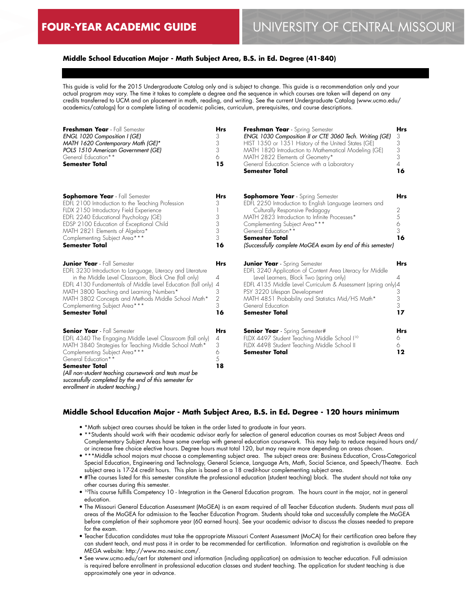## **Middle School Education Major - Math Subject Area, B.S. in Ed. Degree (41-840)**

This guide is valid for the 2015 Undergraduate Catalog only and is subject to change. This guide is a recommendation only and your actual program may vary. The time it takes to complete a degree and the sequence in which courses are taken will depend on any credits transferred to UCM and on placement in math, reading, and writing. See the current Undergraduate Catalog (www.ucmo.edu/ academics/catalogs) for a complete listing of academic policies, curriculum, prerequisites, and course descriptions.

| Freshman Year - Fall Semester<br>ENGL 1020 Composition I (GE)<br>MATH 1620 Contemporary Math (GE)*<br>POLS 1510 American Government (GE)<br>General Education**<br><b>Semester Total</b>                                                                                                                                                                                                          | <b>Hrs</b><br>3<br>3<br>3<br>6<br>15                   | Freshman Year - Spring Semester<br>ENGL 1030 Composition II or CTE 3060 Tech. Writing (GE)<br>HIST 1350 or 1351 History of the United States (GE)<br>MATH 1820 Introduction to Mathematical Modeling (GE)<br>MATH 2822 Elements of Geometry*<br>General Education Science with a Laboratory<br><b>Semester Total</b>                       | <b>Hrs</b><br>3<br>3<br>$\frac{3}{3}$<br>4<br>16 |
|---------------------------------------------------------------------------------------------------------------------------------------------------------------------------------------------------------------------------------------------------------------------------------------------------------------------------------------------------------------------------------------------------|--------------------------------------------------------|--------------------------------------------------------------------------------------------------------------------------------------------------------------------------------------------------------------------------------------------------------------------------------------------------------------------------------------------|--------------------------------------------------|
| <b>Sophomore Year</b> - Fall Semester<br>EDFL 2100 Introduction to the Teaching Profession<br>FLDX 2150 Introductory Field Experience<br>EDFL 2240 Educational Psychology (GE)<br>EDSP 2100 Education of Exceptional Child<br>MATH 2821 Elements of Algebra*<br>Complementing Subject Area***<br><b>Semester Total</b>                                                                            | <b>Hrs</b><br>3<br>1<br>3<br>3<br>3<br>3<br>16         | <b>Sophomore Year</b> - Spring Semester<br>EDFL 2250 Introduction to English Language Learners and<br>Culturally Responsive Pedagogy<br>MATH 2823 Introduction to Infinite Processes*<br>Complementing Subject Area***<br>General Education**<br><b>Semester Total</b><br>(Successfully complete MoGEA exam by end of this semester)       | <b>Hrs</b><br>2<br>5<br>6<br>3<br>16             |
| <b>Junior Year</b> - Fall Semester<br>EDFL 3230 Introduction to Language, Literacy and Literature<br>in the Middle Level Classroom, Block One (fall only)<br>EDFL 4130 Fundamentals of Middle Level Education (fall only)<br>MATH 3800 Teaching and Learning Numbers*<br>MATH 3802 Concepts and Methods Middle School Math*<br>Complementing Subject Area***<br><b>Semester Total</b>             | <b>Hrs</b><br>4<br>4<br>3<br>$\overline{2}$<br>3<br>16 | <b>Junior Year</b> - Spring Semester<br>EDFL 3240 Application of Content Area Literacy for Middle<br>Level Learners, Block Two (spring only)<br>EDFL 4135 Middle Level Curriculum & Assessment (spring only)4<br>PSY 3220 Lifespan Development<br>MATH 4851 Probability and Statistics Mid/HS Math*<br>General Education<br>Semester Total | <b>Hrs</b><br>4<br>3<br>3<br>3<br>17             |
| <b>Senior Year</b> - Fall Semester<br>EDFL 4340 The Engaging Middle Level Classroom (fall only)<br>MATH 3840 Strategies for Teaching Middle School Math*<br>Complementing Subject Area***<br>General Education**<br><b>Semester Total</b><br>(All non-student teaching coursework and tests must be<br>successfully completed by the end of this semester for<br>enrollment in student teaching.) | <b>Hrs</b><br>4<br>3<br>6<br>5<br>18                   | <b>Senior Year</b> - Spring Semester#<br>FLDX 4497 Student Teaching Middle School I <sup>10</sup><br>FLDX 4498 Student Teaching Middle School II<br>Semester Total                                                                                                                                                                         | Hrs<br>6<br>6<br>12                              |

## **Middle School Education Major - Math Subject Area, B.S. in Ed. Degree - 120 hours minimum**

- \*Math subject area courses should be taken in the order listed to graduate in four years.
- \*\*Students should work with their academic advisor early for selection of general education courses as most Subject Areas and Complementary Subject Areas have some overlap with general education coursework. This may help to reduce required hours and/ or increase free choice elective hours. Degree hours must total 120, but may require more depending on areas chosen.
- \*\*\*Middle school majors must choose a complementing subject area. The subject areas are: Business Education, Cross-Categorical Special Education, Engineering and Technology, General Science, Language Arts, Math, Social Science, and Speech/Theatre. Each subject area is 17-24 credit hours. This plan is based on a 18 credit-hour complementing subject area.
- #The courses listed for this semester constitute the professional education (student teaching) block. The student should not take any other courses during this semester.
- <sup>10</sup>This course fulfills Competency 10 Integration in the General Education program. The hours count in the major, not in general education.
- The Missouri General Education Assessment (MoGEA) is an exam required of all Teacher Education students. Students must pass all areas of the MoGEA for admission to the Teacher Education Program. Students should take and successfully complete the MoGEA before completion of their sophomore year (60 earned hours). See your academic advisor to discuss the classes needed to prepare for the exam.
- Teacher Education candidates must take the appropriate Missouri Content Assessment (MoCA) for their certification area before they can student teach, and must pass it in order to be recommended for certification. Information and registration is available on the MEGA website: http://www.mo.nesinc.com/.
- See www.ucmo.edu/cert for statement and information (including application) on admission to teacher education. Full admission is required before enrollment in professional education classes and student teaching. The application for student teaching is due approximately one year in advance.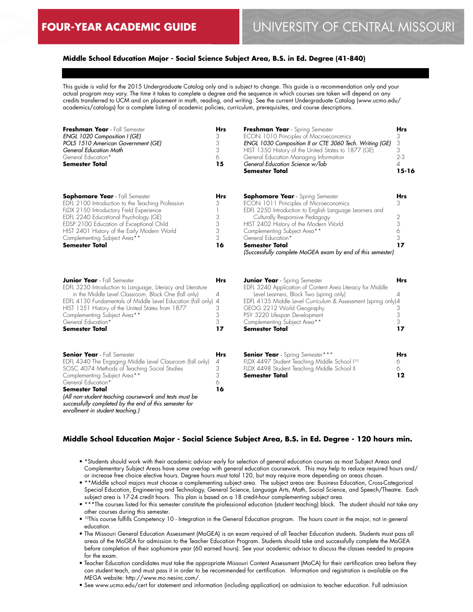## **Middle School Education Major - Social Science Subject Area, B.S. in Ed. Degree (41-840)**

This guide is valid for the 2015 Undergraduate Catalog only and is subject to change. This guide is a recommendation only and your actual program may vary. The time it takes to complete a degree and the sequence in which courses are taken will depend on any credits transferred to UCM and on placement in math, reading, and writing. See the current Undergraduate Catalog (www.ucmo.edu/ academics/catalogs) for a complete listing of academic policies, curriculum, prerequisites, and course descriptions.

| Freshman Year - Fall Semester<br>ENGL 1020 Composition I (GE)<br>POLS 1510 American Government (GE)<br>General Education Math<br>General Education*<br><b>Semester Total</b>                                                                                                                                                                                                           | <b>Hrs</b><br>3<br>3<br>3<br>6<br>15            | Freshman Year - Spring Semester<br>ECON 1010 Principles of Macroeconomics<br>ENGL 1030 Composition II or CTE 3060 Tech. Writing (GE)<br>HIST 1350 History of the United States to 1877 (GE)<br>General Education Managing Information<br>General Education Science w/lab<br><b>Semester Total</b>                                                                    | Hrs<br>3<br>3<br>3<br>$2 - 3$<br>4<br>$15 - 16$ |
|----------------------------------------------------------------------------------------------------------------------------------------------------------------------------------------------------------------------------------------------------------------------------------------------------------------------------------------------------------------------------------------|-------------------------------------------------|----------------------------------------------------------------------------------------------------------------------------------------------------------------------------------------------------------------------------------------------------------------------------------------------------------------------------------------------------------------------|-------------------------------------------------|
| Sophomore Year - Fall Semester<br>EDFL 2100 Introduction to the Teaching Profession<br>FLDX 2150 Introductory Field Experience<br>EDFL 2240 Educational Psychology (GE)<br>EDSP 2100 Education of Exceptional Child<br>HIST 2401 History of the Early Modern World<br>Complementing Subject Area**<br><b>Semester Total</b>                                                            | Hrs<br>3<br>3<br>3<br>3<br>3<br>16              | <b>Sophomore Year</b> - Spring Semester<br>ECON 1011 Principles of Microeconomics<br>EDFL 2250 Introduction to English Language Learners and<br>Culturally Responsive Pedagogy<br>HIST 2402 History of the Modern World<br>Complementing Subject Area**<br>General Education*<br><b>Semester Total</b><br>(Successfully complete MoGEA exam by end of this semester) | Hrs<br>3<br>2<br>3<br>6<br>3<br>17              |
| <b>Junior Year</b> - Fall Semester<br>EDFL 3230 Introduction to Language, Literacy and Literature<br>in the Middle Level Classroom, Block One (fall only)<br>EDFL 4130 Fundamentals of Middle Level Education (fall only)<br>HIST 1351 History of the United States from 1877<br>Complementing Subject Area**<br>General Education*<br><b>Semester Total</b>                           | Hrs<br>4<br>$\overline{A}$<br>3<br>3<br>3<br>17 | <b>Junior Year</b> - Spring Semester<br>EDFL 3240 Application of Content Area Literacy for Middle<br>Level Learners, Block Two (spring only)<br>EDFL 4135 Middle Level Curriculum & Assessment (spring only)4<br>GEOG 2212 World Geography<br>PSY 3220 Lifespan Development<br>Complementing Subject Area**<br><b>Semester Total</b>                                 | Hrs<br>4<br>3<br>3<br>3<br>17                   |
| <b>Senior Year</b> - Fall Semester<br>EDFL 4340 The Engaging Middle Level Classroom (fall only)<br>SOSC 4074 Methods of Teaching Social Studies<br>Complementing Subject Area**<br>General Education*<br><b>Semester Total</b><br>(All non-student teaching coursework and tests must be<br>successfully completed by the end of this semester for<br>enrollment in student teaching.) | <b>Hrs</b><br>4<br>3<br>3<br>6<br>16            | <b>Senior Year</b> - Spring Semester***<br>FLDX 4497 Student Teaching Middle School I <sup>10</sup><br>FLDX 4498 Student Teaching Middle School II<br>Semester Total                                                                                                                                                                                                 | <b>Hrs</b><br>6<br>6<br>12                      |

#### **Middle School Education Major - Social Science Subject Area, B.S. in Ed. Degree - 120 hours min.**

- \*Students should work with their academic advisor early for selection of general education courses as most Subject Areas and Complementary Subject Areas have some overlap with general education coursework. This may help to reduce required hours and/ or increase free choice elective hours. Degree hours must total 120, but may require more depending on areas chosen.
- \*\*Middle school majors must choose a complementing subject area. The subject areas are: Business Education, Cross-Categorical Special Education, Engineering and Technology, General Science, Language Arts, Math, Social Science, and Speech/Theatre. Each subject area is 17-24 credit hours. This plan is based on a 18 credit-hour complementing subject area.
- \*\*\*The courses listed for this semester constitute the professional education (student teaching) block. The student should not take any other courses during this semester.
- 10This course fulfills Competency 10 Integration in the General Education program. The hours count in the major, not in general education.
- The Missouri General Education Assessment (MoGEA) is an exam required of all Teacher Education students. Students must pass all areas of the MoGEA for admission to the Teacher Education Program. Students should take and successfully complete the MoGEA before completion of their sophomore year (60 earned hours). See your academic advisor to discuss the classes needed to prepare for the exam.
- Teacher Education candidates must take the appropriate Missouri Content Assessment (MoCA) for their certification area before they can student teach, and must pass it in order to be recommended for certification. Information and registration is available on the MEGA website: http://www.mo.nesinc.com/.
- See www.ucmo.edu/cert for statement and information (including application) on admission to teacher education. Full admission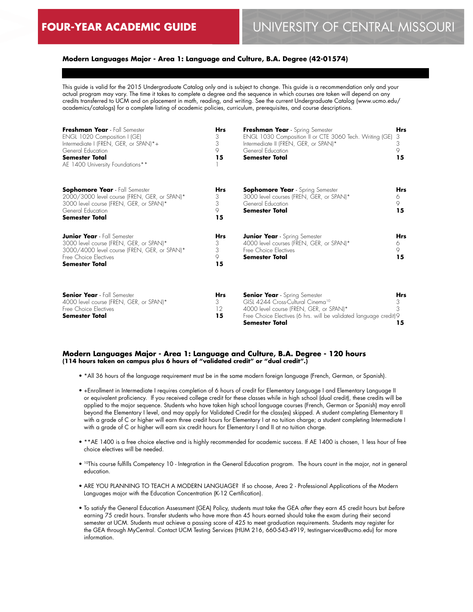## **Modern Languages Major - Area 1: Language and Culture, B.A. Degree (42-01574)**

This guide is valid for the 2015 Undergraduate Catalog only and is subject to change. This guide is a recommendation only and your actual program may vary. The time it takes to complete a degree and the sequence in which courses are taken will depend on any credits transferred to UCM and on placement in math, reading, and writing. See the current Undergraduate Catalog (www.ucmo.edu/ academics/catalogs) for a complete listing of academic policies, curriculum, prerequisites, and course descriptions.

| Freshman Year - Fall Semester<br>ENGL 1020 Composition I (GE)<br>Intermediate I (FREN, GER, or SPAN)*+<br>General Education<br><b>Semester Total</b><br>AE 1400 University Foundations** | Hrs<br>3<br>3<br>9<br>15 | Freshman Year - Spring Semester<br>ENGL 1030 Composition II or CTE 3060 Tech. Writing (GE)<br>Intermediate II (FREN, GER, or SPAN)*<br>General Education<br>Semester Total                                                     | Hrs<br>3<br>3<br>9<br>15   |
|------------------------------------------------------------------------------------------------------------------------------------------------------------------------------------------|--------------------------|--------------------------------------------------------------------------------------------------------------------------------------------------------------------------------------------------------------------------------|----------------------------|
| <b>Sophomore Year</b> - Fall Semester<br>2000/3000 level course (FREN, GER, or SPAN)*<br>3000 level course (FREN, GER, or SPAN)*<br>General Education<br><b>Semester Total</b>           | Hrs<br>3<br>3<br>9<br>15 | <b>Sophomore Year</b> - Spring Semester<br>3000 level courses (FREN, GER, or SPAN)*<br>General Education<br><b>Semester Total</b>                                                                                              | <b>Hrs</b><br>6<br>9<br>15 |
| <b>Junior Year</b> - Fall Semester<br>3000 level course (FREN, GER, or SPAN)*<br>3000/4000 level course (FREN, GER, or SPAN)*<br>Free Choice Flectives<br><b>Semester Total</b>          | Hrs<br>3<br>3<br>9<br>15 | <b>Junior Year</b> - Spring Semester<br>4000 level courses (FREN, GER, or SPAN)*<br>Free Choice Flectives<br>Semester Total                                                                                                    | <b>Hrs</b><br>6<br>9<br>15 |
| <b>Senior Year</b> - Fall Semester<br>4000 level course (FREN, GER, or SPAN)*<br>Free Choice Electives<br><b>Semester Total</b>                                                          | Hrs<br>3<br>12<br>15     | <b>Senior Year</b> - Spring Semester<br>GISL 4244 Cross-Cultural Cinema <sup>10</sup><br>4000 level course (FREN, GER, or SPAN)*<br>Free Choice Electives (6 hrs. will be validated language credit)9<br><b>Semester Total</b> | <b>Hrs</b><br>3<br>3<br>15 |

#### **Modern Languages Major - Area 1: Language and Culture, B.A. Degree - 120 hours (114 hours taken on campus plus 6 hours of "validated credit" or "dual credit".)**

- \*All 36 hours of the language requirement must be in the same modern foreign language (French, German, or Spanish).
- +Enrollment in Intermediate I requires completion of 6 hours of credit for Elementary Language I and Elementary Language II or equivalent proficiency. If you received college credit for these classes while in high school (dual credit), these credits will be applied to the major sequence. Students who have taken high school language courses (French, German or Spanish) may enroll beyond the Elementary I level, and may apply for Validated Credit for the class(es) skipped. A student completing Elementary II with a grade of C or higher will earn three credit hours for Elementary I at no tuition charge; a student completing Intermediate I with a grade of C or higher will earn six credit hours for Elementary I and II at no tuition charge.
- \*\*AE 1400 is a free choice elective and is highly recommended for academic success. If AE 1400 is chosen, 1 less hour of free choice electives will be needed.
- 10This course fulfills Competency 10 Integration in the General Education program. The hours count in the major, not in general education.
- ARE YOU PLANNING TO TEACH A MODERN LANGUAGE? If so choose, Area 2 Professional Applications of the Modern Languages major with the Education Concentration (K-12 Certification).
- To satisfy the General Education Assessment (GEA) Policy, students must take the GEA *after* they earn 45 credit hours but *before* earning 75 credit hours. Transfer students who have more than 45 hours earned should take the exam during their second semester at UCM. Students must achieve a passing score of 425 to meet graduation requirements. Students may register for the GEA through MyCentral. Contact UCM Testing Services (HUM 216, 660-543-4919, testingservices@ucmo.edu) for more information.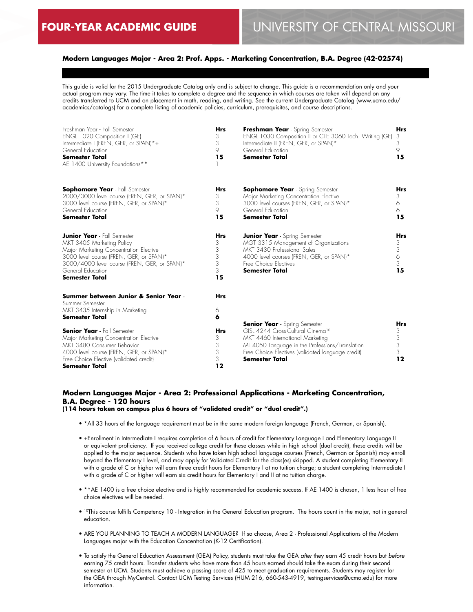## **Modern Languages Major - Area 2: Prof. Apps. - Marketing Concentration, B.A. Degree (42-02574)**

This guide is valid for the 2015 Undergraduate Catalog only and is subject to change. This guide is a recommendation only and your actual program may vary. The time it takes to complete a degree and the sequence in which courses are taken will depend on any credits transferred to UCM and on placement in math, reading, and writing. See the current Undergraduate Catalog (www.ucmo.edu/ academics/catalogs) for a complete listing of academic policies, curriculum, prerequisites, and course descriptions.

| Freshman Year - Fall Semester<br>ENGL 1020 Composition I (GE)<br>Intermediate I (FREN, GER, or SPAN)*+<br>General Education<br><b>Semester Total</b><br>AE 1400 University Foundations**                                                           | <b>Hrs</b><br>3<br>3<br>9<br>15           | Freshman Year - Spring Semester<br>ENGL 1030 Composition II or CTE 3060 Tech. Writing (GE)<br>Intermediate II (FREN, GER, or SPAN)*<br>General Education<br><b>Semester Total</b>                                                                          | <b>Hrs</b><br>3<br>3<br>9<br>15      |
|----------------------------------------------------------------------------------------------------------------------------------------------------------------------------------------------------------------------------------------------------|-------------------------------------------|------------------------------------------------------------------------------------------------------------------------------------------------------------------------------------------------------------------------------------------------------------|--------------------------------------|
| <b>Sophomore Year</b> - Fall Semester<br>2000/3000 level course (FREN, GER, or SPAN)*<br>3000 level course (FREN, GER, or SPAN)*<br>General Education<br><b>Semester Total</b>                                                                     | Hrs<br>3<br>3<br>9<br>15                  | <b>Sophomore Year</b> - Spring Semester<br>Major Marketing Concentration Elective<br>3000 level courses (FREN, GER, or SPAN)*<br>General Education<br><b>Semester Total</b>                                                                                | <b>Hrs</b><br>3<br>6<br>6<br>15      |
| <b>Junior Year</b> - Fall Semester<br>MKT 3405 Marketing Policy<br>Major Marketing Concentration Elective<br>3000 level course (FREN, GER, or SPAN)*<br>3000/4000 level course (FREN, GER, or SPAN)*<br>General Education<br><b>Semester Total</b> | <b>Hrs</b><br>3<br>3<br>3<br>3<br>3<br>15 | <b>Junior Year</b> - Spring Semester<br>MGT 3315 Management of Organizations<br>MKT 3430 Professional Sales<br>4000 level courses (FREN, GER, or SPAN)*<br>Free Choice Electives<br><b>Semester Total</b>                                                  | <b>Hrs</b><br>3<br>3<br>6<br>3<br>15 |
| Summer between Junior & Senior Year -<br>Summer Semester<br>MKT 3435 Internship in Marketing<br><b>Semester Total</b>                                                                                                                              | <b>Hrs</b><br>6<br>6                      |                                                                                                                                                                                                                                                            |                                      |
| <b>Senior Year</b> - Fall Semester<br>Major Marketing Concentration Elective<br>MKT 3480 Consumer Behavior<br>4000 level course (FREN, GER, or SPAN)*<br>Free Choice Elective (validated credit)<br>Semester Total                                 | <b>Hrs</b><br>3<br>3<br>3<br>3<br>12      | <b>Senior Year</b> - Spring Semester<br>GISL 4244 Cross-Cultural Cinema <sup>10</sup><br>MKT 4460 International Marketing<br>ML 4050 Language in the Professions/Translation<br>Free Choice Electives (validated language credit)<br><b>Semester Total</b> | <b>Hrs</b><br>3<br>3<br>3<br>3<br>12 |

#### **Modern Languages Major - Area 2: Professional Applications - Marketing Concentration, B.A. Degree - 120 hours (114 hours taken on campus plus 6 hours of "validated credit" or "dual credit".)**

- \*All 33 hours of the language requirement must be in the same modern foreign language (French, German, or Spanish).
- +Enrollment in Intermediate I requires completion of 6 hours of credit for Elementary Language I and Elementary Language II or equivalent proficiency. If you received college credit for these classes while in high school (dual credit), these credits will be applied to the major sequence. Students who have taken high school language courses (French, German or Spanish) may enroll beyond the Elementary I level, and may apply for Validated Credit for the class(es) skipped. A student completing Elementary II with a grade of C or higher will earn three credit hours for Elementary I at no tuition charge; a student completing Intermediate I with a grade of C or higher will earn six credit hours for Elementary I and II at no tuition charge.
- \*\*AE 1400 is a free choice elective and is highly recommended for academic success. If AE 1400 is chosen, 1 less hour of free choice electives will be needed.
- 10This course fulfills Competency 10 Integration in the General Education program. The hours count in the major, not in general education.
- ARE YOU PLANNING TO TEACH A MODERN LANGUAGE? If so choose, Area 2 Professional Applications of the Modern Languages major with the Education Concentration (K-12 Certification).
- To satisfy the General Education Assessment (GEA) Policy, students must take the GEA *after* they earn 45 credit hours but *before* earning 75 credit hours. Transfer students who have more than 45 hours earned should take the exam during their second semester at UCM. Students must achieve a passing score of 425 to meet graduation requirements. Students may register for the GEA through MyCentral. Contact UCM Testing Services (HUM 216, 660-543-4919, testingservices@ucmo.edu) for more information.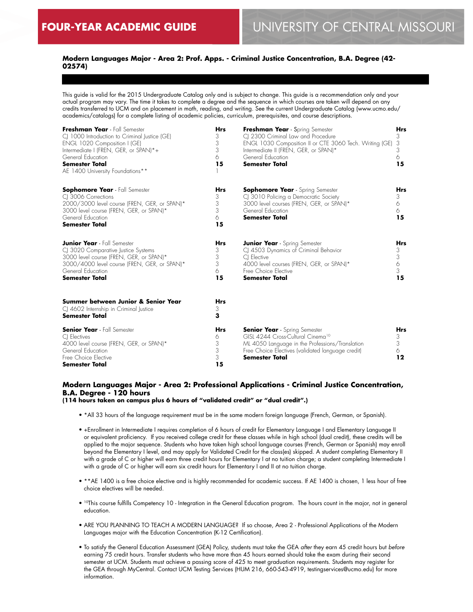## **Modern Languages Major - Area 2: Prof. Apps. - Criminal Justice Concentration, B.A. Degree (42- 02574)**

This guide is valid for the 2015 Undergraduate Catalog only and is subject to change. This guide is a recommendation only and your actual program may vary. The time it takes to complete a degree and the sequence in which courses are taken will depend on any credits transferred to UCM and on placement in math, reading, and writing. See the current Undergraduate Catalog (www.ucmo.edu/ academics/catalogs) for a complete listing of academic policies, curriculum, prerequisites, and course descriptions.

| Freshman Year - Fall Semester<br>CJ 1000 Introduction to Criminal Justice (GE)<br>ENGL 1020 Composition I (GE)<br>Intermediate I (FREN, GER, or SPAN)*+<br>General Education<br><b>Semester Total</b><br>AE 1400 University Foundations** | <b>Hrs</b><br>3<br>3<br>3<br>6<br>15 | Freshman Year - Spring Semester<br>CJ 2300 Criminal Law and Procedure<br>ENGL 1030 Composition II or CTE 3060 Tech. Writing (GE)<br>Intermediate II (FREN, GER, or SPAN)*<br>General Education<br><b>Semester Total</b> | <b>Hrs</b><br>3<br>3<br>3<br>6<br>15 |
|-------------------------------------------------------------------------------------------------------------------------------------------------------------------------------------------------------------------------------------------|--------------------------------------|-------------------------------------------------------------------------------------------------------------------------------------------------------------------------------------------------------------------------|--------------------------------------|
| <b>Sophomore Year</b> - Fall Semester<br>CI 3006 Corrections<br>2000/3000 level course (FREN, GER, or SPAN)*<br>3000 level course (FREN, GER, or SPAN)*<br>General Education<br><b>Semester Total</b>                                     | <b>Hrs</b><br>3<br>3<br>3<br>6<br>15 | <b>Sophomore Year</b> - Spring Semester<br>CJ 3010 Policing a Democratic Society<br>3000 level courses (FREN, GER, or SPAN)*<br>General Education<br><b>Semester Total</b>                                              | <b>Hrs</b><br>3<br>6<br>6.<br>15     |
| <b>Junior Year</b> - Fall Semester<br>CJ 3020 Comparative Justice Systems<br>3000 level course (FREN, GER, or SPAN)*<br>3000/4000 level course (FREN, GER, or SPAN)*<br>General Education<br><b>Semester Total</b>                        | <b>Hrs</b><br>3<br>3<br>3<br>6<br>15 | <b>Junior Year</b> - Spring Semester<br>CJ 4503 Dynamics of Criminal Behavior<br>CI Elective<br>4000 level courses (FREN, GER, or SPAN)*<br>Free Choice Elective<br>Semester Total                                      | <b>Hrs</b><br>3<br>3<br>6<br>3<br>15 |
| Summer between Junior & Senior Year<br>CJ 4602 Internship in Criminal Justice<br><b>Semester Total</b>                                                                                                                                    | <b>Hrs</b><br>3<br>3                 |                                                                                                                                                                                                                         |                                      |
| <b>Senior Year</b> - Fall Semester<br>CI Electives<br>4000 level course (FREN, GER, or SPAN)*<br>General Education<br>Free Choice Elective<br><b>Semester Total</b>                                                                       | <b>Hrs</b><br>6<br>3<br>3<br>3<br>15 | <b>Senior Year</b> - Spring Semester<br>GISL 4244 Cross-Cultural Cinema <sup>10</sup><br>ML 4050 Language in the Professions/Translation<br>Free Choice Electives (validated language credit)<br><b>Semester Total</b>  | <b>Hrs</b><br>3<br>3<br>6<br>12      |

## **Modern Languages Major - Area 2: Professional Applications - Criminal Justice Concentration, B.A. Degree - 120 hours**

**(114 hours taken on campus plus 6 hours of "validated credit" or "dual credit".)**

- \*All 33 hours of the language requirement must be in the same modern foreign language (French, German, or Spanish).
- +Enrollment in Intermediate I requires completion of 6 hours of credit for Elementary Language I and Elementary Language II or equivalent proficiency. If you received college credit for these classes while in high school (dual credit), these credits will be applied to the major sequence. Students who have taken high school language courses (French, German or Spanish) may enroll beyond the Elementary I level, and may apply for Validated Credit for the class(es) skipped. A student completing Elementary II with a grade of C or higher will earn three credit hours for Elementary I at no tuition charge; a student completing Intermediate I with a grade of C or higher will earn six credit hours for Elementary I and II at no tuition charge.
- \*\*AE 1400 is a free choice elective and is highly recommended for academic success. If AE 1400 is chosen, 1 less hour of free choice electives will be needed.
- 10This course fulfills Competency 10 Integration in the General Education program. The hours count in the major, not in general education.
- ARE YOU PLANNING TO TEACH A MODERN LANGUAGE? If so choose, Area 2 Professional Applications of the Modern Languages major with the Education Concentration (K-12 Certification).
- To satisfy the General Education Assessment (GEA) Policy, students must take the GEA *after* they earn 45 credit hours but *before* earning 75 credit hours. Transfer students who have more than 45 hours earned should take the exam during their second semester at UCM. Students must achieve a passing score of 425 to meet graduation requirements. Students may register for the GEA through MyCentral. Contact UCM Testing Services (HUM 216, 660-543-4919, testingservices@ucmo.edu) for more information.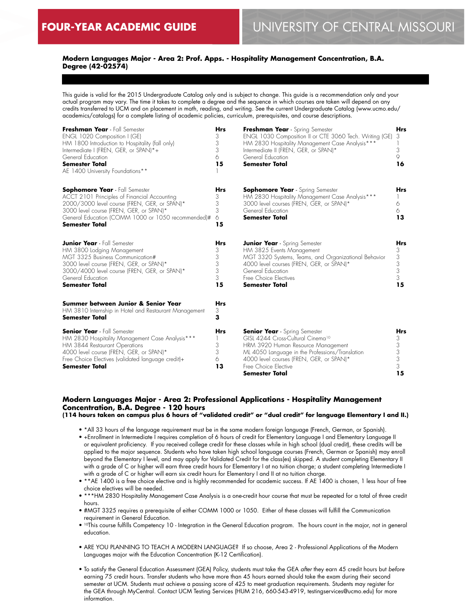## **Modern Languages Major - Area 2: Prof. Apps. - Hospitality Management Concentration, B.A. Degree (42-02574)**

This guide is valid for the 2015 Undergraduate Catalog only and is subject to change. This guide is a recommendation only and your actual program may vary. The time it takes to complete a degree and the sequence in which courses are taken will depend on any credits transferred to UCM and on placement in math, reading, and writing. See the current Undergraduate Catalog (www.ucmo.edu/ academics/catalogs) for a complete listing of academic policies, curriculum, prerequisites, and course descriptions.

| Freshman Year - Fall Semester<br>ENGL 1020 Composition I (GE)<br>HM 1800 Introduction to Hospitality (fall only)<br>Intermediate I (FREN, GER, or SPAN)*+<br>General Education<br><b>Semester Total</b><br>AE 1400 University Foundations**                     | <b>Hrs</b><br>3<br>3<br>3<br>6<br>15 | Freshman Year - Spring Semester<br>ENGL 1030 Composition II or CTE 3060 Tech. Writing (GE)<br>HM 2830 Hospitality Management Case Analysis***<br>Intermediate II (FREN, GER, or SPAN)*<br>General Education<br><b>Semester Total</b>                                        | <b>Hrs</b><br>3<br>3<br>9<br>16           |
|-----------------------------------------------------------------------------------------------------------------------------------------------------------------------------------------------------------------------------------------------------------------|--------------------------------------|-----------------------------------------------------------------------------------------------------------------------------------------------------------------------------------------------------------------------------------------------------------------------------|-------------------------------------------|
| <b>Sophomore Year</b> - Fall Semester<br>ACCT 2101 Principles of Financial Accounting<br>2000/3000 level course (FREN, GER, or SPAN)*<br>3000 level course (FREN, GER, or SPAN)*<br>General Education (COMM 1000 or 1050 recommended)#<br><b>Semester Total</b> | Hrs<br>3<br>3<br>3<br>6<br>15        | <b>Sophomore Year</b> - Spring Semester<br>HM 2830 Hospitality Management Case Analysis***<br>3000 level courses (FREN, GER, or SPAN)*<br>General Education<br><b>Semester Total</b>                                                                                        | <b>Hrs</b><br>6<br>6<br>13                |
| <b>Junior Year</b> - Fall Semester<br>HM 3800 Lodging Management<br>MGT 3325 Business Communication#<br>3000 level course (FREN, GER, or SPAN)*<br>3000/4000 level course (FREN, GER, or SPAN)*<br>General Education<br><b>Semester Total</b>                   | Hrs<br>3<br>3<br>3<br>3<br>3<br>15   | <b>Junior Year</b> - Spring Semester<br>HM 3825 Events Management<br>MGT 3320 Systems, Teams, and Organizational Behavior<br>4000 level courses (FREN, GER, or SPAN)*<br>General Education<br>Free Choice Electives<br><b>Semester Total</b>                                | Hrs<br>3<br>3<br>3<br>3<br>3<br>15        |
| Summer between Junior & Senior Year<br>HM 3810 Internship in Hotel and Restaurant Management<br>Semester Total                                                                                                                                                  | <b>Hrs</b><br>3<br>3                 |                                                                                                                                                                                                                                                                             |                                           |
| <b>Senior Year</b> - Fall Semester<br>HM 2830 Hospitality Management Case Analysis***<br>HM 3844 Restaurant Operations<br>4000 level course (FREN, GER, or SPAN)*<br>Free Choice Electives (validated language credit)+<br><b>Semester Total</b>                | Hrs<br>3<br>3<br>6<br>13             | <b>Senior Year</b> - Spring Semester<br>GISL 4244 Cross-Cultural Cinema <sup>10</sup><br>HRM 3920 Human Resource Management<br>ML 4050 Language in the Professions/Translation<br>4000 level courses (FREN, GER, or SPAN)*<br>Free Choice Elective<br><b>Semester Total</b> | <b>Hrs</b><br>3<br>3<br>3<br>3<br>3<br>15 |

## **Modern Languages Major - Area 2: Professional Applications - Hospitality Management Concentration, B.A. Degree - 120 hours**

**(114 hours taken on campus plus 6 hours of "validated credit" or "dual credit" for language Elementary I and II.)**

- \*All 33 hours of the language requirement must be in the same modern foreign language (French, German, or Spanish).
- +Enrollment in Intermediate I requires completion of 6 hours of credit for Elementary Language I and Elementary Language II or equivalent proficiency. If you received college credit for these classes while in high school (dual credit), these credits will be applied to the major sequence. Students who have taken high school language courses (French, German or Spanish) may enroll beyond the Elementary I level, and may apply for Validated Credit for the class(es) skipped. A student completing Elementary II with a grade of C or higher will earn three credit hours for Elementary I at no tuition charge; a student completing Intermediate I with a grade of C or higher will earn six credit hours for Elementary I and II at no tuition charge.
- \*\*AE 1400 is a free choice elective and is highly recommended for academic success. If AE 1400 is chosen, 1 less hour of free choice electives will be needed.
- \*\*\*HM 2830 Hospitality Management Case Analysis is a one-credit hour course that must be repeated for a total of three credit hours.
- #MGT 3325 requires a prerequisite of either COMM 1000 or 1050. Either of these classes will fulfill the Communication requirement in General Education.
- 10This course fulfills Competency 10 Integration in the General Education program. The hours count in the major, not in general education.
- ARE YOU PLANNING TO TEACH A MODERN LANGUAGE? If so choose, Area 2 Professional Applications of the Modern Languages major with the Education Concentration (K-12 Certification).
- To satisfy the General Education Assessment (GEA) Policy, students must take the GEA *after* they earn 45 credit hours but *before* earning 75 credit hours. Transfer students who have more than 45 hours earned should take the exam during their second semester at UCM. Students must achieve a passing score of 425 to meet graduation requirements. Students may register for the GEA through MyCentral. Contact UCM Testing Services (HUM 216, 660-543-4919, testingservices@ucmo.edu) for more information.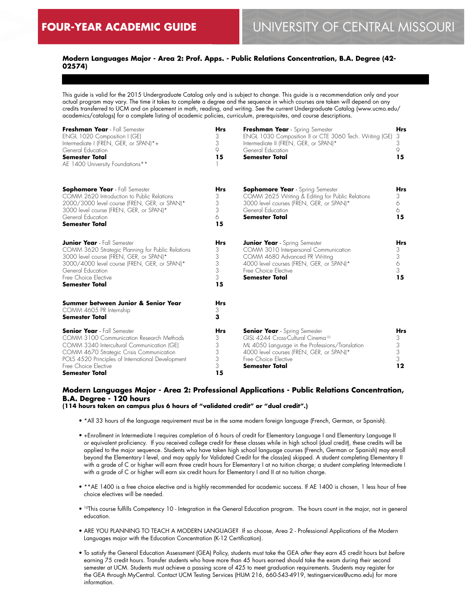## **Modern Languages Major - Area 2: Prof. Apps. - Public Relations Concentration, B.A. Degree (42- 02574)**

This guide is valid for the 2015 Undergraduate Catalog only and is subject to change. This guide is a recommendation only and your actual program may vary. The time it takes to complete a degree and the sequence in which courses are taken will depend on any credits transferred to UCM and on placement in math, reading, and writing. See the current Undergraduate Catalog (www.ucmo.edu/ academics/catalogs) for a complete listing of academic policies, curriculum, prerequisites, and course descriptions.

| Freshman Year - Fall Semester<br>ENGL 1020 Composition I (GE)<br>Intermediate I (FREN, GER, or SPAN)*+<br>General Education<br><b>Semester Total</b><br>AE 1400 University Foundations**                                                                                       | <b>Hrs</b><br>3<br>3<br>9<br>15           | Freshman Year - Spring Semester<br>ENGL 1030 Composition II or CTE 3060 Tech. Writing (GE)<br>Intermediate II (FREN, GER, or SPAN)*<br>General Education<br><b>Semester Total</b>                                                     | <b>Hrs</b><br>3<br>3<br>9<br>15                              |
|--------------------------------------------------------------------------------------------------------------------------------------------------------------------------------------------------------------------------------------------------------------------------------|-------------------------------------------|---------------------------------------------------------------------------------------------------------------------------------------------------------------------------------------------------------------------------------------|--------------------------------------------------------------|
| <b>Sophomore Year</b> - Fall Semester<br>COMM 2620 Introduction to Public Relations<br>2000/3000 level course (FREN, GER, or SPAN)*<br>3000 level course (FREN, GER, or SPAN)*<br>General Education<br><b>Semester Total</b>                                                   | <b>Hrs</b><br>3<br>3<br>3<br>6<br>15      | <b>Sophomore Year</b> - Spring Semester<br>COMM 2625 Writing & Editing for Public Relations<br>3000 level courses (FREN, GER, or SPAN)*<br>General Education<br><b>Semester Total</b>                                                 | <b>Hrs</b><br>3<br>6<br>6<br>15                              |
| <b>Junior Year</b> - Fall Semester<br>COMM 3620 Strategic Planning for Public Relations<br>3000 level course (FREN, GER, or SPAN)*<br>3000/4000 level course (FREN, GER, or SPAN)*<br>General Education<br>Free Choice Elective<br><b>Semester Total</b>                       | Hrs<br>3<br>3<br>3<br>3<br>3<br>15        | <b>Junior Year</b> - Spring Semester<br>COMM 3010 Interpersonal Communication<br>COMM 4680 Advanced PR Writing<br>4000 level courses (FREN, GER, or SPAN)*<br>Free Choice Elective<br><b>Semester Total</b>                           | <b>Hrs</b><br>$\frac{3}{3}$<br>6<br>3<br>15                  |
| Summer between Junior & Senior Year<br>COMM 4605 PR Internship<br><b>Semester Total</b>                                                                                                                                                                                        | <b>Hrs</b><br>3<br>3                      |                                                                                                                                                                                                                                       |                                                              |
| <b>Senior Year</b> - Fall Semester<br>COMM 3100 Communication Research Methods<br>COMM 3340 Intercultural Communication (GE)<br>COMM 4670 Strategic Crisis Communication<br>POLS 4520 Principles of International Development<br>Free Choice Elective<br><b>Semester Total</b> | <b>Hrs</b><br>3<br>3<br>3<br>3<br>3<br>15 | <b>Senior Year</b> - Spring Semester<br>GISL 4244 Cross-Cultural Cinema <sup>10</sup><br>ML 4050 Language in the Professions/Translation<br>4000 level courses (FREN, GER, or SPAN)*<br>Free Choice Elective<br><b>Semester Total</b> | <b>Hrs</b><br>3<br>$\ensuremath{\mathsf{3}}$<br>3<br>3<br>12 |

## **Modern Languages Major - Area 2: Professional Applications - Public Relations Concentration, B.A. Degree - 120 hours**

**(114 hours taken on campus plus 6 hours of "validated credit" or "dual credit".)**

- \*All 33 hours of the language requirement must be in the same modern foreign language (French, German, or Spanish).
- +Enrollment in Intermediate I requires completion of 6 hours of credit for Elementary Language I and Elementary Language II or equivalent proficiency. If you received college credit for these classes while in high school (dual credit), these credits will be applied to the major sequence. Students who have taken high school language courses (French, German or Spanish) may enroll beyond the Elementary I level, and may apply for Validated Credit for the class(es) skipped. A student completing Elementary II with a grade of C or higher will earn three credit hours for Elementary I at no tuition charge; a student completing Intermediate I with a grade of C or higher will earn six credit hours for Elementary I and II at no tuition charge.
- \*\*AE 1400 is a free choice elective and is highly recommended for academic success. If AE 1400 is chosen, 1 less hour of free choice electives will be needed.
- 10This course fulfills Competency 10 Integration in the General Education program. The hours count in the major, not in general education.
- ARE YOU PLANNING TO TEACH A MODERN LANGUAGE? If so choose, Area 2 Professional Applications of the Modern Languages major with the Education Concentration (K-12 Certification).
- To satisfy the General Education Assessment (GEA) Policy, students must take the GEA *after* they earn 45 credit hours but *before* earning 75 credit hours. Transfer students who have more than 45 hours earned should take the exam during their second semester at UCM. Students must achieve a passing score of 425 to meet graduation requirements. Students may register for the GEA through MyCentral. Contact UCM Testing Services (HUM 216, 660-543-4919, testingservices@ucmo.edu) for more information.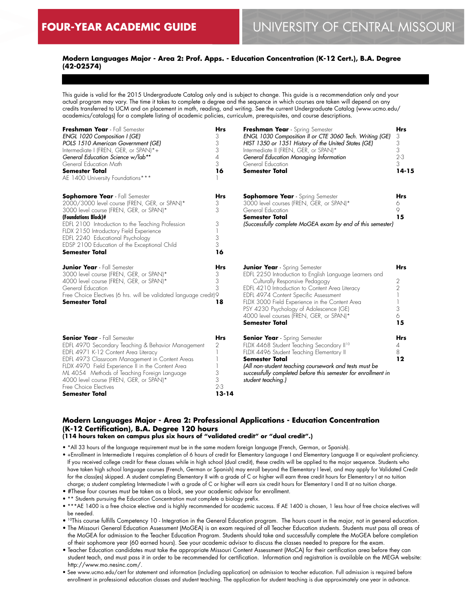## **Modern Languages Major - Area 2: Prof. Apps. - Education Concentration (K-12 Cert.), B.A. Degree (42-02574)**

This guide is valid for the 2015 Undergraduate Catalog only and is subject to change. This guide is a recommendation only and your actual program may vary. The time it takes to complete a degree and the sequence in which courses are taken will depend on any credits transferred to UCM and on placement in math, reading, and writing. See the current Undergraduate Catalog (www.ucmo.edu/ academics/catalogs) for a complete listing of academic policies, curriculum, prerequisites, and course descriptions.

| Freshman Year - Fall Semester<br>ENGL 1020 Composition I (GE)<br>POLS 1510 American Government (GE)<br>Intermediate I (FREN, GER, or SPAN)*+<br>General Education Science w/lab**<br>General Education Math<br><b>Semester Total</b><br>AE 1400 University Foundations***                                                                                                             | Hrs<br>3<br>3<br>3<br>4<br>3<br>16                | Freshman Year - Spring Semester<br>ENGL 1030 Composition II or CTE 3060 Tech. Writing (GE)<br>HIST 1350 or 1351 History of the United States (GE)<br>Intermediate II (FREN, GER, or SPAN)*<br>General Education Managing Information<br>General Education<br><b>Semester Total</b>                                                                                                              | <b>Hrs</b><br>3<br>3<br>3<br>$2 - 3$<br>3<br>$14 - 15$ |
|---------------------------------------------------------------------------------------------------------------------------------------------------------------------------------------------------------------------------------------------------------------------------------------------------------------------------------------------------------------------------------------|---------------------------------------------------|-------------------------------------------------------------------------------------------------------------------------------------------------------------------------------------------------------------------------------------------------------------------------------------------------------------------------------------------------------------------------------------------------|--------------------------------------------------------|
| <b>Sophomore Year</b> - Fall Semester<br>2000/3000 level course (FREN, GER, or SPAN)*<br>3000 level course (FREN, GER, or SPAN)*<br>(Foundations Block)#<br>EDFL 2100 Introduction to the Teaching Profession<br>FLDX 2150 Introductory Field Experience<br>EDFL 2240 Educational Psychology<br>EDSP 2100 Education of the Exceptional Child<br><b>Semester Total</b>                 | <b>Hrs</b><br>3<br>3<br>3<br>3<br>3<br>16         | <b>Sophomore Year</b> - Spring Semester<br>3000 level courses (FREN, GER, or SPAN)*<br>General Education<br><b>Semester Total</b><br>(Successfully complete MoGEA exam by end of this semester)                                                                                                                                                                                                 | <b>Hrs</b><br>6<br>$\circ$<br>15                       |
| <b>Junior Year</b> - Fall Semester<br>3000 level course (FREN, GER, or SPAN)*<br>4000 level course (FREN, GER, or SPAN)*<br>General Education<br>Free Choice Electives (6 hrs. will be validated language credit) 9<br><b>Semester Total</b>                                                                                                                                          | <b>Hrs</b><br>3<br>3<br>3<br>18                   | <b>Junior Year</b> - Spring Semester<br>EDFL 2250 Introduction to English Language Learners and<br>Culturally Responsive Pedagogy<br>EDFL 4210 Introduction to Content Area Literacy<br>EDFL 4974 Content Specific Assessment<br>FLDX 3000 Field Experience in the Content Area<br>PSY 4230 Psychology of Adolescence (GE)<br>4000 level courses (FREN, GER, or SPAN)*<br><b>Semester Total</b> | <b>Hrs</b><br>$\overline{2}$<br>2<br>3<br>6<br>15      |
| <b>Senior Year</b> - Fall Semester<br>EDFL 4970 Secondary Teaching & Behavior Management<br>EDFL 4971 K-12 Content Area Literacy<br>EDFL 4973 Classroom Management in Content Areas<br>FLDX 4970 Field Experience II in the Content Area<br>ML 4054 Methods of Teaching Foreign Language<br>4000 level course (FREN, GER, or SPAN)*<br>Free Choice Electives<br><b>Semester Total</b> | <b>Hrs</b><br>2<br>3<br>3<br>$2 - 3$<br>$13 - 14$ | <b>Senior Year</b> - Spring Semester<br>FLDX 4468 Student Teaching Secondary II <sup>10</sup><br>FLDX 4496 Student Teaching Elementary II<br><b>Semester Total</b><br>(All non-student teaching coursework and tests must be<br>successfully completed before this semester for enrollment in<br>student teaching.)                                                                             | <b>Hrs</b><br>$\overline{A}$<br>8<br>12                |

## **Modern Languages Major - Area 2: Professional Applications - Education Concentration (K-12 Certification), B.A. Degree 120 hours**

**(114 hours taken on campus plus six hours of "validated credit" or "dual credit".)**

• \*All 33 hours of the language requirement must be in the same modern foreign language (French, German, or Spanish).

• +Enrollment in Intermediate I requires completion of 6 hours of credit for Elementary Language I and Elementary Language II or equivalent proficiency. If you received college credit for these classes while in high school (dual credit), these credits will be applied to the major sequence. Students who have taken high school language courses (French, German or Spanish) may enroll beyond the Elementary I level, and may apply for Validated Credit for the class(es) skipped. A student completing Elementary II with a grade of C or higher will earn three credit hours for Elementary I at no tuition charge; a student completing Intermediate I with a grade of C or higher will earn six credit hours for Elementary I and II at no tuition charge.

• #These four courses must be taken as a block, see your academic advisor for enrollment.

- \*\* Students pursuing the Education Concentration must complete a biology prefix.
- \*\*\*AE 1400 is a free choice elective and is highly recommended for academic success. If AE 1400 is chosen, 1 less hour of free choice electives will be needed.

• 10This course fulfills Competency 10 - Integration in the General Education program. The hours count in the major, not in general education.

- The Missouri General Education Assessment (MoGEA) is an exam required of all Teacher Education students. Students must pass all areas of the MoGEA for admission to the Teacher Education Program. Students should take and successfully complete the MoGEA before completion of their sophomore year (60 earned hours). See your academic advisor to discuss the classes needed to prepare for the exam.
- Teacher Education candidates must take the appropriate Missouri Content Assessment (MoCA) for their certification area before they can student teach, and must pass it in order to be recommended for certification. Information and registration is available on the MEGA website: http://www.mo.nesinc.com/.
- See www.ucmo.edu/cert for statement and information (including application) on admission to teacher education. Full admission is required before enrollment in professional education classes and student teaching. The application for student teaching is due approximately one year in advance.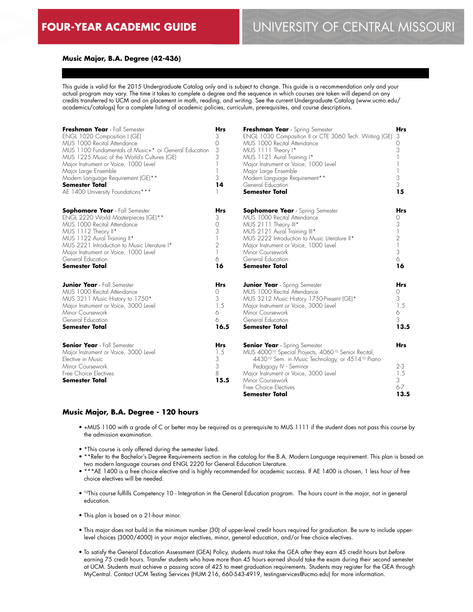#### **Music Major, B.A. Degree (42-436)**

This guide is valid for the 2015 Undergraduate Catalog only and is subject to change. This guide is a recommendation only and your actual program may vary. The time it takes to complete a degree and the sequence in which courses are taken will depend on any credits transferred to UCM and on placement in math, reading, and writing. See the current Undergraduate Catalog (www.ucmo.edu/ academics/catalogs) for a complete listing of academic policies, curriculum, prerequisites, and course descriptions.

| Freshman Year - Fall Semester<br>ENGL 1020 Composition I (GE)<br>MUS 1000 Recital Attendance<br>MUS 1100 Fundamentals of Music+* or General Education<br>MUS 1225 Music of the World's Cultures (GE)<br>Major Instrument or Voice, 1000 Level<br>Major Large Ensemble<br>Modern Language Requirement (GE)**<br><b>Semester Total</b><br>AE 1400 University Foundations*** | <b>Hrs</b><br>3<br>$\Omega$<br>3<br>3<br>3<br>14 | Freshman Year - Spring Semester<br>ENGL 1030 Composition II or CTE 3060 Tech. Writing (GE)<br>MUS 1000 Recital Attendance<br>MUS 1111 Theory I*<br>MUS 1121 Aural Training I*<br>Major Instrument or Voice, 1000 Level<br>Major Large Ensemble<br>Modern Language Requirement**<br>General Education<br><b>Semester Total</b>    | <b>Hrs</b><br>3<br>0<br>3<br>3<br>3<br>15            |
|---------------------------------------------------------------------------------------------------------------------------------------------------------------------------------------------------------------------------------------------------------------------------------------------------------------------------------------------------------------------------|--------------------------------------------------|----------------------------------------------------------------------------------------------------------------------------------------------------------------------------------------------------------------------------------------------------------------------------------------------------------------------------------|------------------------------------------------------|
| <b>Sophomore Year</b> - Fall Semester<br>ENGL 2220 World Masterpieces (GE)**<br>MUS 1000 Recital Attendance<br>MUS 1112 Theory II*<br>MUS 1122 Aural Training II*<br>MUS 2221 Introduction to Music Literature I*<br>Major Instrument or Voice, 1000 Level<br>General Education<br><b>Semester Total</b>                                                                  | Hrs<br>3<br>$\Omega$<br>3<br>2<br>6<br>16        | <b>Sophomore Year</b> - Spring Semester<br>MUS 1000 Recital Attendance<br>MUS 2111 Theory III*<br>MUS 2121 Aural Training III*<br>MUS 2222 Introduction to Music Literature II*<br>Major Instrument or Voice, 1000 Level<br>Minor Coursework<br>General Education<br><b>Semester Total</b>                                       | Hrs<br>0<br>3<br>$\overline{2}$<br>3<br>6<br>16      |
| <b>Junior Year</b> - Fall Semester<br>MUS 1000 Recital Attendance<br>MUS 3211 Music History to 1750*<br>Major Instrument or Voice, 3000 Level<br>Minor Coursework<br>General Education<br><b>Semester Total</b>                                                                                                                                                           | <b>Hrs</b><br>0<br>3<br>1.5<br>6<br>6<br>16.5    | <b>Junior Year</b> - Spring Semester<br>MUS 1000 Recital Attendance<br>MUS 3212 Music History 1750-Present (GE)*<br>Major Instrument or Voice, 3000 Level<br>Minor Coursework<br>General Education<br><b>Semester Total</b>                                                                                                      | Hrs<br>0<br>3<br>1.5<br>6<br>3<br>13.5               |
| <b>Senior Year</b> - Fall Semester<br>Major Instrument or Voice, 3000 Level<br>Elective in Music<br>Minor Coursework<br>Free Choice Electives<br>Semester Total                                                                                                                                                                                                           | <b>Hrs</b><br>1.5<br>3<br>3<br>8<br>15.5         | <b>Senior Year</b> - Spring Semester<br>MUS 4000 <sup>10</sup> Special Projects, 4060 <sup>10</sup> Senior Recital,<br>4430 <sup>10</sup> Sem. in Music Technology, or 4514 <sup>10</sup> Piano<br>Pedagogy IV - Seminar<br>Major Instrument or Voice, 3000 Level<br>Minor Coursework<br>Free Choice Electives<br>Semester Total | <b>Hrs</b><br>$2 - 3$<br>1.5<br>3<br>$6 - 7$<br>13.5 |

#### **Music Major, B.A. Degree - 120 hours**

- +MUS 1100 with a grade of C or better may be required as a prerequisite to MUS 1111 if the student does not pass this course by the admission examination.
- \*This course is only offered during the semester listed.
- \*\*Refer to the Bachelor's Degree Requirements section in the catalog for the B.A. Modern Language requirement. This plan is based on two modern language courses and ENGL 2220 for General Education Literature.
- \*\*\*AE 1400 is a free choice elective and is highly recommended for academic success. If AE 1400 is chosen, 1 less hour of free choice electives will be needed.
- 10This course fulfills Competency 10 Integration in the General Education program. The hours count in the major, not in general education.
- This plan is based on a 21-hour minor.
- This major does not build in the minimum number (30) of upper-level credit hours required for graduation. Be sure to include upperlevel choices (3000/4000) in your major electives, minor, general education, and/or free choice electives.
- To satisfy the General Education Assessment (GEA) Policy, students must take the GEA *after* they earn 45 credit hours but *before* earning 75 credit hours. Transfer students who have more than 45 hours earned should take the exam during their second semester at UCM. Students must achieve a passing score of 425 to meet graduation requirements. Students may register for the GEA through MyCentral. Contact UCM Testing Services (HUM 216, 660-543-4919, testingservices@ucmo.edu) for more information.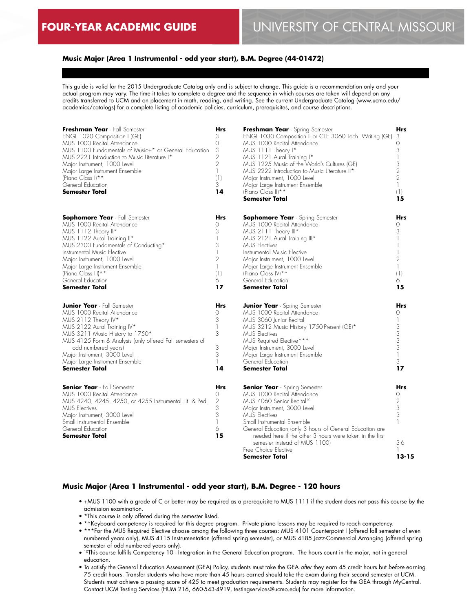## **Music Major (Area 1 Instrumental - odd year start), B.M. Degree (44-01472)**

This guide is valid for the 2015 Undergraduate Catalog only and is subject to change. This guide is a recommendation only and your actual program may vary. The time it takes to complete a degree and the sequence in which courses are taken will depend on any credits transferred to UCM and on placement in math, reading, and writing. See the current Undergraduate Catalog (www.ucmo.edu/ academics/catalogs) for a complete listing of academic policies, curriculum, prerequisites, and course descriptions.

| Freshman Year - Fall Semester<br>ENGL 1020 Composition I (GE)<br>MUS 1000 Recital Attendance<br>MUS 1100 Fundamentals of Music+* or General Education<br>MUS 2221 Introduction to Music Literature I*<br>Major Instrument, 1000 Level<br>Major Large Instrument Ensemble<br>(Piano Class I) **<br>General Education<br><b>Semester Total</b> | Hrs<br>3<br>0<br>3<br>$\overline{2}$<br>$\overline{2}$<br>$\mathbb{I}$<br>(1)<br>3<br>14 | Freshman Year - Spring Semester<br>ENGL 1030 Composition II or CTE 3060 Tech. Writing (GE)<br>MUS 1000 Recital Attendance<br>MUS 1111 Theory I*<br>MUS 1121 Aural Training I*<br>MUS 1225 Music of the World's Cultures (GE)<br>MUS 2222 Introduction to Music Literature II*<br>Major Instrument, 1000 Level<br>Major Large Instrument Ensemble<br>(Piano Class II) **<br><b>Semester Total</b>       | <b>Hrs</b><br>3<br>$\Omega$<br>3<br>$\mathbf{1}$<br>3<br>$\sqrt{2}$<br>$\overline{2}$<br>$\mathbb{I}$<br>(1)<br>15 |
|----------------------------------------------------------------------------------------------------------------------------------------------------------------------------------------------------------------------------------------------------------------------------------------------------------------------------------------------|------------------------------------------------------------------------------------------|--------------------------------------------------------------------------------------------------------------------------------------------------------------------------------------------------------------------------------------------------------------------------------------------------------------------------------------------------------------------------------------------------------|--------------------------------------------------------------------------------------------------------------------|
| <b>Sophomore Year</b> - Fall Semester<br>MUS 1000 Recital Attendance<br>MUS 1112 Theory II*<br>MUS 1122 Aural Training II*<br>MUS 2300 Fundamentals of Conducting*<br>Instrumental Music Elective<br>Major Instrument, 1000 Level<br>Major Large Instrument Ensemble<br>(Piano Class III) **<br>General Education<br><b>Semester Total</b>   | Hrs<br>0<br>3<br>1<br>3<br>1<br>$\overline{2}$<br>$\mathbb{I}$<br>(1)<br>6<br>17         | <b>Sophomore Year</b> - Spring Semester<br>MUS 1000 Recital Attendance<br>MUS 2111 Theory III*<br>MUS 2121 Aural Training III*<br><b>MUS Electives</b><br>Instrumental Music Elective<br>Major Instrument, 1000 Level<br>Major Large Instrument Ensemble<br>(Piano Class IV)**<br>General Education<br><b>Semester Total</b>                                                                           | <b>Hrs</b><br>$\Omega$<br>3<br>$\overline{2}$<br>$\mathbf{1}$<br>(1)<br>6<br>15                                    |
| <b>Junior Year</b> - Fall Semester<br>MUS 1000 Recital Attendance<br>MUS 2112 Theory IV*<br>MUS 2122 Aural Training IV*<br>MUS 3211 Music History to 1750*<br>MUS 4125 Form & Analysis (only offered Fall semesters of<br>odd numbered years)<br>Major Instrument, 3000 Level<br>Major Large Instrument Ensemble<br><b>Semester Total</b>    | <b>Hrs</b><br>0<br>3<br>1<br>3<br>3<br>3<br>$\mathbb{I}$<br>14                           | <b>Junior Year</b> - Spring Semester<br>MUS 1000 Recital Attendance<br>MUS 3060 Junior Recital<br>MUS 3212 Music History 1750-Present (GE)*<br><b>MUS Electives</b><br>MUS Required Elective***<br>Major Instrument, 3000 Level<br>Major Large Instrument Ensemble<br>General Education<br><b>Semester Total</b>                                                                                       | <b>Hrs</b><br>$\Omega$<br>3<br>3<br>3<br>3<br>$\mathbb{I}$<br>3<br>17                                              |
| <b>Senior Year</b> - Fall Semester<br>MUS 1000 Recital Attendance<br>MUS 4240, 4245, 4250, or 4255 Instrumental Lit. & Ped.<br><b>MUS Electives</b><br>Major Instrument, 3000 Level<br>Small Instrumental Ensemble<br>General Education<br><b>Semester Total</b>                                                                             | <b>Hrs</b><br>0<br>$\overline{2}$<br>3<br>3<br>1<br>6<br>15                              | <b>Senior Year</b> - Spring Semester<br>MUS 1000 Recital Attendance<br>MUS 4060 Senior Recital <sup>10</sup><br>Major Instrument, 3000 Level<br><b>MUS Electives</b><br>Small Instrumental Ensemble<br>General Education (only 3 hours of General Education are<br>needed here if the other 3 hours were taken in the first<br>semester instead of MUS 1100)<br>Free Choice Elective<br>Semester Total | <b>Hrs</b><br>$\Omega$<br>$\overline{2}$<br>$\mathfrak 3$<br>3<br>$3-6$<br>-1<br>$13 - 15$                         |

### **Music Major (Area 1 Instrumental - odd year start), B.M. Degree - 120 hours**

- +MUS 1100 with a grade of C or better may be required as a prerequisite to MUS 1111 if the student does not pass this course by the admission examination.
- \*This course is only offered during the semester listed.
- \*\*Keyboard competency is required for this degree program. Private piano lessons may be required to reach competency.
- \*\*\*For the MUS Required Elective choose among the following three courses: MUS 4101 Counterpoint I (offered fall semester of even numbered years only), MUS 4115 Instrumentation (offered spring semester), or MUS 4185 Jazz-Commercial Arranging (offered spring semester of odd numbered years only).
- <sup>10</sup>This course fulfills Competency 10 Integration in the General Education program. The hours count in the major, not in general education.
- To satisfy the General Education Assessment (GEA) Policy, students must take the GEA *after* they earn 45 credit hours but *before* earning 75 credit hours. Transfer students who have more than 45 hours earned should take the exam during their second semester at UCM. Students must achieve a passing score of 425 to meet graduation requirements. Students may register for the GEA through MyCentral. Contact UCM Testing Services (HUM 216, 660-543-4919, testingservices@ucmo.edu) for more information.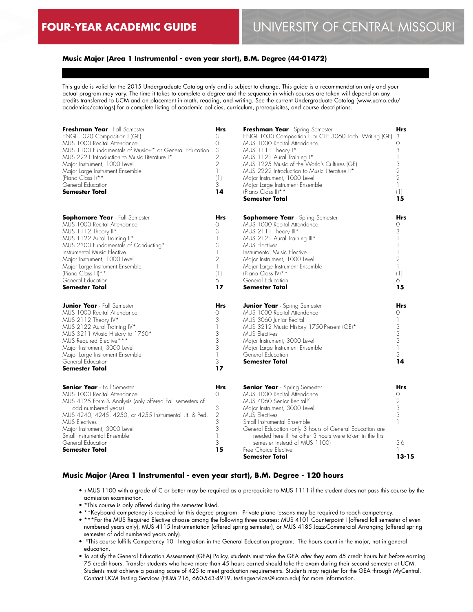## **Music Major (Area 1 Instrumental - even year start), B.M. Degree (44-01472)**

This guide is valid for the 2015 Undergraduate Catalog only and is subject to change. This guide is a recommendation only and your actual program may vary. The time it takes to complete a degree and the sequence in which courses are taken will depend on any credits transferred to UCM and on placement in math, reading, and writing. See the current Undergraduate Catalog (www.ucmo.edu/ academics/catalogs) for a complete listing of academic policies, curriculum, prerequisites, and course descriptions.

| Freshman Year - Fall Semester<br>ENGL 1020 Composition I (GE)<br>MUS 1000 Recital Attendance<br>MUS 1100 Fundamentals of Music+* or General Education<br>MUS 2221 Introduction to Music Literature I*<br>Major Instrument, 1000 Level<br>Major Large Instrument Ensemble<br>(Piano Class I) **<br>General Education<br><b>Semester Total</b>        | Hrs<br>3<br>0<br>3<br>$\overline{2}$<br>$\overline{2}$<br>$\mathbb{I}$<br>(1)<br>3<br>14 | Freshman Year - Spring Semester<br>ENGL 1030 Composition II or CTE 3060 Tech. Writing (GE)<br>MUS 1000 Recital Attendance<br>MUS 1111 Theory I*<br>MUS 1121 Aural Training I*<br>MUS 1225 Music of the World's Cultures (GE)<br>MUS 2222 Introduction to Music Literature II*<br>Major Instrument, 1000 Level<br>Major Large Instrument Ensemble<br>(Piano Class II) **<br><b>Semester Total</b>       | <b>Hrs</b><br>3<br>$\Omega$<br>3<br>$\mathbf{1}$<br>3<br>$\overline{2}$<br>$\overline{2}$<br>$\mathbb{I}$<br>(1)<br>15 |
|-----------------------------------------------------------------------------------------------------------------------------------------------------------------------------------------------------------------------------------------------------------------------------------------------------------------------------------------------------|------------------------------------------------------------------------------------------|--------------------------------------------------------------------------------------------------------------------------------------------------------------------------------------------------------------------------------------------------------------------------------------------------------------------------------------------------------------------------------------------------------|------------------------------------------------------------------------------------------------------------------------|
| <b>Sophomore Year</b> - Fall Semester<br>MUS 1000 Recital Attendance<br>MUS 1112 Theory II*<br>MUS 1122 Aural Training II*<br>MUS 2300 Fundamentals of Conducting*<br>Instrumental Music Elective<br>Major Instrument, 1000 Level<br>Major Large Instrument Ensemble<br>(Piano Class III) **<br>General Education<br><b>Semester Total</b>          | <b>Hrs</b><br>0<br>3<br>1<br>3<br>$\overline{2}$<br>$\mathbb{I}$<br>(1)<br>6<br>17       | <b>Sophomore Year</b> - Spring Semester<br>MUS 1000 Recital Attendance<br>MUS 2111 Theory III*<br>MUS 2121 Aural Training III*<br><b>MUS Electives</b><br>Instrumental Music Elective<br>Major Instrument, 1000 Level<br>Major Large Instrument Ensemble<br>(Piano Class IV)**<br>General Education<br><b>Semester Total</b>                                                                           | <b>Hrs</b><br>$\Omega$<br>3<br>$\overline{2}$<br>$\mathbf{1}$<br>(1)<br>6<br>15                                        |
| <b>Junior Year</b> - Fall Semester<br>MUS 1000 Recital Attendance<br>MUS 2112 Theory IV*<br>MUS 2122 Aural Training IV*<br>MUS 3211 Music History to 1750*<br>MUS Required Elective***<br>Major Instrument, 3000 Level<br>Major Large Instrument Ensemble<br>General Education<br><b>Semester Total</b>                                             | <b>Hrs</b><br>0<br>3<br>1<br>3<br>3<br>3<br>1<br>3<br>17                                 | <b>Junior Year</b> - Spring Semester<br>MUS 1000 Recital Attendance<br>MUS 3060 Junior Recital<br>MUS 3212 Music History 1750-Present (GE)*<br><b>MUS</b> Electives<br>Major Instrument, 3000 Level<br>Major Large Instrument Ensemble<br>General Education<br><b>Semester Total</b>                                                                                                                   | <b>Hrs</b><br>$\Omega$<br>3<br>3<br>3<br>$\mathbf{1}$<br>3<br>14                                                       |
| <b>Senior Year</b> - Fall Semester<br>MUS 1000 Recital Attendance<br>MUS 4125 Form & Analysis (only offered Fall semesters of<br>odd numbered years)<br>MUS 4240, 4245, 4250, or 4255 Instrumental Lit. & Ped.<br><b>MUS Electives</b><br>Major Instrument, 3000 Level<br>Small Instrumental Ensemble<br>General Education<br><b>Semester Total</b> | Hrs<br>0<br>3<br>$\overline{2}$<br>3<br>3<br>1<br>3<br>15                                | <b>Senior Year</b> - Spring Semester<br>MUS 1000 Recital Attendance<br>MUS 4060 Senior Recital <sup>10</sup><br>Major Instrument, 3000 Level<br><b>MUS Electives</b><br>Small Instrumental Ensemble<br>General Education (only 3 hours of General Education are<br>needed here if the other 3 hours were taken in the first<br>semester instead of MUS 1100)<br>Free Choice Elective<br>Semester Total | <b>Hrs</b><br>0<br>$\overline{2}$<br>$\mathfrak 3$<br>$\ensuremath{\mathsf{3}}$<br>3-6<br>$13 - 15$                    |

### **Music Major (Area 1 Instrumental - even year start), B.M. Degree - 120 hours**

- +MUS 1100 with a grade of C or better may be required as a prerequisite to MUS 1111 if the student does not pass this course by the admission examination.
- \*This course is only offered during the semester listed.
- \*\*Keyboard competency is required for this degree program. Private piano lessons may be required to reach competency.
- \*\*\*For the MUS Required Elective choose among the following three courses: MUS 4101 Counterpoint I (offered fall semester of even numbered years only), MUS 4115 Instrumentation (offered spring semester), or MUS 4185 Jazz-Commercial Arranging (offered spring semester of odd numbered years only).
- 10This course fulfills Competency 10 Integration in the General Education program. The hours count in the major, not in general education.
- To satisfy the General Education Assessment (GEA) Policy, students must take the GEA *after* they earn 45 credit hours but *before* earning 75 credit hours. Transfer students who have more than 45 hours earned should take the exam during their second semester at UCM. Students must achieve a passing score of 425 to meet graduation requirements. Students may register for the GEA through MyCentral. Contact UCM Testing Services (HUM 216, 660-543-4919, testingservices@ucmo.edu) for more information.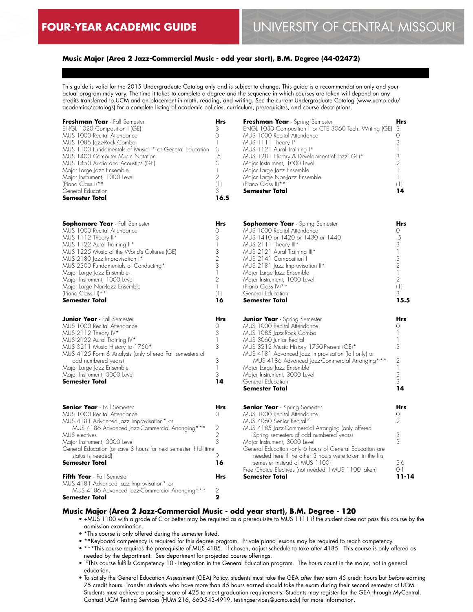## **Music Major (Area 2 Jazz-Commercial Music - odd year start), B.M. Degree (44-02472)**

This guide is valid for the 2015 Undergraduate Catalog only and is subject to change. This guide is a recommendation only and your actual program may vary. The time it takes to complete a degree and the sequence in which courses are taken will depend on any credits transferred to UCM and on placement in math, reading, and writing. See the current Undergraduate Catalog (www.ucmo.edu/ academics/catalogs) for a complete listing of academic policies, curriculum, prerequisites, and course descriptions.

| Freshman Year - Fall Semester<br>ENGL 1020 Composition I (GE)<br>MUS 1000 Recital Attendance<br>MUS 1085 Jazz-Rock Combo<br>MUS 1100 Fundamentals of Music+* or General Education<br>MUS 1400 Computer Music Notation<br>MUS 1450 Audio and Acoustics (GE)<br>Major Large Jazz Ensemble<br>Major Instrument, 1000 Level<br>(Piano Class I) * *<br>General Education<br><b>Semester Total</b>      | Hrs<br>3<br>0<br>$\mathbf{1}$<br>3<br>$.5\,$<br>3<br>$\mathbf{1}$<br>2<br>(1)<br>3<br>16.5                                    | Freshman Year - Spring Semester<br>ENGL 1030 Composition II or CTE 3060 Tech. Writing (GE)<br>MUS 1000 Recital Attendance<br>MUS 1111 Theory I*<br>MUS 1121 Aural Training I*<br>MUS 1281 History & Development of Jazz (GE)*<br>Major Instrument, 1000 Level<br>Major Large Jazz Ensemble<br>Major Large Non-Jazz Ensemble<br>(Piano Class II) **<br><b>Semester Total</b>                                                                                  | Hrs<br>3<br>0<br>3<br>1<br>3<br>$\overline{2}$<br>1<br>$\mathbf{1}$<br>(1)<br>14                                             |
|---------------------------------------------------------------------------------------------------------------------------------------------------------------------------------------------------------------------------------------------------------------------------------------------------------------------------------------------------------------------------------------------------|-------------------------------------------------------------------------------------------------------------------------------|--------------------------------------------------------------------------------------------------------------------------------------------------------------------------------------------------------------------------------------------------------------------------------------------------------------------------------------------------------------------------------------------------------------------------------------------------------------|------------------------------------------------------------------------------------------------------------------------------|
| <b>Sophomore Year</b> - Fall Semester<br>MUS 1000 Recital Attendance<br>MUS 1112 Theory II*<br>MUS 1122 Aural Training II*<br>MUS 1225 Music of the World's Cultures (GE)<br>MUS 2180 Jazz Improvisation I*<br>MUS 2300 Fundamentals of Conducting*<br>Major Large Jazz Ensemble<br>Major Instrument, 1000 Level<br>Major Large Non-Jazz Ensemble<br>(Piano Class III)**<br><b>Semester Total</b> | <b>Hrs</b><br>0<br>3<br>$\mathbf{1}$<br>3<br>$\mathbf{2}$<br>3<br>$\mathbf{1}$<br>$\overline{2}$<br>$\mathbb{I}$<br>(1)<br>16 | <b>Sophomore Year</b> - Spring Semester<br>MUS 1000 Recital Attendance<br>MUS 1410 or 1420 or 1430 or 1440<br>MUS 2111 Theory III*<br>MUS 2121 Aural Training III*<br>MUS 2141 Composition I<br>MUS 2181 Jazz Improvisation II*<br>Major Large Jazz Ensemble<br>Major Instrument, 1000 Level<br>(Piano Class IV) **<br>General Education<br>Semester Total                                                                                                   | Hrs<br>0<br>.5<br>3<br>$\overline{\phantom{a}}$<br>3<br>$\overline{2}$<br>$\mathbf{1}$<br>$\overline{2}$<br>(1)<br>3<br>15.5 |
| <b>Junior Year</b> - Fall Semester<br>MUS 1000 Recital Attendance<br>MUS 2112 Theory IV*<br>MUS 2122 Aural Training IV*<br>MUS 3211 Music History to 1750*<br>MUS 4125 Form & Analysis (only offered Fall semesters of<br>odd numbered years)<br>Major Large Jazz Ensemble<br>Major Instrument, 3000 Level<br>Semester Total                                                                      | Hrs<br>0<br>3<br>$\begin{array}{c} \hline \end{array}$<br>3<br>3<br>$\mathbb{I}$<br>3<br>14                                   | <b>Junior Year</b> - Spring Semester<br>MUS 1000 Recital Attendance<br>MUS 1085 Jazz-Rock Combo<br>MUS 3060 Junior Recital<br>MUS 3212 Music History 1750-Present (GE)*<br>MUS 4181 Advanced Jazz Improvisation (fall only) or<br>MUS 4186 Advanced Jazz-Commercial Arranging ***<br>Major Large Jazz Ensemble<br>Major Instrument, 3000 Level<br>General Education<br>Semester Total                                                                        | Hrs<br>0<br>$\mathbf{1}$<br>1<br>3<br>$\overline{2}$<br>1<br>3<br>3<br>14                                                    |
| <b>Senior Year</b> - Fall Semester<br>MUS 1000 Recital Attendance<br>MUS 4181 Advanced Jazz Improvisation* or<br>MUS 4186 Advanced Jazz-Commercial Arranging ***<br>MUS electives<br>Major Instrument, 3000 Level<br>General Education (or save 3 hours for next semester if full-time<br>status is needed)<br><b>Semester Total</b>                                                              | <b>Hrs</b><br>0<br>2<br>$\mathbf{2}$<br>3<br>9<br>16                                                                          | <b>Senior Year</b> - Spring Semester<br>MUS 1000 Recital Attendance<br>MUS 4060 Senior Recital <sup>10</sup><br>MUS 4185 Jazz-Commercial Arranging (only offered<br>Spring semesters of odd numbered years)<br>Major Instrument, 3000 Level<br>General Education (only 6 hours of General Education are<br>needed here if the other 3 hours were taken in the first<br>semester instead of MUS 1100)<br>Free Choice Electives (not needed if MUS 1100 taken) | Hrs<br>0<br>$\overline{2}$<br>3<br>3<br>$3-6$<br>$() - ]$                                                                    |

#### **Music Major (Area 2 Jazz-Commercial Music - odd year start), B.M. Degree - 120**

**Hrs**  $\mathcal{P}$ **2**

• +MUS 1100 with a grade of C or better may be required as a prerequisite to MUS 1111 if the student does not pass this course by the admission examination.

**Semester Total**

**11-14**

• \*This course is only offered during the semester listed.

MUS 4186 Advanced Jazz-Commercial Arranging\*\*\*

**Fifth Year** - Fall Semester

**Semester Total**

MUS 4181 Advanced Jazz Improvisation\* or

- \*\*Keyboard competency is required for this degree program. Private piano lessons may be required to reach competency.
- \*\*\*This course requires the prerequisite of MUS 4185. If chosen, adjust schedule to take after 4185. This course is only offered as needed by the department. See department for projected course offerings.
- <sup>10</sup>This course fulfills Competency 10 Integration in the General Education program. The hours count in the major, not in general education.
- To satisfy the General Education Assessment (GEA) Policy, students must take the GEA *after* they earn 45 credit hours but *before* earning 75 credit hours. Transfer students who have more than 45 hours earned should take the exam during their second semester at UCM. Students must achieve a passing score of 425 to meet graduation requirements. Students may register for the GEA through MyCentral. Contact UCM Testing Services (HUM 216, 660-543-4919, testingservices@ucmo.edu) for more information.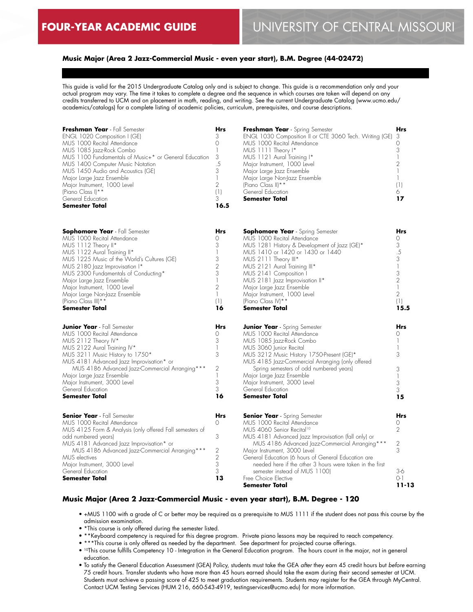# **Music Major (Area 2 Jazz-Commercial Music - even year start), B.M. Degree (44-02472)**

This guide is valid for the 2015 Undergraduate Catalog only and is subject to change. This guide is a recommendation only and your actual program may vary. The time it takes to complete a degree and the sequence in which courses are taken will depend on any credits transferred to UCM and on placement in math, reading, and writing. See the current Undergraduate Catalog (www.ucmo.edu/ academics/catalogs) for a complete listing of academic policies, curriculum, prerequisites, and course descriptions.

| Freshman Year - Fall Semester<br>ENGL 1020 Composition I (GE)<br>MUS 1000 Recital Attendance<br>MUS 1085 Jazz-Rock Combo<br>MUS 1100 Fundamentals of Music+* or General Education<br>MUS 1400 Computer Music Notation<br>MUS 1450 Audio and Acoustics (GE)<br>Major Large Jazz Ensemble<br>Major Instrument, 1000 Level<br>(Piano Class I) **<br>General Education<br><b>Semester Total</b>        | <b>Hrs</b><br>3<br>$\circ$<br>$\mathbb{I}$<br>3<br>.5<br>3<br>$\mathbf{1}$<br>$\overline{2}$<br>(1)<br>3<br>16.5     | Freshman Year - Spring Semester<br>ENGL 1030 Composition II or CTE 3060 Tech. Writing (GE)<br>MUS 1000 Recital Attendance<br>MUS 1111 Theory I*<br>MUS 1121 Aural Training I*<br>Major Instrument, 1000 Level<br>Major Large Jazz Ensemble<br>Major Large Non-Jazz Ensemble<br>(Piano Class II) **<br>General Education<br><b>Semester Total</b>                                                                                                     | <b>Hrs</b><br>-3<br>0<br>3<br>1<br>$\overline{2}$<br>$\mathbf{1}$<br>$\mathbb{I}$<br>(1)<br>6<br>17                                        |
|----------------------------------------------------------------------------------------------------------------------------------------------------------------------------------------------------------------------------------------------------------------------------------------------------------------------------------------------------------------------------------------------------|----------------------------------------------------------------------------------------------------------------------|------------------------------------------------------------------------------------------------------------------------------------------------------------------------------------------------------------------------------------------------------------------------------------------------------------------------------------------------------------------------------------------------------------------------------------------------------|--------------------------------------------------------------------------------------------------------------------------------------------|
| <b>Sophomore Year</b> - Fall Semester<br>MUS 1000 Recital Attendance<br>MUS 1112 Theory II*<br>MUS 1122 Aural Training II*<br>MUS 1225 Music of the World's Cultures (GE)<br>MUS 2180 Jazz Improvisation I*<br>MUS 2300 Fundamentals of Conducting*<br>Major Large Jazz Ensemble<br>Major Instrument, 1000 Level<br>Major Large Non-Jazz Ensemble<br>(Piano Class III) **<br><b>Semester Total</b> | <b>Hrs</b><br>0<br>3<br>1<br>3<br>$\overline{2}$<br>3<br>$\mathbb{I}$<br>$\overline{2}$<br>$\mathbb{I}$<br>(1)<br>16 | <b>Sophomore Year</b> - Spring Semester<br>MUS 1000 Recital Attendance<br>MUS 1281 History & Development of Jazz (GE)*<br>MUS 1410 or 1420 or 1430 or 1440<br>MUS 2111 Theory III*<br>MUS 2121 Aural Training III*<br>MUS 2141 Composition I<br>MUS 2181 Jazz Improvisation II*<br>Major Large Jazz Ensemble<br>Major Instrument, 1000 Level<br>(Piano Class IV) **<br><b>Semester Total</b>                                                         | <b>Hrs</b><br>$\Omega$<br>3<br>.5<br>3<br>$\overline{\phantom{a}}$<br>3<br>$\overline{2}$<br>$\mathbf{1}$<br>$\overline{2}$<br>(1)<br>15.5 |
| <b>Junior Year</b> - Fall Semester<br>MUS 1000 Recital Attendance<br>MUS 2112 Theory IV*<br>MUS 2122 Aural Training IV*<br>MUS 3211 Music History to 1750*<br>MUS 4181 Advanced Jazz Improvisation* or<br>MUS 4186 Advanced Jazz-Commercial Arranging ***<br>Major Large Jazz Ensemble<br>Major Instrument, 3000 Level<br>General Education<br><b>Semester Total</b>                               | <b>Hrs</b><br>0<br>3<br>$\mathbb{I}$<br>3<br>$\mathbf{2}$<br>$\mathbf{1}$<br>3<br>3<br>16                            | <b>Junior Year</b> - Spring Semester<br>MUS 1000 Recital Attendance<br>MUS 1085 Jazz-Rock Combo<br>MUS 3060 Junior Recital<br>MUS 3212 Music History 1750-Present (GE)*<br>MUS 4185 Jazz-Commercial Arranging (only offered<br>Spring semesters of odd numbered years)<br>Major Large Jazz Ensemble<br>Major Instrument, 3000 Level<br>General Education<br><b>Semester Total</b>                                                                    | <b>Hrs</b><br>0<br>1<br>1<br>3<br>3<br>$\mathbf{1}$<br>3<br>3<br>15                                                                        |
| <b>Senior Year</b> - Fall Semester<br>MUS 1000 Recital Attendance<br>MUS 4125 Form & Analysis (only offered Fall semesters of<br>odd numbered years)<br>MUS 4181 Advanced Jazz Improvisation* or<br>MUS 4186 Advanced Jazz-Commercial Arranging ***<br>MUS electives<br>Major Instrument, 3000 Level<br>General Education<br><b>Semester Total</b>                                                 | Hrs<br>$\Omega$<br>3<br>$\mathbf{2}$<br>$\overline{2}$<br>3<br>3<br>13                                               | <b>Senior Year</b> - Spring Semester<br>MUS 1000 Recital Attendance<br>MUS 4060 Senior Recital <sup>10</sup><br>MUS 4181 Advanced Jazz Improvisation (fall only) or<br>MUS 4186 Advanced Jazz-Commercial Arranging ***<br>Major Instrument, 3000 Level<br>General Education (6 hours of General Education are<br>needed here if the other 3 hours were taken in the first<br>semester instead of MUS 1100)<br>Free Choice Elective<br>Semester Total | <b>Hrs</b><br>0<br>$\overline{2}$<br>$\overline{c}$<br>3<br>$3-6$<br>$O-1$<br>11-13                                                        |

#### **Music Major (Area 2 Jazz-Commercial Music - even year start), B.M. Degree - 120**

- +MUS 1100 with a grade of C or better may be required as a prerequisite to MUS 1111 if the student does not pass this course by the admission examination.
- \*This course is only offered during the semester listed.
- \*\*Keyboard competency is required for this degree program. Private piano lessons may be required to reach competency.
- \*\*\*This course is only offered as needed by the department. See department for projected course offerings.
- 10This course fulfills Competency 10 Integration in the General Education program. The hours count in the major, not in general education.
- To satisfy the General Education Assessment (GEA) Policy, students must take the GEA *after* they earn 45 credit hours but *before* earning 75 credit hours. Transfer students who have more than 45 hours earned should take the exam during their second semester at UCM. Students must achieve a passing score of 425 to meet graduation requirements. Students may register for the GEA through MyCentral. Contact UCM Testing Services (HUM 216, 660-543-4919, testingservices@ucmo.edu) for more information.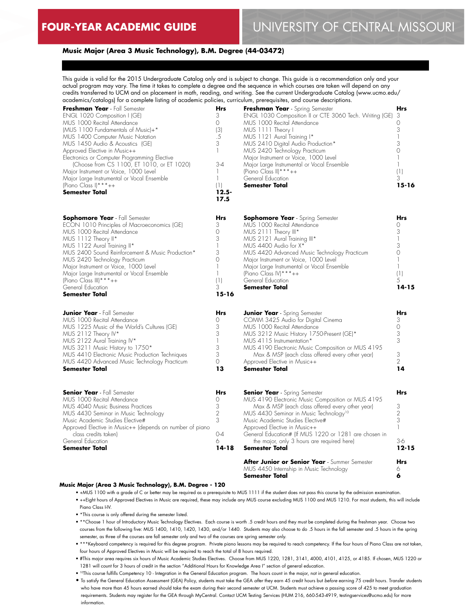# **Music Major (Area 3 Music Technology), B.M. Degree (44-03472)**

This guide is valid for the 2015 Undergraduate Catalog only and is subject to change. This guide is a recommendation only and your actual program may vary. The time it takes to complete a degree and the sequence in which courses are taken will depend on any credits transferred to UCM and on placement in math, reading, and writing. See the current Undergraduate Catalog (www.ucmo.edu/ academics/catalogs) for a complete listing of academic policies, curriculum, prerequisites, and course descriptions.

| Freshman Year - Fall Semester<br>ENGL 1020 Composition I (GE)<br>MUS 1000 Recital Attendance<br>(MUS 1100 Fundamentals of Music)+*<br>MUS 1400 Computer Music Notation<br>MUS 1450 Audio & Acoustics (GE)<br>Approved Elective in Music++<br>Electronics or Computer Programming Elective<br>(Choose from CS 1100, ET 1010, or ET 1020)<br>Major Instrument or Voice, 1000 Level<br>Major Large Instrumental or Vocal Ensemble<br>(Piano Class I) ***++<br><b>Semester Total</b> | <b>Hrs</b><br>3<br>0<br>(3)<br>.5<br>3<br>1<br>$3 - 4$<br>1<br>$\mathbf{1}$<br>(1)<br>$12.5 -$<br>17.5 | Freshman Year - Spring Semester<br>ENGL 1030 Composition II or CTE 3060 Tech. Writing (GE)<br>MUS 1000 Recital Attendance<br>MUS 1111 Theory I<br>MUS 1121 Aural Training I*<br>MUS 2410 Digital Audio Production*<br>MUS 2420 Technology Practicum<br>Major Instrument or Voice, 1000 Level<br>Major Large Instrumental or Vocal Ensemble<br>(Piano Class II) ***++<br>General Education<br>Semester Total | <b>Hrs</b><br>3<br>0<br>3<br>1<br>3<br>0<br>1<br>1<br>(1)<br>3<br>15-16                                |
|----------------------------------------------------------------------------------------------------------------------------------------------------------------------------------------------------------------------------------------------------------------------------------------------------------------------------------------------------------------------------------------------------------------------------------------------------------------------------------|--------------------------------------------------------------------------------------------------------|-------------------------------------------------------------------------------------------------------------------------------------------------------------------------------------------------------------------------------------------------------------------------------------------------------------------------------------------------------------------------------------------------------------|--------------------------------------------------------------------------------------------------------|
| Sophomore Year - Fall Semester<br>ECON 1010 Principles of Macroeconomics (GE)<br>MUS 1000 Recital Attendance<br>MUS 1112 Theory II*<br>MUS 1122 Aural Training II*<br>MUS 2400 Sound Reinforcement & Music Production*<br>MUS 2420 Technology Practicum<br>Major Instrument or Voice, 1000 Level<br>Major Large Instrumental or Vocal Ensemble<br>(Piano Class III) ****++<br>General Education<br><b>Semester Total</b>                                                         | Hrs<br>3<br>0<br>3<br>1<br>3<br>0<br>1<br>$\mathbf{1}$<br>(1)<br>3<br>$15 - 16$                        | <b>Sophomore Year</b> - Spring Semester<br>MUS 1000 Recital Attendance<br>MUS 2111 Theory III*<br>MUS 2121 Aural Training III*<br>MUS 4400 Audio for X <sup>*</sup><br>MUS 4420 Advanced Music Technology Practicum<br>Major Instrument or Voice, 1000 Level<br>Major Large Instrumental or Vocal Ensemble<br>(Piano Class IV) *** $++$<br>General Education<br><b>Semester Total</b>                       | Hrs<br>0<br>3<br>$\mathbf{I}$<br>3<br>$\circ$<br>$\mathbf{1}$<br>$\mathbf{1}$<br>(1)<br>5<br>$14 - 15$ |
| <b>Junior Year</b> - Fall Semester<br>MUS 1000 Recital Attendance<br>MUS 1225 Music of the World's Cultures (GE)<br>MUS 2112 Theory IV*<br>MUS 2122 Aural Training IV*<br>MUS 3211 Music History to 1750*<br>MUS 4410 Electronic Music Production Techniques<br>MUS 4420 Advanced Music Technology Practicum<br><b>Semester Total</b>                                                                                                                                            | <b>Hrs</b><br>0<br>3<br>3<br>1<br>3<br>3<br>0<br>13                                                    | <b>Junior Year</b> - Spring Semester<br>COMM 3425 Audio for Digital Cinema<br>MUS 1000 Recital Attendance<br>MUS 3212 Music History 1750-Present (GE)*<br>MUS 4115 Instrumentation*<br>MUS 4190 Electronic Music Composition or MUS 4195<br>Max & MSP (each class offered every other year)<br>Approved Elective in Music++<br><b>Semester Total</b>                                                        | <b>Hrs</b><br>3<br>0<br>3<br>3<br>3<br>$\mathfrak{D}$<br>14                                            |
| <b>Senior Year</b> - Fall Semester<br>MUS 1000 Recital Attendance<br>MUS 4040 Music Business Practices<br>MUS 4430 Seminar in Music Technology<br>Music Academic Studies Elective#<br>Approved Elective in Music++ (depends on number of piano<br>class credits taken)<br>General Education<br>Semester Total                                                                                                                                                                    | <b>Hrs</b><br>0<br>3<br>$\overline{c}$<br>3<br>$0 - 4$<br>6<br>$14 - 18$                               | <b>Senior Year</b> - Spring Semester<br>MUS 4190 Electronic Music Composition or MUS 4195<br>Max & MSP (each class offered every other year)<br>MUS 4430 Seminar in Music Technology <sup>10</sup><br>Music Academic Studies Elective#<br>Approved Elective in Music++<br>General Education# (If MUS 1220 or 1281 are chosen in<br>the major, only 3 hours are required here)<br><b>Semester Total</b>      | Hrs<br>3<br>$\overline{2}$<br>3<br>1<br>$3-6$<br>$12 - 15$                                             |
|                                                                                                                                                                                                                                                                                                                                                                                                                                                                                  |                                                                                                        | After Junior or Senior Year - Summer Semester<br>MUS 4450 Internship in Music Technology<br><b>Semester Total</b>                                                                                                                                                                                                                                                                                           | <b>Hrs</b><br>6<br>6                                                                                   |

#### **Music Major (Area 3 Music Technology), B.M. Degree - 120**

- +MUS 1100 with a grade of C or better may be required as a prerequisite to MUS 1111 if the student does not pass this course by the admission examination.
- ++Eight hours of Approved Electives in Music are required, these may include any MUS course excluding MUS 1100 and MUS 1210. For most students, this will include Piano Class I-IV.
- \*This course is only offered during the semester listed.
- \*\*Choose 1 hour of Introductory Music Technology Electives. Each course is worth .5 credit hours and they must be completed during the freshman year. Choose two courses from the following five: MUS 1400, 1410, 1420, 1430, and/or 1440. Students may also choose to do .5 hours in the fall semester and .5 hours in the spring semester, as three of the courses are fall semester only and two of the courses are spring semester only.
- \*\*\*Keyboard competency is required for this degree program. Private piano lessons may be required to reach competency. If the four hours of Piano Class are not taken, four hours of Approved Electives in Music will be required to reach the total of 8 hours required.
- #This major area requires six hours of Music Academic Studies Electives. Choose from MUS 1220, 1281, 3141, 4000, 4101, 4125, or 4185. If chosen, MUS 1220 or 1281 will count for 3 hours of credit in the section "Additional Hours for Knowledge Area I" section of general education.
- 10This course fulfills Competency 10 Integration in the General Education program. The hours count in the major, not in general education.
- To satisfy the General Education Assessment (GEA) Policy, students must take the GEA *after* they earn 45 credit hours but *before* earning 75 credit hours. Transfer students who have more than 45 hours earned should take the exam during their second semester at UCM. Students must achieve a passing score of 425 to meet graduation requirements. Students may register for the GEA through MyCentral. Contact UCM Testing Services (HUM 216, 660-543-4919, testingservices@ucmo.edu) for more information.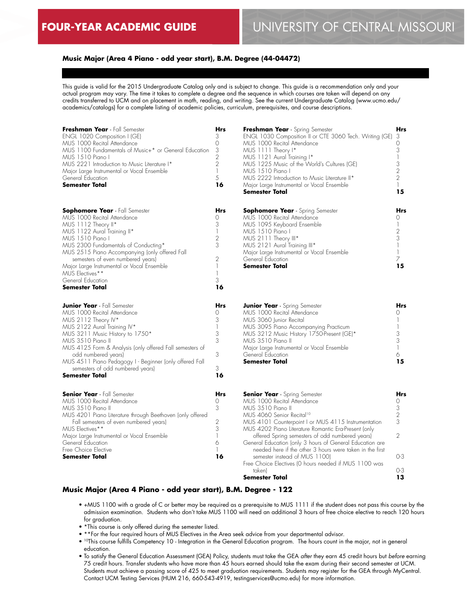# **Music Major (Area 4 Piano - odd year start), B.M. Degree (44-04472)**

This guide is valid for the 2015 Undergraduate Catalog only and is subject to change. This guide is a recommendation only and your actual program may vary. The time it takes to complete a degree and the sequence in which courses are taken will depend on any credits transferred to UCM and on placement in math, reading, and writing. See the current Undergraduate Catalog (www.ucmo.edu/ academics/catalogs) for a complete listing of academic policies, curriculum, prerequisites, and course descriptions.

| Freshman Year - Fall Semester<br>ENGL 1020 Composition I (GE)<br>MUS 1000 Recital Attendance<br>MUS 1100 Fundamentals of Music+* or General Education<br>MUS 1510 Piano I<br>MUS 2221 Introduction to Music Literature I*<br>Major Large Instrumental or Vocal Ensemble<br>General Education<br>Semester Total                                                                               | Hrs<br>3<br>0<br>3<br>$\overline{2}$<br>$\overline{2}$<br>1<br>5<br>16                             | Freshman Year<br><b>ENGL 1030 Com</b><br>MUS 1000 Recito<br>MUS 1111 Theor<br>MUS 1121 Aural<br>MUS 1225 Music<br>MUS 1510 Piano<br>MUS 2222 Introd<br>Major Large Instru<br><b>Semester Total</b>                |
|----------------------------------------------------------------------------------------------------------------------------------------------------------------------------------------------------------------------------------------------------------------------------------------------------------------------------------------------------------------------------------------------|----------------------------------------------------------------------------------------------------|-------------------------------------------------------------------------------------------------------------------------------------------------------------------------------------------------------------------|
| <b>Sophomore Year</b> - Fall Semester<br>MUS 1000 Recital Attendance<br>MUS 1112 Theory II*<br>MUS 1122 Aural Training II*<br>MUS 1510 Piano I<br>MUS 2300 Fundamentals of Conducting*<br>MUS 2515 Piano Accompanying (only offered Fall<br>semesters of even numbered years)<br>Major Large Instrumental or Vocal Ensemble<br>MUS Electives**<br>General Education<br><b>Semester Total</b> | Hrs<br>$\Omega$<br>3<br>$\mathbf{1}$<br>$\overline{2}$<br>3<br>$\overline{2}$<br>1<br>1<br>3<br>16 | Sophomore Ye<br>MUS 1000 Recito<br>MUS 1095 Keybo<br>MUS 1510 Piano<br>MUS 2111 Theor<br>MUS 2121 Aural<br>Major Large Instru<br>General Educatior<br><b>Semester Total</b>                                       |
| <b>Junior Year</b> - Fall Semester<br>MUS 1000 Recital Attendance<br>MUS 2112 Theory IV*<br>MUS 2122 Aural Training IV*<br>MUS 3211 Music History to 1750*<br>MUS 3510 Piano II<br>MUS 4125 Form & Analysis (only offered Fall semesters of<br>odd numbered years)<br>MUS 4511 Piano Pedagogy I - Beginner (only offered Fall<br>semesters of odd numbered years)<br>Semester Total          | Hrs<br>0<br>3<br>$\mathbf{1}$<br>3<br>3<br>3<br>3<br>16                                            | <b>Junior Year</b> - Sp<br>MUS 1000 Recito<br>MUS 3060 Junior<br>MUS 3095 Piano<br>MUS 3212 Music<br>MUS 3510 Piano<br>Major Large Instru<br>General Education<br><b>Semester Total</b>                           |
| <b>Senior Year</b> - Fall Semester<br>MUS 1000 Recital Attendance<br>MUS 3510 Piano II<br>MUS 4201 Piano Literature through Beethoven (only offered<br>Fall semesters of even numbered years)<br>MUS Electives**<br>Major Large Instrumental or Vocal Ensemble<br>General Education<br>Free Choice Elective<br><b>Semester Total</b>                                                         | Hrs<br>$\Omega$<br>3<br>2<br>3<br>1<br>6<br>1<br>16                                                | <b>Senior Year - S</b><br>MUS 1000 Recito<br>MUS 3510 Piano<br>MUS 4060 Senio<br>MUS 4101 Coun<br>MUS 4202 Piano<br>offered Spring<br>General Education<br>needed here i<br>semester insted<br>Free Choice Flecti |

| Freshman Year - Spring Semester                         | Hrs            |
|---------------------------------------------------------|----------------|
| ENGL 1030 Composition II or CTE 3060 Tech. Writing (GE) | 3              |
| MUS 1000 Recital Attendance                             | 0              |
| MUS 1111 Theory I*                                      |                |
| MUS 1121 Aural Training I*                              |                |
| MUS 1225 Music of the World's Cultures (GE)             | 3              |
| MUS 1510 Piano I                                        | 2              |
| MUS 2222 Introduction to Music Literature II*           | $\overline{2}$ |
| Major Large Instrumental or Vocal Ensemble              |                |
| <b>Semester Total</b>                                   | 15             |
|                                                         |                |
|                                                         |                |
| <b>Sophomore Year</b> - Spring Semester                 | <b>Hrs</b>     |
| MUS 1000 Recital Attendance                             |                |
| MUS 1095 Keyboard Ensemble                              |                |
| MUS 1510 Piano I                                        | 2              |
| MUS 2111 Theory III*                                    | 3              |
| MUS 2121 Aural Training III*                            |                |
|                                                         |                |

| Major Large Instrumental or Vocal Ensemble<br>General Education<br>Semester Total | 15  |
|-----------------------------------------------------------------------------------|-----|
| <b>Junior Year</b> - Spring Semester                                              | Hrs |
| MUS 1000 Recital Attendance<br>MUS 3060 Junior Recital                            |     |
| MUS 3095 Piano Accompanying Practicum                                             |     |
| MUS 3212 Music History 1750-Present (GE)*<br>MLIS 3510 Piano II                   |     |
|                                                                                   |     |

| Semester Total                             | 15 |
|--------------------------------------------|----|
| General Education                          |    |
| Major Large Instrumental or Vocal Ensemble |    |
| MUS 3.510 Piano II.                        |    |

|                              | <b>Hrs</b> | <b>Senior Year</b> - Spring Semester                     | <b>Hrs</b> |
|------------------------------|------------|----------------------------------------------------------|------------|
|                              |            | MUS 1000 Recital Attendance                              |            |
|                              |            | MUS 3510 Piano II                                        |            |
| ough Beethoven (only offered |            | MUS 4060 Senior Recital <sup>10</sup>                    |            |
| bered years)                 |            | MUS 4101 Counterpoint I or MUS 4115 Instrumentation      |            |
|                              |            | MUS 4202 Piano Literature Romantic Era-Present (only     |            |
| cal Ensemble                 |            | offered Spring semesters of odd numbered years)          |            |
|                              | 6          | General Education (only 3 hours of General Education are |            |
|                              |            | needed here if the other 3 hours were taken in the first |            |
|                              | 16         | semester instead of MUS 1100)                            | $O-3$      |
|                              |            | Free Choice Electives (0 hours needed if MUS 1100 was    |            |
|                              |            | taken)                                                   | $O-3$      |
|                              |            | Semester Total                                           |            |

#### **Music Major (Area 4 Piano - odd year start), B.M. Degree - 122**

- +MUS 1100 with a grade of C or better may be required as a prerequisite to MUS 1111 if the student does not pass this course by the admission examination. Students who don't take MUS 1100 will need an additional 3 hours of free choice elective to reach 120 hours for graduation.
- \*This course is only offered during the semester listed.
- \*\*For the four required hours of MUS Electives in the Area seek advice from your departmental advisor.
- 10This course fulfills Competency 10 Integration in the General Education program. The hours count in the major, not in general education.
- To satisfy the General Education Assessment (GEA) Policy, students must take the GEA *after* they earn 45 credit hours but *before* earning 75 credit hours. Transfer students who have more than 45 hours earned should take the exam during their second semester at UCM. Students must achieve a passing score of 425 to meet graduation requirements. Students may register for the GEA through MyCentral. Contact UCM Testing Services (HUM 216, 660-543-4919, testingservices@ucmo.edu) for more information.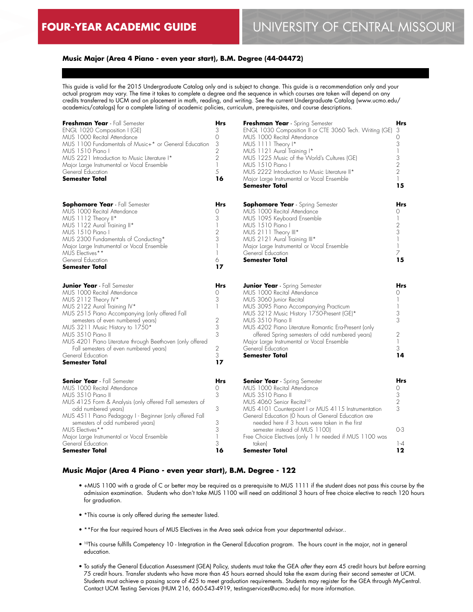# **Music Major (Area 4 Piano - even year start), B.M. Degree (44-04472)**

This guide is valid for the 2015 Undergraduate Catalog only and is subject to change. This guide is a recommendation only and your actual program may vary. The time it takes to complete a degree and the sequence in which courses are taken will depend on any credits transferred to UCM and on placement in math, reading, and writing. See the current Undergraduate Catalog (www.ucmo.edu/ academics/catalogs) for a complete listing of academic policies, curriculum, prerequisites, and course descriptions.

| Freshman Year - Fall Semester<br>ENGL 1020 Composition I (GE)<br>MUS 1000 Recital Attendance<br>MUS 1100 Fundamentals of Music+* or General Education<br>MUS 1510 Piano I<br>MUS 2221 Introduction to Music Literature I*<br>Major Large Instrumental or Vocal Ensemble<br>General Education<br><b>Semester Total</b>                                                                                                       | <b>Hrs</b><br>3<br>$\Omega$<br>3<br>$\overline{2}$<br>$\overline{2}$<br>$\mathbb{I}$<br>5<br>16 | Freshman Year - Spring Semester<br>ENGL 1030 Composition II or CTE 3060 Tech. Writing (GE)<br>MUS 1000 Recital Attendance<br>MUS 1111 Theory I*<br>MUS 1121 Aural Training I*<br>MUS 1225 Music of the World's Cultures (GE)<br>MUS 1510 Piano I<br>MUS 2222 Introduction to Music Literature II*<br>Major Large Instrumental or Vocal Ensemble<br><b>Semester Total</b>                                                  | Hrs<br>3<br>0<br>3<br>$\mathbb{I}$<br>3<br>2<br>$\overline{2}$<br>15 |
|-----------------------------------------------------------------------------------------------------------------------------------------------------------------------------------------------------------------------------------------------------------------------------------------------------------------------------------------------------------------------------------------------------------------------------|-------------------------------------------------------------------------------------------------|---------------------------------------------------------------------------------------------------------------------------------------------------------------------------------------------------------------------------------------------------------------------------------------------------------------------------------------------------------------------------------------------------------------------------|----------------------------------------------------------------------|
| <b>Sophomore Year</b> - Fall Semester<br>MUS 1000 Recital Attendance<br>MUS 1112 Theory II*<br>MUS 1122 Aural Training II*<br>MUS 1510 Piano I<br>MUS 2300 Fundamentals of Conducting*<br>Major Large Instrumental or Vocal Ensemble<br>MUS Electives**<br>General Education<br><b>Semester Total</b>                                                                                                                       | Hrs<br>0<br>3<br>$\mathbb{I}$<br>$\mathbf{2}$<br>3<br>1<br>1<br>6<br>17                         | <b>Sophomore Year</b> - Spring Semester<br>MUS 1000 Recital Attendance<br>MUS 1095 Keyboard Ensemble<br>MUS 1510 Piano I<br>MUS 2111 Theory III*<br>MUS 2121 Aural Training III*<br>Major Large Instrumental or Vocal Ensemble<br>General Education<br><b>Semester Total</b>                                                                                                                                              | Hrs<br>0<br>$\mathbf{1}$<br>2<br>3<br>$\mathbf{1}$<br>1<br>7<br>15   |
| <b>Junior Year</b> - Fall Semester<br>MUS 1000 Recital Attendance<br>MUS 2112 Theory IV*<br>MUS 2122 Aural Training IV*<br>MUS 2515 Piano Accompanying (only offered Fall<br>semesters of even numbered years)<br>MUS 3211 Music History to 1750*<br>MUS 3510 Piano II<br>MUS 4201 Piano Literature through Beethoven (only offered<br>Fall semesters of even numbered years)<br>General Education<br><b>Semester Total</b> | <b>Hrs</b><br>0<br>3<br>$\mathbb{I}$<br>$\overline{2}$<br>3<br>3<br>$\mathbf{2}$<br>3<br>17     | <b>Junior Year</b> - Spring Semester<br>MUS 1000 Recital Attendance<br>MUS 3060 Junior Recital<br>MUS 3095 Piano Accompanying Practicum<br>MUS 3212 Music History 1750-Present (GE)*<br>MUS 3510 Piano II<br>MUS 4202 Piano Literature Romantic Era-Present (only<br>offered Spring semesters of odd numbered years)<br>Major Large Instrumental or Vocal Ensemble<br>General Education<br>Semester Total                 | Hrs<br>0<br>1<br>3<br>3<br>2<br>$\mathbf{1}$<br>3<br>14              |
| <b>Senior Year</b> - Fall Semester<br>MUS 1000 Recital Attendance<br>MUS 3510 Piano II<br>MUS 4125 Form & Analysis (only offered Fall semesters of<br>odd numbered years)<br>MUS 4511 Piano Pedagogy I - Beginner (only offered Fall<br>semesters of odd numbered years)<br>MUS Electives**<br>Major Large Instrumental or Vocal Ensemble<br>General Education<br><b>Semester Total</b>                                     | <b>Hrs</b><br>0<br>3<br>3<br>3<br>3<br>1<br>3<br>16                                             | <b>Senior Year</b> - Spring Semester<br>MUS 1000 Recital Attendance<br>MUS 3510 Piano II<br>MUS 4060 Senior Recital <sup>10</sup><br>MUS 4101 Counterpoint I or MUS 4115 Instrumentation<br>General Education (O hours of General Education are<br>needed here if 3 hours were taken in the first<br>semester instead of MUS 1100)<br>Free Choice Electives (only 1 hr needed if MUS 1100 was<br>taken)<br>Semester Total | <b>Hrs</b><br>0<br>3<br>$\sqrt{2}$<br>3<br>$O-3$<br>$-4$<br>$12 \,$  |

#### **Music Major (Area 4 Piano - even year start), B.M. Degree - 122**

- +MUS 1100 with a grade of C or better may be required as a prerequisite to MUS 1111 if the student does not pass this course by the admission examination. Students who don't take MUS 1100 will need an additional 3 hours of free choice elective to reach 120 hours for graduation.
- \*This course is only offered during the semester listed.
- \*\*For the four required hours of MUS Electives in the Area seek advice from your departmental advisor..
- 10This course fulfills Competency 10 Integration in the General Education program. The hours count in the major, not in general education.
- To satisfy the General Education Assessment (GEA) Policy, students must take the GEA *after* they earn 45 credit hours but *before* earning 75 credit hours. Transfer students who have more than 45 hours earned should take the exam during their second semester at UCM. Students must achieve a passing score of 425 to meet graduation requirements. Students may register for the GEA through MyCentral. Contact UCM Testing Services (HUM 216, 660-543-4919, testingservices@ucmo.edu) for more information.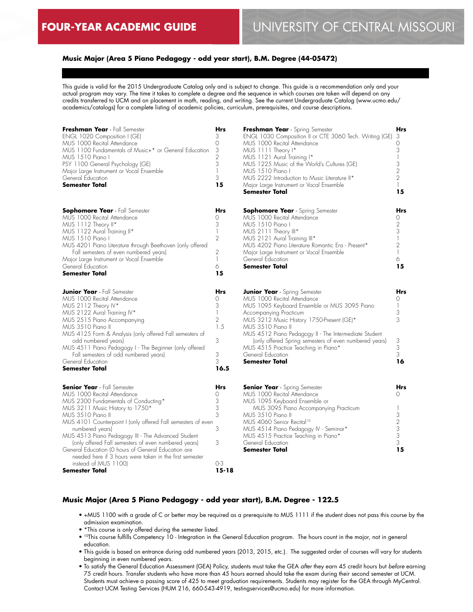# **Music Major (Area 5 Piano Pedagogy - odd year start), B.M. Degree (44-05472)**

This guide is valid for the 2015 Undergraduate Catalog only and is subject to change. This guide is a recommendation only and your actual program may vary. The time it takes to complete a degree and the sequence in which courses are taken will depend on any credits transferred to UCM and on placement in math, reading, and writing. See the current Undergraduate Catalog (www.ucmo.edu/ academics/catalogs) for a complete listing of academic policies, curriculum, prerequisites, and course descriptions.

| Freshman Year - Fall Semester<br>ENGL 1020 Composition I (GE)<br>MUS 1000 Recital Attendance<br>MUS 1100 Fundamentals of Music+* or General Education<br>MUS 1510 Piano I<br>PSY 1100 General Psychology (GE)<br>Major Large Instrument or Vocal Ensemble<br>General Education<br><b>Semester Total</b>                                                                                                                                                                                                                               | <b>Hrs</b><br>3<br>0<br>3<br>$\overline{2}$<br>3<br>$\mathbb{I}$<br>3<br>15 | Freshman Year - Spring Semester<br>ENGL 1030 Composition II or CTE 3060 Tech. Writing (GE)<br>MUS 1000 Recital Attendance<br>MUS 1111 Theory I*<br>MUS 1121 Aural Training I*<br>MUS 1225 Music of the World's Cultures (GE)<br>MUS 1510 Piano I<br>MUS 2222 Introduction to Music Literature II*<br>Major Large Instrument or Vocal Ensemble<br>Semester Total                                                          | Hrs<br>3<br>0<br>3<br>$\mathbb{I}$<br>3<br>2<br>$\overline{2}$<br>$\mathbb{L}$<br>15       |
|---------------------------------------------------------------------------------------------------------------------------------------------------------------------------------------------------------------------------------------------------------------------------------------------------------------------------------------------------------------------------------------------------------------------------------------------------------------------------------------------------------------------------------------|-----------------------------------------------------------------------------|--------------------------------------------------------------------------------------------------------------------------------------------------------------------------------------------------------------------------------------------------------------------------------------------------------------------------------------------------------------------------------------------------------------------------|--------------------------------------------------------------------------------------------|
| <b>Sophomore Year</b> - Fall Semester<br>MUS 1000 Recital Attendance<br>MUS 1112 Theory II*<br>MUS 1122 Aural Training II*<br>MUS 1510 Piano I<br>MUS 4201 Piano Literature through Beethoven (only offered<br>Fall semesters of even numbered years)<br>Major Large Instrument or Vocal Ensemble<br>General Education<br><b>Semester Total</b>                                                                                                                                                                                       | <b>Hrs</b><br>0<br>3<br>$\mathbb{I}$<br>2<br>2<br>$\mathbb{I}$<br>6<br>15   | <b>Sophomore Year</b> - Spring Semester<br>MUS 1000 Recital Attendance<br>MUS 1510 Piano I<br>MUS 2111 Theory III*<br>MUS 2121 Aural Training III*<br>MUS 4202 Piano Literature Romantic Era - Present*<br>Major Large Instrument or Vocal Ensemble<br>General Education<br><b>Semester Total</b>                                                                                                                        | Hrs<br>0<br>$\mathbf{2}$<br>3<br>$\mathbf{1}$<br>$\overline{2}$<br>$\mathbf{1}$<br>6<br>15 |
| <b>Junior Year</b> - Fall Semester<br>MUS 1000 Recital Attendance<br>MUS 2112 Theory IV*<br>MUS 2122 Aural Training IV*<br>MUS 2515 Piano Accompanying<br>MUS 3510 Piano II<br>MUS 4125 Form & Analysis (only offered Fall semesters of<br>odd numbered years)<br>MUS 4511 Piano Pedagogy I - The Beginner (only offered<br>Fall semesters of odd numbered years)<br>General Education<br><b>Semester Total</b>                                                                                                                       | Hrs<br>0<br>3<br>$\mathbb{I}$<br>$\mathbf{2}$<br>1.5<br>3<br>3<br>3<br>16.5 | <b>Junior Year</b> - Spring Semester<br>MUS 1000 Recital Attendance<br>MUS 1095 Keyboard Ensemble or MUS 3095 Piano<br>Accompanying Practicum<br>MUS 3212 Music History 1750-Present (GE)*<br>MUS 3510 Piano II<br>MUS 4512 Piano Pedagogy II - The Intermediate Student<br>(only offered Spring semesters of even numbered years)<br>MUS 4515 Practice Teaching in Piano*<br>General Education<br><b>Semester Total</b> | Hrs<br>0<br>$\mathbb{L}$<br>3<br>3<br>3<br>3<br>3<br>16                                    |
| <b>Senior Year</b> - Fall Semester<br>MUS 1000 Recital Attendance<br>MUS 2300 Fundamentals of Conducting*<br>MUS 3211 Music History to 1750*<br>MUS 3510 Piano II<br>MUS 4101 Counterpoint I (only offered Fall semesters of even<br>numbered years)<br>MUS 4513 Piano Pedagogy III - The Advanced Student<br>(only offered Fall semesters of even numbered years)<br>General Education (O hours of General Education are<br>needed here if 3 hours were taken in the first semester<br>instead of MUS 1100)<br><b>Semester Total</b> | <b>Hrs</b><br>0<br>3<br>3<br>3<br>3<br>3<br>0-3<br>$15 - 18$                | <b>Senior Year</b> - Spring Semester<br>MUS 1000 Recital Attendance<br>MUS 1095 Keyboard Ensemble or<br>MUS 3095 Piano Accompanying Practicum<br>MUS 3510 Piano II<br>MUS 4060 Senior Recital <sup>10</sup><br>MUS 4514 Piano Pedagogy IV - Seminar*<br>MUS 4515 Practice Teaching in Piano*<br>General Education<br>Semester Total                                                                                      | Hrs<br>0<br>$\mathbf{r}$<br>3<br>$\overline{2}$<br>3<br>3<br>3<br>15                       |

# **Music Major (Area 5 Piano Pedagogy - odd year start), B.M. Degree - 122.5**

- +MUS 1100 with a grade of C or better may be required as a prerequisite to MUS 1111 if the student does not pass this course by the admission examination.
- \*This course is only offered during the semester listed.
- <sup>10</sup>This course fulfills Competency 10 Integration in the General Education program. The hours count in the major, not in general education.
- This guide is based on entrance during odd numbered years (2013, 2015, etc.). The suggested order of courses will vary for students beginning in even numbered years.
- To satisfy the General Education Assessment (GEA) Policy, students must take the GEA *after* they earn 45 credit hours but *before* earning 75 credit hours. Transfer students who have more than 45 hours earned should take the exam during their second semester at UCM. Students must achieve a passing score of 425 to meet graduation requirements. Students may register for the GEA through MyCentral. Contact UCM Testing Services (HUM 216, 660-543-4919, testingservices@ucmo.edu) for more information.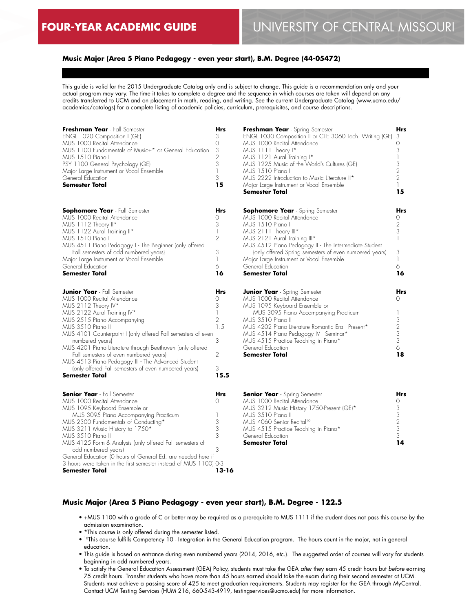# **Music Major (Area 5 Piano Pedagogy - even year start), B.M. Degree (44-05472)**

This guide is valid for the 2015 Undergraduate Catalog only and is subject to change. This guide is a recommendation only and your actual program may vary. The time it takes to complete a degree and the sequence in which courses are taken will depend on any credits transferred to UCM and on placement in math, reading, and writing. See the current Undergraduate Catalog (www.ucmo.edu/ academics/catalogs) for a complete listing of academic policies, curriculum, prerequisites, and course descriptions.

| Freshman Year - Fall Semester<br>ENGL 1020 Composition I (GE)<br>MUS 1000 Recital Attendance<br>MUS 1100 Fundamentals of Music+* or General Education<br>MUS 1510 Piano I<br>PSY 1100 General Psychology (GE)<br>Major Large Instrument or Vocal Ensemble<br>General Education<br><b>Semester Total</b>                                                                                                                                                                                               | Hrs<br>3<br>0<br>$\frac{3}{2}$<br>$\overline{1}$<br>3<br>15                               |
|-------------------------------------------------------------------------------------------------------------------------------------------------------------------------------------------------------------------------------------------------------------------------------------------------------------------------------------------------------------------------------------------------------------------------------------------------------------------------------------------------------|-------------------------------------------------------------------------------------------|
| <b>Sophomore Year</b> - Fall Semester<br>MUS 1000 Recital Attendance<br>MUS 1112 Theory II*<br>MUS 1122 Aural Training II*<br>MUS 1510 Piano I<br>MUS 4511 Piano Pedagogy I - The Beginner (only offered<br>Fall semesters of odd numbered years)<br>Major Large Instrument or Vocal Ensemble<br>General Education<br><b>Semester Total</b>                                                                                                                                                           | Hrs<br>$\Omega$<br>3<br>$\mathbb{I}$<br>$\mathfrak{D}$<br>3<br>1<br>6<br>16               |
| <b>Junior Year</b> - Fall Semester<br>MUS 1000 Recital Attendance<br>MUS 2112 Theory IV*<br>MUS 2122 Aural Training IV*<br>MUS 2515 Piano Accompanying<br>MUS 3510 Piano II<br>MUS 4101 Counterpoint I (only offered Fall semesters of even<br>numbered years)<br>MUS 4201 Piano Literature through Beethoven (only offered<br>Fall semesters of even numbered years)<br>MUS 4513 Piano Pedagogy III - The Advanced Student<br>(only offered Fall semesters of even numbered years)<br>Semester Total | Hrs<br>0<br>3<br>$\overline{\phantom{a}}$<br>$\overline{2}$<br>1.5<br>3<br>2<br>3<br>15.5 |
| <b>Senior Year</b> - Fall Semester<br>MUS 1000 Recital Attendance<br>MUS 1095 Keyboard Ensemble or<br>MUS 3095 Piano Accompanying Practicum<br>MUS 2300 Fundamentals of Conducting*<br>MUS 3211 Music History to 1750*<br>MUS 3510 Piano II<br>MUS 4125 Form & Analysis (only offered Fall semesters of<br>odd numbered years)<br>General Education (O hours of General Ed. are needed here if<br>3 hours were taken in the first semester instead of MUS 1100) 0-3<br><b>Semester Total</b>          | Hrs<br>Ω<br>1<br>3<br>3<br>3<br>3<br>13-16                                                |

| Freshman Year - Spring Semester<br>ENGL 1030 Composition II or CTE 3060 Tech. Writing (GE)<br>MUS 1000 Recital Attendance<br>MUS 1111 Theory I*<br>MUS 1121 Aural Training I*<br>MUS 1225 Music of the World's Cultures (GE)<br>MUS 1510 Piano I<br>MUS 2222 Introduction to Music Literature II*<br>Major Large Instrument or Vocal Ensemble<br>Semester Total | Hrs<br>3<br>$\circ$<br>3<br>1<br>3<br>$\frac{2}{2}$<br>$\overline{1}$<br>15   |
|-----------------------------------------------------------------------------------------------------------------------------------------------------------------------------------------------------------------------------------------------------------------------------------------------------------------------------------------------------------------|-------------------------------------------------------------------------------|
| <b>Sophomore Year</b> - Spring Semester<br>MUS 1000 Recital Attendance<br>MUS 1510 Piano I<br>MUS 2111 Theory III*<br>MUS 2121 Aural Training III*<br>MUS 4512 Piano Pedagogy II - The Intermediate Student<br>(only offered Spring semesters of even numbered years)<br>Major Large Instrument or Vocal Ensemble<br>General Education<br><b>Semester Total</b> | Hrs<br>0<br>$\frac{2}{3}$<br>$\overline{1}$<br>3<br>$\overline{1}$<br>6<br>16 |
| <b>Junior Year</b> - Spring Semester<br>MUS 1000 Recital Attendance<br>MUS 1095 Keyboard Ensemble or<br>MUS 3095 Piano Accompanying Practicum<br>MUS 3510 Piano II<br>MUS 4202 Piano Literature Romantic Era - Present*<br>MUS 4514 Piano Pedagogy IV - Seminar*<br>MUS 4515 Practice Teaching in Piano*<br>General Education<br>Semester Total                 | Hrs<br>Ω<br>1<br>3<br>$\frac{2}{3}$<br>3<br>6<br>18                           |
|                                                                                                                                                                                                                                                                                                                                                                 |                                                                               |

| <b>Senior Year</b> - Spring Semester      |    |
|-------------------------------------------|----|
| MUS 1000 Recital Attendance               |    |
| MUS 3212 Music History 1750-Present (GE)* | 3  |
| MUS 3.510 Piano II                        | 3  |
| MUS 4060 Senior Recital <sup>10</sup>     |    |
| MUS 4515 Practice Teaching in Piano*      | 3  |
| General Education                         | 3  |
| <b>Semester Total</b>                     | 14 |
|                                           |    |

### **Music Major (Area 5 Piano Pedagogy - even year start), B.M. Degree - 122.5**

- +MUS 1100 with a grade of C or better may be required as a prerequisite to MUS 1111 if the student does not pass this course by the admission examination.
- \*This course is only offered during the semester listed.
- 10This course fulfills Competency 10 Integration in the General Education program. The hours count in the major, not in general education.
- This guide is based on entrance during even numbered years (2014, 2016, etc.). The suggested order of courses will vary for students beginning in odd numbered years.
- To satisfy the General Education Assessment (GEA) Policy, students must take the GEA *after* they earn 45 credit hours but *before* earning 75 credit hours. Transfer students who have more than 45 hours earned should take the exam during their second semester at UCM. Students must achieve a passing score of 425 to meet graduation requirements. Students may register for the GEA through MyCentral. Contact UCM Testing Services (HUM 216, 660-543-4919, testingservices@ucmo.edu) for more information.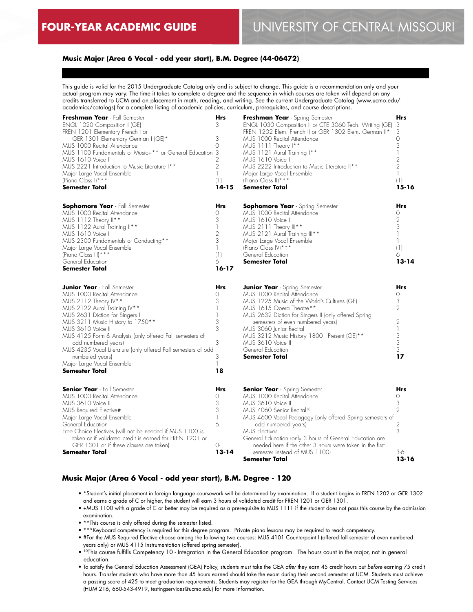# **Music Major (Area 6 Vocal - odd year start), B.M. Degree (44-06472)**

This guide is valid for the 2015 Undergraduate Catalog only and is subject to change. This guide is a recommendation only and your actual program may vary. The time it takes to complete a degree and the sequence in which courses are taken will depend on any credits transferred to UCM and on placement in math, reading, and writing. See the current Undergraduate Catalog (www.ucmo.edu/ academics/catalogs) for a complete listing of academic policies, curriculum, prerequisites, and course descriptions.

| Freshman Year - Fall Semester<br>ENGL 1020 Composition I (GE)<br>FREN 1201 Elementary French I or<br>GER 1301 Elementary German I (GE)*<br>MUS 1000 Recital Attendance<br>MUS 1100 Fundamentals of Music+** or General Education<br>MUS 1610 Voice I<br>MUS 2221 Introduction to Music Literature I**<br>Major Large Vocal Ensemble<br>(Piano Class I) ***<br>Semester Total                                                                       | Hrs<br>3<br>3<br>$\Omega$<br>3<br>$\overline{2}$<br>$\overline{2}$<br>$\mathbb{I}$<br>(1)<br>$14 - 15$ | Freshman Year - Spring Semester<br>ENGL 1030 Composition II or CTE 3060 Tech. Writing (GE)<br>FREN 1202 Elem. French II or GER 1302 Elem. German II*<br>MUS 1000 Recital Attendance<br>MUS 1111 Theory I**<br>MUS 1121 Aural Training I**<br>MUS 1610 Voice I<br>MUS 2222 Introduction to Music Literature II**<br>Major Large Vocal Ensemble<br>(Piano Class II) ***<br><b>Semester Total</b>                                  | Hrs<br>3<br>3<br>$\Omega$<br>3<br>2<br>$\overline{2}$<br>$\mathbb{I}$<br>(1)<br>15-16 |
|----------------------------------------------------------------------------------------------------------------------------------------------------------------------------------------------------------------------------------------------------------------------------------------------------------------------------------------------------------------------------------------------------------------------------------------------------|--------------------------------------------------------------------------------------------------------|---------------------------------------------------------------------------------------------------------------------------------------------------------------------------------------------------------------------------------------------------------------------------------------------------------------------------------------------------------------------------------------------------------------------------------|---------------------------------------------------------------------------------------|
| <b>Sophomore Year</b> - Fall Semester<br>MUS 1000 Recital Attendance<br>MUS 1112 Theory II**<br>MUS 1122 Aural Training II**<br>MUS 1610 Voice I<br>MUS 2300 Fundamentals of Conducting**<br>Major Large Vocal Ensemble<br>(Piano Class III) ***<br>General Education<br><b>Semester Total</b>                                                                                                                                                     | Hrs<br>$\Omega$<br>3<br>1<br>2<br>3<br>$\mathbf{1}$<br>(1)<br>6<br>$16 - 17$                           | <b>Sophomore Year</b> - Spring Semester<br>MUS 1000 Recital Attendance<br>MUS 1610 Voice I<br>MUS 2111 Theory III**<br>MUS 2121 Aural Training III**<br>Major Large Vocal Ensemble<br>(Piano Class IV) ***<br>General Education<br><b>Semester Total</b>                                                                                                                                                                        | <b>Hrs</b><br>$\Omega$<br>2<br>3<br>(1)<br>6<br>$13 - 14$                             |
| <b>Junior Year</b> - Fall Semester<br>MUS 1000 Recital Attendance<br>MUS 2112 Theory IV**<br>MUS 2122 Aural Training IV**<br>MUS 2631 Diction for Singers I<br>MUS 3211 Music History to 1750**<br>MUS 3610 Voice II<br>MUS 4125 Form & Analysis (only offered Fall semesters of<br>odd numbered years)<br>MUS 4235 Vocal Literature (only offered Fall semesters of odd<br>numbered years)<br>Major Large Vocal Ensemble<br><b>Semester Total</b> | Hrs<br>0<br>3<br>1<br>3<br>3<br>3<br>3<br>18                                                           | <b>Junior Year</b> - Spring Semester<br>MUS 1000 Recital Attendance<br>MUS 1225 Music of the World's Cultures (GE)<br>MUS 1615 Opera Theatre**<br>MUS 2632 Diction for Singers II (only offered Spring<br>semesters of even numbered years)<br>MUS 3060 Junior Recital<br>MUS 3212 Music History 1800 - Present (GE)**<br>MUS 3610 Voice II<br>General Education<br><b>Semester Total</b>                                       | Hrs<br>0<br>3<br>$\overline{2}$<br>2<br>$\mathbb{I}$<br>$\frac{3}{3}$<br>3<br>17      |
| <b>Senior Year</b> - Fall Semester<br>MUS 1000 Recital Attendance<br>MUS 3610 Voice II<br>MUS Required Elective#<br>Major Large Vocal Ensemble<br>General Education<br>Free Choice Electives (will not be needed if MUS 1100 is<br>taken or if validated credit is earned for FREN 1201 or<br>GER 1301 or if these classes are taken)<br><b>Semester Total</b>                                                                                     | Hrs<br>$\Omega$<br>3<br>3<br>$\mathbb{I}$<br>6<br>$O-1$<br>$13 - 14$                                   | <b>Senior Year</b> - Spring Semester<br>MUS 1000 Recital Attendance<br>MUS 3610 Voice II<br>MUS 4060 Senior Recital <sup>10</sup><br>MUS 4600 Vocal Pedagogy (only offered Spring semesters of<br>odd numbered years)<br><b>MUS Electives</b><br>General Education (only 3 hours of General Education are<br>needed here if the other 3 hours were taken in the first<br>semester instead of MUS 1100)<br><b>Semester Total</b> | Hrs<br>$\Omega$<br>3<br>$\overline{2}$<br>2<br>3<br>3-6<br>$13 - 16$                  |

# **Music Major (Area 6 Vocal - odd year start), B.M. Degree - 120**

- \*Student's initial placement in foreign language coursework will be determined by examination. If a student begins in FREN 1202 or GER 1302 and earns a grade of C or higher, the student will earn 3 hours of validated credit for FREN 1201 or GER 1301.
- +MUS 1100 with a grade of C or better may be required as a prerequisite to MUS 1111 if the student does not pass this course by the admission examination.
- \*\*This course is only offered during the semester listed.
- \*\*\*Keyboard competency is required for this degree program. Private piano lessons may be required to reach competency.
- #For the MUS Required Elective choose among the following two courses: MUS 4101 Counterpoint I (offered fall semester of even numbered years only) or MUS 4115 Instrumentation (offered spring semester).
- <sup>10</sup>This course fulfills Competency 10 Integration in the General Education program. The hours count in the major, not in general education.
- To satisfy the General Education Assessment (GEA) Policy, students must take the GEA *after* they earn 45 credit hours but *before* earning 75 credit hours. Transfer students who have more than 45 hours earned should take the exam during their second semester at UCM. Students must achieve a passing score of 425 to meet graduation requirements. Students may register for the GEA through MyCentral. Contact UCM Testing Services (HUM 216, 660-543-4919, testingservices@ucmo.edu) for more information.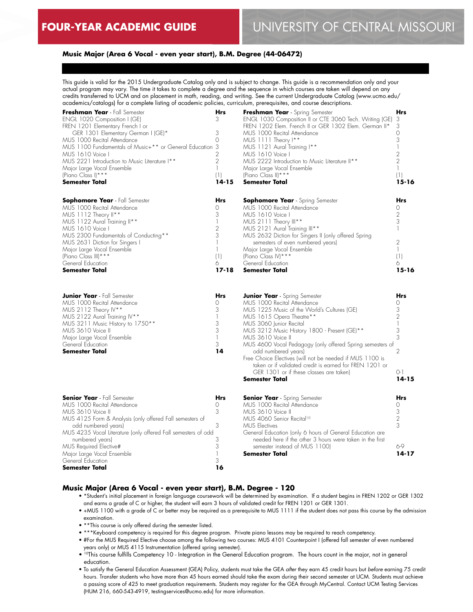#### **Music Major (Area 6 Vocal - even year start), B.M. Degree (44-06472)**

This guide is valid for the 2015 Undergraduate Catalog only and is subject to change. This guide is a recommendation only and your actual program may vary. The time it takes to complete a degree and the sequence in which courses are taken will depend on any credits transferred to UCM and on placement in math, reading, and writing. See the current Undergraduate Catalog (www.ucmo.edu/ academics/catalogs) for a complete listing of academic policies, curriculum, prerequisites, and course descriptions.

| Freshman Year - Fall Semester<br>ENGL 1020 Composition I (GE)<br>FREN 1201 Elementary French I or<br>GER 1301 Elementary German I (GE)*<br>MUS 1000 Recital Attendance<br>MUS 1100 Fundamentals of Music+** or General Education 3<br>MUS 1610 Voice I<br>MUS 2221 Introduction to Music Literature I**<br>Major Large Vocal Ensemble<br>(Piano Class I) ***<br>Semester Total | Hrs<br>3<br>3<br>$\circ$<br>2<br>$\overline{2}$<br>1<br>(1)<br>$14 - 15$ | Freshman Year - Spring Semester<br>ENGL 1030 Composition II or CTE 3060 Tech. Writing (GE)<br>FREN 1202 Elem. French II or GER 1302 Elem. German II*<br>MUS 1000 Recital Attendance<br>MUS 1111 Theory I**<br>MUS 1121 Aural Training I**<br>MUS 1610 Voice I<br>MUS 2222 Introduction to Music Literature II**<br>Major Large Vocal Ensemble<br>(Piano Class II) ***<br><b>Semester Total</b>                                                                                                                                | Hrs<br>3<br>3<br>0<br>3<br>$\mathbb{I}$<br>2<br>$\overline{2}$<br>1<br>(1)<br>$15 - 16$   |
|--------------------------------------------------------------------------------------------------------------------------------------------------------------------------------------------------------------------------------------------------------------------------------------------------------------------------------------------------------------------------------|--------------------------------------------------------------------------|-------------------------------------------------------------------------------------------------------------------------------------------------------------------------------------------------------------------------------------------------------------------------------------------------------------------------------------------------------------------------------------------------------------------------------------------------------------------------------------------------------------------------------|-------------------------------------------------------------------------------------------|
| <b>Sophomore Year</b> - Fall Semester<br>MUS 1000 Recital Attendance<br>MUS 1112 Theory II**<br>MUS 1122 Aural Training II**<br>MUS 1610 Voice I<br>MUS 2300 Fundamentals of Conducting**<br>MUS 2631 Diction for Singers I<br>Major Large Vocal Ensemble<br>(Piano Class III) ***<br>General Education<br>Semester Total                                                      | Hrs<br>$\Omega$<br>3<br>$\overline{2}$<br>3<br>1<br>(1)<br>6<br>17-18    | <b>Sophomore Year</b> - Spring Semester<br>MUS 1000 Recital Attendance<br>MUS 1610 Voice I<br>MUS 2111 Theory III**<br>MUS 2121 Aural Training III**<br>MUS 2632 Diction for Singers II (only offered Spring<br>semesters of even numbered years)<br>Major Large Vocal Ensemble<br>(Piano Class IV) ***<br>General Education<br>Semester Total                                                                                                                                                                                | Hrs<br>Ω<br>$\overline{2}$<br>3<br>$\mathbb{I}$<br>2<br>$\mathbb{I}$<br>(1)<br>6<br>15-16 |
| <b>Junior Year</b> - Fall Semester<br>MUS 1000 Recital Attendance<br>MUS 2112 Theory IV**<br>MUS 2122 Aural Training IV**<br>MUS 3211 Music History to 1750**<br>MUS 3610 Voice II<br>Major Large Vocal Ensemble<br>General Education<br>Semester Total                                                                                                                        | Hrs<br>Ω<br>3<br>3<br>3<br>1<br>3<br>14                                  | <b>Junior Year</b> - Spring Semester<br>MUS 1000 Recital Attendance<br>MUS 1225 Music of the World's Cultures (GE)<br>MUS 1615 Opera Theatre**<br>MUS 3060 Junior Recital<br>MUS 3212 Music History 1800 - Present (GE)**<br>MUS 3610 Voice II<br>MUS 4600 Vocal Pedagogy (only offered Spring semesters of<br>odd numbered years)<br>Free Choice Electives (will not be needed if MUS 1100 is<br>taken or if validated credit is earned for FREN 1201 or<br>GER 1301 or if these classes are taken)<br><b>Semester Total</b> | <b>Hrs</b><br>Ω<br>3<br>2<br>1<br>3<br>3<br>2<br>$O-1$<br>$14 - 15$                       |
| <b>Senior Year</b> - Fall Semester<br>MUS 1000 Recital Attendance<br>MUS 3610 Voice II<br>MUS 4125 Form & Analysis (only offered Fall semesters of<br>odd numbered years)<br>MUS 4235 Vocal Literature (only offered Fall semesters of odd<br>numbered years)<br>MUS Required Elective#<br>Major Large Vocal Ensemble<br>General Education<br>Semester Total                   | <b>Hrs</b><br>$\Omega$<br>3<br>3<br>3<br>3<br>1<br>3<br>16               | <b>Senior Year</b> - Spring Semester<br>MUS 1000 Recital Attendance<br>MUS 3610 Voice II<br>MUS 4060 Senior Recital <sup>10</sup><br><b>MUS Electives</b><br>General Education (only 6 hours of General Education are<br>needed here if the other 3 hours were taken in the first<br>semester instead of MUS 1100)<br>Semester Total                                                                                                                                                                                          | <b>Hrs</b><br>0<br>3<br>2<br>3<br>6-9<br>$14 - 17$                                        |

#### **Music Major (Area 6 Vocal - even year start), B.M. Degree - 120**

- \*Student's initial placement in foreign language coursework will be determined by examination. If a student begins in FREN 1202 or GER 1302 and earns a grade of C or higher, the student will earn 3 hours of validated credit for FREN 1201 or GER 1301.
- +MUS 1100 with a grade of C or better may be required as a prerequisite to MUS 1111 if the student does not pass this course by the admission examination.
- \*\*This course is only offered during the semester listed.
- \*\*\*Keyboard competency is required for this degree program. Private piano lessons may be required to reach competency.
- #For the MUS Required Elective choose among the following two courses: MUS 4101 Counterpoint I (offered fall semester of even numbered years only) or MUS 4115 Instrumentation (offered spring semester).
- <sup>10</sup>This course fulfills Competency 10 Integration in the General Education program. The hours count in the major, not in general education.
- To satisfy the General Education Assessment (GEA) Policy, students must take the GEA *after* they earn 45 credit hours but *before* earning 75 credit hours. Transfer students who have more than 45 hours earned should take the exam during their second semester at UCM. Students must achieve a passing score of 425 to meet graduation requirements. Students may register for the GEA through MyCentral. Contact UCM Testing Services (HUM 216, 660-543-4919, testingservices@ucmo.edu) for more information.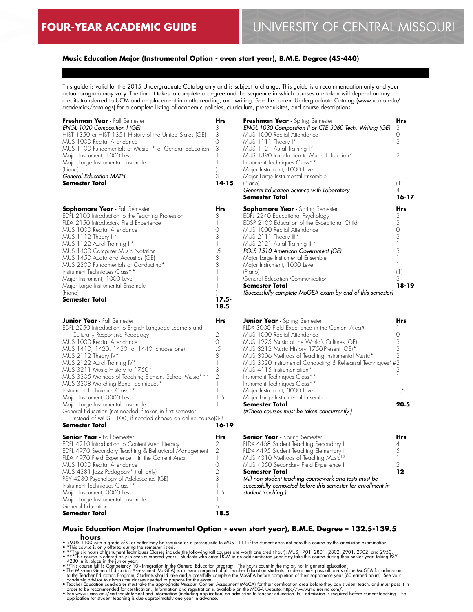# **Music Education Major (Instrumental Option - even start year), B.M.E. Degree (45-440)**

This guide is valid for the 2015 Undergraduate Catalog only and is subject to change. This guide is a recommendation only and your actual program may vary. The time it takes to complete a degree and the sequence in which courses are taken will depend on any credits transferred to UCM and on placement in math, reading, and writing. See the current Undergraduate Catalog (www.ucmo.edu/ academics/catalogs) for a complete listing of academic policies, curriculum, prerequisites, and course descriptions.

| Freshman Year - Fall Semester                              | Hrs            | Freshman Year - Spring Semester                               | Hrs            |
|------------------------------------------------------------|----------------|---------------------------------------------------------------|----------------|
| ENGL 1020 Composition I (GE)                               | 3              | ENGL 1030 Composition II or CTE 3060 Tech. Writing (GE)       | 3              |
| HIST 1350 or HIST 1351 History of the United States (GE)   | 3              | MUS 1000 Recital Attendance                                   | 0              |
| MUS 1000 Recital Attendance                                | 0              | MUS 1111 Theory I*                                            | 3              |
| MUS 1100 Fundamentals of Music+* or General Education      | 3              | MUS 1121 Aural Training I*                                    | $\mathbf{1}$   |
| Major Instrument, 1000 Level                               | $\mathbb{I}$   |                                                               | 2              |
|                                                            | $\mathbb{I}$   | MUS 1390 Introduction to Music Education*                     | 1              |
| Major Large Instrumental Ensemble                          |                | Instrument Techniques Class**                                 |                |
| (Piano)                                                    | (1)            | Major Instrument, 1000 Level                                  |                |
| <b>General Education MATH</b>                              | 3              | Major Large Instrumental Ensemble                             | $\mathbf{1}$   |
| Semester Total                                             | $14 - 15$      | (Piano)                                                       | (1)            |
|                                                            |                | General Education Science with Laboratory                     | 4              |
|                                                            |                | Semester Total                                                | $16 - 17$      |
| <b>Sophomore Year</b> - Fall Semester                      | Hrs            | <b>Sophomore Year</b> - Spring Semester                       | <b>Hrs</b>     |
| EDFL 2100 Introduction to the Teaching Profession          | 3              | EDFL 2240 Educational Psychology                              | 3              |
| FLDX 2150 Introductory Field Experience                    | $\mathbb{I}$   | EDSP 2100 Education of the Exceptional Child                  | 3              |
| MUS 1000 Recital Attendance                                | 0              | MUS 1000 Recital Attendance                                   | 0              |
| MUS 1112 Theory II*                                        | 3              | MUS 2111 Theory III*                                          | 3              |
|                                                            | 1              |                                                               |                |
| MUS 1122 Aural Training II*                                |                | MUS 2121 Aural Training III*                                  |                |
| MUS 1400 Computer Music Notation                           | .5             | POLS 1510 American Government (GE)                            | 3              |
| MUS 1450 Audio and Acoustics (GE)                          | 3              | Major Large Instrumental Ensemble                             | 1              |
| MUS 2300 Fundamentals of Conducting*                       | 3              | Major Instrument, 1000 Level                                  | $\mathbb{I}$   |
| Instrument Techniques Class**                              | $\mathbb{I}$   | (Piano)                                                       | (1)            |
| Major Instrument, 1000 Level                               | $\mathbb{I}$   | General Education Communication                               | 3              |
| Major Large Instrumental Ensemble                          | $\mathbf{1}$   | <b>Semester Total</b>                                         | 18-19          |
| (Piano)                                                    | (1)            | (Successfully complete MoGEA exam by end of this semester)    |                |
| Semester Total                                             | $17.5 -$       |                                                               |                |
|                                                            | 18.5           |                                                               |                |
|                                                            |                |                                                               |                |
| <b>Junior Year</b> - Fall Semester                         | Hrs            | <b>Junior Year</b> - Spring Semester                          | <b>Hrs</b>     |
| EDFL 2250 Introduction to English Language Learners and    |                | FLDX 3000 Field Experience in the Content Area#               |                |
| Culturally Responsive Pedagogy                             | 2              | MUS 1000 Recital Attendance                                   | $\Omega$       |
| MUS 1000 Recital Attendance                                | 0              | MUS 1225 Music of the World's Cultures (GE)                   | 3              |
| MUS 1410, 1420, 1430, or 1440 (choose one)                 | .5             | MUS 3212 Music History 1750-Present (GE)*                     | 3              |
| MUS 2112 Theory IV*                                        | 3              | MUS 3306 Methods of Teaching Instrumental Music*              | 3              |
| MUS 2122 Aural Training IV*                                | $\mathbb{I}$   | MUS 3320 Instrumental Conducting & Rehearsal Techniques*#3    |                |
| MUS 3211 Music History to 1750*                            | 3              | MUS 4115 Instrumentation*                                     | 3              |
| MUS 3305 Methods of Teaching Elemen. School Music***       | $\overline{2}$ | Instrument Techniques Class**                                 | $\mathbf{1}$   |
| MUS 3308 Marching Band Techniques*                         | $\mathbb{I}$   | Instrument Techniques Class**                                 |                |
|                                                            | $\mathbb{I}$   |                                                               | 1.5            |
| Instrument Techniques Class**                              |                | Major Instrument, 3000 Level                                  |                |
| Major Instrument, 3000 Level                               | 1.5            | Major Large Instrumental Ensemble                             |                |
| Major Large Instrumental Ensemble                          | 1              | <b>Semester Total</b>                                         | 20.5           |
| General Education (not needed if taken in first semester   |                | (#These courses must be taken concurrently.)                  |                |
| instead of MUS 1100, if needed choose an online course)0-3 |                |                                                               |                |
| <b>Semester Total</b>                                      | $16 - 19$      |                                                               |                |
| <b>Senior Year</b> - Fall Semester                         | Hrs            | <b>Senior Year</b> - Spring Semester                          | <b>Hrs</b>     |
| EDFL 4210 Introduction to Content Area Literacy            | 2              | FLDX 4468 Student Teaching Secondary II                       | 4              |
| EDFL 4970 Secondary Teaching & Behavioral Management       | $\mathbf{2}$   | FLDX 4495 Student Teaching Elementary I                       | 5              |
| FLDX 4970 Field Experience II in the Content Area          | $\mathbb{I}$   | MUS 4310 Methods of Teaching Music <sup>10</sup>              | $\overline{1}$ |
| MUS 1000 Recital Attendance                                | 0              | MUS 4350 Secondary Field Experience II                        | 2              |
| MUS 4381 Jazz Pedagogy* (fall only)                        | $\overline{2}$ | Semester Total                                                | 12             |
|                                                            | 3              |                                                               |                |
| PSY 4230 Psychology of Adolescence (GE)                    |                | (All non-student teaching coursework and tests must be        |                |
| Instrument Techniques Class**                              | $\mathbb{I}$   | successfully completed before this semester for enrollment in |                |
| Major Instrument, 3000 Level                               | 1.5            | student teaching.)                                            |                |
| Major Large Instrumental Ensemble                          | 1              |                                                               |                |
| General Education                                          | 5              |                                                               |                |
| <b>Semester Total</b>                                      | 18.5           |                                                               |                |
|                                                            |                |                                                               |                |

# **Music Education Major (Instrumental Option - even start year), B.M.E. Degree – 132.5-139.5**  • MOUTS<br>• +MUS 1100 with a grade of C or better may be required as a prerequisite to MUS 1111 if the student does not pass this course by the admission examination.<br>• \*This course is only offered during the semester listed

- 
- 
- 

• \*\*\*This course is offered only in even-numbered years. Students who enter UCM in an odd-numbered year may take this course during their senior year, taking PSY<br>• "This course lights" course fulfills Competency 10 - Integ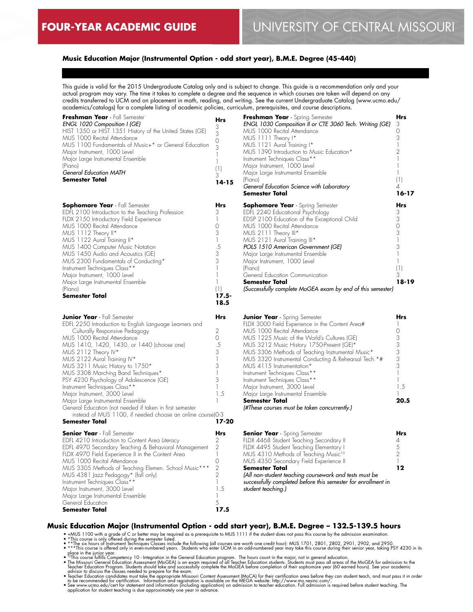# **Music Education Major (Instrumental Option - odd start year), B.M.E. Degree (45-440)**

This guide is valid for the 2015 Undergraduate Catalog only and is subject to change. This guide is a recommendation only and your actual program may vary. The time it takes to complete a degree and the sequence in which courses are taken will depend on any credits transferred to UCM and on placement in math, reading, and writing. See the current Undergraduate Catalog (www.ucmo.edu/ academics/catalogs) for a complete listing of academic policies, curriculum, prerequisites, and course descriptions.

| Freshman Year - Fall Semester<br>ENGL 1020 Composition I (GE)<br>HIST 1350 or HIST 1351 History of the United States (GE)<br>MUS 1000 Recital Attendance<br>MUS 1100 Fundamentals of Music+* or General Education<br>Major Instrument, 1000 Level<br>Major Large Instrumental Ensemble<br>(Piano)<br>General Education MATH<br>Semester Total                                                                                                                                                                                                                                                                                                   | Hrs<br>3<br>3<br>0<br>3<br>$\mathbf{1}$<br>$\mathbb{I}$<br>(1)<br>3<br>$14 - 15$                                             | Freshman Year - Spring Semester<br>ENGL 1030 Composition II or CTE 3060 Tech. Writing (GE)<br>MUS 1000 Recital Attendance<br>MUS 1111 Theory I*<br>MUS 1121 Aural Training I*<br>MUS 1390 Introduction to Music Education*<br>Instrument Techniques Class**<br>Major Instrument, 1000 Level<br>Major Large Instrumental Ensemble<br>(Piano)<br>General Education Science with Laboratory<br>Semester Total                                                                                                                                                                  | Hrs<br>3<br>$\Omega$<br>3<br>$\mathbf{1}$<br>$\mathfrak{D}$<br>1<br>$\mathbf{1}$<br>$\mathbb{I}$<br>(1)<br>4<br>$16 - 17$ |
|-------------------------------------------------------------------------------------------------------------------------------------------------------------------------------------------------------------------------------------------------------------------------------------------------------------------------------------------------------------------------------------------------------------------------------------------------------------------------------------------------------------------------------------------------------------------------------------------------------------------------------------------------|------------------------------------------------------------------------------------------------------------------------------|-----------------------------------------------------------------------------------------------------------------------------------------------------------------------------------------------------------------------------------------------------------------------------------------------------------------------------------------------------------------------------------------------------------------------------------------------------------------------------------------------------------------------------------------------------------------------------|---------------------------------------------------------------------------------------------------------------------------|
| <b>Sophomore Year</b> - Fall Semester<br>EDFL 2100 Introduction to the Teaching Profession<br>FLDX 2150 Introductory Field Experience<br>MUS 1000 Recital Attendance<br>MUS 1112 Theory II*<br>MUS 1122 Aural Training II*<br>MUS 1400 Computer Music Notation<br>MUS 1450 Audio and Acoustics (GE)<br>MUS 2300 Fundamentals of Conducting*<br>Instrument Techniques Class**<br>Major Instrument, 1000 Level<br>Major Large Instrumental Ensemble                                                                                                                                                                                               | Hrs<br>3<br>$\mathbf{1}$<br>0<br>3<br>$\mathbb{I}$<br>.5<br>3<br>3<br>$\mathbf{1}$<br>$\mathbf{1}$<br>$\mathbb{I}$           | <b>Sophomore Year</b> - Spring Semester<br>EDFL 2240 Educational Psychology<br>EDSP 2100 Education of the Exceptional Child<br>MUS 1000 Recital Attendance<br>MUS 2111 Theory III*<br>MUS 2121 Aural Training III*<br>POLS 1510 American Government (GE)<br>Major Large Instrumental Ensemble<br>Major Instrument, 1000 Level<br>(Piano)<br>General Education Communication<br><b>Semester Total</b>                                                                                                                                                                        | <b>Hrs</b><br>3<br>3<br>$\circ$<br>3<br>$\mathbf{1}$<br>3<br>1<br>$\mathbf{1}$<br>(1)<br>3<br>$18 - 19$                   |
| (Piano)<br>Semester Total                                                                                                                                                                                                                                                                                                                                                                                                                                                                                                                                                                                                                       | (1)<br>$17.5 -$<br>18.5                                                                                                      | (Successfully complete MoGEA exam by end of this semester)                                                                                                                                                                                                                                                                                                                                                                                                                                                                                                                  |                                                                                                                           |
| <b>Junior Year</b> - Fall Semester<br>EDFL 2250 Introduction to English Language Learners and<br>Culturally Responsive Pedagogy<br>MUS 1000 Recital Attendance<br>MUS 1410, 1420, 1430, or 1440 (choose one)<br>MUS 2112 Theory IV*<br>MUS 2122 Aural Training IV*<br>MUS 3211 Music History to 1750*<br>MUS 3308 Marching Band Techniques*<br>PSY 4230 Psychology of Adolescence (GE)<br>Instrument Techniques Class**<br>Major Instrument, 3000 Level<br>Major Large Instrumental Ensemble<br>General Education (not needed if taken in first semester<br>instead of MUS 1100, if needed choose an online course)0-3<br><b>Semester Total</b> | Hrs<br>2<br>$\circ$<br>.5<br>3<br>$\mathbf{1}$<br>3<br>$\mathbf{1}$<br>3<br>$\mathbb{I}$<br>1.5<br>$\mathbf{1}$<br>$17 - 20$ | <b>Junior Year</b> - Spring Semester<br>FLDX 3000 Field Experience in the Content Area#<br>MUS 1000 Recital Attendance<br>MUS 1225 Music of the World's Cultures (GE)<br>MUS 3212 Music History 1750-Present (GE)*<br>MUS 3306 Methods of Teaching Instrumental Music*<br>MUS 3320 Instrumental Conducting & Rehearsal Tech.*#<br>MUS 4115 Instrumentation*<br>Instrument Techniques Class**<br>Instrument Techniques Class**<br>Major Instrument, 3000 Level<br>Major Large Instrumental Ensemble<br><b>Semester Total</b><br>(#These courses must be taken concurrently.) | Hrs<br>1<br>$\Omega$<br>3<br>3<br>3<br>3<br>3<br>$\mathbf{1}$<br>1<br>1.5<br>20.5                                         |
| <b>Senior Year</b> - Fall Semester<br>EDFL 4210 Introduction to Content Area Literacy<br>EDFL 4970 Secondary Teaching & Behavioral Management<br>FLDX 4970 Field Experience II in the Content Area<br>MUS 1000 Recital Attendance<br>MUS 3305 Methods of Teaching Elemen. School Music***<br>MUS 4381 Jazz Pedagogy* (fall only)<br>Instrument Techniques Class**<br>Major Instrument, 3000 Level<br>Major Large Instrumental Ensemble<br>General Education<br>Semester Total                                                                                                                                                                   | Hrs<br>2<br>2<br>$\mathbb{I}$<br>0<br>$\overline{2}$<br>$\overline{2}$<br>$\mathbb{I}$<br>1.5<br>$\mathbb{I}$<br>5<br>17.5   | <b>Senior Year</b> - Spring Semester<br>FLDX 4468 Student Teaching Secondary II<br>FLDX 4495 Student Teaching Elementary I<br>MUS 4310 Methods of Teaching Music <sup>10</sup><br>MUS 4350 Secondary Field Experience II<br>Semester Total<br>(All non-student teaching coursework and tests must be<br>successfully completed before this semester for enrollment in<br>student teaching.)                                                                                                                                                                                 | Hrs<br>4<br>5<br>$\overline{2}$<br>$\mathbf{1}$<br>12                                                                     |

#### **Music Education Major (Instrumental Option - odd start year), B.M.E. Degree – 132.5-139.5 hours**

• +MUS 1100 with a grade of C or better may be required as a prerequisite to MUS 1111 if the student does not pass this course by the admission examination.<br>• \*This course is only offered during the semester listed.<br>• \*Thi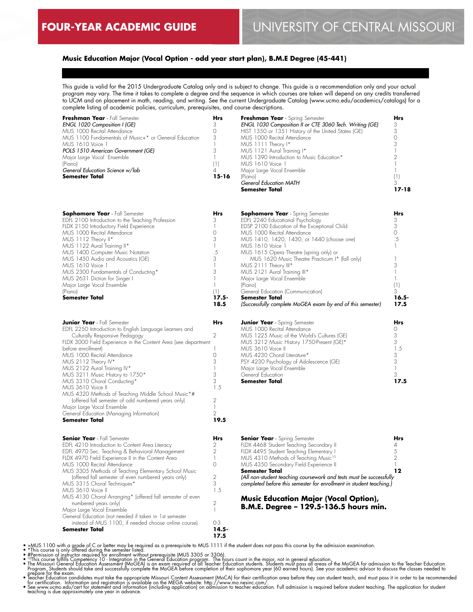# **Music Education Major (Vocal Option - odd year start plan), B.M.E Degree (45-441)**

This guide is valid for the 2015 Undergraduate Catalog only and is subject to change. This guide is a recommendation only and your actual program may vary. The time it takes to complete a degree and the sequence in which courses are taken will depend on any credits transferred to UCM and on placement in math, reading, and writing. See the current Undergraduate Catalog (www.ucmo.edu/academics/catalogs) for a complete listing of academic policies, curriculum, prerequisites, and course descriptions.

| <b>Hrs</b> |                                                         | <b>Hrs</b>                      |
|------------|---------------------------------------------------------|---------------------------------|
|            | ENGL 1030 Composition II or CTE 3060 Tech. Writing (GE) |                                 |
|            | HIST 1350 or 1351 History of the United States (GE)     |                                 |
| 3          | MUS 1000 Recital Attendance                             |                                 |
|            | MUS 1111 Theory I*                                      |                                 |
|            | MUS 1121 Aural Training I*                              |                                 |
|            | MUS 1390 Introduction to Music Education*               |                                 |
|            | MUS 1610 Voice 1                                        |                                 |
|            | Major Large Vocal Ensemble                              |                                 |
| 15-16      | (Piano)                                                 |                                 |
|            | General Education MATH                                  |                                 |
|            | Semester Total                                          | 17-18                           |
|            |                                                         | Freshman Year - Spring Semester |

| <b>Sophomore Year</b> - Fall Semester             | Hrs  |
|---------------------------------------------------|------|
| EDFL 2100 Introduction to the Teaching Profession |      |
| FLDX 2150 Introductory Field Experience           |      |
| MUS 1000 Recital Attendance                       |      |
| MUS 1112 Theory II*                               | 3    |
| MUS 1122 Aural Training II*                       |      |
| MUS 1400 Computer Music Notation                  | .5   |
| MUS 1450 Audio and Acoustics (GE)                 | 3    |
| MUS 1610 Voice 1                                  |      |
| MUS 2300 Fundamentals of Conducting*              |      |
| MUS 2631 Diction for Singer I                     |      |
| Major Large Vocal Ensemble                        |      |
| (Piano)                                           | (1)  |
| <b>Semester Total</b>                             | 17.5 |
|                                                   | 18.5 |

| <b>Junior Year</b> - Fall Semester                                                        | Hrs  |
|-------------------------------------------------------------------------------------------|------|
| EDFL 2250 Introduction to English Language Learners and<br>Culturally Responsive Pedagogy | 2    |
| FLDX 3000 Field Experience in the Content Area (see department                            |      |
| before enrollment)                                                                        |      |
| MUS 1000 Recital Attendance                                                               |      |
| MUS 2112 Theory IV*                                                                       | 3    |
| MUS 2122 Aural Training IV*                                                               |      |
| MUS 3211 Music History to 1750*                                                           | 3    |
| MUS 3310 Choral Conducting*                                                               | 3    |
| MUS 3610 Voice II                                                                         | 1.5  |
| MUS 4320 Methods of Teaching Middle School Music*#                                        |      |
| (offered fall semester of odd numbered years only)                                        | 2    |
| Major Large Vocal Ensemble                                                                |      |
| General Education (Managing Information)                                                  | 2    |
| <b>Semester Total</b>                                                                     | 19.5 |
| <b>Senior Year</b> - Fall Semester                                                        | Hrs  |
| EDFL 4210 Introduction to Content Area Literacy                                           | 2    |
| EDFL 4970 Sec. Teaching & Behavioral Management                                           | 2    |
| FLDX 4970 Field Experience II in the Content Area                                         |      |

| <b>Sophomore Year</b> - Spring Semester                    | Hrs        |
|------------------------------------------------------------|------------|
| EDFL 2240 Educational Psychology                           | 3          |
| EDSP 2100 Education of the Exceptional Child               | 3          |
| MUS 1000 Recital Attendance                                | $\bigcirc$ |
| MUS 1410, 1420, 1430, or 1440 (choose one)                 | .5         |
| MUS 1610 Voice 1                                           |            |
| MUS 1615 Opera Theatre (spring only) or                    |            |
| MUS 1620 Music Theatre Practicum I* (fall only)            |            |
| MUS 2111 Theory III*                                       | 3          |
| MUS 2121 Aural Training III*                               |            |
| Major Large Vocal Ensemble                                 |            |
| (Piano)                                                    | (1)        |
| General Education (Communication)                          | 3          |
| Semester Total                                             | $16.5 -$   |
| (Successfully complete MoGEA exam by end of this semester) | 17.5       |
|                                                            |            |
| <b>Junior Year</b> - Spring Semester                       | Hrs        |
|                                                            |            |

| <b>Semester Total</b>                       |     |
|---------------------------------------------|-----|
| General Education                           |     |
| Major Large Vocal Ensemble                  |     |
| PSY 4230 Psychology of Adolescence (GE)     | 3   |
| MUS 4230 Choral Literature*                 | 3   |
| MUS 3610 Voice II                           | 1.5 |
| MUS 3212 Music History 1750-Present (GE)*   | 3   |
| MUS 1225 Music of the World's Cultures (GE) | 3   |
| MUS 1000 Recital Attendance                 |     |
|                                             |     |

| <b>Senior Year</b> - Spring Semester                                | Hrs |
|---------------------------------------------------------------------|-----|
| FLDX 4468 Student Teaching Secondary II                             | 4   |
| FLDX 4495 Student Teaching Elementary I                             | 5   |
| MUS 4310 Methods of Teaching Music <sup>10</sup>                    |     |
| MUS 4350 Secondary Field Experience II                              |     |
| <b>Semester Total</b>                                               |     |
| (All non-student teaching coursework and tests must be successfully |     |
| completed before this semester for enrollment in student teaching.) |     |

#### **Music Education Major (Vocal Option), B.M.E. Degree – 129.5-136.5 hours min.**

0 2 3 1.5 2 1 0-3 **14.5- 17.5**

General Education (not needed if taken in 1st semester instead of MUS 1100, if needed choose online course)

MUS 3305 Methods of Teaching Elementary School Music (offered fall semester of even numbered years only)

MUS 4130 Choral Arranging\* (offered fall semester of even

MUS 1000 Recital Attendance

MUS 3315 Choral Techniques\*

 numbered years only) Major Large Vocal Ensemble

MUS 3610 Voice II

**Semester Total**

• +MUS 1100 with a grade of C or better may be required as a prerequisite to MUS 1111 if the student does not pass this course by the admission examination.<br>• \*This course is only offered during the semestre listed.<br>• iPre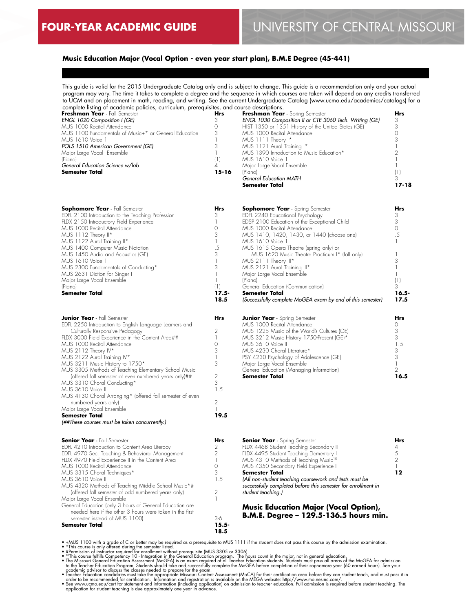# **Music Education Major (Vocal Option - even year start plan), B.M.E Degree (45-441)**

This guide is valid for the 2015 Undergraduate Catalog only and is subject to change. This guide is a recommendation only and your actual program may vary. The time it takes to complete a degree and the sequence in which courses are taken will depend on any credits transferred to UCM and on placement in math, reading, and writing. See the current Undergraduate Catalog (www.ucmo.edu/academics/catalogs) for a complete listing of academic policies, curriculum, prerequisites, and course descriptions.

| Freshman Year - Fall Semester                          | Hrs   | Freshman Year - Spring Semester                         | Hrs   |
|--------------------------------------------------------|-------|---------------------------------------------------------|-------|
| ENGL 1020 Composition I (GE)                           |       | ENGL 1030 Composition II or CTE 3060 Tech. Writing (GE) |       |
| MUS 1000 Recital Attendance                            |       | HIST 1350 or 1351 History of the United States (GE)     |       |
| MUS 1100 Fundamentals of Music+* or General Education. |       | MUS 1000 Recital Attendance                             |       |
| MUS 1610 Voice 1                                       |       | MUS 1111 Theory I*                                      |       |
| POLS 1510 American Government (GE)                     |       | MUS 1121 Aural Training I*                              |       |
| Major Large Vocal Ensemble                             |       | MUS 1390 Introduction to Music Education*               |       |
| (Piano)                                                |       | MUS 1610 Voice 1                                        |       |
| General Education Science w/lab                        |       | Major Large Vocal Ensemble                              |       |
| Semester Total                                         | 15-16 | (Piano)                                                 |       |
|                                                        |       | <b>General Education MATH</b>                           |       |
|                                                        |       | Semester Total                                          | 17-18 |

**18.5**

| <b>Sophomore Year</b> - Fall Semester             | Hrs |
|---------------------------------------------------|-----|
| EDFL 2100 Introduction to the Teaching Profession |     |
| FLDX 2150 Introductory Field Experience           |     |
| MUS 1000 Recital Attendance                       |     |
| MUS 1112 Theory II*                               | 3   |
| MUS 1122 Aural Training II*                       |     |
| MUS 1400 Computer Music Notation                  | .5  |
| MUS 1450 Audio and Acoustics (GE)                 | 3   |
| MUS 1610 Voice 1                                  |     |
| MUS 2300 Fundamentals of Conducting*              |     |
| MUS 2631 Diction for Singer I                     |     |
| Major Large Vocal Ensemble                        |     |
| (Piano)                                           |     |
| <b>Semester Total</b>                             |     |

| <b>Junior Year</b> - Fall Semester                        | Hr<  |
|-----------------------------------------------------------|------|
| EDFL 2250 Introduction to English Language Learners and   |      |
| Culturally Responsive Pedagogy                            | 2    |
| FLDX 3000 Field Experience in the Content Area##          |      |
| MUS 1000 Recital Attendance                               | Ω    |
| MUS 2112 Theory IV*                                       | 3    |
| MUS 2122 Aural Training IV*                               |      |
| MUS 3211 Music History to 1750*                           | 3    |
| MUS 3305 Methods of Teaching Elementary School Music      |      |
| (offered fall semester of even numbered years only)##     | 2    |
| MUS 3310 Choral Conducting*                               | 3    |
| MUS 3610 Voice II                                         | 1.5  |
| MUS 4130 Choral Arranging* (offered fall semester of even |      |
| numbered years only)                                      | 2    |
| Major Large Vocal Ensemble                                |      |
| <b>Semester Total</b>                                     | 19.5 |
| (##These courses must be taken concurrently.)             |      |

| <b>Senior Year</b> - Fall Semester                       | Hr<   |
|----------------------------------------------------------|-------|
| EDFL 4210 Introduction to Content Area Literacy          | 2     |
| EDFL 4970 Sec. Teaching & Behavioral Management          | 2     |
| FLDX 4970 Field Experience II in the Content Area        |       |
| MUS 1000 Recital Attendance                              |       |
| MUS 3315 Choral Techniques*                              | 3     |
| MUS 3610 Voice II                                        | 1.5   |
| MUS 4320 Methods of Teaching Middle School Music*#       |       |
| (offered fall semester of odd numbered years only)       | 2     |
| Major Large Vocal Ensemble                               |       |
| General Education (only 3 hours of General Education are |       |
| needed here if the other 3 hours were taken in the first |       |
| semester instead of MUS 1100)                            | 3-6   |
| <b>Semester Total</b>                                    | 15.5. |
|                                                          | 18.5  |

| <b>Sophomore Year</b> - Spring Semester                    | Hrs   |
|------------------------------------------------------------|-------|
| EDFL 2240 Educational Psychology                           | З     |
| EDSP 2100 Education of the Exceptional Child               | 3     |
| MUS 1000 Recital Attendance                                | Ω     |
| MUS 1410, 1420, 1430, or 1440 (choose one)                 | .5    |
| MUS 1610 Voice 1                                           |       |
| MUS 1615 Opera Theatre (spring only) or                    |       |
| MUS 1620 Music Theatre Practicum I* (fall only)            |       |
| MUS 2111 Theory III*                                       | З     |
| MUS 2121 Aural Training III*                               |       |
| Major Large Vocal Ensemble                                 |       |
| (Piano)                                                    | (   ) |
| General Education (Communication)                          | 3     |
| Semester Total                                             | 16.5- |
| (Successfully complete MoGEA exam by end of this semester) | 17.5  |

| <b>Junior Year</b> - Spring Semester        | Hrc |
|---------------------------------------------|-----|
| MUS 1000 Recital Attendance                 |     |
| MUS 1225 Music of the World's Cultures (GE) | 3   |
| MUS 3212 Music History 1750-Present (GE)*   | 3   |
| MUS 3610 Voice II                           | 1.5 |
| MUS 4230 Choral Literature*                 | 3   |
| PSY 4230 Psychology of Adolescence (GE)     | 3   |
| Major Large Vocal Ensemble                  |     |
| General Education (Managing Information)    | 2   |
| <b>Semester Total</b>                       |     |
|                                             |     |

| <b>Senior Year</b> - Spring Semester                                                                                                          | Hrs |
|-----------------------------------------------------------------------------------------------------------------------------------------------|-----|
| FLDX 4468 Student Teaching Secondary II                                                                                                       | 4   |
| FLDX 4495 Student Teaching Elementary I                                                                                                       | 5   |
| MUS 4310 Methods of Teaching Music <sup>10</sup>                                                                                              | 2   |
| MUS 4350 Secondary Field Experience II                                                                                                        |     |
| <b>Semester Total</b>                                                                                                                         | 19  |
| (All non-student teaching coursework and tests must be<br>successfully completed before this semester for enrollment in<br>student teaching.) |     |

**Music Education Major (Vocal Option), B.M.E. Degree – 129.5-136.5 hours min.**

• \*MbS 1100 with a grade of C or better may be required as a prerequisite to MUS 1111 if the student does not pass this course by the admission examination.<br>• \*This course is only offered during the semelstr listed.<br>• The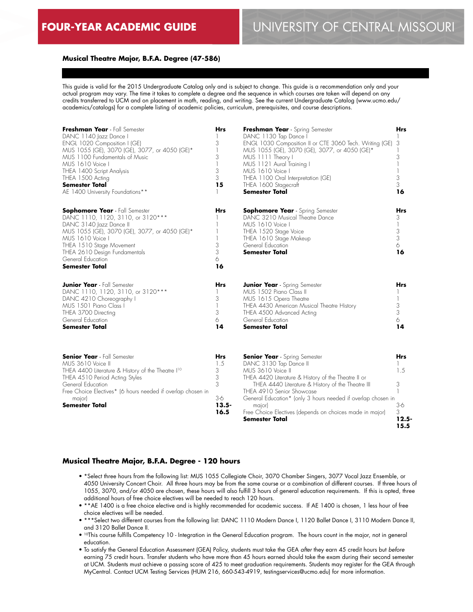# **Musical Theatre Major, B.F.A. Degree (47-586)**

This guide is valid for the 2015 Undergraduate Catalog only and is subject to change. This guide is a recommendation only and your actual program may vary. The time it takes to complete a degree and the sequence in which courses are taken will depend on any credits transferred to UCM and on placement in math, reading, and writing. See the current Undergraduate Catalog (www.ucmo.edu/ academics/catalogs) for a complete listing of academic policies, curriculum, prerequisites, and course descriptions.

| Freshman Year - Fall Semester<br>DANC 1140 Jazz Dance I<br>ENGL 1020 Composition I (GE)<br>MUS 1055 (GE), 3070 (GE), 3077, or 4050 (GE)*<br>MUS 1100 Fundamentals of Music<br>MUS 1610 Voice I<br>THEA 1400 Script Analysis<br>THEA 1500 Acting<br><b>Semester Total</b><br>AE 1400 University Foundations** | <b>Hrs</b><br>3<br>1<br>3<br>$\overline{\phantom{a}}$<br>3<br>3<br>15 | Freshman Year - Spring Semester<br>DANC 1130 Tap Dance I<br>ENGL 1030 Composition II or CTE 3060 Tech. Writing (GE)<br>MUS 1055 (GE), 3070 (GE), 3077, or 4050 (GE)*<br>MUS 1111 Theory I<br>MUS 1121 Aural Training I<br>MUS 1610 Voice I<br>THEA 1100 Oral Interpretation (GE)<br>THEA 1600 Stagecraft<br><b>Semester Total</b>                                                    | Hrs<br>3<br>3<br>1<br>3<br>3<br>16                |
|--------------------------------------------------------------------------------------------------------------------------------------------------------------------------------------------------------------------------------------------------------------------------------------------------------------|-----------------------------------------------------------------------|--------------------------------------------------------------------------------------------------------------------------------------------------------------------------------------------------------------------------------------------------------------------------------------------------------------------------------------------------------------------------------------|---------------------------------------------------|
| <b>Sophomore Year</b> - Fall Semester<br>DANC 1110, 1120, 3110, or 3120***<br>DANC 3140 Jazz Dance II<br>MUS 1055 (GE), 3070 (GE), 3077, or 4050 (GE)*<br>MUS 1610 Voice I<br>THEA 1510 Stage Movement<br>THEA 2610 Design Fundamentals<br>General Education<br><b>Semester Total</b>                        | <b>Hrs</b><br>3<br>3<br>6<br>16                                       | <b>Sophomore Year</b> - Spring Semester<br>DANC 3210 Musical Theatre Dance<br>MUS 1610 Voice I<br>THEA 1520 Stage Voice<br>THEA 1610 Stage Makeup<br>General Education<br><b>Semester Total</b>                                                                                                                                                                                      | <b>Hrs</b><br>3<br>3<br>$\,$ 3 $\,$<br>6<br>16    |
| <b>Junior Year</b> - Fall Semester<br>DANC 1110, 1120, 3110, or 3120***<br>DANC 4210 Choreography I<br>MUS 1501 Piano Class I<br>THEA 3700 Directing<br>General Education<br>Semester Total                                                                                                                  | Hrs<br>3<br>3<br>6<br>14                                              | <b>Junior Year</b> - Spring Semester<br>MUS 1502 Piano Class II<br>MUS 1615 Opera Theatre<br>THEA 4430 American Musical Theatre History<br>THEA 4500 Advanced Acting<br>General Education<br><b>Semester Total</b>                                                                                                                                                                   | Hrs<br>1<br>3<br>3<br>6<br>14                     |
| <b>Senior Year</b> - Fall Semester<br>MUS 3610 Voice II<br>THEA 4400 Literature & History of the Theatre I <sup>10</sup><br>THEA 4510 Period Acting Styles<br>General Education<br>Free Choice Electives* (6 hours needed if overlap chosen in<br>major)<br><b>Semester Total</b>                            | Hrs<br>1.5<br>3<br>3<br>3<br>$3-6$<br>$13.5 -$<br>16.5                | <b>Senior Year</b> - Spring Semester<br>DANC 3130 Tap Dance II<br>MUS 3610 Voice II<br>THEA 4420 Literature & History of the Theatre II or<br>THEA 4440 Literature & History of the Theatre III<br>THEA 4910 Senior Showcase<br>General Education* (only 3 hours needed if overlap chosen in<br>major)<br>Free Choice Electives (depends on choices made in major)<br>Semester Total | Hrs<br>1.5<br>3<br>$3-6$<br>3<br>$12.5 -$<br>15.5 |

#### **Musical Theatre Major, B.F.A. Degree - 120 hours**

- \*Select three hours from the following list: MUS 1055 Collegiate Choir, 3070 Chamber Singers, 3077 Vocal Jazz Ensemble, or 4050 University Concert Choir. All three hours may be from the same course or a combination of different courses. If three hours of 1055, 3070, and/or 4050 are chosen, these hours will also fulfill 3 hours of general education requirements. If this is opted, three additional hours of free choice electives will be needed to reach 120 hours.
- \*\*AE 1400 is a free choice elective and is highly recommended for academic success. If AE 1400 is chosen, 1 less hour of free choice electives will be needed.
- \*\*\*Select two different courses from the following list: DANC 1110 Modern Dance I, 1120 Ballet Dance I, 3110 Modern Dance II, and 3120 Ballet Dance II.
- 10This course fulfills Competency 10 Integration in the General Education program. The hours count in the major, not in general education.
- To satisfy the General Education Assessment (GEA) Policy, students must take the GEA *after* they earn 45 credit hours but *before* earning 75 credit hours. Transfer students who have more than 45 hours earned should take the exam during their second semester at UCM. Students must achieve a passing score of 425 to meet graduation requirements. Students may register for the GEA through MyCentral. Contact UCM Testing Services (HUM 216, 660-543-4919, testingservices@ucmo.edu) for more information.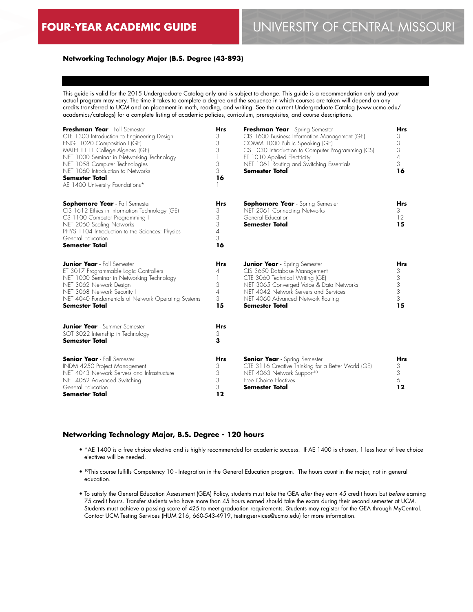# **Networking Technology Major (B.S. Degree (43-893)**

This guide is valid for the 2015 Undergraduate Catalog only and is subject to change. This guide is a recommendation only and your actual program may vary. The time it takes to complete a degree and the sequence in which courses are taken will depend on any credits transferred to UCM and on placement in math, reading, and writing. See the current Undergraduate Catalog (www.ucmo.edu/ academics/catalogs) for a complete listing of academic policies, curriculum, prerequisites, and course descriptions.

| Freshman Year - Fall Semester<br>CTE 1300 Introduction to Engineering Design<br>ENGL 1020 Composition I (GE)<br>MATH 1111 College Algebra (GE)<br>NET 1000 Seminar in Networking Technology<br>NET 1058 Computer Technologies<br>NET 1060 Introduction to Networks<br><b>Semester Total</b><br>AE 1400 University Foundations* | <b>Hrs</b><br>3<br>3<br>3<br>1<br>3<br>3<br>16         | Freshman Year - Spring Semester<br>CIS 1600 Business Information Management (GE)<br>COMM 1000 Public Speaking (GE)<br>CS 1030 Introduction to Computer Programming (CS)<br>ET 1010 Applied Electricity<br>NET 1061 Routing and Switching Essentials<br><b>Semester Total</b> | <b>Hrs</b><br>3<br>3<br>3<br>$\overline{A}$<br>3<br>16 |  |
|--------------------------------------------------------------------------------------------------------------------------------------------------------------------------------------------------------------------------------------------------------------------------------------------------------------------------------|--------------------------------------------------------|------------------------------------------------------------------------------------------------------------------------------------------------------------------------------------------------------------------------------------------------------------------------------|--------------------------------------------------------|--|
| <b>Sophomore Year</b> - Fall Semester<br>CIS 1612 Ethics in Information Technology (GE)<br>CS 1100 Computer Programming I<br>NET 2060 Scaling Networks<br>PHYS 1104 Introduction to the Sciences: Physics<br>General Education<br><b>Semester Total</b>                                                                        | <b>Hrs</b><br>3<br>3<br>3<br>$\overline{A}$<br>3<br>16 | <b>Sophomore Year</b> - Spring Semester<br>NET 2061 Connecting Networks<br>General Education<br><b>Semester Total</b>                                                                                                                                                        | <b>Hrs</b><br>3<br>12<br>15                            |  |
| <b>Junior Year</b> - Fall Semester<br>ET 3017 Programmable Logic Controllers<br>NET 1000 Seminar in Networking Technology<br>NET 3062 Network Design<br>NET 3068 Network Security I<br>NET 4040 Fundamentals of Network Operating Systems<br><b>Semester Total</b>                                                             | <b>Hrs</b><br>4<br>1<br>3<br>$\overline{A}$<br>3<br>15 | <b>Junior Year</b> - Spring Semester<br>CIS 3650 Database Management<br>CTE 3060 Technical Writing (GE)<br>NET 3065 Converged Voice & Data Networks<br>NET 4042 Network Servers and Services<br>NET 4060 Advanced Network Routing<br><b>Semester Total</b>                   | <b>Hrs</b><br>3<br>3<br>3<br>3<br>3<br>15              |  |
| <b>Junior Year</b> - Summer Semester<br>SOT 3022 Internship in Technology<br><b>Semester Total</b>                                                                                                                                                                                                                             | <b>Hrs</b><br>3<br>3                                   |                                                                                                                                                                                                                                                                              |                                                        |  |
| <b>Senior Year</b> - Fall Semester<br>INDM 4250 Project Management<br>NET 4043 Network Servers and Infrastructure<br>NET 4062 Advanced Switching<br>General Education<br><b>Semester Total</b>                                                                                                                                 | <b>Hrs</b><br>3<br>3<br>3<br>3<br>12                   | <b>Senior Year</b> - Spring Semester<br>CTE 3116 Creative Thinking for a Better World (GE)<br>NET 4063 Network Support <sup>10</sup><br>Free Choice Electives<br><b>Semester Total</b>                                                                                       | <b>Hrs</b><br>3<br>3<br>6<br>12                        |  |

#### **Networking Technology Major, B.S. Degree - 120 hours**

- \*AE 1400 is a free choice elective and is highly recommended for academic success. If AE 1400 is chosen, 1 less hour of free choice electives will be needed.
- 10This course fulfills Competency 10 Integration in the General Education program. The hours count in the major, not in general education.
- To satisfy the General Education Assessment (GEA) Policy, students must take the GEA *after* they earn 45 credit hours but *before* earning 75 credit hours. Transfer students who have more than 45 hours earned should take the exam during their second semester at UCM. Students must achieve a passing score of 425 to meet graduation requirements. Students may register for the GEA through MyCentral. Contact UCM Testing Services (HUM 216, 660-543-4919, testingservices@ucmo.edu) for more information.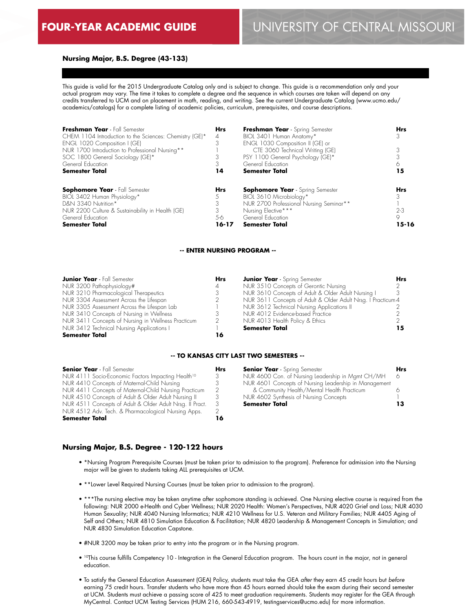### **Nursing Major, B.S. Degree (43-133)**

This guide is valid for the 2015 Undergraduate Catalog only and is subject to change. This guide is a recommendation only and your actual program may vary. The time it takes to complete a degree and the sequence in which courses are taken will depend on any credits transferred to UCM and on placement in math, reading, and writing. See the current Undergraduate Catalog (www.ucmo.edu/ academics/catalogs) for a complete listing of academic policies, curriculum, prerequisites, and course descriptions.

| Freshman Year - Fall Semester<br>CHEM 1104 Introduction to the Sciences: Chemistry (GE)*<br>ENGL 1020 Composition I (GE)<br>NUR 1700 Introduction to Professional Nursing**<br>SOC 1800 General Sociology (GE)*<br>General Education<br><b>Semester Total</b> | <b>Hrs</b><br>4<br>14      | Freshman Year - Spring Semester<br>BIOL 3401 Human Anatomy*<br>ENGL 1030 Composition II (GE) or<br>CTE 3060 Technical Writing (GE)<br>PSY 1100 General Psychology (GE)*<br>General Education<br><b>Semester Total</b> | <b>Hrs</b><br>15             |
|---------------------------------------------------------------------------------------------------------------------------------------------------------------------------------------------------------------------------------------------------------------|----------------------------|-----------------------------------------------------------------------------------------------------------------------------------------------------------------------------------------------------------------------|------------------------------|
| <b>Sophomore Year</b> - Fall Semester<br>BIOL 3402 Human Physiology*<br>D&N 3340 Nutrition*<br>NUR 2200 Culture & Sustainability in Health (GE)<br>General Education<br><b>Semester Total</b>                                                                 | <b>Hrs</b><br>5-6<br>16-17 | <b>Sophomore Year</b> - Spring Semester<br>BIOL 3610 Microbiology*<br>NUR 2700 Professional Nursing Seminar**<br>Nursing Elective***<br>General Education<br><b>Semester Total</b>                                    | Hrs<br>$2 - 3$<br>9<br>15-16 |

#### **-- ENTER NURSING PROGRAM --**

| <b>Junior Year</b> - Fall Semester                 | <b>Hrs</b>     | <b>Junior Year</b> - Spring Semester                         | Hrs |
|----------------------------------------------------|----------------|--------------------------------------------------------------|-----|
| NUR 3200 Pathophysiology#                          | $\overline{A}$ | NUR 3510 Concepts of Gerontic Nursing                        |     |
| NUR 3210 Pharmacological Therapeutics              |                | NUR 3610 Concepts of Adult & Older Adult Nursing I           |     |
| NUR 3304 Assessment Across the Lifespan            |                | NUR 3611 Concepts of Adult & Older Adult Nrsg. I Practicum 4 |     |
| NUR 3305 Assessment Across the Lifespan Lab        |                | NUR 3612 Technical Nursing Applications II                   |     |
| NUR 3410 Concepts of Nursing in Wellness           |                | NUR 4012 Evidence-based Practice                             |     |
| NUR 3411 Concepts of Nursing in Wellness Practicum | $\overline{2}$ | NUR 4013 Health Policy & Ethics                              |     |
| NUR 3412 Technical Nursing Applications I          |                | <b>Semester Total</b>                                        |     |
| Semester Total                                     | 16             |                                                              |     |

#### **-- TO KANSAS CITY LAST TWO SEMESTERS --**

| <b>Hrs</b>    | <b>Senior Year</b> - Spring Semester                  | <b>Hrs</b>                                        |
|---------------|-------------------------------------------------------|---------------------------------------------------|
| 3             |                                                       |                                                   |
|               | NUR 4601 Concepts of Nursing Leadership in Management |                                                   |
| $\mathcal{P}$ | & Community Health/Mental Health Practicum            |                                                   |
|               | NUR 4602 Synthesis of Nursing Concepts                |                                                   |
| 3             | <b>Semester Total</b>                                 |                                                   |
|               |                                                       |                                                   |
|               |                                                       |                                                   |
|               |                                                       | NUR 4600 Con. of Nursing Leadership in Mamt CH/MH |

#### **Nursing Major, B.S. Degree - 120-122 hours**

- \*Nursing Program Prerequisite Courses (must be taken prior to admission to the program). Preference for admission into the Nursing major will be given to students taking ALL prerequisites at UCM.
- \*\*Lower Level Required Nursing Courses (must be taken prior to admission to the program).
- \*\*\*The nursing elective may be taken anytime after sophomore standing is achieved. One Nursing elective course is required from the following: NUR 2000 e-Health and Cyber Wellness; NUR 2020 Health: Women's Perspectives, NUR 4020 Grief and Loss; NUR 4030 Human Sexuality; NUR 4040 Nursing Informatics; NUR 4210 Wellness for U.S. Veteran and Military Families; NUR 4405 Aging of Self and Others; NUR 4810 Simulation Education & Facilitation; NUR 4820 Leadership & Management Concepts in Simulation; and NUR 4830 Simulation Education Capstone.
- #NUR 3200 may be taken prior to entry into the program or in the Nursing program.
- <sup>10</sup>This course fulfills Competency 10 Integration in the General Education program. The hours count in the major, not in general education.
- To satisfy the General Education Assessment (GEA) Policy, students must take the GEA *after* they earn 45 credit hours but *before* earning 75 credit hours. Transfer students who have more than 45 hours earned should take the exam during their second semester at UCM. Students must achieve a passing score of 425 to meet graduation requirements. Students may register for the GEA through MyCentral. Contact UCM Testing Services (HUM 216, 660-543-4919, testingservices@ucmo.edu) for more information.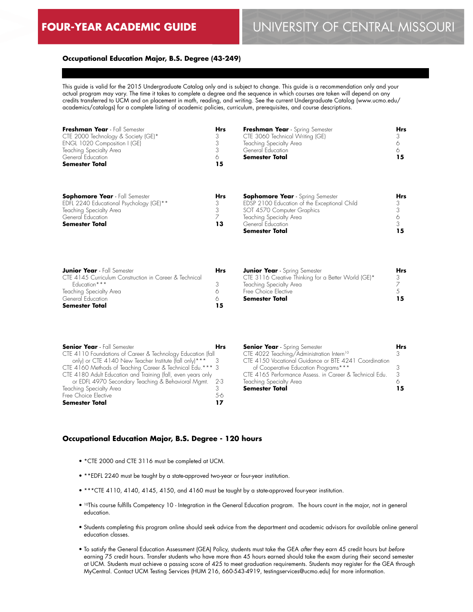3 **15**

# **Occupational Education Major, B.S. Degree (43-249)**

This guide is valid for the 2015 Undergraduate Catalog only and is subject to change. This guide is a recommendation only and your actual program may vary. The time it takes to complete a degree and the sequence in which courses are taken will depend on any credits transferred to UCM and on placement in math, reading, and writing. See the current Undergraduate Catalog (www.ucmo.edu/ academics/catalogs) for a complete listing of academic policies, curriculum, prerequisites, and course descriptions.

| Freshman Year - Fall Semester<br>CTE 2000 Technology & Society (GE)*<br>ENGL 1020 Composition I (GE)<br>Teaching Specialty Area<br>General Education<br><b>Semester Total</b> | <b>Hrs</b><br>6<br>15 | Freshman Year - Spring Semester<br>CTE 3060 Technical Writing (GE)<br>Teaching Specialty Area<br>General Education<br><b>Semester Total</b> | Hrs<br>15 |
|-------------------------------------------------------------------------------------------------------------------------------------------------------------------------------|-----------------------|---------------------------------------------------------------------------------------------------------------------------------------------|-----------|
| <b>Sophomore Year</b> - Fall Semester<br>EDFL 2240 Educational Psychology (GE)**<br>Teaching Specialty Area                                                                   | <b>Hrs</b><br>3       | <b>Sophomore Year</b> - Spring Semester<br>EDSP 2100 Education of the Exceptional Child<br>SOT 4570 Computer Graphics                       | Hrs       |
| General Education<br><b>Semester Total</b>                                                                                                                                    | 13                    | Teaching Specialty Area<br>General Education                                                                                                |           |

**Semester Total**

3116 Creative Thinking for a Better World (GE)\*

**13**

| <b>Junior Year</b> - Fall Semester                     | <b>Hrs</b> | <b>Junior Year</b> - Spring Semester |
|--------------------------------------------------------|------------|--------------------------------------|
| CTE 4145 Curriculum Construction in Career & Technical |            | CTE 3116 Creative Thinking for       |
| Foucation***                                           | -2         | Teaching Specialty Area              |
| Teaching Specialty Area                                |            | Free Choice Elective                 |
| General Education                                      |            | <b>Semester Total</b>                |
| <b>Semester Total</b>                                  | 15         |                                      |

| <b>Senior Year</b> - Fall Semester                           | <b>Hrs</b> | <b>Senior Year</b> - Spring Semester                    |
|--------------------------------------------------------------|------------|---------------------------------------------------------|
| CTE 4110 Foundations of Career & Technology Education (fall  |            | CTE 4022 Teaching/Administration Intern <sup>10</sup>   |
| only) or CTE 4140 New Teacher Institute (fall only)*** 3     |            | CTE 4150 Vocational Guidance or BTE 4241 Coordination   |
| CTE 4160 Methods of Teaching Career & Technical Edu.*** 3    |            | of Cooperative Education Programs***                    |
| CTE 4180 Adult Education and Training (fall, even years only |            | CTE 4165 Performance Assess. in Career & Technical Edu. |
| or EDFL 4970 Secondary Teaching & Behavioral Mgmt. 2-3       |            | Teaching Specialty Area                                 |
| Teaching Specialty Area                                      |            | <b>Semester Total</b>                                   |
| Free Choice Elective                                         | 5-6        |                                                         |
| <b>Semester Total</b>                                        | 17         |                                                         |

#### **Occupational Education Major, B.S. Degree - 120 hours**

- \*CTE 2000 and CTE 3116 must be completed at UCM.
- \*\*EDFL 2240 must be taught by a state-approved two-year or four-year institution.
- \*\*\*CTE 4110, 4140, 4145, 4150, and 4160 must be taught by a state-approved four-year institution.
- 10This course fulfills Competency 10 Integration in the General Education program. The hours count in the major, not in general education.
- Students completing this program online should seek advice from the department and academic advisors for available online general education classes.
- To satisfy the General Education Assessment (GEA) Policy, students must take the GEA *after* they earn 45 credit hours but *before* earning 75 credit hours. Transfer students who have more than 45 hours earned should take the exam during their second semester at UCM. Students must achieve a passing score of 425 to meet graduation requirements. Students may register for the GEA through MyCentral. Contact UCM Testing Services (HUM 216, 660-543-4919, testingservices@ucmo.edu) for more information.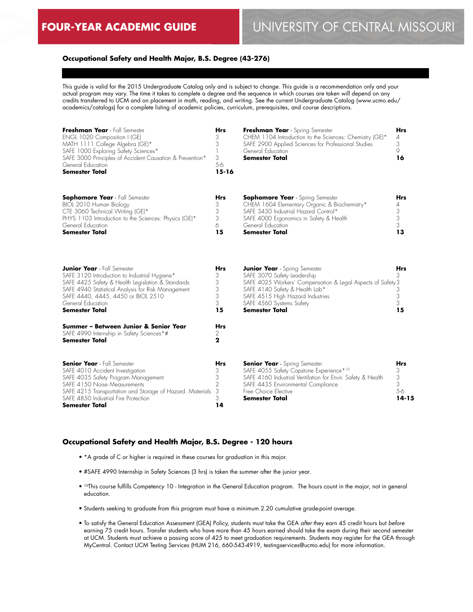# **Occupational Safety and Health Major, B.S. Degree (43-276)**

This guide is valid for the 2015 Undergraduate Catalog only and is subject to change. This guide is a recommendation only and your actual program may vary. The time it takes to complete a degree and the sequence in which courses are taken will depend on any credits transferred to UCM and on placement in math, reading, and writing. See the current Undergraduate Catalog (www.ucmo.edu/ academics/catalogs) for a complete listing of academic policies, curriculum, prerequisites, and course descriptions.

| Freshman Year - Fall Semester<br>ENGL 1020 Composition I (GE)<br>MATH 1111 College Algebra (GE)*<br>SAFE 1000 Exploring Safety Sciences*<br>SAFE 3000 Principles of Accident Causation & Prevention*<br>General Education<br><b>Semester Total</b>                                 | Hrs<br>3<br>3<br>3<br>5-6<br>$15 - 16$          | Freshman Year - Spring Semester<br>CHEM 1104 Introduction to the Sciences: Chemistry (GE)*<br>SAFE 2900 Applied Sciences for Professional Studies<br>General Education<br><b>Semester Total</b>                                                               | <b>Hrs</b><br>4<br>3<br>9<br>16               |
|------------------------------------------------------------------------------------------------------------------------------------------------------------------------------------------------------------------------------------------------------------------------------------|-------------------------------------------------|---------------------------------------------------------------------------------------------------------------------------------------------------------------------------------------------------------------------------------------------------------------|-----------------------------------------------|
| <b>Sophomore Year</b> - Fall Semester<br>BIOL 2010 Human Biology<br>CTE 3060 Technical Writing (GE)*<br>PHYS 1103 Introduction to the Sciences: Physics (GE)*<br>General Education<br><b>Semester Total</b>                                                                        | Hrs<br>3<br>3<br>3<br>6<br>15                   | <b>Sophomore Year</b> - Spring Semester<br>CHEM 1604 Elementary Organic & Biochemistry*<br>SAFE 3430 Industrial Hazard Control*<br>SAFE 4000 Ergonomics in Safety & Health<br>General Education<br><b>Semester Total</b>                                      | Hrs<br>4<br>3<br>3<br>3<br>13                 |
| <b>Junior Year</b> - Fall Semester<br>SAFE 3120 Introduction to Industrial Hygiene*<br>SAFE 4425 Safety & Health Legislation & Standards<br>SAFE 4940 Statistical Analysis for Risk Management<br>SAFE 4440, 4445, 4450 or BIOL 2510<br>General Education<br><b>Semester Total</b> | Hrs<br>3<br>3<br>3<br>3<br>3<br>15              | <b>Junior Year</b> - Spring Semester<br>SAFE 3070 Safety Leadership<br>SAFE 4025 Workers' Compensation & Legal Aspects of Safety 3<br>SAFE 4140 Safety & Health Lab*<br>SAFE 4515 High Hazard Industries<br>SAFE 4560 Systems Safety<br><b>Semester Total</b> | Hrs<br>3<br>3<br>3<br>3<br>15                 |
| Summer - Between Junior & Senior Year<br>SAFE 4990 Internship in Safety Sciences*#<br>Semester Total                                                                                                                                                                               | Hrs<br>2<br>2                                   |                                                                                                                                                                                                                                                               |                                               |
| <b>Senior Year</b> - Fall Semester<br>SAFE 4010 Accident Investigation<br>SAFE 4035 Safety Program Management<br>SAFE 4150 Noise Measurements<br>SAFE 4215 Transportation and Storage of Hazard. Materials<br>SAFE 4850 Industrial Fire Protection<br>Semester Total               | Hrs<br>3<br>3<br>$\overline{2}$<br>3<br>3<br>14 | <b>Senior Year</b> - Spring Semester<br>SAFE 4055 Safety Capstone Experience*10<br>SAFE 4160 Industrial Ventilation for Envir. Safety & Health<br>SAFE 4435 Environmental Compliance<br>Free Choice Elective<br><b>Semester Total</b>                         | <b>Hrs</b><br>3<br>3<br>3<br>5-6<br>$14 - 15$ |

# **Occupational Safety and Health Major, B.S. Degree - 120 hours**

- \*A grade of C or higher is required in these courses for graduation in this major.
- #SAFE 4990 Internship in Safety Sciences (3 hrs) is taken the summer after the junior year.
- 10This course fulfills Competency 10 Integration in the General Education program. The hours count in the major, not in general education.
- Students seeking to graduate from this program must have a minimum 2.20 cumulative grade-point average.
- To satisfy the General Education Assessment (GEA) Policy, students must take the GEA *after* they earn 45 credit hours but *before* earning 75 credit hours. Transfer students who have more than 45 hours earned should take the exam during their second semester at UCM. Students must achieve a passing score of 425 to meet graduation requirements. Students may register for the GEA through MyCentral. Contact UCM Testing Services (HUM 216, 660-543-4919, testingservices@ucmo.edu) for more information.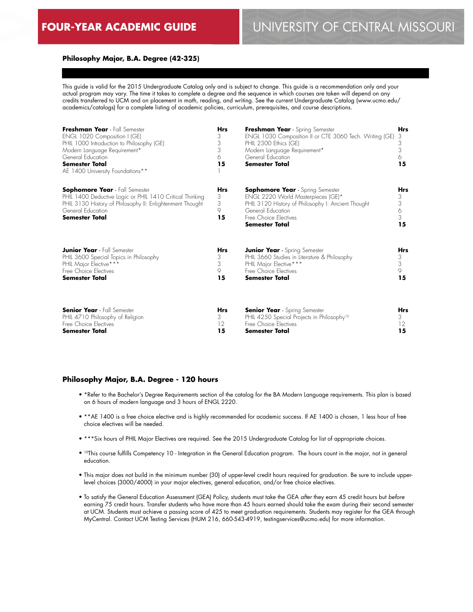# **Philosophy Major, B.A. Degree (42-325)**

This guide is valid for the 2015 Undergraduate Catalog only and is subject to change. This guide is a recommendation only and your actual program may vary. The time it takes to complete a degree and the sequence in which courses are taken will depend on any credits transferred to UCM and on placement in math, reading, and writing. See the current Undergraduate Catalog (www.ucmo.edu/ academics/catalogs) for a complete listing of academic policies, curriculum, prerequisites, and course descriptions.

| Freshman Year - Fall Semester<br>ENGL 1020 Composition I (GE)<br>PHIL 1000 Introduction to Philosophy (GE)<br>Modern Language Requirement*<br>General Education<br><b>Semester Total</b><br>AE 1400 University Foundations** | <b>Hrs</b><br>3<br>3<br>3<br>6<br>15 | Freshman Year - Spring Semester<br>ENGL 1030 Composition II or CTE 3060 Tech. Writing (GE)<br>PHIL 2300 Ethics (GE)<br>Modern Language Requirement*<br>General Education<br><b>Semester Total</b>   | <b>Hrs</b><br>3<br>3<br>3<br>6<br>15 |
|------------------------------------------------------------------------------------------------------------------------------------------------------------------------------------------------------------------------------|--------------------------------------|-----------------------------------------------------------------------------------------------------------------------------------------------------------------------------------------------------|--------------------------------------|
| <b>Sophomore Year</b> - Fall Semester<br>PHIL 1400 Deductive Logic or PHIL 1410 Critical Thinking<br>PHIL 3130 History of Philosophy II: Enlightenment Thought<br>General Education<br><b>Semester Total</b>                 | <b>Hrs</b><br>3<br>3<br>9<br>15      | <b>Sophomore Year</b> - Spring Semester<br>ENGL 2220 World Masterpieces (GE)*<br>PHIL 3120 History of Philosophy I: Ancient Thought<br>General Education<br>Free Choice Flectives<br>Semester Total | <b>Hrs</b><br>3<br>3<br>6<br>3<br>15 |
| <b>Junior Year</b> - Fall Semester                                                                                                                                                                                           | <b>Hrs</b>                           | <b>Junior Year</b> - Spring Semester                                                                                                                                                                | <b>Hrs</b>                           |
| PHIL 3600 Special Topics in Philosophy                                                                                                                                                                                       | 3                                    | PHIL 3660 Studies in Literature & Philosophy                                                                                                                                                        | 3                                    |
| PHIL Major Elective***                                                                                                                                                                                                       | 3                                    | PHIL Major Elective***                                                                                                                                                                              | 3                                    |
| Free Choice Electives                                                                                                                                                                                                        | 9                                    | Free Choice Flectives                                                                                                                                                                               | 9                                    |
| <b>Semester Total</b>                                                                                                                                                                                                        | 15                                   | <b>Semester Total</b>                                                                                                                                                                               | 15                                   |
| <b>Senior Year</b> - Fall Semester                                                                                                                                                                                           | <b>Hrs</b>                           | <b>Senior Year</b> - Spring Semester                                                                                                                                                                | Hrs                                  |
| PHIL 4710 Philosophy of Religion                                                                                                                                                                                             | 3                                    | PHIL 4250 Special Projects in Philosophy <sup>10</sup>                                                                                                                                              | 3                                    |
| Free Choice Electives                                                                                                                                                                                                        | 12                                   | Free Choice Electives                                                                                                                                                                               | 12                                   |
| <b>Semester Total</b>                                                                                                                                                                                                        | 15                                   | <b>Semester Total</b>                                                                                                                                                                               | 15                                   |

#### **Philosophy Major, B.A. Degree - 120 hours**

- \*Refer to the Bachelor's Degree Requirements section of the catalog for the BA Modern Language requirements. This plan is based on 6 hours of modern language and 3 hours of ENGL 2220.
- \*\*AE 1400 is a free choice elective and is highly recommended for academic success. If AE 1400 is chosen, 1 less hour of free choice electives will be needed.
- \*\*\*Six hours of PHIL Major Electives are required. See the 2015 Undergraduate Catalog for list of appropriate choices.
- 10This course fulfills Competency 10 Integration in the General Education program. The hours count in the major, not in general education.
- This major does not build in the minimum number (30) of upper-level credit hours required for graduation. Be sure to include upperlevel choices (3000/4000) in your major electives, general education, and/or free choice electives.
- To satisfy the General Education Assessment (GEA) Policy, students must take the GEA *after* they earn 45 credit hours but *before* earning 75 credit hours. Transfer students who have more than 45 hours earned should take the exam during their second semester at UCM. Students must achieve a passing score of 425 to meet graduation requirements. Students may register for the GEA through MyCentral. Contact UCM Testing Services (HUM 216, 660-543-4919, testingservices@ucmo.edu) for more information.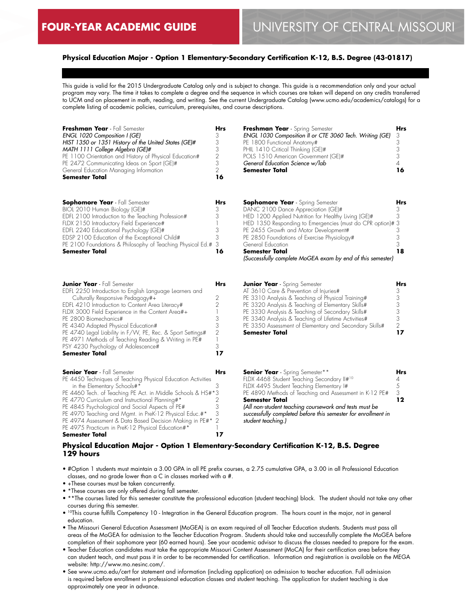# **Physical Education Major - Option 1 Elementary-Secondary Certification K-12, B.S. Degree (43-01817)**

This guide is valid for the 2015 Undergraduate Catalog only and is subject to change. This guide is a recommendation only and your actual program may vary. The time it takes to complete a degree and the sequence in which courses are taken will depend on any credits transferred to UCM and on placement in math, reading, and writing. See the current Undergraduate Catalog (www.ucmo.edu/academics/catalogs) for a complete listing of academic policies, curriculum, prerequisites, and course descriptions.

| Freshman Year - Fall Semester<br>ENGL 1020 Composition I (GE)<br>HIST 1350 or 1351 History of the United States (GE)#<br>MATH 1111 College Algebra (GE)#<br>PE 1100 Orientation and History of Physical Education#<br>PE 2472 Communicating Ideas on Sport (GE)#<br>General Education Managing Information<br>Semester Total                                                                                                                                                                       | <b>Hrs</b><br>3<br>3<br>3<br>$\overline{2}$<br>3<br>$\overline{2}$<br>16          | Freshman Year - Spring Semester<br>ENGL 1030 Composition II or CTE 3060 Tech. Writing (GE)<br>PE 1800 Functional Anatomy#<br>PHIL 1410 Critical Thinking (GE)#<br>POLS 1510 American Government (GE)#<br>General Education Science w/lab<br>Semester Total                                                                                                                                     | <b>Hrs</b><br>3<br>3<br>3<br>3<br>$\overline{4}$<br>16 |
|----------------------------------------------------------------------------------------------------------------------------------------------------------------------------------------------------------------------------------------------------------------------------------------------------------------------------------------------------------------------------------------------------------------------------------------------------------------------------------------------------|-----------------------------------------------------------------------------------|------------------------------------------------------------------------------------------------------------------------------------------------------------------------------------------------------------------------------------------------------------------------------------------------------------------------------------------------------------------------------------------------|--------------------------------------------------------|
| <b>Sophomore Year</b> - Fall Semester<br>BIOL 2010 Human Biology (GE)#<br>EDFL 2100 Introduction to the Teaching Profession#<br>FLDX 2150 Introductory Field Experience#<br>EDFL 2240 Educational Psychology (GE)#<br>EDSP 2100 Education of the Exceptional Child#<br>PE 2100 Foundations & Philosophy of Teaching Physical Ed.#<br>Semester Total                                                                                                                                                | Hrs<br>3<br>3<br>3<br>3<br>3<br>16                                                | <b>Sophomore Year</b> - Spring Semester<br>DANC 2100 Dance Appreciation (GE)#<br>HED 1200 Applied Nutrition for Healthy Living (GE)#<br>HED 1350 Responding to Emergencies (must do CPR option)#3<br>PE 2455 Growth and Motor Development#<br>PE 2850 Foundations of Exercise Physiology#<br>General Education<br>Semester Total<br>(Successfully complete MoGEA exam by end of this semester) | Hrs<br>3<br>3<br>3<br>3<br>3<br>18                     |
| <b>Junior Year</b> - Fall Semester<br>EDFL 2250 Introduction to English Language Learners and<br>Culturally Responsive Pedagogy#+<br>EDFL 4210 Introduction to Content Area Literacy#<br>FLDX 3000 Field Experience in the Content Area#+<br>PE 2800 Biomechanics#<br>PE 4340 Adapted Physical Education#<br>PE 4740 Legal Liability in F/W, PE, Rec. & Sport Settings#<br>PE 4971 Methods of Teaching Reading & Writing in PE#<br>PSY 4230 Psychology of Adolescence#<br><b>Semester Total</b>    | Hrs<br>2<br>$\overline{2}$<br>3<br>3<br>$\overline{2}$<br>$\mathbf{1}$<br>3<br>17 | <b>Junior Year</b> - Spring Semester<br>AT 3610 Care & Prevention of Injuries#<br>PE 3310 Analysis & Teaching of Physical Training#<br>PE 3320 Analysis & Teaching of Elementary Skills#<br>PE 3330 Analysis & Teaching of Secondary Skills#<br>PE 3340 Analysis & Teaching of Lifetime Activities#<br>PE 3350 Assessment of Elementary and Secondary Skills#<br>Semester Total                | Hrs<br>3<br>3<br>3<br>3<br>3<br>$\overline{2}$<br>17   |
| <b>Senior Year</b> - Fall Semester<br>PE 4450 Techniques of Teaching Physical Education Activities<br>in the Elementary Schools#*<br>PE 4460 Tech. of Teaching PE Act. in Middle Schools & HS#*3<br>PE 4770 Curriculum and Instructional Planning#*<br>PE 4845 Psychological and Social Aspects of PE#<br>PE 4970 Teaching and Mgmt. in PreK-12 Physical Educ.#*<br>PE 4974 Assessment & Data Based Decision Making in PE#*<br>PE 4975 Practicum in PreK-12 Physical Education#*<br>Semester Total | Hrs<br>3<br>2<br>3<br>3<br>$\overline{2}$<br>17                                   | <b>Senior Year</b> - Spring Semester**<br>FLDX 4468 Student Teaching Secondary II#10<br>FLDX 4495 Student Teaching Elementary I#<br>PE 4890 Methods of Teaching and Assessment in K-12 PE#<br>Semester Total<br>(All non-student teaching coursework and tests must be<br>successfully completed before this semester for enrollment in<br>student teaching.)                                  | Hrs<br>4<br>5<br>3<br>12                               |

# **Physical Education Major - Option 1 Elementary-Secondary Certification K-12, B.S. Degree 129 hours**

- #Option 1 students must maintain a 3.00 GPA in all PE prefix courses, a 2.75 cumulative GPA, a 3.00 in all Professional Education classes, and no grade lower than a C in classes marked with a #.
- +These courses must be taken concurrently.
- \*These courses are only offered during fall semester.
- \*\*The courses listed for this semester constitute the professional education (student teaching) block. The student should not take any other courses during this semester.
- 10This course fulfills Competency 10 Integration in the General Education program. The hours count in the major, not in general education.
- The Missouri General Education Assessment (MoGEA) is an exam required of all Teacher Education students. Students must pass all areas of the MoGEA for admission to the Teacher Education Program. Students should take and successfully complete the MoGEA before completion of their sophomore year (60 earned hours). See your academic advisor to discuss the classes needed to prepare for the exam.
- Teacher Education candidates must take the appropriate Missouri Content Assessment (MoCA) for their certification area before they can student teach, and must pass it in order to be recommended for certification. Information and registration is available on the MEGA website: http://www.mo.nesinc.com/.
- See www.ucmo.edu/cert for statement and information (including application) on admission to teacher education. Full admission is required before enrollment in professional education classes and student teaching. The application for student teaching is due approximately one year in advance.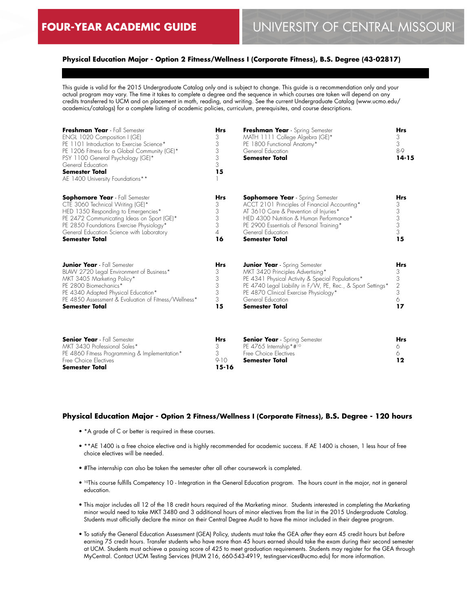# **Physical Education Major - Option 2 Fitness/Wellness I (Corporate Fitness), B.S. Degree (43-02817)**

This guide is valid for the 2015 Undergraduate Catalog only and is subject to change. This guide is a recommendation only and your actual program may vary. The time it takes to complete a degree and the sequence in which courses are taken will depend on any credits transferred to UCM and on placement in math, reading, and writing. See the current Undergraduate Catalog (www.ucmo.edu/ academics/catalogs) for a complete listing of academic policies, curriculum, prerequisites, and course descriptions.

| Freshman Year - Fall Semester<br>ENGL 1020 Composition I (GE)<br>PE 1101 Introduction to Exercise Science*<br>PE 1206 Fitness for a Global Community (GE)*<br>PSY 1100 General Psychology (GE)*<br>General Education<br><b>Semester Total</b><br>AE 1400 University Foundations** | <b>Hrs</b><br>3<br>3<br>3<br>3<br>3<br>15   | Freshman Year - Spring Semester<br>MATH 1111 College Algebra (GE)*<br>PE 1800 Functional Anatomy*<br>General Education<br><b>Semester Total</b>                                                                                                                                    | <b>Hrs</b><br>3<br>3<br>8-9<br>$14 - 15$                     |
|-----------------------------------------------------------------------------------------------------------------------------------------------------------------------------------------------------------------------------------------------------------------------------------|---------------------------------------------|------------------------------------------------------------------------------------------------------------------------------------------------------------------------------------------------------------------------------------------------------------------------------------|--------------------------------------------------------------|
| <b>Sophomore Year</b> - Fall Semester<br>CTE 3060 Technical Writing (GE)*<br>HED 1350 Responding to Emergencies*<br>PE 2472 Communicating Ideas on Sport (GE)*<br>PE 2850 Foundations Exercise Physiology*<br>General Education Science with Laboratory<br><b>Semester Total</b>  | <b>Hrs</b><br>3<br>3<br>3<br>3<br>4<br>16   | <b>Sophomore Year</b> - Spring Semester<br>ACCT 2101 Principles of Financial Accounting*<br>AT 3610 Care & Prevention of Injuries*<br>HED 4300 Nutrition & Human Performance*<br>PE 2900 Essentials of Personal Training*<br>General Education<br><b>Semester Total</b>            | Hrs<br>3<br>3<br>$\begin{array}{c} 3 \\ 3 \end{array}$<br>15 |
| <b>Junior Year</b> - Fall Semester<br>BLAW 2720 Legal Environment of Business*<br>MKT 3405 Marketing Policy*<br>PE 2800 Biomechanics*<br>PE 4340 Adapted Physical Education*<br>PE 4850 Assessment & Evaluation of Fitness/Wellness*<br><b>Semester Total</b>                     | <b>Hrs</b><br>3<br>3<br>3<br>3<br>3<br>15   | <b>Junior Year</b> - Spring Semester<br>MKT 3420 Principles Advertising*<br>PE 4341 Physical Activity & Special Populations*<br>PE 4740 Legal Liability in F/W, PE, Rec., & Sport Settings*<br>PE 4870 Clinical Exercise Physiology*<br>General Education<br><b>Semester Total</b> | <b>Hrs</b><br>3<br>3<br>$\overline{2}$<br>3<br>6<br>17       |
| <b>Senior Year</b> - Fall Semester<br>MKT 3430 Professional Sales*<br>PE 4860 Fitness Programming & Implementation*<br>Free Choice Electives<br><b>Semester Total</b>                                                                                                             | <b>Hrs</b><br>3<br>3<br>$9-10$<br>$15 - 16$ | <b>Senior Year</b> - Spring Semester<br>PE 4765 Internship*#10<br>Free Choice Electives<br><b>Semester Total</b>                                                                                                                                                                   | <b>Hrs</b><br>6<br>6<br>$12 \$                               |

# **Physical Education Major - Option 2 Fitness/Wellness I (Corporate Fitness), B.S. Degree - 120 hours**

- \*A grade of C or better is required in these courses.
- \*\*AE 1400 is a free choice elective and is highly recommended for academic success. If AE 1400 is chosen, 1 less hour of free choice electives will be needed.
- #The internship can also be taken the semester after all other coursework is completed.
- 10This course fulfills Competency 10 Integration in the General Education program. The hours count in the major, not in general education.
- This major includes all 12 of the 18 credit hours required of the Marketing minor. Students interested in completing the Marketing minor would need to take MKT 3480 and 3 additional hours of minor electives from the list in the 2015 Undergraduate Catalog. Students must officially declare the minor on their Central Degree Audit to have the minor included in their degree program.
- To satisfy the General Education Assessment (GEA) Policy, students must take the GEA *after* they earn 45 credit hours but *before* earning 75 credit hours. Transfer students who have more than 45 hours earned should take the exam during their second semester at UCM. Students must achieve a passing score of 425 to meet graduation requirements. Students may register for the GEA through MyCentral. Contact UCM Testing Services (HUM 216, 660-543-4919, testingservices@ucmo.edu) for more information.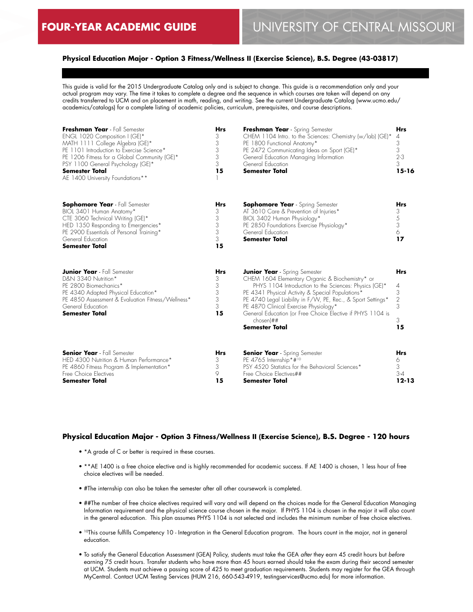# **Physical Education Major - Option 3 Fitness/Wellness II (Exercise Science), B.S. Degree (43-03817)**

This guide is valid for the 2015 Undergraduate Catalog only and is subject to change. This guide is a recommendation only and your actual program may vary. The time it takes to complete a degree and the sequence in which courses are taken will depend on any credits transferred to UCM and on placement in math, reading, and writing. See the current Undergraduate Catalog (www.ucmo.edu/ academics/catalogs) for a complete listing of academic policies, curriculum, prerequisites, and course descriptions.

| Freshman Year - Fall Semester<br>ENGL 1020 Composition I (GE)*<br>MATH 1111 College Algebra (GE)*<br>PE 1101 Introduction to Exercise Science*<br>PE 1206 Fitness for a Global Community (GE)*<br>PSY 1100 General Psychology (GE)*<br><b>Semester Total</b><br>AE 1400 University Foundations** | <b>Hrs</b><br>3<br>3<br>3<br>3<br>3<br>15 | Freshman Year - Spring Semester<br>CHEM 1104 Intro. to the Sciences: Chemistry (w/lab) (GE)*<br>PE 1800 Functional Anatomy*<br>PE 2472 Communicating Ideas on Sport (GE)*<br>General Education Managing Information<br>General Education<br><b>Semester Total</b>                                                                                                                                                   | <b>Hrs</b><br>4<br>3<br>3<br>$2 - 3$<br>3<br>15-16       |
|--------------------------------------------------------------------------------------------------------------------------------------------------------------------------------------------------------------------------------------------------------------------------------------------------|-------------------------------------------|---------------------------------------------------------------------------------------------------------------------------------------------------------------------------------------------------------------------------------------------------------------------------------------------------------------------------------------------------------------------------------------------------------------------|----------------------------------------------------------|
| <b>Sophomore Year</b> - Fall Semester<br>BIOL 3401 Human Anatomy*<br>CTE 3060 Technical Writing (GE)*<br>HED 1350 Responding to Emergencies*<br>PE 2900 Essentials of Personal Training*<br>General Education<br><b>Semester Total</b>                                                           | <b>Hrs</b><br>3<br>3<br>3<br>3<br>3<br>15 | <b>Sophomore Year</b> - Spring Semester<br>AT 3610 Care & Prevention of Injuries*<br>BIOL 3402 Human Physiology*<br>PE 2850 Foundations Exercise Physiology*<br>General Education<br><b>Semester Total</b>                                                                                                                                                                                                          | <b>Hrs</b><br>3<br>$\mathcal S$<br>$\sqrt{3}$<br>6<br>17 |
| <b>Junior Year</b> - Fall Semester<br>D&N 3340 Nutrition*<br>PE 2800 Biomechanics*<br>PE 4340 Adapted Physical Education*<br>PE 4850 Assessment & Evaluation Fitness/Wellness*<br>General Education<br><b>Semester Total</b>                                                                     | <b>Hrs</b><br>3<br>3<br>3<br>3<br>3<br>15 | <b>Junior Year</b> - Spring Semester<br>CHEM 1604 Elementary Organic & Biochemistry* or<br>PHYS 1104 Introduction to the Sciences: Physics (GE)*<br>PE 4341 Physical Activity & Special Populations*<br>PE 4740 Legal Liability in F/W, PE, Rec., & Sport Settings*<br>PE 4870 Clinical Exercise Physiology*<br>General Education (or Free Choice Elective if PHYS 1104 is<br>$chosen$ $#$<br><b>Semester Total</b> | <b>Hrs</b><br>4<br>3<br>2<br>3<br>3<br>15                |
| <b>Senior Year</b> - Fall Semester<br>HED 4300 Nutrition & Human Performance*<br>PE 4860 Fitness Program & Implementation*<br>Free Choice Electives<br>Semester Total                                                                                                                            | <b>Hrs</b><br>3<br>3<br>9<br>15           | <b>Senior Year</b> - Spring Semester<br>PE 4765 Internship*#10<br>PSY 4520 Statistics for the Behavioral Sciences*<br>Free Choice Electives##<br>Semester Total                                                                                                                                                                                                                                                     | <b>Hrs</b><br>6<br>3<br>$3 - 4$<br>$12 - 13$             |

#### **Physical Education Major - Option 3 Fitness/Wellness II (Exercise Science), B.S. Degree - 120 hours**

- \*A grade of C or better is required in these courses.
- \*\*AE 1400 is a free choice elective and is highly recommended for academic success. If AE 1400 is chosen, 1 less hour of free choice electives will be needed.
- #The internship can also be taken the semester after all other coursework is completed.
- ##The number of free choice electives required will vary and will depend on the choices made for the General Education Managing Information requirement and the physical science course chosen in the major. If PHYS 1104 is chosen in the major it will also count in the general education. This plan assumes PHYS 1104 is not selected and includes the minimum number of free choice electives.
- 10This course fulfills Competency 10 Integration in the General Education program. The hours count in the major, not in general education.
- To satisfy the General Education Assessment (GEA) Policy, students must take the GEA *after* they earn 45 credit hours but *before* earning 75 credit hours. Transfer students who have more than 45 hours earned should take the exam during their second semester at UCM. Students must achieve a passing score of 425 to meet graduation requirements. Students may register for the GEA through MyCentral. Contact UCM Testing Services (HUM 216, 660-543-4919, testingservices@ucmo.edu) for more information.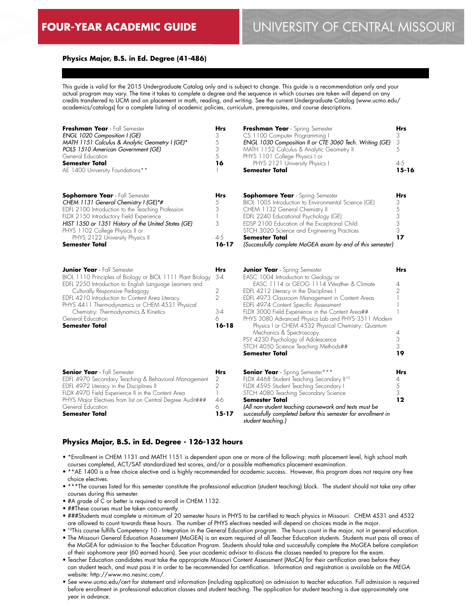# **Physics Major, B.S. in Ed. Degree (41-486)**

This guide is valid for the 2015 Undergraduate Catalog only and is subject to change. This guide is a recommendation only and your actual program may vary. The time it takes to complete a degree and the sequence in which courses are taken will depend on any credits transferred to UCM and on placement in math, reading, and writing. See the current Undergraduate Catalog (www.ucmo.edu/ academics/catalogs) for a complete listing of academic policies, curriculum, prerequisites, and course descriptions.

| Freshman Year - Fall Semester<br>ENGL 1020 Composition I (GE)<br>MATH 1151 Calculus & Analytic Geometry I (GE)*<br>POLS 1510 American Government (GE)<br>General Education<br>Semester Total<br>AE 1400 University Foundations**                                                                                                                                                  | Hrs<br>3<br>5<br>3<br>5<br>16                                    | Freshman Year - Spring Semester<br>CS 1100 Computer Programming I<br>ENGL 1030 Composition II or CTE 3060 Tech. Writing (GE)<br>MATH 1152 Calculus & Analytic Geometry II<br>PHYS 1101 College Physics I or<br>PHYS 2121 University Physics I<br>Semester Total                                                                                                                                                                                                                                                                                              | Hrs<br>3<br>3<br>5<br>$4 - 5$<br>$15 - 16$                 |
|-----------------------------------------------------------------------------------------------------------------------------------------------------------------------------------------------------------------------------------------------------------------------------------------------------------------------------------------------------------------------------------|------------------------------------------------------------------|--------------------------------------------------------------------------------------------------------------------------------------------------------------------------------------------------------------------------------------------------------------------------------------------------------------------------------------------------------------------------------------------------------------------------------------------------------------------------------------------------------------------------------------------------------------|------------------------------------------------------------|
| <b>Sophomore Year</b> - Fall Semester<br>CHEM 1131 General Chemistry I (GE)*#<br>EDFL 2100 Introduction to the Teaching Profession<br>FLDX 2150 Introductory Field Experience<br>HIST 1350 or 1351 History of the United States (GE)<br>PHYS 1102 College Physics II or<br>PHYS 2122 University Physics II<br>Semester Total                                                      | Hrs<br>5<br>3<br>1<br>3<br>$4 - 5$<br>$16 - 17$                  | <b>Sophomore Year</b> - Spring Semester<br>BIOL 1005 Introduction to Environmental Science (GE)<br>CHEM 1132 General Chemistry II<br>EDFL 2240 Educational Psychology (GE)<br>EDSP 2100 Education of the Exceptional Child<br>STCH 3020 Science and Engineering Practices<br><b>Semester Total</b><br>(Successfully complete MoGEA exam by end of this semester)                                                                                                                                                                                             | Hrs<br>3<br>5<br>$\ensuremath{\mathsf{3}}$<br>3<br>3<br>17 |
| <b>Junior Year</b> - Fall Semester<br>BIOL 1110 Principles of Biology or BIOL 1111 Plant Biology<br>EDFL 2250 Introduction to English Language Learners and<br>Culturally Responsive Pedagogy<br>EDFL 4210 Introduction to Content Area Literacy<br>PHYS 4411 Thermodynamics or CHEM 4531 Physical<br>Chemistry: Thermodynamics & Kinetics<br>General Education<br>Semester Total | Hrs<br>$3 - 4$<br>2<br>$\mathfrak{D}$<br>$3-4$<br>6<br>$16 - 18$ | <b>Junior Year</b> - Spring Semester<br>EASC 1004 Introduction to Geology or<br>EASC 1114 or GEOG 1114 Weather & Climate<br>EDFL 4212 Literacy in the Disciplines I<br>EDFL 4973 Classroom Management in Content Areas<br>EDFL 4974 Content Specific Assessment<br>FLDX 3000 Field Experience in the Content Area##<br>PHYS 3080 Advanced Physics Lab and PHYS 3511 Modern<br>Physics I or CHEM 4532 Physical Chemistry: Quantum<br>Mechanics & Spectroscopy<br>PSY 4230 Psychology of Adolescence<br>STCH 4050 Science Teaching Methods##<br>Semester Total | Hrs<br>4<br>$\overline{2}$<br>4<br>3<br>3<br>19            |
| <b>Senior Year</b> - Fall Semester<br>EDFL 4970 Secondary Teaching & Behavioral Management<br>EDFL 4972 Literacy in the Disciplines II<br>FLDX 4970 Field Experience II in the Content Area<br>PHYS Major Electives from list on Central Degree Audit###<br>General Education<br><b>Semester Total</b>                                                                            | Hrs<br>2<br>2<br>$\mathbb{L}$<br>$4-6$<br>6<br>$15 - 17$         | <b>Senior Year</b> - Spring Semester***<br>FLDX 4468 Student Teaching Secondary II <sup>10</sup><br>FLDX 4595 Student Teaching Secondary I<br>STCH 4080 Teaching Secondary Science<br><b>Semester Total</b><br>(All non-student teaching coursework and tests must be<br>successfully completed before this semester for enrollment in<br>student teaching.)                                                                                                                                                                                                 | Hrs<br>4<br>5<br>3<br>12                                   |

# **Physics Major, B.S. in Ed. Degree - 126-132 hours**

- \*Enrollment in CHEM 1131 and MATH 1151 is dependent upon one or more of the following: math placement level, high school math courses completed, ACT/SAT standardized test scores, and/or a possible mathematics placement examination.
- \*\*AE 1400 is a free choice elective and is highly recommended for academic success. However, this program does not require any free choice electives.
- \*\*\*The courses listed for this semester constitute the professional education (student teaching) block. The student should not take any other courses during this semester.
- #A grade of C or better is required to enroll in CHEM 1132.
- ##These courses must be taken concurrently.
- ###Students must complete a minimum of 20 semester hours in PHYS to be certified to teach physics in Missouri. CHEM 4531 and 4532 are allowed to count towards these hours. The number of PHYS electives needed will depend on choices made in the major.
- 10This course fulfills Competency 10 Integration in the General Education program. The hours count in the major, not in general education. • The Missouri General Education Assessment (MoGEA) is an exam required of all Teacher Education students. Students must pass all areas of the MoGEA for admission to the Teacher Education Program. Students should take and successfully complete the MoGEA before completion of their sophomore year (60 earned hours). See your academic advisor to discuss the classes needed to prepare for the exam.
- Teacher Education candidates must take the appropriate Missouri Content Assessment (MoCA) for their certification area before they can student teach, and must pass it in order to be recommended for certification. Information and registration is available on the MEGA website: http://www.mo.nesinc.com/.
- See www.ucmo.edu/cert for statement and information (including application) on admission to teacher education. Full admission is required before enrollment in professional education classes and student teaching. The application for student teaching is due approximately one year in advance.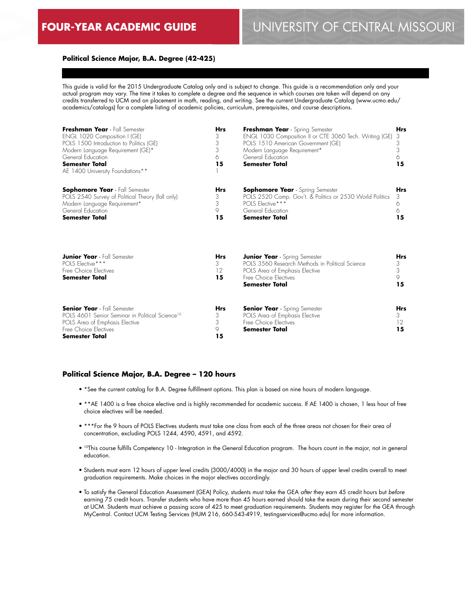### **Political Science Major, B.A. Degree (42-425)**

This guide is valid for the 2015 Undergraduate Catalog only and is subject to change. This guide is a recommendation only and your actual program may vary. The time it takes to complete a degree and the sequence in which courses are taken will depend on any credits transferred to UCM and on placement in math, reading, and writing. See the current Undergraduate Catalog (www.ucmo.edu/ academics/catalogs) for a complete listing of academic policies, curriculum, prerequisites, and course descriptions.

| Freshman Year - Fall Semester<br>ENGL 1020 Composition I (GE)<br>POLS 1500 Introduction to Politics (GE)<br>Modern Language Requirement (GE)*<br>General Education<br><b>Semester Total</b><br>AE 1400 University Foundations** | Hrs<br>3<br>3<br>3<br>6<br>15    | Freshman Year - Spring Semester<br>ENGL 1030 Composition II or CTE 3060 Tech. Writing (GE)<br>POLS 1510 American Government (GE)<br>Modern Language Requirement*<br>General Education<br><b>Semester Total</b> | <b>Hrs</b><br>3<br>3<br>3<br>6<br>15 |
|---------------------------------------------------------------------------------------------------------------------------------------------------------------------------------------------------------------------------------|----------------------------------|----------------------------------------------------------------------------------------------------------------------------------------------------------------------------------------------------------------|--------------------------------------|
| <b>Sophomore Year</b> - Fall Semester<br>POLS 2540 Survey of Political Theory (fall only)<br>Modern Language Requirement*<br>General Education<br><b>Semester Total</b>                                                         | Hrs<br>3<br>3<br>9<br>15         | <b>Sophomore Year</b> - Spring Semester<br>POLS 2520 Comp. Gov't. & Politics or 2530 World Politics<br>POLS Elective***<br>General Education<br>Semester Total                                                 | <b>Hrs</b><br>3<br>6<br>6<br>15      |
| <b>Junior Year</b> - Fall Semester<br>POLS Elective***<br>Free Choice Electives<br><b>Semester Total</b>                                                                                                                        | <b>Hrs</b><br>3<br>12<br>15      | <b>Junior Year</b> - Spring Semester<br>POLS 3560 Research Methods in Political Science<br>POLS Area of Emphasis Elective<br>Free Choice Flectives<br>Semester Total                                           | <b>Hrs</b><br>3<br>3<br>9<br>15      |
| <b>Senior Year</b> - Fall Semester<br>POLS 4601 Senior Seminar in Political Science <sup>10</sup><br>POLS Area of Emphasis Elective<br>Free Choice Electives<br><b>Semester Total</b>                                           | <b>Hrs</b><br>3<br>3<br>9.<br>15 | <b>Senior Year</b> - Spring Semester<br>POLS Area of Emphasis Elective<br>Free Choice Electives<br><b>Semester Total</b>                                                                                       | <b>Hrs</b><br>3<br>$12 \,$<br>15     |

#### **Political Science Major, B.A. Degree – 120 hours**

- \*See the current catalog for B.A. Degree fulfillment options. This plan is based on nine hours of modern language.
- \*\*AE 1400 is a free choice elective and is highly recommended for academic success. If AE 1400 is chosen, 1 less hour of free choice electives will be needed.
- \*\*\*For the 9 hours of POLS Electives students must take one class from each of the three areas not chosen for their area of concentration, excluding POLS 1244, 4590, 4591, and 4592.
- <sup>10</sup>This course fulfills Competency 10 Integration in the General Education program. The hours count in the major, not in general education.
- Students must earn 12 hours of upper level credits (3000/4000) in the major and 30 hours of upper level credits overall to meet graduation requirements. Make choices in the major electives accordingly.
- To satisfy the General Education Assessment (GEA) Policy, students must take the GEA *after* they earn 45 credit hours but *before* earning 75 credit hours. Transfer students who have more than 45 hours earned should take the exam during their second semester at UCM. Students must achieve a passing score of 425 to meet graduation requirements. Students may register for the GEA through MyCentral. Contact UCM Testing Services (HUM 216, 660-543-4919, testingservices@ucmo.edu) for more information.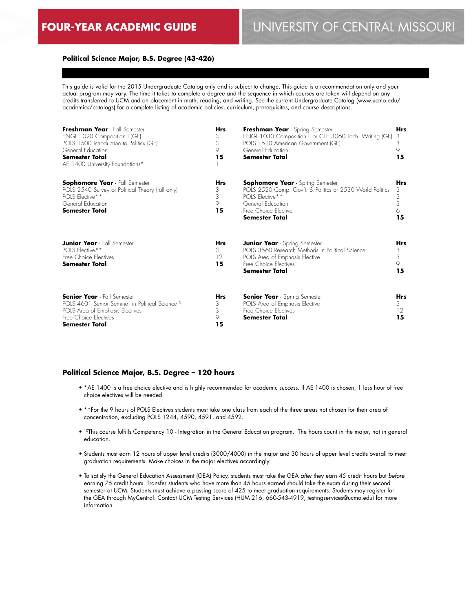# **Political Science Major, B.S. Degree (43-426)**

This guide is valid for the 2015 Undergraduate Catalog only and is subject to change. This guide is a recommendation only and your actual program may vary. The time it takes to complete a degree and the sequence in which courses are taken will depend on any credits transferred to UCM and on placement in math, reading, and writing. See the current Undergraduate Catalog (www.ucmo.edu/ academics/catalogs) for a complete listing of academic policies, curriculum, prerequisites, and course descriptions.

| Freshman Year - Fall Semester<br>ENGL 1020 Composition I (GE)<br>POLS 1500 Introduction to Politics (GE)<br>General Education<br><b>Semester Total</b><br>AE 1400 University Foundations* | <b>Hrs</b><br>3<br>3<br>9.<br>15 | Freshman Year - Spring Semester<br>ENGL 1030 Composition II or CTE 3060 Tech. Writing (GE)<br>POLS 1510 American Government (GE)<br>General Education<br>Semester Total                      | <b>Hrs</b><br>3<br>3<br>9<br>15             |
|-------------------------------------------------------------------------------------------------------------------------------------------------------------------------------------------|----------------------------------|----------------------------------------------------------------------------------------------------------------------------------------------------------------------------------------------|---------------------------------------------|
| <b>Sophomore Year</b> - Fall Semester<br>POLS 2540 Survey of Political Theory (fall only)<br>POLS Elective**<br>General Education<br><b>Semester Total</b>                                | <b>Hrs</b><br>3<br>3<br>9<br>15  | <b>Sophomore Year</b> - Spring Semester<br>POLS 2520 Comp. Gov't. & Politics or 2530 World Politics<br>POLS Elective**<br>General Education<br>Free Choice Elective<br><b>Semester Total</b> | <b>Hrs</b><br>3<br>$\frac{3}{3}$<br>6<br>15 |
| <b>Junior Year</b> - Fall Semester<br>POLS Elective**<br>Free Choice Electives<br><b>Semester Total</b>                                                                                   | <b>Hrs</b><br>3<br>12<br>15      | <b>Junior Year</b> - Spring Semester<br>POLS 3560 Research Methods in Political Science<br>POLS Area of Emphasis Elective<br>Free Choice Electives<br><b>Semester Total</b>                  | <b>Hrs</b><br>$\frac{3}{3}$<br>9<br>15      |
| <b>Senior Year</b> - Fall Semester<br>POLS 4601 Senior Seminar in Political Science <sup>10</sup><br>POLS Area of Emphasis Electives<br>Free Choice Electives<br>Semester Total           | <b>Hrs</b><br>3<br>3<br>9<br>15  | <b>Senior Year</b> - Spring Semester<br>POLS Area of Emphasis Elective<br>Free Choice Electives<br>Semester Total                                                                            | <b>Hrs</b><br>3<br>12<br>15                 |

#### **Political Science Major, B.S. Degree – 120 hours**

- \*AE 1400 is a free choice elective and is highly recommended for academic success. If AE 1400 is chosen, 1 less hour of free choice electives will be needed.
- \*\*For the 9 hours of POLS Electives students must take one class from each of the three areas not chosen for their area of concentration, excluding POLS 1244, 4590, 4591, and 4592.
- <sup>10</sup>This course fulfills Competency 10 Integration in the General Education program. The hours count in the major, not in general education.
- Students must earn 12 hours of upper level credits (3000/4000) in the major and 30 hours of upper level credits overall to meet graduation requirements. Make choices in the major electives accordingly.
- To satisfy the General Education Assessment (GEA) Policy, students must take the GEA *after* they earn 45 credit hours but *before* earning 75 credit hours. Transfer students who have more than 45 hours earned should take the exam during their second semester at UCM. Students must achieve a passing score of 425 to meet graduation requirements. Students may register for the GEA through MyCentral. Contact UCM Testing Services (HUM 216, 660-543-4919, testingservices@ucmo.edu) for more information.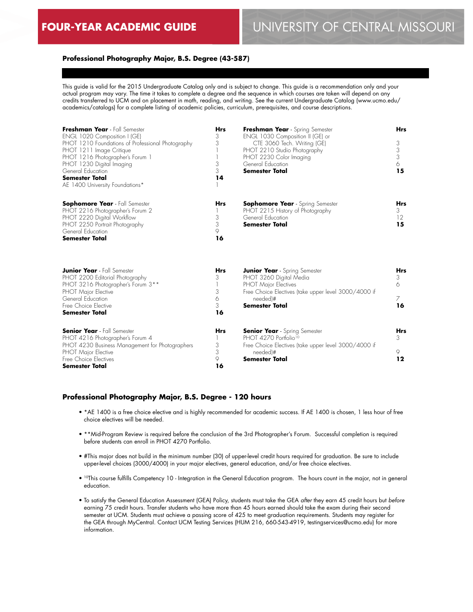# **Professional Photography Major, B.S. Degree (43-587)**

This guide is valid for the 2015 Undergraduate Catalog only and is subject to change. This guide is a recommendation only and your actual program may vary. The time it takes to complete a degree and the sequence in which courses are taken will depend on any credits transferred to UCM and on placement in math, reading, and writing. See the current Undergraduate Catalog (www.ucmo.edu/ academics/catalogs) for a complete listing of academic policies, curriculum, prerequisites, and course descriptions.

| Freshman Year - Fall Semester<br>ENGL 1020 Composition I (GE)<br>PHOT 1210 Foundations of Professional Photography<br>PHOT 1211 Image Critique<br>PHOT 1216 Photographer's Forum 1<br>PHOT 1230 Digital Imaging<br>General Education<br><b>Semester Total</b><br>AE 1400 University Foundations* | <b>Hrs</b><br>3<br>3<br>3<br>3<br>14 | Freshman Year - Spring Semester<br>ENGL 1030 Composition II (GE) or<br>CTE 3060 Tech. Writing (GE)<br>PHOT 2210 Studio Photography<br>PHOT 2230 Color Imaging<br>General Education<br><b>Semester Total</b> | <b>Hrs</b><br>3<br>3<br>3<br>6<br>15 |
|--------------------------------------------------------------------------------------------------------------------------------------------------------------------------------------------------------------------------------------------------------------------------------------------------|--------------------------------------|-------------------------------------------------------------------------------------------------------------------------------------------------------------------------------------------------------------|--------------------------------------|
| <b>Sophomore Year</b> - Fall Semester<br>PHOT 2216 Photographer's Forum 2<br>PHOT 2220 Digital Workflow<br>PHOT 2250 Portrait Photography<br>General Education<br><b>Semester Total</b>                                                                                                          | <b>Hrs</b><br>3<br>3<br>9<br>16      | <b>Sophomore Year</b> - Spring Semester<br>PHOT 2215 History of Photography<br>General Education<br><b>Semester Total</b>                                                                                   | <b>Hrs</b><br>3<br>12<br>15          |
| <b>Junior Year</b> - Fall Semester<br>PHOT 2200 Editorial Photography<br>PHOT 3216 Photographer's Forum 3 <sup>**</sup><br><b>PHOT Major Elective</b><br>General Education<br>Free Choice Elective<br><b>Semester Total</b>                                                                      | <b>Hrs</b><br>3<br>3<br>6<br>3<br>16 | <b>Junior Year</b> - Spring Semester<br>PHOT 3260 Digital Media<br><b>PHOT Major Electives</b><br>Free Choice Electives (take upper level 3000/4000 if<br>needed)#<br><b>Semester Total</b>                 | <b>Hrs</b><br>3<br>6<br>7<br>16      |
| <b>Senior Year</b> - Fall Semester<br>PHOT 4216 Photographer's Forum 4<br>PHOT 4230 Business Management for Photographers<br>PHOT Major Elective<br>Free Choice Electives<br><b>Semester Total</b>                                                                                               | <b>Hrs</b><br>3<br>3<br>9<br>16      | <b>Senior Year</b> - Spring Semester<br>PHOT 4270 Portfolio <sup>10</sup><br>Free Choice Electives (take upper level 3000/4000 if<br>needed)#<br><b>Semester Total</b>                                      | Hrs<br>3<br>9<br>12                  |

#### **Professional Photography Major, B.S. Degree - 120 hours**

- \*AE 1400 is a free choice elective and is highly recommended for academic success. If AE 1400 is chosen, 1 less hour of free choice electives will be needed.
- \*\*Mid-Program Review is required before the conclusion of the 3rd Photographer's Forum. Successful completion is required before students can enroll in PHOT 4270 Portfolio.
- #This major does not build in the minimum number (30) of upper-level credit hours required for graduation. Be sure to include upper-level choices (3000/4000) in your major electives, general education, and/or free choice electives.
- 10This course fulfills Competency 10 Integration in the General Education program. The hours count in the major, not in general education.
- To satisfy the General Education Assessment (GEA) Policy, students must take the GEA *after* they earn 45 credit hours but *before* earning 75 credit hours. Transfer students who have more than 45 hours earned should take the exam during their second semester at UCM. Students must achieve a passing score of 425 to meet graduation requirements. Students may register for the GEA through MyCentral. Contact UCM Testing Services (HUM 216, 660-543-4919, testingservices@ucmo.edu) for more information.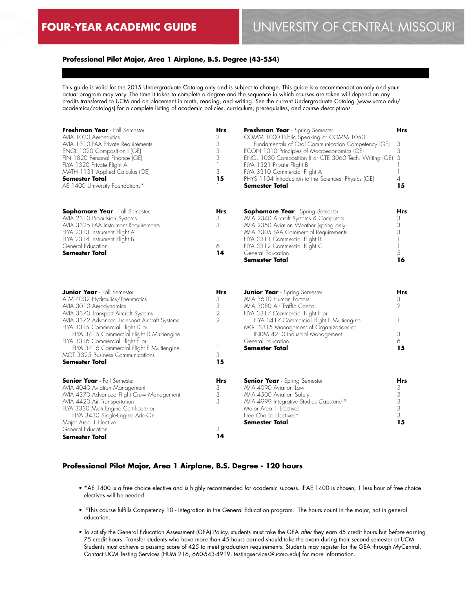# **Professional Pilot Major, Area 1 Airplane, B.S. Degree (43-554)**

This guide is valid for the 2015 Undergraduate Catalog only and is subject to change. This guide is a recommendation only and your actual program may vary. The time it takes to complete a degree and the sequence in which courses are taken will depend on any credits transferred to UCM and on placement in math, reading, and writing. See the current Undergraduate Catalog (www.ucmo.edu/ academics/catalogs) for a complete listing of academic policies, curriculum, prerequisites, and course descriptions.

| Freshman Year - Fall Semester<br>AVIA 1020 Aeronautics<br>AVIA 1310 FAA Private Requirements<br>ENGL 1020 Composition I (GE)<br>FIN 1820 Personal Finance (GE)<br>FLYA 1320 Private Flight A<br>MATH 1131 Applied Calculus (GE)<br><b>Semester Total</b><br>AE 1400 University Foundations*                                                                                                                     | <b>Hrs</b><br>2<br>3<br>3<br>3<br>$\overline{\phantom{a}}$<br>3<br>15  | Freshman Year - Spring Semester<br>COMM 1000 Public Speaking or COMM 1050<br>Fundamentals of Oral Communication Competency (GE)<br>ECON 1010 Principles of Macroeconomics (GE)<br>ENGL 1030 Composition II or CTE 3060 Tech. Writing (GE)<br>FLYA 1321 Private Flight B<br>FLYA 3310 Commercial Flight A<br>PHYS 1104 Introduction to the Sciences: Physics (GE)<br>Semester Total | Hrs<br>3<br>3<br>3<br>$\overline{\phantom{a}}$<br>4<br>15      |
|-----------------------------------------------------------------------------------------------------------------------------------------------------------------------------------------------------------------------------------------------------------------------------------------------------------------------------------------------------------------------------------------------------------------|------------------------------------------------------------------------|------------------------------------------------------------------------------------------------------------------------------------------------------------------------------------------------------------------------------------------------------------------------------------------------------------------------------------------------------------------------------------|----------------------------------------------------------------|
| <b>Sophomore Year</b> - Fall Semester<br>AVIA 2310 Propulsion Systems<br>AVIA 3325 FAA Instrument Requirements<br>FLYA 2313 Instrument Flight A<br>FLYA 2314 Instrument Flight B<br>General Education<br>Semester Total                                                                                                                                                                                         | Hrs<br>3<br>3<br>1<br>6<br>14                                          | <b>Sophomore Year</b> - Spring Semester<br>AVIA 2340 Aircraft Systems & Computers<br>AVIA 2350 Aviation Weather (spring only)<br>AVIA 3305 FAA Commercial Requirements<br>FLYA 3311 Commercial Flight B<br>FLYA 3312 Commercial Flight C<br>General Education<br>Semester Total                                                                                                    | Hrs<br>3<br>3<br>3<br>$\overline{\phantom{a}}$<br>1<br>5<br>16 |
| <b>Junior Year</b> - Fall Semester<br>ATM 4032 Hydraulics/Pneumatics<br>AVIA 3010 Aerodynamics<br>AVIA 3370 Transport Aircraft Systems<br>AVIA 3372 Advanced Transport Aircraft Systems<br>FLYA 3315 Commercial Flight D or<br>FLYA 3415 Commercial Flight D Multiengine<br>FLYA 3316 Commercial Flight E or<br>FLYA 3416 Commercial Flight E Multiengine<br>MGT 3325 Business Communications<br>Semester Total | Hrs<br>3<br>3<br>$\overline{2}$<br>$\overline{2}$<br>1<br>1<br>3<br>15 | <b>Junior Year</b> - Spring Semester<br>AVIA 3610 Human Factors<br>AVIA 3080 Air Traffic Control<br>FLYA 3317 Commercial Flight F or<br>FLYA 3417 Commercial Flight F Multiengine<br>MGT 3315 Management of Organizations or<br>INDM 4210 Industrial Management<br>General Education<br>Semester Total                                                                             | Hrs<br>3<br>$\overline{2}$<br>3<br>6<br>15                     |
| <b>Senior Year</b> - Fall Semester<br>AVIA 4040 Aviation Management<br>AVIA 4370 Advanced Flight Crew Management<br>AVIA 4420 Air Transportation<br>FLYA 3330 Multi Engine Certificate or<br>FLYA 3430 Single-Engine Add-On<br>Major Area 1 Elective<br>General Education<br>Semester Total                                                                                                                     | Hrs<br>3<br>3<br>3<br>1<br>3<br>14                                     | <b>Senior Year</b> - Spring Semester<br>AVIA 4090 Aviation Law<br>AVIA 4500 Aviation Safety<br>AVIA 4999 Integrative Studies Capstone <sup>10</sup><br>Major Area 1 Electives<br>Free Choice Electives*<br>Semester Total                                                                                                                                                          | Hrs<br>3<br>$\mathfrak{S}$<br>$\frac{3}{3}$<br>3<br>15         |

# **Professional Pilot Major, Area 1 Airplane, B.S. Degree - 120 hours**

- \*AE 1400 is a free choice elective and is highly recommended for academic success. If AE 1400 is chosen, 1 less hour of free choice electives will be needed.
- 10This course fulfills Competency 10 Integration in the General Education program. The hours count in the major, not in general education.
- To satisfy the General Education Assessment (GEA) Policy, students must take the GEA *after* they earn 45 credit hours but *before* earning 75 credit hours. Transfer students who have more than 45 hours earned should take the exam during their second semester at UCM. Students must achieve a passing score of 425 to meet graduation requirements. Students may register for the GEA through MyCentral. Contact UCM Testing Services (HUM 216, 660-543-4919, testingservices@ucmo.edu) for more information.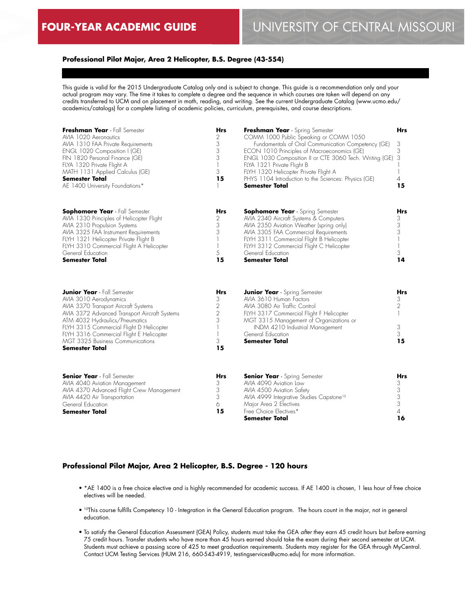# **Professional Pilot Major, Area 2 Helicopter, B.S. Degree (43-554)**

This guide is valid for the 2015 Undergraduate Catalog only and is subject to change. This guide is a recommendation only and your actual program may vary. The time it takes to complete a degree and the sequence in which courses are taken will depend on any credits transferred to UCM and on placement in math, reading, and writing. See the current Undergraduate Catalog (www.ucmo.edu/ academics/catalogs) for a complete listing of academic policies, curriculum, prerequisites, and course descriptions.

| Freshman Year - Fall Semester<br>AVIA 1020 Aeronautics<br>AVIA 1310 FAA Private Requirements<br>ENGL 1020 Composition I (GE)<br>FIN 1820 Personal Finance (GE)<br>FLYA 1320 Private Flight A<br>MATH 1131 Applied Calculus (GE)<br><b>Semester Total</b><br>AE 1400 University Foundations*                                                  | <b>Hrs</b><br>2<br>3<br>3<br>3<br>1<br>3<br>15             | Freshman Year - Spring Semester<br>COMM 1000 Public Speaking or COMM 1050<br>Fundamentals of Oral Communication Competency (GE)<br>ECON 1010 Principles of Macroeconomics (GE)<br>ENGL 1030 Composition II or CTE 3060 Tech. Writing (GE)<br>FLYA 1321 Private Flight B<br>FLYH 1320 Helicopter Private Flight A<br>PHYS 1104 Introduction to the Sciences: Physics (GE)<br><b>Semester Total</b> | Hrs<br>3<br>3<br>3<br>1<br>4<br>15                             |
|----------------------------------------------------------------------------------------------------------------------------------------------------------------------------------------------------------------------------------------------------------------------------------------------------------------------------------------------|------------------------------------------------------------|---------------------------------------------------------------------------------------------------------------------------------------------------------------------------------------------------------------------------------------------------------------------------------------------------------------------------------------------------------------------------------------------------|----------------------------------------------------------------|
| <b>Sophomore Year</b> - Fall Semester<br>AVIA 1330 Principles of Helicopter Flight<br>AVIA 2310 Propulsion Systems<br>AVIA 3325 FAA Instrument Requirements<br>FLYH 1321 Helicopter Private Flight B<br>FLYH 3310 Commercial Flight A Helicopter<br>General Education<br><b>Semester Total</b>                                               | Hrs<br>2<br>3<br>3<br>5<br>15                              | <b>Sophomore Year</b> - Spring Semester<br>AVIA 2340 Aircraft Systems & Computers<br>AVIA 2350 Aviation Weather (spring only)<br>AVIA 3305 FAA Commercial Requirements<br>FLYH 3311 Commercial Flight B Helicopter<br>FLYH 3312 Commercial Flight C Helicopter<br>General Education<br>Semester Total                                                                                             | Hrs<br>3<br>3<br>3<br>$\overline{\phantom{a}}$<br>1<br>3<br>14 |
| <b>Junior Year</b> - Fall Semester<br>AVIA 3010 Aerodynamics<br>AVIA 3370 Transport Aircraft Systems<br>AVIA 3372 Advanced Transport Aircraft Systems<br>ATM 4032 Hydraulics/Pneumatics<br>FLYH 3315 Commercial Flight D Helicopter<br>FLYH 3316 Commercial Flight E Helicopter<br>MGT 3325 Business Communications<br><b>Semester Total</b> | <b>Hrs</b><br>3<br>$\frac{2}{2}$<br>3<br>1<br>1<br>3<br>15 | <b>Junior Year</b> - Spring Semester<br>AVIA 3610 Human Factors<br>AVIA 3080 Air Traffic Control<br>FLYH 3317 Commercial Flight F Helicopter<br>MGT 3315 Management of Organizations or<br>INDM 4210 Industrial Management<br>General Education<br><b>Semester Total</b>                                                                                                                          | Hrs<br>3<br>$\overline{2}$<br>1<br>3<br>3<br>15                |
| <b>Senior Year</b> - Fall Semester<br>AVIA 4040 Aviation Management<br>AVIA 4370 Advanced Flight Crew Management<br>AVIA 4420 Air Transportation<br>General Education<br>Semester Total                                                                                                                                                      | Hrs<br>3<br>3<br>3<br>6<br>15                              | <b>Senior Year</b> - Spring Semester<br>AVIA 4090 Aviation Law<br>AVIA 4500 Aviation Safety<br>AVIA 4999 Integrative Studies Capstone <sup>10</sup><br>Major Area 2 Electives<br>Free Choice Electives*<br>Semester Total                                                                                                                                                                         | Hrs<br>3<br>3<br>$\mathfrak{S}$<br>3<br>4<br>16                |

#### **Professional Pilot Major, Area 2 Helicopter, B.S. Degree - 120 hours**

- \*AE 1400 is a free choice elective and is highly recommended for academic success. If AE 1400 is chosen, 1 less hour of free choice electives will be needed.
- 10This course fulfills Competency 10 Integration in the General Education program. The hours count in the major, not in general education.
- To satisfy the General Education Assessment (GEA) Policy, students must take the GEA *after* they earn 45 credit hours but *before* earning 75 credit hours. Transfer students who have more than 45 hours earned should take the exam during their second semester at UCM. Students must achieve a passing score of 425 to meet graduation requirements. Students may register for the GEA through MyCentral. Contact UCM Testing Services (HUM 216, 660-543-4919, testingservices@ucmo.edu) for more information.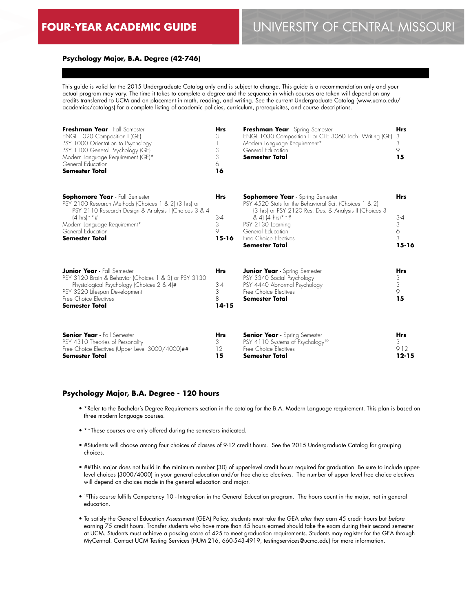### **Psychology Major, B.A. Degree (42-746)**

This guide is valid for the 2015 Undergraduate Catalog only and is subject to change. This guide is a recommendation only and your actual program may vary. The time it takes to complete a degree and the sequence in which courses are taken will depend on any credits transferred to UCM and on placement in math, reading, and writing. See the current Undergraduate Catalog (www.ucmo.edu/ academics/catalogs) for a complete listing of academic policies, curriculum, prerequisites, and course descriptions.

| Freshman Year - Fall Semester<br>ENGL 1020 Composition I (GE)<br>PSY 1000 Orientation to Psychology<br>PSY 1100 General Psychology (GE)<br>Modern Language Requirement (GE)*<br>General Education<br><b>Semester Total</b>                                   | <b>Hrs</b><br>3<br>3<br>3<br>6<br>16         | Freshman Year - Spring Semester<br>ENGL 1030 Composition II or CTE 3060 Tech. Writing (GE)<br>Modern Language Requirement*<br>General Education<br><b>Semester Total</b>                                                                                                      | <b>Hrs</b><br>3<br>3<br>9<br>15                   |
|--------------------------------------------------------------------------------------------------------------------------------------------------------------------------------------------------------------------------------------------------------------|----------------------------------------------|-------------------------------------------------------------------------------------------------------------------------------------------------------------------------------------------------------------------------------------------------------------------------------|---------------------------------------------------|
| <b>Sophomore Year</b> - Fall Semester<br>PSY 2100 Research Methods (Choices 1 & 2) (3 hrs) or<br>PSY 2110 Research Design & Analysis I (Choices 3 & 4<br>$(4 \text{ hrs})$ **#<br>Modern Language Requirement*<br>General Education<br><b>Semester Total</b> | <b>Hrs</b><br>$3 - 4$<br>3<br>9<br>$15 - 16$ | <b>Sophomore Year</b> - Spring Semester<br>PSY 4520 Stats for the Behavioral Sci. (Choices 1 & 2)<br>(3 hrs) or PSY 2120 Res. Des. & Analysis II (Choices 3<br>& 4) (4 hrs) * * #<br>PSY 2130 Learning<br>General Education<br>Free Choice Electives<br><b>Semester Total</b> | <b>Hrs</b><br>$3 - 4$<br>3<br>6<br>3<br>$15 - 16$ |
| <b>Junior Year</b> - Fall Semester<br>PSY 3120 Brain & Behavior (Choices 1 & 3) or PSY 3130<br>Physiological Psychology (Choices 2 & 4)#<br>PSY 3220 Lifespan Development<br>Free Choice Electives<br><b>Semester Total</b>                                  | <b>Hrs</b><br>$3 - 4$<br>3<br>8<br>$14 - 15$ | <b>Junior Year</b> - Spring Semester<br>PSY 3340 Social Psychology<br>PSY 4440 Abnormal Psychology<br>Free Choice Flectives<br><b>Semester Total</b>                                                                                                                          | <b>Hrs</b><br>3<br>3<br>$\circ$<br>15             |
| <b>Senior Year</b> - Fall Semester<br>PSY 4310 Theories of Personality<br>Free Choice Electives (Upper Level 3000/4000)##<br><b>Semester Total</b>                                                                                                           | <b>Hrs</b><br>3<br>12<br>15                  | <b>Senior Year</b> - Spring Semester<br>PSY 4110 Systems of Psychology <sup>10</sup><br>Free Choice Electives<br><b>Semester Total</b>                                                                                                                                        | <b>Hrs</b><br>3<br>$9-12$<br>$12 - 15$            |

### **Psychology Major, B.A. Degree - 120 hours**

- \*Refer to the Bachelor's Degree Requirements section in the catalog for the B.A. Modern Language requirement. This plan is based on three modern language courses.
- \*\*These courses are only offered during the semesters indicated.
- #Students will choose among four choices of classes of 9-12 credit hours. See the 2015 Undergraduate Catalog for grouping choices.
- ##This major does not build in the minimum number (30) of upper-level credit hours required for graduation. Be sure to include upperlevel choices (3000/4000) in your general education and/or free choice electives. The number of upper level free choice electives will depend on choices made in the general education and major.
- 10This course fulfills Competency 10 Integration in the General Education program. The hours count in the major, not in general education.
- To satisfy the General Education Assessment (GEA) Policy, students must take the GEA *after* they earn 45 credit hours but *before* earning 75 credit hours. Transfer students who have more than 45 hours earned should take the exam during their second semester at UCM. Students must achieve a passing score of 425 to meet graduation requirements. Students may register for the GEA through MyCentral. Contact UCM Testing Services (HUM 216, 660-543-4919, testingservices@ucmo.edu) for more information.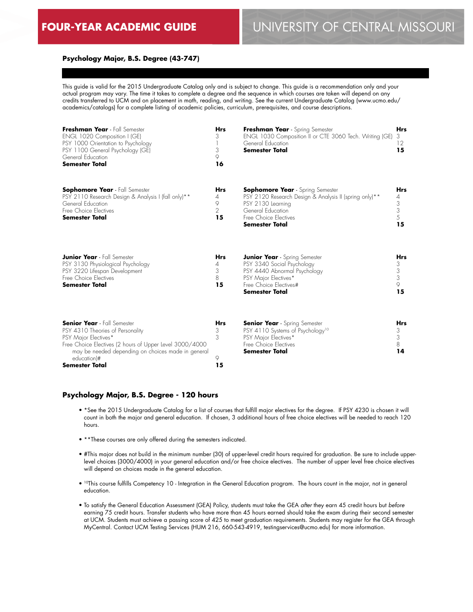#### **Psychology Major, B.S. Degree (43-747)**

This guide is valid for the 2015 Undergraduate Catalog only and is subject to change. This guide is a recommendation only and your actual program may vary. The time it takes to complete a degree and the sequence in which courses are taken will depend on any credits transferred to UCM and on placement in math, reading, and writing. See the current Undergraduate Catalog (www.ucmo.edu/ academics/catalogs) for a complete listing of academic policies, curriculum, prerequisites, and course descriptions.

| Freshman Year - Fall Semester<br>ENGL 1020 Composition I (GE)<br>PSY 1000 Orientation to Psychology<br>PSY 1100 General Psychology (GE)<br>General Education<br><b>Semester Total</b>                                          | <b>Hrs</b><br>3<br>3<br>9<br>16              | Freshman Year - Spring Semester<br>ENGL 1030 Composition II or CTE 3060 Tech. Writing (GE)<br>General Education<br><b>Semester Total</b>                                                      | <b>Hrs</b><br>3<br>12<br>15                                         |
|--------------------------------------------------------------------------------------------------------------------------------------------------------------------------------------------------------------------------------|----------------------------------------------|-----------------------------------------------------------------------------------------------------------------------------------------------------------------------------------------------|---------------------------------------------------------------------|
| <b>Sophomore Year</b> - Fall Semester<br>PSY 2110 Research Design & Analysis I (fall only)**<br>General Education<br>Free Choice Electives<br><b>Semester Total</b>                                                            | <b>Hrs</b><br>4<br>9<br>$\overline{2}$<br>15 | <b>Sophomore Year</b> - Spring Semester<br>PSY 2120 Research Design & Analysis II (spring only)**<br>PSY 2130 Learning<br>General Education<br>Free Choice Electives<br><b>Semester Total</b> | <b>Hrs</b><br>4<br>$\begin{array}{c} 3 \\ 3 \\ 5 \end{array}$<br>15 |
| <b>Junior Year</b> - Fall Semester<br>PSY 3130 Physiological Psychology<br>PSY 3220 Lifespan Development<br>Free Choice Electives<br><b>Semester Total</b>                                                                     | <b>Hrs</b><br>4<br>3<br>8<br>15              | <b>Junior Year</b> - Spring Semester<br>PSY 3340 Social Psychology<br>PSY 4440 Abnormal Psychology<br>PSY Major Electives*<br>Free Choice Electives#<br>Semester Total                        | <b>Hrs</b><br>$\frac{3}{3}$<br>9<br>15                              |
| <b>Senior Year</b> - Fall Semester<br>PSY 4310 Theories of Personality<br>PSY Major Electives*<br>Free Choice Electives (2 hours of Upper Level 3000/4000<br>may be needed depending on choices made in general<br>education)# | <b>Hrs</b><br>3<br>3<br>9                    | <b>Senior Year</b> - Spring Semester<br>PSY 4110 Systems of Psychology <sup>10</sup><br>PSY Major Electives*<br>Free Choice Electives<br><b>Semester Total</b>                                | <b>Hrs</b><br>3<br>3<br>8<br>14                                     |

#### **Psychology Major, B.S. Degree - 120 hours**

**Semester Total**

• \*See the 2015 Undergraduate Catalog for a list of courses that fulfill major electives for the degree. If PSY 4230 is chosen it will count in both the major and general education. If chosen, 3 additional hours of free choice electives will be needed to reach 120 hours.

**15**

- \*\*These courses are only offered during the semesters indicated.
- #This major does not build in the minimum number (30) of upper-level credit hours required for graduation. Be sure to include upperlevel choices (3000/4000) in your general education and/or free choice electives. The number of upper level free choice electives will depend on choices made in the general education.
- 10This course fulfills Competency 10 Integration in the General Education program. The hours count in the major, not in general education.
- To satisfy the General Education Assessment (GEA) Policy, students must take the GEA *after* they earn 45 credit hours but *before* earning 75 credit hours. Transfer students who have more than 45 hours earned should take the exam during their second semester at UCM. Students must achieve a passing score of 425 to meet graduation requirements. Students may register for the GEA through MyCentral. Contact UCM Testing Services (HUM 216, 660-543-4919, testingservices@ucmo.edu) for more information.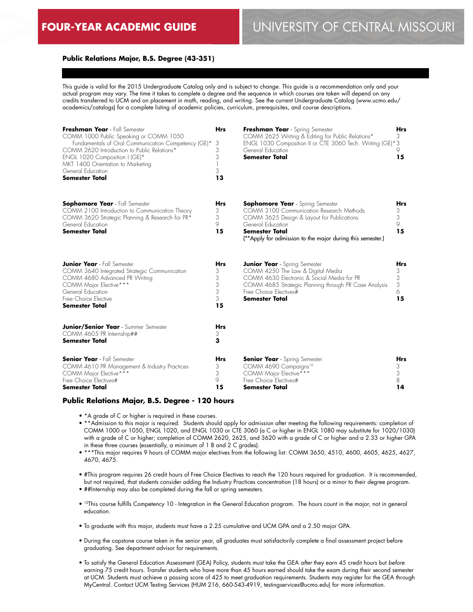# **Public Relations Major, B.S. Degree (43-351)**

This guide is valid for the 2015 Undergraduate Catalog only and is subject to change. This guide is a recommendation only and your actual program may vary. The time it takes to complete a degree and the sequence in which courses are taken will depend on any credits transferred to UCM and on placement in math, reading, and writing. See the current Undergraduate Catalog (www.ucmo.edu/ academics/catalogs) for a complete listing of academic policies, curriculum, prerequisites, and course descriptions.

| Freshman Year - Fall Semester<br>COMM 1000 Public Speaking or COMM 1050<br>Fundamentals of Oral Communication Competency (GE)*<br>COMM 2620 Introduction to Public Relations*<br>ENGL 1020 Composition I (GE)*<br>MKT 1400 Orientation to Marketing<br>General Education<br><b>Semester Total</b> | <b>Hrs</b><br>3<br>3<br>3<br>3<br>13      | Freshman Year - Spring Semester<br>COMM 2625 Writing & Editing for Public Relations*<br>ENGL 1030 Composition II or CTE 3060 Tech. Writing (GE)*3<br>General Education<br><b>Semester Total</b>                                               | <b>Hrs</b><br>3<br>9<br>15           |
|---------------------------------------------------------------------------------------------------------------------------------------------------------------------------------------------------------------------------------------------------------------------------------------------------|-------------------------------------------|-----------------------------------------------------------------------------------------------------------------------------------------------------------------------------------------------------------------------------------------------|--------------------------------------|
| <b>Sophomore Year</b> - Fall Semester<br>COMM 2100 Introduction to Communication Theory<br>COMM 3620 Strategic Planning & Research for PR*<br>General Education<br><b>Semester Total</b>                                                                                                          | <b>Hrs</b><br>3<br>3<br>9<br>15           | <b>Sophomore Year</b> - Spring Semester<br>COMM 3100 Communication Research Methods<br>COMM 3625 Design & Layout for Publications<br>General Education<br><b>Semester Total</b><br>(**Apply for admission to the major during this semester.) | <b>Hrs</b><br>3<br>3<br>9<br>15      |
| <b>Junior Year</b> - Fall Semester<br>COMM 3640 Integrated Strategic Communication<br>COMM 4680 Advanced PR Writing<br>COMM Major Elective***<br>General Education<br>Free Choice Elective<br>Semester Total                                                                                      | <b>Hrs</b><br>3<br>3<br>3<br>3<br>3<br>15 | <b>Junior Year</b> - Spring Semester<br>COMM 4250 The Law & Digital Media<br>COMM 4630 Electronic & Social Media for PR<br>COMM 4685 Strategic Planning through PR Case Analysis<br>Free Choice Electives#<br><b>Semester Total</b>           | <b>Hrs</b><br>3<br>3<br>3<br>6<br>15 |
| <b>Junior/Senior Year</b> - Summer Semester<br>COMM 4605 PR Internship##<br><b>Semester Total</b>                                                                                                                                                                                                 | Hrs<br>3<br>3                             |                                                                                                                                                                                                                                               |                                      |
| <b>Senior Year</b> - Fall Semester<br>COMM 4610 PR Management & Industry Practices<br>COMM Major Elective***<br>Free Choice Electives#<br>Semester Total                                                                                                                                          | <b>Hrs</b><br>3<br>3<br>9<br>15           | <b>Senior Year</b> - Spring Semester<br>COMM 4690 Campaigns <sup>10</sup><br>COMM Major Elective***<br>Free Choice Electives#<br>Semester Total                                                                                               | <b>Hrs</b><br>3<br>3<br>8<br>14      |

#### **Public Relations Major, B.S. Degree - 120 hours**

- \*A grade of C or higher is required in these courses.
- \*\*Admission to this major is required. Students should apply for admission after meeting the following requirements: completion of COMM 1000 or 1050, ENGL 1020, and ENGL 1030 or CTE 3060 (a C or higher in ENGL 1080 may substitute for 1020/1030) with a grade of C or higher; completion of COMM 2620, 2625, and 3620 with a grade of C or higher and a 2.33 or higher GPA in these three courses (essentially, a minimum of 1 B and 2 C grades).
- \*\*\*This major requires 9 hours of COMM major electives from the following list: COMM 3650, 4510, 4600, 4605, 4625, 4627, 4670, 4675.
- #This program requires 26 credit hours of Free Choice Electives to reach the 120 hours required for graduation. It is recommended, but not required, that students consider adding the Industry Practices concentration (18 hours) or a minor to their degree program.
- ##Internship may also be completed during the fall or spring semesters.
- <sup>10</sup>This course fulfills Competency 10 Integration in the General Education program. The hours count in the major, not in general education.
- To graduate with this major, students must have a 2.25 cumulative and UCM GPA and a 2.50 major GPA.
- During the capstone course taken in the senior year, all graduates must satisfactorily complete a final assessment project before graduating. See department advisor for requirements.
- To satisfy the General Education Assessment (GEA) Policy, students must take the GEA *after* they earn 45 credit hours but *before* earning 75 credit hours. Transfer students who have more than 45 hours earned should take the exam during their second semester at UCM. Students must achieve a passing score of 425 to meet graduation requirements. Students may register for the GEA through MyCentral. Contact UCM Testing Services (HUM 216, 660-543-4919, testingservices@ucmo.edu) for more information.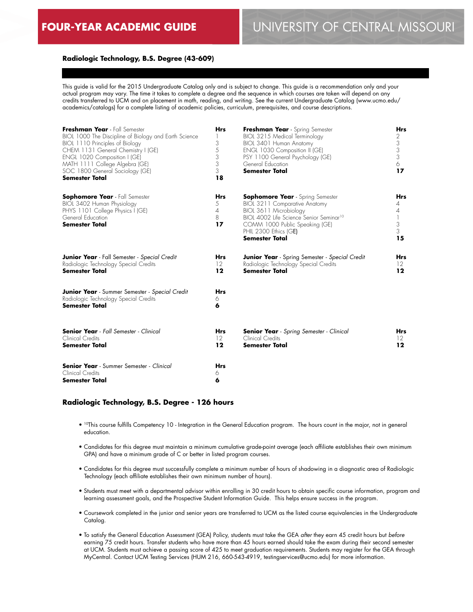### **Radiologic Technology, B.S. Degree (43-609)**

This guide is valid for the 2015 Undergraduate Catalog only and is subject to change. This guide is a recommendation only and your actual program may vary. The time it takes to complete a degree and the sequence in which courses are taken will depend on any credits transferred to UCM and on placement in math, reading, and writing. See the current Undergraduate Catalog (www.ucmo.edu/ academics/catalogs) for a complete listing of academic policies, curriculum, prerequisites, and course descriptions.

| Freshman Year - Fall Semester<br>BIOL 1000 The Discipline of Biology and Earth Science<br>BIOL 1110 Principles of Biology<br>CHEM 1131 General Chemistry I (GE)<br>ENGL 1020 Composition I (GE)<br>MATH 1111 College Algebra (GE)<br>SOC 1800 General Sociology (GE)<br><b>Semester Total</b> | <b>Hrs</b><br>$\mathbf{1}$<br>3<br>5<br>3<br>3<br>3<br>18 | Freshman Year - Spring Semester<br>BIOL 3215 Medical Terminology<br>BIOL 3401 Human Anatomy<br>ENGL 1030 Composition II (GE)<br>PSY 1100 General Psychology (GE)<br>General Education<br><b>Semester Total</b>                                | <b>Hrs</b><br>2<br>3<br>3<br>3<br>6<br>17 |
|-----------------------------------------------------------------------------------------------------------------------------------------------------------------------------------------------------------------------------------------------------------------------------------------------|-----------------------------------------------------------|-----------------------------------------------------------------------------------------------------------------------------------------------------------------------------------------------------------------------------------------------|-------------------------------------------|
| <b>Sophomore Year</b> - Fall Semester<br>BIOL 3402 Human Physiology<br>PHYS 1101 College Physics I (GE)<br>General Education<br><b>Semester Total</b>                                                                                                                                         | Hrs<br>5<br>$\overline{4}$<br>8<br>17                     | <b>Sophomore Year</b> - Spring Semester<br>BIOL 3211 Comparative Anatomy<br>BIOL 3611 Microbiology<br>BIOL 4002 Life Science Senior Seminar <sup>10</sup><br>COMM 1000 Public Speaking (GE)<br>PHIL 2300 Ethics (GE)<br><b>Semester Total</b> | <b>Hrs</b><br>4<br>4<br>3<br>3<br>15      |
| <b>Junior Year</b> - Fall Semester - Special Credit<br>Radiologic Technology Special Credits<br><b>Semester Total</b>                                                                                                                                                                         | <b>Hrs</b><br>12<br>12                                    | <b>Junior Year</b> - Spring Semester - Special Credit<br>Radiologic Technology Special Credits<br><b>Semester Total</b>                                                                                                                       | <b>Hrs</b><br>$12 \ \mathrm{ }$<br>12     |
| <b>Junior Year</b> - Summer Semester - Special Credit<br>Radiologic Technology Special Credits<br><b>Semester Total</b>                                                                                                                                                                       | <b>Hrs</b><br>6<br>6                                      |                                                                                                                                                                                                                                               |                                           |
| <b>Senior Year</b> - Fall Semester - Clinical<br>Clinical Credits<br><b>Semester Total</b>                                                                                                                                                                                                    | <b>Hrs</b><br>12<br>12                                    | <b>Senior Year</b> - Spring Semester - Clinical<br>Clinical Credits<br><b>Semester Total</b>                                                                                                                                                  | Hrs<br>$12 \ \mathrm{ }$<br>12            |
| <b>Senior Year</b> - Summer Semester - Clinical<br>Clinical Credits<br>Semester Total                                                                                                                                                                                                         | <b>Hrs</b><br>6<br>6                                      |                                                                                                                                                                                                                                               |                                           |

#### **Radiologic Technology, B.S. Degree - 126 hours**

- 10This course fulfills Competency 10 Integration in the General Education program. The hours count in the major, not in general education.
- Candidates for this degree must maintain a minimum cumulative grade-point average (each affiliate establishes their own minimum GPA) and have a minimum grade of C or better in listed program courses.
- Candidates for this degree must successfully complete a minimum number of hours of shadowing in a diagnostic area of Radiologic Technology (each affiliate establishes their own minimum number of hours).
- Students must meet with a departmental advisor within enrolling in 30 credit hours to obtain specific course information, program and learning assessment goals, and the Prospective Student Information Guide. This helps ensure success in the program.
- Coursework completed in the junior and senior years are transferred to UCM as the listed course equivalencies in the Undergraduate Catalog.
- To satisfy the General Education Assessment (GEA) Policy, students must take the GEA *after* they earn 45 credit hours but *before* earning 75 credit hours. Transfer students who have more than 45 hours earned should take the exam during their second semester at UCM. Students must achieve a passing score of 425 to meet graduation requirements. Students may register for the GEA through MyCentral. Contact UCM Testing Services (HUM 216, 660-543-4919, testingservices@ucmo.edu) for more information.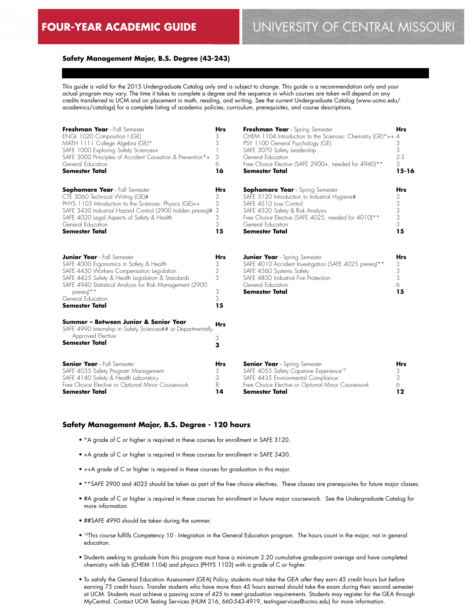# **Safety Management Major, B.S. Degree (43-243)**

This guide is valid for the 2015 Undergraduate Catalog only and is subject to change. This guide is a recommendation only and your actual program may vary. The time it takes to complete a degree and the sequence in which courses are taken will depend on any credits transferred to UCM and on placement in math, reading, and writing. See the current Undergraduate Catalog (www.ucmo.edu/ academics/catalogs) for a complete listing of academic policies, curriculum, prerequisites, and course descriptions.

| Freshman Year - Fall Semester<br>ENGL 1020 Composition I (GE)<br>MATH 1111 College Algebra (GE)*<br>SAFE 1000 Exploring Safety Sciences+<br>SAFE 3000 Principles of Accident Causation & Prevention*+<br>General Education<br><b>Semester Total</b>                                                     | <b>Hrs</b><br>3<br>3<br>3<br>6<br>16      | Freshman Year - Spring Semester<br>CHEM 1104 Introduction to the Sciences: Chemistry (GE)*++ 4<br>PSY 1100 General Psychology (GE)<br>SAFE 3070 Safety Leadership<br>General Education<br>Free Choice Elective (SAFE 2900+, needed for 4940)**<br><b>Semester Total</b> | <b>Hrs</b><br>3<br>3<br>$2 - 3$<br>3<br>$15 - 16$ |
|---------------------------------------------------------------------------------------------------------------------------------------------------------------------------------------------------------------------------------------------------------------------------------------------------------|-------------------------------------------|-------------------------------------------------------------------------------------------------------------------------------------------------------------------------------------------------------------------------------------------------------------------------|---------------------------------------------------|
| <b>Sophomore Year</b> - Fall Semester<br>CTE 3060 Technical Writing (GE)#<br>PHYS 1103 Introduction to the Sciences: Physics (GE)++<br>SAFE 3430 Industrial Hazard Control (2900 hidden prereq)#<br>SAFE 4020 Legal Aspects of Safety & Health<br>General Education<br><b>Semester Total</b>            | <b>Hrs</b><br>3<br>3<br>3<br>3<br>3<br>15 | <b>Sophomore Year</b> - Spring Semester<br>SAFE 3120 Introduction to Industrial Hygiene#<br>SAFE 4510 Loss Control<br>SAFE 4520 Safety & Risk Analysis<br>Free Choice Elective (SAFE 4025, needed for 4010)**<br>General Education<br><b>Semester Total</b>             | <b>Hrs</b><br>3<br>3<br>3<br>3<br>3<br>15         |
| <b>Junior Year</b> - Fall Semester<br>SAFE 4000 Ergonomics in Safety & Health<br>SAFE 4430 Workers Compensation Legislation<br>SAFE 4425 Safety & Health Legislation & Standards<br>SAFE 4940 Statistical Analysis for Risk Management (2900<br>prereq)**<br>General Education<br><b>Semester Total</b> | <b>Hrs</b><br>3<br>3<br>3<br>3<br>3<br>15 | <b>Junior Year</b> - Spring Semester<br>SAFE 4010 Accident Investigation (SAFE 4025 prereq)**<br>SAFE 4560 Systems Safety<br>SAFE 4850 Industrial Fire Protection<br>General Education<br><b>Semester Total</b>                                                         | <b>Hrs</b><br>3<br>3<br>3<br>6<br>15              |
| Summer – Between Junior & Senior Year<br>SAFE 4990 Internship in Safety Sciences## or Departmentally<br>Approved Elective<br>Semester Total                                                                                                                                                             | Hrs<br>З<br>3                             |                                                                                                                                                                                                                                                                         |                                                   |
| <b>Senior Year</b> - Fall Semester<br>SAFE 4035 Safety Program Management<br>SAFE 4140 Safety & Health Laboratory<br>Free Choice Elective or Optional Minor Coursework<br>Semester Total                                                                                                                | <b>Hrs</b><br>3<br>3<br>8<br>14           | <b>Senior Year</b> - Spring Semester<br>SAFE 4055 Safety Capstone Experience <sup>10</sup><br>SAFE 4435 Environmental Compliance<br>Free Choice Elective or Optional Minor Coursework<br>Semester Total                                                                 | <b>Hrs</b><br>3<br>3<br>6<br>12                   |

#### **Safety Management Major, B.S. Degree - 120 hours**

- \*A grade of C or higher is required in these courses for enrollment in SAFE 3120.
- +A grade of C or higher is required in these courses for enrollment in SAFE 3430.
- ++A grade of C or higher is required in these courses for graduation in this major.
- \*\*SAFE 2900 and 4025 should be taken as part of the free choice electives. These classes are prerequisites for future major classes.
- #A grade of C or higher is required in these courses for enrollment in future major coursework. See the Undergraduate Catalog for more information.
- ##SAFE 4990 should be taken during the summer.
- 10This course fulfills Competency 10 Integration in the General Education program. The hours count in the major, not in general education.
- Students seeking to graduate from this program must have a minimum 2.20 cumulative grade-point average and have completed chemistry with lab (CHEM 1104) and physics (PHYS 1103) with a grade of C or higher.
- To satisfy the General Education Assessment (GEA) Policy, students must take the GEA *after* they earn 45 credit hours but *before* earning 75 credit hours. Transfer students who have more than 45 hours earned should take the exam during their second semester at UCM. Students must achieve a passing score of 425 to meet graduation requirements. Students may register for the GEA through MyCentral. Contact UCM Testing Services (HUM 216, 660-543-4919, testingservices@ucmo.edu) for more information.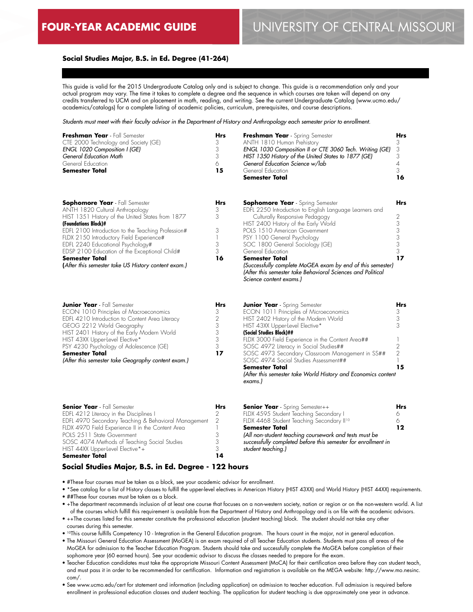# **Social Studies Major, B.S. in Ed. Degree (41-264)**

This guide is valid for the 2015 Undergraduate Catalog only and is subject to change. This guide is a recommendation only and your actual program may vary. The time it takes to complete a degree and the sequence in which courses are taken will depend on any credits transferred to UCM and on placement in math, reading, and writing. See the current Undergraduate Catalog (www.ucmo.edu/ academics/catalogs) for a complete listing of academic policies, curriculum, prerequisites, and course descriptions.

*Students must meet with their faculty advisor in the Department of History and Anthropology each semester prior to enrollment.*

| Freshman Year - Fall Semester<br>CTE 2000 Technology and Society (GE)<br>ENGL 1020 Composition I (GE)<br>General Education Math<br>General Education<br><b>Semester Total</b>                                                                                                                                                                                                                                                | <b>Hrs</b><br>3<br>3<br>3<br>6<br>15                    | Freshman Year - Spring Semester<br>ANTH 1810 Human Prehistory<br>ENGL 1030 Composition II or CTE 3060 Tech. Writing (GE)<br>HIST 1350 History of the United States to 1877 (GE)<br>General Education Science w/lab<br>General Education<br><b>Semester Total</b>                                                                                                                                                                                                                       | Hrs<br>3<br>3<br>3<br>4<br>3<br>16              |
|------------------------------------------------------------------------------------------------------------------------------------------------------------------------------------------------------------------------------------------------------------------------------------------------------------------------------------------------------------------------------------------------------------------------------|---------------------------------------------------------|----------------------------------------------------------------------------------------------------------------------------------------------------------------------------------------------------------------------------------------------------------------------------------------------------------------------------------------------------------------------------------------------------------------------------------------------------------------------------------------|-------------------------------------------------|
| <b>Sophomore Year</b> - Fall Semester<br>ANTH 1820 Cultural Anthropology<br>HIST 1351 History of the United States from 1877<br>(Foundations Block)#<br>EDFL 2100 Introduction to the Teaching Profession#<br>FLDX 2150 Introductory Field Experience#<br>EDFL 2240 Educational Psychology#<br>EDSP 2100 Education of the Exceptional Child#<br><b>Semester Total</b><br>(After this semester take US History content exam.) | Hrs<br>3<br>3<br>3<br>1<br>3<br>3<br>16                 | <b>Sophomore Year</b> - Spring Semester<br>EDFL 2250 Introduction to English Language Learners and<br>Culturally Responsive Pedagogy<br>HIST 2400 History of the Early World<br>POLS 1510 American Government<br>PSY 1100 General Psychology<br>SOC 1800 General Sociology (GE)<br>General Education<br><b>Semester Total</b><br>(Successfully complete MoGEA exam by end of this semester)<br>(After this semester take Behavioral Sciences and Political<br>Science content exams.)  | Hrs<br>2<br>3<br>3<br>3<br>3<br>3<br>17         |
| <b>Junior Year</b> - Fall Semester<br>ECON 1010 Principles of Macroeconomics<br>EDFL 4210 Introduction to Content Area Literacy<br>GEOG 2212 World Geography<br>HIST 2401 History of the Early Modern World<br>HIST 43XX Upper-level Elective*<br>PSY 4230 Psychology of Adolescence (GE)<br><b>Semester Total</b><br>(After this semester take Geography content exam.)                                                     | <b>Hrs</b><br>3<br>$\sqrt{2}$<br>3<br>3<br>3<br>3<br>17 | <b>Junior Year</b> - Spring Semester<br>ECON 1011 Principles of Microeconomics<br>HIST 2402 History of the Modern World<br>HIST 43XX Upper-level Elective*<br>(Social Studies Block)##<br>FLDX 3000 Field Experience in the Content Area##<br>SOSC 4972 Literacy in Social Studies##<br>SOSC 4973 Secondary Classroom Management in SS##<br>SOSC 4974 Social Studies Assessment##<br><b>Semester Total</b><br>(After this semester take World History and Economics content<br>exams.) | Hrs<br>3<br>3<br>3<br>2<br>$\overline{2}$<br>15 |
| <b>Senior Year</b> - Fall Semester<br>EDFL 4212 Literacy in the Disciplines I<br>EDFL 4970 Secondary Teaching & Behavioral Management                                                                                                                                                                                                                                                                                        | <b>Hrs</b><br>2<br>$\mathfrak{D}$                       | <b>Senior Year</b> - Spring Semester++<br>FLDX 4595 Student Teaching Secondary I<br>FLDX 4468 Student Teaching Secondary II <sup>10</sup>                                                                                                                                                                                                                                                                                                                                              | Hrs<br>6<br>6                                   |

FLDX 4970 Field Experience II in the Content Area POLS 2511 State Government SOSC 4074 Methods of Teaching Social Studies HIST 44XX Upper-level Elective\*+ **Semester Total** 1 3 3 3 **14**

# *successfully completed before this semester for enrollment in student teaching.)*

**Semester Total**

*(All non-student teaching coursework and tests must be* 

**12**

# **Social Studies Major, B.S. in Ed. Degree - 122 hours**

- #These four courses must be taken as a block, see your academic advisor for enrollment.
- \*See catalog for a list of History classes to fulfill the upper-level electives in American History (HIST 43XX) and World History (HIST 44XX) requirements. • ##These four courses must be taken as a block.
- +The department recommends inclusion of at least one course that focuses on a non-western society, nation or region or on the non-western world. A list of the courses which fulfill this requirement is available from the Department of History and Anthropology and is on file with the academic advisors.
- ++The courses listed for this semester constitute the professional education (student teaching) block. The student should not take any other courses during this semester.
- 10This course fulfills Competency 10 Integration in the General Education program. The hours count in the major, not in general education.
- The Missouri General Education Assessment (MoGEA) is an exam required of all Teacher Education students. Students must pass all areas of the MoGEA for admission to the Teacher Education Program. Students should take and successfully complete the MoGEA before completion of their sophomore year (60 earned hours). See your academic advisor to discuss the classes needed to prepare for the exam.
- Teacher Education candidates must take the appropriate Missouri Content Assessment (MoCA) for their certification area before they can student teach, and must pass it in order to be recommended for certification. Information and registration is available on the MEGA website: http://www.mo.nesinc. com/.
- See www.ucmo.edu/cert for statement and information (including application) on admission to teacher education. Full admission is required before enrollment in professional education classes and student teaching. The application for student teaching is due approximately one year in advance.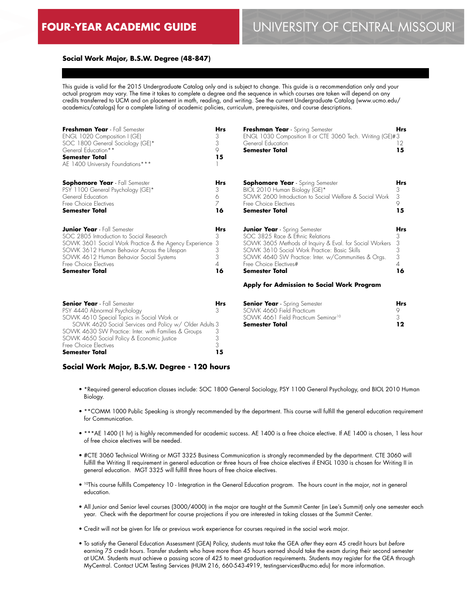### **Social Work Major, B.S.W. Degree (48-847)**

This guide is valid for the 2015 Undergraduate Catalog only and is subject to change. This guide is a recommendation only and your actual program may vary. The time it takes to complete a degree and the sequence in which courses are taken will depend on any credits transferred to UCM and on placement in math, reading, and writing. See the current Undergraduate Catalog (www.ucmo.edu/ academics/catalogs) for a complete listing of academic policies, curriculum, prerequisites, and course descriptions.

| Freshman Year - Fall Semester<br>ENGL 1020 Composition I (GE)<br>SOC 1800 General Sociology (GE)*<br>General Education**<br><b>Semester Total</b><br>AE 1400 University Foundations***                                                                                                  | <b>Hrs</b><br>3<br>3<br>9<br>15       | Freshman Year - Spring Semester<br>ENGL 1030 Composition II or CTE 3060 Tech. Writing (GE)#3<br>General Education<br><b>Semester Total</b>                                                                                                                                                                                           | <b>Hrs</b><br>12<br>15             |
|-----------------------------------------------------------------------------------------------------------------------------------------------------------------------------------------------------------------------------------------------------------------------------------------|---------------------------------------|--------------------------------------------------------------------------------------------------------------------------------------------------------------------------------------------------------------------------------------------------------------------------------------------------------------------------------------|------------------------------------|
| <b>Sophomore Year</b> - Fall Semester<br>PSY 1100 General Psychology (GE)*<br>General Education<br>Free Choice Electives<br><b>Semester Total</b>                                                                                                                                       | Hrs<br>3<br>6<br>$\overline{7}$<br>16 | <b>Sophomore Year</b> - Spring Semester<br>BIOL 2010 Human Biology (GE)*<br>SOWK 2600 Introduction to Social Welfare & Social Work<br>Free Choice Electives<br><b>Semester Total</b>                                                                                                                                                 | Hrs<br>3<br>3<br>9<br>15           |
| <b>Junior Year</b> - Fall Semester<br>SOC 2805 Introduction to Social Research<br>SOWK 3601 Social Work Practice & the Agency Experience 3<br>SOWK 3612 Human Behavior Across the Lifespan<br>SOWK 4612 Human Behavior Social Systems<br>Free Choice Electives<br><b>Semester Total</b> | <b>Hrs</b><br>З<br>3<br>3<br>4<br>16  | <b>Junior Year</b> - Spring Semester<br>SOC 3825 Race & Ethnic Relations<br>SOWK 3605 Methods of Inquiry & Eval. for Social Workers<br>SOWK 3610 Social Work Practice: Basic Skills<br>SOWK 4640 SW Practice: Inter. w/Communities & Orgs.<br>Free Choice Electives#<br>Semester Total<br>Apply for Admission to Social Work Program | Hrs<br>3<br>3<br>3<br>3<br>4<br>16 |

| <b>Senior Year</b> - Fall Semester                     |    |
|--------------------------------------------------------|----|
| PSY 4440 Abnormal Psychology                           |    |
| SOWK 4610 Special Topics in Social Work or             |    |
| SOWK 4620 Social Services and Policy w/ Older Adults 3 |    |
| SOWK 4630 SW Practice: Inter. with Families & Groups   |    |
| SOWK 4650 Social Policy & Economic Justice             |    |
| Free Choice Electives                                  |    |
| <b>Semester Total</b>                                  | 15 |

**Senior Year** - Spring Semester SOWK 4660 Field Practicum SOWK 4661 Field Practicum Seminar<sup>10</sup> **Semester Total Hrs** 9 3 **12**

#### **Social Work Major, B.S.W. Degree - 120 hours**

- \*Required general education classes include: SOC 1800 General Sociology, PSY 1100 General Psychology, and BIOL 2010 Human Biology.
- \*\*COMM 1000 Public Speaking is strongly recommended by the department. This course will fulfill the general education requirement for Communication.
- \*\*\*AE 1400 (1 hr) is highly recommended for academic success. AE 1400 is a free choice elective. If AE 1400 is chosen, 1 less hour of free choice electives will be needed.
- #CTE 3060 Technical Writing or MGT 3325 Business Communication is strongly recommended by the department. CTE 3060 will fulfill the Writing II requirement in general education or three hours of free choice electives if ENGL 1030 is chosen for Writing II in general education. MGT 3325 will fulfill three hours of free choice electives.
- 10This course fulfills Competency 10 Integration in the General Education program. The hours count in the major, not in general education.
- All Junior and Senior level courses (3000/4000) in the major are taught at the Summit Center (in Lee's Summit) only one semester each year. Check with the department for course projections if you are interested in taking classes at the Summit Center.
- Credit will not be given for life or previous work experience for courses required in the social work major.
- To satisfy the General Education Assessment (GEA) Policy, students must take the GEA *after* they earn 45 credit hours but *before* earning 75 credit hours. Transfer students who have more than 45 hours earned should take the exam during their second semester at UCM. Students must achieve a passing score of 425 to meet graduation requirements. Students may register for the GEA through MyCentral. Contact UCM Testing Services (HUM 216, 660-543-4919, testingservices@ucmo.edu) for more information.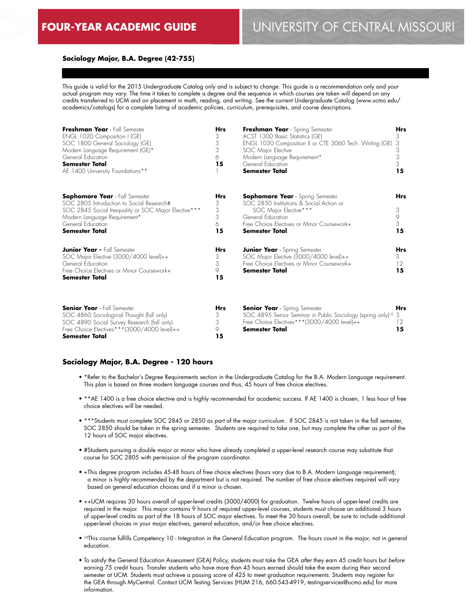**15**

# **Sociology Major, B.A. Degree (42-755)**

This guide is valid for the 2015 Undergraduate Catalog only and is subject to change. This guide is a recommendation only and your actual program may vary. The time it takes to complete a degree and the sequence in which courses are taken will depend on any credits transferred to UCM and on placement in math, reading, and writing. See the current Undergraduate Catalog (www.ucmo.edu/ academics/catalogs) for a complete listing of academic policies, curriculum, prerequisites, and course descriptions.

| Freshman Year - Fall Semester<br>ENGL 1020 Composition I (GE)<br>SOC 1800 General Sociology (GE)<br>Modern Language Requirement (GE)*<br>General Education<br><b>Semester Total</b><br>AE 1400 University Foundations**  | <b>Hrs</b><br>3<br>3<br>3<br>6<br>15 | Freshman Year - Spring Semester<br>ACST 1300 Basic Statistics (GE)<br>ENGL 1030 Composition II or CTE 3060 Tech. Writing (GE)<br>SOC Major Elective<br>Modern Language Requirement*<br>General Education<br><b>Semester Total</b> | <b>Hrs</b><br>3<br>3<br>3<br>3<br>3<br>15 |
|--------------------------------------------------------------------------------------------------------------------------------------------------------------------------------------------------------------------------|--------------------------------------|-----------------------------------------------------------------------------------------------------------------------------------------------------------------------------------------------------------------------------------|-------------------------------------------|
| <b>Sophomore Year</b> - Fall Semester<br>SOC 2805 Introduction to Social Research#<br>SOC 2845 Social Inequality or SOC Major Elective ***<br>Modern Language Requirement*<br>General Education<br><b>Semester Total</b> | Hrs<br>3<br>3<br>3<br>6<br>15        | <b>Sophomore Year</b> - Spring Semester<br>SOC 2850 Institutions & Social Action or<br>SOC Major Elective***<br>General Education<br>Free Choice Electives or Minor Coursework+<br><b>Semester Total</b>                          | Hrs<br>3<br>9<br>3<br>15                  |
| <b>Junior Year - Fall Semester</b><br>SOC Major Elective (3000/4000 level)++<br>General Education<br>Free Choice Electives or Minor Coursework+<br><b>Semester Total</b>                                                 | Hrs<br>3<br>3<br>9<br>15             | <b>Junior Year</b> - Spring Semester<br>SOC Major Elective (3000/4000 level)++<br>Free Choice Electives or Minor Coursework+<br><b>Semester Total</b>                                                                             | Hrs<br>3<br>12 <sup>°</sup><br>15         |
| <b>Senior Year</b> - Fall Semester<br>SOC 4860 Sociological Thought (fall only)<br>SOC 4890 Social Survey Research (fall only)                                                                                           | <b>Hrs</b><br>3<br>3                 | <b>Senior Year</b> - Spring Semester<br>SOC 4895 Senior Seminar in Public Sociology (spring only) <sup>10</sup> 3<br>Free Choice Electives***(3000/4000 level)++                                                                  | Hrs<br>12                                 |

#### **Sociology Major, B.A. Degree - 120 hours**

Free Choice Electives\*\*\*(3000/4000 level)++

**Semester Total**

• \*Refer to the Bachelor's Degree Requirements section in the Undergraduate Catalog for the B.A. Modern Language requirement. This plan is based on three modern language courses and thus, 45 hours of free choice electives.

**Semester Total**

9 **15**

- \*\*AE 1400 is a free choice elective and is highly recommended for academic success. If AE 1400 is chosen, 1 less hour of free choice electives will be needed.
- \*\*\*Students must complete SOC 2845 or 2850 as part of the major curriculum. If SOC 2845 is not taken in the fall semester, SOC 2850 should be taken in the spring semester. Students are required to take one, but may complete the other as part of the 12 hours of SOC major electives.
- #Students pursuing a double major or minor who have already completed a upper-level research course may substitute that course for SOC 2805 with permission of the program coordinator.
- +This degree program includes 45-48 hours of free choice electives (hours vary due to B.A. Modern Language requirement); a minor is highly recommended by the department but is not required. The number of free choice electives required will vary based on general education choices and if a minor is chosen.
- ++UCM requires 30 hours overall of upper-level credits (3000/4000) for graduation. Twelve hours of upper-level credits are required in the major. This major contains 9 hours of required upper-level courses, students must choose an additional 3 hours of upper-level credits as part of the 18 hours of SOC major electives. To meet the 30 hours overall, be sure to include additional upper-level choices in your major electives, general education, and/or free choice electives.
- 10This course fulfills Competency 10 Integration in the General Education program. The hours count in the major, not in general education.
- To satisfy the General Education Assessment (GEA) Policy, students must take the GEA *after* they earn 45 credit hours but *before* earning 75 credit hours. Transfer students who have more than 45 hours earned should take the exam during their second semester at UCM. Students must achieve a passing score of 425 to meet graduation requirements. Students may register for the GEA through MyCentral. Contact UCM Testing Services (HUM 216, 660-543-4919, testingservices@ucmo.edu) for more information.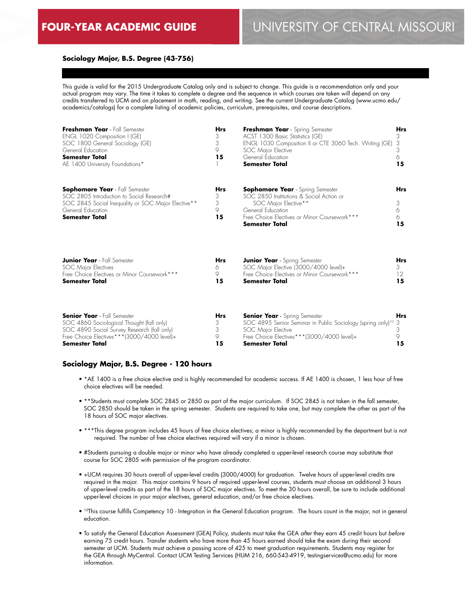# **Sociology Major, B.S. Degree (43-756)**

This guide is valid for the 2015 Undergraduate Catalog only and is subject to change. This guide is a recommendation only and your actual program may vary. The time it takes to complete a degree and the sequence in which courses are taken will depend on any credits transferred to UCM and on placement in math, reading, and writing. See the current Undergraduate Catalog (www.ucmo.edu/ academics/catalogs) for a complete listing of academic policies, curriculum, prerequisites, and course descriptions.

| Freshman Year - Fall Semester<br>ENGL 1020 Composition I (GE)<br>SOC 1800 General Sociology (GE)<br>General Education<br><b>Semester Total</b><br>AE 1400 University Foundations*                     | <b>Hrs</b><br>3<br>3<br>9<br>15 | Freshman Year - Spring Semester<br>ACST 1300 Basic Statistics (GE)<br>ENGL 1030 Composition II or CTE 3060 Tech. Writing (GE)<br>SOC Major Elective<br>General Education<br><b>Semester Total</b>         | Hrs<br>3<br>3<br>3<br>6<br>15    |
|-------------------------------------------------------------------------------------------------------------------------------------------------------------------------------------------------------|---------------------------------|-----------------------------------------------------------------------------------------------------------------------------------------------------------------------------------------------------------|----------------------------------|
| <b>Sophomore Year</b> - Fall Semester<br>SOC 2805 Introduction to Social Research#<br>SOC 2845 Social Inequality or SOC Major Elective**<br>General Education<br><b>Semester Total</b>                | <b>Hrs</b><br>3<br>3<br>9<br>15 | <b>Sophomore Year</b> - Spring Semester<br>SOC 2850 Institutions & Social Action or<br>SOC Major Elective**<br>General Education<br>Free Choice Electives or Minor Coursework***<br><b>Semester Total</b> | <b>Hrs</b><br>3<br>6<br>6.<br>15 |
| <b>Junior Year</b> - Fall Semester<br><b>SOC Major Electives</b><br>Free Choice Electives or Minor Coursework***<br><b>Semester Total</b>                                                             | Hrs<br>6<br>9<br>15             | <b>Junior Year</b> - Spring Semester<br>SOC Major Elective (3000/4000 level)+<br>Free Choice Electives or Minor Coursework***<br>Semester Total                                                           | Hrs<br>3<br>12<br>15             |
| <b>Senior Year</b> - Fall Semester<br>SOC 4860 Sociological Thought (fall only)<br>SOC 4890 Social Survey Research (fall only)<br>Free Choice Electives***(3000/4000 level)+<br><b>Semester Total</b> | <b>Hrs</b><br>3<br>3<br>9<br>15 | <b>Senior Year</b> - Spring Semester<br>SOC 4895 Senior Seminar in Public Sociology (spring only) <sup>10</sup> 3<br>SOC Major Elective<br>Free Choice Electives***(3000/4000 level)+<br>Semester Total   | <b>Hrs</b><br>3<br>9<br>15       |

#### **Sociology Major, B.S. Degree - 120 hours**

- \*AE 1400 is a free choice elective and is highly recommended for academic success. If AE 1400 is chosen, 1 less hour of free choice electives will be needed.
- \*\*Students must complete SOC 2845 or 2850 as part of the major curriculum. If SOC 2845 is not taken in the fall semester, SOC 2850 should be taken in the spring semester. Students are required to take one, but may complete the other as part of the 18 hours of SOC major electives.
- \*\*\*This degree program includes 45 hours of free choice electives; a minor is highly recommended by the department but is not required. The number of free choice electives required will vary if a minor is chosen.
- #Students pursuing a double major or minor who have already completed a upper-level research course may substitute that course for SOC 2805 with permission of the program coordinator.
- +UCM requires 30 hours overall of upper-level credits (3000/4000) for graduation. Twelve hours of upper-level credits are required in the major. This major contains 9 hours of required upper-level courses, students must choose an additional 3 hours of upper-level credits as part of the 18 hours of SOC major electives. To meet the 30 hours overall, be sure to include additional upper-level choices in your major electives, general education, and/or free choice electives.
- 10This course fulfills Competency 10 Integration in the General Education program. The hours count in the major, not in general education.
- To satisfy the General Education Assessment (GEA) Policy, students must take the GEA *after* they earn 45 credit hours but *before* earning 75 credit hours. Transfer students who have more than 45 hours earned should take the exam during their second semester at UCM. Students must achieve a passing score of 425 to meet graduation requirements. Students may register for the GEA through MyCentral. Contact UCM Testing Services (HUM 216, 660-543-4919, testingservices@ucmo.edu) for more information.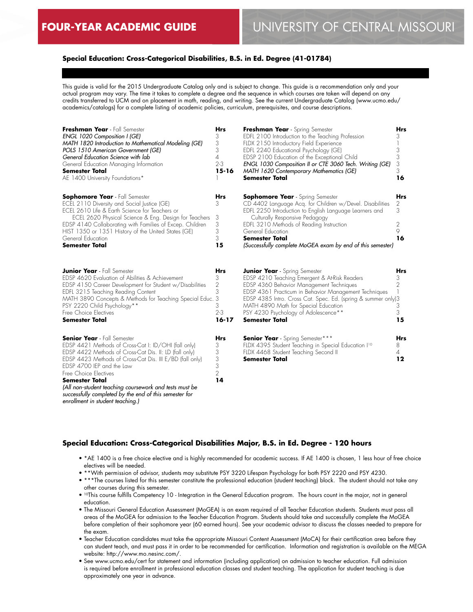# **Special Education: Cross-Categorical Disabilities, B.S. in Ed. Degree (41-01784)**

This guide is valid for the 2015 Undergraduate Catalog only and is subject to change. This guide is a recommendation only and your actual program may vary. The time it takes to complete a degree and the sequence in which courses are taken will depend on any credits transferred to UCM and on placement in math, reading, and writing. See the current Undergraduate Catalog (www.ucmo.edu/ academics/catalogs) for a complete listing of academic policies, curriculum, prerequisites, and course descriptions.

| Freshman Year - Fall Semester<br>ENGL 1020 Composition I (GE)<br>MATH 1820 Introduction to Mathematical Modeling (GE)<br>POLS 1510 American Government (GE)<br>General Education Science with lab<br>General Education Managing Information<br><b>Semester Total</b><br>AE 1400 University Foundations*                                                                                                                                                 | <b>Hrs</b><br>3<br>3<br>3<br>4<br>$2 - 3$<br>$15 - 16$              | Freshman Year - Spring Semester<br>EDFL 2100 Introduction to the Teaching Profession<br>FLDX 2150 Introductory Field Experience<br>EDFL 2240 Educational Psychology (GE)<br>EDSP 2100 Education of the Exceptional Child<br>ENGL 1030 Composition II or CTE 3060 Tech. Writing (GE)<br>MATH 1620 Contemporary Mathematics (GE)<br><b>Semester Total</b>              | <b>Hrs</b><br>3<br>3<br>3<br>3<br>3<br>16 |
|---------------------------------------------------------------------------------------------------------------------------------------------------------------------------------------------------------------------------------------------------------------------------------------------------------------------------------------------------------------------------------------------------------------------------------------------------------|---------------------------------------------------------------------|----------------------------------------------------------------------------------------------------------------------------------------------------------------------------------------------------------------------------------------------------------------------------------------------------------------------------------------------------------------------|-------------------------------------------|
| <b>Sophomore Year</b> - Fall Semester<br>ECEL 2110 Diversity and Social Justice (GE)<br>ECEL 2610 Life & Earth Science for Teachers or<br>ECEL 2620 Physical Science & Eng. Design for Teachers<br>EDSP 4140 Collaborating with Families of Excep. Children<br>HIST 1350 or 1351 History of the United States (GE)<br>General Education<br><b>Semester Total</b>                                                                                        | Hrs<br>3<br>3<br>3<br>3<br>3<br>15                                  | <b>Sophomore Year</b> - Spring Semester<br>CD 4402 Language Acq. for Children w/Devel. Disabilities<br>EDFL 2250 Introduction to English Language Learners and<br>Culturally Responsive Pedagogy<br>EDFL 3210 Methods of Reading Instruction<br>General Education<br>Semester Total<br>(Successfully complete MoGEA exam by end of this semester)                    | Hrs<br>2<br>3<br>2<br>9<br>16             |
| <b>Junior Year</b> - Fall Semester<br>EDSP 4620 Evaluation of Abilities & Achievement<br>EDSP 4150 Career Development for Student w/Disabilities<br>EDFL 3215 Teaching Reading Content<br>MATH 3890 Concepts & Methods for Teaching Special Educ. 3<br>PSY 2220 Child Psychology**<br>Free Choice Electives<br><b>Semester Total</b>                                                                                                                    | <b>Hrs</b><br>3<br>$\overline{2}$<br>3<br>3<br>$2 - 3$<br>$16 - 17$ | <b>Junior Year</b> - Spring Semester<br>EDSP 4210 Teaching Emergent & At-Risk Readers<br>EDSP 4360 Behavior Management Techniques<br>EDSP 4361 Practicum in Behavior Management Techniques<br>EDSP 4385 Intro. Cross Cat. Spec. Ed. (spring & summer only)3<br>MATH 4890 Math for Special Education<br>PSY 4230 Psychology of Adolescence**<br><b>Semester Total</b> | <b>Hrs</b><br>3<br>2<br>3<br>3<br>15      |
| <b>Senior Year</b> - Fall Semester<br>EDSP 4421 Methods of Cross-Cat I: ID/OHI (fall only)<br>EDSP 4422 Methods of Cross-Cat Dis. II: LD (fall only)<br>EDSP 4423 Methods of Cross-Cat Dis. III E/BD (fall only)<br>EDSP 4700 IEP and the Law<br>Free Choice Electives<br><b>Semester Total</b><br>(All non-student teaching coursework and tests must be<br>successfully completed by the end of this semester for<br>enrollment in student teaching.) | <b>Hrs</b><br>3<br>3<br>3<br>3<br>$\overline{2}$<br>14              | <b>Senior Year</b> - Spring Semester***<br>FLDX 4395 Student Teaching in Special Education I <sup>10</sup><br>FLDX 4468 Student Teaching Second II<br><b>Semester Total</b>                                                                                                                                                                                          | Hrs<br>8<br>4<br>$12 \,$                  |

## **Special Education: Cross-Categorical Disabilities Major, B.S. in Ed. Degree - 120 hours**

- \*AE 1400 is a free choice elective and is highly recommended for academic success. If AE 1400 is chosen, 1 less hour of free choice electives will be needed.
- \*\*With permission of advisor, students may substitute PSY 3220 Lifespan Psychology for both PSY 2220 and PSY 4230.
- \*\*\*The courses listed for this semester constitute the professional education (student teaching) block. The student should not take any other courses during this semester.
- 10This course fulfills Competency 10 Integration in the General Education program. The hours count in the major, not in general education.
- The Missouri General Education Assessment (MoGEA) is an exam required of all Teacher Education students. Students must pass all areas of the MoGEA for admission to the Teacher Education Program. Students should take and successfully complete the MoGEA before completion of their sophomore year (60 earned hours). See your academic advisor to discuss the classes needed to prepare for the exam.
- Teacher Education candidates must take the appropriate Missouri Content Assessment (MoCA) for their certification area before they can student teach, and must pass it in order to be recommended for certification. Information and registration is available on the MEGA website: http://www.mo.nesinc.com/.
- See www.ucmo.edu/cert for statement and information (including application) on admission to teacher education. Full admission is required before enrollment in professional education classes and student teaching. The application for student teaching is due approximately one year in advance.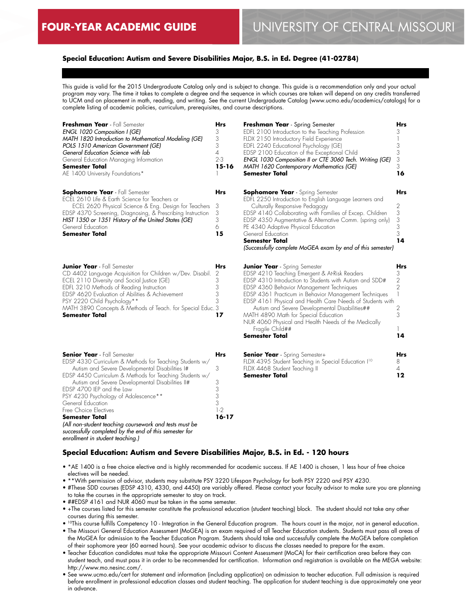# **Special Education: Autism and Severe Disabilities Major, B.S. in Ed. Degree (41-02784)**

This guide is valid for the 2015 Undergraduate Catalog only and is subject to change. This guide is a recommendation only and your actual program may vary. The time it takes to complete a degree and the sequence in which courses are taken will depend on any credits transferred to UCM and on placement in math, reading, and writing. See the current Undergraduate Catalog (www.ucmo.edu/academics/catalogs) for a complete listing of academic policies, curriculum, prerequisites, and course descriptions.

| Freshman Year - Fall Semester                              | <b>Hrs</b>     | Freshman Year - Spring S                                                                                                                                                                                                                                                                                                                                                                                                                                                                                                                                                                                              |
|------------------------------------------------------------|----------------|-----------------------------------------------------------------------------------------------------------------------------------------------------------------------------------------------------------------------------------------------------------------------------------------------------------------------------------------------------------------------------------------------------------------------------------------------------------------------------------------------------------------------------------------------------------------------------------------------------------------------|
| ENGL 1020 Composition I (GE)                               | 3              | EDFL 2100 Introduction to the                                                                                                                                                                                                                                                                                                                                                                                                                                                                                                                                                                                         |
| MATH 1820 Introduction to Mathematical Modeling (GE)       | 3              | FLDX 2150 Introductory Field                                                                                                                                                                                                                                                                                                                                                                                                                                                                                                                                                                                          |
| POLS 1510 American Government (GE)                         | 3              | EDFL 2240 Educational Psych                                                                                                                                                                                                                                                                                                                                                                                                                                                                                                                                                                                           |
| General Education Science with lab                         | $\overline{A}$ | EDSP 2100 Education of the I                                                                                                                                                                                                                                                                                                                                                                                                                                                                                                                                                                                          |
| General Education Managing Information                     | $2 - 3$        | ENGL 1030 Composition II or                                                                                                                                                                                                                                                                                                                                                                                                                                                                                                                                                                                           |
| <b>Semester Total</b>                                      | $15 - 16$      | MATH 1620 Contemporary N                                                                                                                                                                                                                                                                                                                                                                                                                                                                                                                                                                                              |
| AE 1400 University Foundations*                            |                | Semester Total                                                                                                                                                                                                                                                                                                                                                                                                                                                                                                                                                                                                        |
| <b>Sophomore Year</b> - Fall Semester                      | <b>Hrs</b>     | <b>Sophomore Year</b> - Spring                                                                                                                                                                                                                                                                                                                                                                                                                                                                                                                                                                                        |
| ECEL 2610 Life & Earth Science for Teachers or             |                | EDFL 2250 Introduction to Eng                                                                                                                                                                                                                                                                                                                                                                                                                                                                                                                                                                                         |
| ECEL 2620 Physical Science & Eng. Design for Teachers      | 3              | Culturally Responsive Peda                                                                                                                                                                                                                                                                                                                                                                                                                                                                                                                                                                                            |
| EDSP 4370 Screening, Diagnosing, & Prescribing Instruction | 3              | EDSP 4140 Collaborating wit                                                                                                                                                                                                                                                                                                                                                                                                                                                                                                                                                                                           |
| HIST 1350 or 1351 History of the United States (GE)        | 3              | EDSP 4350 Augmentative & A                                                                                                                                                                                                                                                                                                                                                                                                                                                                                                                                                                                            |
| General Education                                          | 6              | PE 4340 Adaptive Physical Ed                                                                                                                                                                                                                                                                                                                                                                                                                                                                                                                                                                                          |
| <b>Semester Total</b>                                      | 15             | General Education                                                                                                                                                                                                                                                                                                                                                                                                                                                                                                                                                                                                     |
|                                                            |                | Semester Total                                                                                                                                                                                                                                                                                                                                                                                                                                                                                                                                                                                                        |
|                                                            |                | (Successfully complete MoGE <sub>/</sub>                                                                                                                                                                                                                                                                                                                                                                                                                                                                                                                                                                              |
| <b>Junior Year</b> - Fall Semester                         | <b>Hrs</b>     | <b>Junior Year</b> - Spring Semes                                                                                                                                                                                                                                                                                                                                                                                                                                                                                                                                                                                     |
| CD 4402 Language Acquisition for Children w/Dev. Disabil.  | 2              | EDSP 4210 Teaching Emerge                                                                                                                                                                                                                                                                                                                                                                                                                                                                                                                                                                                             |
| ECEL 2110 Diversity and Social Justice (GE)                | 3              | EDSP 4310 Introduction to Stu                                                                                                                                                                                                                                                                                                                                                                                                                                                                                                                                                                                         |
| EDFL 3210 Methods of Reading Instruction                   | 3              | EDSP 4360 Behavior Manage                                                                                                                                                                                                                                                                                                                                                                                                                                                                                                                                                                                             |
| EDSP 4620 Evaluation of Abilities & Achievement            | 3              | EDSP 4361 Practicum in Beho                                                                                                                                                                                                                                                                                                                                                                                                                                                                                                                                                                                           |
| PSY 2220 Child Psychology**                                | 3              | EDSP 4161 Physical and Hec                                                                                                                                                                                                                                                                                                                                                                                                                                                                                                                                                                                            |
| MATH 3890 Concepts & Methods of Teach. for Special Educ. 3 |                | Autism and Severe Develc                                                                                                                                                                                                                                                                                                                                                                                                                                                                                                                                                                                              |
| <b>Semester Total</b>                                      | 17             | MATH 4890 Math for Specia                                                                                                                                                                                                                                                                                                                                                                                                                                                                                                                                                                                             |
|                                                            |                | $\mathsf{N} \amalg \mathsf{I} \cap \mathsf{A} \cap \mathsf{A} \cap \mathsf{A} \cap \mathsf{I} \rightarrow \mathsf{I} \rightarrow \mathsf{I} \rightarrow \mathsf{I} \rightarrow \mathsf{I} \rightarrow \mathsf{I} \rightarrow \mathsf{I} \rightarrow \mathsf{I} \rightarrow \mathsf{I} \rightarrow \mathsf{I} \rightarrow \mathsf{I} \rightarrow \mathsf{I} \rightarrow \mathsf{I} \rightarrow \mathsf{I} \rightarrow \mathsf{I} \rightarrow \mathsf{I} \rightarrow \mathsf{I} \rightarrow \mathsf{I} \rightarrow \mathsf{I} \rightarrow \mathsf{I} \rightarrow \mathsf{I} \rightarrow \mathsf{I} \rightarrow \mathsf$ |

| <b>Senior Year</b> - Fall Semester                                                                               | Hrs   |
|------------------------------------------------------------------------------------------------------------------|-------|
| EDSP 4330 Curriculum & Methods for Teaching Students w/                                                          |       |
| Autism and Severe Developmental Disabilities I#                                                                  | 3     |
| EDSP 4450 Curriculum & Methods for Teaching Students w/                                                          |       |
| Autism and Severe Developmental Disabilities II#                                                                 | З     |
| FDSP 4700 IFP and the law                                                                                        | 3     |
| PSY 4230 Psychology of Adolescence**                                                                             | 3     |
| General Education                                                                                                | 3     |
| Free Choice Electives                                                                                            | $1-2$ |
| <b>Semester Total</b>                                                                                            | 16-17 |
| (All non-student teaching coursework and tests must be<br>successfully completed by the end of this semester for |       |
| enrollment in student teaching.)                                                                                 |       |

| Freshman Year - Spring Semester                                                                    | Hrs                                        |
|----------------------------------------------------------------------------------------------------|--------------------------------------------|
| EDFL 2100 Introduction to the Teaching Profession                                                  | 3                                          |
| FLDX 2150 Introductory Field Experience                                                            | 1                                          |
| EDFL 2240 Educational Psychology (GE)<br>EDSP 2100 Education of the Exceptional Child              |                                            |
| ENGL 1030 Composition II or CTE 3060 Tech. Writing (GE)                                            |                                            |
| MATH 1620 Contemporary Mathematics (GE)                                                            | $\begin{array}{c} 3 \\ 3 \\ 3 \end{array}$ |
| Semester Total                                                                                     | 16                                         |
|                                                                                                    |                                            |
| <b>Sophomore Year</b> - Spring Semester<br>EDFL 2250 Introduction to English Language Learners and | Hrs                                        |
| Culturally Responsive Pedagogy                                                                     | $\overline{c}$                             |
| EDSP 4140 Collaborating with Families of Excep. Children                                           | $\begin{array}{c} 3 \\ 3 \\ 3 \end{array}$ |
| EDSP 4350 Augmentative & Alternative Comm. (spring only)<br>PE 4340 Adaptive Physical Education    |                                            |
| General Education                                                                                  |                                            |
| Semester Total                                                                                     | 14                                         |
| (Successfully complete MoGEA exam by end of this semester)                                         |                                            |
|                                                                                                    |                                            |
| <b>Junior Year</b> - Spring Semester                                                               | Hrs                                        |
| EDSP 4210 Teaching Emergent & At-Risk Readers                                                      | 3                                          |
| EDSP 4310 Introduction to Students with Autism and SDD#                                            |                                            |
| EDSP 4360 Behavior Management Techniques                                                           | $\frac{2}{2}$                              |
| EDSP 4361 Practicum in Behavior Management Techniques                                              | $\overline{\phantom{a}}$                   |
| EDSP 4161 Physical and Health Care Needs of Students with                                          |                                            |
| Autism and Severe Developmental Disabilities##                                                     | $\frac{2}{3}$                              |
| MATH 4890 Math for Special Education                                                               |                                            |
| NUR 4060 Physical and Health Needs of the Medically<br>Fragile Child##                             | 1                                          |
| <b>Semester Total</b>                                                                              | 14                                         |
|                                                                                                    |                                            |
|                                                                                                    |                                            |
| <b>Senior Year</b> - Spring Semester+                                                              | Hrs                                        |
| FLDX 4395 Student Teaching in Special Education I <sup>10</sup><br>FLDX 4468 Student Teaching II   | 8<br>4                                     |
|                                                                                                    |                                            |

**12**

#### **Special Education: Autism and Severe Disabilities Major, B.S. in Ed. - 120 hours**

- \*AE 1400 is a free choice elective and is highly recommended for academic success. If AE 1400 is chosen, 1 less hour of free choice electives will be needed.
- \*\*With permission of advisor, students may substitute PSY 3220 Lifespan Psychology for both PSY 2220 and PSY 4230.
- #These SDD courses (EDSP 4310, 4330, and 4450) are variably offered. Please contact your faculty advisor to make sure you are planning to take the courses in the appropriate semester to stay on track.

**Semester Total**

- ##EDSP 4161 and NUR 4060 must be taken in the same semester.
- +The courses listed for this semester constitute the professional education (student teaching) block. The student should not take any other courses during this semester.
- 10This course fulfills Competency 10 Integration in the General Education program. The hours count in the major, not in general education.
- The Missouri General Education Assessment (MoGEA) is an exam required of all Teacher Education students. Students must pass all areas of the MoGEA for admission to the Teacher Education Program. Students should take and successfully complete the MoGEA before completion of their sophomore year (60 earned hours). See your academic advisor to discuss the classes needed to prepare for the exam.
- Teacher Education candidates must take the appropriate Missouri Content Assessment (MoCA) for their certification area before they can student teach, and must pass it in order to be recommended for certification. Information and registration is available on the MEGA website: http://www.mo.nesinc.com/.
- See www.ucmo.edu/cert for statement and information (including application) on admission to teacher education. Full admission is required before enrollment in professional education classes and student teaching. The application for student teaching is due approximately one year in advance.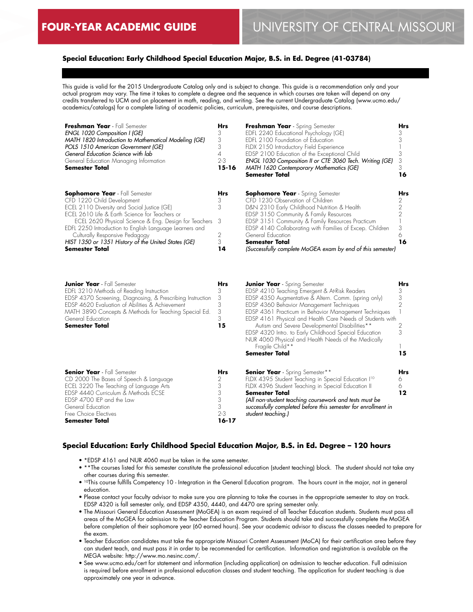# **Special Education: Early Childhood Special Education Major, B.S. in Ed. Degree (41-03784)**

This guide is valid for the 2015 Undergraduate Catalog only and is subject to change. This guide is a recommendation only and your actual program may vary. The time it takes to complete a degree and the sequence in which courses are taken will depend on any credits transferred to UCM and on placement in math, reading, and writing. See the current Undergraduate Catalog (www.ucmo.edu/ academics/catalogs) for a complete listing of academic policies, curriculum, prerequisites, and course descriptions.

| Freshman Year - Fall Semester<br><b>ENGL 1020 Composition I (GE)</b><br>MATH 1820 Introduction to Mathematical Modeling (GE)<br>POLS 1510 American Government (GE)<br>General Education Science with lab<br>General Education Managing Information<br><b>Semester Total</b>                                                                                                                                  | <b>Hrs</b><br>3<br>3<br>3<br>$2 - 3$<br>$15 - 16$ | Freshman Year - Spring Semester<br>EDFL 2240 Educational Psychology (GE)<br>EDFL 2100 Foundation of Education<br>FLDX 2150 Introductory Field Experience<br>EDSP 2100 Education of the Exceptional Child<br>ENGL 1030 Composition II or CTE 3060 Tech. Writing (GE)<br>MATH 1620 Contemporary Mathematics (GE)<br><b>Semester Total</b>                                                          | Hrs<br>16 |
|--------------------------------------------------------------------------------------------------------------------------------------------------------------------------------------------------------------------------------------------------------------------------------------------------------------------------------------------------------------------------------------------------------------|---------------------------------------------------|--------------------------------------------------------------------------------------------------------------------------------------------------------------------------------------------------------------------------------------------------------------------------------------------------------------------------------------------------------------------------------------------------|-----------|
| <b>Sophomore Year</b> - Fall Semester<br>CFD 1220 Child Development<br>ECEL 2110 Diversity and Social Justice (GE)<br>ECEL 2610 Life & Earth Science for Teachers or<br>ECEL 2620 Physical Science & Eng. Design for Teachers 3<br>EDFL 2250 Introduction to English Language Learners and<br>Culturally Responsive Pedagogy<br>HIST 1350 or 1351 History of the United States (GE)<br><b>Semester Total</b> | <b>Hrs</b><br>3<br>3<br>2<br>3<br>14              | <b>Sophomore Year</b> - Spring Semester<br>CFD 1230 Observation of Children<br>D&N 2310 Early Childhood Nutrition & Health<br>EDSP 3150 Community & Family Resources<br>EDSP 3151 Community & Family Resources Practicum<br>EDSP 4140 Collaborating with Families of Excep. Children<br>General Education<br><b>Semester Total</b><br>(Successfully complete MoGEA exam by end of this semester) | Hrs<br>16 |

| <b>Junior Year</b> - Fall Semester                         | <b>Hrs</b> | <b>Junior Year</b> - Spring Semester                            | <b>Hrs</b> |
|------------------------------------------------------------|------------|-----------------------------------------------------------------|------------|
| EDFL 3210 Methods of Reading Instruction                   |            | EDSP 4210 Teaching Emergent & At-Risk Readers                   | З          |
| EDSP 4370 Screening, Diagnosing, & Prescribing Instruction | 3          | EDSP 4350 Augmentative & Altern. Comm. (spring only)            | 3          |
| EDSP 4620 Evaluation of Abilities & Achievement            | 3          | EDSP 4360 Behavior Management Techniques                        |            |
| MATH 3890 Concepts & Methods for Teaching Special Ed.      | 3          | EDSP 4361 Practicum in Behavior Management Techniques           |            |
| General Education                                          | 3          | EDSP 4161 Physical and Health Care Needs of Students with       |            |
| <b>Semester Total</b>                                      | 15         | Autism and Severe Developmental Disabilities**                  |            |
|                                                            |            | EDSP 4320 Intro. to Early Childhood Special Education           | 3          |
|                                                            |            | NUR 4060 Physical and Health Needs of the Medically             |            |
|                                                            |            | Fragile Child**                                                 |            |
|                                                            |            | <b>Semester Total</b>                                           | 15         |
| <b>Senior Year</b> - Fall Semester                         | <b>Hrs</b> | <b>Senior Year</b> - Spring Semester**                          | <b>Hrs</b> |
| CD 2000 The Bases of Speech & Language                     |            | FLDX 4395 Student Teaching in Special Education I <sup>10</sup> | 6          |
| ECEL 3220 The Teaching of Language Arts                    |            | FLDX 4396 Student Teaching in Special Education II              |            |
| EDSP 4440 Curriculum & Methods ECSE                        |            | Semester Total                                                  | 12         |
| EDSP 4700 IEP and the Law                                  | 3          | (All non-student teaching coursework and tests must be          |            |
| General Education                                          |            | successfully completed before this semester for enrollment in   |            |
| Free Choice Electives                                      | $2 - 3$    | student teaching.)                                              |            |
| <b>Semester Total</b>                                      | 16-17      |                                                                 |            |

## **Special Education: Early Childhood Special Education Major, B.S. in Ed. Degree – 120 hours**

- \*EDSP 4161 and NUR 4060 must be taken in the same semester.
- \*\*The courses listed for this semester constitute the professional education (student teaching) block. The student should not take any other courses during this semester.
- <sup>10</sup>This course fulfills Competency 10 Integration in the General Education program. The hours count in the major, not in general education.
- Please contact your faculty advisor to make sure you are planning to take the courses in the appropriate semester to stay on track. EDSP 4320 is fall semester only, and EDSP 4350, 4440, and 4470 are spring semester only.
- The Missouri General Education Assessment (MoGEA) is an exam required of all Teacher Education students. Students must pass all areas of the MoGEA for admission to the Teacher Education Program. Students should take and successfully complete the MoGEA before completion of their sophomore year (60 earned hours). See your academic advisor to discuss the classes needed to prepare for the exam.
- Teacher Education candidates must take the appropriate Missouri Content Assessment (MoCA) for their certification area before they can student teach, and must pass it in order to be recommended for certification. Information and registration is available on the MEGA website: http://www.mo.nesinc.com/.
- See www.ucmo.edu/cert for statement and information (including application) on admission to teacher education. Full admission is required before enrollment in professional education classes and student teaching. The application for student teaching is due approximately one year in advance.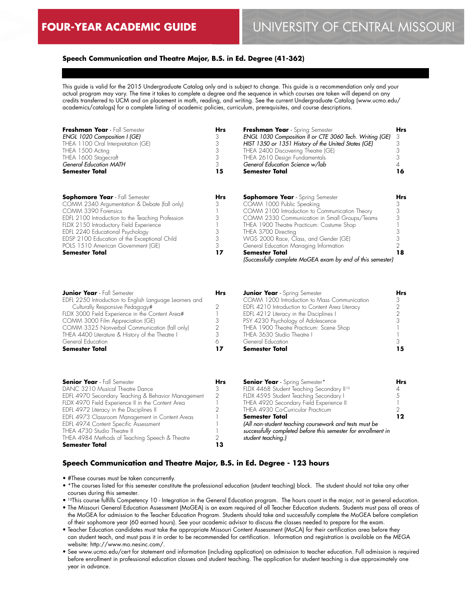# **Speech Communication and Theatre Major, B.S. in Ed. Degree (41-362)**

This guide is valid for the 2015 Undergraduate Catalog only and is subject to change. This guide is a recommendation only and your actual program may vary. The time it takes to complete a degree and the sequence in which courses are taken will depend on any credits transferred to UCM and on placement in math, reading, and writing. See the current Undergraduate Catalog (www.ucmo.edu/ academics/catalogs) for a complete listing of academic policies, curriculum, prerequisites, and course descriptions.

| Freshman Year - Fall Semester                     | <b>Hrs</b> | Freshman Year - Spring Semester                            | <b>Hrs</b> |
|---------------------------------------------------|------------|------------------------------------------------------------|------------|
| ENGL 1020 Composition I (GE)                      | З          | ENGL 1030 Composition II or CTE 3060 Tech. Writing (GE)    | 3          |
| THEA 1100 Oral Interpretation (GE)                |            | HIST 1350 or 1351 History of the United States (GE)        |            |
| THEA 1500 Acting                                  |            | THEA 2400 Discovering Theatre (GE)                         |            |
| THEA 1600 Stagecraft                              |            | THEA 2610 Design Fundamentals                              |            |
| <b>General Education MATH</b>                     | 3          | General Education Science w/lab                            |            |
| <b>Semester Total</b>                             | 15         | Semester Total                                             | 16         |
| <b>Sophomore Year</b> - Fall Semester             | <b>Hrs</b> | <b>Sophomore Year</b> - Spring Semester                    | Hrs        |
| COMM 2340 Argumentation & Debate (fall only)      | 3          | COMM 1000 Public Speaking                                  |            |
| COMM 3390 Forensics                               |            | COMM 2100 Introduction to Communication Theory             |            |
| EDFL 2100 Introduction to the Teaching Profession |            | COMM 2330 Communication in Small Groups/Teams              |            |
| FLDX 2150 Introductory Field Experience           |            | THEA 1900 Theatre Practicum: Costume Shop                  |            |
| EDFL 2240 Educational Psychology                  |            | THEA 3700 Directing                                        |            |
| EDSP 2100 Education of the Exceptional Child      |            | WGS 2000 Race, Class, and Gender (GE)                      |            |
| POLS 1510 American Government (GE)                | 3          | General Education Managing Information                     |            |
| <b>Semester Total</b>                             | 17         | Semester Total                                             | 18         |
|                                                   |            | (Successfully complete MoGEA exam by end of this semester) |            |

| <b>Junior Year</b> - Fall Semester                      | <b>Hrs</b> | <b>Junior Year</b> - Spring Semester            | Hrs |
|---------------------------------------------------------|------------|-------------------------------------------------|-----|
| EDFL 2250 Introduction to English Language Learners and |            | COMM 1200 Introduction to Mass Communication    |     |
| Culturally Responsive Pedagogy#                         |            | EDFL 4210 Introduction to Content Area Literacy |     |
| FLDX 3000 Field Experience in the Content Area#         |            | EDFL 4212 Literacy in the Disciplines I         |     |
| COMM 3000 Film Appreciation (GE)                        |            | PSY 4230 Psychology of Adolescence              |     |
| COMM 3325 Nonverbal Communication (fall only)           | 2          | THEA 1900 Theatre Practicum: Scene Shop         |     |
| THEA 4400 Literature & History of the Theatre I         |            | THEA 3630 Studio Theatre I                      |     |
| General Education                                       |            | General Education                               |     |
| <b>Semester Total</b>                                   | 17         | <b>Semester Total</b>                           | 15  |

| <b>Senior Year</b> - Fall Semester<br>DANC 3210 Musical Theatre Dance<br>EDFL 4970 Secondary Teaching & Behavior Management<br>FLDX 4970 Field Experience II in the Content Area<br>EDFL 4972 Literacy in the Disciplines II<br>EDFL 4973 Classroom Management in Content Areas<br>EDFL 4974 Content Specific Assessment | <b>Hrs</b><br>3<br>2 | <b>Senior Year</b> - Spring Semester*<br>FLDX 4468 Student Teaching Secondary II <sup>10</sup><br>FLDX 4595 Student Teaching Secondary I<br>THEA 4920 Secondary Field Experience II<br>THEA 4930 Co-Curricular Practicum<br><b>Semester Total</b><br>(All non-student teaching coursework and tests must be | Hrs |
|--------------------------------------------------------------------------------------------------------------------------------------------------------------------------------------------------------------------------------------------------------------------------------------------------------------------------|----------------------|-------------------------------------------------------------------------------------------------------------------------------------------------------------------------------------------------------------------------------------------------------------------------------------------------------------|-----|
| THEA 4730 Studio Theatre II<br>THEA 4984 Methods of Teaching Speech & Theatre<br><b>Semester Total</b>                                                                                                                                                                                                                   | 13                   | successfully completed before this semester for enrollment in<br>student teaching.)                                                                                                                                                                                                                         |     |

## **Speech Communication and Theatre Major, B.S. in Ed. Degree - 123 hours**

• #These courses must be taken concurrently.

- \*The courses listed for this semester constitute the professional education (student teaching) block. The student should not take any other courses during this semester.
- 10This course fulfills Competency 10 Integration in the General Education program. The hours count in the major, not in general education. • The Missouri General Education Assessment (MoGEA) is an exam required of all Teacher Education students. Students must pass all areas of the MoGEA for admission to the Teacher Education Program. Students should take and successfully complete the MoGEA before completion of their sophomore year (60 earned hours). See your academic advisor to discuss the classes needed to prepare for the exam.
- Teacher Education candidates must take the appropriate Missouri Content Assessment (MoCA) for their certification area before they can student teach, and must pass it in order to be recommended for certification. Information and registration is available on the MEGA website: http://www.mo.nesinc.com/.
- See www.ucmo.edu/cert for statement and information (including application) on admission to teacher education. Full admission is required before enrollment in professional education classes and student teaching. The application for student teaching is due approximately one year in advance.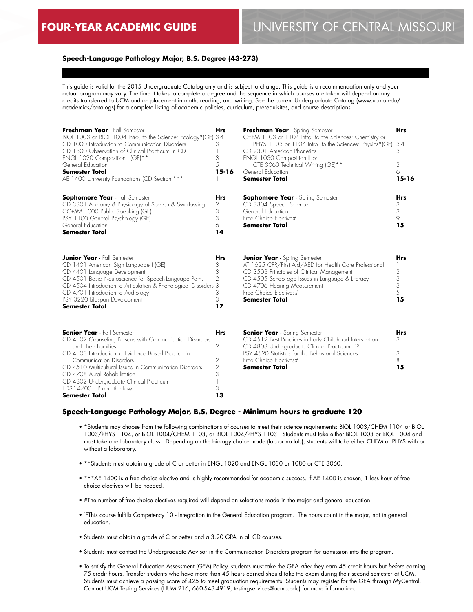## **Speech-Language Pathology Major, B.S. Degree (43-273)**

This guide is valid for the 2015 Undergraduate Catalog only and is subject to change. This guide is a recommendation only and your actual program may vary. The time it takes to complete a degree and the sequence in which courses are taken will depend on any credits transferred to UCM and on placement in math, reading, and writing. See the current Undergraduate Catalog (www.ucmo.edu/ academics/catalogs) for a complete listing of academic policies, curriculum, prerequisites, and course descriptions.

| Freshman Year - Fall Semester<br>BIOL 1003 or BIOL 1004 Intro. to the Science: Ecology*(GE) 3-4<br>CD 1000 Introduction to Communication Disorders<br>CD 1800 Observation of Clinical Practicum in CD<br>ENGL 1020 Composition I (GE)**<br>General Education<br><b>Semester Total</b><br>AE 1400 University Foundations (CD Section)***                                                      | <b>Hrs</b><br>3<br>3<br>5<br>$15 - 16$                 | Freshman Year - Spring Semester<br>CHEM 1103 or 1104 Intro. to the Sciences: Chemistry or<br>PHYS 1103 or 1104 Intro. to the Sciences: Physics*(GE)<br>CD 2301 American Phonetics<br>ENGL 1030 Composition II or<br>CTE 3060 Technical Writing (GE)**<br>General Education<br><b>Semester Total</b> | <b>Hrs</b><br>$3 - 4$<br>3<br>3<br>6<br>$15 - 16$            |
|----------------------------------------------------------------------------------------------------------------------------------------------------------------------------------------------------------------------------------------------------------------------------------------------------------------------------------------------------------------------------------------------|--------------------------------------------------------|-----------------------------------------------------------------------------------------------------------------------------------------------------------------------------------------------------------------------------------------------------------------------------------------------------|--------------------------------------------------------------|
| <b>Sophomore Year</b> - Fall Semester<br>CD 3301 Anatomy & Physiology of Speech & Swallowing<br>COMM 1000 Public Speaking (GE)<br>PSY 1100 General Psychology (GE)<br>General Education<br><b>Semester Total</b>                                                                                                                                                                             | Hrs<br>2<br>3<br>3<br>6<br>14                          | <b>Sophomore Year</b> - Spring Semester<br>CD 3304 Speech Science<br>General Education<br>Free Choice Elective#<br><b>Semester Total</b>                                                                                                                                                            | Hrs<br>3<br>3<br>9<br>15                                     |
| <b>Junior Year</b> - Fall Semester<br>CD 1401 American Sign Language I (GE)<br>CD 4401 Language Development<br>CD 4501 Basic Neuroscience for Speech-Language Path.<br>CD 4504 Introduction to Articulation & Phonological Disorders 3<br>CD 4701 Introduction to Audiology<br>PSY 3220 Lifespan Development<br><b>Semester Total</b>                                                        | <b>Hrs</b><br>3<br>3<br>$\overline{2}$<br>3<br>3<br>17 | <b>Junior Year</b> - Spring Semester<br>AT 1625 CPR/First Aid/AED for Health Care Professional<br>CD 3503 Principles of Clinical Management<br>CD 4505 School-age Issues in Language & Literacy<br>CD 4706 Hearing Measurement<br>Free Choice Flectives#<br><b>Semester Total</b>                   | Hrs<br>3<br>3<br>$\mathfrak{Z}$<br>5<br>15                   |
| <b>Senior Year</b> - Fall Semester<br>CD 4102 Counseling Persons with Communication Disorders<br>and Their Families<br>CD 4103 Introduction to Evidence Based Practice in<br>Communication Disorders<br>CD 4510 Multicultural Issues in Communication Disorders<br>CD 4708 Aural Rehabilitation<br>CD 4802 Undergraduate Clinical Practicum I<br>EDSP 4700 IEP and the Law<br>Semester Total | <b>Hrs</b><br>2<br>2<br>$\overline{2}$<br>3<br>3<br>13 | <b>Senior Year</b> - Spring Semester<br>CD 4512 Best Practices in Early Childhood Intervention<br>CD 4803 Undergraduate Clinical Practicum II <sup>10</sup><br>PSY 4520 Statistics for the Behavioral Sciences<br>Free Choice Flectives#<br><b>Semester Total</b>                                   | <b>Hrs</b><br>3<br>1<br>$\ensuremath{\mathsf{3}}$<br>8<br>15 |

#### **Speech-Language Pathology Major, B.S. Degree - Minimum hours to graduate 120**

- \*Students may choose from the following combinations of courses to meet their science requirements: BIOL 1003/CHEM 1104 or BIOL 1003/PHYS 1104, or BIOL 1004/CHEM 1103, or BIOL 1004/PHYS 1103. Students must take either BIOL 1003 or BIOL 1004 and must take one laboratory class. Depending on the biology choice made (lab or no lab), students will take either CHEM or PHYS with or without a laboratory.
- \*\*Students must obtain a grade of C or better in ENGL 1020 and ENGL 1030 or 1080 or CTE 3060.
- \*\*\*AE 1400 is a free choice elective and is highly recommended for academic success. If AE 1400 is chosen, 1 less hour of free choice electives will be needed.
- #The number of free choice electives required will depend on selections made in the major and general education.
- <sup>10</sup>This course fulfills Competency 10 Integration in the General Education program. The hours count in the major, not in general education.
- Students must obtain a grade of C or better and a 3.20 GPA in all CD courses.
- Students must contact the Undergraduate Advisor in the Communication Disorders program for admission into the program.
- To satisfy the General Education Assessment (GEA) Policy, students must take the GEA *after* they earn 45 credit hours but *before* earning 75 credit hours. Transfer students who have more than 45 hours earned should take the exam during their second semester at UCM. Students must achieve a passing score of 425 to meet graduation requirements. Students may register for the GEA through MyCentral. Contact UCM Testing Services (HUM 216, 660-543-4919, testingservices@ucmo.edu) for more information.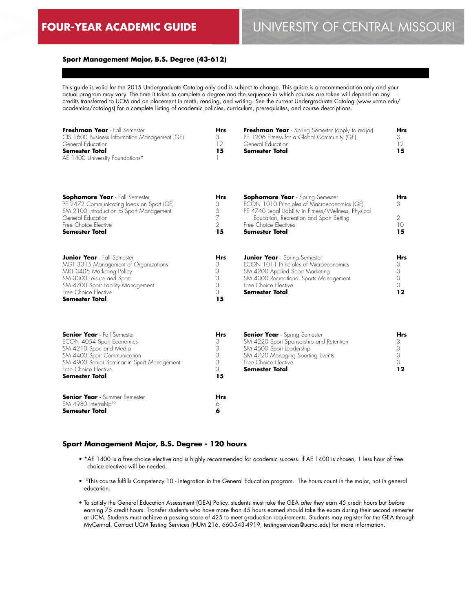SM 3300 Leisure and Sport SM 4700 Sport Facility Management

Free Choice Elective

**Semester Total**

# **FOUR-YEAR ACADEMIC GUIDE** UNIVERSITY OF CENTRAL MISSOURI

# **Sport Management Major, B.S. Degree (43-612)**

This guide is valid for the 2015 Undergraduate Catalog only and is subject to change. This guide is a recommendation only and your actual program may vary. The time it takes to complete a degree and the sequence in which courses are taken will depend on any credits transferred to UCM and on placement in math, reading, and writing. See the current Undergraduate Catalog (www.ucmo.edu/ academics/catalogs) for a complete listing of academic policies, curriculum, prerequisites, and course descriptions.

| Freshman Year - Fall Semester<br>CIS 1600 Business Information Management (GE)<br>General Education<br><b>Semester Total</b><br>AE 1400 University Foundations* | <b>Hrs</b><br>3<br>12<br>15 | <b>Freshman Year</b> - Spring Semester (apply to major)<br>PE 1206 Fitness for a Global Community (GE)<br>General Education<br>Semester Total | <b>Hrs</b><br>12 |
|-----------------------------------------------------------------------------------------------------------------------------------------------------------------|-----------------------------|-----------------------------------------------------------------------------------------------------------------------------------------------|------------------|
|                                                                                                                                                                 |                             |                                                                                                                                               |                  |

| <b>Sophomore Year</b> - Fall Semester     | <b>Hrs</b> | <b>Sophomore Year</b> - Spring Semester               | <b>Hrs</b> |
|-------------------------------------------|------------|-------------------------------------------------------|------------|
| PE 2472 Communicating Ideas on Sport (GE) |            | ECON 1010 Principles of Macroeconomics (GE)           |            |
| SM 2100 Introduction to Sport Management  |            | PE 4740 Legal Liability in Fitness/Wellness, Physical |            |
| General Education                         |            | Education, Recreation and Sport Setting               |            |
| Free Choice Elective                      |            | Free Choice Electives                                 |            |
| Semester Total                            | 15         | <b>Semester Total</b>                                 | 15         |
| <b>Junior Year</b> - Fall Semester        | <b>Hrs</b> | <b>Junior Year</b> - Spring Semester                  | Hrs        |
| MGT 3315 Management of Organizations      |            | ECON 1011 Principles of Microeconomics                |            |
| MKT 3405 Marketing Policy                 |            | SM 4200 Applied Sport Marketing                       |            |

3 3 3

**6**

| Semester Total                             | 15         |               |
|--------------------------------------------|------------|---------------|
| <b>Senior Year</b> - Fall Semester         | <b>Hrs</b> | <b>Senior</b> |
| ECON 4054 Sport Economics                  | 3          | SM 422        |
| SM 4210 Sport and Media                    | 3          | SM 4.50       |
| SM 4400 Sport Communication                | 3          | SM 472        |
| SM 4900 Senior Seminar in Sport Management | 3          | Free Cho      |
| Free Choice Flective                       | 3          | <b>Semest</b> |
| Semester Total                             | 15         |               |
| <b>Senior Year</b> - Summer Semester       | <b>Hrs</b> |               |
| SM 4980 Internship <sup>10</sup>           | Ó          |               |

| <b>Senior Year</b> - Spring Semester    |    |
|-----------------------------------------|----|
| SM 4220 Sport Sponsorship and Retention |    |
| SM 4500 Sport Leadership                |    |
| SM 4720 Managing Sporting Events        |    |
| Free Choice Elective                    |    |
| <b>Semester Total</b>                   | 19 |

3 3 **12**

SM 4300 Recreational Sports Management

Free Choice Elective **Semester Total**

## **Sport Management Major, B.S. Degree - 120 hours**

- \*AE 1400 is a free choice elective and is highly recommended for academic success. If AE 1400 is chosen, 1 less hour of free choice electives will be needed.
- 10This course fulfills Competency 10 Integration in the General Education program. The hours count in the major, not in general education.
- To satisfy the General Education Assessment (GEA) Policy, students must take the GEA *after* they earn 45 credit hours but *before* earning 75 credit hours. Transfer students who have more than 45 hours earned should take the exam during their second semester at UCM. Students must achieve a passing score of 425 to meet graduation requirements. Students may register for the GEA through MyCentral. Contact UCM Testing Services (HUM 216, 660-543-4919, testingservices@ucmo.edu) for more information.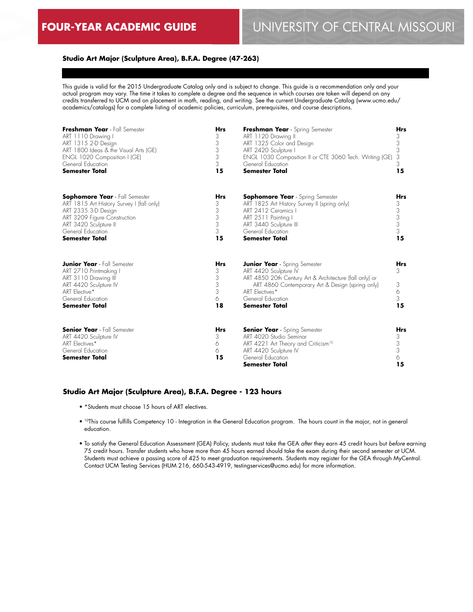## **Studio Art Major (Sculpture Area), B.F.A. Degree (47-263)**

This guide is valid for the 2015 Undergraduate Catalog only and is subject to change. This guide is a recommendation only and your actual program may vary. The time it takes to complete a degree and the sequence in which courses are taken will depend on any credits transferred to UCM and on placement in math, reading, and writing. See the current Undergraduate Catalog (www.ucmo.edu/ academics/catalogs) for a complete listing of academic policies, curriculum, prerequisites, and course descriptions.

| Freshman Year - Fall Semester                                                                                                                                                | <b>Hrs</b>                                | Freshman Year - Spring Semester                                                                                                                                                                                                       | <b>Hrs</b>                           |
|------------------------------------------------------------------------------------------------------------------------------------------------------------------------------|-------------------------------------------|---------------------------------------------------------------------------------------------------------------------------------------------------------------------------------------------------------------------------------------|--------------------------------------|
| ART 1110 Drawing I                                                                                                                                                           | 3                                         | ART 1120 Drawing II                                                                                                                                                                                                                   | 3                                    |
| ART 1315 2-D Design                                                                                                                                                          | 3                                         | ART 1325 Color and Design                                                                                                                                                                                                             | 3                                    |
| ART 1800 Ideas & the Visual Arts (GE)                                                                                                                                        | 3                                         | ART 2420 Sculpture I                                                                                                                                                                                                                  | 3                                    |
| ENGL 1020 Composition I (GE)                                                                                                                                                 | 3                                         | ENGL 1030 Composition II or CTE 3060 Tech. Writing (GE)                                                                                                                                                                               | 3                                    |
| General Education                                                                                                                                                            | 3                                         | General Education                                                                                                                                                                                                                     | 3                                    |
| <b>Semester Total</b>                                                                                                                                                        | 15                                        | <b>Semester Total</b>                                                                                                                                                                                                                 | 15                                   |
| <b>Sophomore Year</b> - Fall Semester                                                                                                                                        | <b>Hrs</b>                                | <b>Sophomore Year</b> - Spring Semester                                                                                                                                                                                               | <b>Hrs</b>                           |
| ART 1815 Art History Survey I (fall only)                                                                                                                                    | 3                                         | ART 1825 Art History Survey II (spring only)                                                                                                                                                                                          | 3                                    |
| ART 2335 3-D Design                                                                                                                                                          | 3                                         | ART 2412 Ceramics I                                                                                                                                                                                                                   | 3                                    |
| ART 3209 Figure Construction                                                                                                                                                 | 3                                         | ART 2511 Painting                                                                                                                                                                                                                     | 3                                    |
| ART 3420 Sculpture II                                                                                                                                                        | 3                                         | ART 3440 Sculpture III                                                                                                                                                                                                                | $\ensuremath{\mathsf{3}}$            |
| General Education                                                                                                                                                            | 3                                         | General Education                                                                                                                                                                                                                     | 3                                    |
| <b>Semester Total</b>                                                                                                                                                        | 15                                        | <b>Semester Total</b>                                                                                                                                                                                                                 | 15                                   |
| <b>Junior Year</b> - Fall Semester<br>ART 2710 Printmaking I<br>ART 3110 Drawing III<br>ART 4420 Sculpture IV<br>ART Elective*<br>General Education<br><b>Semester Total</b> | <b>Hrs</b><br>3<br>3<br>3<br>3<br>6<br>18 | <b>Junior Year</b> - Spring Semester<br>ART 4420 Sculpture IV<br>ART 4850 20th Century Art & Architecture (fall only) or<br>ART 4860 Contemporary Art & Design (spring only)<br>ART Electives*<br>General Education<br>Semester Total | Hrs<br>3<br>3<br>6<br>3<br>15        |
| <b>Senior Year</b> - Fall Semester<br>ART 4420 Sculpture IV<br>ART Electives*<br>General Education<br><b>Semester Total</b>                                                  | <b>Hrs</b><br>3<br>6<br>6<br>15           | <b>Senior Year</b> - Spring Semester<br>ART 4020 Studio Seminar<br>ART 4221 Art Theory and Criticism <sup>10</sup><br>ART 4420 Sculpture IV<br>General Education<br><b>Semester Total</b>                                             | <b>Hrs</b><br>3<br>3<br>3<br>6<br>15 |

#### **Studio Art Major (Sculpture Area), B.F.A. Degree - 123 hours**

- \*Students must choose 15 hours of ART electives.
- 10This course fulfills Competency 10 Integration in the General Education program. The hours count in the major, not in general education.
- To satisfy the General Education Assessment (GEA) Policy, students must take the GEA *after* they earn 45 credit hours but *before* earning 75 credit hours. Transfer students who have more than 45 hours earned should take the exam during their second semester at UCM. Students must achieve a passing score of 425 to meet graduation requirements. Students may register for the GEA through MyCentral. Contact UCM Testing Services (HUM 216, 660-543-4919, testingservices@ucmo.edu) for more information.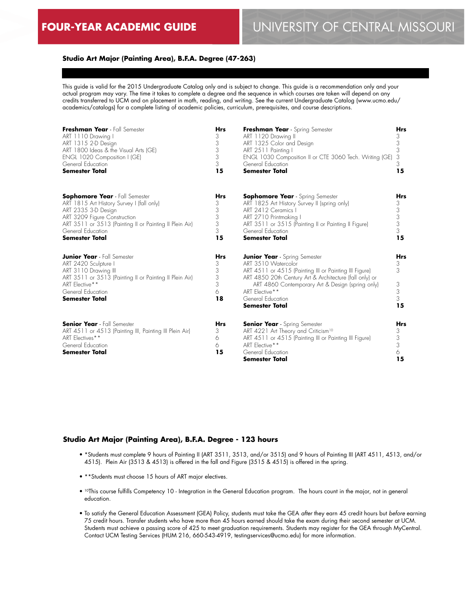## **Studio Art Major (Painting Area), B.F.A. Degree (47-263)**

This guide is valid for the 2015 Undergraduate Catalog only and is subject to change. This guide is a recommendation only and your actual program may vary. The time it takes to complete a degree and the sequence in which courses are taken will depend on any credits transferred to UCM and on placement in math, reading, and writing. See the current Undergraduate Catalog (www.ucmo.edu/ academics/catalogs) for a complete listing of academic policies, curriculum, prerequisites, and course descriptions.

| Freshman Year - Fall Semester                                                                                                                                                                                 | <b>Hrs</b>                                | Freshman Year - Spring Semester                                                                                                                                                                                                                                                                      | <b>Hrs</b>                                |
|---------------------------------------------------------------------------------------------------------------------------------------------------------------------------------------------------------------|-------------------------------------------|------------------------------------------------------------------------------------------------------------------------------------------------------------------------------------------------------------------------------------------------------------------------------------------------------|-------------------------------------------|
| ART 1110 Drawing I                                                                                                                                                                                            | 3                                         | ART 1120 Drawing II                                                                                                                                                                                                                                                                                  | 3                                         |
| ART 1315 2-D Design                                                                                                                                                                                           | 3                                         | ART 1325 Color and Design                                                                                                                                                                                                                                                                            | 3                                         |
| ART 1800 Ideas & the Visual Arts (GE)                                                                                                                                                                         | 3                                         | ART 2511 Painting I                                                                                                                                                                                                                                                                                  | 3                                         |
| ENGL 1020 Composition I (GE)                                                                                                                                                                                  | 3                                         | ENGL 1030 Composition II or CTE 3060 Tech. Writing (GE)                                                                                                                                                                                                                                              | 3                                         |
| General Education                                                                                                                                                                                             | 3                                         | General Education                                                                                                                                                                                                                                                                                    | 3                                         |
| <b>Semester Total</b>                                                                                                                                                                                         | 15                                        | <b>Semester Total</b>                                                                                                                                                                                                                                                                                | 15                                        |
| <b>Sophomore Year</b> - Fall Semester                                                                                                                                                                         | <b>Hrs</b>                                | <b>Sophomore Year</b> - Spring Semester                                                                                                                                                                                                                                                              | Hrs                                       |
| ART 1815 Art History Survey I (fall only)                                                                                                                                                                     | 3                                         | ART 1825 Art History Survey II (spring only)                                                                                                                                                                                                                                                         | 3                                         |
| ART 2335 3-D Design                                                                                                                                                                                           | 3                                         | ART 2412 Ceramics I                                                                                                                                                                                                                                                                                  | 3                                         |
| ART 3209 Figure Construction                                                                                                                                                                                  | 3                                         | ART 2710 Printmaking I                                                                                                                                                                                                                                                                               | 3                                         |
| ART 3511 or 3513 (Painting II or Painting II Plein Air)                                                                                                                                                       | 3                                         | ART 3511 or 3515 (Painting II or Painting II Figure)                                                                                                                                                                                                                                                 | 3                                         |
| General Education                                                                                                                                                                                             | 3                                         | General Education                                                                                                                                                                                                                                                                                    | 3                                         |
| <b>Semester Total</b>                                                                                                                                                                                         | 15                                        | <b>Semester Total</b>                                                                                                                                                                                                                                                                                | 15                                        |
| <b>Junior Year</b> - Fall Semester<br>ART 2420 Sculpture I<br>ART 3110 Drawing III<br>ART 3511 or 3513 (Painting II or Painting II Plein Air)<br>ART Elective**<br>General Education<br><b>Semester Total</b> | <b>Hrs</b><br>3<br>3<br>3<br>3<br>6<br>18 | <b>Junior Year</b> - Spring Semester<br>ART 3510 Watercolor<br>ART 4511 or 4515 (Painting III or Painting III Figure)<br>ART 4850 20th Century Art & Architecture (fall only) or<br>ART 4860 Contemporary Art & Design (spring only)<br>ART Elective**<br>General Education<br><b>Semester Total</b> | <b>Hrs</b><br>3<br>3<br>3<br>3<br>3<br>15 |
| <b>Senior Year</b> - Fall Semester<br>ART 4511 or 4513 (Painting III, Painting III Plein Air)<br>ART Electives**<br>General Education<br><b>Semester Total</b>                                                | <b>Hrs</b><br>3<br>6<br>6<br>15           | <b>Senior Year</b> - Spring Semester<br>ART 4221 Art Theory and Criticism <sup>10</sup><br>ART 4511 or 4515 (Painting III or Painting III Figure)<br>ART Elective**<br>General Education<br><b>Semester Total</b>                                                                                    | Hrs<br>3<br>3<br>3<br>6<br>15             |

#### **Studio Art Major (Painting Area), B.F.A. Degree - 123 hours**

- \*Students must complete 9 hours of Painting II (ART 3511, 3513, and/or 3515) and 9 hours of Painting III (ART 4511, 4513, and/or 4515). Plein Air (3513 & 4513) is offered in the fall and Figure (3515 & 4515) is offered in the spring.
- \*\*Students must choose 15 hours of ART major electives.
- 10This course fulfills Competency 10 Integration in the General Education program. The hours count in the major, not in general education.
- To satisfy the General Education Assessment (GEA) Policy, students must take the GEA *after* they earn 45 credit hours but *before* earning 75 credit hours. Transfer students who have more than 45 hours earned should take the exam during their second semester at UCM. Students must achieve a passing score of 425 to meet graduation requirements. Students may register for the GEA through MyCentral. Contact UCM Testing Services (HUM 216, 660-543-4919, testingservices@ucmo.edu) for more information.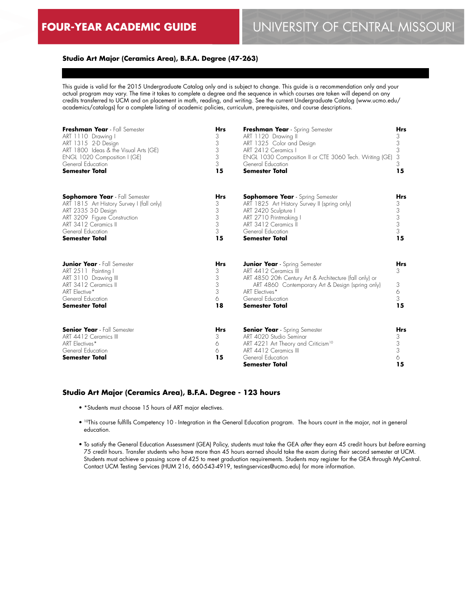# **Studio Art Major (Ceramics Area), B.F.A. Degree (47-263)**

This guide is valid for the 2015 Undergraduate Catalog only and is subject to change. This guide is a recommendation only and your actual program may vary. The time it takes to complete a degree and the sequence in which courses are taken will depend on any credits transferred to UCM and on placement in math, reading, and writing. See the current Undergraduate Catalog (www.ucmo.edu/ academics/catalogs) for a complete listing of academic policies, curriculum, prerequisites, and course descriptions.

| Freshman Year - Fall Semester                                                                                                                                             | <b>Hrs</b>                                | Freshman Year - Spring Semester                                                                                                                                                                                                              | Hrs                           |
|---------------------------------------------------------------------------------------------------------------------------------------------------------------------------|-------------------------------------------|----------------------------------------------------------------------------------------------------------------------------------------------------------------------------------------------------------------------------------------------|-------------------------------|
| ART 1110 Drawing I                                                                                                                                                        | 3                                         | ART 1120 Drawing II                                                                                                                                                                                                                          | 3                             |
| ART 1315 2-D Design                                                                                                                                                       | 3                                         | ART 1325 Color and Design                                                                                                                                                                                                                    | 3                             |
| ART 1800 Ideas & the Visual Arts (GE)                                                                                                                                     | 3                                         | ART 2412 Ceramics I                                                                                                                                                                                                                          | 3                             |
| ENGL 1020 Composition I (GE)                                                                                                                                              | 3                                         | ENGL 1030 Composition II or CTE 3060 Tech. Writing (GE)                                                                                                                                                                                      | 3                             |
| General Education                                                                                                                                                         | 3                                         | General Education                                                                                                                                                                                                                            | 3                             |
| <b>Semester Total</b>                                                                                                                                                     | 15                                        | <b>Semester Total</b>                                                                                                                                                                                                                        | 15                            |
| <b>Sophomore Year</b> - Fall Semester                                                                                                                                     | <b>Hrs</b>                                | <b>Sophomore Year</b> - Spring Semester                                                                                                                                                                                                      | <b>Hrs</b>                    |
| ART 1815 Art History Survey I (fall only)                                                                                                                                 | 3                                         | ART 1825 Art History Survey II (spring only)                                                                                                                                                                                                 | 3                             |
| ART 2335 3-D Design                                                                                                                                                       | 3                                         | ART 2420 Sculpture I                                                                                                                                                                                                                         | 3                             |
| ART 3209 Figure Construction                                                                                                                                              | 3                                         | ART 2710 Printmaking I                                                                                                                                                                                                                       | 3                             |
| ART 3412 Ceramics III                                                                                                                                                     | 3                                         | ART 3412 Ceramics II                                                                                                                                                                                                                         | 3                             |
| General Education                                                                                                                                                         | 3                                         | General Education                                                                                                                                                                                                                            | 3                             |
| <b>Semester Total</b>                                                                                                                                                     | 15                                        | <b>Semester Total</b>                                                                                                                                                                                                                        | 15                            |
| <b>Junior Year</b> - Fall Semester<br>ART 2511 Painting I<br>ART 3110 Drawing III<br>ART 3412 Ceramics III<br>ART Elective*<br>General Education<br><b>Semester Total</b> | <b>Hrs</b><br>3<br>3<br>3<br>3<br>6<br>18 | <b>Junior Year</b> - Spring Semester<br>ART 4412 Ceramics III<br>ART 4850 20th Century Art & Architecture (fall only) or<br>ART 4860 Contemporary Art & Design (spring only)<br>ART Electives*<br>General Education<br><b>Semester Total</b> | Hrs<br>3<br>3<br>6<br>3<br>15 |
| <b>Senior Year</b> - Fall Semester<br>ART 4412 Ceramics III<br>ART Electives*<br>General Education<br><b>Semester Total</b>                                               | <b>Hrs</b><br>3<br>6<br>6<br>15           | <b>Senior Year</b> - Spring Semester<br>ART 4020 Studio Seminar<br>ART 4221 Art Theory and Criticism <sup>10</sup><br>ART 4412 Ceramics III<br>General Education<br><b>Semester Total</b>                                                    | Hrs<br>3<br>3<br>3<br>6<br>15 |

#### **Studio Art Major (Ceramics Area), B.F.A. Degree - 123 hours**

- \*Students must choose 15 hours of ART major electives.
- 10This course fulfills Competency 10 Integration in the General Education program. The hours count in the major, not in general education.
- To satisfy the General Education Assessment (GEA) Policy, students must take the GEA *after* they earn 45 credit hours but *before* earning 75 credit hours. Transfer students who have more than 45 hours earned should take the exam during their second semester at UCM. Students must achieve a passing score of 425 to meet graduation requirements. Students may register for the GEA through MyCentral. Contact UCM Testing Services (HUM 216, 660-543-4919, testingservices@ucmo.edu) for more information.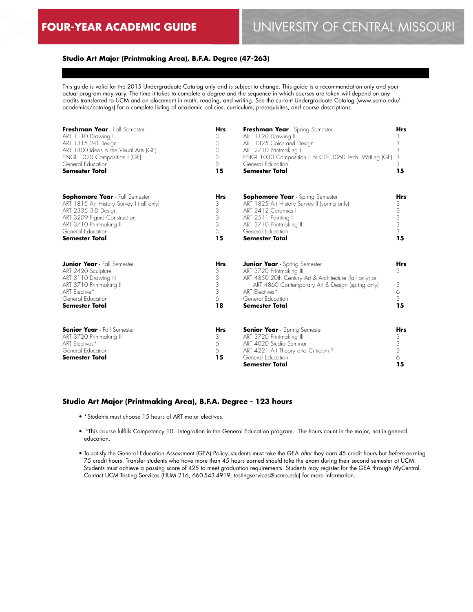## **Studio Art Major (Printmaking Area), B.F.A. Degree (47-263)**

This guide is valid for the 2015 Undergraduate Catalog only and is subject to change. This guide is a recommendation only and your actual program may vary. The time it takes to complete a degree and the sequence in which courses are taken will depend on any credits transferred to UCM and on placement in math, reading, and writing. See the current Undergraduate Catalog (www.ucmo.edu/ academics/catalogs) for a complete listing of academic policies, curriculum, prerequisites, and course descriptions.

| Freshman Year - Fall Semester                                                                                                                                                | <b>Hrs</b>                                | Freshman Year - Spring Semester                                                                                                                                                                                                                 | <b>Hrs</b>                    |
|------------------------------------------------------------------------------------------------------------------------------------------------------------------------------|-------------------------------------------|-------------------------------------------------------------------------------------------------------------------------------------------------------------------------------------------------------------------------------------------------|-------------------------------|
| ART 1110 Drawing I                                                                                                                                                           | 3                                         | ART 1120 Drawing II                                                                                                                                                                                                                             | 3                             |
| ART 1315 2-D Design                                                                                                                                                          | 3                                         | ART 1325 Color and Design                                                                                                                                                                                                                       | 3                             |
| ART 1800 Ideas & the Visual Arts (GE)                                                                                                                                        | 3                                         | ART 2710 Printmaking I                                                                                                                                                                                                                          | 3                             |
| ENGL 1020 Composition I (GE)                                                                                                                                                 | 3                                         | ENGL 1030 Composition II or CTE 3060 Tech. Writing (GE)                                                                                                                                                                                         | 3                             |
| General Education                                                                                                                                                            | 3                                         | General Education                                                                                                                                                                                                                               | 3                             |
| <b>Semester Total</b>                                                                                                                                                        | 15                                        | <b>Semester Total</b>                                                                                                                                                                                                                           | 15                            |
| <b>Sophomore Year</b> - Fall Semester                                                                                                                                        | <b>Hrs</b>                                | <b>Sophomore Year</b> - Spring Semester                                                                                                                                                                                                         | <b>Hrs</b>                    |
| ART 1815 Art History Survey I (fall only)                                                                                                                                    | 3                                         | ART 1825 Art History Survey II (spring only)                                                                                                                                                                                                    | 3                             |
| ART 2335 3-D Design                                                                                                                                                          | 3                                         | ART 2412 Ceramics I                                                                                                                                                                                                                             | 3                             |
| ART 3209 Figure Construction                                                                                                                                                 | 3                                         | ART 2511 Painting I                                                                                                                                                                                                                             | 3                             |
| ART 3710 Printmaking II                                                                                                                                                      | 3                                         | ART 3710 Printmaking II                                                                                                                                                                                                                         | 3                             |
| General Education                                                                                                                                                            | 3                                         | General Education                                                                                                                                                                                                                               | 3                             |
| <b>Semester Total</b>                                                                                                                                                        | 15                                        | <b>Semester Total</b>                                                                                                                                                                                                                           | 15                            |
| <b>Junior Year</b> - Fall Semester<br>ART 2420 Sculpture I<br>ART 3110 Drawing III<br>ART 3710 Printmaking II<br>ART Elective*<br>General Education<br><b>Semester Total</b> | <b>Hrs</b><br>3<br>3<br>3<br>3<br>6<br>18 | <b>Junior Year</b> - Spring Semester<br>ART 3720 Printmaking III<br>ART 4850 20th Century Art & Architecture (fall only) or<br>ART 4860 Contemporary Art & Design (spring only)<br>ART Flectives*<br>General Education<br><b>Semester Total</b> | Hrs<br>3<br>3<br>6<br>3<br>15 |
| <b>Senior Year</b> - Fall Semester<br>ART 3720 Printmaking III<br>ART Electives*<br>General Education<br><b>Semester Total</b>                                               | <b>Hrs</b><br>3<br>6<br>6<br>15           | <b>Senior Year</b> - Spring Semester<br>ART 3720 Printmaking III<br>ART 4020 Studio Seminar<br>ART 4221 Art Theory and Criticism <sup>10</sup><br>General Education<br><b>Semester Total</b>                                                    | Hrs<br>3<br>3<br>3<br>6<br>15 |

### **Studio Art Major (Printmaking Area), B.F.A. Degree - 123 hours**

- \*Students must choose 15 hours of ART major electives.
- 10This course fulfills Competency 10 Integration in the General Education program. The hours count in the major, not in general education.
- To satisfy the General Education Assessment (GEA) Policy, students must take the GEA *after* they earn 45 credit hours but *before* earning 75 credit hours. Transfer students who have more than 45 hours earned should take the exam during their second semester at UCM. Students must achieve a passing score of 425 to meet graduation requirements. Students may register for the GEA through MyCentral. Contact UCM Testing Services (HUM 216, 660-543-4919, testingservices@ucmo.edu) for more information.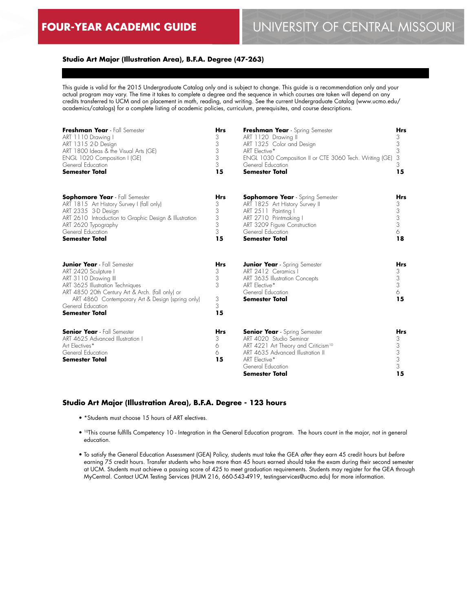# **Studio Art Major (Illustration Area), B.F.A. Degree (47-263)**

This guide is valid for the 2015 Undergraduate Catalog only and is subject to change. This guide is a recommendation only and your actual program may vary. The time it takes to complete a degree and the sequence in which courses are taken will depend on any credits transferred to UCM and on placement in math, reading, and writing. See the current Undergraduate Catalog (www.ucmo.edu/ academics/catalogs) for a complete listing of academic policies, curriculum, prerequisites, and course descriptions.

| Freshman Year - Fall Semester                                                                                                                                                                                                                                                | <b>Hrs</b>                                | Freshman Year - Spring Semester                                                                                                                                                                                               | <b>Hrs</b>                                |
|------------------------------------------------------------------------------------------------------------------------------------------------------------------------------------------------------------------------------------------------------------------------------|-------------------------------------------|-------------------------------------------------------------------------------------------------------------------------------------------------------------------------------------------------------------------------------|-------------------------------------------|
| ART 1110 Drawing I                                                                                                                                                                                                                                                           | 3                                         | ART 1120 Drawing II                                                                                                                                                                                                           | 3                                         |
| ART 1315 2-D Design                                                                                                                                                                                                                                                          | 3                                         | ART 1325 Color and Design                                                                                                                                                                                                     | 3                                         |
| ART 1800 Ideas & the Visual Arts (GE)                                                                                                                                                                                                                                        | 3                                         | ART Elective*                                                                                                                                                                                                                 | 3                                         |
| ENGL 1020 Composition I (GE)                                                                                                                                                                                                                                                 | 3                                         | ENGL 1030 Composition II or CTE 3060 Tech. Writing (GE)                                                                                                                                                                       | 3                                         |
| General Education                                                                                                                                                                                                                                                            | 3                                         | General Education                                                                                                                                                                                                             | 3                                         |
| <b>Semester Total</b>                                                                                                                                                                                                                                                        | 15                                        | <b>Semester Total</b>                                                                                                                                                                                                         | 15                                        |
| <b>Sophomore Year</b> - Fall Semester                                                                                                                                                                                                                                        | <b>Hrs</b>                                | <b>Sophomore Year</b> - Spring Semester                                                                                                                                                                                       | <b>Hrs</b>                                |
| ART 1815 Art History Survey I (fall only)                                                                                                                                                                                                                                    | 3                                         | ART 1825 Art History Survey II                                                                                                                                                                                                | 3                                         |
| ART 2335 3-D Design                                                                                                                                                                                                                                                          | 3                                         | ART 2511 Painting                                                                                                                                                                                                             | 3                                         |
| ART 2610 Introduction to Graphic Design & Illustration                                                                                                                                                                                                                       | 3                                         | ART 2710 Printmaking I                                                                                                                                                                                                        | 3                                         |
| ART 2620 Typography                                                                                                                                                                                                                                                          | 3                                         | ART 3209 Figure Construction                                                                                                                                                                                                  | 3                                         |
| General Education                                                                                                                                                                                                                                                            | 3                                         | General Education                                                                                                                                                                                                             | 6                                         |
| <b>Semester Total</b>                                                                                                                                                                                                                                                        | 15                                        | <b>Semester Total</b>                                                                                                                                                                                                         | 18                                        |
| <b>Junior Year</b> - Fall Semester<br>ART 2420 Sculpture I<br>ART 3110 Drawing III<br>ART 3625 Illustration Techniques<br>ART 4850 20th Century Art & Arch. (fall only) or<br>ART 4860 Contemporary Art & Design (spring only)<br>General Education<br><b>Semester Total</b> | <b>Hrs</b><br>3<br>3<br>3<br>3<br>3<br>15 | <b>Junior Year</b> - Spring Semester<br>ART 2412 Ceramics I<br>ART 3635 Illustration Concepts<br>ART Elective*<br>General Education<br><b>Semester Total</b>                                                                  | <b>Hrs</b><br>3<br>3<br>3<br>6<br>15      |
| <b>Senior Year</b> - Fall Semester<br>ART 4625 Advanced Illustration I<br>Art Electives*<br>General Education<br><b>Semester Total</b>                                                                                                                                       | <b>Hrs</b><br>3<br>6<br>6<br>15           | <b>Senior Year</b> - Spring Semester<br>ART 4020 Studio Seminar<br>ART 4221 Art Theory and Criticism <sup>10</sup><br><b>ART 4635 Advanced Illustration II</b><br>ART Elective*<br>General Education<br><b>Semester Total</b> | <b>Hrs</b><br>3<br>3<br>3<br>3<br>3<br>15 |

### **Studio Art Major (Illustration Area), B.F.A. Degree - 123 hours**

- \*Students must choose 15 hours of ART electives.
- 10This course fulfills Competency 10 Integration in the General Education program. The hours count in the major, not in general education.
- To satisfy the General Education Assessment (GEA) Policy, students must take the GEA *after* they earn 45 credit hours but *before* earning 75 credit hours. Transfer students who have more than 45 hours earned should take the exam during their second semester at UCM. Students must achieve a passing score of 425 to meet graduation requirements. Students may register for the GEA through MyCentral. Contact UCM Testing Services (HUM 216, 660-543-4919, testingservices@ucmo.edu) for more information.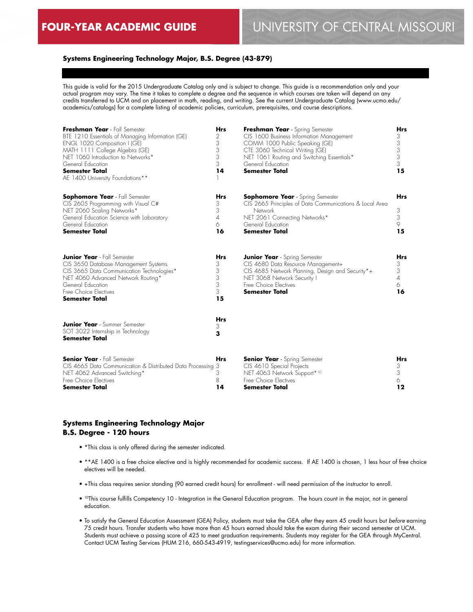# **Systems Engineering Technology Major, B.S. Degree (43-879)**

This guide is valid for the 2015 Undergraduate Catalog only and is subject to change. This guide is a recommendation only and your actual program may vary. The time it takes to complete a degree and the sequence in which courses are taken will depend on any credits transferred to UCM and on placement in math, reading, and writing. See the current Undergraduate Catalog (www.ucmo.edu/ academics/catalogs) for a complete listing of academic policies, curriculum, prerequisites, and course descriptions.

| Freshman Year - Fall Semester<br>BTE 1210 Essentials of Managing Information (GE)<br>ENGL 1020 Composition I (GE)<br>MATH 1111 College Algebra (GE)<br>NET 1060 Introduction to Networks*<br>General Education<br><b>Semester Total</b><br>AE 1400 University Foundations** | <b>Hrs</b><br>2<br>3<br>3<br>3<br>3<br>14 | Freshman Year - Spring Semester<br>CIS 1600 Business Information Management<br>COMM 1000 Public Speaking (GE)<br>CTE 3060 Technical Writing (GE)<br>NET 1061 Routing and Switching Essentials*<br>General Education<br><b>Semester Total</b> | <b>Hrs</b><br>3<br>3<br>$\frac{3}{3}$<br>3<br>15            |
|-----------------------------------------------------------------------------------------------------------------------------------------------------------------------------------------------------------------------------------------------------------------------------|-------------------------------------------|----------------------------------------------------------------------------------------------------------------------------------------------------------------------------------------------------------------------------------------------|-------------------------------------------------------------|
| <b>Sophomore Year</b> - Fall Semester<br>CIS 2605 Programming with Visual C#<br>NET 2060 Scaling Networks*<br>General Education Science with Laboratory<br>General Education<br><b>Semester Total</b>                                                                       | <b>Hrs</b><br>3<br>3<br>4<br>6<br>16      | Sophomore Year - Spring Semester<br>CIS 2665 Principles of Data Communications & Local Area<br>Network<br>NET 2061 Connecting Networks*<br>General Education<br><b>Semester Total</b>                                                        | <b>Hrs</b><br>3<br>3<br>9<br>15                             |
| <b>Junior Year</b> - Fall Semester<br>CIS 3650 Database Management Systems<br>CIS 3665 Data Communication Technologies*<br>NET 4060 Advanced Network Routing*<br>General Education<br>Free Choice Flectives<br><b>Semester Total</b>                                        | <b>Hrs</b><br>3<br>3<br>3<br>3<br>3<br>15 | <b>Junior Year</b> - Spring Semester<br>CIS 4680 Data Resource Management+<br>CIS 4685 Network Planning, Design and Security*+<br>NET 3068 Network Security I<br>Free Choice Electives<br><b>Semester Total</b>                              | <b>Hrs</b><br>3<br>3<br>$\overline{\mathcal{A}}$<br>6<br>16 |
| <b>Junior Year</b> - Summer Semester<br>SOT 3022 Internship in Technology<br><b>Semester Total</b>                                                                                                                                                                          | <b>Hrs</b><br>3<br>3                      |                                                                                                                                                                                                                                              |                                                             |
| <b>Senior Year</b> - Fall Semester<br>CIS 4665 Data Communication & Distributed Data Processing 3<br>NET 4062 Advanced Switching*<br>Free Choice Electives<br><b>Semester Total</b>                                                                                         | <b>Hrs</b><br>3<br>8<br>14                | <b>Senior Year</b> - Spring Semester<br>CIS 4610 Special Projects<br>NET 4063 Network Support*10<br>Free Choice Electives<br><b>Semester Total</b>                                                                                           | <b>Hrs</b><br>3<br>3<br>6<br>12                             |

## **Systems Engineering Technology Major B.S. Degree - 120 hours**

- \*This class is only offered during the semester indicated.
- \*\*AE 1400 is a free choice elective and is highly recommended for academic success. If AE 1400 is chosen, 1 less hour of free choice electives will be needed.
- +This class requires senior standing (90 earned credit hours) for enrollment will need permission of the instructor to enroll.
- 10This course fulfills Competency 10 Integration in the General Education program. The hours count in the major, not in general education.
- To satisfy the General Education Assessment (GEA) Policy, students must take the GEA *after* they earn 45 credit hours but *before* earning 75 credit hours. Transfer students who have more than 45 hours earned should take the exam during their second semester at UCM. Students must achieve a passing score of 425 to meet graduation requirements. Students may register for the GEA through MyCentral. Contact UCM Testing Services (HUM 216, 660-543-4919, testingservices@ucmo.edu) for more information.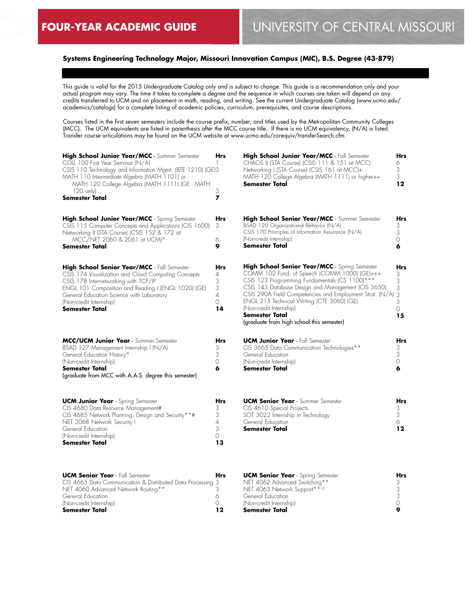# **Systems Engineering Technology Major, Missouri Innovation Campus (MIC), B.S. Degree (43-879)**

This guide is valid for the 2015 Undergraduate Catalog only and is subject to change. This guide is a recommendation only and your actual program may vary. The time it takes to complete a degree and the sequence in which courses are taken will depend on any credits transferred to UCM and on placement in math, reading, and writing. See the current Undergraduate Catalog (www.ucmo.edu/ academics/catalogs) for a complete listing of academic policies, curriculum, prerequisites, and course descriptions.

Courses listed in the first seven semesters include the course prefix, number, and titles used by the Metropolitan Community Colleges (MCC). The UCM equivalents are listed in parenthesis after the MCC course title. If there is no UCM equivalency, (N/A) is listed. Transfer course articulations may be found on the UCM website at www.ucmo.edu/corequiv/transferSearch.cfm.

| High School Junior Year/MCC - Summer Semester<br>COLL 100 First Year Seminar (N/A)<br>CSIS 110 Technology and Information Mgmt. (BTE 1210) (GE)3<br>MATH 110 Intermediate Algebra (MATH 1101) or<br>MATH 120 College Algebra (MATH 1111) (GE - MATH<br>$120 \text{ only}$                          | Hrs<br>3                                                     | <b>High School Junior Year/MCC</b> - Fall Semester<br>CHAOS II (STA Course) (CSIS 111 & 151 at MCC)<br>Networking I (STA Course) (CSIS 161 at MCC)+<br>MATH 120 College Algebra (MATH 1111) or higher++<br>Semester Total                                                                                                                                                                                                 | Hrs<br>6<br>3<br>3<br>12           |
|----------------------------------------------------------------------------------------------------------------------------------------------------------------------------------------------------------------------------------------------------------------------------------------------------|--------------------------------------------------------------|---------------------------------------------------------------------------------------------------------------------------------------------------------------------------------------------------------------------------------------------------------------------------------------------------------------------------------------------------------------------------------------------------------------------------|------------------------------------|
| <b>Semester Total</b>                                                                                                                                                                                                                                                                              | $\overline{ }$                                               |                                                                                                                                                                                                                                                                                                                                                                                                                           |                                    |
| <b>High School Junior Year/MCC</b> - Spring Semester<br>CSIS 115 Computer Concepts and Applications (CIS 1600)<br>Networking II (STA Course) (CSIS 152 & 172 at                                                                                                                                    | <b>Hrs</b><br>3                                              | High School Senior Year/MCC - Summer Semester<br>BSAD 120 Organizational Behavior (N/A)<br>CSIS 170 Principles of Information Assurance (N/A)                                                                                                                                                                                                                                                                             | Hrs<br>3<br>3                      |
| MCC/NET 2060 & 2061 at UCMI^<br>Semester Total                                                                                                                                                                                                                                                     | 6<br>9                                                       | (Non-credit Internship)<br>Semester Total                                                                                                                                                                                                                                                                                                                                                                                 | 0<br>6                             |
| High School Senior Year/MCC - Fall Semester<br>CSIS 174 Visualization and Cloud Computing Concepts<br>CSIS 178 Internetworking with TCP/IP<br>ENGL 101 Composition and Reading I (ENGL 1020) (GE)<br>General Education Science with Laboratory<br>(Non-credit Internship)<br><b>Semester Total</b> | <b>Hrs</b><br>4<br>3<br>3<br>$\overline{A}$<br>$\circ$<br>14 | <b>High School Senior Year/MCC</b> - Spring Semester<br>COMM 102 Fund. of Speech (COMM 1000) (GE)+++<br>CSIS 123 Programming Fundamentals (CS 1100)***<br>CSIS 143 Database Design and Management (CIS 3650)<br>CSIS 290A Field Competencies and Employment Strat. (N/A) 3<br>ENGL 215 Technical Writing (CTE 3060) (GE)<br>(Non-credit Internship)<br><b>Semester Total</b><br>(graduate from high school this semester) | Hrs<br>3<br>3<br>3<br>3<br>0<br>15 |
| MCC/UCM Junior Year - Summer Semester<br>BSAD 127 Management Internship I (N/A)<br>General Education History*<br>(Non-credit Internship)<br><b>Semester Total</b><br>(graduate from MCC with A.A.S. degree this semester)                                                                          | <b>Hrs</b><br>3<br>3<br>0<br>6                               | <b>UCM Junior Year</b> - Fall Semester<br>CIS 3665 Data Communication Technologies**<br>General Education<br>(Non-credit Internship)<br>Semester Total                                                                                                                                                                                                                                                                    | Hrs<br>3<br>3<br>0<br>6            |
| <b>UCM Junior Year</b> - Spring Semester<br>CIS 4680 Data Resource Management#<br>CIS 4685 Network Planning, Design and Security**#<br>NET 3068 Network Security I<br>General Education<br>(Non-credit Internship)<br>Semester Total                                                               | <b>Hrs</b><br>3<br>3<br>$\overline{4}$<br>3<br>0<br>13       | <b>UCM Senior Year</b> - Summer Semester<br>CIS 4610 Special Projects<br>SOT 3022 Internship in Technology<br>General Education<br><b>Semester Total</b>                                                                                                                                                                                                                                                                  | Hrs<br>3<br>3<br>6<br>12           |
| <b>UCM Senior Year</b> - Fall Semester<br>CIS 4665 Data Communication & Distributed Data Processing 3<br>NET 4060 Advanced Network Routing**<br>General Education<br>(Non-credit Internship)<br>Semester Total                                                                                     | <b>Hrs</b><br>3<br>6<br>0<br>12                              | <b>UCM Senior Year</b> - Spring Semester<br>NET 4062 Advanced Switching**<br>NET 4063 Network Support**10<br>General Education<br>(Non-credit Internship)<br>Semester Total                                                                                                                                                                                                                                               | Hrs<br>3<br>3<br>3<br>0<br>9       |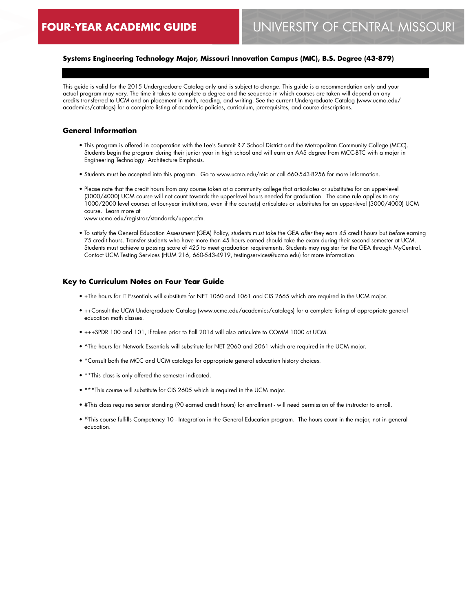# **Systems Engineering Technology Major, Missouri Innovation Campus (MIC), B.S. Degree (43-879)**

This guide is valid for the 2015 Undergraduate Catalog only and is subject to change. This guide is a recommendation only and your actual program may vary. The time it takes to complete a degree and the sequence in which courses are taken will depend on any credits transferred to UCM and on placement in math, reading, and writing. See the current Undergraduate Catalog (www.ucmo.edu/ academics/catalogs) for a complete listing of academic policies, curriculum, prerequisites, and course descriptions.

#### **General Information**

- This program is offered in cooperation with the Lee's Summit R-7 School District and the Metropolitan Community College (MCC). Students begin the program during their junior year in high school and will earn an AAS degree from MCC-BTC with a major in Engineering Technology: Architecture Emphasis.
- Students must be accepted into this program. Go to www.ucmo.edu/mic or call 660-543-8256 for more information.
- Please note that the credit hours from any course taken at a community college that articulates or substitutes for an upper-level (3000/4000) UCM course will not count towards the upper-level hours needed for graduation. The same rule applies to any 1000/2000 level courses at four-year institutions, even if the course(s) articulates or substitutes for an upper-level (3000/4000) UCM course. Learn more at

www.ucmo.edu/registrar/standards/upper.cfm.

• To satisfy the General Education Assessment (GEA) Policy, students must take the GEA *after* they earn 45 credit hours but *before* earning 75 credit hours. Transfer students who have more than 45 hours earned should take the exam during their second semester at UCM. Students must achieve a passing score of 425 to meet graduation requirements. Students may register for the GEA through MyCentral. Contact UCM Testing Services (HUM 216, 660-543-4919, testingservices@ucmo.edu) for more information.

#### **Key to Curriculum Notes on Four Year Guide**

- +The hours for IT Essentials will substitute for NET 1060 and 1061 and CIS 2665 which are required in the UCM major.
- ++Consult the UCM Undergraduate Catalog (www.ucmo.edu/academics/catalogs) for a complete listing of appropriate general education math classes.
- +++SPDR 100 and 101, if taken prior to Fall 2014 will also articulate to COMM 1000 at UCM.
- ^The hours for Network Essentials will substitute for NET 2060 and 2061 which are required in the UCM major.
- \*Consult both the MCC and UCM catalogs for appropriate general education history choices.
- \*\*This class is only offered the semester indicated.
- \*\*\*This course will substitute for CIS 2605 which is required in the UCM major.
- #This class requires senior standing (90 earned credit hours) for enrollment will need permission of the instructor to enroll.
- 10This course fulfills Competency 10 Integration in the General Education program. The hours count in the major, not in general education.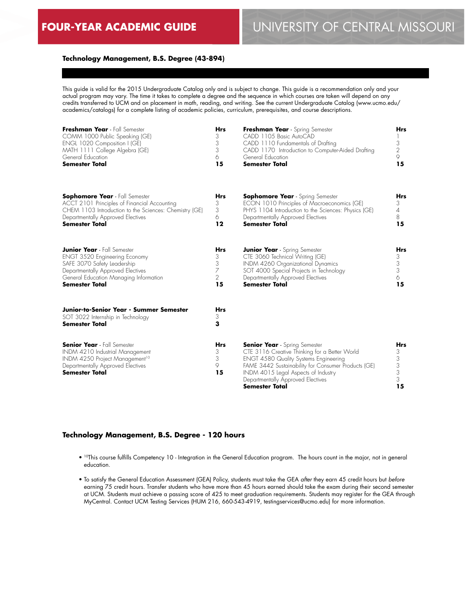## **Technology Management, B.S. Degree (43-894)**

This guide is valid for the 2015 Undergraduate Catalog only and is subject to change. This guide is a recommendation only and your actual program may vary. The time it takes to complete a degree and the sequence in which courses are taken will depend on any credits transferred to UCM and on placement in math, reading, and writing. See the current Undergraduate Catalog (www.ucmo.edu/ academics/catalogs) for a complete listing of academic policies, curriculum, prerequisites, and course descriptions.

| Freshman Year - Fall Semester<br>COMM 1000 Public Speaking (GE)<br>ENGL 1020 Composition I (GE)<br>MATH 1111 College Algebra (GE)<br>General Education<br><b>Semester Total</b>                                   | <b>Hrs</b><br>3<br>3<br>3<br>6<br>15              | Freshman Year - Spring Semester<br>CADD 1105 Basic AutoCAD<br>CADD 1110 Fundamentals of Drafting<br>CADD 1170 Introduction to Computer-Aided Drafting<br>General Education<br><b>Semester Total</b>                                                                                        | <b>Hrs</b><br>3<br>2<br>9<br>15           |
|-------------------------------------------------------------------------------------------------------------------------------------------------------------------------------------------------------------------|---------------------------------------------------|--------------------------------------------------------------------------------------------------------------------------------------------------------------------------------------------------------------------------------------------------------------------------------------------|-------------------------------------------|
| <b>Sophomore Year</b> - Fall Semester<br>ACCT 2101 Principles of Financial Accounting<br>CHEM 1103 Introduction to the Sciences: Chemistry (GE)<br>Departmentally Approved Electives<br><b>Semester Total</b>     | <b>Hrs</b><br>3<br>3<br>6<br>12                   | <b>Sophomore Year</b> - Spring Semester<br>ECON 1010 Principles of Macroeconomics (GE)<br>PHYS 1104 Introduction to the Sciences: Physics (GE)<br>Departmentally Approved Electives<br><b>Semester Total</b>                                                                               | Hrs<br>3<br>$\overline{4}$<br>8<br>15     |
| <b>Junior Year</b> - Fall Semester<br><b>ENGT 3520 Engineering Economy</b><br>SAFE 3070 Safety Leadership<br>Departmentally Approved Electives<br>General Education Managing Information<br><b>Semester Total</b> | <b>Hrs</b><br>3<br>3<br>7<br>$\overline{2}$<br>15 | <b>Junior Year</b> - Spring Semester<br>CTE 3060 Technical Writing (GE)<br>INDM 4260 Organizational Dynamics<br>SOT 4000 Special Projects in Technology<br>Departmentally Approved Electives<br><b>Semester Total</b>                                                                      | <b>Hrs</b><br>3<br>3<br>3<br>6<br>15      |
| Junior-to-Senior Year - Summer Semester<br>SOT 3022 Internship in Technology<br><b>Semester Total</b>                                                                                                             | <b>Hrs</b><br>3<br>3                              |                                                                                                                                                                                                                                                                                            |                                           |
| <b>Senior Year</b> - Fall Semester<br>INDM 4210 Industrial Management<br>INDM 4250 Project Management <sup>10</sup><br>Departmentally Approved Electives<br><b>Semester Total</b>                                 | <b>Hrs</b><br>3<br>3<br>9<br>15                   | <b>Senior Year</b> - Spring Semester<br>CTE 3116 Creative Thinking for a Better World<br><b>ENGT 4580 Quality Systems Engineering</b><br>FAME 3442 Sustainability for Consumer Products (GE)<br>INDM 4015 Legal Aspects of Industry<br>Departmentally Approved Electives<br>Semester Total | <b>Hrs</b><br>3<br>3<br>3<br>3<br>3<br>15 |

#### **Technology Management, B.S. Degree - 120 hours**

- <sup>10</sup>This course fulfills Competency 10 Integration in the General Education program. The hours count in the major, not in general education.
- To satisfy the General Education Assessment (GEA) Policy, students must take the GEA *after* they earn 45 credit hours but *before* earning 75 credit hours. Transfer students who have more than 45 hours earned should take the exam during their second semester at UCM. Students must achieve a passing score of 425 to meet graduation requirements. Students may register for the GEA through MyCentral. Contact UCM Testing Services (HUM 216, 660-543-4919, testingservices@ucmo.edu) for more information.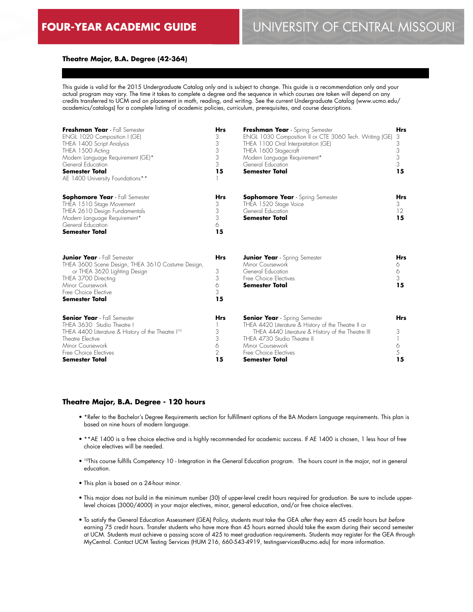### **Theatre Major, B.A. Degree (42-364)**

This guide is valid for the 2015 Undergraduate Catalog only and is subject to change. This guide is a recommendation only and your actual program may vary. The time it takes to complete a degree and the sequence in which courses are taken will depend on any credits transferred to UCM and on placement in math, reading, and writing. See the current Undergraduate Catalog (www.ucmo.edu/ academics/catalogs) for a complete listing of academic policies, curriculum, prerequisites, and course descriptions.

| Freshman Year - Fall Semester<br>ENGL 1020 Composition I (GE)<br>THEA 1400 Script Analysis<br>THEA 1500 Acting<br>Modern Language Requirement (GE)*<br>General Education<br><b>Semester Total</b><br>AE 1400 University Foundations** | <b>Hrs</b><br>3<br>3<br>3<br>3<br>3<br>15         | Freshman Year - Spring Semester<br>ENGL 1030 Composition II or CTE 3060 Tech. Writing (GE)<br>THEA 1100 Oral Interpretation (GE)<br>THEA 1600 Stagecraft<br>Modern Language Requirement*<br>General Education<br>Semester Total                       | <b>Hrs</b><br>3<br>3<br>3<br>3<br>3<br>15 |
|---------------------------------------------------------------------------------------------------------------------------------------------------------------------------------------------------------------------------------------|---------------------------------------------------|-------------------------------------------------------------------------------------------------------------------------------------------------------------------------------------------------------------------------------------------------------|-------------------------------------------|
| <b>Sophomore Year</b> - Fall Semester<br>THEA 1510 Stage Movement<br>THEA 2610 Design Fundamentals<br>Modern Language Requirement*<br>General Education<br><b>Semester Total</b>                                                      | <b>Hrs</b><br>3<br>3<br>3<br>6<br>15              | <b>Sophomore Year</b> - Spring Semester<br>THEA 1520 Stage Voice<br>General Education<br>Semester Total                                                                                                                                               | <b>Hrs</b><br>3<br>12<br>15               |
| <b>Junior Year</b> - Fall Semester<br>THEA 3600 Scene Design, THEA 3610 Costume Design,<br>or THEA 3620 Lighting Design<br>THEA 3700 Directing<br>Minor Coursework<br>Free Choice Elective<br><b>Semester Total</b>                   | <b>Hrs</b><br>3<br>3<br>6<br>3<br>15              | <b>Junior Year</b> - Spring Semester<br>Minor Coursework<br>General Education<br>Free Choice Electives<br><b>Semester Total</b>                                                                                                                       | <b>Hrs</b><br>6<br>6<br>3<br>15           |
| <b>Senior Year</b> - Fall Semester<br>THEA 3630 Studio Theatre I<br>THEA 4400 Literature & History of the Theatre I <sup>10</sup><br>Theatre Elective<br>Minor Coursework<br>Free Choice Electives<br><b>Semester Total</b>           | <b>Hrs</b><br>3<br>3<br>6<br>$\overline{2}$<br>15 | <b>Senior Year</b> - Spring Semester<br>THEA 4420 Literature & History of the Theatre II or<br>THEA 4440 Literature & History of the Theatre III<br>THEA 4730 Studio Theatre II<br>Minor Coursework<br>Free Choice Electives<br><b>Semester Total</b> | <b>Hrs</b><br>3<br>6<br>5<br>15           |

### **Theatre Major, B.A. Degree - 120 hours**

- \*Refer to the Bachelor's Degree Requirements section for fulfillment options of the BA Modern Language requirements. This plan is based on nine hours of modern language.
- \*\*AE 1400 is a free choice elective and is highly recommended for academic success. If AE 1400 is chosen, 1 less hour of free choice electives will be needed.
- 10This course fulfills Competency 10 Integration in the General Education program. The hours count in the major, not in general education.
- This plan is based on a 24-hour minor.
- This major does not build in the minimum number (30) of upper-level credit hours required for graduation. Be sure to include upperlevel choices (3000/4000) in your major electives, minor, general education, and/or free choice electives.
- To satisfy the General Education Assessment (GEA) Policy, students must take the GEA *after* they earn 45 credit hours but *before* earning 75 credit hours. Transfer students who have more than 45 hours earned should take the exam during their second semester at UCM. Students must achieve a passing score of 425 to meet graduation requirements. Students may register for the GEA through MyCentral. Contact UCM Testing Services (HUM 216, 660-543-4919, testingservices@ucmo.edu) for more information.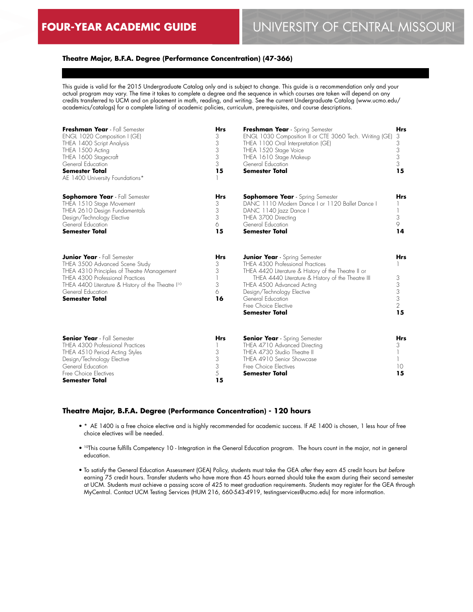## **Theatre Major, B.F.A. Degree (Performance Concentration) (47-366)**

This guide is valid for the 2015 Undergraduate Catalog only and is subject to change. This guide is a recommendation only and your actual program may vary. The time it takes to complete a degree and the sequence in which courses are taken will depend on any credits transferred to UCM and on placement in math, reading, and writing. See the current Undergraduate Catalog (www.ucmo.edu/ academics/catalogs) for a complete listing of academic policies, curriculum, prerequisites, and course descriptions.

| Freshman Year - Fall Semester<br>ENGL 1020 Composition I (GE)<br>THEA 1400 Script Analysis<br>THEA 1500 Acting<br>THEA 1600 Stagecraft<br>General Education<br><b>Semester Total</b><br>AE 1400 University Foundations*                                               | <b>Hrs</b><br>3<br>3<br>3<br>3<br>3<br>15 | Freshman Year - Spring Semester<br>ENGL 1030 Composition II or CTE 3060 Tech. Writing (GE)<br>THEA 1100 Oral Interpretation (GE)<br>THEA 1520 Stage Voice<br>THEA 1610 Stage Makeup<br>General Education<br><b>Semester Total</b>                                                                              | <b>Hrs</b><br>3<br>3<br>3<br>3<br>3<br>15 |
|-----------------------------------------------------------------------------------------------------------------------------------------------------------------------------------------------------------------------------------------------------------------------|-------------------------------------------|----------------------------------------------------------------------------------------------------------------------------------------------------------------------------------------------------------------------------------------------------------------------------------------------------------------|-------------------------------------------|
| <b>Sophomore Year</b> - Fall Semester<br>THEA 1510 Stage Movement<br>THEA 2610 Design Fundamentals<br>Design/Technology Elective<br>General Education<br><b>Semester Total</b>                                                                                        | <b>Hrs</b><br>3<br>3<br>3<br>6<br>15      | <b>Sophomore Year</b> - Spring Semester<br>DANC 1110 Modern Dance I or 1120 Ballet Dance I<br>DANC 1140 Jazz Dance I<br>THEA 3700 Directing<br>General Education<br><b>Semester Total</b>                                                                                                                      | Hrs<br>3<br>9<br>14                       |
| <b>Junior Year</b> - Fall Semester<br>THEA 3500 Advanced Scene Study<br>THEA 4310 Principles of Theatre Management<br>THEA 4300 Professional Practices<br>THEA 4400 Literature & History of the Theatre I <sup>10</sup><br>General Education<br><b>Semester Total</b> | <b>Hrs</b><br>3<br>3<br>3<br>6<br>16      | <b>Junior Year</b> - Spring Semester<br>THEA 4300 Professional Practices<br>THEA 4420 Literature & History of the Theatre II or<br>THEA 4440 Literature & History of the Theatre III<br>THEA 4500 Advanced Acting<br>Design/Technology Elective<br>General Education<br>Free Choice Elective<br>Semester Total | <b>Hrs</b><br>3<br>3<br>3<br>3<br>2<br>15 |
| <b>Senior Year</b> - Fall Semester<br>THEA 4300 Professional Practices<br>THEA 4510 Period Acting Styles<br>Design/Technology Elective<br>General Education<br>Free Choice Electives<br><b>Semester Total</b>                                                         | <b>Hrs</b><br>3<br>3<br>3<br>5<br>15      | <b>Senior Year</b> - Spring Semester<br>THEA 4710 Advanced Directing<br>THEA 4730 Studio Theatre II<br>THEA 4910 Senior Showcase<br>Free Choice Electives<br><b>Semester Total</b>                                                                                                                             | <b>Hrs</b><br>3<br>10<br>15               |

#### **Theatre Major, B.F.A. Degree (Performance Concentration) - 120 hours**

- \* AE 1400 is a free choice elective and is highly recommended for academic success. If AE 1400 is chosen, 1 less hour of free choice electives will be needed.
- 10This course fulfills Competency 10 Integration in the General Education program. The hours count in the major, not in general education.
- To satisfy the General Education Assessment (GEA) Policy, students must take the GEA *after* they earn 45 credit hours but *before* earning 75 credit hours. Transfer students who have more than 45 hours earned should take the exam during their second semester at UCM. Students must achieve a passing score of 425 to meet graduation requirements. Students may register for the GEA through MyCentral. Contact UCM Testing Services (HUM 216, 660-543-4919, testingservices@ucmo.edu) for more information.